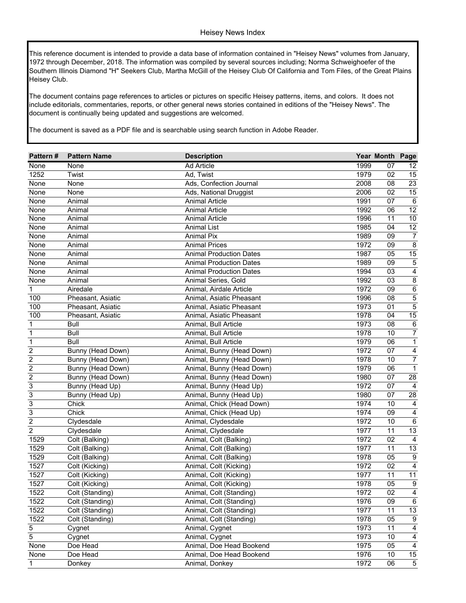This reference document is intended to provide a data base of information contained in "Heisey News" volumes from January, 1972 through December, 2018. The information was compiled by several sources including; Norma Schweighoefer of the Southern Illinois Diamond "H" Seekers Club, Martha McGill of the Heisey Club Of California and Tom Files, of the Great Plains Heisey Club.

The document contains page references to articles or pictures on specific Heisey patterns, items, and colors. It does not include editorials, commentaries, reports, or other general news stories contained in editions of the "Heisey News". The document is continually being updated and suggestions are welcomed.

The document is saved as a PDF file and is searchable using search function in Adobe Reader.

| Pattern#         | <b>Pattern Name</b> | <b>Description</b>             |      | Year Month Page |                  |
|------------------|---------------------|--------------------------------|------|-----------------|------------------|
| None             | None                | <b>Ad Article</b>              | 1999 | 07              | 12               |
| 1252             | Twist               | Ad, Twist                      | 1979 | 02              | 15               |
| None             | None                | Ads, Confection Journal        | 2008 | 08              | 23               |
| None             | None                | Ads, National Druggist         | 2006 | 02              | 15               |
| None             | Animal              | <b>Animal Article</b>          | 1991 | 07              | $\overline{6}$   |
| None             | Animal              | <b>Animal Article</b>          | 1992 | 06              | $\overline{12}$  |
| None             | Animal              | <b>Animal Article</b>          | 1996 | $\overline{11}$ | 10               |
| None             | Animal              | <b>Animal List</b>             | 1985 | 04              | 12               |
| None             | Animal              | <b>Animal Pix</b>              | 1989 | 09              | 7                |
| None             | Animal              | <b>Animal Prices</b>           | 1972 | 09              | 8                |
| None             | Animal              | <b>Animal Production Dates</b> | 1987 | 05              | 15               |
| None             | Animal              | <b>Animal Production Dates</b> | 1989 | 09              | 5                |
| None             | Animal              | <b>Animal Production Dates</b> | 1994 | 03              | 4                |
| None             | Animal              | Animal Series, Gold            | 1992 | 03              | $\,8\,$          |
| 1                | Airedale            | Animal, Airdale Article        | 1972 | 09              | $\,6\,$          |
| 100              | Pheasant, Asiatic   | Animal, Asiatic Pheasant       | 1996 | 08              | $\sqrt{5}$       |
| 100              | Pheasant, Asiatic   | Animal, Asiatic Pheasant       | 1973 | 01              | 5                |
| 100              | Pheasant, Asiatic   | Animal, Asiatic Pheasant       | 1978 | 04              | 15               |
| 1                | <b>Bull</b>         | Animal, Bull Article           | 1973 | 08              | $\,6$            |
| $\mathbf 1$      | <b>Bull</b>         | Animal, Bull Article           | 1978 | 10              | 7                |
| $\overline{1}$   | <b>Bull</b>         | Animal, Bull Article           | 1979 | 06              | $\mathbf{1}$     |
| $\overline{2}$   | Bunny (Head Down)   | Animal, Bunny (Head Down)      | 1972 | 07              | 4                |
| $\overline{c}$   | Bunny (Head Down)   | Animal, Bunny (Head Down)      | 1978 | 10              | 7                |
| $\overline{c}$   | Bunny (Head Down)   | Animal, Bunny (Head Down)      | 1979 | 06              | $\mathbf{1}$     |
| $\boldsymbol{2}$ | Bunny (Head Down)   | Animal, Bunny (Head Down)      | 1980 | 07              | 28               |
| 3                | Bunny (Head Up)     | Animal, Bunny (Head Up)        | 1972 | 07              | $\overline{4}$   |
| 3                | Bunny (Head Up)     | Animal, Bunny (Head Up)        | 1980 | 07              | 28               |
| 3                | Chick               | Animal, Chick (Head Down)      | 1974 | 10              | $\overline{4}$   |
| 3                | Chick               | Animal, Chick (Head Up)        | 1974 | 09              | $\overline{4}$   |
| $\overline{2}$   | Clydesdale          | Animal, Clydesdale             | 1972 | 10              | $\,6\,$          |
| $\overline{2}$   | Clydesdale          | Animal, Clydesdale             | 1977 | 11              | 13               |
| 1529             | Colt (Balking)      | Animal, Colt (Balking)         | 1972 | 02              | $\overline{4}$   |
| 1529             | Colt (Balking)      | Animal, Colt (Balking)         | 1977 | 11              | 13               |
| 1529             | Colt (Balking)      | Animal, Colt (Balking)         | 1978 | 05              | 9                |
| 1527             | Colt (Kicking)      | Animal, Colt (Kicking)         | 1972 | 02              | $\overline{4}$   |
| 1527             | Colt (Kicking)      | Animal, Colt (Kicking)         | 1977 | 11              | 11               |
| 1527             | Colt (Kicking)      | Animal, Colt (Kicking)         | 1978 | 05              | $\boldsymbol{9}$ |
| 1522             | Colt (Standing)     | Animal, Colt (Standing)        | 1972 | $\overline{02}$ | $\overline{4}$   |
| 1522             | Colt (Standing)     | Animal, Colt (Standing)        | 1976 | 09              | $\,6\,$          |
| 1522             | Colt (Standing)     | Animal, Colt (Standing)        | 1977 | 11              | 13               |
| 1522             | Colt (Standing)     | Animal, Colt (Standing)        | 1978 | 05              | 9                |
| 5                | Cygnet              | Animal, Cygnet                 | 1973 | 11              | 4                |
| 5                | Cygnet              | Animal, Cygnet                 | 1973 | 10              | 4                |
| None             | Doe Head            | Animal, Doe Head Bookend       | 1975 | 05              | 4                |
| None             | Doe Head            | Animal, Doe Head Bookend       | 1976 | 10              | 15               |
| 1                | Donkey              | Animal, Donkey                 | 1972 | 06              | $\,$ 5 $\,$      |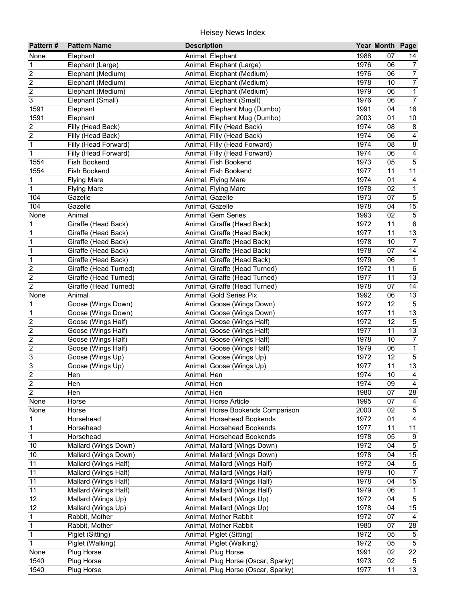| Pattern#            | <b>Pattern Name</b>          | <b>Description</b>                                       |              | Year Month Page |                      |
|---------------------|------------------------------|----------------------------------------------------------|--------------|-----------------|----------------------|
| None                | Elephant                     | Animal, Elephant                                         | 1988         | 07              | 14                   |
| $\mathbf 1$         | Elephant (Large)             | Animal, Elephant (Large)                                 | 1976         | 06              | $\overline{7}$       |
| $\overline{2}$      | Elephant (Medium)            | Animal, Elephant (Medium)                                | 1976         | 06              | $\overline{7}$       |
| $\overline{2}$      | Elephant (Medium)            | Animal, Elephant (Medium)                                | 1978         | 10              | $\overline{7}$       |
| $\overline{2}$      | Elephant (Medium)            | Animal, Elephant (Medium)                                | 1979         | 06              | $\overline{1}$       |
| $\overline{3}$      | Elephant (Small)             | Animal, Elephant (Small)                                 | 1976         | 06              | $\overline{7}$       |
| 1591                | Elephant                     | Animal, Elephant Mug (Dumbo)                             | 1991         | 04              | 16                   |
| 1591                | Elephant                     | Animal, Elephant Mug (Dumbo)                             | 2003         | $\overline{01}$ | 10                   |
| $\overline{2}$      | Filly (Head Back)            | Animal, Filly (Head Back)                                | 1974         | 08              | $\overline{8}$       |
| $\overline{2}$      | Filly (Head Back)            | Animal, Filly (Head Back)                                | 1974         | 06              | $\overline{4}$       |
| 1                   | Filly (Head Forward)         | Animal, Filly (Head Forward)                             | 1974         | 08              | $\overline{8}$       |
| $\mathbf 1$         | Filly (Head Forward)         | Animal, Filly (Head Forward)                             | 1974         | 06              | 4                    |
| 1554                | Fish Bookend                 | Animal, Fish Bookend                                     | 1973         | 05              | $\overline{5}$       |
| 1554                | Fish Bookend                 | Animal, Fish Bookend                                     | 1977         | 11              | 11                   |
| 1                   | <b>Flying Mare</b>           | Animal, Flying Mare                                      | 1974         | 01              | $\overline{4}$       |
| $\mathbf{1}$        | <b>Flying Mare</b>           | Animal, Flying Mare                                      | 1978         | 02              | $\mathbf{1}$         |
| 104                 | Gazelle                      | Animal, Gazelle                                          | 1973         | 07              | $\overline{5}$       |
| 104                 | Gazelle                      | Animal, Gazelle                                          | 1978         | 04              | 15                   |
| None                | Animal                       | Animal, Gem Series                                       | 1993         | 02              | $\overline{5}$       |
| 1                   | Giraffe (Head Back)          | Animal, Giraffe (Head Back)                              | 1972         | 11              | $\overline{6}$       |
| 1                   | Giraffe (Head Back)          | Animal, Giraffe (Head Back)                              | 1977         | 11              | 13                   |
| 1                   | Giraffe (Head Back)          | Animal, Giraffe (Head Back)                              | 1978         | 10              | $\overline{7}$       |
| $\mathbf 1$         | Giraffe (Head Back)          | Animal, Giraffe (Head Back)                              | 1978         | 07              | $\overline{14}$      |
| $\overline{1}$      | Giraffe (Head Back)          | Animal, Giraffe (Head Back)                              | 1979         | 06              | $\mathbf{1}$         |
| $\overline{2}$      | Giraffe (Head Turned)        | Animal, Giraffe (Head Turned)                            | 1972         | 11              | $\,6\,$              |
| $\overline{2}$      | Giraffe (Head Turned)        | Animal, Giraffe (Head Turned)                            | 1977         | 11              | 13                   |
| $\overline{2}$      | Giraffe (Head Turned)        | Animal, Giraffe (Head Turned)                            | 1978         | 07              | 14                   |
| None<br>$\mathbf 1$ | Animal<br>Goose (Wings Down) | Animal, Gold Series Pix                                  | 1992<br>1972 | 06<br>12        | 13<br>$\overline{5}$ |
| 1                   | Goose (Wings Down)           | Animal, Goose (Wings Down)<br>Animal, Goose (Wings Down) | 1977         | 11              | 13                   |
| $\overline{2}$      | Goose (Wings Half)           | Animal, Goose (Wings Half)                               | 1972         | 12              | $\overline{5}$       |
| $\overline{2}$      | Goose (Wings Half)           | Animal, Goose (Wings Half)                               | 1977         | 11              | 13                   |
| $\overline{2}$      | Goose (Wings Half)           | Animal, Goose (Wings Half)                               | 1978         | 10              | $\overline{7}$       |
| $\overline{2}$      | Goose (Wings Half)           | Animal, Goose (Wings Half)                               | 1979         | 06              | $\overline{1}$       |
| 3                   | Goose (Wings Up)             | Animal, Goose (Wings Up)                                 | 1972         | 12              | $\overline{5}$       |
| $\overline{3}$      | Goose (Wings Up)             | Animal, Goose (Wings Up)                                 | 1977         | 11              | 13                   |
| $\overline{2}$      | Hen                          | Animal, Hen                                              | 1974         | 10              | $\overline{4}$       |
| $\overline{a}$      | Hen                          | Animal, Hen                                              | 1974         | 09              | $\overline{4}$       |
| $\overline{2}$      | Hen                          | Animal, Hen                                              | 1980         | 07              | 28                   |
| None                | Horse                        | Animal, Horse Article                                    | 1995         | 07              | 4                    |
| None                | Horse                        | Animal, Horse Bookends Comparison                        | 2000         | 02              | $\,$ 5 $\,$          |
| 1                   | Horsehead                    | Animal, Horsehead Bookends                               | 1972         | 01              | 4                    |
| $\mathbf{1}$        | Horsehead                    | Animal, Horsehead Bookends                               | 1977         | 11              | $\overline{11}$      |
| $\mathbf 1$         | Horsehead                    | Animal, Horsehead Bookends                               | 1978         | 05              | 9                    |
| 10                  | Mallard (Wings Down)         | Animal, Mallard (Wings Down)                             | 1972         | 04              | $\overline{5}$       |
| 10                  | Mallard (Wings Down)         | Animal, Mallard (Wings Down)                             | 1978         | 04              | 15                   |
| 11                  | Mallard (Wings Half)         | Animal, Mallard (Wings Half)                             | 1972         | 04              | $\,$ 5 $\,$          |
| 11                  | Mallard (Wings Half)         | Animal, Mallard (Wings Half)                             | 1978         | 10              | $\overline{7}$       |
| 11                  | Mallard (Wings Half)         | Animal, Mallard (Wings Half)                             | 1978         | 04              | $15\,$               |
| 11                  | Mallard (Wings Half)         | Animal, Mallard (Wings Half)                             | 1979         | 06              | $\mathbf{1}$         |
| 12                  | Mallard (Wings Up)           | Animal, Mallard (Wings Up)                               | 1972         | 04              | $\,$ 5 $\,$          |
| 12                  | Mallard (Wings Up)           | Animal, Mallard (Wings Up)                               | 1978         | 04              | 15                   |
| $\mathbf{1}$        | Rabbit, Mother               | Animal, Mother Rabbit                                    | 1972         | 07              | $\overline{4}$       |
| $\mathbf 1$         | Rabbit, Mother               | Animal, Mother Rabbit                                    | 1980         | 07              | 28                   |
| $\mathbf 1$         | Piglet (Sitting)             | Animal, Piglet (Sitting)                                 | 1972         | 05              | $\sqrt{5}$           |
| $\overline{1}$      | Piglet (Walking)             | Animal, Piglet (Walking)                                 | 1972         | 05              | $\overline{5}$       |
| None                | Plug Horse                   | Animal, Plug Horse                                       | 1991         | 02              | $\overline{22}$      |
| 1540                | Plug Horse                   | Animal, Plug Horse (Oscar, Sparky)                       | 1973         | $\overline{02}$ | $5\phantom{.0}$      |
| 1540                | Plug Horse                   | Animal, Plug Horse (Oscar, Sparky)                       | 1977         | 11              | 13                   |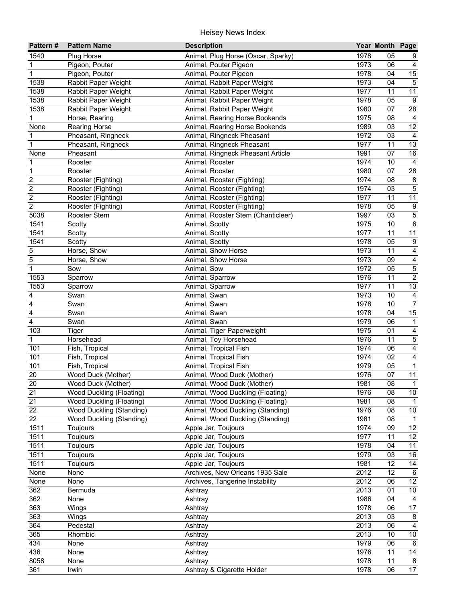| Pattern#                | <b>Pattern Name</b>       | <b>Description</b>                 |      | Year Month Page |                                  |
|-------------------------|---------------------------|------------------------------------|------|-----------------|----------------------------------|
| 1540                    | Plug Horse                | Animal, Plug Horse (Oscar, Sparky) | 1978 | 05              | 9                                |
| 1                       | Pigeon, Pouter            | Animal, Pouter Pigeon              | 1973 | 06              | $\overline{4}$                   |
| $\mathbf{1}$            | Pigeon, Pouter            | Animal, Pouter Pigeon              | 1978 | 04              | 15                               |
| 1538                    | Rabbit Paper Weight       | Animal, Rabbit Paper Weight        | 1973 | 04              | $\overline{5}$                   |
| 1538                    | Rabbit Paper Weight       | Animal, Rabbit Paper Weight        | 1977 | 11              | 11                               |
| 1538                    | Rabbit Paper Weight       | Animal, Rabbit Paper Weight        | 1978 | 05              | $\overline{9}$                   |
| 1538                    | Rabbit Paper Weight       | Animal, Rabbit Paper Weight        | 1980 | 07              | 28                               |
| 1                       | Horse, Rearing            | Animal, Rearing Horse Bookends     | 1975 | $\overline{08}$ | $\overline{4}$                   |
| None                    | <b>Rearing Horse</b>      | Animal, Rearing Horse Bookends     | 1989 | 03              | $\overline{12}$                  |
| 1                       | Pheasant, Ringneck        | Animal, Ringneck Pheasant          | 1972 | 03              | $\overline{4}$                   |
| 1                       | Pheasant, Ringneck        | Animal, Ringneck Pheasant          | 1977 | 11              | 13                               |
| None                    | Pheasant                  | Animal, Ringneck Pheasant Article  | 1991 | 07              | 16                               |
| 1                       | Rooster                   | Animal, Rooster                    | 1974 | 10              | $\overline{4}$                   |
| 1                       | Rooster                   | Animal, Rooster                    | 1980 | 07              | 28                               |
| $\overline{c}$          | Rooster (Fighting)        | Animal, Rooster (Fighting)         | 1974 | 08              | $\bf 8$                          |
| $\overline{c}$          | Rooster (Fighting)        | Animal, Rooster (Fighting)         | 1974 | 03              | $\,$ 5 $\,$                      |
| $\overline{\mathbf{c}}$ | Rooster (Fighting)        | Animal, Rooster (Fighting)         | 1977 | 11              | 11                               |
| $\overline{\mathbf{c}}$ | Rooster (Fighting)        | Animal, Rooster (Fighting)         | 1978 | 05              | $\boldsymbol{9}$                 |
| 5038                    | Rooster Stem              | Animal, Rooster Stem (Chanticleer) | 1997 | 03              | $\overline{5}$                   |
| 1541                    | Scotty                    | Animal, Scotty                     | 1975 | 10              | $\overline{6}$                   |
| 1541                    | Scotty                    | Animal, Scotty                     | 1977 | 11              | $\overline{11}$                  |
| 1541                    | Scotty                    | Animal, Scotty                     | 1978 | 05              | $\boldsymbol{9}$                 |
| 5                       | Horse, Show               | Animal, Show Horse                 | 1973 | 11              | $\overline{4}$                   |
| $\overline{5}$          | Horse, Show               | Animal, Show Horse                 | 1973 | 09              | $\overline{\mathbf{r}}$          |
| $\overline{1}$          | Sow                       | Animal, Sow                        | 1972 | 05              | $\overline{5}$                   |
| 1553                    | Sparrow                   | Animal, Sparrow                    | 1976 | 11              | $\overline{2}$                   |
| 1553                    | Sparrow                   | Animal, Sparrow                    | 1977 | 11              | 13                               |
| 4                       | Swan                      | Animal, Swan                       | 1973 | 10              | $\overline{4}$                   |
| 4                       | Swan                      | Animal, Swan                       | 1978 | 10              | $\overline{7}$                   |
| 4                       | Swan                      | Animal, Swan                       | 1978 | 04              | 15                               |
| 4                       | Swan                      | Animal, Swan                       | 1979 | 06              | $\mathbf{1}$                     |
| 103                     |                           | Animal, Tiger Paperweight          | 1975 | 01              | $\overline{4}$                   |
| 1                       | <b>Tiger</b><br>Horsehead | Animal, Toy Horsehead              | 1976 | 11              |                                  |
| 101                     |                           |                                    | 1974 |                 | $\overline{5}$<br>$\overline{4}$ |
| 101                     | Fish, Tropical            | Animal, Tropical Fish              | 1974 | 06<br>02        | $\overline{4}$                   |
|                         | Fish, Tropical            | Animal, Tropical Fish              |      |                 |                                  |
| 101                     | Fish, Tropical            | Animal, Tropical Fish              | 1979 | 05<br>07        | 1                                |
| 20                      | Wood Duck (Mother)        | Animal, Wood Duck (Mother)         | 1976 |                 | 11                               |
| 20                      | Wood Duck (Mother)        | Animal, Wood Duck (Mother)         | 1981 | 08              | 1                                |
| 21                      | Wood Duckling (Floating)  | Animal, Wood Duckling (Floating)   | 1976 | 08              | $10\,$                           |
| 21                      | Wood Duckling (Floating)  | Animal, Wood Duckling (Floating)   | 1981 | 08              | -1                               |
| 22                      | Wood Duckling (Standing)  | Animal, Wood Duckling (Standing)   | 1976 | 08              | $10\,$                           |
| 22                      | Wood Duckling (Standing)  | Animal, Wood Duckling (Standing)   | 1981 | 08              | 1                                |
| 1511                    | Toujours                  | Apple Jar, Toujours                | 1974 | 09              | 12                               |
| 1511                    | Toujours                  | Apple Jar, Toujours                | 1977 | 11              | 12                               |
| 1511                    | Toujours                  | Apple Jar, Toujours                | 1978 | 04              | 11                               |
| 1511                    | Toujours                  | Apple Jar, Toujours                | 1979 | 03              | 16                               |
| 1511                    | Toujours                  | Apple Jar, Toujours                | 1981 | 12              | 14                               |
| None                    | None                      | Archives, New Orleans 1935 Sale    | 2012 | 12              | 6                                |
| None                    | None                      | Archives, Tangerine Instability    | 2012 | 06              | 12                               |
| 362                     | Bermuda                   | Ashtray                            | 2013 | 01              | $10\,$                           |
| 362                     | None                      | Ashtray                            | 1986 | 04              | $\overline{4}$                   |
| 363                     | Wings                     | Ashtray                            | 1978 | 06              | 17                               |
| 363                     | Wings                     | Ashtray                            | 2013 | 03              | 8                                |
| 364                     | Pedestal                  | Ashtray                            | 2013 | 06              | $\overline{4}$                   |
| 365                     | Rhombic                   | Ashtray                            | 2013 | 10              | 10                               |
| 434                     | None                      | Ashtray                            | 1979 | 06              | 6                                |
| 436                     | None                      | Ashtray                            | 1976 | 11              | $\overline{14}$                  |
| 8058                    | None                      | Ashtray                            | 1978 | 11              | 8                                |
| 361                     | Irwin                     | Ashtray & Cigarette Holder         | 1978 | 06              | $\overline{17}$                  |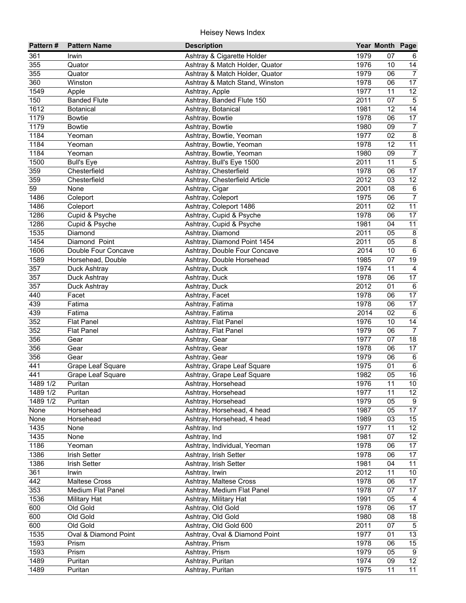| Pattern#   | <b>Pattern Name</b>  | <b>Description</b>             |              | Year Month Page |                         |
|------------|----------------------|--------------------------------|--------------|-----------------|-------------------------|
| 361        | Irwin                | Ashtray & Cigarette Holder     | 1979         | 07              | 6                       |
| 355        | Quator               | Ashtray & Match Holder, Quator | 1976         | 10              | 14                      |
| 355        | Quator               | Ashtray & Match Holder, Quator | 1979         | 06              | $\overline{7}$          |
| 360        | Winston              | Ashtray & Match Stand, Winston | 1978         | 06              | $\overline{17}$         |
| 1549       | Apple                | Ashtray, Apple                 | 1977         | 11              | $12 \overline{ }$       |
| 150        | <b>Banded Flute</b>  | Ashtray, Banded Flute 150      | 2011         | 07              | $\overline{5}$          |
| 1612       | <b>Botanical</b>     | Ashtray, Botanical             | 1981         | 12              | 14                      |
| 1179       | <b>Bowtie</b>        | Ashtray, Bowtie                | 1978         | 06              | 17                      |
| 1179       | <b>Bowtie</b>        | Ashtray, Bowtie                | 1980         | 09              | $\overline{7}$          |
| 1184       | Yeoman               | Ashtray, Bowtie, Yeoman        | 1977         | 02              | $\overline{8}$          |
| 1184       | Yeoman               | Ashtray, Bowtie, Yeoman        | 1978         | 12              | $\overline{11}$         |
| 1184       | Yeoman               | Ashtray, Bowtie, Yeoman        | 1980         | 09              | $\boldsymbol{7}$        |
| 1500       | <b>Bull's Eye</b>    | Ashtray, Bull's Eye 1500       | 2011         | 11              | $\overline{5}$          |
| 359        | Chesterfield         | Ashtray, Chesterfield          | 1978         | 06              | 17                      |
| 359        | Chesterfield         | Ashtray, Chesterfield Article  | 2012         | 03              | 12                      |
| 59         | None                 | Ashtray, Cigar                 | 2001         | 08              | $\,6\,$                 |
| 1486       | Coleport             | Ashtray, Coleport              | 1975         | 06              | $\overline{7}$          |
| 1486       | Coleport             | Ashtray, Coleport 1486         | 2011         | 02              | 11                      |
| 1286       | Cupid & Psyche       | Ashtray, Cupid & Psyche        | 1978         | 06              | 17                      |
| 1286       | Cupid & Psyche       | Ashtray, Cupid & Psyche        | 1981         | 04              | 11                      |
| 1535       | Diamond              | Ashtray, Diamond               | 2011         | 05              | $\bf 8$                 |
| 1454       | Diamond Point        | Ashtray, Diamond Point 1454    | 2011         | 05              | $\infty$                |
| 1606       | Double Four Concave  | Ashtray, Double Four Concave   | 2014         | 10              | $\overline{6}$          |
| 1589       | Horsehead, Double    | Ashtray, Double Horsehead      | 1985         | 07              | 19                      |
| 357        | Duck Ashtray         | Ashtray, Duck                  | 1974         | 11              | $\overline{\mathbf{4}}$ |
| 357        | Duck Ashtray         | Ashtray, Duck                  | 1978         | 06              | 17                      |
| 357        | Duck Ashtray         | Ashtray, Duck                  | 2012         | 01              | $\,6\,$                 |
| 440        | Facet                | Ashtray, Facet                 | 1978         | 06              | 17                      |
| 439        | Fatima               | Ashtray, Fatima                | 1978         | 06              | $\overline{17}$         |
| 439        | Fatima               | Ashtray, Fatima                | 2014         | 02              | $\overline{6}$          |
| 352        | <b>Flat Panel</b>    | Ashtray, Flat Panel            | 1976         | 10              | $\overline{14}$         |
| 352<br>356 | <b>Flat Panel</b>    | Ashtray, Flat Panel            | 1979<br>1977 | 06<br>07        | $\overline{7}$<br>18    |
| 356        | Gear                 | Ashtray, Gear                  | 1978         | 06              | 17                      |
| 356        | Gear<br>Gear         | Ashtray, Gear<br>Ashtray, Gear | 1979         | 06              | 6                       |
| 441        | Grape Leaf Square    | Ashtray, Grape Leaf Square     | 1975         | 01              | $\,6\,$                 |
| 441        | Grape Leaf Square    | Ashtray, Grape Leaf Square     | 1982         | 05              | $\overline{16}$         |
| 1489 1/2   | Puritan              | Ashtray, Horsehead             | 1976         | 11              | 10 <sub>1</sub>         |
| 1489 1/2   | Puritan              | Ashtray, Horsehead             | 1977         | 11              | 12                      |
| 1489 1/2   | Puritan              | Ashtray, Horsehead             | 1979         | 05              | 9                       |
| None       | Horsehead            | Ashtray, Horsehead, 4 head     | 1987         | 05              | 17                      |
| None       | Horsehead            | Ashtray, Horsehead, 4 head     | 1989         | 03              | 15                      |
| 1435       | None                 | Ashtray, Ind                   | 1977         | 11              | 12 <sup>°</sup>         |
| 1435       | None                 | Ashtray, Ind                   | 1981         | 07              | 12                      |
| 1186       | Yeoman               | Ashtray, Individual, Yeoman    | 1978         | 06              | 17                      |
| 1386       | Irish Setter         | Ashtray, Irish Setter          | 1978         | 06              | 17                      |
| 1386       | Irish Setter         | Ashtray, Irish Setter          | 1981         | 04              | 11                      |
| 361        | Irwin                | Ashtray, Irwin                 | 2012         | 11              | 10 <sup>°</sup>         |
| 442        | Maltese Cross        | Ashtray, Maltese Cross         | 1978         | 06              | 17                      |
| 353        | Medium Flat Panel    | Ashtray, Medium Flat Panel     | 1978         | 07              | 17                      |
| 1536       | <b>Military Hat</b>  | Ashtray, Military Hat          | 1991         | 05              | 4                       |
| 600        | Old Gold             | Ashtray, Old Gold              | 1978         | 06              | 17                      |
| 600        | Old Gold             | Ashtray, Old Gold              | 1980         | 08              | 18                      |
| 600        | Old Gold             | Ashtray, Old Gold 600          | 2011         | 07              | $\overline{5}$          |
| 1535       | Oval & Diamond Point | Ashtray, Oval & Diamond Point  | 1977         | 01              | $\overline{13}$         |
| 1593       | Prism                | Ashtray, Prism                 | 1978         | 06              | 15                      |
| 1593       | Prism                | Ashtray, Prism                 | 1979         | 05              | $\overline{9}$          |
| 1489       | Puritan              | Ashtray, Puritan               | 1974         | 09              | $\overline{12}$         |
| 1489       | Puritan              | Ashtray, Puritan               | 1975         | 11              | $\overline{11}$         |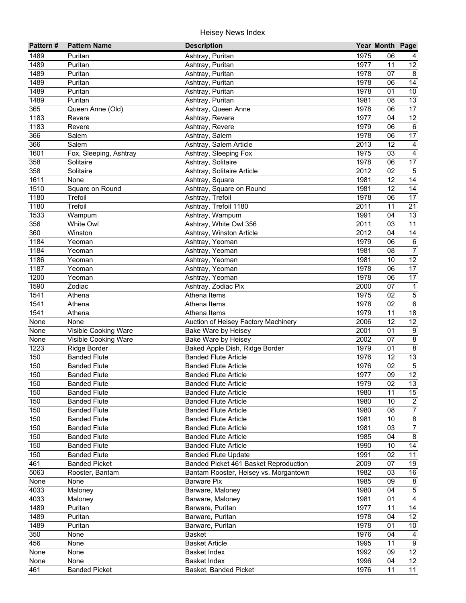| Pattern# | <b>Pattern Name</b>    | <b>Description</b>                    |      | Year Month Page |                         |
|----------|------------------------|---------------------------------------|------|-----------------|-------------------------|
| 1489     | Puritan                | Ashtray, Puritan                      | 1975 | 06              |                         |
| 1489     | Puritan                | Ashtray, Puritan                      | 1977 | 11              | 12                      |
| 1489     | Puritan                | Ashtray, Puritan                      | 1978 | 07              | 8                       |
| 1489     | Puritan                | Ashtray, Puritan                      | 1978 | 06              | 14                      |
| 1489     | Puritan                | Ashtray, Puritan                      | 1978 | 01              | 10                      |
| 1489     | Puritan                | Ashtray, Puritan                      | 1981 | 08              | $\overline{13}$         |
| 365      | Queen Anne (Old)       | Ashtray, Queen Anne                   | 1978 | 06              | 17                      |
| 1183     | Revere                 | Ashtray, Revere                       | 1977 | 04              | $\overline{12}$         |
| 1183     | Revere                 | Ashtray, Revere                       | 1979 | 06              | 6                       |
| 366      | Salem                  | Ashtray, Salem                        | 1978 | 06              | 17                      |
| 366      | Salem                  | Ashtray, Salem Article                | 2013 | 12              | $\overline{4}$          |
| 1601     | Fox, Sleeping, Ashtray | Ashtray, Sleeping Fox                 | 1975 | 03              | $\overline{\mathbf{4}}$ |
| 358      | Solitaire              | Ashtray, Solitaire                    | 1978 | 06              | 17                      |
| 358      | Solitaire              | Ashtray, Solitaire Article            | 2012 | 02              | $\sqrt{5}$              |
| 1611     | None                   | Ashtray, Square                       | 1981 | 12              | 14                      |
| 1510     | Square on Round        | Ashtray, Square on Round              | 1981 | 12              | 14                      |
| 1180     | Trefoil                | Ashtray, Trefoil                      | 1978 | 06              | 17                      |
| 1180     | Trefoil                | Ashtray, Trefoil 1180                 | 2011 | 11              | 21                      |
| 1533     | Wampum                 | Ashtray, Wampum                       | 1991 | 04              | 13                      |
| 356      | White Owl              | Ashtray, White Owl 356                | 2011 | 03              | 11                      |
| 360      | Winston                | Ashtray, Winston Article              | 2012 | 04              | 14                      |
| 1184     | Yeoman                 | Ashtray, Yeoman                       | 1979 | 06              | $\,6$                   |
| 1184     | Yeoman                 | Ashtray, Yeoman                       | 1981 | 08              | $\overline{7}$          |
| 1186     | Yeoman                 | Ashtray, Yeoman                       | 1981 | 10              | $\overline{12}$         |
| 1187     | Yeoman                 | Ashtray, Yeoman                       | 1978 | 06              | 17                      |
| 1200     | Yeoman                 | Ashtray, Yeoman                       | 1978 | 06              | 17                      |
| 1590     | Zodiac                 | Ashtray, Zodiac Pix                   | 2000 | 07              | $\mathbf{1}$            |
| 1541     | Athena                 | Athena Items                          | 1975 | 02              | $\overline{5}$          |
| 1541     | Athena                 | Athena Items                          | 1978 | 02              | $\overline{6}$          |
| 1541     | Athena                 | Athena Items                          | 1979 | 11              | 18                      |
| None     | None                   | Auction of Heisey Factory Machinery   | 2006 | 12              | 12                      |
| None     | Visible Cooking Ware   | Bake Ware by Heisey                   | 2001 | 01              | $\boldsymbol{9}$        |
| None     | Visible Cooking Ware   | Bake Ware by Heisey                   | 2002 | 07              | $\overline{8}$          |
| 1223     | Ridge Border           | Baked Apple Dish, Ridge Border        | 1979 | 01              | $\bf 8$                 |
| 150      | <b>Banded Flute</b>    | <b>Banded Flute Article</b>           | 1976 | 12              | $\overline{13}$         |
| 150      | <b>Banded Flute</b>    | <b>Banded Flute Article</b>           | 1976 | 02              | $\sqrt{5}$              |
| 150      | <b>Banded Flute</b>    | <b>Banded Flute Article</b>           | 1977 | 09              | 12                      |
| 150      | <b>Banded Flute</b>    | <b>Banded Flute Article</b>           | 1979 | $\overline{02}$ | $\overline{13}$         |
| 150      | <b>Banded Flute</b>    | <b>Banded Flute Article</b>           | 1980 | 11              | 15                      |
| 150      | <b>Banded Flute</b>    | <b>Banded Flute Article</b>           | 1980 | 10              | $\overline{c}$          |
| 150      | <b>Banded Flute</b>    | <b>Banded Flute Article</b>           | 1980 | 08              | $\overline{7}$          |
| 150      | <b>Banded Flute</b>    | <b>Banded Flute Article</b>           | 1981 | 10              | $\infty$                |
| 150      | <b>Banded Flute</b>    | <b>Banded Flute Article</b>           | 1981 | 03              | $\overline{7}$          |
| 150      | <b>Banded Flute</b>    | <b>Banded Flute Article</b>           | 1985 | 04              | $\bf 8$                 |
| 150      | <b>Banded Flute</b>    | <b>Banded Flute Article</b>           | 1990 | 10              | 14                      |
| 150      | <b>Banded Flute</b>    | <b>Banded Flute Update</b>            | 1991 | 02              | 11                      |
| 461      | <b>Banded Picket</b>   | Banded Picket 461 Basket Reproduction | 2009 | 07              | 19                      |
| 5063     | Rooster, Bantam        | Bantam Rooster, Heisey vs. Morgantown | 1982 | 03              | 16                      |
| None     | None                   | <b>Barware Pix</b>                    | 1985 | 09              | $\bf 8$                 |
| 4033     | Maloney                | Barware, Maloney                      | 1980 | 04              | $\,$ 5 $\,$             |
| 4033     | Maloney                | Barware, Maloney                      | 1981 | 01              | $\overline{4}$          |
| 1489     | Puritan                | Barware, Puritan                      | 1977 | 11              | 14                      |
| 1489     | Puritan                | Barware, Puritan                      | 1978 | 04              | $\overline{12}$         |
| 1489     | Puritan                | Barware, Puritan                      | 1978 | 01              | 10                      |
| 350      | None                   | Basket                                | 1976 | 04              | 4                       |
| 456      | None                   | <b>Basket Article</b>                 | 1995 | 11              | 9                       |
| None     | None                   | <b>Basket Index</b>                   | 1992 | 09              | $\overline{12}$         |
| None     | None                   | <b>Basket Index</b>                   | 1996 | 04              | 12 <sup>°</sup>         |
| 461      | <b>Banded Picket</b>   | Basket, Banded Picket                 | 1976 | 11              | 11                      |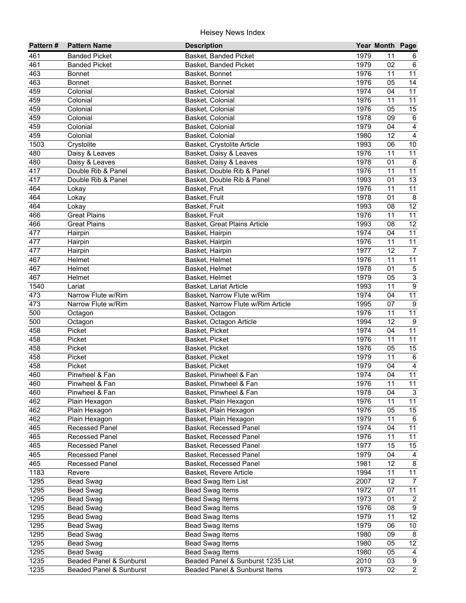| Pattern# | <b>Pattern Name</b>     | <b>Description</b>                 |      | Year Month Page |                 |
|----------|-------------------------|------------------------------------|------|-----------------|-----------------|
| 461      | <b>Banded Picket</b>    | Basket, Banded Picket              | 1979 | 11              | 6               |
| 461      | <b>Banded Picket</b>    | Basket, Banded Picket              | 1979 | 02              | 6               |
| 463      | <b>Bonnet</b>           | Basket, Bonnet                     | 1976 | 11              | $\overline{11}$ |
| 463      | <b>Bonnet</b>           | Basket, Bonnet                     | 1976 | 05              | 14              |
| 459      | Colonial                | Basket, Colonial                   | 1974 | 04              | 11              |
| 459      | Colonial                | Basket, Colonial                   | 1976 | 11              | 11              |
| 459      | Colonial                | Basket, Colonial                   | 1976 | 05              | $\overline{15}$ |
| 459      | Colonial                | Basket, Colonial                   | 1978 | 09              | $\overline{6}$  |
| 459      | Colonial                | Basket, Colonial                   | 1979 | 04              | $\overline{4}$  |
| 459      | Colonial                | Basket, Colonial                   | 1980 | 12              | $\overline{4}$  |
| 1503     | Crystolite              | Basket, Crystolite Article         | 1993 | 06              | 10              |
| 480      | Daisy & Leaves          | Basket, Daisy & Leaves             | 1976 | 11              | 11              |
| 480      | Daisy & Leaves          | Basket, Daisy & Leaves             | 1978 | 01              | 8               |
| 417      | Double Rib & Panel      | Basket, Double Rib & Panel         | 1976 | 11              | 11              |
| 417      | Double Rib & Panel      | Basket, Double Rib & Panel         | 1993 | 01              | 13              |
| 464      | Lokay                   | Basket, Fruit                      | 1976 | 11              | 11              |
| 464      | Lokay                   | Basket, Fruit                      | 1978 | 01              | $\bf 8$         |
| 464      | Lokay                   | Basket, Fruit                      | 1993 | 08              | 12              |
| 466      | <b>Great Plains</b>     | Basket, Fruit                      | 1976 | 11              | 11              |
| 466      | <b>Great Plains</b>     | Basket, Great Plains Article       | 1993 | 08              | 12              |
| 477      | Hairpin                 | Basket, Hairpin                    | 1974 | 04              | 11              |
| 477      | Hairpin                 | Basket, Hairpin                    | 1976 | 11              | 11              |
| 477      | Hairpin                 | Basket, Hairpin                    | 1977 | 12              | $\overline{7}$  |
| 467      | Helmet                  | Basket, Helmet                     | 1976 | 11              | $\overline{11}$ |
| 467      | Helmet                  | Basket, Helmet                     | 1978 | 01              | $\mathbf 5$     |
| 467      | Helmet                  | Basket, Helmet                     | 1979 | 05              | 3               |
| 1540     | Lariat                  | Basket, Lariat Article             | 1993 | 11              | $\overline{9}$  |
| 473      | Narrow Flute w/Rim      | Basket, Narrow Flute w/Rim         | 1974 | 04              | $\overline{11}$ |
| 473      | Narrow Flute w/Rim      | Basket, Narrow Flute w/Rim Article | 1995 | 07              | $9\,$           |
| 500      | Octagon                 | Basket, Octagon                    | 1976 | 11              | $\overline{11}$ |
| 500      | Octagon                 | Basket, Octagon Article            | 1994 | 12              | $\overline{9}$  |
| 458      | Picket                  | Basket, Picket                     | 1974 | 04              | 11              |
| 458      | Picket                  | Basket, Picket                     | 1976 | 11              | $\overline{11}$ |
| 458      | Picket                  | Basket, Picket                     | 1976 | 05              | $\overline{15}$ |
| 458      | Picket                  | Basket, Picket                     | 1979 | 11              | $\,6\,$         |
| 458      | Picket                  | Basket, Picket                     | 1979 | 04              | $\overline{4}$  |
| 460      | Pinwheel & Fan          | Basket, Pinwheel & Fan             | 1974 | 04              | 11              |
| 460      | Pinwheel & Fan          | Basket, Pinwheel & Fan             | 1976 | 11              | $\overline{11}$ |
| 460      | Pinwheel & Fan          | Basket, Pinwheel & Fan             | 1978 | 04              | $\overline{3}$  |
| 462      | Plain Hexagon           | Basket, Plain Hexagon              | 1976 | 11              | 11              |
| 462      | Plain Hexagon           | Basket, Plain Hexagon              | 1976 | 05              | $\overline{15}$ |
| 462      | Plain Hexagon           | Basket, Plain Hexagon              | 1979 | 11              | $\,6\,$         |
| 465      | Recessed Panel          | Basket, Recessed Panel             | 1974 | 04              | 11              |
| 465      | Recessed Panel          | Basket, Recessed Panel             | 1976 | 11              | 11              |
| 465      | <b>Recessed Panel</b>   | Basket, Recessed Panel             | 1977 | 15              | 15              |
| 465      | <b>Recessed Panel</b>   | Basket, Recessed Panel             | 1979 | 04              | 4               |
| 465      | Recessed Panel          | Basket, Recessed Panel             | 1981 | 12              | 8               |
| 1183     | Revere                  | Basket, Revere Article             | 1994 | 11              | 11              |
| 1295     | <b>Bead Swag</b>        | Bead Swag Item List                | 2007 | 12              | $\overline{7}$  |
| 1295     | Bead Swag               | <b>Bead Swag Items</b>             | 1972 | 07              | 11              |
| 1295     | Bead Swag               | <b>Bead Swag Items</b>             | 1973 | 01              | $\overline{c}$  |
| 1295     | Bead Swag               | <b>Bead Swag Items</b>             | 1976 | 08              | $\overline{9}$  |
| 1295     | <b>Bead Swag</b>        | <b>Bead Swag Items</b>             | 1979 | 11              | $\overline{12}$ |
| 1295     | Bead Swag               | <b>Bead Swag Items</b>             | 1979 | 06              | 10              |
| 1295     | Bead Swag               | Bead Swag Items                    | 1980 | 09              | $\infty$        |
| 1295     | Bead Swag               | <b>Bead Swag Items</b>             | 1980 | 05              | $\overline{12}$ |
| 1295     | <b>Bead Swag</b>        | <b>Bead Swag Items</b>             | 1980 | 05              | $\overline{4}$  |
| 1235     | Beaded Panel & Sunburst | Beaded Panel & Sunburst 1235 List  | 2010 | 03              | $\overline{9}$  |
| 1235     | Beaded Panel & Sunburst | Beaded Panel & Sunburst Items      | 1973 | 02              | $\overline{2}$  |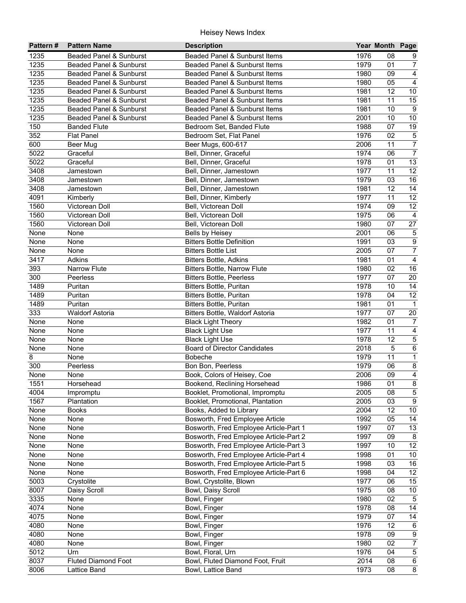| Pattern# | <b>Pattern Name</b>                | <b>Description</b>                     |      | Year Month Page |                         |
|----------|------------------------------------|----------------------------------------|------|-----------------|-------------------------|
| 1235     | Beaded Panel & Sunburst            | Beaded Panel & Sunburst Items          | 1976 | 08              | 9                       |
| 1235     | Beaded Panel & Sunburst            | Beaded Panel & Sunburst Items          | 1979 | 01              | $\overline{7}$          |
| 1235     | <b>Beaded Panel &amp; Sunburst</b> | Beaded Panel & Sunburst Items          | 1980 | 09              | $\overline{4}$          |
| 1235     | Beaded Panel & Sunburst            | Beaded Panel & Sunburst Items          | 1980 | 05              | $\overline{4}$          |
| 1235     | <b>Beaded Panel &amp; Sunburst</b> | Beaded Panel & Sunburst Items          | 1981 | 12              | 10                      |
| 1235     | Beaded Panel & Sunburst            | Beaded Panel & Sunburst Items          | 1981 | 11              | $\overline{15}$         |
| 1235     | Beaded Panel & Sunburst            | Beaded Panel & Sunburst Items          | 1981 | 10              | 9                       |
| 1235     | Beaded Panel & Sunburst            | Beaded Panel & Sunburst Items          | 2001 | 10              | 10                      |
| 150      | <b>Banded Flute</b>                | Bedroom Set, Banded Flute              | 1988 | 07              | 19                      |
| 352      | <b>Flat Panel</b>                  | Bedroom Set, Flat Panel                | 1976 | 02              | $\sqrt{5}$              |
| 600      | Beer Mug                           | Beer Mugs, 600-617                     | 2006 | 11              | $\overline{7}$          |
| 5022     | Graceful                           | Bell, Dinner, Graceful                 | 1974 | 06              | $\overline{7}$          |
| 5022     | Graceful                           | Bell, Dinner, Graceful                 | 1978 | 01              | 13                      |
| 3408     | Jamestown                          | Bell, Dinner, Jamestown                | 1977 | 11              | 12                      |
| 3408     | Jamestown                          | Bell, Dinner, Jamestown                | 1979 | 03              | 16                      |
| 3408     | Jamestown                          | Bell, Dinner, Jamestown                | 1981 | 12              | 14                      |
| 4091     | Kimberly                           | Bell, Dinner, Kimberly                 | 1977 | 11              | $\overline{12}$         |
| 1560     | Victorean Doll                     | Bell, Victorean Doll                   | 1974 | 09              | $\overline{12}$         |
| 1560     | Victorean Doll                     | Bell, Victorean Doll                   | 1975 | 06              | $\overline{4}$          |
| 1560     | Victorean Doll                     | Bell, Victorean Doll                   | 1980 | 07              | 27                      |
| None     | None                               | Bells by Heisey                        | 2001 | 06              | $\,$ 5 $\,$             |
| None     | None                               | <b>Bitters Bottle Definition</b>       | 1991 | 03              | $\overline{9}$          |
| None     | None                               | <b>Bitters Bottle List</b>             | 2005 | 07              | $\overline{7}$          |
| 3417     | Adkins                             | <b>Bitters Bottle, Adkins</b>          | 1981 | 01              | $\overline{4}$          |
| 393      | <b>Narrow Flute</b>                | <b>Bitters Bottle, Narrow Flute</b>    | 1980 | 02              | $\overline{16}$         |
| 300      | Peerless                           | <b>Bitters Bottle, Peerless</b>        | 1977 | 07              | 20                      |
| 1489     | Puritan                            | <b>Bitters Bottle, Puritan</b>         | 1978 | 10              | 14                      |
| 1489     | Puritan                            | <b>Bitters Bottle, Puritan</b>         | 1978 | 04              | $\overline{12}$         |
| 1489     | Puritan                            | <b>Bitters Bottle, Puritan</b>         | 1981 | 01              | $\overline{1}$          |
| 333      | <b>Waldorf Astoria</b>             | Bitters Bottle, Waldorf Astoria        | 1977 | 07              | 20                      |
| None     | None                               | <b>Black Light Theory</b>              | 1982 | 01              | $\overline{7}$          |
| None     | None                               | <b>Black Light Use</b>                 | 1977 | 11              | $\overline{4}$          |
| None     | None                               | <b>Black Light Use</b>                 | 1978 | 12              | $\overline{\mathbf{5}}$ |
| None     | None                               | <b>Board of Director Candidates</b>    | 2018 | $\overline{5}$  | $\overline{6}$          |
| 8        | None                               | Bobeche                                | 1979 | 11              | $\overline{1}$          |
| 300      | Peerless                           | Bon Bon, Peerless                      | 1979 | 06              | $\bf 8$                 |
| None     | None                               | Book, Colors of Heisey, Coe            | 2006 | 09              | $\overline{4}$          |
| 1551     | Horsehead                          | Bookend, Reclining Horsehead           | 1986 | 01              | $\bf 8$                 |
| 4004     | Impromptu                          | Booklet, Promotional, Impromptu        | 2005 | 08              | $\mathbf 5$             |
| 1567     | Plantation                         | Booklet, Promotional, Plantation       | 2005 | 03              | $\boldsymbol{9}$        |
| None     | <b>Books</b>                       | Books, Added to Library                | 2004 | 12              | $10\,$                  |
| None     | None                               | Bosworth, Fred Employee Article        | 1992 | 05              | 14                      |
| None     | None                               | Bosworth, Fred Employee Article-Part 1 | 1997 | 07              | 13                      |
| None     | None                               | Bosworth, Fred Employee Article-Part 2 | 1997 | 09              | 8                       |
| None     | None                               | Bosworth, Fred Employee Article-Part 3 | 1997 | 10              | 12                      |
| None     | None                               | Bosworth, Fred Employee Article-Part 4 | 1998 | 01              | 10                      |
| None     | None                               | Bosworth, Fred Employee Article-Part 5 | 1998 | 03              | 16                      |
| None     | None                               | Bosworth, Fred Employee Article-Part 6 | 1998 | 04              | 12                      |
| 5003     | Crystolite                         | Bowl, Crystolite, Blown                | 1977 | 06              | 15                      |
| 8007     | Daisy Scroll                       | Bowl, Daisy Scroll                     | 1975 | 08              | 10                      |
| 3335     | None                               | Bowl, Finger                           | 1980 | 02              | $\overline{5}$          |
| 4074     | None                               | Bowl, Finger                           | 1978 | 08              | 14                      |
| 4075     | None                               | Bowl, Finger                           | 1979 | 07              | 14                      |
| 4080     | None                               | Bowl, Finger                           | 1976 | 12              | $\,6\,$                 |
| 4080     | None                               | Bowl, Finger                           | 1978 | 09              | $\overline{9}$          |
| 4080     | None                               | Bowl, Finger                           | 1980 | 02              | $\overline{7}$          |
| 5012     | Urn                                | Bowl, Floral, Urn                      | 1976 | 04              | $\overline{5}$          |
| 8037     | <b>Fluted Diamond Foot</b>         | Bowl, Fluted Diamond Foot, Fruit       | 2014 | 08              | $\,6\,$                 |
| 8006     | Lattice Band                       | Bowl, Lattice Band                     | 1973 | 08              | $\overline{8}$          |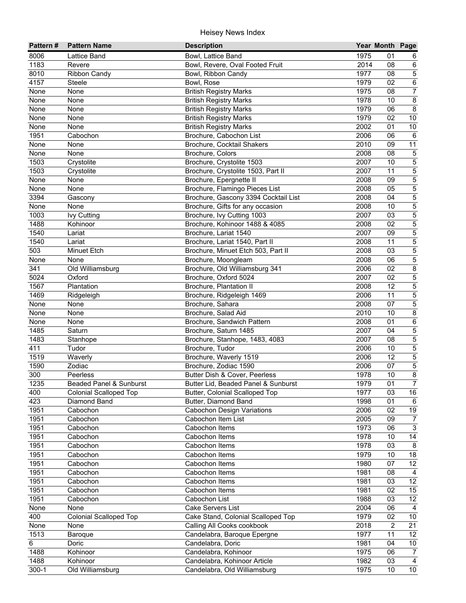| 8006<br>1975<br>Lattice Band<br>Bowl, Lattice Band<br>01<br>6<br>1183<br>Bowl, Revere, Oval Footed Fruit<br>2014<br>08<br>Revere<br>6<br>$\overline{5}$<br>1977<br>08<br><b>Ribbon Candy</b><br>Bowl, Ribbon Candy<br>$6\overline{6}$<br>1979<br>02<br>Steele<br>Bowl, Rose<br>$\overline{7}$<br>1975<br>08<br>None<br>None<br><b>British Registry Marks</b><br>$\overline{8}$<br>1978<br>10<br>None<br>None<br><b>British Registry Marks</b><br>$\overline{8}$<br>None<br>1979<br>06<br>None<br><b>British Registry Marks</b><br>None<br>1979<br>02<br>10<br>None<br><b>British Registry Marks</b><br>2002<br>None<br><b>British Registry Marks</b><br>01<br>10<br>None<br>1951<br>2006<br>Brochure, Cabochon List<br>06<br>6<br>Cabochon<br>2010<br>11<br>None<br>Brochure, Cocktail Shakers<br>09<br>None<br>2008<br>08<br>$\sqrt{5}$<br>None<br>Brochure, Colors<br>$\mathbf 5$<br>1503<br>Crystolite<br>Brochure, Crystolite 1503<br>2007<br>10<br>$\mathbf 5$<br>1503<br>2007<br>11<br>Crystolite<br>Brochure, Crystolite 1503, Part II<br>$\overline{5}$<br>None<br>None<br>Brochure, Epergnette II<br>2008<br>09<br>$\overline{5}$<br>2008<br>05<br>None<br>Brochure, Flamingo Pieces List<br>None<br>$\overline{5}$<br>3394<br>Brochure, Gascony 3394 Cocktail List<br>2008<br>04<br>Gascony<br>$\overline{5}$<br>10<br>None<br>Brochure, Gifts for any occasion<br>2008<br>None<br>$\overline{5}$<br>1003<br>Brochure, Ivy Cutting 1003<br>2007<br>03<br><b>Ivy Cutting</b><br>$\overline{5}$<br>1488<br>2008<br>02<br>Kohinoor<br>Brochure, Kohinoor 1488 & 4085<br>5<br>1540<br>2007<br>09<br>Brochure, Lariat 1540<br>Lariat<br>$\overline{5}$<br>1540<br>2008<br>11<br>Brochure, Lariat 1540, Part II<br>Lariat<br>$\overline{5}$<br>503<br>2008<br>03<br>Brochure, Minuet Etch 503, Part II<br>Minuet Etch<br>$\overline{5}$<br>2008<br>06<br>None<br>Brochure, Moongleam<br>None<br>341<br>8<br>2006<br>02<br>Old Williamsburg<br>Brochure, Old Williamsburg 341<br>5<br>5024<br>2007<br>02<br>Oxford<br>Brochure, Oxford 5024<br>$\mathbf 5$<br>1567<br>2008<br>12<br>Plantation<br>Brochure, Plantation II<br>$\overline{5}$<br>1469<br>2006<br>11<br>Ridgeleigh<br>Brochure, Ridgeleigh 1469<br>$\overline{5}$<br>2008<br>07<br>None<br>None<br>Brochure, Sahara<br>$\overline{8}$<br>None<br>None<br>Brochure, Salad Aid<br>2010<br>10<br>$\overline{6}$<br>01<br>None<br>None<br>Brochure, Sandwich Pattern<br>2008<br>$\overline{5}$<br>1485<br>Saturn<br>Brochure, Saturn 1485<br>2007<br>04<br>$\overline{5}$<br>1483<br>Brochure, Stanhope, 1483, 4083<br>2007<br>08<br>Stanhope<br>$\overline{5}$<br>411<br>Tudor<br>Brochure, Tudor<br>2006<br>10<br>$\overline{5}$<br>1519<br>2006<br>12<br>Waverly<br>Brochure, Waverly 1519<br>$\overline{5}$<br>1590<br>Zodiac<br>Brochure, Zodiac 1590<br>2006<br>07<br>$\overline{8}$<br>1978<br>10<br>300<br>Butter Dish & Cover, Peerless<br>Peerless<br>$\overline{7}$<br>$1235$<br>1979<br>$\overline{01}$<br>Beaded Panel & Sunburst<br>Butter Lid, Beaded Panel & Sunburst<br>1977<br>03<br>16<br>400<br>Butter, Colonial Scalloped Top<br><b>Colonial Scalloped Top</b><br>423<br>1998<br>01<br>Diamond Band<br>Butter, Diamond Band<br>6<br>19<br>1951<br>2006<br>02<br>Cabochon<br><b>Cabochon Design Variations</b><br>1951<br>2005<br>09<br>Cabochon<br>Cabochon Item List<br>$\overline{7}$<br>$\overline{3}$<br>1973<br>1951<br>06<br>Cabochon<br>Cabochon Items<br>14<br>1951<br>1978<br>Cabochon<br>Cabochon Items<br>10<br>1951<br>1978<br>03<br>8<br>Cabochon<br>Cabochon Items<br>1951<br>1979<br>$18$<br>Cabochon<br>Cabochon Items<br>10<br>12<br>1951<br>Cabochon<br>Cabochon Items<br>1980<br>07<br>1951<br>1981<br>$\overline{4}$<br>Cabochon<br>Cabochon Items<br>08<br>$\overline{12}$<br>1951<br>1981<br>03<br>Cabochon<br>Cabochon Items<br>15<br>1951<br>1981<br>02<br>Cabochon<br>Cabochon Items<br>12<br>1951<br>1988<br>Cabochon<br>Cabochon List<br>03<br>2004<br>None<br>Cake Servers List<br>06<br>None<br>$\overline{4}$<br>1979<br>400<br>Cake Stand, Colonial Scalloped Top<br>02<br>10<br><b>Colonial Scalloped Top</b><br>$\overline{21}$<br>2018<br>$\overline{2}$<br>None<br>Calling All Cooks cookbook<br>None<br>1977<br>11<br>12<br>1513<br>Baroque<br>Candelabra, Baroque Epergne<br>$\,6\,$<br>1981<br>04<br>10 <sup>1</sup><br>Doric<br>Candelabra, Doric<br>1975<br>1488<br>Kohinoor<br>Candelabra, Kohinoor<br>06<br>7 | Pattern# | <b>Pattern Name</b> | <b>Description</b>           | Year Month Page |  |
|------------------------------------------------------------------------------------------------------------------------------------------------------------------------------------------------------------------------------------------------------------------------------------------------------------------------------------------------------------------------------------------------------------------------------------------------------------------------------------------------------------------------------------------------------------------------------------------------------------------------------------------------------------------------------------------------------------------------------------------------------------------------------------------------------------------------------------------------------------------------------------------------------------------------------------------------------------------------------------------------------------------------------------------------------------------------------------------------------------------------------------------------------------------------------------------------------------------------------------------------------------------------------------------------------------------------------------------------------------------------------------------------------------------------------------------------------------------------------------------------------------------------------------------------------------------------------------------------------------------------------------------------------------------------------------------------------------------------------------------------------------------------------------------------------------------------------------------------------------------------------------------------------------------------------------------------------------------------------------------------------------------------------------------------------------------------------------------------------------------------------------------------------------------------------------------------------------------------------------------------------------------------------------------------------------------------------------------------------------------------------------------------------------------------------------------------------------------------------------------------------------------------------------------------------------------------------------------------------------------------------------------------------------------------------------------------------------------------------------------------------------------------------------------------------------------------------------------------------------------------------------------------------------------------------------------------------------------------------------------------------------------------------------------------------------------------------------------------------------------------------------------------------------------------------------------------------------------------------------------------------------------------------------------------------------------------------------------------------------------------------------------------------------------------------------------------------------------------------------------------------------------------------------------------------------------------------------------------------------------------------------------------------------------------------------------------------------------------------------------------------------------------------------------------------------------------------------------------------------------------------------------------------------------------------------------------------------------------------------------------------------------------------------------------------------------------------------------------------------------------------------------------------------------------------------------------------------------------------------------------------------------------------------------------------------------------------------------------------------------------------------------------------------------------------------------|----------|---------------------|------------------------------|-----------------|--|
|                                                                                                                                                                                                                                                                                                                                                                                                                                                                                                                                                                                                                                                                                                                                                                                                                                                                                                                                                                                                                                                                                                                                                                                                                                                                                                                                                                                                                                                                                                                                                                                                                                                                                                                                                                                                                                                                                                                                                                                                                                                                                                                                                                                                                                                                                                                                                                                                                                                                                                                                                                                                                                                                                                                                                                                                                                                                                                                                                                                                                                                                                                                                                                                                                                                                                                                                                                                                                                                                                                                                                                                                                                                                                                                                                                                                                                                                                                                                                                                                                                                                                                                                                                                                                                                                                                                                                                                                                                          |          |                     |                              |                 |  |
|                                                                                                                                                                                                                                                                                                                                                                                                                                                                                                                                                                                                                                                                                                                                                                                                                                                                                                                                                                                                                                                                                                                                                                                                                                                                                                                                                                                                                                                                                                                                                                                                                                                                                                                                                                                                                                                                                                                                                                                                                                                                                                                                                                                                                                                                                                                                                                                                                                                                                                                                                                                                                                                                                                                                                                                                                                                                                                                                                                                                                                                                                                                                                                                                                                                                                                                                                                                                                                                                                                                                                                                                                                                                                                                                                                                                                                                                                                                                                                                                                                                                                                                                                                                                                                                                                                                                                                                                                                          |          |                     |                              |                 |  |
|                                                                                                                                                                                                                                                                                                                                                                                                                                                                                                                                                                                                                                                                                                                                                                                                                                                                                                                                                                                                                                                                                                                                                                                                                                                                                                                                                                                                                                                                                                                                                                                                                                                                                                                                                                                                                                                                                                                                                                                                                                                                                                                                                                                                                                                                                                                                                                                                                                                                                                                                                                                                                                                                                                                                                                                                                                                                                                                                                                                                                                                                                                                                                                                                                                                                                                                                                                                                                                                                                                                                                                                                                                                                                                                                                                                                                                                                                                                                                                                                                                                                                                                                                                                                                                                                                                                                                                                                                                          | 8010     |                     |                              |                 |  |
|                                                                                                                                                                                                                                                                                                                                                                                                                                                                                                                                                                                                                                                                                                                                                                                                                                                                                                                                                                                                                                                                                                                                                                                                                                                                                                                                                                                                                                                                                                                                                                                                                                                                                                                                                                                                                                                                                                                                                                                                                                                                                                                                                                                                                                                                                                                                                                                                                                                                                                                                                                                                                                                                                                                                                                                                                                                                                                                                                                                                                                                                                                                                                                                                                                                                                                                                                                                                                                                                                                                                                                                                                                                                                                                                                                                                                                                                                                                                                                                                                                                                                                                                                                                                                                                                                                                                                                                                                                          | 4157     |                     |                              |                 |  |
|                                                                                                                                                                                                                                                                                                                                                                                                                                                                                                                                                                                                                                                                                                                                                                                                                                                                                                                                                                                                                                                                                                                                                                                                                                                                                                                                                                                                                                                                                                                                                                                                                                                                                                                                                                                                                                                                                                                                                                                                                                                                                                                                                                                                                                                                                                                                                                                                                                                                                                                                                                                                                                                                                                                                                                                                                                                                                                                                                                                                                                                                                                                                                                                                                                                                                                                                                                                                                                                                                                                                                                                                                                                                                                                                                                                                                                                                                                                                                                                                                                                                                                                                                                                                                                                                                                                                                                                                                                          |          |                     |                              |                 |  |
|                                                                                                                                                                                                                                                                                                                                                                                                                                                                                                                                                                                                                                                                                                                                                                                                                                                                                                                                                                                                                                                                                                                                                                                                                                                                                                                                                                                                                                                                                                                                                                                                                                                                                                                                                                                                                                                                                                                                                                                                                                                                                                                                                                                                                                                                                                                                                                                                                                                                                                                                                                                                                                                                                                                                                                                                                                                                                                                                                                                                                                                                                                                                                                                                                                                                                                                                                                                                                                                                                                                                                                                                                                                                                                                                                                                                                                                                                                                                                                                                                                                                                                                                                                                                                                                                                                                                                                                                                                          |          |                     |                              |                 |  |
|                                                                                                                                                                                                                                                                                                                                                                                                                                                                                                                                                                                                                                                                                                                                                                                                                                                                                                                                                                                                                                                                                                                                                                                                                                                                                                                                                                                                                                                                                                                                                                                                                                                                                                                                                                                                                                                                                                                                                                                                                                                                                                                                                                                                                                                                                                                                                                                                                                                                                                                                                                                                                                                                                                                                                                                                                                                                                                                                                                                                                                                                                                                                                                                                                                                                                                                                                                                                                                                                                                                                                                                                                                                                                                                                                                                                                                                                                                                                                                                                                                                                                                                                                                                                                                                                                                                                                                                                                                          |          |                     |                              |                 |  |
|                                                                                                                                                                                                                                                                                                                                                                                                                                                                                                                                                                                                                                                                                                                                                                                                                                                                                                                                                                                                                                                                                                                                                                                                                                                                                                                                                                                                                                                                                                                                                                                                                                                                                                                                                                                                                                                                                                                                                                                                                                                                                                                                                                                                                                                                                                                                                                                                                                                                                                                                                                                                                                                                                                                                                                                                                                                                                                                                                                                                                                                                                                                                                                                                                                                                                                                                                                                                                                                                                                                                                                                                                                                                                                                                                                                                                                                                                                                                                                                                                                                                                                                                                                                                                                                                                                                                                                                                                                          |          |                     |                              |                 |  |
|                                                                                                                                                                                                                                                                                                                                                                                                                                                                                                                                                                                                                                                                                                                                                                                                                                                                                                                                                                                                                                                                                                                                                                                                                                                                                                                                                                                                                                                                                                                                                                                                                                                                                                                                                                                                                                                                                                                                                                                                                                                                                                                                                                                                                                                                                                                                                                                                                                                                                                                                                                                                                                                                                                                                                                                                                                                                                                                                                                                                                                                                                                                                                                                                                                                                                                                                                                                                                                                                                                                                                                                                                                                                                                                                                                                                                                                                                                                                                                                                                                                                                                                                                                                                                                                                                                                                                                                                                                          |          |                     |                              |                 |  |
|                                                                                                                                                                                                                                                                                                                                                                                                                                                                                                                                                                                                                                                                                                                                                                                                                                                                                                                                                                                                                                                                                                                                                                                                                                                                                                                                                                                                                                                                                                                                                                                                                                                                                                                                                                                                                                                                                                                                                                                                                                                                                                                                                                                                                                                                                                                                                                                                                                                                                                                                                                                                                                                                                                                                                                                                                                                                                                                                                                                                                                                                                                                                                                                                                                                                                                                                                                                                                                                                                                                                                                                                                                                                                                                                                                                                                                                                                                                                                                                                                                                                                                                                                                                                                                                                                                                                                                                                                                          |          |                     |                              |                 |  |
|                                                                                                                                                                                                                                                                                                                                                                                                                                                                                                                                                                                                                                                                                                                                                                                                                                                                                                                                                                                                                                                                                                                                                                                                                                                                                                                                                                                                                                                                                                                                                                                                                                                                                                                                                                                                                                                                                                                                                                                                                                                                                                                                                                                                                                                                                                                                                                                                                                                                                                                                                                                                                                                                                                                                                                                                                                                                                                                                                                                                                                                                                                                                                                                                                                                                                                                                                                                                                                                                                                                                                                                                                                                                                                                                                                                                                                                                                                                                                                                                                                                                                                                                                                                                                                                                                                                                                                                                                                          |          |                     |                              |                 |  |
|                                                                                                                                                                                                                                                                                                                                                                                                                                                                                                                                                                                                                                                                                                                                                                                                                                                                                                                                                                                                                                                                                                                                                                                                                                                                                                                                                                                                                                                                                                                                                                                                                                                                                                                                                                                                                                                                                                                                                                                                                                                                                                                                                                                                                                                                                                                                                                                                                                                                                                                                                                                                                                                                                                                                                                                                                                                                                                                                                                                                                                                                                                                                                                                                                                                                                                                                                                                                                                                                                                                                                                                                                                                                                                                                                                                                                                                                                                                                                                                                                                                                                                                                                                                                                                                                                                                                                                                                                                          | None     |                     |                              |                 |  |
|                                                                                                                                                                                                                                                                                                                                                                                                                                                                                                                                                                                                                                                                                                                                                                                                                                                                                                                                                                                                                                                                                                                                                                                                                                                                                                                                                                                                                                                                                                                                                                                                                                                                                                                                                                                                                                                                                                                                                                                                                                                                                                                                                                                                                                                                                                                                                                                                                                                                                                                                                                                                                                                                                                                                                                                                                                                                                                                                                                                                                                                                                                                                                                                                                                                                                                                                                                                                                                                                                                                                                                                                                                                                                                                                                                                                                                                                                                                                                                                                                                                                                                                                                                                                                                                                                                                                                                                                                                          |          |                     |                              |                 |  |
|                                                                                                                                                                                                                                                                                                                                                                                                                                                                                                                                                                                                                                                                                                                                                                                                                                                                                                                                                                                                                                                                                                                                                                                                                                                                                                                                                                                                                                                                                                                                                                                                                                                                                                                                                                                                                                                                                                                                                                                                                                                                                                                                                                                                                                                                                                                                                                                                                                                                                                                                                                                                                                                                                                                                                                                                                                                                                                                                                                                                                                                                                                                                                                                                                                                                                                                                                                                                                                                                                                                                                                                                                                                                                                                                                                                                                                                                                                                                                                                                                                                                                                                                                                                                                                                                                                                                                                                                                                          |          |                     |                              |                 |  |
|                                                                                                                                                                                                                                                                                                                                                                                                                                                                                                                                                                                                                                                                                                                                                                                                                                                                                                                                                                                                                                                                                                                                                                                                                                                                                                                                                                                                                                                                                                                                                                                                                                                                                                                                                                                                                                                                                                                                                                                                                                                                                                                                                                                                                                                                                                                                                                                                                                                                                                                                                                                                                                                                                                                                                                                                                                                                                                                                                                                                                                                                                                                                                                                                                                                                                                                                                                                                                                                                                                                                                                                                                                                                                                                                                                                                                                                                                                                                                                                                                                                                                                                                                                                                                                                                                                                                                                                                                                          |          |                     |                              |                 |  |
|                                                                                                                                                                                                                                                                                                                                                                                                                                                                                                                                                                                                                                                                                                                                                                                                                                                                                                                                                                                                                                                                                                                                                                                                                                                                                                                                                                                                                                                                                                                                                                                                                                                                                                                                                                                                                                                                                                                                                                                                                                                                                                                                                                                                                                                                                                                                                                                                                                                                                                                                                                                                                                                                                                                                                                                                                                                                                                                                                                                                                                                                                                                                                                                                                                                                                                                                                                                                                                                                                                                                                                                                                                                                                                                                                                                                                                                                                                                                                                                                                                                                                                                                                                                                                                                                                                                                                                                                                                          |          |                     |                              |                 |  |
|                                                                                                                                                                                                                                                                                                                                                                                                                                                                                                                                                                                                                                                                                                                                                                                                                                                                                                                                                                                                                                                                                                                                                                                                                                                                                                                                                                                                                                                                                                                                                                                                                                                                                                                                                                                                                                                                                                                                                                                                                                                                                                                                                                                                                                                                                                                                                                                                                                                                                                                                                                                                                                                                                                                                                                                                                                                                                                                                                                                                                                                                                                                                                                                                                                                                                                                                                                                                                                                                                                                                                                                                                                                                                                                                                                                                                                                                                                                                                                                                                                                                                                                                                                                                                                                                                                                                                                                                                                          |          |                     |                              |                 |  |
|                                                                                                                                                                                                                                                                                                                                                                                                                                                                                                                                                                                                                                                                                                                                                                                                                                                                                                                                                                                                                                                                                                                                                                                                                                                                                                                                                                                                                                                                                                                                                                                                                                                                                                                                                                                                                                                                                                                                                                                                                                                                                                                                                                                                                                                                                                                                                                                                                                                                                                                                                                                                                                                                                                                                                                                                                                                                                                                                                                                                                                                                                                                                                                                                                                                                                                                                                                                                                                                                                                                                                                                                                                                                                                                                                                                                                                                                                                                                                                                                                                                                                                                                                                                                                                                                                                                                                                                                                                          |          |                     |                              |                 |  |
|                                                                                                                                                                                                                                                                                                                                                                                                                                                                                                                                                                                                                                                                                                                                                                                                                                                                                                                                                                                                                                                                                                                                                                                                                                                                                                                                                                                                                                                                                                                                                                                                                                                                                                                                                                                                                                                                                                                                                                                                                                                                                                                                                                                                                                                                                                                                                                                                                                                                                                                                                                                                                                                                                                                                                                                                                                                                                                                                                                                                                                                                                                                                                                                                                                                                                                                                                                                                                                                                                                                                                                                                                                                                                                                                                                                                                                                                                                                                                                                                                                                                                                                                                                                                                                                                                                                                                                                                                                          |          |                     |                              |                 |  |
|                                                                                                                                                                                                                                                                                                                                                                                                                                                                                                                                                                                                                                                                                                                                                                                                                                                                                                                                                                                                                                                                                                                                                                                                                                                                                                                                                                                                                                                                                                                                                                                                                                                                                                                                                                                                                                                                                                                                                                                                                                                                                                                                                                                                                                                                                                                                                                                                                                                                                                                                                                                                                                                                                                                                                                                                                                                                                                                                                                                                                                                                                                                                                                                                                                                                                                                                                                                                                                                                                                                                                                                                                                                                                                                                                                                                                                                                                                                                                                                                                                                                                                                                                                                                                                                                                                                                                                                                                                          |          |                     |                              |                 |  |
|                                                                                                                                                                                                                                                                                                                                                                                                                                                                                                                                                                                                                                                                                                                                                                                                                                                                                                                                                                                                                                                                                                                                                                                                                                                                                                                                                                                                                                                                                                                                                                                                                                                                                                                                                                                                                                                                                                                                                                                                                                                                                                                                                                                                                                                                                                                                                                                                                                                                                                                                                                                                                                                                                                                                                                                                                                                                                                                                                                                                                                                                                                                                                                                                                                                                                                                                                                                                                                                                                                                                                                                                                                                                                                                                                                                                                                                                                                                                                                                                                                                                                                                                                                                                                                                                                                                                                                                                                                          |          |                     |                              |                 |  |
|                                                                                                                                                                                                                                                                                                                                                                                                                                                                                                                                                                                                                                                                                                                                                                                                                                                                                                                                                                                                                                                                                                                                                                                                                                                                                                                                                                                                                                                                                                                                                                                                                                                                                                                                                                                                                                                                                                                                                                                                                                                                                                                                                                                                                                                                                                                                                                                                                                                                                                                                                                                                                                                                                                                                                                                                                                                                                                                                                                                                                                                                                                                                                                                                                                                                                                                                                                                                                                                                                                                                                                                                                                                                                                                                                                                                                                                                                                                                                                                                                                                                                                                                                                                                                                                                                                                                                                                                                                          |          |                     |                              |                 |  |
|                                                                                                                                                                                                                                                                                                                                                                                                                                                                                                                                                                                                                                                                                                                                                                                                                                                                                                                                                                                                                                                                                                                                                                                                                                                                                                                                                                                                                                                                                                                                                                                                                                                                                                                                                                                                                                                                                                                                                                                                                                                                                                                                                                                                                                                                                                                                                                                                                                                                                                                                                                                                                                                                                                                                                                                                                                                                                                                                                                                                                                                                                                                                                                                                                                                                                                                                                                                                                                                                                                                                                                                                                                                                                                                                                                                                                                                                                                                                                                                                                                                                                                                                                                                                                                                                                                                                                                                                                                          |          |                     |                              |                 |  |
|                                                                                                                                                                                                                                                                                                                                                                                                                                                                                                                                                                                                                                                                                                                                                                                                                                                                                                                                                                                                                                                                                                                                                                                                                                                                                                                                                                                                                                                                                                                                                                                                                                                                                                                                                                                                                                                                                                                                                                                                                                                                                                                                                                                                                                                                                                                                                                                                                                                                                                                                                                                                                                                                                                                                                                                                                                                                                                                                                                                                                                                                                                                                                                                                                                                                                                                                                                                                                                                                                                                                                                                                                                                                                                                                                                                                                                                                                                                                                                                                                                                                                                                                                                                                                                                                                                                                                                                                                                          |          |                     |                              |                 |  |
|                                                                                                                                                                                                                                                                                                                                                                                                                                                                                                                                                                                                                                                                                                                                                                                                                                                                                                                                                                                                                                                                                                                                                                                                                                                                                                                                                                                                                                                                                                                                                                                                                                                                                                                                                                                                                                                                                                                                                                                                                                                                                                                                                                                                                                                                                                                                                                                                                                                                                                                                                                                                                                                                                                                                                                                                                                                                                                                                                                                                                                                                                                                                                                                                                                                                                                                                                                                                                                                                                                                                                                                                                                                                                                                                                                                                                                                                                                                                                                                                                                                                                                                                                                                                                                                                                                                                                                                                                                          |          |                     |                              |                 |  |
|                                                                                                                                                                                                                                                                                                                                                                                                                                                                                                                                                                                                                                                                                                                                                                                                                                                                                                                                                                                                                                                                                                                                                                                                                                                                                                                                                                                                                                                                                                                                                                                                                                                                                                                                                                                                                                                                                                                                                                                                                                                                                                                                                                                                                                                                                                                                                                                                                                                                                                                                                                                                                                                                                                                                                                                                                                                                                                                                                                                                                                                                                                                                                                                                                                                                                                                                                                                                                                                                                                                                                                                                                                                                                                                                                                                                                                                                                                                                                                                                                                                                                                                                                                                                                                                                                                                                                                                                                                          |          |                     |                              |                 |  |
|                                                                                                                                                                                                                                                                                                                                                                                                                                                                                                                                                                                                                                                                                                                                                                                                                                                                                                                                                                                                                                                                                                                                                                                                                                                                                                                                                                                                                                                                                                                                                                                                                                                                                                                                                                                                                                                                                                                                                                                                                                                                                                                                                                                                                                                                                                                                                                                                                                                                                                                                                                                                                                                                                                                                                                                                                                                                                                                                                                                                                                                                                                                                                                                                                                                                                                                                                                                                                                                                                                                                                                                                                                                                                                                                                                                                                                                                                                                                                                                                                                                                                                                                                                                                                                                                                                                                                                                                                                          |          |                     |                              |                 |  |
|                                                                                                                                                                                                                                                                                                                                                                                                                                                                                                                                                                                                                                                                                                                                                                                                                                                                                                                                                                                                                                                                                                                                                                                                                                                                                                                                                                                                                                                                                                                                                                                                                                                                                                                                                                                                                                                                                                                                                                                                                                                                                                                                                                                                                                                                                                                                                                                                                                                                                                                                                                                                                                                                                                                                                                                                                                                                                                                                                                                                                                                                                                                                                                                                                                                                                                                                                                                                                                                                                                                                                                                                                                                                                                                                                                                                                                                                                                                                                                                                                                                                                                                                                                                                                                                                                                                                                                                                                                          |          |                     |                              |                 |  |
|                                                                                                                                                                                                                                                                                                                                                                                                                                                                                                                                                                                                                                                                                                                                                                                                                                                                                                                                                                                                                                                                                                                                                                                                                                                                                                                                                                                                                                                                                                                                                                                                                                                                                                                                                                                                                                                                                                                                                                                                                                                                                                                                                                                                                                                                                                                                                                                                                                                                                                                                                                                                                                                                                                                                                                                                                                                                                                                                                                                                                                                                                                                                                                                                                                                                                                                                                                                                                                                                                                                                                                                                                                                                                                                                                                                                                                                                                                                                                                                                                                                                                                                                                                                                                                                                                                                                                                                                                                          |          |                     |                              |                 |  |
|                                                                                                                                                                                                                                                                                                                                                                                                                                                                                                                                                                                                                                                                                                                                                                                                                                                                                                                                                                                                                                                                                                                                                                                                                                                                                                                                                                                                                                                                                                                                                                                                                                                                                                                                                                                                                                                                                                                                                                                                                                                                                                                                                                                                                                                                                                                                                                                                                                                                                                                                                                                                                                                                                                                                                                                                                                                                                                                                                                                                                                                                                                                                                                                                                                                                                                                                                                                                                                                                                                                                                                                                                                                                                                                                                                                                                                                                                                                                                                                                                                                                                                                                                                                                                                                                                                                                                                                                                                          |          |                     |                              |                 |  |
|                                                                                                                                                                                                                                                                                                                                                                                                                                                                                                                                                                                                                                                                                                                                                                                                                                                                                                                                                                                                                                                                                                                                                                                                                                                                                                                                                                                                                                                                                                                                                                                                                                                                                                                                                                                                                                                                                                                                                                                                                                                                                                                                                                                                                                                                                                                                                                                                                                                                                                                                                                                                                                                                                                                                                                                                                                                                                                                                                                                                                                                                                                                                                                                                                                                                                                                                                                                                                                                                                                                                                                                                                                                                                                                                                                                                                                                                                                                                                                                                                                                                                                                                                                                                                                                                                                                                                                                                                                          |          |                     |                              |                 |  |
|                                                                                                                                                                                                                                                                                                                                                                                                                                                                                                                                                                                                                                                                                                                                                                                                                                                                                                                                                                                                                                                                                                                                                                                                                                                                                                                                                                                                                                                                                                                                                                                                                                                                                                                                                                                                                                                                                                                                                                                                                                                                                                                                                                                                                                                                                                                                                                                                                                                                                                                                                                                                                                                                                                                                                                                                                                                                                                                                                                                                                                                                                                                                                                                                                                                                                                                                                                                                                                                                                                                                                                                                                                                                                                                                                                                                                                                                                                                                                                                                                                                                                                                                                                                                                                                                                                                                                                                                                                          |          |                     |                              |                 |  |
|                                                                                                                                                                                                                                                                                                                                                                                                                                                                                                                                                                                                                                                                                                                                                                                                                                                                                                                                                                                                                                                                                                                                                                                                                                                                                                                                                                                                                                                                                                                                                                                                                                                                                                                                                                                                                                                                                                                                                                                                                                                                                                                                                                                                                                                                                                                                                                                                                                                                                                                                                                                                                                                                                                                                                                                                                                                                                                                                                                                                                                                                                                                                                                                                                                                                                                                                                                                                                                                                                                                                                                                                                                                                                                                                                                                                                                                                                                                                                                                                                                                                                                                                                                                                                                                                                                                                                                                                                                          |          |                     |                              |                 |  |
|                                                                                                                                                                                                                                                                                                                                                                                                                                                                                                                                                                                                                                                                                                                                                                                                                                                                                                                                                                                                                                                                                                                                                                                                                                                                                                                                                                                                                                                                                                                                                                                                                                                                                                                                                                                                                                                                                                                                                                                                                                                                                                                                                                                                                                                                                                                                                                                                                                                                                                                                                                                                                                                                                                                                                                                                                                                                                                                                                                                                                                                                                                                                                                                                                                                                                                                                                                                                                                                                                                                                                                                                                                                                                                                                                                                                                                                                                                                                                                                                                                                                                                                                                                                                                                                                                                                                                                                                                                          |          |                     |                              |                 |  |
|                                                                                                                                                                                                                                                                                                                                                                                                                                                                                                                                                                                                                                                                                                                                                                                                                                                                                                                                                                                                                                                                                                                                                                                                                                                                                                                                                                                                                                                                                                                                                                                                                                                                                                                                                                                                                                                                                                                                                                                                                                                                                                                                                                                                                                                                                                                                                                                                                                                                                                                                                                                                                                                                                                                                                                                                                                                                                                                                                                                                                                                                                                                                                                                                                                                                                                                                                                                                                                                                                                                                                                                                                                                                                                                                                                                                                                                                                                                                                                                                                                                                                                                                                                                                                                                                                                                                                                                                                                          |          |                     |                              |                 |  |
|                                                                                                                                                                                                                                                                                                                                                                                                                                                                                                                                                                                                                                                                                                                                                                                                                                                                                                                                                                                                                                                                                                                                                                                                                                                                                                                                                                                                                                                                                                                                                                                                                                                                                                                                                                                                                                                                                                                                                                                                                                                                                                                                                                                                                                                                                                                                                                                                                                                                                                                                                                                                                                                                                                                                                                                                                                                                                                                                                                                                                                                                                                                                                                                                                                                                                                                                                                                                                                                                                                                                                                                                                                                                                                                                                                                                                                                                                                                                                                                                                                                                                                                                                                                                                                                                                                                                                                                                                                          |          |                     |                              |                 |  |
|                                                                                                                                                                                                                                                                                                                                                                                                                                                                                                                                                                                                                                                                                                                                                                                                                                                                                                                                                                                                                                                                                                                                                                                                                                                                                                                                                                                                                                                                                                                                                                                                                                                                                                                                                                                                                                                                                                                                                                                                                                                                                                                                                                                                                                                                                                                                                                                                                                                                                                                                                                                                                                                                                                                                                                                                                                                                                                                                                                                                                                                                                                                                                                                                                                                                                                                                                                                                                                                                                                                                                                                                                                                                                                                                                                                                                                                                                                                                                                                                                                                                                                                                                                                                                                                                                                                                                                                                                                          |          |                     |                              |                 |  |
|                                                                                                                                                                                                                                                                                                                                                                                                                                                                                                                                                                                                                                                                                                                                                                                                                                                                                                                                                                                                                                                                                                                                                                                                                                                                                                                                                                                                                                                                                                                                                                                                                                                                                                                                                                                                                                                                                                                                                                                                                                                                                                                                                                                                                                                                                                                                                                                                                                                                                                                                                                                                                                                                                                                                                                                                                                                                                                                                                                                                                                                                                                                                                                                                                                                                                                                                                                                                                                                                                                                                                                                                                                                                                                                                                                                                                                                                                                                                                                                                                                                                                                                                                                                                                                                                                                                                                                                                                                          |          |                     |                              |                 |  |
|                                                                                                                                                                                                                                                                                                                                                                                                                                                                                                                                                                                                                                                                                                                                                                                                                                                                                                                                                                                                                                                                                                                                                                                                                                                                                                                                                                                                                                                                                                                                                                                                                                                                                                                                                                                                                                                                                                                                                                                                                                                                                                                                                                                                                                                                                                                                                                                                                                                                                                                                                                                                                                                                                                                                                                                                                                                                                                                                                                                                                                                                                                                                                                                                                                                                                                                                                                                                                                                                                                                                                                                                                                                                                                                                                                                                                                                                                                                                                                                                                                                                                                                                                                                                                                                                                                                                                                                                                                          |          |                     |                              |                 |  |
|                                                                                                                                                                                                                                                                                                                                                                                                                                                                                                                                                                                                                                                                                                                                                                                                                                                                                                                                                                                                                                                                                                                                                                                                                                                                                                                                                                                                                                                                                                                                                                                                                                                                                                                                                                                                                                                                                                                                                                                                                                                                                                                                                                                                                                                                                                                                                                                                                                                                                                                                                                                                                                                                                                                                                                                                                                                                                                                                                                                                                                                                                                                                                                                                                                                                                                                                                                                                                                                                                                                                                                                                                                                                                                                                                                                                                                                                                                                                                                                                                                                                                                                                                                                                                                                                                                                                                                                                                                          |          |                     |                              |                 |  |
|                                                                                                                                                                                                                                                                                                                                                                                                                                                                                                                                                                                                                                                                                                                                                                                                                                                                                                                                                                                                                                                                                                                                                                                                                                                                                                                                                                                                                                                                                                                                                                                                                                                                                                                                                                                                                                                                                                                                                                                                                                                                                                                                                                                                                                                                                                                                                                                                                                                                                                                                                                                                                                                                                                                                                                                                                                                                                                                                                                                                                                                                                                                                                                                                                                                                                                                                                                                                                                                                                                                                                                                                                                                                                                                                                                                                                                                                                                                                                                                                                                                                                                                                                                                                                                                                                                                                                                                                                                          |          |                     |                              |                 |  |
|                                                                                                                                                                                                                                                                                                                                                                                                                                                                                                                                                                                                                                                                                                                                                                                                                                                                                                                                                                                                                                                                                                                                                                                                                                                                                                                                                                                                                                                                                                                                                                                                                                                                                                                                                                                                                                                                                                                                                                                                                                                                                                                                                                                                                                                                                                                                                                                                                                                                                                                                                                                                                                                                                                                                                                                                                                                                                                                                                                                                                                                                                                                                                                                                                                                                                                                                                                                                                                                                                                                                                                                                                                                                                                                                                                                                                                                                                                                                                                                                                                                                                                                                                                                                                                                                                                                                                                                                                                          |          |                     |                              |                 |  |
|                                                                                                                                                                                                                                                                                                                                                                                                                                                                                                                                                                                                                                                                                                                                                                                                                                                                                                                                                                                                                                                                                                                                                                                                                                                                                                                                                                                                                                                                                                                                                                                                                                                                                                                                                                                                                                                                                                                                                                                                                                                                                                                                                                                                                                                                                                                                                                                                                                                                                                                                                                                                                                                                                                                                                                                                                                                                                                                                                                                                                                                                                                                                                                                                                                                                                                                                                                                                                                                                                                                                                                                                                                                                                                                                                                                                                                                                                                                                                                                                                                                                                                                                                                                                                                                                                                                                                                                                                                          |          |                     |                              |                 |  |
|                                                                                                                                                                                                                                                                                                                                                                                                                                                                                                                                                                                                                                                                                                                                                                                                                                                                                                                                                                                                                                                                                                                                                                                                                                                                                                                                                                                                                                                                                                                                                                                                                                                                                                                                                                                                                                                                                                                                                                                                                                                                                                                                                                                                                                                                                                                                                                                                                                                                                                                                                                                                                                                                                                                                                                                                                                                                                                                                                                                                                                                                                                                                                                                                                                                                                                                                                                                                                                                                                                                                                                                                                                                                                                                                                                                                                                                                                                                                                                                                                                                                                                                                                                                                                                                                                                                                                                                                                                          |          |                     |                              |                 |  |
|                                                                                                                                                                                                                                                                                                                                                                                                                                                                                                                                                                                                                                                                                                                                                                                                                                                                                                                                                                                                                                                                                                                                                                                                                                                                                                                                                                                                                                                                                                                                                                                                                                                                                                                                                                                                                                                                                                                                                                                                                                                                                                                                                                                                                                                                                                                                                                                                                                                                                                                                                                                                                                                                                                                                                                                                                                                                                                                                                                                                                                                                                                                                                                                                                                                                                                                                                                                                                                                                                                                                                                                                                                                                                                                                                                                                                                                                                                                                                                                                                                                                                                                                                                                                                                                                                                                                                                                                                                          |          |                     |                              |                 |  |
|                                                                                                                                                                                                                                                                                                                                                                                                                                                                                                                                                                                                                                                                                                                                                                                                                                                                                                                                                                                                                                                                                                                                                                                                                                                                                                                                                                                                                                                                                                                                                                                                                                                                                                                                                                                                                                                                                                                                                                                                                                                                                                                                                                                                                                                                                                                                                                                                                                                                                                                                                                                                                                                                                                                                                                                                                                                                                                                                                                                                                                                                                                                                                                                                                                                                                                                                                                                                                                                                                                                                                                                                                                                                                                                                                                                                                                                                                                                                                                                                                                                                                                                                                                                                                                                                                                                                                                                                                                          |          |                     |                              |                 |  |
|                                                                                                                                                                                                                                                                                                                                                                                                                                                                                                                                                                                                                                                                                                                                                                                                                                                                                                                                                                                                                                                                                                                                                                                                                                                                                                                                                                                                                                                                                                                                                                                                                                                                                                                                                                                                                                                                                                                                                                                                                                                                                                                                                                                                                                                                                                                                                                                                                                                                                                                                                                                                                                                                                                                                                                                                                                                                                                                                                                                                                                                                                                                                                                                                                                                                                                                                                                                                                                                                                                                                                                                                                                                                                                                                                                                                                                                                                                                                                                                                                                                                                                                                                                                                                                                                                                                                                                                                                                          |          |                     |                              |                 |  |
|                                                                                                                                                                                                                                                                                                                                                                                                                                                                                                                                                                                                                                                                                                                                                                                                                                                                                                                                                                                                                                                                                                                                                                                                                                                                                                                                                                                                                                                                                                                                                                                                                                                                                                                                                                                                                                                                                                                                                                                                                                                                                                                                                                                                                                                                                                                                                                                                                                                                                                                                                                                                                                                                                                                                                                                                                                                                                                                                                                                                                                                                                                                                                                                                                                                                                                                                                                                                                                                                                                                                                                                                                                                                                                                                                                                                                                                                                                                                                                                                                                                                                                                                                                                                                                                                                                                                                                                                                                          |          |                     |                              |                 |  |
|                                                                                                                                                                                                                                                                                                                                                                                                                                                                                                                                                                                                                                                                                                                                                                                                                                                                                                                                                                                                                                                                                                                                                                                                                                                                                                                                                                                                                                                                                                                                                                                                                                                                                                                                                                                                                                                                                                                                                                                                                                                                                                                                                                                                                                                                                                                                                                                                                                                                                                                                                                                                                                                                                                                                                                                                                                                                                                                                                                                                                                                                                                                                                                                                                                                                                                                                                                                                                                                                                                                                                                                                                                                                                                                                                                                                                                                                                                                                                                                                                                                                                                                                                                                                                                                                                                                                                                                                                                          |          |                     |                              |                 |  |
|                                                                                                                                                                                                                                                                                                                                                                                                                                                                                                                                                                                                                                                                                                                                                                                                                                                                                                                                                                                                                                                                                                                                                                                                                                                                                                                                                                                                                                                                                                                                                                                                                                                                                                                                                                                                                                                                                                                                                                                                                                                                                                                                                                                                                                                                                                                                                                                                                                                                                                                                                                                                                                                                                                                                                                                                                                                                                                                                                                                                                                                                                                                                                                                                                                                                                                                                                                                                                                                                                                                                                                                                                                                                                                                                                                                                                                                                                                                                                                                                                                                                                                                                                                                                                                                                                                                                                                                                                                          |          |                     |                              |                 |  |
|                                                                                                                                                                                                                                                                                                                                                                                                                                                                                                                                                                                                                                                                                                                                                                                                                                                                                                                                                                                                                                                                                                                                                                                                                                                                                                                                                                                                                                                                                                                                                                                                                                                                                                                                                                                                                                                                                                                                                                                                                                                                                                                                                                                                                                                                                                                                                                                                                                                                                                                                                                                                                                                                                                                                                                                                                                                                                                                                                                                                                                                                                                                                                                                                                                                                                                                                                                                                                                                                                                                                                                                                                                                                                                                                                                                                                                                                                                                                                                                                                                                                                                                                                                                                                                                                                                                                                                                                                                          |          |                     |                              |                 |  |
|                                                                                                                                                                                                                                                                                                                                                                                                                                                                                                                                                                                                                                                                                                                                                                                                                                                                                                                                                                                                                                                                                                                                                                                                                                                                                                                                                                                                                                                                                                                                                                                                                                                                                                                                                                                                                                                                                                                                                                                                                                                                                                                                                                                                                                                                                                                                                                                                                                                                                                                                                                                                                                                                                                                                                                                                                                                                                                                                                                                                                                                                                                                                                                                                                                                                                                                                                                                                                                                                                                                                                                                                                                                                                                                                                                                                                                                                                                                                                                                                                                                                                                                                                                                                                                                                                                                                                                                                                                          |          |                     |                              |                 |  |
|                                                                                                                                                                                                                                                                                                                                                                                                                                                                                                                                                                                                                                                                                                                                                                                                                                                                                                                                                                                                                                                                                                                                                                                                                                                                                                                                                                                                                                                                                                                                                                                                                                                                                                                                                                                                                                                                                                                                                                                                                                                                                                                                                                                                                                                                                                                                                                                                                                                                                                                                                                                                                                                                                                                                                                                                                                                                                                                                                                                                                                                                                                                                                                                                                                                                                                                                                                                                                                                                                                                                                                                                                                                                                                                                                                                                                                                                                                                                                                                                                                                                                                                                                                                                                                                                                                                                                                                                                                          |          |                     |                              |                 |  |
|                                                                                                                                                                                                                                                                                                                                                                                                                                                                                                                                                                                                                                                                                                                                                                                                                                                                                                                                                                                                                                                                                                                                                                                                                                                                                                                                                                                                                                                                                                                                                                                                                                                                                                                                                                                                                                                                                                                                                                                                                                                                                                                                                                                                                                                                                                                                                                                                                                                                                                                                                                                                                                                                                                                                                                                                                                                                                                                                                                                                                                                                                                                                                                                                                                                                                                                                                                                                                                                                                                                                                                                                                                                                                                                                                                                                                                                                                                                                                                                                                                                                                                                                                                                                                                                                                                                                                                                                                                          |          |                     |                              |                 |  |
|                                                                                                                                                                                                                                                                                                                                                                                                                                                                                                                                                                                                                                                                                                                                                                                                                                                                                                                                                                                                                                                                                                                                                                                                                                                                                                                                                                                                                                                                                                                                                                                                                                                                                                                                                                                                                                                                                                                                                                                                                                                                                                                                                                                                                                                                                                                                                                                                                                                                                                                                                                                                                                                                                                                                                                                                                                                                                                                                                                                                                                                                                                                                                                                                                                                                                                                                                                                                                                                                                                                                                                                                                                                                                                                                                                                                                                                                                                                                                                                                                                                                                                                                                                                                                                                                                                                                                                                                                                          |          |                     |                              |                 |  |
|                                                                                                                                                                                                                                                                                                                                                                                                                                                                                                                                                                                                                                                                                                                                                                                                                                                                                                                                                                                                                                                                                                                                                                                                                                                                                                                                                                                                                                                                                                                                                                                                                                                                                                                                                                                                                                                                                                                                                                                                                                                                                                                                                                                                                                                                                                                                                                                                                                                                                                                                                                                                                                                                                                                                                                                                                                                                                                                                                                                                                                                                                                                                                                                                                                                                                                                                                                                                                                                                                                                                                                                                                                                                                                                                                                                                                                                                                                                                                                                                                                                                                                                                                                                                                                                                                                                                                                                                                                          |          |                     |                              |                 |  |
| 1982<br>1488<br>03<br>Kohinoor<br>4                                                                                                                                                                                                                                                                                                                                                                                                                                                                                                                                                                                                                                                                                                                                                                                                                                                                                                                                                                                                                                                                                                                                                                                                                                                                                                                                                                                                                                                                                                                                                                                                                                                                                                                                                                                                                                                                                                                                                                                                                                                                                                                                                                                                                                                                                                                                                                                                                                                                                                                                                                                                                                                                                                                                                                                                                                                                                                                                                                                                                                                                                                                                                                                                                                                                                                                                                                                                                                                                                                                                                                                                                                                                                                                                                                                                                                                                                                                                                                                                                                                                                                                                                                                                                                                                                                                                                                                                      |          |                     | Candelabra, Kohinoor Article |                 |  |
| 1975<br>$300-1$<br>Candelabra, Old Williamsburg<br>10<br>10 <sup>1</sup><br>Old Williamsburg                                                                                                                                                                                                                                                                                                                                                                                                                                                                                                                                                                                                                                                                                                                                                                                                                                                                                                                                                                                                                                                                                                                                                                                                                                                                                                                                                                                                                                                                                                                                                                                                                                                                                                                                                                                                                                                                                                                                                                                                                                                                                                                                                                                                                                                                                                                                                                                                                                                                                                                                                                                                                                                                                                                                                                                                                                                                                                                                                                                                                                                                                                                                                                                                                                                                                                                                                                                                                                                                                                                                                                                                                                                                                                                                                                                                                                                                                                                                                                                                                                                                                                                                                                                                                                                                                                                                             |          |                     |                              |                 |  |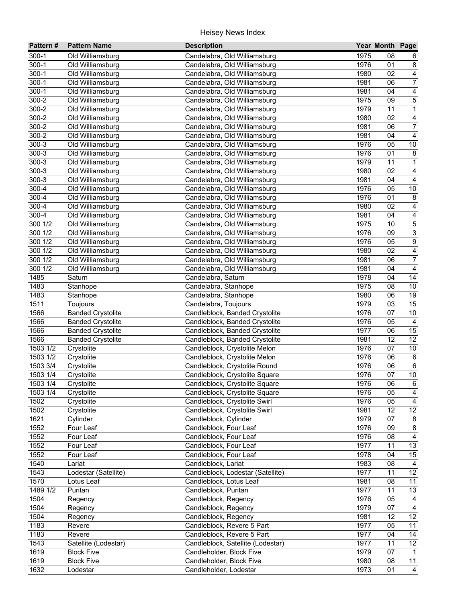| Pattern#     | <b>Pattern Name</b>      | <b>Description</b>                               |              | Year Month Page |                         |
|--------------|--------------------------|--------------------------------------------------|--------------|-----------------|-------------------------|
| $300 - 1$    | Old Williamsburg         | Candelabra, Old Williamsburg                     | 1975         | 08              | 6                       |
| $300 - 1$    | Old Williamsburg         | Candelabra, Old Williamsburg                     | 1976         | 01              | 8                       |
| $300 - 1$    | Old Williamsburg         | Candelabra, Old Williamsburg                     | 1980         | 02              | $\overline{4}$          |
| $300 - 1$    | Old Williamsburg         | Candelabra, Old Williamsburg                     | 1981         | 06              | $\overline{7}$          |
| $300 - 1$    | Old Williamsburg         | Candelabra, Old Williamsburg                     | 1981         | 04              | $\overline{4}$          |
| 300-2        | Old Williamsburg         | Candelabra, Old Williamsburg                     | 1975         | 09              | $\overline{5}$          |
| $300 - 2$    | Old Williamsburg         | Candelabra, Old Williamsburg                     | 1979         | 11              | $\overline{1}$          |
| $300 - 2$    | Old Williamsburg         | Candelabra, Old Williamsburg                     | 1980         | 02              | $\overline{4}$          |
| $300 - 2$    | Old Williamsburg         | Candelabra, Old Williamsburg                     | 1981         | 06              | $\overline{7}$          |
| 300-2        | Old Williamsburg         | Candelabra, Old Williamsburg                     | 1981         | 04              | $\overline{4}$          |
| 300-3        | Old Williamsburg         | Candelabra, Old Williamsburg                     | 1976         | 05              | $10\,$                  |
| 300-3        | Old Williamsburg         | Candelabra, Old Williamsburg                     | 1976         | 01              | 8                       |
| 300-3        | Old Williamsburg         | Candelabra, Old Williamsburg                     | 1979         | 11              | $\mathbf{1}$            |
| 300-3        | Old Williamsburg         | Candelabra, Old Williamsburg                     | 1980         | 02              | $\overline{\mathbf{4}}$ |
| 300-3        | Old Williamsburg         | Candelabra, Old Williamsburg                     | 1981         | 04              | $\overline{4}$          |
| 300-4        | Old Williamsburg         | Candelabra, Old Williamsburg                     | 1976         | 05              | $10$                    |
| 300-4        | Old Williamsburg         | Candelabra, Old Williamsburg                     | 1976         | 01              | $\bf 8$                 |
| 300-4        | Old Williamsburg         | Candelabra, Old Williamsburg                     | 1980         | 02              | $\overline{4}$          |
| 300-4        | Old Williamsburg         | Candelabra, Old Williamsburg                     | 1981         | 04              | $\overline{4}$          |
| 300 1/2      | Old Williamsburg         | Candelabra, Old Williamsburg                     | 1975         | 10              | $\frac{5}{3}$           |
| 300 1/2      | Old Williamsburg         | Candelabra, Old Williamsburg                     | 1976         | 09              |                         |
| 300 1/2      | Old Williamsburg         | Candelabra, Old Williamsburg                     | 1976         | 05              | $\overline{9}$          |
| 300 1/2      | Old Williamsburg         | Candelabra, Old Williamsburg                     | 1980         | 02              | $\overline{4}$          |
| 300 1/2      | Old Williamsburg         | Candelabra, Old Williamsburg                     | 1981         | 06              | $\overline{7}$          |
| 300 1/2      | Old Williamsburg         | Candelabra, Old Williamsburg                     | 1981         | 04              | $\overline{4}$          |
| 1485         | Saturn                   | Candelabra, Saturn                               | 1978         | 04              | 14                      |
| 1483         | Stanhope                 | Candelabra, Stanhope                             | 1975         | 08              | 10                      |
| 1483         | Stanhope                 | Candelabra, Stanhope                             | 1980         | 06              | 19                      |
| 1511         | Toujours                 | Candelabra, Toujours                             | 1979         | 03              | 15                      |
| 1566         | <b>Banded Crystolite</b> | Candleblock, Banded Crystolite                   | 1976         | 07              | $10\,$                  |
| 1566         | <b>Banded Crystolite</b> | Candleblock, Banded Crystolite                   | 1976         | 05              | $\overline{4}$          |
| 1566         | <b>Banded Crystolite</b> | Candleblock, Banded Crystolite                   | 1977         | 06              | 15                      |
| 1566         | <b>Banded Crystolite</b> | Candleblock, Banded Crystolite                   | 1981         | 12              | $\overline{12}$         |
| 1503 1/2     | Crystolite               | Candleblock, Crystolite Melon                    | 1976         | 07              | 10                      |
| 1503 1/2     | Crystolite               | Candleblock, Crystolite Melon                    | 1976         | 06              | $\,6\,$                 |
| 1503 3/4     | Crystolite               | Candleblock, Crystolite Round                    | 1976         | 06              | $\,6\,$                 |
| 1503 1/4     | Crystolite               | Candleblock, Crystolite Square                   | 1976         | 07              | $10$                    |
| 1503 1/4     | Crystolite               | Candleblock, Crystolite Square                   | 1976         | 06              | $6\overline{6}$         |
| 1503 1/4     | Crystolite               | Candleblock, Crystolite Square                   | 1976         | 05              | $\overline{\mathbf{4}}$ |
| 1502         | Crystolite               | Candleblock, Crystolite Swirl                    | 1976         | 05              | 4                       |
| 1502         | Crystolite               | Candleblock, Crystolite Swirl                    | 1981         | 12              | $\overline{12}$         |
| 1621         | Cylinder                 | Candleblock, Cylinder<br>Candleblock, Four Leaf  | 1979<br>1976 | 07<br>09        | $\bf 8$                 |
| 1552         | Four Leaf                |                                                  | 1976         |                 | $\bf 8$<br>4            |
| 1552<br>1552 | Four Leaf                | Candleblock, Four Leaf<br>Candleblock, Four Leaf | 1977         | 08<br>11        | 13                      |
| 1552         | Four Leaf<br>Four Leaf   | Candleblock, Four Leaf                           | 1978         | 04              | 15                      |
| 1540         | Lariat                   | Candleblock, Lariat                              | 1983         | 08              | 4                       |
| 1543         | Lodestar (Satellite)     | Candleblock, Lodestar (Satellite)                | 1977         | 11              | 12                      |
| 1570         | Lotus Leaf               | Candleblock, Lotus Leaf                          | 1981         | 08              | 11                      |
| 1489 1/2     | Puritan                  | Candleblock, Puritan                             | 1977         | 11              | 13                      |
| 1504         | Regency                  | Candleblock, Regency                             | 1976         | 05              | 4                       |
| 1504         | Regency                  | Candleblock, Regency                             | 1979         | 07              | $\overline{4}$          |
| 1504         | Regency                  | Candleblock, Regency                             | 1981         | 12              | 12                      |
| 1183         | Revere                   | Candleblock, Revere 5 Part                       | 1977         | 05              | $\overline{11}$         |
| 1183         | Revere                   | Candleblock, Revere 5 Part                       | 1977         | 04              | $\overline{14}$         |
| 1543         | Satellite (Lodestar)     | Candleblock, Satellite (Lodestar)                | 1977         | 11              | 12                      |
| 1619         | <b>Block Five</b>        | Candleholder, Block Five                         | 1979         | 07              | $\mathbf{1}$            |
| 1619         | <b>Block Five</b>        | Candleholder, Block Five                         | 1980         | 08              | $\overline{11}$         |
| 1632         | Lodestar                 | Candleholder, Lodestar                           | 1973         | 01              | $\overline{4}$          |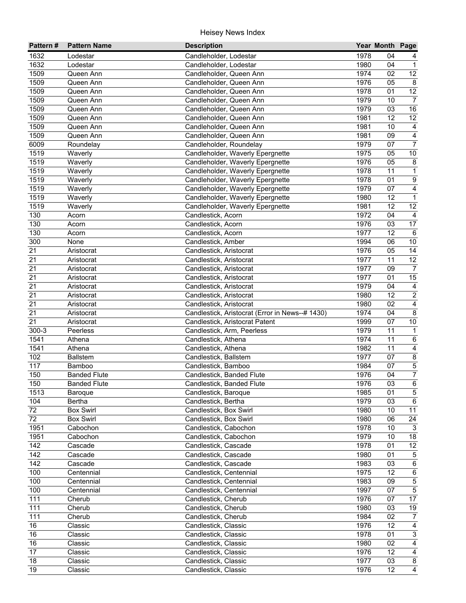| Pattern#        | <b>Pattern Name</b>                  | <b>Description</b>                               |              | Year Month Page |                         |
|-----------------|--------------------------------------|--------------------------------------------------|--------------|-----------------|-------------------------|
| 1632            | Lodestar                             | Candleholder, Lodestar                           | 1978         | 04              |                         |
| 1632            | Lodestar                             | Candleholder, Lodestar                           | 1980         | 04              | $\mathbf{1}$            |
| 1509            | Queen Ann                            | Candleholder, Queen Ann                          | 1974         | 02              | $\overline{12}$         |
| 1509            | Queen Ann                            | Candleholder, Queen Ann                          | 1976         | 05              | $\overline{8}$          |
| 1509            | Queen Ann                            | Candleholder, Queen Ann                          | 1978         | 01              | $\overline{12}$         |
| 1509            | Queen Ann                            | Candleholder, Queen Ann                          | 1979         | 10              | $\overline{7}$          |
| 1509            | Queen Ann                            | Candleholder, Queen Ann                          | 1979         | 03              | 16                      |
| 1509            | Queen Ann                            | Candleholder, Queen Ann                          | 1981         | $\overline{12}$ | $\overline{12}$         |
| 1509            | Queen Ann                            | Candleholder, Queen Ann                          | 1981         | 10              | 4                       |
| 1509            | Queen Ann                            | Candleholder, Queen Ann                          | 1981         | 09              | $\overline{4}$          |
| 6009            | Roundelay                            | Candleholder, Roundelay                          | 1979         | 07              | $\overline{7}$          |
| 1519            | Waverly                              | Candleholder, Waverly Epergnette                 | 1975         | 05              | $10$                    |
| 1519            | Waverly                              | Candleholder, Waverly Epergnette                 | 1976         | 05              | $\bf 8$                 |
| 1519            | Waverly                              | Candleholder, Waverly Epergnette                 | 1978         | 11              | $\mathbf{1}$            |
| 1519            | Waverly                              | Candleholder, Waverly Epergnette                 | 1978         | 01              | $\boldsymbol{9}$        |
| 1519            | Waverly                              | Candleholder, Waverly Epergnette                 | 1979         | 07              | $\overline{\mathbf{4}}$ |
| 1519            | Waverly                              | Candleholder, Waverly Epergnette                 | 1980         | 12              | $\mathbf 1$             |
| 1519            | Waverly                              | Candleholder, Waverly Epergnette                 | 1981         | 12              | 12                      |
| 130             | Acorn                                | Candlestick, Acorn                               | 1972         | 04              | $\overline{4}$          |
| 130             | Acorn                                | Candlestick, Acorn                               | 1976         | 03              | 17                      |
| 130             | Acorn                                | Candlestick, Acorn                               | 1977         | 12              | 6                       |
| 300             | None                                 | Candlestick, Amber                               | 1994         | 06              | 10                      |
| 21              | Aristocrat                           | Candlestick, Aristocrat                          | 1976         | 05              | 14                      |
| 21              | Aristocrat                           | Candlestick, Aristocrat                          | 1977         | 11              | $\overline{12}$         |
| 21              | Aristocrat                           | Candlestick, Aristocrat                          | 1977         | 09              | $\overline{7}$          |
| 21              | Aristocrat                           | Candlestick, Aristocrat                          | 1977         | 01              | 15                      |
| 21              | Aristocrat                           | Candlestick, Aristocrat                          | 1979         | 04              | $\overline{4}$          |
| 21              | Aristocrat                           | Candlestick, Aristocrat                          | 1980         | 12              | $\overline{2}$          |
| $\overline{21}$ | Aristocrat                           | Candlestick, Aristocrat                          | 1980         | 02              | $\overline{4}$          |
| $\overline{21}$ | Aristocrat                           | Candlestick, Aristocrat (Error in News--# 1430)  | 1974         | 04              | $\overline{8}$          |
| $\overline{21}$ | Aristocrat                           | Candlestick, Aristocrat Patent                   | 1999         | 07              | $10\,$                  |
| $300 - 3$       | Peerless                             | Candlestick, Arm, Peerless                       | 1979         | 11              | $\mathbf{1}$            |
| 1541            | Athena                               | Candlestick, Athena                              | 1974         | 11              | $\,6\,$                 |
| 1541            | Athena                               | Candlestick, Athena                              | 1982         | 11              | $\overline{4}$          |
| 102             | <b>Ballstem</b>                      | Candlestick, Ballstem                            | 1977         | 07              | $\overline{\mathbf{8}}$ |
| 117             | Bamboo                               | Candlestick, Bamboo                              | 1984         | 07              | $\overline{5}$          |
| 150             | <b>Banded Flute</b>                  | Candlestick, Banded Flute                        | 1976         | 04              | $\overline{7}$          |
| 150             | <b>Banded Flute</b>                  | Candlestick, Banded Flute                        | 1976         | $\overline{03}$ | $\overline{6}$          |
| 1513            | Baroque                              | Candlestick, Baroque                             | 1985         | 01              | $5\phantom{.0}$         |
| 104<br>72       | Bertha                               | Candlestick, Bertha                              | 1979<br>1980 | 03<br>10        | $\,6\,$<br>11           |
| 72              | <b>Box Swirl</b><br><b>Box Swirl</b> | Candlestick, Box Swirl<br>Candlestick, Box Swirl | 1980         | 06              | 24                      |
| 1951            | Cabochon                             | Candlestick, Cabochon                            | 1978         | 10              | $\mathbf{3}$            |
| 1951            | Cabochon                             | Candlestick, Cabochon                            | 1979         | 10              | 18                      |
| 142             | Cascade                              | Candlestick, Cascade                             | 1978         | 01              | 12                      |
| 142             | Cascade                              | Candlestick, Cascade                             | 1980         | 01              | $\mathbf 5$             |
| 142             | Cascade                              | Candlestick, Cascade                             | 1983         | 03              | $\,6\,$                 |
| 100             | Centennial                           | Candlestick, Centennial                          | 1975         | 12              | $\,6\,$                 |
| 100             | Centennial                           | Candlestick, Centennial                          | 1983         | 09              | $\mathbf 5$             |
| 100             | Centennial                           | Candlestick, Centennial                          | 1997         | 07              | $\overline{5}$          |
| 111             | Cherub                               | Candlestick, Cherub                              | 1976         | 07              | 17                      |
| 111             | Cherub                               | Candlestick, Cherub                              | 1980         | 03              | $19$                    |
| 111             | Cherub                               | Candlestick, Cherub                              | 1984         | 02              | $\overline{7}$          |
| 16              | Classic                              | Candlestick, Classic                             | 1976         | 12              | $\overline{4}$          |
| 16              | Classic                              | Candlestick, Classic                             | 1978         | 01              | 3                       |
| 16              | Classic                              | Candlestick, Classic                             | 1980         | 02              | $\overline{4}$          |
| $\overline{17}$ | Classic                              | Candlestick, Classic                             | 1976         | 12              | $\overline{4}$          |
| 18              | Classic                              | Candlestick, Classic                             | 1977         | 03              | 8                       |
| 19              | Classic                              | Candlestick, Classic                             | 1976         | 12              | $\overline{4}$          |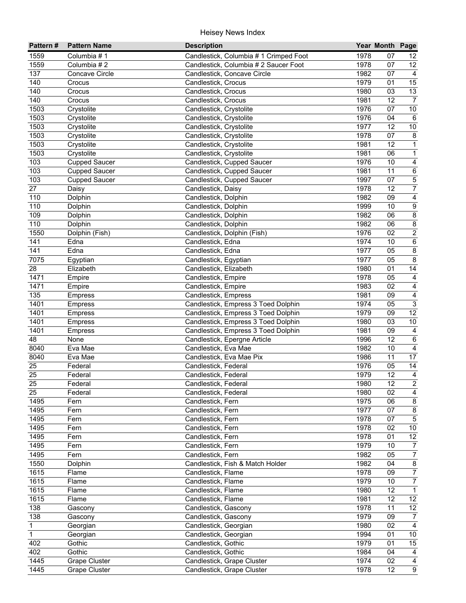| Pattern#         | <b>Pattern Name</b>  | <b>Description</b>                     |      | Year Month Page |                         |
|------------------|----------------------|----------------------------------------|------|-----------------|-------------------------|
| 1559             | Columbia #1          | Candlestick, Columbia # 1 Crimped Foot | 1978 | 07              | 12                      |
| 1559             | Columbia #2          | Candlestick, Columbia # 2 Saucer Foot  | 1978 | 07              | 12                      |
| 137              | Concave Circle       | Candlestick, Concave Circle            | 1982 | 07              | $\overline{4}$          |
| 140              | Crocus               | Candlestick, Crocus                    | 1979 | 01              | 15                      |
| 140              | Crocus               | Candlestick, Crocus                    | 1980 | 03              | 13                      |
| 140              | Crocus               | Candlestick, Crocus                    | 1981 | 12              | $\overline{7}$          |
| 1503             | Crystolite           | Candlestick, Crystolite                | 1976 | 07              | 10                      |
| 1503             | Crystolite           | Candlestick, Crystolite                | 1976 | 04              | 6                       |
| 1503             | Crystolite           | Candlestick, Crystolite                | 1977 | $\overline{12}$ | 10                      |
| 1503             | Crystolite           | Candlestick, Crystolite                | 1978 | 07              | $\,8\,$                 |
| 1503             | Crystolite           | Candlestick, Crystolite                | 1981 | 12              | $\overline{1}$          |
| 1503             | Crystolite           | Candlestick, Crystolite                | 1981 | 06              | $\mathbf{1}$            |
| 103              | <b>Cupped Saucer</b> | Candlestick, Cupped Saucer             | 1976 | 10              | 4                       |
| 103              | <b>Cupped Saucer</b> | Candlestick, Cupped Saucer             | 1981 | 11              | 6                       |
| 103              | <b>Cupped Saucer</b> | Candlestick, Cupped Saucer             | 1997 | 07              | $\overline{5}$          |
| 27               | Daisy                | Candlestick, Daisy                     | 1978 | 12              | $\overline{7}$          |
| 110              | Dolphin              | Candlestick, Dolphin                   | 1982 | 09              | $\overline{4}$          |
| 110              | Dolphin              | Candlestick, Dolphin                   | 1999 | 10              | $\boldsymbol{9}$        |
| 109              | Dolphin              | Candlestick, Dolphin                   | 1982 | 06              | $\overline{8}$          |
| 110              | Dolphin              | Candlestick, Dolphin                   | 1982 | 06              | $\overline{\mathbf{8}}$ |
| 1550             | Dolphin (Fish)       | Candlestick, Dolphin (Fish)            | 1976 | 02              | $\overline{2}$          |
| 141              | Edna                 | Candlestick, Edna                      | 1974 | 10              | $6\overline{6}$         |
| 141              | Edna                 | Candlestick, Edna                      | 1977 | 05              | $\overline{8}$          |
| 7075             | Egyptian             | Candlestick, Egyptian                  | 1977 | 05              | $\overline{8}$          |
| 28               | Elizabeth            | Candlestick, Elizabeth                 | 1980 | 01              | $\overline{14}$         |
| 1471             | Empire               | Candlestick, Empire                    | 1978 | 05              | $\overline{\mathbf{4}}$ |
| 1471             | Empire               | Candlestick, Empire                    | 1983 | 02              | $\overline{4}$          |
| $\overline{135}$ | <b>Empress</b>       | Candlestick, Empress                   | 1981 | 09              | $\overline{4}$          |
| 1401             | <b>Empress</b>       | Candlestick, Empress 3 Toed Dolphin    | 1974 | 05              | $\overline{3}$          |
| 1401             | <b>Empress</b>       | Candlestick, Empress 3 Toed Dolphin    | 1979 | 09              | 12                      |
| 1401             | <b>Empress</b>       | Candlestick, Empress 3 Toed Dolphin    | 1980 | 03              | $10\,$                  |
| 1401             | <b>Empress</b>       | Candlestick, Empress 3 Toed Dolphin    | 1981 | 09              | $\overline{4}$          |
| 48               | None                 | Candlestick, Epergne Article           | 1996 | 12              | $\overline{6}$          |
| 8040             | Eva Mae              | Candlestick, Eva Mae                   | 1982 | 10              | $\overline{4}$          |
| 8040             | Eva Mae              | Candlestick, Eva Mae Pix               | 1986 | 11              | $\overline{17}$         |
| 25               | Federal              | Candlestick, Federal                   | 1976 | 05              | 14                      |
| 25               | Federal              | Candlestick, Federal                   | 1979 | 12              | $\overline{4}$          |
| 25               | Federal              | Candlestick, Federal                   | 1980 | 12              | 2                       |
| 25               | Federal              | Candlestick, Federal                   | 1980 | 02              | 4                       |
| 1495             | Fern                 | Candlestick, Fern                      | 1975 | 06              | $\bf 8$                 |
| 1495             | Fern                 | Candlestick, Fern                      | 1977 | 07              | $\bf 8$                 |
| 1495             | Fern                 | Candlestick, Fern                      | 1978 | 07              | $\mathbf 5$             |
| 1495             | Fern                 | Candlestick, Fern                      | 1978 | 02              | $10$                    |
| 1495             | Fern                 | Candlestick, Fern                      | 1978 | 01              | $\overline{12}$         |
| 1495             | Fern                 | Candlestick, Fern                      | 1979 | 10              | $\overline{7}$          |
| 1495             | Fern                 | Candlestick, Fern                      | 1982 | 05              | $\overline{7}$          |
| 1550             | Dolphin              | Candlestick, Fish & Match Holder       | 1982 | 04              | $\bf 8$                 |
| 1615             | Flame                | Candlestick, Flame                     | 1978 | 09              | $\boldsymbol{7}$        |
| 1615             | Flame                | Candlestick, Flame                     | 1979 | 10              | $\overline{7}$          |
| 1615             | Flame                | Candlestick, Flame                     | 1980 | 12              | $\mathbf{1}$            |
| 1615             | Flame                | Candlestick, Flame                     | 1981 | 12              | 12                      |
| 138              | Gascony              | Candlestick, Gascony                   | 1978 | 11              | 12                      |
| 138              | Gascony              | Candlestick, Gascony                   | 1979 | 09              | $\overline{7}$          |
| $\mathbf{1}$     | Georgian             | Candlestick, Georgian                  | 1980 | 02              | $\overline{4}$          |
| $\overline{1}$   | Georgian             | Candlestick, Georgian                  | 1994 | 01              | $10\,$                  |
| 402              | Gothic               | Candlestick, Gothic                    | 1979 | 01              | 15                      |
| 402              | Gothic               | Candlestick, Gothic                    | 1984 | 04              | $\overline{4}$          |
| 1445             | <b>Grape Cluster</b> | Candlestick, Grape Cluster             | 1974 | 02              | $\overline{4}$          |
| 1445             | <b>Grape Cluster</b> | Candlestick, Grape Cluster             | 1978 | $\overline{12}$ | $\overline{9}$          |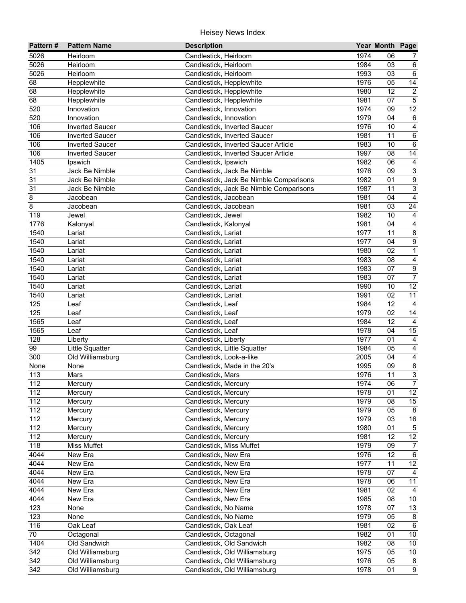| Pattern#         | <b>Pattern Name</b>    | <b>Description</b>                      |      | Year Month Page |                         |
|------------------|------------------------|-----------------------------------------|------|-----------------|-------------------------|
| 5026             | Heirloom               | Candlestick, Heirloom                   | 1974 | 06              | 7                       |
| 5026             | Heirloom               | Candlestick, Heirloom                   | 1984 | 03              | 6                       |
| 5026             | Heirloom               | Candlestick, Heirloom                   | 1993 | 03              | $\overline{6}$          |
| 68               | Hepplewhite            | Candlestick, Hepplewhite                | 1976 | 05              | $\overline{14}$         |
| 68               | Hepplewhite            | Candlestick, Hepplewhite                | 1980 | $\overline{12}$ | $\overline{2}$          |
| 68               | Hepplewhite            | Candlestick, Hepplewhite                | 1981 | 07              | $\overline{5}$          |
| 520              | Innovation             | Candlestick, Innovation                 | 1974 | 09              | 12                      |
| 520              | Innovation             | Candlestick, Innovation                 | 1979 | 04              | 6                       |
| 106              | <b>Inverted Saucer</b> | Candlestick, Inverted Saucer            | 1976 | 10              | $\overline{\mathbf{4}}$ |
| 106              | <b>Inverted Saucer</b> | Candlestick, Inverted Saucer            | 1981 | 11              | $\,6\,$                 |
| 106              | <b>Inverted Saucer</b> | Candlestick, Inverted Saucer Article    | 1983 | 10              | 6                       |
| 106              | <b>Inverted Saucer</b> | Candlestick, Inverted Saucer Article    | 1997 | 08              | 14                      |
| 1405             | Ipswich                | Candlestick, Ipswich                    | 1982 | 06              | $\overline{4}$          |
| 31               | Jack Be Nimble         | Candlestick, Jack Be Nimble             | 1976 | 09              | $\overline{3}$          |
| 31               | Jack Be Nimble         | Candlestick, Jack Be Nimble Comparisons | 1982 | 01              | $\boldsymbol{9}$        |
| 31               | Jack Be Nimble         | Candlestick, Jack Be Nimble Comparisons | 1987 | 11              | $\overline{3}$          |
| 8                | Jacobean               | Candlestick, Jacobean                   | 1981 | 04              | $\overline{4}$          |
| 8                | Jacobean               | Candlestick, Jacobean                   | 1981 | 03              | 24                      |
| 119              | Jewel                  | Candlestick, Jewel                      | 1982 | 10              | $\overline{4}$          |
| 1776             | Kalonyal               | Candlestick, Kalonyal                   | 1981 | 04              | $\overline{\mathbf{4}}$ |
| 1540             | Lariat                 | Candlestick, Lariat                     | 1977 | 11              | $\bf 8$                 |
| 1540             | Lariat                 | Candlestick, Lariat                     | 1977 | 04              | $\overline{9}$          |
| 1540             | Lariat                 | Candlestick, Lariat                     | 1980 | 02              | $\overline{1}$          |
| 1540             | Lariat                 | Candlestick, Lariat                     | 1983 | 08              | $\overline{\mathbf{4}}$ |
| 1540             | Lariat                 | Candlestick, Lariat                     | 1983 | 07              | $\overline{9}$          |
| 1540             | Lariat                 | Candlestick, Lariat                     | 1983 | 07              | $\overline{7}$          |
| 1540             | Lariat                 | Candlestick, Lariat                     | 1990 | 10              | 12                      |
| 1540             | Lariat                 | Candlestick, Lariat                     | 1991 | 02              | $\overline{11}$         |
| 125              | Leaf                   | Candlestick, Leaf                       | 1984 | 12              | $\overline{4}$          |
| 125              | Leaf                   | Candlestick, Leaf                       | 1979 | 02              | 14                      |
| 1565             | Leaf                   | Candlestick, Leaf                       | 1984 | 12              | $\overline{4}$          |
| 1565             | Leaf                   | Candlestick, Leaf                       | 1978 | 04              | 15                      |
| 128              | Liberty                | Candlestick, Liberty                    | 1977 | 01              | $\overline{4}$          |
| 99               | Little Squatter        | Candlestick, Little Squatter            | 1984 | 05              | $\overline{4}$          |
| 300              | Old Williamsburg       | Candlestick, Look-a-like                | 2005 | 04              | $\overline{4}$          |
| None             | None                   | Candlestick, Made in the 20's           | 1995 | 09              | $\overline{8}$          |
| 113              | Mars                   | Candlestick, Mars                       | 1976 | 11              | $\overline{3}$          |
| $\frac{1}{112}$  | Mercury                | Candlestick, Mercury                    | 1974 | $\overline{06}$ | $\overline{7}$          |
| 112              | Mercury                | Candlestick, Mercury                    | 1978 | 01              | 12                      |
| 112              | Mercury                | Candlestick, Mercury                    | 1979 | 08              | 15                      |
| 112              | Mercury                | Candlestick, Mercury                    | 1979 | 05              | 8                       |
| 112              | Mercury                | Candlestick, Mercury                    | 1979 | 03              | $16\,$                  |
| 112              | Mercury                | Candlestick, Mercury                    | 1980 | 01              | $\overline{5}$          |
| 112              | Mercury                | Candlestick, Mercury                    | 1981 | 12              | 12                      |
| 118              | Miss Muffet            | Candlestick, Miss Muffet                | 1979 | 09              | $\overline{7}$          |
| 4044             | New Era                | Candlestick, New Era                    | 1976 | 12              | $\,6\,$                 |
| 4044             | New Era                | Candlestick, New Era                    | 1977 | 11              | 12                      |
| 4044             | New Era                | Candlestick, New Era                    | 1978 | 07              | $\overline{4}$          |
| 4044             | New Era                | Candlestick, New Era                    | 1978 | 06              | 11                      |
| 4044             | New Era                | Candlestick, New Era                    | 1981 | 02              | $\overline{4}$          |
| 4044             | New Era                | Candlestick, New Era                    | 1985 | 08              | 10                      |
| 123              | None                   | Candlestick, No Name                    | 1978 | 07              | 13                      |
| 123              | None                   | Candlestick, No Name                    | 1979 | 05              | 8                       |
| 116              | Oak Leaf               | Candlestick, Oak Leaf                   | 1981 | 02              | $\,6$                   |
| $\overline{70}$  | Octagonal              | Candlestick, Octagonal                  | 1982 | 01              | 10 <sub>1</sub>         |
| 1404             | Old Sandwich           | Candlestick, Old Sandwich               | 1982 | 08              | 10 <sub>1</sub>         |
| $\overline{342}$ | Old Williamsburg       | Candlestick, Old Williamsburg           | 1975 | 05              | 10 <sub>1</sub>         |
| 342              | Old Williamsburg       | Candlestick, Old Williamsburg           | 1976 | 05              | 8                       |
| 342              | Old Williamsburg       | Candlestick, Old Williamsburg           | 1978 | 01              | $\overline{9}$          |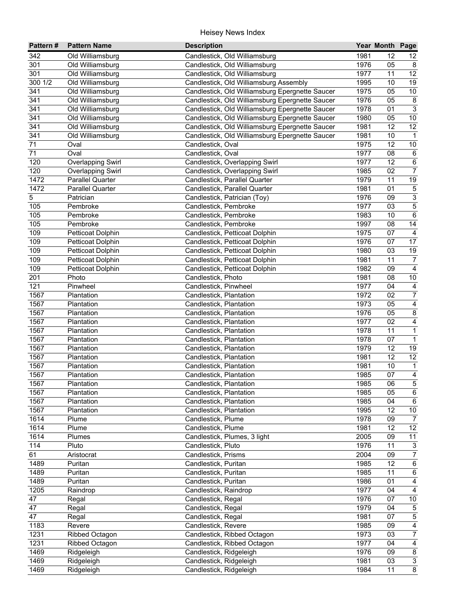| Pattern#         | <b>Pattern Name</b>      | <b>Description</b>                              |      | Year Month Page |                         |
|------------------|--------------------------|-------------------------------------------------|------|-----------------|-------------------------|
| 342              | Old Williamsburg         | Candlestick, Old Williamsburg                   | 1981 | 12              | 12                      |
| 301              | Old Williamsburg         | Candlestick, Old Williamsburg                   | 1976 | 05              | 8                       |
| 301              | Old Williamsburg         | Candlestick, Old Williamsburg                   | 1977 | 11              | 12                      |
| 300 1/2          | Old Williamsburg         | Candlestick, Old Williamsburg Assembly          | 1995 | 10              | 19                      |
| 341              | Old Williamsburg         | Candlestick, Old Williamsburg Epergnette Saucer | 1975 | 05              | 10                      |
| 341              | Old Williamsburg         | Candlestick, Old Williamsburg Epergnette Saucer | 1976 | 05              | $\overline{8}$          |
| 341              | Old Williamsburg         | Candlestick, Old Williamsburg Epergnette Saucer | 1978 | 01              | $\overline{3}$          |
| $\overline{341}$ | Old Williamsburg         | Candlestick, Old Williamsburg Epergnette Saucer | 1980 | 05              | 10                      |
| 341              | Old Williamsburg         | Candlestick, Old Williamsburg Epergnette Saucer | 1981 | $\overline{12}$ | 12                      |
| 341              | Old Williamsburg         | Candlestick, Old Williamsburg Epergnette Saucer | 1981 | 10              | $\mathbf{1}$            |
| 71               | Oval                     | Candlestick, Oval                               | 1975 | 12              | $10$                    |
| 71               | Oval                     | Candlestick, Oval                               | 1977 | 08              | $\,6\,$                 |
| 120              | <b>Overlapping Swirl</b> | Candlestick, Overlapping Swirl                  | 1977 | 12              | $\,6\,$                 |
| 120              | <b>Overlapping Swirl</b> | Candlestick, Overlapping Swirl                  | 1985 | 02              | $\overline{7}$          |
| 1472             | Parallel Quarter         | Candlestick, Parallel Quarter                   | 1979 | 11              | 19                      |
| 1472             | <b>Parallel Quarter</b>  | Candlestick, Parallel Quarter                   | 1981 | 01              | $\,$ 5 $\,$             |
| 5                | Patrician                | Candlestick, Patrician (Toy)                    | 1976 | 09              | $\overline{3}$          |
| 105              | Pembroke                 | Candlestick, Pembroke                           | 1977 | 03              | $\mathbf 5$             |
| 105              | Pembroke                 | Candlestick, Pembroke                           | 1983 | 10              | $\overline{6}$          |
| 105              | Pembroke                 | Candlestick, Pembroke                           | 1997 | 08              | 14                      |
| 109              | Petticoat Dolphin        | Candlestick, Petticoat Dolphin                  | 1975 | 07              | $\overline{4}$          |
| 109              | Petticoat Dolphin        | Candlestick, Petticoat Dolphin                  | 1976 | 07              | 17                      |
| 109              | <b>Petticoat Dolphin</b> | Candlestick, Petticoat Dolphin                  | 1980 | 03              | 19                      |
| 109              | Petticoat Dolphin        | Candlestick, Petticoat Dolphin                  | 1981 | 11              | $\overline{7}$          |
| 109              | Petticoat Dolphin        | Candlestick, Petticoat Dolphin                  | 1982 | 09              | $\overline{4}$          |
| 201              | Photo                    | Candlestick, Photo                              | 1981 | 08              | $10$                    |
| 121              | Pinwheel                 | Candlestick, Pinwheel                           | 1977 | 04              | $\overline{4}$          |
| 1567             | Plantation               | Candlestick, Plantation                         | 1972 | 02              | $\overline{7}$          |
| 1567             | Plantation               | Candlestick, Plantation                         | 1973 | 05              | $\overline{4}$          |
| 1567             | Plantation               | Candlestick, Plantation                         | 1976 | 05              | $\overline{\mathbf{8}}$ |
| 1567             | Plantation               | Candlestick, Plantation                         | 1977 | 02              | $\overline{4}$          |
| 1567             | Plantation               | Candlestick, Plantation                         | 1978 | 11              | $\overline{1}$          |
| 1567             | Plantation               | Candlestick, Plantation                         | 1978 | 07              | $\overline{1}$          |
| 1567             | Plantation               | Candlestick, Plantation                         | 1979 | 12              | 19                      |
| 1567             | Plantation               | Candlestick, Plantation                         | 1981 | 12              | 12                      |
| 1567             | Plantation               | Candlestick, Plantation                         | 1981 | 10              | $\mathbf{1}$            |
| 1567             | Plantation               | Candlestick, Plantation                         | 1985 | 07              | $\overline{4}$          |
| 1567             | Plantation               | Candlestick, Plantation                         | 1985 | 06              | $\,$ 5 $\,$             |
| 1567             | Plantation               | Candlestick, Plantation                         | 1985 | 05              | $\,6\,$                 |
| 1567             | Plantation               | Candlestick, Plantation                         | 1985 | 04              | $\,6\,$                 |
| 1567             | Plantation               | Candlestick, Plantation                         | 1995 | 12              | $10\,$                  |
| 1614             | Plume                    | Candlestick, Plume                              | 1978 | 09              | $\overline{7}$          |
| 1614             | Plume                    | Candlestick, Plume                              | 1981 | 12              | 12                      |
| 1614             | Plumes                   | Candlestick, Plumes, 3 light                    | 2005 | 09              | 11                      |
| 114              | Pluto                    | Candlestick, Pluto                              | 1976 | 11              | $\sqrt{3}$              |
| 61               | Aristocrat               | Candlestick, Prisms                             | 2004 | 09              | $\boldsymbol{7}$        |
| 1489             | Puritan                  | Candlestick, Puritan                            | 1985 | 12              | $\,6\,$                 |
| 1489             | Puritan                  | Candlestick, Puritan                            | 1985 | 11              | $\,6\,$                 |
| 1489             | Puritan                  | Candlestick, Puritan                            | 1986 | 01              | $\overline{4}$          |
| 1205             | Raindrop                 | Candlestick, Raindrop                           | 1977 | 04              | $\overline{4}$          |
| 47               | Regal                    | Candlestick, Regal                              | 1976 | 07              | $10\,$                  |
| 47               | Regal                    | Candlestick, Regal                              | 1979 | 04              | $\sqrt{5}$              |
| 47               | Regal                    | Candlestick, Regal                              | 1981 | 07              | $\overline{5}$          |
| 1183             | Revere                   | Candlestick, Revere                             | 1985 | 09              | $\overline{4}$          |
| 1231             | Ribbed Octagon           | Candlestick, Ribbed Octagon                     | 1973 | 03              | $\overline{7}$          |
| 1231             | Ribbed Octagon           | Candlestick, Ribbed Octagon                     | 1977 | 04              | $\overline{4}$          |
| 1469             | Ridgeleigh               | Candlestick, Ridgeleigh                         | 1976 | 09              | $\overline{8}$          |
| 1469             | Ridgeleigh               | Candlestick, Ridgeleigh                         | 1981 | $\overline{03}$ | $\overline{3}$          |
| 1469             | Ridgeleigh               | Candlestick, Ridgeleigh                         | 1984 | 11              | $\overline{8}$          |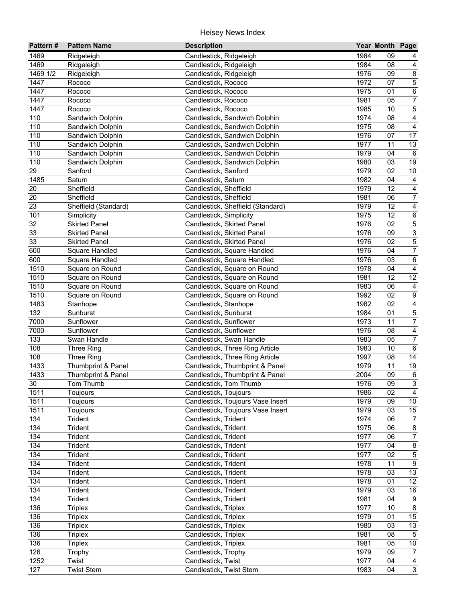| Pattern#         | <b>Pattern Name</b>                      | <b>Description</b>                                                     |              | Year Month Page |                                             |
|------------------|------------------------------------------|------------------------------------------------------------------------|--------------|-----------------|---------------------------------------------|
| 1469             | Ridgeleigh                               | Candlestick, Ridgeleigh                                                | 1984         | 09              |                                             |
| 1469             | Ridgeleigh                               | Candlestick, Ridgeleigh                                                | 1984         | 08              | 4                                           |
| 1469 1/2         | Ridgeleigh                               | Candlestick, Ridgeleigh                                                | 1976         | 09              | $\overline{\mathbf{8}}$                     |
| 1447             | Rococo                                   | Candlestick, Rococo                                                    | 1972         | 07              | $\overline{5}$                              |
| 1447             | Rococo                                   | Candlestick, Rococo                                                    | 1975         | 01              | $\overline{6}$                              |
| 1447             | Rococo                                   | Candlestick, Rococo                                                    | 1981         | 05              | $\overline{7}$                              |
| 1447             | Rococo                                   | Candlestick, Rococo                                                    | 1985         | 10              | $\overline{5}$                              |
| 110              | Sandwich Dolphin                         | Candlestick, Sandwich Dolphin                                          | 1974         | 08              | $\overline{4}$                              |
| 110              | Sandwich Dolphin                         | Candlestick, Sandwich Dolphin                                          | 1975         | 08              | $\overline{4}$                              |
| 110              | Sandwich Dolphin                         | Candlestick, Sandwich Dolphin                                          | 1976         | 07              | 17                                          |
| 110              | Sandwich Dolphin                         | Candlestick, Sandwich Dolphin                                          | 1977         | 11              | 13                                          |
| 110              | Sandwich Dolphin                         | Candlestick, Sandwich Dolphin                                          | 1979         | 04              | $\,6\,$                                     |
| 110              | Sandwich Dolphin                         | Candlestick, Sandwich Dolphin                                          | 1980         | 03              | 19                                          |
| 29               | Sanford                                  | Candlestick, Sanford                                                   | 1979         | 02              | $10\,$                                      |
| 1485             | Saturn                                   | Candlestick, Saturn                                                    | 1982         | 04              | $\overline{4}$                              |
| 20               | Sheffield                                | Candlestick, Sheffield                                                 | 1979         | 12              | $\overline{\mathbf{4}}$                     |
| 20               | Sheffield                                | Candlestick, Sheffield                                                 | 1981         | 06              | $\overline{7}$                              |
| 23               | Sheffield (Standard)                     | Candlestick, Sheffield (Standard)                                      | 1979         | 12              | $\overline{\mathbf{4}}$                     |
| 101              | Simplicity                               | Candlestick, Simplicity                                                | 1975         | 12              | $\,6\,$                                     |
| 32               | <b>Skirted Panel</b>                     | Candlestick, Skirted Panel                                             | 1976         | 02              | $\overline{5}$                              |
| 33               | <b>Skirted Panel</b>                     | Candlestick, Skirted Panel                                             | 1976         | 09              | $\overline{3}$                              |
| 33               | <b>Skirted Panel</b>                     | Candlestick, Skirted Panel                                             | 1976         | 02              | $\overline{5}$                              |
| 600              | Square Handled                           | Candlestick, Square Handled                                            | 1976         | 04              | $\overline{7}$                              |
| 600              | Square Handled                           | Candlestick, Square Handled                                            | 1976         | 03              | $\,6\,$                                     |
| 1510             | Square on Round                          | Candlestick, Square on Round                                           | 1978         | 04              | 4                                           |
| 1510             | Square on Round                          | Candlestick, Square on Round                                           | 1981         | 12              | 12                                          |
| 1510             | Square on Round                          | Candlestick, Square on Round                                           | 1983         | 06              | 4                                           |
| 1510             | Square on Round                          | Candlestick, Square on Round                                           | 1992         | 02              | $\overline{9}$                              |
| 1483             | Stanhope                                 | Candlestick, Stanhope                                                  | 1982         | 02              | $\overline{4}$                              |
| $\overline{132}$ | Sunburst                                 | Candlestick, Sunburst                                                  | 1984         | 01              | $\overline{5}$                              |
| 7000             | Sunflower                                | Candlestick, Sunflower                                                 | 1973         | 11              | $\overline{7}$                              |
| 7000             | Sunflower                                | Candlestick, Sunflower                                                 | 1976         | 08              | $\overline{4}$                              |
| 133              | Swan Handle                              | Candlestick, Swan Handle                                               | 1983         | 05              | $\overline{7}$                              |
| 108              | Three Ring                               | Candlestick, Three Ring Article                                        | 1983         | 10              | $\,6$                                       |
| 108              | Three Ring                               | Candlestick, Three Ring Article                                        | 1997         | 08              | $\overline{14}$                             |
| 1433             |                                          |                                                                        | 1979         | 11              | $19$                                        |
|                  | Thumbprint & Panel<br>Thumbprint & Panel | Candlestick, Thumbprint & Panel                                        | 2004         | 09              | $\,6\,$                                     |
| 1433             |                                          | Candlestick, Thumbprint & Panel                                        | 1976         | $\overline{09}$ | $\overline{3}$                              |
| $30\,$           | Tom Thumb                                | Candlestick, Tom Thumb<br>Candlestick, Toujours                        |              | 02              | $\overline{4}$                              |
| 1511             | Toujours                                 |                                                                        | 1986<br>1979 |                 |                                             |
| 1511             | Toujours                                 | Candlestick, Toujours Vase Insert<br>Candlestick, Toujours Vase Insert | 1979         | 09<br>03        | 10 <sub>1</sub>                             |
| 1511             | Toujours                                 | Candlestick, Trident                                                   | 1974         | 06              | 15                                          |
| 134<br>134       | Trident                                  |                                                                        | 1975         | 06              | $\overline{7}$<br>$\overline{\mathbf{8}}$   |
|                  | Trident                                  | Candlestick, Trident<br>Candlestick, Trident                           | 1977         |                 |                                             |
| 134<br>134       | Trident                                  | Candlestick, Trident                                                   | 1977         | 06<br>04        | $\boldsymbol{7}$<br>$\overline{\mathbf{8}}$ |
| 134              | Trident<br>Trident                       |                                                                        |              | 02              | $\mathbf 5$                                 |
| 134              |                                          | Candlestick, Trident                                                   | 1977<br>1978 |                 | $\boldsymbol{9}$                            |
| 134              | Trident                                  | Candlestick, Trident                                                   | 1978         | 11              | 13                                          |
| 134              | Trident                                  | Candlestick, Trident                                                   | 1978         | 03              | $\overline{12}$                             |
|                  | Trident                                  | Candlestick, Trident                                                   | 1979         | 01<br>03        |                                             |
| 134<br>134       | Trident                                  | Candlestick, Trident                                                   |              |                 | 16                                          |
|                  | Trident                                  | Candlestick, Trident                                                   | 1981         | 04              | $9\,$                                       |
| 136              | <b>Triplex</b>                           | Candlestick, Triplex                                                   | 1977         | 10              | $\bf 8$                                     |
| 136              | <b>Triplex</b>                           | Candlestick, Triplex                                                   | 1979         | 01              | 15                                          |
| 136              | <b>Triplex</b>                           | Candlestick, Triplex                                                   | 1980         | 03              | 13                                          |
| 136              | <b>Triplex</b>                           | Candlestick, Triplex                                                   | 1981         | 08              | $5\phantom{.0}$                             |
| 136              | <b>Triplex</b>                           | Candlestick, Triplex                                                   | 1981         | 05              | $\overline{10}$                             |
| 126              | Trophy                                   | Candlestick, Trophy                                                    | 1979         | 09              | $\overline{7}$                              |
| 1252             | Twist                                    | Candlestick, Twist                                                     | 1977         | 04              | $\overline{4}$                              |
| 127              | <b>Twist Stem</b>                        | Candlestick, Twist Stem                                                | 1983         | 04              | $\overline{3}$                              |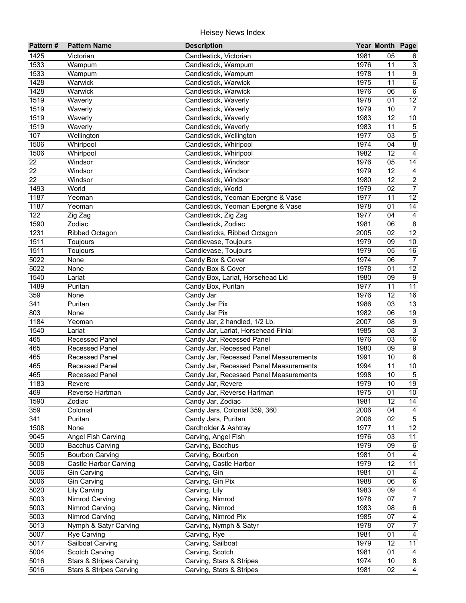| Pattern#            | <b>Pattern Name</b>                | <b>Description</b>                     |      | Year Month Page |                  |
|---------------------|------------------------------------|----------------------------------------|------|-----------------|------------------|
| 1425                | Victorian                          | Candlestick, Victorian                 | 1981 | 05              | 6                |
| 1533                | Wampum                             | Candlestick, Wampum                    | 1976 | 11              | $\mathbf{3}$     |
| 1533                | Wampum                             | Candlestick, Wampum                    | 1978 | 11              | $\overline{9}$   |
| 1428                | Warwick                            | Candlestick, Warwick                   | 1975 | 11              | $\overline{6}$   |
| 1428                | Warwick                            | Candlestick, Warwick                   | 1976 | 06              | $\overline{6}$   |
| 1519                | Waverly                            | Candlestick, Waverly                   | 1978 | 01              | 12               |
| 1519                | Waverly                            | Candlestick, Waverly                   | 1979 | 10              | $\overline{7}$   |
| 1519                | Waverly                            | Candlestick, Waverly                   | 1983 | 12              | $10$             |
| 1519                | Waverly                            | Candlestick, Waverly                   | 1983 | 11              | $\,$ 5 $\,$      |
| 107                 | Wellington                         | Candlestick, Wellington                | 1977 | 03              | $\overline{5}$   |
| 1506                | Whirlpool                          | Candlestick, Whirlpool                 | 1974 | 04              | $\bf 8$          |
| 1506                | Whirlpool                          | Candlestick, Whirlpool                 | 1982 | 12              | $\overline{4}$   |
| 22                  | Windsor                            | Candlestick, Windsor                   | 1976 | 05              | 14               |
| 22                  | Windsor                            | Candlestick, Windsor                   | 1979 | 12              | $\overline{4}$   |
| 22                  | Windsor                            | Candlestick, Windsor                   | 1980 | 12              | $\overline{2}$   |
| 1493                | World                              | Candlestick, World                     | 1979 | 02              | $\overline{7}$   |
| 1187                | Yeoman                             | Candlestick, Yeoman Epergne & Vase     | 1977 | 11              | $\overline{12}$  |
| 1187                | Yeoman                             | Candlestick, Yeoman Epergne & Vase     | 1978 | 01              | $\overline{14}$  |
| 122                 | Zig Zag                            | Candlestick, Zig Zag                   | 1977 | 04              | $\overline{4}$   |
| 1590                | Zodiac                             | Candlestick, Zodiac                    | 1981 | 06              | $\bf 8$          |
| 1231                | Ribbed Octagon                     | Candlesticks, Ribbed Octagon           | 2005 | 02              | $\overline{12}$  |
| 1511                | Toujours                           | Candlevase, Toujours                   | 1979 | 09              | $10$             |
| 1511                | Toujours                           | Candlevase, Toujours                   | 1979 | 05              | 16               |
| 5022                | None                               |                                        | 1974 | 06              | $\overline{7}$   |
| 5022                |                                    | Candy Box & Cover                      | 1978 | 01              | 12               |
| 1540                | None                               | Candy Box & Cover                      | 1980 | 09              | $9\,$            |
|                     | Lariat                             | Candy Box, Lariat, Horsehead Lid       |      |                 |                  |
| 1489                | Puritan                            | Candy Box, Puritan                     | 1977 | 11              | 11               |
| 359                 | None                               | Candy Jar                              | 1976 | 12              | 16               |
| $\overline{341}$    | Puritan                            | Candy Jar Pix                          | 1986 | 03              | 13               |
| 803                 | None                               | Candy Jar Pix                          | 1982 | 06              | 19               |
| 1184                | Yeoman                             | Candy Jar, 2 handled, 1/2 Lb.          | 2007 | 08              | $\overline{9}$   |
| 1540                | Lariat                             | Candy Jar, Lariat, Horsehead Finial    | 1985 | 08              | $\overline{3}$   |
| 465                 | Recessed Panel                     | Candy Jar, Recessed Panel              | 1976 | 03              | 16               |
| 465                 | <b>Recessed Panel</b>              | Candy Jar, Recessed Panel              | 1980 | 09              | $\overline{9}$   |
| 465                 | <b>Recessed Panel</b>              | Candy Jar, Recessed Panel Measurements | 1991 | 10              | $6\overline{6}$  |
| 465                 | Recessed Panel                     | Candy Jar, Recessed Panel Measurements | 1994 | 11              | $10\,$           |
| 465                 | <b>Recessed Panel</b>              | Candy Jar, Recessed Panel Measurements | 1998 | 10              | $\sqrt{5}$       |
| $\frac{1183}{1183}$ | Revere                             | Candy Jar, Revere                      | 1979 | 10              | 19               |
| 469                 | Reverse Hartman                    | Candy Jar, Reverse Hartman             | 1975 | 01              | 10 <sup>°</sup>  |
| 1590                | Zodiac                             | Candy Jar, Zodiac                      | 1981 | 12              | 14               |
| 359                 | Colonial                           | Candy Jars, Colonial 359, 360          | 2006 | 04              | 4                |
| 341                 | Puritan                            | Candy Jars, Puritan                    | 2006 | 02              | $\sqrt{5}$       |
| 1508                | None                               | Cardholder & Ashtray                   | 1977 | 11              | 12               |
| 9045                | Angel Fish Carving                 | Carving, Angel Fish                    | 1976 | 03              | 11               |
| 5000                | <b>Bacchus Carving</b>             | Carving, Bacchus                       | 1979 | 09              | $\,6$            |
| 5005                | <b>Bourbon Carving</b>             | Carving, Bourbon                       | 1981 | 01              | $\overline{4}$   |
| 5008                | Castle Harbor Carving              | Carving, Castle Harbor                 | 1979 | 12              | 11               |
| 5006                | <b>Gin Carving</b>                 | Carving, Gin                           | 1981 | 01              | 4                |
| 5006                | <b>Gin Carving</b>                 | Carving, Gin Pix                       | 1988 | 06              | 6                |
| 5020                | Lily Carving                       | Carving, Lily                          | 1983 | 09              | $\overline{4}$   |
| 5003                | Nimrod Carving                     | Carving, Nimrod                        | 1978 | 07              | $\boldsymbol{7}$ |
| 5003                | Nimrod Carving                     | Carving, Nimrod                        | 1983 | 08              | $\,6\,$          |
| 5003                | Nimrod Carving                     | Carving, Nimrod Pix                    | 1985 | 07              | 4                |
| 5013                | Nymph & Satyr Carving              | Carving, Nymph & Satyr                 | 1978 | 07              | $\overline{7}$   |
| 5007                | <b>Rye Carving</b>                 | Carving, Rye                           | 1981 | 01              | $\overline{4}$   |
| 5017                | Sailboat Carving                   | Carving, Sailboat                      | 1979 | 12              | 11               |
| 5004                | Scotch Carving                     | Carving, Scotch                        | 1981 | 01              | 4                |
| 5016                | <b>Stars &amp; Stripes Carving</b> | Carving, Stars & Stripes               | 1974 | 10              | $\bf 8$          |
| 5016                | <b>Stars &amp; Stripes Carving</b> | Carving, Stars & Stripes               | 1981 | 02              | $\overline{4}$   |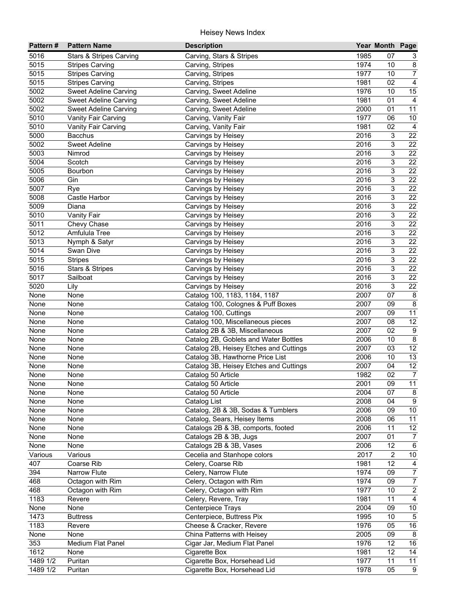| Pattern#          | <b>Pattern Name</b>          | <b>Description</b>                     |      | Year Month Page |                  |
|-------------------|------------------------------|----------------------------------------|------|-----------------|------------------|
| 5016              | Stars & Stripes Carving      | Carving, Stars & Stripes               | 1985 | 07              | 3                |
| 5015              | <b>Stripes Carving</b>       | Carving, Stripes                       | 1974 | 10              | $\bf 8$          |
| 5015              | <b>Stripes Carving</b>       | Carving, Stripes                       | 1977 | 10              | $\overline{7}$   |
| 5015              | <b>Stripes Carving</b>       | Carving, Stripes                       | 1981 | 02              | $\overline{4}$   |
| 5002              | <b>Sweet Adeline Carving</b> | Carving, Sweet Adeline                 | 1976 | 10              | 15               |
| 5002              | Sweet Adeline Carving        | Carving, Sweet Adeline                 | 1981 | 01              | $\overline{4}$   |
| 5002              | <b>Sweet Adeline Carving</b> | Carving, Sweet Adeline                 | 2000 | 01              | $\overline{11}$  |
| 5010              | Vanity Fair Carving          | Carving, Vanity Fair                   | 1977 | 06              | $10\,$           |
| $50\overline{10}$ | Vanity Fair Carving          | Carving, Vanity Fair                   | 1981 | 02              | $\overline{4}$   |
| 5000              | <b>Bacchus</b>               | Carvings by Heisey                     | 2016 | $\sqrt{3}$      | 22               |
| 5002              | <b>Sweet Adeline</b>         | Carvings by Heisey                     | 2016 | 3               | 22               |
| 5003              | Nimrod                       | Carvings by Heisey                     | 2016 | 3               | 22               |
| 5004              | Scotch                       | Carvings by Heisey                     | 2016 | 3               | 22               |
| 5005              | Bourbon                      | Carvings by Heisey                     | 2016 | 3               | 22               |
| 5006              | Gin                          | Carvings by Heisey                     | 2016 | 3               | 22               |
| 5007              | Rye                          | Carvings by Heisey                     | 2016 | 3               | 22               |
| 5008              | Castle Harbor                | Carvings by Heisey                     | 2016 | 3               | 22               |
| 5009              | Diana                        | Carvings by Heisey                     | 2016 | 3               | 22               |
| 5010              | Vanity Fair                  | Carvings by Heisey                     | 2016 | 3               | 22               |
| 5011              | Chevy Chase                  | Carvings by Heisey                     | 2016 | 3               | 22               |
| 5012              | Amfulula Tree                | Carvings by Heisey                     | 2016 | 3               | 22               |
| 5013              | Nymph & Satyr                | Carvings by Heisey                     | 2016 | 3               | 22               |
| 5014              | Swan Dive                    | Carvings by Heisey                     | 2016 | 3               | 22               |
| 5015              | <b>Stripes</b>               | Carvings by Heisey                     | 2016 | 3               | 22               |
| 5016              | <b>Stars &amp; Stripes</b>   | Carvings by Heisey                     | 2016 | 3               | 22               |
| 5017              | Sailboat                     | Carvings by Heisey                     | 2016 | 3               | 22               |
| 5020              | Lily                         | Carvings by Heisey                     | 2016 | 3               | 22               |
| None              | None                         | Catalog 100, 1183, 1184, 1187          | 2007 | 07              | 8                |
| None              | None                         | Catalog 100, Colognes & Puff Boxes     | 2007 | 09              | $\overline{8}$   |
| None              | None                         | Catalog 100, Cuttings                  | 2007 | 09              | 11               |
| None              | None                         | Catalog 100, Miscellaneous pieces      | 2007 | 08              | 12               |
| None              | None                         | Catalog 2B & 3B, Miscellaneous         | 2007 | 02              | $\boldsymbol{9}$ |
| None              | None                         | Catalog 2B, Goblets and Water Bottles  | 2006 | 10              | $\overline{8}$   |
| None              | None                         | Catalog 2B, Heisey Etches and Cuttings | 2007 | 03              | 12               |
| None              | None                         | Catalog 3B, Hawthorne Price List       | 2006 | 10              | 13               |
| None              | None                         | Catalog 3B, Heisey Etches and Cuttings | 2007 | 04              | 12               |
| None              | None                         | Catalog 50 Article                     | 1982 | 02              | $\overline{7}$   |
| None              | None                         | Catalog 50 Article                     | 2001 | $\overline{09}$ | $\overline{11}$  |
| None              | None                         | Catalog 50 Article                     | 2004 | 07              | 8                |
| None              | None                         | Catalog List                           | 2008 | 04              | 9                |
| None              | None                         | Catalog, 2B & 3B, Sodas & Tumblers     | 2006 | 09              | 10               |
| None              | None                         | Catalog, Sears, Heisey Items           | 2008 | 06              | 11               |
| None              | None                         | Catalogs 2B & 3B, comports, footed     | 2006 | 11              | 12               |
| None              | None                         | Catalogs 2B & 3B, Jugs                 | 2007 | 01              | $\overline{7}$   |
| None              | None                         | Catalogs 2B & 3B, Vases                | 2006 | 12              | $\,6\,$          |
| Various           | Various                      | Cecelia and Stanhope colors            | 2017 | $\overline{2}$  | $10\,$           |
| 407               | Coarse Rib                   | Celery, Coarse Rib                     | 1981 | 12              | $\overline{4}$   |
| 394               | Narrow Flute                 | Celery, Narrow Flute                   | 1974 | 09              | $\overline{7}$   |
| 468               | Octagon with Rim             | Celery, Octagon with Rim               | 1974 | 09              | $\boldsymbol{7}$ |
| 468               | Octagon with Rim             | Celery, Octagon with Rim               | 1977 | 10              | $\overline{2}$   |
| 1183              | Revere                       | Celery, Revere, Tray                   | 1981 | 11              | $\overline{4}$   |
| None              | None                         | Centerpiece Trays                      | 2004 | 09              | $10\,$           |
| 1473              | <b>Buttress</b>              | Centerpiece, Buttress Pix              | 1995 | 10              | $\overline{5}$   |
| 1183              | Revere                       | Cheese & Cracker, Revere               | 1976 | 05              | 16               |
| None              | None                         | China Patterns with Heisey             | 2005 | 09              | 8                |
| 353               | Medium Flat Panel            | Cigar Jar, Medium Flat Panel           | 1976 | $\overline{12}$ | 16               |
| 1612              | None                         | Cigarette Box                          | 1981 | 12              | $\overline{14}$  |
| 1489 1/2          | Puritan                      | Cigarette Box, Horsehead Lid           | 1977 | 11              | 11               |
| 1489 1/2          | Puritan                      | Cigarette Box, Horsehead Lid           | 1978 | $\overline{05}$ | $\overline{9}$   |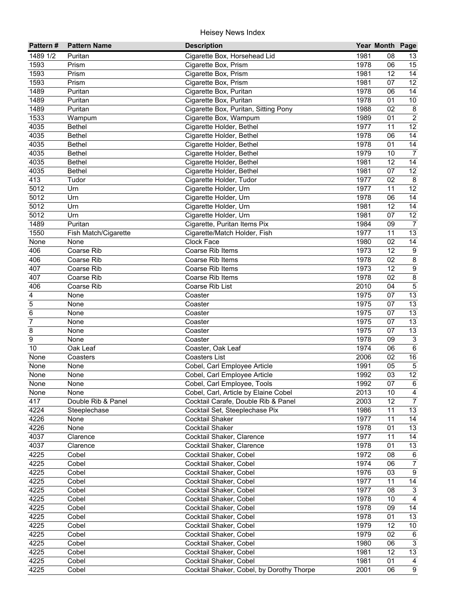| Pattern#       | <b>Pattern Name</b>  | <b>Description</b>                        |              | Year Month Page |                         |
|----------------|----------------------|-------------------------------------------|--------------|-----------------|-------------------------|
| 1489 1/2       | Puritan              | Cigarette Box, Horsehead Lid              | 1981         | 08              | 13                      |
| 1593           | Prism                | Cigarette Box, Prism                      | 1978         | 06              | 15                      |
| 1593           | Prism                | Cigarette Box, Prism                      | 1981         | 12              | 14                      |
| 1593           | Prism                | Cigarette Box, Prism                      | 1981         | 07              | $\overline{12}$         |
| 1489           | Puritan              | Cigarette Box, Puritan                    | 1978         | 06              | $\overline{14}$         |
| 1489           | Puritan              | Cigarette Box, Puritan                    | 1978         | 01              | $10\,$                  |
| 1489           | Puritan              | Cigarette Box, Puritan, Sitting Pony      | 1988         | 02              | 8                       |
| 1533           | Wampum               | Cigarette Box, Wampum                     | 1989         | 01              | $\overline{2}$          |
| 4035           | <b>Bethel</b>        | Cigarette Holder, Bethel                  | 1977         | 11              | $\overline{12}$         |
| 4035           | <b>Bethel</b>        | Cigarette Holder, Bethel                  | 1978         | 06              | 14                      |
| 4035           | <b>Bethel</b>        | Cigarette Holder, Bethel                  | 1978         | 01              | 14                      |
| 4035           | <b>Bethel</b>        | Cigarette Holder, Bethel                  | 1979         | 10              | $\overline{7}$          |
| 4035           | <b>Bethel</b>        | Cigarette Holder, Bethel                  | 1981         | 12              | 14                      |
| 4035           | <b>Bethel</b>        | Cigarette Holder, Bethel                  | 1981         | 07              | 12                      |
| 413            | Tudor                | Cigarette Holder, Tudor                   | 1977         | 02              | 8                       |
| 5012           | Urn                  | Cigarette Holder, Urn                     | 1977         | 11              | 12                      |
| 5012           | Urn                  | Cigarette Holder, Urn                     | 1978         | 06              | 14                      |
| 5012           | Urn                  | Cigarette Holder, Urn                     | 1981         | 12              | 14                      |
| 5012           | Urn                  | Cigarette Holder, Urn                     | 1981         | 07              | 12                      |
| 1489           | Puritan              | Cigarette, Puritan Items Pix              | 1984         | 09              | $\overline{7}$          |
| 1550           | Fish Match/Cigarette | Cigarette/Match Holder, Fish              | 1977         | 11              | 13                      |
| None           | None                 | Clock Face                                | 1980         | 02              | 14                      |
| 406            | Coarse Rib           | Coarse Rib Items                          | 1973         | 12              | $\boldsymbol{9}$        |
| 406            | Coarse Rib           | Coarse Rib Items                          | 1978         | 02              | $\bf 8$                 |
| 407            | Coarse Rib           | Coarse Rib Items                          | 1973         | 12              | 9                       |
| 407            | Coarse Rib           | Coarse Rib Items                          | 1978         | 02              | $\,8\,$                 |
| 406            | Coarse Rib           | Coarse Rib List                           | 2010         | 04              | $\sqrt{5}$              |
| 4<br>5         | None                 | Coaster                                   | 1975<br>1975 | 07<br>07        | 13<br>13                |
| 6              | None<br>None         | Coaster<br>Coaster                        | 1975         | 07              | 13                      |
| $\overline{7}$ | None                 | Coaster                                   | 1975         | 07              | 13                      |
| 8              | None                 | Coaster                                   | 1975         | 07              | 13                      |
| $\overline{9}$ | None                 | Coaster                                   | 1978         | 09              | $\mathbf{3}$            |
| 10             | Oak Leaf             | Coaster, Oak Leaf                         | 1974         | 06              | 6                       |
| None           | Coasters             | <b>Coasters List</b>                      | 2006         | 02              | $\overline{16}$         |
| None           | None                 | Cobel, Carl Employee Article              | 1991         | 05              | $\overline{5}$          |
| None           | None                 | Cobel, Carl Employee Article              | 1992         | 03              | $\overline{12}$         |
| None           | None                 | Cobel, Carl Employee, Tools               | 1992         | $\overline{07}$ | $\overline{6}$          |
| None           | None                 | Cobel, Carl, Article by Elaine Cobel      | 2013         | 10              | $\overline{\mathbf{4}}$ |
| 417            | Double Rib & Panel   | Cocktail Carafe, Double Rib & Panel       | 2003         | 12              | $\overline{7}$          |
| 4224           | Steeplechase         | Cocktail Set, Steeplechase Pix            | 1986         | 11              | 13                      |
| 4226           | None                 | Cocktail Shaker                           | 1977         | 11              | 14                      |
| 4226           | None                 | Cocktail Shaker                           | 1978         | 01              | 13                      |
| 4037           | Clarence             | Cocktail Shaker, Clarence                 | 1977         | 11              | 14                      |
| 4037           | Clarence             | Cocktail Shaker, Clarence                 | 1978         | 01              | 13                      |
| 4225           | Cobel                | Cocktail Shaker, Cobel                    | 1972         | 08              | $\,6\,$                 |
| 4225           | Cobel                | Cocktail Shaker, Cobel                    | 1974         | 06              | $\boldsymbol{7}$        |
| 4225           | Cobel                | Cocktail Shaker, Cobel                    | 1976         | 03              | $\boldsymbol{9}$        |
| 4225           | Cobel                | Cocktail Shaker, Cobel                    | 1977         | 11              | 14                      |
| 4225           | Cobel                | Cocktail Shaker, Cobel                    | 1977         | 08              | $\mathbf{3}$            |
| 4225           | Cobel                | Cocktail Shaker, Cobel                    | 1978         | 10              | $\overline{4}$          |
| 4225           | Cobel                | Cocktail Shaker, Cobel                    | 1978         | 09              | 14                      |
| 4225           | Cobel                | Cocktail Shaker, Cobel                    | 1978         | 01              | $\overline{13}$         |
| 4225           | Cobel                | Cocktail Shaker, Cobel                    | 1979         | 12              | 10 <sub>1</sub>         |
| 4225           | Cobel                | Cocktail Shaker, Cobel                    | 1979         | 02              | 6                       |
| 4225           | Cobel                | Cocktail Shaker, Cobel                    | 1980         | 06              | $\mathbf{3}$            |
| 4225           | Cobel                | Cocktail Shaker, Cobel                    | 1981         | 12              | 13                      |
| 4225           | Cobel                | Cocktail Shaker, Cobel                    | 1981         | 01              | 4                       |
| 4225           | Cobel                | Cocktail Shaker, Cobel, by Dorothy Thorpe | 2001         | 06              | $\overline{9}$          |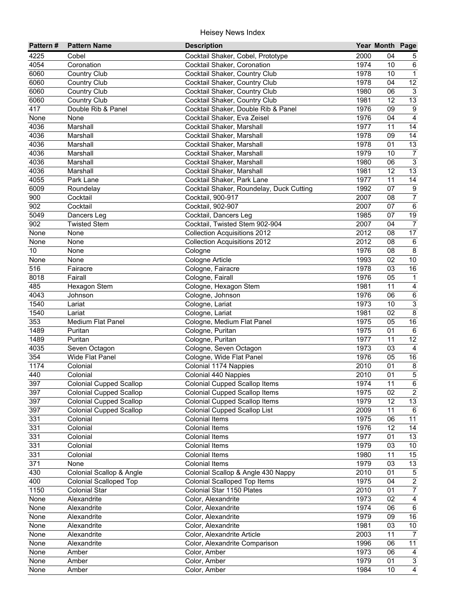| Pattern# | <b>Pattern Name</b>            | <b>Description</b>                       |      | Year Month Page |                           |
|----------|--------------------------------|------------------------------------------|------|-----------------|---------------------------|
| 4225     | Cobel                          | Cocktail Shaker, Cobel, Prototype        | 2000 | 04              | 5                         |
| 4054     | Coronation                     | Cocktail Shaker, Coronation              | 1974 | 10              | 6                         |
| 6060     | Country Club                   | Cocktail Shaker, Country Club            | 1978 | 10              | $\mathbf{1}$              |
| 6060     | <b>Country Club</b>            | Cocktail Shaker, Country Club            | 1978 | 04              | 12                        |
| 6060     | <b>Country Club</b>            | Cocktail Shaker, Country Club            | 1980 | 06              | $\overline{3}$            |
| 6060     | <b>Country Club</b>            | Cocktail Shaker, Country Club            | 1981 | 12              | $\overline{13}$           |
| 417      | Double Rib & Panel             | Cocktail Shaker, Double Rib & Panel      | 1976 | 09              | $\overline{9}$            |
| None     | None                           | Cocktail Shaker, Eva Zeisel              | 1976 | $\overline{04}$ | $\overline{4}$            |
| 4036     | Marshall                       | Cocktail Shaker, Marshall                | 1977 | 11              | 14                        |
| 4036     | Marshall                       | Cocktail Shaker, Marshall                | 1978 | 09              | 14                        |
| 4036     | Marshall                       | Cocktail Shaker, Marshall                | 1978 | 01              | $\overline{13}$           |
| 4036     | Marshall                       | Cocktail Shaker, Marshall                | 1979 | 10              | $\boldsymbol{7}$          |
| 4036     | Marshall                       | Cocktail Shaker, Marshall                | 1980 | 06              | $\overline{3}$            |
| 4036     | Marshall                       | Cocktail Shaker, Marshall                | 1981 | 12              | 13                        |
| 4055     | Park Lane                      | Cocktail Shaker, Park Lane               | 1977 | 11              | 14                        |
| 6009     | Roundelay                      | Cocktail Shaker, Roundelay, Duck Cutting | 1992 | 07              | $\boldsymbol{9}$          |
| 900      | Cocktail                       | Cocktail, 900-917                        | 2007 | 08              | $\overline{7}$            |
| 902      | Cocktail                       | Cocktail, 902-907                        | 2007 | 07              | $\,6\,$                   |
| 5049     | Dancers Leg                    | Cocktail, Dancers Leg                    | 1985 | 07              | 19                        |
| 902      | <b>Twisted Stem</b>            | Cocktail, Twisted Stem 902-904           | 2007 | 04              | $\overline{7}$            |
| None     | None                           | <b>Collection Acquisitions 2012</b>      | 2012 | 08              | 17                        |
| None     | None                           | <b>Collection Acquisitions 2012</b>      | 2012 | 08              | $\,6\,$                   |
| 10       | None                           | Cologne                                  | 1976 | 08              | $\overline{8}$            |
| None     | None                           | Cologne Article                          | 1993 | 02              | $10$                      |
| 516      | Fairacre                       | Cologne, Fairacre                        | 1978 | 03              | 16                        |
| 8018     | Fairall                        | Cologne, Fairall                         | 1976 | 05              | $\mathbf{1}$              |
| 485      | Hexagon Stem                   | Cologne, Hexagon Stem                    | 1981 | 11              | $\overline{4}$            |
| 4043     | Johnson                        | Cologne, Johnson                         | 1976 | 06              | $\overline{6}$            |
| 1540     | Lariat                         | Cologne, Lariat                          | 1973 | 10              | $\overline{3}$            |
| 1540     | Lariat                         | Cologne, Lariat                          | 1981 | 02              | $\overline{8}$            |
| 353      | Medium Flat Panel              | Cologne, Medium Flat Panel               | 1975 | 05              | 16                        |
| 1489     | Puritan                        | Cologne, Puritan                         | 1975 | 01              | $\,6\,$                   |
| 1489     | Puritan                        | Cologne, Puritan                         | 1977 | 11              | $\overline{12}$           |
| 4035     | Seven Octagon                  | Cologne, Seven Octagon                   | 1973 | 03              | $\overline{4}$            |
| 354      | Wide Flat Panel                | Cologne, Wide Flat Panel                 | 1976 | 05              | 16                        |
| 1174     | Colonial                       | Colonial 1174 Nappies                    | 2010 | 01              |                           |
| 440      | Colonial                       | Colonial 440 Nappies                     | 2010 | 01              | $\frac{8}{5}$             |
| 397      | Colonial Cupped Scallop        | Colonial Cupped Scallop Items            | 1974 | 11              | $\,6\,$                   |
| 397      | <b>Colonial Cupped Scallop</b> | <b>Colonial Cupped Scallop Items</b>     | 1975 | 02              | $\overline{2}$            |
| 397      | <b>Colonial Cupped Scallop</b> | <b>Colonial Cupped Scallop Items</b>     | 1979 | 12              | 13                        |
| 397      | <b>Colonial Cupped Scallop</b> | <b>Colonial Cupped Scallop List</b>      | 2009 | 11              | 6                         |
| 331      | Colonial                       | <b>Colonial Items</b>                    | 1975 | 06              | 11                        |
| 331      | Colonial                       | <b>Colonial Items</b>                    | 1976 | 12              | 14                        |
| 331      | Colonial                       | <b>Colonial Items</b>                    | 1977 | 01              | 13                        |
| 331      | Colonial                       | <b>Colonial Items</b>                    | 1979 | 03              | 10                        |
| 331      | Colonial                       | <b>Colonial Items</b>                    | 1980 | 11              | 15                        |
| 371      | None                           | <b>Colonial Items</b>                    | 1979 | 03              | 13                        |
| 430      | Colonial Scallop & Angle       | Colonial Scallop & Angle 430 Nappy       | 2010 | 01              | $\mathbf 5$               |
| 400      | <b>Colonial Scalloped Top</b>  | <b>Colonial Scalloped Top Items</b>      | 1975 | 04              | $\overline{2}$            |
| 1150     | <b>Colonial Star</b>           | Colonial Star 1150 Plates                | 2010 | 01              | $\overline{7}$            |
| None     | Alexandrite                    | Color, Alexandrite                       | 1973 | 02              | $\overline{4}$            |
| None     | Alexandrite                    | Color, Alexandrite                       | 1974 | 06              | 6                         |
| None     | Alexandrite                    | Color, Alexandrite                       | 1979 | 09              | 16                        |
| None     | Alexandrite                    | Color, Alexandrite                       | 1981 | 03              | 10                        |
| None     | Alexandrite                    | Color, Alexandrite Article               | 2003 | 11              | $\overline{7}$            |
| None     | Alexandrite                    | Color, Alexandrite Comparison            | 1996 | 06              | $\overline{11}$           |
| None     | Amber                          | Color, Amber                             | 1973 | 06              | 4                         |
| None     | Amber                          | Color, Amber                             | 1979 | 01              | $\ensuremath{\mathsf{3}}$ |
| None     | Amber                          | Color, Amber                             | 1984 | 10              | $\overline{4}$            |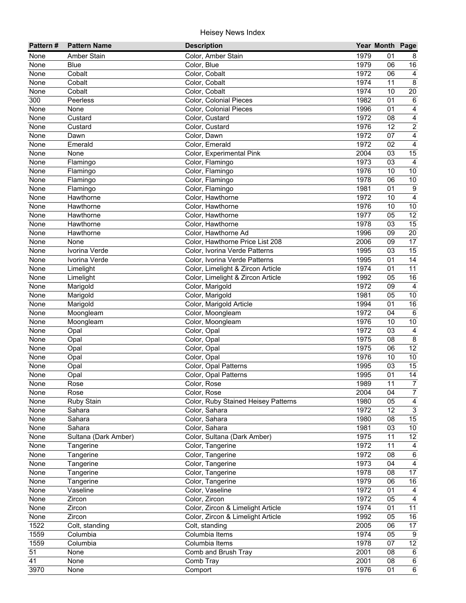| 1979<br>None<br>Amber Stain<br>Color, Amber Stain<br>01<br>8<br>1979<br>16<br>None<br>Color, Blue<br>06<br>Blue<br>1972<br>Color, Cobalt<br>06<br>None<br>Cobalt<br>$\overline{4}$<br>$\overline{8}$<br>Color, Cobalt<br>1974<br>11<br>None<br>Cobalt<br>1974<br>Color, Cobalt<br>10<br>20<br>None<br>Cobalt<br>300<br>Color, Colonial Pieces<br>1982<br>01<br>Peerless<br>$\,6\,$<br>1996<br>None<br>Color, Colonial Pieces<br>01<br>4<br>None<br>Color, Custard<br>1972<br>None<br>Custard<br>08<br>4<br>1976<br>$\overline{12}$<br>2<br>None<br>Custard<br>Color, Custard<br>1972<br>$\overline{4}$<br>07<br>None<br>Color, Dawn<br>Dawn<br>1972<br>02<br>$\overline{4}$<br>None<br>Emerald<br>Color, Emerald<br>2004<br>03<br>None<br>None<br>Color, Experimental Pink<br>15<br>1973<br>03<br>None<br>Color, Flamingo<br>$\overline{a}$<br>Flamingo<br>Color, Flamingo<br>1976<br>10<br>10<br>None<br>Flamingo<br>Color, Flamingo<br>1978<br>06<br>$10$<br>None<br>Flamingo<br>1981<br>None<br>Color, Flamingo<br>01<br>9<br>Flamingo<br>1972<br>None<br>Hawthorne<br>Color, Hawthorne<br>10<br>4<br>1976<br>10<br>10<br>None<br>Hawthorne<br>Color, Hawthorne<br>12<br>1977<br>05<br>None<br>Color, Hawthorne<br>Hawthorne<br>Color, Hawthorne<br>1978<br>15<br>Hawthorne<br>03<br>None<br>20<br>1996<br>09<br>None<br>Hawthorne<br>Color, Hawthorne Ad<br>2006<br>09<br>17<br>None<br>Color, Hawthorne Price List 208<br>None<br>1995<br>03<br>15<br>None<br>Ivorina Verde<br>Color, Ivorina Verde Patterns<br>1995<br>14<br>None<br>Ivorina Verde<br>Color, Ivorina Verde Patterns<br>01<br>1974<br>11<br>Color, Limelight & Zircon Article<br>01<br>None<br>Limelight<br>1992<br>05<br>16<br>None<br>Limelight<br>Color, Limelight & Zircon Article<br>1972<br>Color, Marigold<br>09<br>None<br>Marigold<br>$\overline{4}$<br>Color, Marigold<br>1981<br>05<br>10<br>None<br>Marigold<br>Color, Marigold Article<br>1994<br>01<br>16<br>None<br>Marigold<br>Color, Moongleam<br>1972<br>$\,6\,$<br>None<br>04<br>Moongleam<br>Color, Moongleam<br>1976<br>$10$<br>None<br>Moongleam<br>10<br>1972<br>None<br>Color, Opal<br>03<br>$\overline{a}$<br>Opal<br>Color, Opal<br>1975<br>None<br>08<br>8<br>Opal<br>$\overline{12}$<br>1975<br>06<br>None<br>Color, Opal<br>Opal<br>1976<br>$\overline{10}$<br>10<br>None<br>Color, Opal<br>Opal<br>Color, Opal Patterns<br>1995<br>15<br>None<br>03<br>Opal<br>14<br>Color, Opal Patterns<br>1995<br>01<br>None<br>Opal<br>1989<br>11<br>$\overline{7}$<br>None<br>Color, Rose<br>Rose<br>$\boldsymbol{7}$<br>2004<br>Color, Rose<br>04<br>None<br>Rose<br>Color, Ruby Stained Heisey Patterns<br>1980<br>05<br>$\overline{4}$<br>None<br><b>Ruby Stain</b><br>$\overline{3}$<br>1972<br>12<br>None<br>Color, Sahara<br>Sahara<br>Color, Sahara<br>15<br>1980<br>08<br>None<br>Sahara<br>Color, Sahara<br>1981<br>03<br>10<br>None<br>Sahara<br>Color, Sultana (Dark Amber)<br>1975<br>12<br>None<br>Sultana (Dark Amber)<br>11<br>Color, Tangerine<br>1972<br>None<br>11<br>Tangerine<br>4<br>None<br>Tangerine<br>Color, Tangerine<br>1972<br>$\,6\,$<br>08<br>Color, Tangerine<br>1973<br>04<br>$\overline{4}$<br>None<br>Tangerine<br>Color, Tangerine<br>1978<br>17<br>None<br>Tangerine<br>08<br>1979<br>16<br>None<br>Tangerine<br>Color, Tangerine<br>06<br>1972<br>None<br>Vaseline<br>Color, Vaseline<br>01<br>4<br>Color, Zircon<br>1972<br>None<br>Zircon<br>05<br>4<br>Color, Zircon & Limelight Article<br>1974<br>11<br>None<br>Zircon<br>01<br>1992<br>05<br>16<br>None<br>Zircon<br>Color, Zircon & Limelight Article<br>1522<br>Colt, standing<br>2005<br>17<br>Colt, standing<br>06<br>1559<br>1974<br>Columbia Items<br>05<br>Columbia<br>9<br>1559<br>$\overline{12}$<br>Columbia Items<br>1978<br>07<br>Columbia<br>51<br>Comb and Brush Tray<br>2001<br>08<br>None<br>6<br>41<br>2001<br>None<br>Comb Tray<br>08<br>$6\phantom{.}6$<br>1976 | Pattern# | <b>Pattern Name</b> | <b>Description</b> | Year Month Page |                |
|-----------------------------------------------------------------------------------------------------------------------------------------------------------------------------------------------------------------------------------------------------------------------------------------------------------------------------------------------------------------------------------------------------------------------------------------------------------------------------------------------------------------------------------------------------------------------------------------------------------------------------------------------------------------------------------------------------------------------------------------------------------------------------------------------------------------------------------------------------------------------------------------------------------------------------------------------------------------------------------------------------------------------------------------------------------------------------------------------------------------------------------------------------------------------------------------------------------------------------------------------------------------------------------------------------------------------------------------------------------------------------------------------------------------------------------------------------------------------------------------------------------------------------------------------------------------------------------------------------------------------------------------------------------------------------------------------------------------------------------------------------------------------------------------------------------------------------------------------------------------------------------------------------------------------------------------------------------------------------------------------------------------------------------------------------------------------------------------------------------------------------------------------------------------------------------------------------------------------------------------------------------------------------------------------------------------------------------------------------------------------------------------------------------------------------------------------------------------------------------------------------------------------------------------------------------------------------------------------------------------------------------------------------------------------------------------------------------------------------------------------------------------------------------------------------------------------------------------------------------------------------------------------------------------------------------------------------------------------------------------------------------------------------------------------------------------------------------------------------------------------------------------------------------------------------------------------------------------------------------------------------------------------------------------------------------------------------------------------------------------------------------------------------------------------------------------------------------------------------------------------------------------------------------------------------------------------------------------------------------------------------------------------------------------------------------------------------------------------------------------------------------------------------------------------------------------------------------------------------------------------------------------------------------------------|----------|---------------------|--------------------|-----------------|----------------|
|                                                                                                                                                                                                                                                                                                                                                                                                                                                                                                                                                                                                                                                                                                                                                                                                                                                                                                                                                                                                                                                                                                                                                                                                                                                                                                                                                                                                                                                                                                                                                                                                                                                                                                                                                                                                                                                                                                                                                                                                                                                                                                                                                                                                                                                                                                                                                                                                                                                                                                                                                                                                                                                                                                                                                                                                                                                                                                                                                                                                                                                                                                                                                                                                                                                                                                                                                                                                                                                                                                                                                                                                                                                                                                                                                                                                                                                                                                                       |          |                     |                    |                 |                |
|                                                                                                                                                                                                                                                                                                                                                                                                                                                                                                                                                                                                                                                                                                                                                                                                                                                                                                                                                                                                                                                                                                                                                                                                                                                                                                                                                                                                                                                                                                                                                                                                                                                                                                                                                                                                                                                                                                                                                                                                                                                                                                                                                                                                                                                                                                                                                                                                                                                                                                                                                                                                                                                                                                                                                                                                                                                                                                                                                                                                                                                                                                                                                                                                                                                                                                                                                                                                                                                                                                                                                                                                                                                                                                                                                                                                                                                                                                                       |          |                     |                    |                 |                |
|                                                                                                                                                                                                                                                                                                                                                                                                                                                                                                                                                                                                                                                                                                                                                                                                                                                                                                                                                                                                                                                                                                                                                                                                                                                                                                                                                                                                                                                                                                                                                                                                                                                                                                                                                                                                                                                                                                                                                                                                                                                                                                                                                                                                                                                                                                                                                                                                                                                                                                                                                                                                                                                                                                                                                                                                                                                                                                                                                                                                                                                                                                                                                                                                                                                                                                                                                                                                                                                                                                                                                                                                                                                                                                                                                                                                                                                                                                                       |          |                     |                    |                 |                |
|                                                                                                                                                                                                                                                                                                                                                                                                                                                                                                                                                                                                                                                                                                                                                                                                                                                                                                                                                                                                                                                                                                                                                                                                                                                                                                                                                                                                                                                                                                                                                                                                                                                                                                                                                                                                                                                                                                                                                                                                                                                                                                                                                                                                                                                                                                                                                                                                                                                                                                                                                                                                                                                                                                                                                                                                                                                                                                                                                                                                                                                                                                                                                                                                                                                                                                                                                                                                                                                                                                                                                                                                                                                                                                                                                                                                                                                                                                                       |          |                     |                    |                 |                |
|                                                                                                                                                                                                                                                                                                                                                                                                                                                                                                                                                                                                                                                                                                                                                                                                                                                                                                                                                                                                                                                                                                                                                                                                                                                                                                                                                                                                                                                                                                                                                                                                                                                                                                                                                                                                                                                                                                                                                                                                                                                                                                                                                                                                                                                                                                                                                                                                                                                                                                                                                                                                                                                                                                                                                                                                                                                                                                                                                                                                                                                                                                                                                                                                                                                                                                                                                                                                                                                                                                                                                                                                                                                                                                                                                                                                                                                                                                                       |          |                     |                    |                 |                |
|                                                                                                                                                                                                                                                                                                                                                                                                                                                                                                                                                                                                                                                                                                                                                                                                                                                                                                                                                                                                                                                                                                                                                                                                                                                                                                                                                                                                                                                                                                                                                                                                                                                                                                                                                                                                                                                                                                                                                                                                                                                                                                                                                                                                                                                                                                                                                                                                                                                                                                                                                                                                                                                                                                                                                                                                                                                                                                                                                                                                                                                                                                                                                                                                                                                                                                                                                                                                                                                                                                                                                                                                                                                                                                                                                                                                                                                                                                                       |          |                     |                    |                 |                |
|                                                                                                                                                                                                                                                                                                                                                                                                                                                                                                                                                                                                                                                                                                                                                                                                                                                                                                                                                                                                                                                                                                                                                                                                                                                                                                                                                                                                                                                                                                                                                                                                                                                                                                                                                                                                                                                                                                                                                                                                                                                                                                                                                                                                                                                                                                                                                                                                                                                                                                                                                                                                                                                                                                                                                                                                                                                                                                                                                                                                                                                                                                                                                                                                                                                                                                                                                                                                                                                                                                                                                                                                                                                                                                                                                                                                                                                                                                                       |          |                     |                    |                 |                |
|                                                                                                                                                                                                                                                                                                                                                                                                                                                                                                                                                                                                                                                                                                                                                                                                                                                                                                                                                                                                                                                                                                                                                                                                                                                                                                                                                                                                                                                                                                                                                                                                                                                                                                                                                                                                                                                                                                                                                                                                                                                                                                                                                                                                                                                                                                                                                                                                                                                                                                                                                                                                                                                                                                                                                                                                                                                                                                                                                                                                                                                                                                                                                                                                                                                                                                                                                                                                                                                                                                                                                                                                                                                                                                                                                                                                                                                                                                                       |          |                     |                    |                 |                |
|                                                                                                                                                                                                                                                                                                                                                                                                                                                                                                                                                                                                                                                                                                                                                                                                                                                                                                                                                                                                                                                                                                                                                                                                                                                                                                                                                                                                                                                                                                                                                                                                                                                                                                                                                                                                                                                                                                                                                                                                                                                                                                                                                                                                                                                                                                                                                                                                                                                                                                                                                                                                                                                                                                                                                                                                                                                                                                                                                                                                                                                                                                                                                                                                                                                                                                                                                                                                                                                                                                                                                                                                                                                                                                                                                                                                                                                                                                                       |          |                     |                    |                 |                |
|                                                                                                                                                                                                                                                                                                                                                                                                                                                                                                                                                                                                                                                                                                                                                                                                                                                                                                                                                                                                                                                                                                                                                                                                                                                                                                                                                                                                                                                                                                                                                                                                                                                                                                                                                                                                                                                                                                                                                                                                                                                                                                                                                                                                                                                                                                                                                                                                                                                                                                                                                                                                                                                                                                                                                                                                                                                                                                                                                                                                                                                                                                                                                                                                                                                                                                                                                                                                                                                                                                                                                                                                                                                                                                                                                                                                                                                                                                                       |          |                     |                    |                 |                |
|                                                                                                                                                                                                                                                                                                                                                                                                                                                                                                                                                                                                                                                                                                                                                                                                                                                                                                                                                                                                                                                                                                                                                                                                                                                                                                                                                                                                                                                                                                                                                                                                                                                                                                                                                                                                                                                                                                                                                                                                                                                                                                                                                                                                                                                                                                                                                                                                                                                                                                                                                                                                                                                                                                                                                                                                                                                                                                                                                                                                                                                                                                                                                                                                                                                                                                                                                                                                                                                                                                                                                                                                                                                                                                                                                                                                                                                                                                                       |          |                     |                    |                 |                |
|                                                                                                                                                                                                                                                                                                                                                                                                                                                                                                                                                                                                                                                                                                                                                                                                                                                                                                                                                                                                                                                                                                                                                                                                                                                                                                                                                                                                                                                                                                                                                                                                                                                                                                                                                                                                                                                                                                                                                                                                                                                                                                                                                                                                                                                                                                                                                                                                                                                                                                                                                                                                                                                                                                                                                                                                                                                                                                                                                                                                                                                                                                                                                                                                                                                                                                                                                                                                                                                                                                                                                                                                                                                                                                                                                                                                                                                                                                                       |          |                     |                    |                 |                |
|                                                                                                                                                                                                                                                                                                                                                                                                                                                                                                                                                                                                                                                                                                                                                                                                                                                                                                                                                                                                                                                                                                                                                                                                                                                                                                                                                                                                                                                                                                                                                                                                                                                                                                                                                                                                                                                                                                                                                                                                                                                                                                                                                                                                                                                                                                                                                                                                                                                                                                                                                                                                                                                                                                                                                                                                                                                                                                                                                                                                                                                                                                                                                                                                                                                                                                                                                                                                                                                                                                                                                                                                                                                                                                                                                                                                                                                                                                                       |          |                     |                    |                 |                |
|                                                                                                                                                                                                                                                                                                                                                                                                                                                                                                                                                                                                                                                                                                                                                                                                                                                                                                                                                                                                                                                                                                                                                                                                                                                                                                                                                                                                                                                                                                                                                                                                                                                                                                                                                                                                                                                                                                                                                                                                                                                                                                                                                                                                                                                                                                                                                                                                                                                                                                                                                                                                                                                                                                                                                                                                                                                                                                                                                                                                                                                                                                                                                                                                                                                                                                                                                                                                                                                                                                                                                                                                                                                                                                                                                                                                                                                                                                                       |          |                     |                    |                 |                |
|                                                                                                                                                                                                                                                                                                                                                                                                                                                                                                                                                                                                                                                                                                                                                                                                                                                                                                                                                                                                                                                                                                                                                                                                                                                                                                                                                                                                                                                                                                                                                                                                                                                                                                                                                                                                                                                                                                                                                                                                                                                                                                                                                                                                                                                                                                                                                                                                                                                                                                                                                                                                                                                                                                                                                                                                                                                                                                                                                                                                                                                                                                                                                                                                                                                                                                                                                                                                                                                                                                                                                                                                                                                                                                                                                                                                                                                                                                                       |          |                     |                    |                 |                |
|                                                                                                                                                                                                                                                                                                                                                                                                                                                                                                                                                                                                                                                                                                                                                                                                                                                                                                                                                                                                                                                                                                                                                                                                                                                                                                                                                                                                                                                                                                                                                                                                                                                                                                                                                                                                                                                                                                                                                                                                                                                                                                                                                                                                                                                                                                                                                                                                                                                                                                                                                                                                                                                                                                                                                                                                                                                                                                                                                                                                                                                                                                                                                                                                                                                                                                                                                                                                                                                                                                                                                                                                                                                                                                                                                                                                                                                                                                                       |          |                     |                    |                 |                |
|                                                                                                                                                                                                                                                                                                                                                                                                                                                                                                                                                                                                                                                                                                                                                                                                                                                                                                                                                                                                                                                                                                                                                                                                                                                                                                                                                                                                                                                                                                                                                                                                                                                                                                                                                                                                                                                                                                                                                                                                                                                                                                                                                                                                                                                                                                                                                                                                                                                                                                                                                                                                                                                                                                                                                                                                                                                                                                                                                                                                                                                                                                                                                                                                                                                                                                                                                                                                                                                                                                                                                                                                                                                                                                                                                                                                                                                                                                                       |          |                     |                    |                 |                |
|                                                                                                                                                                                                                                                                                                                                                                                                                                                                                                                                                                                                                                                                                                                                                                                                                                                                                                                                                                                                                                                                                                                                                                                                                                                                                                                                                                                                                                                                                                                                                                                                                                                                                                                                                                                                                                                                                                                                                                                                                                                                                                                                                                                                                                                                                                                                                                                                                                                                                                                                                                                                                                                                                                                                                                                                                                                                                                                                                                                                                                                                                                                                                                                                                                                                                                                                                                                                                                                                                                                                                                                                                                                                                                                                                                                                                                                                                                                       |          |                     |                    |                 |                |
|                                                                                                                                                                                                                                                                                                                                                                                                                                                                                                                                                                                                                                                                                                                                                                                                                                                                                                                                                                                                                                                                                                                                                                                                                                                                                                                                                                                                                                                                                                                                                                                                                                                                                                                                                                                                                                                                                                                                                                                                                                                                                                                                                                                                                                                                                                                                                                                                                                                                                                                                                                                                                                                                                                                                                                                                                                                                                                                                                                                                                                                                                                                                                                                                                                                                                                                                                                                                                                                                                                                                                                                                                                                                                                                                                                                                                                                                                                                       |          |                     |                    |                 |                |
|                                                                                                                                                                                                                                                                                                                                                                                                                                                                                                                                                                                                                                                                                                                                                                                                                                                                                                                                                                                                                                                                                                                                                                                                                                                                                                                                                                                                                                                                                                                                                                                                                                                                                                                                                                                                                                                                                                                                                                                                                                                                                                                                                                                                                                                                                                                                                                                                                                                                                                                                                                                                                                                                                                                                                                                                                                                                                                                                                                                                                                                                                                                                                                                                                                                                                                                                                                                                                                                                                                                                                                                                                                                                                                                                                                                                                                                                                                                       |          |                     |                    |                 |                |
|                                                                                                                                                                                                                                                                                                                                                                                                                                                                                                                                                                                                                                                                                                                                                                                                                                                                                                                                                                                                                                                                                                                                                                                                                                                                                                                                                                                                                                                                                                                                                                                                                                                                                                                                                                                                                                                                                                                                                                                                                                                                                                                                                                                                                                                                                                                                                                                                                                                                                                                                                                                                                                                                                                                                                                                                                                                                                                                                                                                                                                                                                                                                                                                                                                                                                                                                                                                                                                                                                                                                                                                                                                                                                                                                                                                                                                                                                                                       |          |                     |                    |                 |                |
|                                                                                                                                                                                                                                                                                                                                                                                                                                                                                                                                                                                                                                                                                                                                                                                                                                                                                                                                                                                                                                                                                                                                                                                                                                                                                                                                                                                                                                                                                                                                                                                                                                                                                                                                                                                                                                                                                                                                                                                                                                                                                                                                                                                                                                                                                                                                                                                                                                                                                                                                                                                                                                                                                                                                                                                                                                                                                                                                                                                                                                                                                                                                                                                                                                                                                                                                                                                                                                                                                                                                                                                                                                                                                                                                                                                                                                                                                                                       |          |                     |                    |                 |                |
|                                                                                                                                                                                                                                                                                                                                                                                                                                                                                                                                                                                                                                                                                                                                                                                                                                                                                                                                                                                                                                                                                                                                                                                                                                                                                                                                                                                                                                                                                                                                                                                                                                                                                                                                                                                                                                                                                                                                                                                                                                                                                                                                                                                                                                                                                                                                                                                                                                                                                                                                                                                                                                                                                                                                                                                                                                                                                                                                                                                                                                                                                                                                                                                                                                                                                                                                                                                                                                                                                                                                                                                                                                                                                                                                                                                                                                                                                                                       |          |                     |                    |                 |                |
|                                                                                                                                                                                                                                                                                                                                                                                                                                                                                                                                                                                                                                                                                                                                                                                                                                                                                                                                                                                                                                                                                                                                                                                                                                                                                                                                                                                                                                                                                                                                                                                                                                                                                                                                                                                                                                                                                                                                                                                                                                                                                                                                                                                                                                                                                                                                                                                                                                                                                                                                                                                                                                                                                                                                                                                                                                                                                                                                                                                                                                                                                                                                                                                                                                                                                                                                                                                                                                                                                                                                                                                                                                                                                                                                                                                                                                                                                                                       |          |                     |                    |                 |                |
|                                                                                                                                                                                                                                                                                                                                                                                                                                                                                                                                                                                                                                                                                                                                                                                                                                                                                                                                                                                                                                                                                                                                                                                                                                                                                                                                                                                                                                                                                                                                                                                                                                                                                                                                                                                                                                                                                                                                                                                                                                                                                                                                                                                                                                                                                                                                                                                                                                                                                                                                                                                                                                                                                                                                                                                                                                                                                                                                                                                                                                                                                                                                                                                                                                                                                                                                                                                                                                                                                                                                                                                                                                                                                                                                                                                                                                                                                                                       |          |                     |                    |                 |                |
|                                                                                                                                                                                                                                                                                                                                                                                                                                                                                                                                                                                                                                                                                                                                                                                                                                                                                                                                                                                                                                                                                                                                                                                                                                                                                                                                                                                                                                                                                                                                                                                                                                                                                                                                                                                                                                                                                                                                                                                                                                                                                                                                                                                                                                                                                                                                                                                                                                                                                                                                                                                                                                                                                                                                                                                                                                                                                                                                                                                                                                                                                                                                                                                                                                                                                                                                                                                                                                                                                                                                                                                                                                                                                                                                                                                                                                                                                                                       |          |                     |                    |                 |                |
|                                                                                                                                                                                                                                                                                                                                                                                                                                                                                                                                                                                                                                                                                                                                                                                                                                                                                                                                                                                                                                                                                                                                                                                                                                                                                                                                                                                                                                                                                                                                                                                                                                                                                                                                                                                                                                                                                                                                                                                                                                                                                                                                                                                                                                                                                                                                                                                                                                                                                                                                                                                                                                                                                                                                                                                                                                                                                                                                                                                                                                                                                                                                                                                                                                                                                                                                                                                                                                                                                                                                                                                                                                                                                                                                                                                                                                                                                                                       |          |                     |                    |                 |                |
|                                                                                                                                                                                                                                                                                                                                                                                                                                                                                                                                                                                                                                                                                                                                                                                                                                                                                                                                                                                                                                                                                                                                                                                                                                                                                                                                                                                                                                                                                                                                                                                                                                                                                                                                                                                                                                                                                                                                                                                                                                                                                                                                                                                                                                                                                                                                                                                                                                                                                                                                                                                                                                                                                                                                                                                                                                                                                                                                                                                                                                                                                                                                                                                                                                                                                                                                                                                                                                                                                                                                                                                                                                                                                                                                                                                                                                                                                                                       |          |                     |                    |                 |                |
|                                                                                                                                                                                                                                                                                                                                                                                                                                                                                                                                                                                                                                                                                                                                                                                                                                                                                                                                                                                                                                                                                                                                                                                                                                                                                                                                                                                                                                                                                                                                                                                                                                                                                                                                                                                                                                                                                                                                                                                                                                                                                                                                                                                                                                                                                                                                                                                                                                                                                                                                                                                                                                                                                                                                                                                                                                                                                                                                                                                                                                                                                                                                                                                                                                                                                                                                                                                                                                                                                                                                                                                                                                                                                                                                                                                                                                                                                                                       |          |                     |                    |                 |                |
|                                                                                                                                                                                                                                                                                                                                                                                                                                                                                                                                                                                                                                                                                                                                                                                                                                                                                                                                                                                                                                                                                                                                                                                                                                                                                                                                                                                                                                                                                                                                                                                                                                                                                                                                                                                                                                                                                                                                                                                                                                                                                                                                                                                                                                                                                                                                                                                                                                                                                                                                                                                                                                                                                                                                                                                                                                                                                                                                                                                                                                                                                                                                                                                                                                                                                                                                                                                                                                                                                                                                                                                                                                                                                                                                                                                                                                                                                                                       |          |                     |                    |                 |                |
|                                                                                                                                                                                                                                                                                                                                                                                                                                                                                                                                                                                                                                                                                                                                                                                                                                                                                                                                                                                                                                                                                                                                                                                                                                                                                                                                                                                                                                                                                                                                                                                                                                                                                                                                                                                                                                                                                                                                                                                                                                                                                                                                                                                                                                                                                                                                                                                                                                                                                                                                                                                                                                                                                                                                                                                                                                                                                                                                                                                                                                                                                                                                                                                                                                                                                                                                                                                                                                                                                                                                                                                                                                                                                                                                                                                                                                                                                                                       |          |                     |                    |                 |                |
|                                                                                                                                                                                                                                                                                                                                                                                                                                                                                                                                                                                                                                                                                                                                                                                                                                                                                                                                                                                                                                                                                                                                                                                                                                                                                                                                                                                                                                                                                                                                                                                                                                                                                                                                                                                                                                                                                                                                                                                                                                                                                                                                                                                                                                                                                                                                                                                                                                                                                                                                                                                                                                                                                                                                                                                                                                                                                                                                                                                                                                                                                                                                                                                                                                                                                                                                                                                                                                                                                                                                                                                                                                                                                                                                                                                                                                                                                                                       |          |                     |                    |                 |                |
|                                                                                                                                                                                                                                                                                                                                                                                                                                                                                                                                                                                                                                                                                                                                                                                                                                                                                                                                                                                                                                                                                                                                                                                                                                                                                                                                                                                                                                                                                                                                                                                                                                                                                                                                                                                                                                                                                                                                                                                                                                                                                                                                                                                                                                                                                                                                                                                                                                                                                                                                                                                                                                                                                                                                                                                                                                                                                                                                                                                                                                                                                                                                                                                                                                                                                                                                                                                                                                                                                                                                                                                                                                                                                                                                                                                                                                                                                                                       |          |                     |                    |                 |                |
|                                                                                                                                                                                                                                                                                                                                                                                                                                                                                                                                                                                                                                                                                                                                                                                                                                                                                                                                                                                                                                                                                                                                                                                                                                                                                                                                                                                                                                                                                                                                                                                                                                                                                                                                                                                                                                                                                                                                                                                                                                                                                                                                                                                                                                                                                                                                                                                                                                                                                                                                                                                                                                                                                                                                                                                                                                                                                                                                                                                                                                                                                                                                                                                                                                                                                                                                                                                                                                                                                                                                                                                                                                                                                                                                                                                                                                                                                                                       |          |                     |                    |                 |                |
|                                                                                                                                                                                                                                                                                                                                                                                                                                                                                                                                                                                                                                                                                                                                                                                                                                                                                                                                                                                                                                                                                                                                                                                                                                                                                                                                                                                                                                                                                                                                                                                                                                                                                                                                                                                                                                                                                                                                                                                                                                                                                                                                                                                                                                                                                                                                                                                                                                                                                                                                                                                                                                                                                                                                                                                                                                                                                                                                                                                                                                                                                                                                                                                                                                                                                                                                                                                                                                                                                                                                                                                                                                                                                                                                                                                                                                                                                                                       |          |                     |                    |                 |                |
|                                                                                                                                                                                                                                                                                                                                                                                                                                                                                                                                                                                                                                                                                                                                                                                                                                                                                                                                                                                                                                                                                                                                                                                                                                                                                                                                                                                                                                                                                                                                                                                                                                                                                                                                                                                                                                                                                                                                                                                                                                                                                                                                                                                                                                                                                                                                                                                                                                                                                                                                                                                                                                                                                                                                                                                                                                                                                                                                                                                                                                                                                                                                                                                                                                                                                                                                                                                                                                                                                                                                                                                                                                                                                                                                                                                                                                                                                                                       |          |                     |                    |                 |                |
|                                                                                                                                                                                                                                                                                                                                                                                                                                                                                                                                                                                                                                                                                                                                                                                                                                                                                                                                                                                                                                                                                                                                                                                                                                                                                                                                                                                                                                                                                                                                                                                                                                                                                                                                                                                                                                                                                                                                                                                                                                                                                                                                                                                                                                                                                                                                                                                                                                                                                                                                                                                                                                                                                                                                                                                                                                                                                                                                                                                                                                                                                                                                                                                                                                                                                                                                                                                                                                                                                                                                                                                                                                                                                                                                                                                                                                                                                                                       |          |                     |                    |                 |                |
|                                                                                                                                                                                                                                                                                                                                                                                                                                                                                                                                                                                                                                                                                                                                                                                                                                                                                                                                                                                                                                                                                                                                                                                                                                                                                                                                                                                                                                                                                                                                                                                                                                                                                                                                                                                                                                                                                                                                                                                                                                                                                                                                                                                                                                                                                                                                                                                                                                                                                                                                                                                                                                                                                                                                                                                                                                                                                                                                                                                                                                                                                                                                                                                                                                                                                                                                                                                                                                                                                                                                                                                                                                                                                                                                                                                                                                                                                                                       |          |                     |                    |                 |                |
|                                                                                                                                                                                                                                                                                                                                                                                                                                                                                                                                                                                                                                                                                                                                                                                                                                                                                                                                                                                                                                                                                                                                                                                                                                                                                                                                                                                                                                                                                                                                                                                                                                                                                                                                                                                                                                                                                                                                                                                                                                                                                                                                                                                                                                                                                                                                                                                                                                                                                                                                                                                                                                                                                                                                                                                                                                                                                                                                                                                                                                                                                                                                                                                                                                                                                                                                                                                                                                                                                                                                                                                                                                                                                                                                                                                                                                                                                                                       |          |                     |                    |                 |                |
|                                                                                                                                                                                                                                                                                                                                                                                                                                                                                                                                                                                                                                                                                                                                                                                                                                                                                                                                                                                                                                                                                                                                                                                                                                                                                                                                                                                                                                                                                                                                                                                                                                                                                                                                                                                                                                                                                                                                                                                                                                                                                                                                                                                                                                                                                                                                                                                                                                                                                                                                                                                                                                                                                                                                                                                                                                                                                                                                                                                                                                                                                                                                                                                                                                                                                                                                                                                                                                                                                                                                                                                                                                                                                                                                                                                                                                                                                                                       |          |                     |                    |                 |                |
|                                                                                                                                                                                                                                                                                                                                                                                                                                                                                                                                                                                                                                                                                                                                                                                                                                                                                                                                                                                                                                                                                                                                                                                                                                                                                                                                                                                                                                                                                                                                                                                                                                                                                                                                                                                                                                                                                                                                                                                                                                                                                                                                                                                                                                                                                                                                                                                                                                                                                                                                                                                                                                                                                                                                                                                                                                                                                                                                                                                                                                                                                                                                                                                                                                                                                                                                                                                                                                                                                                                                                                                                                                                                                                                                                                                                                                                                                                                       |          |                     |                    |                 |                |
|                                                                                                                                                                                                                                                                                                                                                                                                                                                                                                                                                                                                                                                                                                                                                                                                                                                                                                                                                                                                                                                                                                                                                                                                                                                                                                                                                                                                                                                                                                                                                                                                                                                                                                                                                                                                                                                                                                                                                                                                                                                                                                                                                                                                                                                                                                                                                                                                                                                                                                                                                                                                                                                                                                                                                                                                                                                                                                                                                                                                                                                                                                                                                                                                                                                                                                                                                                                                                                                                                                                                                                                                                                                                                                                                                                                                                                                                                                                       |          |                     |                    |                 |                |
|                                                                                                                                                                                                                                                                                                                                                                                                                                                                                                                                                                                                                                                                                                                                                                                                                                                                                                                                                                                                                                                                                                                                                                                                                                                                                                                                                                                                                                                                                                                                                                                                                                                                                                                                                                                                                                                                                                                                                                                                                                                                                                                                                                                                                                                                                                                                                                                                                                                                                                                                                                                                                                                                                                                                                                                                                                                                                                                                                                                                                                                                                                                                                                                                                                                                                                                                                                                                                                                                                                                                                                                                                                                                                                                                                                                                                                                                                                                       |          |                     |                    |                 |                |
|                                                                                                                                                                                                                                                                                                                                                                                                                                                                                                                                                                                                                                                                                                                                                                                                                                                                                                                                                                                                                                                                                                                                                                                                                                                                                                                                                                                                                                                                                                                                                                                                                                                                                                                                                                                                                                                                                                                                                                                                                                                                                                                                                                                                                                                                                                                                                                                                                                                                                                                                                                                                                                                                                                                                                                                                                                                                                                                                                                                                                                                                                                                                                                                                                                                                                                                                                                                                                                                                                                                                                                                                                                                                                                                                                                                                                                                                                                                       |          |                     |                    |                 |                |
|                                                                                                                                                                                                                                                                                                                                                                                                                                                                                                                                                                                                                                                                                                                                                                                                                                                                                                                                                                                                                                                                                                                                                                                                                                                                                                                                                                                                                                                                                                                                                                                                                                                                                                                                                                                                                                                                                                                                                                                                                                                                                                                                                                                                                                                                                                                                                                                                                                                                                                                                                                                                                                                                                                                                                                                                                                                                                                                                                                                                                                                                                                                                                                                                                                                                                                                                                                                                                                                                                                                                                                                                                                                                                                                                                                                                                                                                                                                       |          |                     |                    |                 |                |
|                                                                                                                                                                                                                                                                                                                                                                                                                                                                                                                                                                                                                                                                                                                                                                                                                                                                                                                                                                                                                                                                                                                                                                                                                                                                                                                                                                                                                                                                                                                                                                                                                                                                                                                                                                                                                                                                                                                                                                                                                                                                                                                                                                                                                                                                                                                                                                                                                                                                                                                                                                                                                                                                                                                                                                                                                                                                                                                                                                                                                                                                                                                                                                                                                                                                                                                                                                                                                                                                                                                                                                                                                                                                                                                                                                                                                                                                                                                       |          |                     |                    |                 |                |
|                                                                                                                                                                                                                                                                                                                                                                                                                                                                                                                                                                                                                                                                                                                                                                                                                                                                                                                                                                                                                                                                                                                                                                                                                                                                                                                                                                                                                                                                                                                                                                                                                                                                                                                                                                                                                                                                                                                                                                                                                                                                                                                                                                                                                                                                                                                                                                                                                                                                                                                                                                                                                                                                                                                                                                                                                                                                                                                                                                                                                                                                                                                                                                                                                                                                                                                                                                                                                                                                                                                                                                                                                                                                                                                                                                                                                                                                                                                       |          |                     |                    |                 |                |
|                                                                                                                                                                                                                                                                                                                                                                                                                                                                                                                                                                                                                                                                                                                                                                                                                                                                                                                                                                                                                                                                                                                                                                                                                                                                                                                                                                                                                                                                                                                                                                                                                                                                                                                                                                                                                                                                                                                                                                                                                                                                                                                                                                                                                                                                                                                                                                                                                                                                                                                                                                                                                                                                                                                                                                                                                                                                                                                                                                                                                                                                                                                                                                                                                                                                                                                                                                                                                                                                                                                                                                                                                                                                                                                                                                                                                                                                                                                       |          |                     |                    |                 |                |
|                                                                                                                                                                                                                                                                                                                                                                                                                                                                                                                                                                                                                                                                                                                                                                                                                                                                                                                                                                                                                                                                                                                                                                                                                                                                                                                                                                                                                                                                                                                                                                                                                                                                                                                                                                                                                                                                                                                                                                                                                                                                                                                                                                                                                                                                                                                                                                                                                                                                                                                                                                                                                                                                                                                                                                                                                                                                                                                                                                                                                                                                                                                                                                                                                                                                                                                                                                                                                                                                                                                                                                                                                                                                                                                                                                                                                                                                                                                       |          |                     |                    |                 |                |
|                                                                                                                                                                                                                                                                                                                                                                                                                                                                                                                                                                                                                                                                                                                                                                                                                                                                                                                                                                                                                                                                                                                                                                                                                                                                                                                                                                                                                                                                                                                                                                                                                                                                                                                                                                                                                                                                                                                                                                                                                                                                                                                                                                                                                                                                                                                                                                                                                                                                                                                                                                                                                                                                                                                                                                                                                                                                                                                                                                                                                                                                                                                                                                                                                                                                                                                                                                                                                                                                                                                                                                                                                                                                                                                                                                                                                                                                                                                       |          |                     |                    |                 |                |
|                                                                                                                                                                                                                                                                                                                                                                                                                                                                                                                                                                                                                                                                                                                                                                                                                                                                                                                                                                                                                                                                                                                                                                                                                                                                                                                                                                                                                                                                                                                                                                                                                                                                                                                                                                                                                                                                                                                                                                                                                                                                                                                                                                                                                                                                                                                                                                                                                                                                                                                                                                                                                                                                                                                                                                                                                                                                                                                                                                                                                                                                                                                                                                                                                                                                                                                                                                                                                                                                                                                                                                                                                                                                                                                                                                                                                                                                                                                       |          |                     |                    |                 |                |
|                                                                                                                                                                                                                                                                                                                                                                                                                                                                                                                                                                                                                                                                                                                                                                                                                                                                                                                                                                                                                                                                                                                                                                                                                                                                                                                                                                                                                                                                                                                                                                                                                                                                                                                                                                                                                                                                                                                                                                                                                                                                                                                                                                                                                                                                                                                                                                                                                                                                                                                                                                                                                                                                                                                                                                                                                                                                                                                                                                                                                                                                                                                                                                                                                                                                                                                                                                                                                                                                                                                                                                                                                                                                                                                                                                                                                                                                                                                       |          |                     |                    |                 |                |
|                                                                                                                                                                                                                                                                                                                                                                                                                                                                                                                                                                                                                                                                                                                                                                                                                                                                                                                                                                                                                                                                                                                                                                                                                                                                                                                                                                                                                                                                                                                                                                                                                                                                                                                                                                                                                                                                                                                                                                                                                                                                                                                                                                                                                                                                                                                                                                                                                                                                                                                                                                                                                                                                                                                                                                                                                                                                                                                                                                                                                                                                                                                                                                                                                                                                                                                                                                                                                                                                                                                                                                                                                                                                                                                                                                                                                                                                                                                       |          |                     |                    |                 |                |
|                                                                                                                                                                                                                                                                                                                                                                                                                                                                                                                                                                                                                                                                                                                                                                                                                                                                                                                                                                                                                                                                                                                                                                                                                                                                                                                                                                                                                                                                                                                                                                                                                                                                                                                                                                                                                                                                                                                                                                                                                                                                                                                                                                                                                                                                                                                                                                                                                                                                                                                                                                                                                                                                                                                                                                                                                                                                                                                                                                                                                                                                                                                                                                                                                                                                                                                                                                                                                                                                                                                                                                                                                                                                                                                                                                                                                                                                                                                       |          |                     |                    |                 |                |
|                                                                                                                                                                                                                                                                                                                                                                                                                                                                                                                                                                                                                                                                                                                                                                                                                                                                                                                                                                                                                                                                                                                                                                                                                                                                                                                                                                                                                                                                                                                                                                                                                                                                                                                                                                                                                                                                                                                                                                                                                                                                                                                                                                                                                                                                                                                                                                                                                                                                                                                                                                                                                                                                                                                                                                                                                                                                                                                                                                                                                                                                                                                                                                                                                                                                                                                                                                                                                                                                                                                                                                                                                                                                                                                                                                                                                                                                                                                       |          |                     |                    |                 |                |
|                                                                                                                                                                                                                                                                                                                                                                                                                                                                                                                                                                                                                                                                                                                                                                                                                                                                                                                                                                                                                                                                                                                                                                                                                                                                                                                                                                                                                                                                                                                                                                                                                                                                                                                                                                                                                                                                                                                                                                                                                                                                                                                                                                                                                                                                                                                                                                                                                                                                                                                                                                                                                                                                                                                                                                                                                                                                                                                                                                                                                                                                                                                                                                                                                                                                                                                                                                                                                                                                                                                                                                                                                                                                                                                                                                                                                                                                                                                       |          |                     |                    |                 |                |
|                                                                                                                                                                                                                                                                                                                                                                                                                                                                                                                                                                                                                                                                                                                                                                                                                                                                                                                                                                                                                                                                                                                                                                                                                                                                                                                                                                                                                                                                                                                                                                                                                                                                                                                                                                                                                                                                                                                                                                                                                                                                                                                                                                                                                                                                                                                                                                                                                                                                                                                                                                                                                                                                                                                                                                                                                                                                                                                                                                                                                                                                                                                                                                                                                                                                                                                                                                                                                                                                                                                                                                                                                                                                                                                                                                                                                                                                                                                       |          |                     |                    |                 |                |
|                                                                                                                                                                                                                                                                                                                                                                                                                                                                                                                                                                                                                                                                                                                                                                                                                                                                                                                                                                                                                                                                                                                                                                                                                                                                                                                                                                                                                                                                                                                                                                                                                                                                                                                                                                                                                                                                                                                                                                                                                                                                                                                                                                                                                                                                                                                                                                                                                                                                                                                                                                                                                                                                                                                                                                                                                                                                                                                                                                                                                                                                                                                                                                                                                                                                                                                                                                                                                                                                                                                                                                                                                                                                                                                                                                                                                                                                                                                       | 3970     | None                | Comport            | 01              | $\overline{6}$ |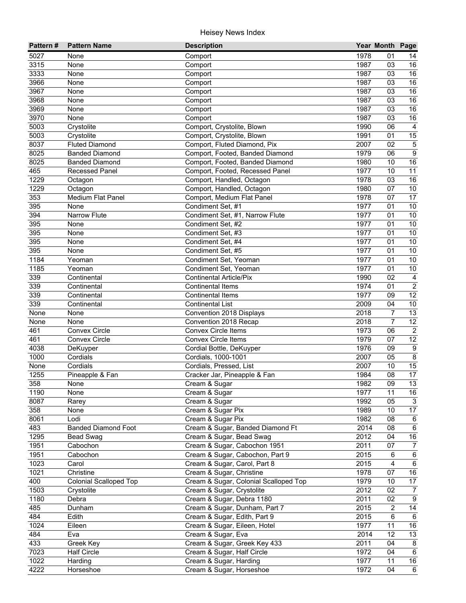| Pattern# | <b>Pattern Name</b>           | <b>Description</b>                    |      | Year Month Page |                         |
|----------|-------------------------------|---------------------------------------|------|-----------------|-------------------------|
| 5027     | None                          | Comport                               | 1978 | 01              | 14                      |
| 3315     | None                          | Comport                               | 1987 | 03              | 16                      |
| 3333     | None                          | Comport                               | 1987 | 03              | 16                      |
| 3966     | None                          | Comport                               | 1987 | 03              | $\overline{16}$         |
| 3967     | None                          | Comport                               | 1987 | 03              | 16                      |
| 3968     | None                          | Comport                               | 1987 | 03              | 16                      |
| 3969     | None                          | Comport                               | 1987 | 03              | 16                      |
| 3970     | None                          | Comport                               | 1987 | 03              | 16                      |
| 5003     | Crystolite                    | Comport, Crystolite, Blown            | 1990 | 06              | $\overline{4}$          |
| 5003     | Crystolite                    | Comport, Crystolite, Blown            | 1991 | 01              | 15                      |
| 8037     | <b>Fluted Diamond</b>         | Comport, Fluted Diamond, Pix          | 2007 | 02              | $\mathbf 5$             |
| 8025     | <b>Banded Diamond</b>         | Comport, Footed, Banded Diamond       | 1979 | 06              | $\boldsymbol{9}$        |
| 8025     | <b>Banded Diamond</b>         | Comport, Footed, Banded Diamond       | 1980 | 10              | 16                      |
| 465      | <b>Recessed Panel</b>         | Comport, Footed, Recessed Panel       | 1977 | 10              | 11                      |
| 1229     | Octagon                       | Comport, Handled, Octagon             | 1978 | 03              | 16                      |
| 1229     | Octagon                       | Comport, Handled, Octagon             | 1980 | 07              | 10                      |
| 353      | Medium Flat Panel             | Comport, Medium Flat Panel            | 1978 | 07              | 17                      |
| 395      | None                          | Condiment Set, #1                     | 1977 | 01              | 10                      |
| 394      | Narrow Flute                  | Condiment Set, #1, Narrow Flute       | 1977 | 01              | 10                      |
| 395      | None                          | Condiment Set, #2                     | 1977 | 01              | 10                      |
| 395      | None                          | Condiment Set, #3                     | 1977 | 01              | 10                      |
| 395      | None                          | Condiment Set, #4                     | 1977 | 01              | 10                      |
| 395      | None                          | Condiment Set, #5                     | 1977 | 01              | 10                      |
| 1184     | Yeoman                        | Condiment Set, Yeoman                 | 1977 | 01              | 10                      |
| 1185     | Yeoman                        | Condiment Set, Yeoman                 | 1977 | 01              | $10\,$                  |
| 339      | Continental                   | <b>Continental Article/Pix</b>        | 1990 | 02              | $\overline{4}$          |
| 339      | Continental                   | <b>Continental Items</b>              | 1974 | 01              | $\overline{2}$          |
| 339      | Continental                   | <b>Continental Items</b>              | 1977 | 09              | $\overline{12}$         |
| 339      | Continental                   | <b>Continental List</b>               | 2009 | 04              | 10                      |
| None     | None                          | Convention 2018 Displays              | 2018 | $\overline{7}$  | 13                      |
| None     | None                          | Convention 2018 Recap                 | 2018 | $\overline{7}$  | 12                      |
| 461      | <b>Convex Circle</b>          | <b>Convex Circle Items</b>            | 1973 | 06              | $\overline{2}$          |
| 461      | <b>Convex Circle</b>          | <b>Convex Circle Items</b>            | 1979 | 07              | 12                      |
| 4038     | DeKuyper                      | Cordial Bottle, DeKuyper              | 1976 | 09              | $\overline{9}$          |
| 1000     | Cordials                      | Cordials, 1000-1001                   | 2007 | 05              | $\overline{\mathbf{8}}$ |
| None     | Cordials                      | Cordials, Pressed, List               | 2007 | 10              | 15                      |
| 1255     | Pineapple & Fan               | Cracker Jar, Pineapple & Fan          | 1984 | 08              | 17                      |
| 358      | None                          | Cream & Sugar                         | 1982 | $\overline{09}$ | $\overline{13}$         |
| 1190     | None                          | Cream & Sugar                         | 1977 | 11              | 16                      |
| 8087     | Rarey                         | Cream & Sugar                         | 1992 | 05              | 3                       |
| 358      | None                          | Cream & Sugar Pix                     | 1989 | 10              | 17                      |
| 8061     | Lodi                          | Cream & Sugar Pix                     | 1982 | 08              | $\,6$                   |
| 483      | <b>Banded Diamond Foot</b>    | Cream & Sugar, Banded Diamond Ft      | 2014 | 08              | $\,6\,$                 |
| 1295     | <b>Bead Swag</b>              | Cream & Sugar, Bead Swag              | 2012 | 04              | 16                      |
| 1951     | Cabochon                      | Cream & Sugar, Cabochon 1951          | 2011 | 07              | $\overline{7}$          |
| 1951     | Cabochon                      | Cream & Sugar, Cabochon, Part 9       | 2015 | 6               | $\,6\,$                 |
| 1023     | Carol                         | Cream & Sugar, Carol, Part 8          | 2015 | 4               | $6\phantom{.}6$         |
| 1021     | Christine                     | Cream & Sugar, Christine              | 1978 | 07              | $16\,$                  |
| 400      | <b>Colonial Scalloped Top</b> | Cream & Sugar, Colonial Scalloped Top | 1979 | 10              | $17\,$                  |
| 1503     | Crystolite                    | Cream & Sugar, Crystolite             | 2012 | 02              | $\overline{7}$          |
| 1180     | Debra                         | Cream & Sugar, Debra 1180             | 2011 | 02              | $\overline{9}$          |
| 485      | Dunham                        | Cream & Sugar, Dunham, Part 7         | 2015 | $\overline{2}$  | 14                      |
| 484      | Edith                         | Cream & Sugar, Edith, Part 9          | 2015 | $\,6\,$         | $6\phantom{.}6$         |
| 1024     | Eileen                        | Cream & Sugar, Eileen, Hotel          | 1977 | 11              | 16                      |
| 484      | Eva                           | Cream & Sugar, Eva                    | 2014 | 12              | 13                      |
| 433      | Greek Key                     | Cream & Sugar, Greek Key 433          | 2011 | 04              | 8                       |
| 7023     | <b>Half Circle</b>            | Cream & Sugar, Half Circle            | 1972 | 04              | $\,6\,$                 |
| 1022     | Harding                       | Cream & Sugar, Harding                | 1977 | 11              | 16                      |
| 4222     | Horseshoe                     | Cream & Sugar, Horseshoe              | 1972 | 04              | 6                       |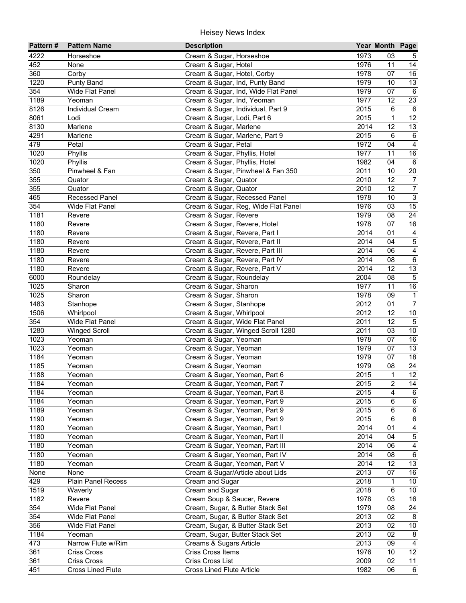| Pattern# | <b>Pattern Name</b>      | <b>Description</b>                  |      | Year Month Page |                         |
|----------|--------------------------|-------------------------------------|------|-----------------|-------------------------|
| 4222     | Horseshoe                | Cream & Sugar, Horseshoe            | 1973 | 03              | 5                       |
| 452      | None                     | Cream & Sugar, Hotel                | 1976 | 11              | 14                      |
| 360      | Corby                    | Cream & Sugar, Hotel, Corby         | 1978 | 07              | 16                      |
| 1220     | Punty Band               | Cream & Sugar, Ind, Punty Band      | 1979 | 10              | 13                      |
| 354      | Wide Flat Panel          | Cream & Sugar, Ind, Wide Flat Panel | 1979 | 07              | 6                       |
| 1189     | Yeoman                   | Cream & Sugar, Ind, Yeoman          | 1977 | 12              | 23                      |
| 8126     | <b>Individual Cream</b>  | Cream & Sugar, Individual, Part 9   | 2015 | 6               | 6                       |
| 8061     | Lodi                     | Cream & Sugar, Lodi, Part 6         | 2015 | $\mathbf{1}$    | 12                      |
| 8130     | Marlene                  | Cream & Sugar, Marlene              | 2014 | $\overline{12}$ | 13                      |
| 4291     | Marlene                  | Cream & Sugar, Marlene, Part 9      | 2015 | 6               | $\,6\,$                 |
| 479      | Petal                    | Cream & Sugar, Petal                | 1972 | 04              | $\overline{4}$          |
| 1020     | Phyllis                  | Cream & Sugar, Phyllis, Hotel       | 1977 | 11              | 16                      |
| 1020     | Phyllis                  | Cream & Sugar, Phyllis, Hotel       | 1982 | 04              | 6                       |
| 350      | Pinwheel & Fan           | Cream & Sugar, Pinwheel & Fan 350   | 2011 | 10              | 20                      |
| 355      | Quator                   | Cream & Sugar, Quator               | 2010 | 12              | $\overline{7}$          |
| 355      | Quator                   | Cream & Sugar, Quator               | 2010 | 12              | $\overline{7}$          |
| 465      | <b>Recessed Panel</b>    | Cream & Sugar, Recessed Panel       | 1978 | 10              | $\overline{3}$          |
| 354      | Wide Flat Panel          | Cream & Sugar, Reg, Wide Flat Panel | 1976 | 03              | 15                      |
| 1181     | Revere                   | Cream & Sugar, Revere               | 1979 | 08              | 24                      |
| 1180     | Revere                   | Cream & Sugar, Revere, Hotel        | 1978 | 07              | $16\,$                  |
| 1180     | Revere                   | Cream & Sugar, Revere, Part I       | 2014 | 01              | $\overline{4}$          |
| 1180     | Revere                   | Cream & Sugar, Revere, Part II      | 2014 | 04              | $\overline{5}$          |
| 1180     | Revere                   | Cream & Sugar, Revere, Part III     | 2014 | 06              | $\overline{4}$          |
| 1180     | Revere                   | Cream & Sugar, Revere, Part IV      | 2014 | 08              | $\overline{6}$          |
| 1180     | Revere                   | Cream & Sugar, Revere, Part V       | 2014 | 12              | 13                      |
| 6000     | Roundelay                | Cream & Sugar, Roundelay            | 2004 | 08              | $\overline{5}$          |
| 1025     | Sharon                   | Cream & Sugar, Sharon               | 1977 | 11              | 16                      |
| 1025     | Sharon                   | Cream & Sugar, Sharon               | 1978 | 09              | $\mathbf{1}$            |
| 1483     | Stanhope                 | Cream & Sugar, Stanhope             | 2012 | 01              | $\overline{7}$          |
| 1506     | Whirlpool                | Cream & Sugar, Whirlpool            | 2012 | 12              | 10                      |
| 354      | Wide Flat Panel          | Cream & Sugar, Wide Flat Panel      | 2011 | 12              | $\overline{5}$          |
| 1280     |                          | Cream & Sugar, Winged Scroll 1280   | 2011 | 03              | 10                      |
| 1023     | <b>Winged Scroll</b>     |                                     | 1978 | 07              | 16                      |
| 1023     | Yeoman                   | Cream & Sugar, Yeoman               | 1979 | 07              | $\overline{13}$         |
| 1184     | Yeoman                   | Cream & Sugar, Yeoman               | 1979 | 07              | $\overline{18}$         |
|          | Yeoman                   | Cream & Sugar, Yeoman               |      |                 |                         |
| 1185     | Yeoman                   | Cream & Sugar, Yeoman               | 1979 | 08              | 24                      |
| 1188     | Yeoman                   | Cream & Sugar, Yeoman, Part 6       | 2015 | 1               | 12                      |
| 1184     | Yeoman                   | Cream & Sugar, Yeoman, Part 7       | 2015 | 2               | $\overline{14}$         |
| 1184     | Yeoman                   | Cream & Sugar, Yeoman, Part 8       | 2015 | $\overline{4}$  | 6                       |
| 1184     | Yeoman                   | Cream & Sugar, Yeoman, Part 9       | 2015 | 6               | 6                       |
| 1189     | Yeoman                   | Cream & Sugar, Yeoman, Part 9       | 2015 | $\,6\,$         | $\,6$                   |
| 1190     | Yeoman                   | Cream & Sugar, Yeoman, Part 9       | 2015 | 6               | $\,6$                   |
| 1180     | Yeoman                   | Cream & Sugar, Yeoman, Part I       | 2014 | 01              | 4                       |
| 1180     | Yeoman                   | Cream & Sugar, Yeoman, Part II      | 2014 | 04              | $\mathbf 5$             |
| 1180     | Yeoman                   | Cream & Sugar, Yeoman, Part III     | 2014 | 06              | $\overline{\mathbf{4}}$ |
| 1180     | Yeoman                   | Cream & Sugar, Yeoman, Part IV      | 2014 | 08              | $\,6\,$                 |
| 1180     | Yeoman                   | Cream & Sugar, Yeoman, Part V       | 2014 | 12              | 13                      |
| None     | None                     | Cream & Sugar/Article about Lids    | 2013 | 07              | 16                      |
| 429      | Plain Panel Recess       | Cream and Sugar                     | 2018 | 1               | 10 <sub>1</sub>         |
| 1519     | Waverly                  | Cream and Sugar                     | 2018 | 6               | 10                      |
| 1182     | Revere                   | Cream Soup & Saucer, Revere         | 1978 | 03              | 16                      |
| 354      | Wide Flat Panel          | Cream, Sugar, & Butter Stack Set    | 1979 | 08              | 24                      |
| 354      | Wide Flat Panel          | Cream, Sugar, & Butter Stack Set    | 2013 | 02              | 8                       |
| 356      | Wide Flat Panel          | Cream, Sugar, & Butter Stack Set    | 2013 | 02              | 10                      |
| 1184     | Yeoman                   | Cream, Sugar, Butter Stack Set      | 2013 | 02              | 8                       |
| 473      | Narrow Flute w/Rim       | Creams & Sugars Article             | 2013 | 09              | $\overline{4}$          |
| 361      | Criss Cross              | Criss Cross Items                   | 1976 | 10              | 12                      |
| 361      | Criss Cross              | Criss Cross List                    | 2009 | 02              | 11                      |
| 451      | <b>Cross Lined Flute</b> | <b>Cross Lined Flute Article</b>    | 1982 | 06              | $\overline{6}$          |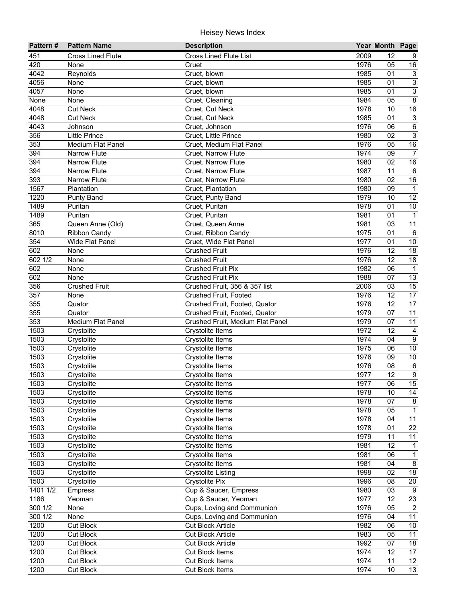| Pattern# | <b>Pattern Name</b>      | <b>Description</b>               |      | Year Month Page |                  |
|----------|--------------------------|----------------------------------|------|-----------------|------------------|
| 451      | <b>Cross Lined Flute</b> | <b>Cross Lined Flute List</b>    | 2009 | 12              | 9                |
| 420      | None                     | Cruet                            | 1976 | 05              | 16               |
| 4042     | Reynolds                 | Cruet, blown                     | 1985 | 01              | $\mathbf{3}$     |
| 4056     | None                     | Cruet, blown                     | 1985 | 01              | $\overline{3}$   |
| 4057     | None                     | Cruet, blown                     | 1985 | 01              | $\overline{3}$   |
| None     | None                     | Cruet, Cleaning                  | 1984 | 05              | $\overline{8}$   |
| 4048     | <b>Cut Neck</b>          | Cruet, Cut Neck                  | 1978 | 10              | 16               |
| 4048     | <b>Cut Neck</b>          | Cruet, Cut Neck                  | 1985 | 01              | $\sqrt{3}$       |
| 4043     | Johnson                  | Cruet, Johnson                   | 1976 | 06              | 6                |
| 356      | <b>Little Prince</b>     | Cruet, Little Prince             | 1980 | 02              | $\sqrt{3}$       |
| 353      | Medium Flat Panel        | Cruet, Medium Flat Panel         | 1976 | 05              | 16               |
| 394      | <b>Narrow Flute</b>      | Cruet, Narrow Flute              | 1974 | 09              | $\overline{7}$   |
| 394      | <b>Narrow Flute</b>      | Cruet, Narrow Flute              | 1980 | 02              | 16               |
| 394      | <b>Narrow Flute</b>      | Cruet, Narrow Flute              | 1987 | 11              | $\,6$            |
| 393      | <b>Narrow Flute</b>      | Cruet, Narrow Flute              | 1980 | 02              | 16               |
| 1567     | Plantation               | Cruet, Plantation                | 1980 | 09              | $\overline{1}$   |
| 1220     | <b>Punty Band</b>        | Cruet, Punty Band                | 1979 | 10              | 12               |
| 1489     | Puritan                  | Cruet, Puritan                   | 1978 | 01              | $10$             |
| 1489     | Puritan                  | Cruet, Puritan                   | 1981 | 01              | $\mathbf{1}$     |
| 365      | Queen Anne (Old)         | Cruet, Queen Anne                | 1981 | 03              | 11               |
| 8010     | <b>Ribbon Candy</b>      | Cruet, Ribbon Candy              | 1975 | 01              | $\,6\,$          |
| 354      | Wide Flat Panel          | Cruet, Wide Flat Panel           | 1977 | 01              | 10               |
| 602      | None                     | <b>Crushed Fruit</b>             | 1976 | 12              | 18               |
| 602 1/2  | None                     | <b>Crushed Fruit</b>             | 1976 | 12              | 18               |
| 602      | None                     | <b>Crushed Fruit Pix</b>         | 1982 | 06              | $\overline{1}$   |
| 602      | None                     | <b>Crushed Fruit Pix</b>         | 1988 | 07              | 13               |
| 356      | <b>Crushed Fruit</b>     | Crushed Fruit, 356 & 357 list    | 2006 | 03              | 15               |
| 357      | None                     | Crushed Fruit, Footed            | 1976 | 12              | $\overline{17}$  |
| 355      | Quator                   | Crushed Fruit, Footed, Quator    | 1976 | 12              | 17               |
| 355      | Quator                   | Crushed Fruit, Footed, Quator    | 1979 | 07              | 11               |
| 353      | Medium Flat Panel        | Crushed Fruit, Medium Flat Panel | 1979 | 07              | $\overline{11}$  |
| 1503     | Crystolite               | Crystolite Items                 | 1972 | 12              | $\overline{4}$   |
| 1503     | Crystolite               | Crystolite Items                 | 1974 | 04              | $\overline{9}$   |
| 1503     | Crystolite               | Crystolite Items                 | 1975 | 06              | $\overline{10}$  |
| 1503     | Crystolite               | Crystolite Items                 | 1976 | 09              | 10               |
| 1503     | Crystolite               | Crystolite Items                 | 1976 | 08              | 6                |
| 1503     | Crystolite               | Crystolite Items                 | 1977 | 12              | $\boldsymbol{9}$ |
| 1503     | Crystolite               | Crystolite Items                 | 1977 | 06              | $\overline{15}$  |
| 1503     | Crystolite               | Crystolite Items                 | 1978 | 10              | 14               |
| 1503     | Crystolite               | Crystolite Items                 | 1978 | 07              | 8                |
| 1503     | Crystolite               | Crystolite Items                 | 1978 | 05              | $\mathbf{1}$     |
| 1503     | Crystolite               | Crystolite Items                 | 1978 | 04              | 11               |
| 1503     | Crystolite               | Crystolite Items                 | 1978 | 01              | 22               |
| 1503     | Crystolite               | Crystolite Items                 | 1979 | 11              | 11               |
| 1503     | Crystolite               | Crystolite Items                 | 1981 | 12              | $\mathbf{1}$     |
| 1503     | Crystolite               | Crystolite Items                 | 1981 | 06              | $\mathbf{1}$     |
| 1503     | Crystolite               | Crystolite Items                 | 1981 | 04              | 8                |
| 1503     | Crystolite               | <b>Crystolite Listing</b>        | 1998 | 02              | $18$             |
| 1503     | Crystolite               | <b>Crystolite Pix</b>            | 1996 | 08              | $20\,$           |
| 1401 1/2 | Empress                  | Cup & Saucer, Empress            | 1980 | 03              | 9                |
| 1186     | Yeoman                   | Cup & Saucer, Yeoman             | 1977 | 12              | 23               |
| 300 1/2  | None                     | Cups, Loving and Communion       | 1976 | 05              | $\overline{2}$   |
| 300 1/2  | None                     | Cups, Loving and Communion       | 1976 | 04              | $\overline{11}$  |
| 1200     | Cut Block                | <b>Cut Block Article</b>         | 1982 | 06              | 10               |
| 1200     | <b>Cut Block</b>         | <b>Cut Block Article</b>         | 1983 | 05              | $\overline{11}$  |
| 1200     | <b>Cut Block</b>         | <b>Cut Block Article</b>         | 1992 | 07              | 18               |
| 1200     | Cut Block                | <b>Cut Block Items</b>           | 1974 | 12              | 17               |
| 1200     | <b>Cut Block</b>         | <b>Cut Block Items</b>           | 1974 | 11              | $\overline{12}$  |
| 1200     | <b>Cut Block</b>         | <b>Cut Block Items</b>           | 1974 | 10              | $\overline{13}$  |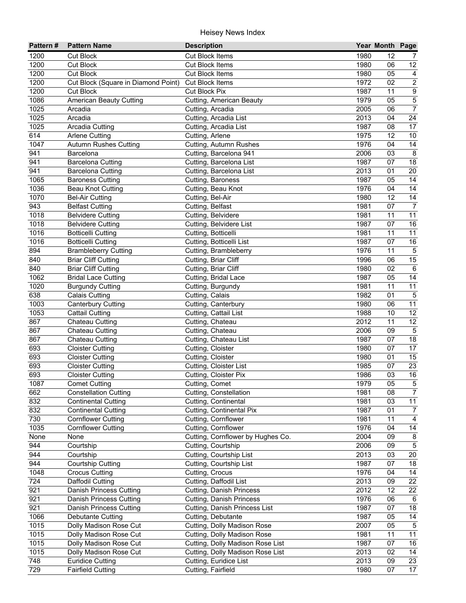| Pattern#       | <b>Pattern Name</b>                                 | <b>Description</b>                           |              | Year Month Page |                                   |
|----------------|-----------------------------------------------------|----------------------------------------------|--------------|-----------------|-----------------------------------|
| 1200           | <b>Cut Block</b>                                    | <b>Cut Block Items</b>                       | 1980         | 12              | 7                                 |
| 1200           | <b>Cut Block</b>                                    | <b>Cut Block Items</b>                       | 1980         | 06              | 12                                |
| 1200           | <b>Cut Block</b>                                    | <b>Cut Block Items</b>                       | 1980         | 05              | $\overline{4}$                    |
| 1200           | Cut Block (Square in Diamond Point)                 | <b>Cut Block Items</b>                       | 1972         | 02              | $\overline{2}$                    |
| 1200           | <b>Cut Block</b>                                    | <b>Cut Block Pix</b>                         | 1987         | 11              | $\overline{9}$                    |
| 1086           | <b>American Beauty Cutting</b>                      | Cutting, American Beauty                     | 1979         | 05              | $\overline{5}$                    |
| 1025           | Arcadia                                             | Cutting, Arcadia                             | 2005         | 06              | $\overline{7}$                    |
| 1025           | Arcadia                                             | Cutting, Arcadia List                        | 2013         | 04              | $\overline{24}$                   |
| 1025           | Arcadia Cutting                                     | Cutting, Arcadia List                        | 1987         | 08              | 17                                |
| 614            | <b>Arlene Cutting</b>                               | Cutting, Arlene                              | 1975         | 12              | 10                                |
| 1047           | <b>Autumn Rushes Cutting</b>                        | <b>Cutting, Autumn Rushes</b>                | 1976         | 04              | 14                                |
| 941            | Barcelona                                           | Cutting, Barcelona 941                       | 2006         | 03              | 8                                 |
| 941            | <b>Barcelona Cutting</b>                            | Cutting, Barcelona List                      | 1987         | 07              | 18                                |
| 941            | <b>Barcelona Cutting</b>                            | Cutting, Barcelona List                      | 2013         | 01              | 20                                |
| 1065           | <b>Baroness Cutting</b>                             | Cutting, Baroness                            | 1987         | 05              | 14                                |
| 1036           | <b>Beau Knot Cutting</b>                            | Cutting, Beau Knot                           | 1976         | 04              | 14                                |
| 1070           | <b>Bel-Air Cutting</b>                              | Cutting, Bel-Air                             | 1980         | 12              | $\overline{14}$                   |
| 943            | <b>Belfast Cutting</b>                              | Cutting, Belfast                             | 1981         | 07              | $\boldsymbol{7}$                  |
| 1018           | <b>Belvidere Cutting</b>                            | Cutting, Belvidere                           | 1981         | 11              | 11                                |
| 1018           | <b>Belvidere Cutting</b>                            | Cutting, Belvidere List                      | 1987         | 07              | 16                                |
| 1016           | <b>Botticelli Cutting</b>                           | Cutting, Botticelli                          | 1981         | 11              | 11                                |
| 1016           | <b>Botticelli Cutting</b>                           | Cutting, Botticelli List                     | 1987         | 07              | 16                                |
| 894            | <b>Brambleberry Cutting</b>                         | Cutting, Brambleberry                        | 1976         | 11              | $\sqrt{5}$                        |
| 840            | <b>Briar Cliff Cutting</b>                          | Cutting, Briar Cliff                         | 1996         | 06              | $\overline{15}$                   |
| 840            | <b>Briar Cliff Cutting</b>                          | Cutting, Briar Cliff                         | 1980         | 02              | $\,6\,$                           |
| 1062           | <b>Bridal Lace Cutting</b>                          | Cutting, Bridal Lace                         | 1987         | 05              | 14                                |
| 1020           | <b>Burgundy Cutting</b>                             | Cutting, Burgundy                            | 1981         | 11              | 11                                |
| 638            | <b>Calais Cutting</b>                               | Cutting, Calais                              | 1982         | 01              | $\sqrt{5}$                        |
| 1003           | <b>Canterbury Cutting</b>                           | Cutting, Canterbury                          | 1980         | 06              | 11                                |
| 1053           | <b>Cattail Cutting</b>                              | Cutting, Cattail List                        | 1988         | 10              | 12                                |
| 867            | Chateau Cutting                                     | Cutting, Chateau                             | 2012         | 11              | 12                                |
| 867            | Chateau Cutting                                     | Cutting, Chateau                             | 2006         | 09              | $\overline{5}$                    |
| 867            | Chateau Cutting                                     | Cutting, Chateau List                        | 1987         | 07              | $\overline{18}$                   |
| 693            | <b>Cloister Cutting</b>                             | Cutting, Cloister                            | 1980         | 07              | $\overline{17}$                   |
| 693            | <b>Cloister Cutting</b>                             | Cutting, Cloister                            | 1980         | 01              | $\overline{15}$                   |
| 693            | <b>Cloister Cutting</b>                             | Cutting, Cloister List                       | 1985         | 07              | 23                                |
| 693            | <b>Cloister Cutting</b>                             | Cutting, Cloister Pix                        | 1986         | 03              | 16                                |
| 1087           | <b>Comet Cutting</b>                                | Cutting, Comet                               | 1979         | $\overline{05}$ | $\overline{5}$                    |
| 662            | <b>Constellation Cutting</b>                        | Cutting, Constellation                       | 1981         | 08              | $\overline{7}$                    |
| 832            | <b>Continental Cutting</b>                          | Cutting, Continental                         | 1981         | 03              | 11                                |
| 832            | <b>Continental Cutting</b>                          | Cutting, Continental Pix                     | 1987         | 01              | $\overline{7}$                    |
| 730            | <b>Cornflower Cutting</b>                           | Cutting, Cornflower                          | 1981         | 11              | $\overline{4}$                    |
| 1035           | <b>Cornflower Cutting</b>                           | Cutting, Cornflower                          | 1976<br>2004 | 04              | 14                                |
| None           | None                                                | Cutting, Cornflower by Hughes Co.            |              | 09              | 8                                 |
| 944            | Courtship                                           | Cutting, Courtship                           | 2006         | 09              | $\overline{5}$                    |
| 944<br>944     | Courtship                                           | Cutting, Courtship List                      | 2013         | 03<br>07        | 20                                |
| 1048           | Courtship Cutting                                   | Cutting, Courtship List                      | 1987         |                 | 18<br>14                          |
| 724            | <b>Crocus Cutting</b>                               | Cutting, Crocus                              | 1976         | 04              | 22                                |
| 921            | Daffodil Cutting                                    | Cutting, Daffodil List                       | 2013         | 09<br>12        |                                   |
|                | Danish Princess Cutting                             | <b>Cutting, Danish Princess</b>              | 2012         |                 | 22                                |
| 921            | <b>Danish Princess Cutting</b>                      | Cutting, Danish Princess                     | 1976<br>1987 | 06<br>07        | 6<br>18                           |
| 921            | Danish Princess Cutting                             | Cutting, Danish Princess List                |              |                 |                                   |
| 1066           | <b>Debutante Cutting</b>                            | Cutting, Debutante                           | 1987<br>2007 | 05<br>05        | $\overline{14}$<br>$\overline{5}$ |
| 1015           | Dolly Madison Rose Cut                              | Cutting, Dolly Madison Rose                  |              | 11              | 11                                |
| $1015$<br>1015 | Dolly Madison Rose Cut                              | Cutting, Dolly Madison Rose                  | 1981<br>1987 | 07              | 16                                |
| 1015           | Dolly Madison Rose Cut                              | Cutting, Dolly Madison Rose List             |              | 02              | 14                                |
| 748            | Dolly Madison Rose Cut                              | Cutting, Dolly Madison Rose List             | 2013         |                 | 23                                |
| 729            | <b>Euridice Cutting</b><br><b>Fairfield Cutting</b> | Cutting, Euridice List<br>Cutting, Fairfield | 2013<br>1980 | 09<br>07        | 17                                |
|                |                                                     |                                              |              |                 |                                   |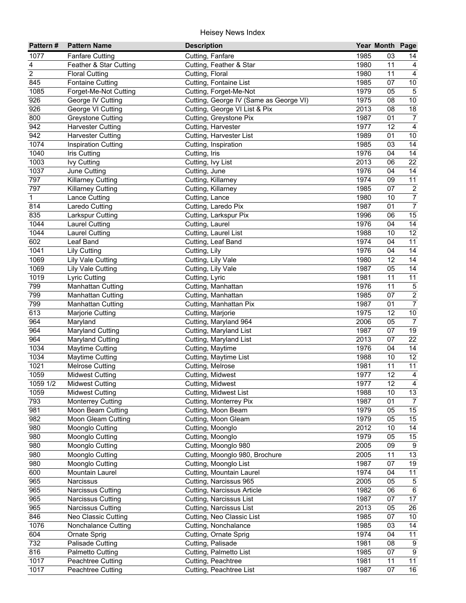| Pattern#       | <b>Pattern Name</b>        | <b>Description</b>                     |      | Year Month Page |                       |
|----------------|----------------------------|----------------------------------------|------|-----------------|-----------------------|
| 1077           | <b>Fanfare Cutting</b>     | Cutting, Fanfare                       | 1985 | 03              | 14                    |
| 4              | Feather & Star Cutting     | Cutting, Feather & Star                | 1980 | 11              | 4                     |
| $\overline{2}$ | <b>Floral Cutting</b>      | Cutting, Floral                        | 1980 | 11              | $\overline{4}$        |
| 845            | <b>Fontaine Cutting</b>    | Cutting, Fontaine List                 | 1985 | 07              | $10\,$                |
| 1085           | Forget-Me-Not Cutting      | Cutting, Forget-Me-Not                 | 1979 | 05              | $\overline{5}$        |
| 926            | George IV Cutting          | Cutting, George IV (Same as George VI) | 1975 | 08              | 10                    |
| 926            | George VI Cutting          | Cutting, George VI List & Pix          | 2013 | 08              | $\overline{18}$       |
| 800            | <b>Greystone Cutting</b>   | Cutting, Greystone Pix                 | 1987 | 01              | $\overline{7}$        |
| 942            | <b>Harvester Cutting</b>   | Cutting, Harvester                     | 1977 | 12              | $\overline{4}$        |
| 942            | <b>Harvester Cutting</b>   | Cutting, Harvester List                | 1989 | 01              | $10$                  |
| 1074           | <b>Inspiration Cutting</b> | Cutting, Inspiration                   | 1985 | 03              | 14                    |
| 1040           | Iris Cutting               | Cutting, Iris                          | 1976 | 04              | 14                    |
| 1003           | <b>Ivy Cutting</b>         | Cutting, Ivy List                      | 2013 | 06              | 22                    |
| 1037           | June Cutting               | Cutting, June                          | 1976 | 04              | 14                    |
| 797            | <b>Killarney Cutting</b>   | Cutting, Killarney                     | 1974 | 09              | 11                    |
| 797            | <b>Killarney Cutting</b>   | Cutting, Killarney                     | 1985 | 07              | $\sqrt{2}$            |
| $\mathbf 1$    | Lance Cutting              | Cutting, Lance                         | 1980 | 10              | $\boldsymbol{7}$      |
| 814            | Laredo Cutting             | Cutting, Laredo Pix                    | 1987 | 01              | $\overline{7}$        |
| 835            | Larkspur Cutting           | Cutting, Larkspur Pix                  | 1996 | 06              | 15                    |
| 1044           | <b>Laurel Cutting</b>      | Cutting, Laurel                        | 1976 | 04              | 14                    |
| 1044           | <b>Laurel Cutting</b>      | Cutting, Laurel List                   | 1988 | 10              | 12                    |
| 602            | Leaf Band                  | Cutting, Leaf Band                     | 1974 | 04              | 11                    |
| 1041           | <b>Lily Cutting</b>        | Cutting, Lily                          | 1976 | 04              | 14                    |
| 1069           | Lily Vale Cutting          | Cutting, Lily Vale                     | 1980 | 12              | 14                    |
| 1069           | Lily Vale Cutting          | Cutting, Lily Vale                     | 1987 | 05              | 14                    |
| 1019           | <b>Lyric Cutting</b>       | Cutting, Lyric                         | 1981 | 11              | 11                    |
| 799            | <b>Manhattan Cutting</b>   | Cutting, Manhattan                     | 1976 | 11              | $\mathbf 5$           |
| 799            | <b>Manhattan Cutting</b>   | Cutting, Manhattan                     | 1985 | 07              | $\overline{2}$        |
| 799            | <b>Manhattan Cutting</b>   | Cutting, Manhattan Pix                 | 1987 | 01              | $\overline{7}$        |
| 613            | Marjorie Cutting           | Cutting, Marjorie                      | 1975 | 12              | 10                    |
| 964            | Maryland                   | Cutting, Maryland 964                  | 2006 | 05              | $\overline{7}$        |
| 964            | <b>Maryland Cutting</b>    | Cutting, Maryland List                 | 1987 | 07              | 19                    |
| 964            | Maryland Cutting           | Cutting, Maryland List                 | 2013 | 07              | $\overline{22}$       |
| 1034           | <b>Maytime Cutting</b>     | Cutting, Maytime                       | 1976 | 04              | 14                    |
| 1034           | <b>Maytime Cutting</b>     | Cutting, Maytime List                  | 1988 | 10              | $\overline{12}$       |
| 1021           | <b>Melrose Cutting</b>     | Cutting, Melrose                       | 1981 | 11              | 11                    |
| 1059           | <b>Midwest Cutting</b>     | Cutting, Midwest                       | 1977 | 12              | $\overline{4}$        |
| 1059 1/2       | Midwest Cutting            | Cutting, Midwest                       | 1977 | 12              | $\overline{4}$        |
| 1059           | <b>Midwest Cutting</b>     | Cutting, Midwest List                  | 1988 | 10              | 13                    |
| 793            | Monterrey Cutting          | Cutting, Monterrey Pix                 | 1987 | 01              | $\overline{7}$        |
| 981            | Moon Beam Cutting          | Cutting, Moon Beam                     | 1979 | 05              | 15                    |
| 982            | Moon Gleam Cutting         | Cutting, Moon Gleam                    | 1979 | 05              | 15                    |
| 980            | <b>Moonglo Cutting</b>     | Cutting, Moonglo                       | 2012 | 10              | 14                    |
| 980            | <b>Moonglo Cutting</b>     | Cutting, Moonglo                       | 1979 | 05              | 15                    |
| 980            | <b>Moonglo Cutting</b>     | Cutting, Moonglo 980                   | 2005 | 09              | 9                     |
| 980            | Moonglo Cutting            | Cutting, Moonglo 980, Brochure         | 2005 | 11              | 13                    |
| 980            | <b>Moonglo Cutting</b>     | Cutting, Moonglo List                  | 1987 | 07              | 19                    |
| 600            | Mountain Laurel            | Cutting, Mountain Laurel               | 1974 | 04              | 11                    |
| 965            | Narcissus                  | Cutting, Narcissus 965                 | 2005 | 05              | $\,$ 5 $\,$           |
| 965            | Narcissus Cutting          | Cutting, Narcissus Article             | 1982 | 06              | $\,6\,$               |
| 965            | Narcissus Cutting          | Cutting, Narcissus List                | 1987 | 07              | 17                    |
| 965            | Narcissus Cutting          | Cutting, Narcissus List                | 2013 | 05              | 26                    |
| 846            | Neo Classic Cutting        | Cutting, Neo Classic List              | 1985 | 07              | 10                    |
| 1076           | Nonchalance Cutting        | Cutting, Nonchalance                   | 1985 | 03              | $\overline{14}$       |
| 604            | Ornate Sprig               | Cutting, Ornate Sprig                  | 1974 | 04              | $\overline{11}$       |
| 732            | Palisade Cutting           | Cutting, Palisade                      | 1981 | 08              | 9                     |
| 816            | <b>Palmetto Cutting</b>    | Cutting, Palmetto List                 | 1985 | 07              | $\overline{9}$        |
| 1017           | Peachtree Cutting          | Cutting, Peachtree                     | 1981 | 11              | $\overline{11}$<br>16 |
| 1017           | Peachtree Cutting          | Cutting, Peachtree List                | 1987 | 07              |                       |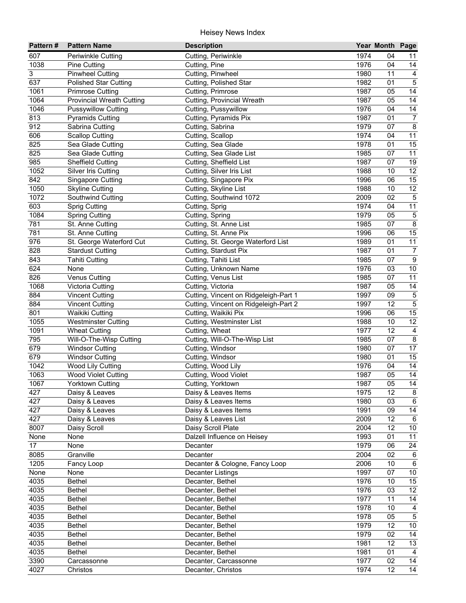| Pattern# | <b>Pattern Name</b>              | <b>Description</b>                    |      | Year Month Page |                  |
|----------|----------------------------------|---------------------------------------|------|-----------------|------------------|
| 607      | Periwinkle Cutting               | Cutting, Periwinkle                   | 1974 | 04              | 11               |
| 1038     | <b>Pine Cutting</b>              | Cutting, Pine                         | 1976 | 04              | 14               |
| 3        | <b>Pinwheel Cutting</b>          | Cutting, Pinwheel                     | 1980 | 11              | $\overline{4}$   |
| 637      | <b>Polished Star Cutting</b>     | Cutting, Polished Star                | 1982 | 01              | $\overline{5}$   |
| 1061     | <b>Primrose Cutting</b>          | Cutting, Primrose                     | 1987 | 05              | $\overline{14}$  |
| 1064     | <b>Provincial Wreath Cutting</b> | Cutting, Provincial Wreath            | 1987 | 05              | $\overline{14}$  |
| 1046     | <b>Pussywillow Cutting</b>       | Cutting, Pussywillow                  | 1976 | 04              | $\overline{14}$  |
| 813      | <b>Pyramids Cutting</b>          | Cutting, Pyramids Pix                 | 1987 | 01              | $\overline{7}$   |
| 912      | Sabrina Cutting                  | Cutting, Sabrina                      | 1979 | 07              | $\overline{8}$   |
| 606      | <b>Scallop Cutting</b>           | Cutting, Scallop                      | 1974 | 04              | 11               |
| 825      | Sea Glade Cutting                | Cutting, Sea Glade                    | 1978 | 01              | 15               |
| 825      | Sea Glade Cutting                | Cutting, Sea Glade List               | 1985 | 07              | 11               |
| 985      | <b>Sheffield Cutting</b>         | Cutting, Sheffield List               | 1987 | 07              | 19               |
| 1052     | Silver Iris Cutting              | Cutting, Silver Iris List             | 1988 | 10              | 12               |
| 842      | Singapore Cutting                | Cutting, Singapore Pix                | 1996 | 06              | 15               |
| 1050     | <b>Skyline Cutting</b>           | Cutting, Skyline List                 | 1988 | 10              | $\overline{12}$  |
| 1072     | Southwind Cutting                | Cutting, Southwind 1072               | 2009 | 02              | $\sqrt{5}$       |
| 603      | <b>Sprig Cutting</b>             | Cutting, Sprig                        | 1974 | 04              | 11               |
| 1084     | <b>Spring Cutting</b>            | Cutting, Spring                       | 1979 | 05              | $\,$ 5 $\,$      |
| 781      | St. Anne Cutting                 | Cutting, St. Anne List                | 1985 | 07              | $\overline{8}$   |
| 781      | St. Anne Cutting                 | Cutting, St. Anne Pix                 | 1996 | 06              | 15               |
| 976      | St. George Waterford Cut         | Cutting, St. George Waterford List    | 1989 | 01              | 11               |
| 828      | <b>Stardust Cutting</b>          | Cutting, Stardust Pix                 | 1987 | 01              | $\overline{7}$   |
| 843      | <b>Tahiti Cutting</b>            | Cutting, Tahiti List                  | 1985 | 07              | $\boldsymbol{9}$ |
| 624      | None                             | Cutting, Unknown Name                 | 1976 | 03              | 10               |
| 826      | <b>Venus Cutting</b>             | Cutting, Venus List                   | 1985 | 07              | 11               |
| 1068     | Victoria Cutting                 | Cutting, Victoria                     | 1987 | 05              | 14               |
| 884      | <b>Vincent Cutting</b>           | Cutting, Vincent on Ridgeleigh-Part 1 | 1997 | 09              | $\overline{5}$   |
| 884      | <b>Vincent Cutting</b>           | Cutting, Vincent on Ridgeleigh-Part 2 | 1997 | 12              | $\overline{5}$   |
| 801      | Waikiki Cutting                  | Cutting, Waikiki Pix                  | 1996 | 06              | 15               |
| 1055     | <b>Westminster Cutting</b>       | Cutting, Westminster List             | 1988 | 10              | $\overline{12}$  |
| 1091     | <b>Wheat Cutting</b>             | Cutting, Wheat                        | 1977 | 12              | $\overline{4}$   |
| 795      | Will-O-The-Wisp Cutting          | Cutting, Will-O-The-Wisp List         | 1985 | 07              | $\overline{8}$   |
| 679      | <b>Windsor Cutting</b>           | Cutting, Windsor                      | 1980 | 07              | 17               |
| 679      | <b>Windsor Cutting</b>           | Cutting, Windsor                      | 1980 | 01              | 15               |
| 1042     | Wood Lily Cutting                | Cutting, Wood Lily                    | 1976 | 04              | 14               |
| 1063     | <b>Wood Violet Cutting</b>       | Cutting, Wood Violet                  | 1987 | 05              | $\overline{14}$  |
| 1067     | Yorktown Cutting                 | Cutting, Yorktown                     | 1987 | $\overline{05}$ | $\overline{14}$  |
| 427      | Daisy & Leaves                   | Daisy & Leaves Items                  | 1975 | 12              | 8                |
| 427      | Daisy & Leaves                   | Daisy & Leaves Items                  | 1980 | 03              | 6                |
| 427      | Daisy & Leaves                   | Daisy & Leaves Items                  | 1991 | 09              | 14               |
| 427      | Daisy & Leaves                   | Daisy & Leaves List                   | 2009 | 12              | 6                |
| 8007     | Daisy Scroll                     | Daisy Scroll Plate                    | 2004 | 12              | $10\,$           |
| None     | None                             | Dalzell Influence on Heisey           | 1993 | 01              | 11               |
| 17       | None                             | Decanter                              | 1979 | 06              | 24               |
| 8085     | Granville                        | Decanter                              | 2004 | 02              | $\,6$            |
| 1205     | Fancy Loop                       | Decanter & Cologne, Fancy Loop        | 2006 | 10              | $\,6\,$          |
| None     | None                             | <b>Decanter Listings</b>              | 1997 | 07              | $10\,$           |
| 4035     | <b>Bethel</b>                    | Decanter, Bethel                      | 1976 | 10              | $\overline{15}$  |
| 4035     | <b>Bethel</b>                    | Decanter, Bethel                      | 1976 | 03              | $\overline{12}$  |
| 4035     | <b>Bethel</b>                    | Decanter, Bethel                      | 1977 | 11              | 14               |
| 4035     | Bethel                           | Decanter, Bethel                      | 1978 | 10              | $\overline{4}$   |
| 4035     | Bethel                           | Decanter, Bethel                      | 1978 | 05              | $\overline{5}$   |
| 4035     | Bethel                           | Decanter, Bethel                      | 1979 | 12              | $\overline{10}$  |
| 4035     | Bethel                           | Decanter, Bethel                      | 1979 | 02              | 14               |
| 4035     | <b>Bethel</b>                    | Decanter, Bethel                      | 1981 | 12              | 13               |
| 4035     | <b>Bethel</b>                    | Decanter, Bethel                      | 1981 | 01              | $\overline{4}$   |
| 3390     | Carcassonne                      | Decanter, Carcassonne                 | 1977 | 02              | 14               |
| 4027     | Christos                         | Decanter, Christos                    | 1974 | 12              | 14               |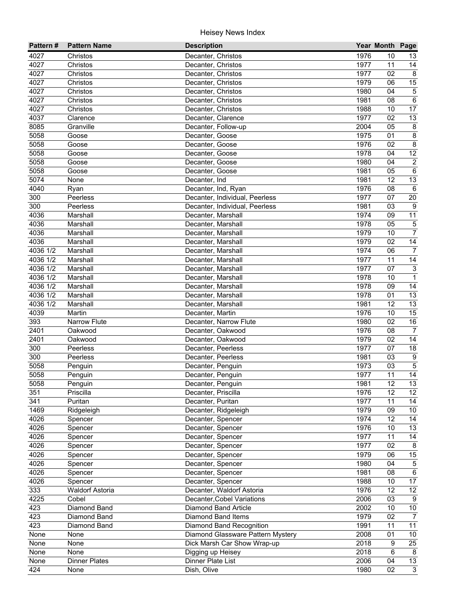| Pattern#   | <b>Pattern Name</b>    | <b>Description</b>                |      | Year Month Page |                           |
|------------|------------------------|-----------------------------------|------|-----------------|---------------------------|
| 4027       | Christos               | Decanter, Christos                | 1976 | 10              | 13                        |
| 4027       | Christos               | Decanter, Christos                | 1977 | 11              | 14                        |
| 4027       | Christos               | Decanter, Christos                | 1977 | 02              | $\overline{\mathbf{8}}$   |
| 4027       | Christos               | Decanter, Christos                | 1979 | 06              | $\overline{15}$           |
| 4027       | Christos               | Decanter, Christos                | 1980 | 04              | $\sqrt{5}$                |
| 4027       | Christos               | Decanter, Christos                | 1981 | 08              | $\overline{6}$            |
| 4027       | Christos               | Decanter, Christos                | 1988 | 10              | 17                        |
| 4037       | Clarence               | Decanter, Clarence                | 1977 | 02              | 13                        |
| 8085       | Granville              | Decanter, Follow-up               | 2004 | 05              | $\bf 8$                   |
| 5058       | Goose                  | Decanter, Goose                   | 1975 | 01              | $\bf 8$                   |
| 5058       | Goose                  | Decanter, Goose                   | 1976 | 02              | $\bf 8$                   |
| 5058       | Goose                  | Decanter, Goose                   | 1978 | 04              | 12                        |
| 5058       | Goose                  | Decanter, Goose                   | 1980 | 04              | $\overline{c}$            |
| 5058       | Goose                  | Decanter, Goose                   | 1981 | 05              | $\,6\,$                   |
| 5074       | None                   | Decanter, Ind                     | 1981 | 12              | 13                        |
| 4040       | Ryan                   | Decanter, Ind, Ryan               | 1976 | 08              | $\,6$                     |
| 300        | Peerless               | Decanter, Individual, Peerless    | 1977 | 07              | 20                        |
| 300        | Peerless               | Decanter, Individual, Peerless    | 1981 | 03              | 9                         |
| 4036       | Marshall               | Decanter, Marshall                | 1974 | 09              | 11                        |
| 4036       | Marshall               | Decanter, Marshall                | 1978 | 05              | $\sqrt{5}$                |
| 4036       | Marshall               | Decanter, Marshall                | 1979 | 10              | $\overline{7}$            |
| 4036       | Marshall               | Decanter, Marshall                | 1979 | 02              | $\overline{14}$           |
| 4036 1/2   | Marshall               | Decanter, Marshall                | 1974 | 06              | $\overline{7}$            |
| 4036 1/2   | Marshall               | Decanter, Marshall                | 1977 | 11              | 14                        |
| $4036$ 1/2 | Marshall               | Decanter, Marshall                | 1977 | 07              | $\ensuremath{\mathsf{3}}$ |
| $4036$ 1/2 | Marshall               | Decanter, Marshall                | 1978 | 10              | $\mathbf{1}$              |
| $4036$ 1/2 | Marshall               | Decanter, Marshall                | 1978 | 09              | 14                        |
| 4036 1/2   | Marshall               | Decanter, Marshall                | 1978 | 01              | 13                        |
| 4036 1/2   | Marshall               | Decanter, Marshall                | 1981 | 12              | 13                        |
| 4039       | Martin                 | Decanter, Martin                  | 1976 | 10              | 15                        |
| 393        | Narrow Flute           | Decanter, Narrow Flute            | 1980 | 02              | $\overline{16}$           |
| 2401       | Oakwood                | Decanter, Oakwood                 | 1976 | 08              | $\overline{7}$            |
| 2401       | Oakwood                | Decanter, Oakwood                 | 1979 | 02              | 14                        |
| 300        | Peerless               | Decanter, Peerless                | 1977 | 07              | $\overline{18}$           |
| 300        | Peerless               | Decanter, Peerless                | 1981 | 03              | $\overline{9}$            |
| 5058       | Penguin                | Decanter, Penguin                 | 1973 | 03              | $\overline{5}$            |
| 5058       | Penguin                | Decanter, Penguin                 | 1977 | 11              | $\overline{14}$           |
| 5058       | Penguin                | Decanter, Penguin                 | 1981 | $\overline{12}$ | $\overline{13}$           |
| 351        | Priscilla              | Decanter, Priscilla               | 1976 | 12              | $12 \overline{ }$         |
| 341        | Puritan                | Decanter, Puritan                 | 1977 | 11              | 14                        |
| 1469       | Ridgeleigh             | Decanter, Ridgeleigh              | 1979 | 09              | 10                        |
| 4026       | Spencer                | Decanter, Spencer                 | 1974 | 12              | 14                        |
| 4026       | Spencer                | Decanter, Spencer                 | 1976 | 10              | 13                        |
| 4026       | Spencer                | Decanter, Spencer                 | 1977 | 11              | 14                        |
| 4026       | Spencer                | Decanter, Spencer                 | 1977 | 02              | 8                         |
| 4026       | Spencer                | Decanter, Spencer                 | 1979 | 06              | 15                        |
| 4026       | Spencer                | Decanter, Spencer                 | 1980 | 04              | $\mathbf 5$               |
| 4026       | Spencer                | Decanter, Spencer                 | 1981 | 08              | $6\,$                     |
| 4026       | Spencer                | Decanter, Spencer                 | 1988 | 10              | 17                        |
| 333        | <b>Waldorf Astoria</b> | Decanter, Waldorf Astoria         | 1976 | 12              | 12                        |
| 4225       | Cobel                  | Decanter, Cobel Variations        | 2006 | 03              | 9                         |
| 423        | Diamond Band           | Diamond Band Article              | 2002 | 10              | 10                        |
| 423        | Diamond Band           | <b>Diamond Band Items</b>         | 1979 | 02              | $\overline{7}$            |
| 423        | Diamond Band           | Diamond Band Recognition          | 1991 | 11              | $\overline{11}$           |
| None       | None                   | Diamond Glassware Pattern Mystery | 2008 | 01              | $\overline{10}$           |
| None       | None                   | Dick Marsh Car Show Wrap-up       | 2018 | 9               | $\overline{25}$           |
| None       | None                   | Digging up Heisey                 | 2018 | 6               | 8                         |
| None       | <b>Dinner Plates</b>   | Dinner Plate List                 | 2006 | 04              | $\overline{13}$           |
| 424        | None                   | Dish, Olive                       | 1980 | $\overline{02}$ | $\overline{3}$            |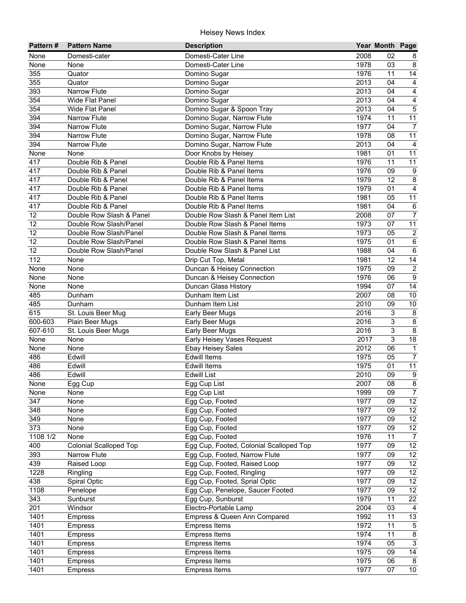| Pattern# | <b>Pattern Name</b>           | <b>Description</b>                      |      | Year Month Page |                         |
|----------|-------------------------------|-----------------------------------------|------|-----------------|-------------------------|
| None     | Domesti-cater                 | Domesti-Cater Line                      | 2008 | 02              | 8                       |
| None     | None                          | Domesti-Cater Line                      | 1978 | 03              | $\,8\,$                 |
| 355      | Quator                        | Domino Sugar                            | 1976 | 11              | $\overline{14}$         |
| 355      | Quator                        | Domino Sugar                            | 2013 | 04              | $\overline{4}$          |
| 393      | Narrow Flute                  | Domino Sugar                            | 2013 | 04              | $\overline{4}$          |
| 354      | Wide Flat Panel               | Domino Sugar                            | 2013 | 04              | 4                       |
| 354      | <b>Wide Flat Panel</b>        | Domino Sugar & Spoon Tray               | 2013 | 04              | $\overline{5}$          |
| 394      | <b>Narrow Flute</b>           | Domino Sugar, Narrow Flute              | 1974 | 11              | $\overline{11}$         |
| 394      | Narrow Flute                  | Domino Sugar, Narrow Flute              | 1977 | 04              | $\overline{7}$          |
| 394      | <b>Narrow Flute</b>           | Domino Sugar, Narrow Flute              | 1978 | 08              | 11                      |
| 394      | <b>Narrow Flute</b>           | Domino Sugar, Narrow Flute              | 2013 | 04              | $\overline{a}$          |
| None     | None                          | Door Knobs by Heisey                    | 1981 | 01              | 11                      |
| 417      | Double Rib & Panel            | Double Rib & Panel Items                | 1976 | 11              | 11                      |
| 417      | Double Rib & Panel            | Double Rib & Panel Items                | 1976 | 09              | $\boldsymbol{9}$        |
| 417      | Double Rib & Panel            | Double Rib & Panel Items                | 1979 | 12              | $\overline{8}$          |
| 417      | Double Rib & Panel            | Double Rib & Panel Items                | 1979 | 01              | $\overline{4}$          |
| 417      | Double Rib & Panel            | Double Rib & Panel Items                | 1981 | 05              | 11                      |
| 417      | Double Rib & Panel            | Double Rib & Panel Items                | 1981 | 04              | $\,6\,$                 |
| 12       | Double Row Slash & Panel      | Double Row Slash & Panel Item List      | 2008 | 07              | $\overline{7}$          |
| 12       | Double Row Slash/Panel        | Double Row Slash & Panel Items          | 1973 | 07              | $\overline{11}$         |
| 12       | Double Row Slash/Panel        | Double Row Slash & Panel Items          | 1973 | 05              | $\sqrt{2}$              |
| 12       | Double Row Slash/Panel        | Double Row Slash & Panel Items          | 1975 | 01              | $\,6\,$                 |
| 12       | Double Row Slash/Panel        | Double Row Slash & Panel List           | 1988 | 04              | $\,6\,$                 |
| 112      | None                          | Drip Cut Top, Metal                     | 1981 | 12              | 14                      |
| None     | None                          | Duncan & Heisey Connection              | 1975 | 09              | $\sqrt{2}$              |
| None     | None                          | Duncan & Heisey Connection              | 1976 | 06              | $\overline{9}$          |
| None     | None                          | Duncan Glass History                    | 1994 | 07              | 14                      |
| 485      | Dunham                        | Dunham Item List                        | 2007 | 08              | 10                      |
| 485      | Dunham                        | Dunham Item List                        | 2010 | 09              | 10                      |
| 615      | St. Louis Beer Mug            | <b>Early Beer Mugs</b>                  | 2016 | 3               | $\infty$                |
| 600-603  | Plain Beer Mugs               | Early Beer Mugs                         | 2016 | 3               | $\overline{8}$          |
| 607-610  | St. Louis Beer Mugs           | Early Beer Mugs                         | 2016 | 3               | $\overline{8}$          |
| None     | None                          | Early Heisey Vases Request              | 2017 | 3               | 18                      |
| None     | None                          | <b>Ebay Heisey Sales</b>                | 2012 | 06              | $\mathbf{1}$            |
| 486      | Edwill                        | <b>Edwill Items</b>                     | 1975 | 05              | $\overline{7}$          |
| 486      | Edwill                        | <b>Edwill Items</b>                     | 1975 | 01              | 11                      |
| 486      | Edwill                        | <b>Edwill List</b>                      | 2010 | 09              | $\boldsymbol{9}$        |
| None     | Egg Cup                       | Egg Cup List                            | 2007 | $\overline{08}$ | $\overline{8}$          |
| None     | None                          | Egg Cup List                            | 1999 | 09              | $\overline{7}$          |
| 347      | None                          | Egg Cup, Footed                         | 1977 | 09              | 12                      |
| 348      | None                          | Egg Cup, Footed                         | 1977 | 09              | 12                      |
| 349      | None                          | Egg Cup, Footed                         | 1977 | 09              | 12                      |
| 373      | None                          | Egg Cup, Footed                         | 1977 | 09              | 12                      |
| 1108 1/2 | None                          | Egg Cup, Footed                         | 1976 | 11              | $\overline{7}$          |
| 400      | <b>Colonial Scalloped Top</b> | Egg Cup, Footed, Colonial Scalloped Top | 1977 | 09              | $\overline{12}$         |
| 393      | Narrow Flute                  | Egg Cup, Footed, Narrow Flute           | 1977 | 09              | 12                      |
| 439      | Raised Loop                   | Egg Cup, Footed, Raised Loop            | 1977 | 09              | 12                      |
| 1228     | Ringling                      | Egg Cup, Footed, Ringling               | 1977 | 09              | 12                      |
| 438      | Spiral Optic                  | Egg Cup, Footed, Sprial Optic           | 1977 | 09              | 12                      |
| 1108     | Penelope                      | Egg Cup, Penelope, Saucer Footed        | 1977 | 09              | 12                      |
| 343      | Sunburst                      | Egg Cup, Sunburst                       | 1979 | 11              | 22                      |
| 201      | Windsor                       | Electro-Portable Lamp                   | 2004 | 03              | 4                       |
| 1401     | <b>Empress</b>                | Empress & Queen Ann Compared            | 1992 | 11              | 13                      |
| 1401     | Empress                       | Empress Items                           | 1972 | 11              | $\overline{5}$          |
| 1401     | <b>Empress</b>                | <b>Empress Items</b>                    | 1974 | 11              | $\overline{\mathbf{8}}$ |
| 1401     | Empress                       | <b>Empress Items</b>                    | 1974 | 05              | $\mathbf{3}$            |
| 1401     | Empress                       | <b>Empress Items</b>                    | 1975 | 09              | 14                      |
| 1401     | Empress                       | <b>Empress Items</b>                    | 1975 | 06              | 8                       |
| 1401     | <b>Empress</b>                | Empress Items                           | 1977 | 07              | 10                      |
|          |                               |                                         |      |                 |                         |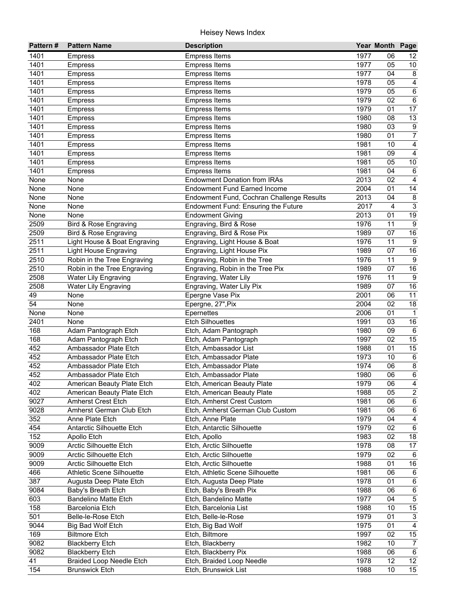| Pattern#          | <b>Pattern Name</b>             | <b>Description</b>                        |      | Year Month Page |                         |
|-------------------|---------------------------------|-------------------------------------------|------|-----------------|-------------------------|
| 1401              | Empress                         | <b>Empress Items</b>                      | 1977 | 06              | 12                      |
| 1401              | <b>Empress</b>                  | <b>Empress Items</b>                      | 1977 | 05              | 10                      |
| 1401              | <b>Empress</b>                  | <b>Empress Items</b>                      | 1977 | 04              | 8                       |
| 1401              | <b>Empress</b>                  | <b>Empress Items</b>                      | 1978 | 05              | $\overline{4}$          |
| 1401              | <b>Empress</b>                  | <b>Empress Items</b>                      | 1979 | 05              | $\overline{6}$          |
| 1401              | <b>Empress</b>                  | <b>Empress Items</b>                      | 1979 | 02              | $\,6\,$                 |
| 1401              | <b>Empress</b>                  | <b>Empress Items</b>                      | 1979 | 01              | $\overline{17}$         |
| 1401              | <b>Empress</b>                  | <b>Empress Items</b>                      | 1980 | 08              | 13                      |
| 1401              | <b>Empress</b>                  | <b>Empress Items</b>                      | 1980 | 03              | $9\,$                   |
| 1401              | <b>Empress</b>                  | <b>Empress Items</b>                      | 1980 | 01              | $\overline{7}$          |
| 1401              | <b>Empress</b>                  | <b>Empress Items</b>                      | 1981 | 10              | 4                       |
| 1401              | <b>Empress</b>                  | <b>Empress Items</b>                      | 1981 | 09              | $\overline{4}$          |
| 1401              | <b>Empress</b>                  | <b>Empress Items</b>                      | 1981 | 05              | 10                      |
| 1401              | <b>Empress</b>                  | <b>Empress Items</b>                      | 1981 | 04              | $\,6$                   |
| None              | None                            | <b>Endowment Donation from IRAs</b>       | 2013 | 02              | 4                       |
| None              | None                            | <b>Endowment Fund Earned Income</b>       | 2004 | 01              | 14                      |
| None              | None                            | Endowment Fund, Cochran Challenge Results | 2013 | 04              | $\,8\,$                 |
| None              | None                            | Endowment Fund: Ensuring the Future       | 2017 | 4               | $\overline{3}$          |
| None              | None                            | <b>Endowment Giving</b>                   | 2013 | 01              | 19                      |
| 2509              | Bird & Rose Engraving           | Engraving, Bird & Rose                    | 1976 | 11              | $\boldsymbol{9}$        |
| 2509              | Bird & Rose Engraving           | Engraving, Bird & Rose Pix                | 1989 | 07              | 16                      |
| 2511              | Light House & Boat Engraving    | Engraving, Light House & Boat             | 1976 | 11              | $\boldsymbol{9}$        |
|                   |                                 |                                           |      |                 |                         |
| 2511              | <b>Light House Engraving</b>    | Engraving, Light House Pix                | 1989 | 07              | 16                      |
| 2510              | Robin in the Tree Engraving     | Engraving, Robin in the Tree              | 1976 | 11              | $\boldsymbol{9}$        |
| 2510              | Robin in the Tree Engraving     | Engraving, Robin in the Tree Pix          | 1989 | 07              | 16                      |
| 2508              | <b>Water Lily Engraving</b>     | Engraving, Water Lily                     | 1976 | 11              | 9                       |
| 2508              | <b>Water Lily Engraving</b>     | Engraving, Water Lily Pix                 | 1989 | 07              | 16                      |
| 49                | None                            | Epergne Vase Pix                          | 2001 | 06              | 11                      |
| 54                | None                            | Epergne, 27", Pix                         | 2004 | 02              | 18                      |
| None              | None                            | Epernettes                                | 2006 | 01              | $\mathbf{1}$            |
| 2401              | None                            | <b>Etch Silhouettes</b>                   | 1991 | 03              | 16                      |
| 168               | Adam Pantograph Etch            | Etch, Adam Pantograph                     | 1980 | 09              | $\,6\,$                 |
| 168               | Adam Pantograph Etch            | Etch, Adam Pantograph                     | 1997 | 02              | $\overline{15}$         |
| 452               | Ambassador Plate Etch           | Etch, Ambassador List                     | 1988 | 01              | 15                      |
| 452               | Ambassador Plate Etch           | Etch, Ambassador Plate                    | 1973 | 10              | $\,6\,$                 |
| 452               | Ambassador Plate Etch           | Etch, Ambassador Plate                    | 1974 | 06              | $\bf 8$                 |
| 452               | Ambassador Plate Etch           | Etch, Ambassador Plate                    | 1980 | 06              | $\,6\,$                 |
| 402               | American Beauty Plate Etch      | Etch, American Beauty Plate               | 1979 | $\overline{06}$ | $\overline{4}$          |
| 402               | American Beauty Plate Etch      | Etch, American Beauty Plate               | 1988 | 05              | $\overline{c}$          |
| 9027              | Amherst Crest Etch              | Etch, Amherst Crest Custom                | 1981 | 06              | 6                       |
| 9028              | Amherst German Club Etch        | Etch, Amherst German Club Custom          | 1981 | 06              | $\,6\,$                 |
| 352               | Anne Plate Etch                 | Etch, Anne Plate                          | 1979 | 04              | $\overline{\mathbf{4}}$ |
| 454               | Antarctic Silhouette Etch       | Etch, Antarctic Silhouette                | 1979 | 02              | $\,6\,$                 |
| 152               | Apollo Etch                     | Etch, Apollo                              | 1983 | 02              | $18$                    |
| 9009              | Arctic Silhouette Etch          | Etch, Arctic Silhouette                   | 1978 | 08              | 17                      |
| 9009              | <b>Arctic Silhouette Etch</b>   | Etch, Arctic Silhouette                   | 1979 | 02              | 6                       |
| 9009              | <b>Arctic Silhouette Etch</b>   | Etch, Arctic Silhouette                   | 1988 | 01              | 16                      |
| 466               | Athletic Scene Silhouette       | Etch, Athletic Scene Silhouette           | 1981 | 06              | 6                       |
| 387               | Augusta Deep Plate Etch         | Etch, Augusta Deep Plate                  | 1978 | 01              | $\,6\,$                 |
| 9084              | Baby's Breath Etch              | Etch, Baby's Breath Pix                   | 1988 | 06              | $\,6\,$                 |
| 603               | <b>Bandelino Matte Etch</b>     | Etch, Bandelino Matte                     | 1977 | 04              | $\overline{5}$          |
| 158               | Barcelonia Etch                 | Etch, Barcelonia List                     | 1988 | 10              | $15\,$                  |
| 501               | Belle-le-Rose Etch              | Etch, Belle-le-Rose                       | 1979 | 01              | $\mathbf{3}$            |
| $904\overline{4}$ | Big Bad Wolf Etch               | Etch, Big Bad Wolf                        | 1975 | 01              | $\overline{4}$          |
| 169               | <b>Biltmore Etch</b>            | Etch, Biltmore                            | 1997 | 02              | 15                      |
| 9082              | <b>Blackberry Etch</b>          | Etch, Blackberry                          | 1982 | 10              | $\overline{7}$          |
| 9082              | <b>Blackberry Etch</b>          | Etch, Blackberry Pix                      | 1988 | 06              | 6                       |
| 41                | <b>Braided Loop Needle Etch</b> | Etch, Braided Loop Needle                 | 1978 | 12              | 12                      |
| 154               | <b>Brunswick Etch</b>           | Etch, Brunswick List                      | 1988 | 10              | 15                      |
|                   |                                 |                                           |      |                 |                         |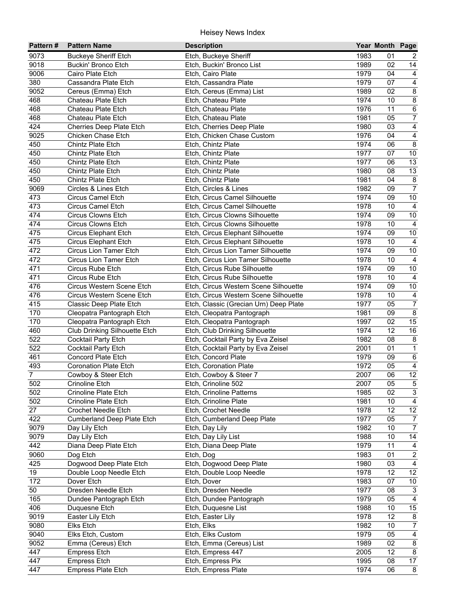| Pattern#       | <b>Pattern Name</b>                        | <b>Description</b>                                        |              | Year Month Page |                           |
|----------------|--------------------------------------------|-----------------------------------------------------------|--------------|-----------------|---------------------------|
| 9073           | Buckeye Sheriff Etch                       | Etch, Buckeye Sheriff                                     | 1983         | 01              | 2                         |
| 9018           | Buckin' Bronco Etch                        | Etch, Buckin' Bronco List                                 | 1989         | 02              | 14                        |
| 9006           | Cairo Plate Etch                           | Etch, Cairo Plate                                         | 1979         | 04              | $\overline{4}$            |
| 380            | Cassandra Plate Etch                       | Etch, Cassandra Plate                                     | 1979         | 07              | $\overline{4}$            |
| 9052           | Cereus (Emma) Etch                         | Etch, Cereus (Emma) List                                  | 1989         | 02              | $\overline{8}$            |
| 468            | Chateau Plate Etch                         | Etch, Chateau Plate                                       | 1974         | 10              | $\overline{8}$            |
| 468            | Chateau Plate Etch                         | Etch, Chateau Plate                                       | 1976         | 11              | $\overline{6}$            |
| 468            | Chateau Plate Etch                         | Etch, Chateau Plate                                       | 1981         | 05              | $\overline{7}$            |
| 424            | Cherries Deep Plate Etch                   | Etch, Cherries Deep Plate                                 | 1980         | 03              | $\overline{4}$            |
| 9025           | Chicken Chase Etch                         | Etch, Chicken Chase Custom                                | 1976         | 04              | $\overline{4}$            |
| 450            | <b>Chintz Plate Etch</b>                   | Etch, Chintz Plate                                        | 1974         | 06              | $\overline{8}$            |
| 450            | Chintz Plate Etch                          | Etch, Chintz Plate                                        | 1977         | 07              | 10                        |
| 450            | Chintz Plate Etch                          | Etch, Chintz Plate                                        | 1977         | 06              | 13                        |
| 450            | Chintz Plate Etch                          | Etch, Chintz Plate                                        | 1980         | 08              | 13                        |
| 450            | Chintz Plate Etch                          | Etch, Chintz Plate                                        | 1981         | 04              | $\bf 8$                   |
| 9069           | Circles & Lines Etch                       | Etch, Circles & Lines                                     | 1982         | 09              | $\overline{7}$            |
| 473            | <b>Circus Camel Etch</b>                   | Etch, Circus Camel Silhouette                             | 1974         | 09              | $10\,$                    |
| 473            | <b>Circus Camel Etch</b>                   | Etch, Circus Camel Silhouette                             | 1978         | 10              | $\overline{4}$            |
| 474            | <b>Circus Clowns Etch</b>                  | Etch, Circus Clowns Silhouette                            | 1974         | 09              | $10$                      |
| 474            | <b>Circus Clowns Etch</b>                  | Etch, Circus Clowns Silhouette                            | 1978         | 10              | $\overline{4}$            |
| 475            | <b>Circus Elephant Etch</b>                | Etch, Circus Elephant Silhouette                          | 1974         | 09              | $10$                      |
| 475            | <b>Circus Elephant Etch</b>                | Etch, Circus Elephant Silhouette                          | 1978         | 10              | $\overline{4}$            |
| 472            | Circus Lion Tamer Etch                     | Etch, Circus Lion Tamer Silhouette                        | 1974         | 09              | $10$                      |
| 472            | Circus Lion Tamer Etch                     | Etch, Circus Lion Tamer Silhouette                        | 1978         | 10              | $\overline{4}$            |
| 471            | Circus Rube Etch                           | Etch, Circus Rube Silhouette                              | 1974         | 09              | $10\,$                    |
| 471            | Circus Rube Etch                           | Etch, Circus Rube Silhouette                              | 1978         | 10              | $\overline{4}$            |
| 476            | Circus Western Scene Etch                  | Etch, Circus Western Scene Silhouette                     | 1974         | 09              | $10\,$                    |
| 476            | Circus Western Scene Etch                  | Etch, Circus Western Scene Silhouette                     | 1978         | 10              | $\overline{4}$            |
| 415            | Classic Deep Plate Etch                    | Etch, Classic (Grecian Urn) Deep Plate                    | 1977         | 05              | $\overline{7}$            |
| 170            | Cleopatra Pantograph Etch                  | Etch, Cleopatra Pantograph                                | 1981         | 09              | $\overline{8}$            |
| 170            | Cleopatra Pantograph Etch                  | Etch, Cleopatra Pantograph                                | 1997         | 02              | 15                        |
| 460            | Club Drinking Silhouette Etch              | Etch, Club Drinking Silhouette                            | 1974         | 12<br>08        | 16                        |
| 522<br>522     | Cocktail Party Etch<br>Cocktail Party Etch | Etch, Cocktail Party by Eva Zeisel                        | 1982<br>2001 | 01              | $\bf 8$<br>$\overline{1}$ |
| 461            | <b>Concord Plate Etch</b>                  | Etch, Cocktail Party by Eva Zeisel<br>Etch, Concord Plate | 1979         | 09              | $\overline{6}$            |
| 493            | <b>Coronation Plate Etch</b>               | Etch, Coronation Plate                                    | 1972         | 05              | $\overline{4}$            |
| $\overline{7}$ | Cowboy & Steer Etch                        | Etch, Cowboy & Steer 7                                    | 2007         | 06              | 12                        |
| 502            | Crinoline Etch                             | Etch, Crinoline 502                                       | 2007         | 05              | 5                         |
| 502            | <b>Crinoline Plate Etch</b>                | Etch, Crinoline Patterns                                  | 1985         | 02              | $\mathbf{3}$              |
| 502            | <b>Crinoline Plate Etch</b>                | Etch, Crinoline Plate                                     | 1981         | 10              | $\overline{4}$            |
| 27             | <b>Crochet Needle Etch</b>                 | Etch, Crochet Needle                                      | 1978         | 12              | 12                        |
| 422            | <b>Cumberland Deep Plate Etch</b>          | Etch, Cumberland Deep Plate                               | 1977         | 05              | $\overline{7}$            |
| 9079           | Day Lily Etch                              | Etch, Day Lily                                            | 1982         | 10              | $\overline{7}$            |
| 9079           | Day Lily Etch                              | Etch, Day Lily List                                       | 1988         | 10              | 14                        |
| 442            | Diana Deep Plate Etch                      | Etch, Diana Deep Plate                                    | 1979         | 11              | 4                         |
| 9060           | Dog Etch                                   | Etch, Dog                                                 | 1983         | 01              | $\overline{2}$            |
| 425            | Dogwood Deep Plate Etch                    | Etch, Dogwood Deep Plate                                  | 1980         | 03              | $\overline{4}$            |
| 19             | Double Loop Needle Etch                    | Etch, Double Loop Needle                                  | 1978         | 12              | 12                        |
| 172            | Dover Etch                                 | Etch, Dover                                               | 1983         | 07              | 10                        |
| 50             | Dresden Needle Etch                        | Etch, Dresden Needle                                      | 1977         | 08              | $\mathbf{3}$              |
| 165            | Dundee Pantograph Etch                     | Etch, Dundee Pantograph                                   | 1979         | 05              | $\overline{4}$            |
| 406            | Duquesne Etch                              | Etch, Duquesne List                                       | 1988         | 10              | $15\,$                    |
| 9019           | Easter Lily Etch                           | Etch, Easter Lily                                         | 1978         | 12              | $\bf 8$                   |
| 9080           | Elks Etch                                  | Etch, Elks                                                | 1982         | 10              | $\overline{7}$            |
| 9040           | Elks Etch, Custom                          | Etch, Elks Custom                                         | 1979         | 05              | $\overline{4}$            |
| 9052           | Emma (Cereus) Etch                         | Etch, Emma (Cereus) List                                  | 1989         | 02              | $\infty$                  |
| 447            | <b>Empress Etch</b>                        | Etch, Empress 447                                         | 2005         | 12              | $\overline{8}$            |
| 447            | <b>Empress Etch</b>                        | Etch, Empress Pix                                         | 1995         | 08              | 17                        |
| 447            | <b>Empress Plate Etch</b>                  | Etch, Empress Plate                                       | 1974         | 06              | $\overline{8}$            |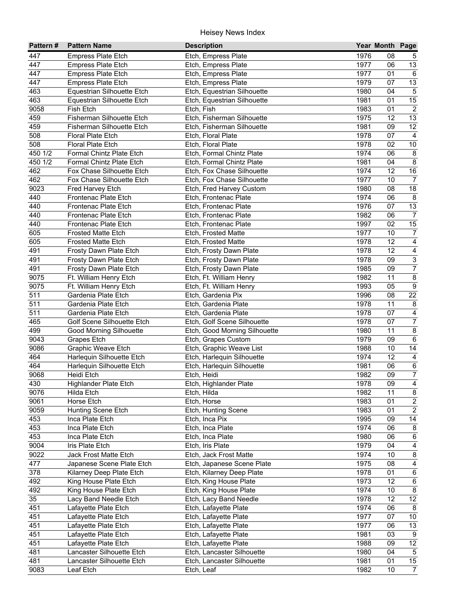| 1976<br>447<br><b>Empress Plate Etch</b><br>Etch, Empress Plate<br>08<br>$5\phantom{.0}$<br>13<br>447<br><b>Empress Plate Etch</b><br>1977<br>06<br>Etch, Empress Plate<br>$\overline{6}$<br>447<br><b>Empress Plate Etch</b><br>Etch, Empress Plate<br>1977<br>01<br>$\overline{13}$<br>447<br>1979<br>07<br><b>Empress Plate Etch</b><br>Etch, Empress Plate<br>$\overline{5}$<br>463<br>1980<br>Equestrian Silhouette Etch<br>Etch, Equestrian Silhouette<br>04<br>15<br>463<br>1981<br>01<br>Equestrian Silhouette Etch<br>Etch, Equestrian Silhouette<br>$\overline{2}$<br>9058<br>01<br>Fish Etch<br>Etch, Fish<br>1983<br>13<br>459<br>Fisherman Silhouette Etch<br>1975<br>12<br>Etch, Fisherman Silhouette<br>12<br>459<br>Fisherman Silhouette Etch<br>1981<br>09<br>Etch, Fisherman Silhouette<br>508<br>Floral Plate Etch<br>1978<br>07<br>$\overline{4}$<br>Etch, Floral Plate<br>02<br>10<br>508<br><b>Floral Plate Etch</b><br>1978<br>Etch, Floral Plate<br>$\bf 8$<br>450 1/2<br>Formal Chintz Plate Etch<br>1974<br>06<br>Etch, Formal Chintz Plate<br>450 1/2<br>$\bf 8$<br>Formal Chintz Plate Etch<br>1981<br>04<br>Etch, Formal Chintz Plate<br>16<br>462<br>Fox Chase Silhouette Etch<br>1974<br>12<br>Etch, Fox Chase Silhouette<br>462<br>Fox Chase Silhouette Etch<br>Etch, Fox Chase Silhouette<br>$\overline{7}$<br>1977<br>10<br>18<br>9023<br>Fred Harvey Etch<br>Etch, Fred Harvey Custom<br>1980<br>08<br>440<br>$\,8\,$<br>Frontenac Plate Etch<br>Etch, Frontenac Plate<br>1974<br>06<br>13<br>440<br>Frontenac Plate Etch<br>Etch, Frontenac Plate<br>1976<br>07<br>$\overline{7}$<br>440<br>Frontenac Plate Etch<br>Etch, Frontenac Plate<br>1982<br>06<br>15<br>440<br>Frontenac Plate Etch<br>1997<br>02<br>Etch, Frontenac Plate<br>$\overline{7}$<br>605<br><b>Frosted Matte Etch</b><br>1977<br>10<br>Etch, Frosted Matte<br>$\overline{4}$<br>12<br>605<br>1978<br><b>Frosted Matte Etch</b><br>Etch, Frosted Matte<br>$\overline{4}$<br>491<br>12<br>1978<br>Frosty Dawn Plate Etch<br>Etch, Frosty Dawn Plate<br>$\overline{3}$<br>491<br>1978<br>09<br>Frosty Dawn Plate Etch<br>Etch, Frosty Dawn Plate<br>$\overline{7}$<br>491<br>1985<br>09<br>Frosty Dawn Plate Etch<br>Etch, Frosty Dawn Plate<br>$\overline{8}$<br>9075<br>1982<br>11<br>Ft. William Henry Etch<br>Etch, Ft. William Henry<br>$\overline{9}$<br>9075<br>05<br>Ft. William Henry Etch<br>1993<br>Etch, Ft. William Henry<br>22<br>511<br>Gardenia Plate Etch<br>1996<br>08<br>Etch, Gardenia Pix<br>511<br>1978<br>11<br>$\bf 8$<br>Gardenia Plate Etch<br>Etch, Gardenia Plate<br>$\overline{4}$<br>511<br>Gardenia Plate Etch<br>1978<br>07<br>Etch, Gardenia Plate<br>$\overline{7}$<br>465<br>Golf Scene Silhouette Etch<br>Etch, Golf Scene Silhouette<br>1978<br>07<br>$\overline{8}$<br>499<br><b>Good Morning Silhouette</b><br>Etch, Good Morning Silhouette<br>11<br>1980<br>$6\overline{6}$<br>9043<br>1979<br>Etch, Grapes Custom<br>09<br>Grapes Etch<br>$\overline{14}$<br>9086<br>Graphic Weave Etch<br>Etch, Graphic Weave List<br>1988<br>10<br>$\overline{4}$<br>464<br>12<br>Harlequin Silhouette Etch<br>Etch, Harlequin Silhouette<br>1974<br>$\frac{6}{7}$<br>464<br>Harlequin Silhouette Etch<br>Etch, Harlequin Silhouette<br>1981<br>06<br>09<br>9068<br>1982<br>Heidi Etch<br>Etch, Heidi<br>$\overline{\mathbf{4}}$<br>430<br>Highlander Plate Etch<br>Etch, Highlander Plate<br>1978<br>09<br>$\overline{\mathbf{8}}$<br>9076<br>1982<br>11<br>Etch, Hilda<br>Hilda Etch<br>$\overline{2}$<br>1983<br>9061<br>Horse Etch<br>Etch, Horse<br>01<br>$\overline{2}$<br>1983<br>01<br>9059<br>Hunting Scene Etch<br>Etch, Hunting Scene<br>$\overline{14}$<br>453<br>1995<br>Etch, Inca Pix<br>09<br>Inca Plate Etch<br>453<br>1974<br>$\bf 8$<br>Inca Plate Etch<br>Etch, Inca Plate<br>06<br>453<br>1980<br>$\,6\,$<br>Inca Plate Etch<br>Etch, Inca Plate<br>06<br>9004<br>1979<br>Iris Plate Etch<br>Etch, Iris Plate<br>04<br>4<br>9022<br>1974<br>$\bf 8$<br>10<br>Jack Frost Matte Etch<br>Etch, Jack Frost Matte<br>1975<br>$\overline{\mathbf{4}}$<br>477<br>08<br>Japanese Scene Plate Etch<br>Etch, Japanese Scene Plate<br>378<br>$\,6\,$<br>Kilarney Deep Plate Etch<br>Etch, Kilarney Deep Plate<br>1978<br>01<br>12<br>$\,6$<br>492<br>King House Plate Etch<br>Etch, King House Plate<br>1973<br>$\bf 8$<br>1974<br>492<br>King House Plate Etch<br>Etch, King House Plate<br>10<br>12<br>35<br>12<br>Lacy Band Needle Etch<br>Etch, Lacy Band Needle<br>1978<br>451<br>Lafayette Plate Etch<br>Etch, Lafayette Plate<br>1974<br>06<br>8<br>451<br>10 <sup>1</sup><br>1977<br>07<br>Lafayette Plate Etch<br>Etch, Lafayette Plate<br>$\overline{13}$<br>451<br>1977<br>06<br>Lafayette Plate Etch<br>Etch, Lafayette Plate<br>451<br>1981<br>9<br>Lafayette Plate Etch<br>03<br>Etch, Lafayette Plate<br>$\overline{12}$<br>451<br>1988<br>09<br>Lafayette Plate Etch<br>Etch, Lafayette Plate<br>$\overline{5}$<br>481<br>Etch, Lancaster Silhouette<br>1980<br>04<br>Lancaster Silhouette Etch<br>$\overline{15}$<br>481<br>Lancaster Silhouette Etch<br>1981<br>01<br>Etch, Lancaster Silhouette<br>1982 | Pattern# | <b>Pattern Name</b> | <b>Description</b> | Year Month Page |                |
|-----------------------------------------------------------------------------------------------------------------------------------------------------------------------------------------------------------------------------------------------------------------------------------------------------------------------------------------------------------------------------------------------------------------------------------------------------------------------------------------------------------------------------------------------------------------------------------------------------------------------------------------------------------------------------------------------------------------------------------------------------------------------------------------------------------------------------------------------------------------------------------------------------------------------------------------------------------------------------------------------------------------------------------------------------------------------------------------------------------------------------------------------------------------------------------------------------------------------------------------------------------------------------------------------------------------------------------------------------------------------------------------------------------------------------------------------------------------------------------------------------------------------------------------------------------------------------------------------------------------------------------------------------------------------------------------------------------------------------------------------------------------------------------------------------------------------------------------------------------------------------------------------------------------------------------------------------------------------------------------------------------------------------------------------------------------------------------------------------------------------------------------------------------------------------------------------------------------------------------------------------------------------------------------------------------------------------------------------------------------------------------------------------------------------------------------------------------------------------------------------------------------------------------------------------------------------------------------------------------------------------------------------------------------------------------------------------------------------------------------------------------------------------------------------------------------------------------------------------------------------------------------------------------------------------------------------------------------------------------------------------------------------------------------------------------------------------------------------------------------------------------------------------------------------------------------------------------------------------------------------------------------------------------------------------------------------------------------------------------------------------------------------------------------------------------------------------------------------------------------------------------------------------------------------------------------------------------------------------------------------------------------------------------------------------------------------------------------------------------------------------------------------------------------------------------------------------------------------------------------------------------------------------------------------------------------------------------------------------------------------------------------------------------------------------------------------------------------------------------------------------------------------------------------------------------------------------------------------------------------------------------------------------------------------------------------------------------------------------------------------------------------------------------------------------------------------------------------------------------------------------------------------------------------------------------------------------------------------------------------------------------------------------------------------------------------------------------------------------------------------------------------------------------------------------------------------------------------------------------------------------------------------------------------------------------------------------------------------------------------------------------------------------------------------------------------------------------------------------------------------------------------------------------------------|----------|---------------------|--------------------|-----------------|----------------|
|                                                                                                                                                                                                                                                                                                                                                                                                                                                                                                                                                                                                                                                                                                                                                                                                                                                                                                                                                                                                                                                                                                                                                                                                                                                                                                                                                                                                                                                                                                                                                                                                                                                                                                                                                                                                                                                                                                                                                                                                                                                                                                                                                                                                                                                                                                                                                                                                                                                                                                                                                                                                                                                                                                                                                                                                                                                                                                                                                                                                                                                                                                                                                                                                                                                                                                                                                                                                                                                                                                                                                                                                                                                                                                                                                                                                                                                                                                                                                                                                                                                                                                                                                                                                                                                                                                                                                                                                                                                                                                                                                                                                                                                                                                                                                                                                                                                                                                                                                                                                                                                                                                                                                                       |          |                     |                    |                 |                |
|                                                                                                                                                                                                                                                                                                                                                                                                                                                                                                                                                                                                                                                                                                                                                                                                                                                                                                                                                                                                                                                                                                                                                                                                                                                                                                                                                                                                                                                                                                                                                                                                                                                                                                                                                                                                                                                                                                                                                                                                                                                                                                                                                                                                                                                                                                                                                                                                                                                                                                                                                                                                                                                                                                                                                                                                                                                                                                                                                                                                                                                                                                                                                                                                                                                                                                                                                                                                                                                                                                                                                                                                                                                                                                                                                                                                                                                                                                                                                                                                                                                                                                                                                                                                                                                                                                                                                                                                                                                                                                                                                                                                                                                                                                                                                                                                                                                                                                                                                                                                                                                                                                                                                                       |          |                     |                    |                 |                |
|                                                                                                                                                                                                                                                                                                                                                                                                                                                                                                                                                                                                                                                                                                                                                                                                                                                                                                                                                                                                                                                                                                                                                                                                                                                                                                                                                                                                                                                                                                                                                                                                                                                                                                                                                                                                                                                                                                                                                                                                                                                                                                                                                                                                                                                                                                                                                                                                                                                                                                                                                                                                                                                                                                                                                                                                                                                                                                                                                                                                                                                                                                                                                                                                                                                                                                                                                                                                                                                                                                                                                                                                                                                                                                                                                                                                                                                                                                                                                                                                                                                                                                                                                                                                                                                                                                                                                                                                                                                                                                                                                                                                                                                                                                                                                                                                                                                                                                                                                                                                                                                                                                                                                                       |          |                     |                    |                 |                |
|                                                                                                                                                                                                                                                                                                                                                                                                                                                                                                                                                                                                                                                                                                                                                                                                                                                                                                                                                                                                                                                                                                                                                                                                                                                                                                                                                                                                                                                                                                                                                                                                                                                                                                                                                                                                                                                                                                                                                                                                                                                                                                                                                                                                                                                                                                                                                                                                                                                                                                                                                                                                                                                                                                                                                                                                                                                                                                                                                                                                                                                                                                                                                                                                                                                                                                                                                                                                                                                                                                                                                                                                                                                                                                                                                                                                                                                                                                                                                                                                                                                                                                                                                                                                                                                                                                                                                                                                                                                                                                                                                                                                                                                                                                                                                                                                                                                                                                                                                                                                                                                                                                                                                                       |          |                     |                    |                 |                |
|                                                                                                                                                                                                                                                                                                                                                                                                                                                                                                                                                                                                                                                                                                                                                                                                                                                                                                                                                                                                                                                                                                                                                                                                                                                                                                                                                                                                                                                                                                                                                                                                                                                                                                                                                                                                                                                                                                                                                                                                                                                                                                                                                                                                                                                                                                                                                                                                                                                                                                                                                                                                                                                                                                                                                                                                                                                                                                                                                                                                                                                                                                                                                                                                                                                                                                                                                                                                                                                                                                                                                                                                                                                                                                                                                                                                                                                                                                                                                                                                                                                                                                                                                                                                                                                                                                                                                                                                                                                                                                                                                                                                                                                                                                                                                                                                                                                                                                                                                                                                                                                                                                                                                                       |          |                     |                    |                 |                |
|                                                                                                                                                                                                                                                                                                                                                                                                                                                                                                                                                                                                                                                                                                                                                                                                                                                                                                                                                                                                                                                                                                                                                                                                                                                                                                                                                                                                                                                                                                                                                                                                                                                                                                                                                                                                                                                                                                                                                                                                                                                                                                                                                                                                                                                                                                                                                                                                                                                                                                                                                                                                                                                                                                                                                                                                                                                                                                                                                                                                                                                                                                                                                                                                                                                                                                                                                                                                                                                                                                                                                                                                                                                                                                                                                                                                                                                                                                                                                                                                                                                                                                                                                                                                                                                                                                                                                                                                                                                                                                                                                                                                                                                                                                                                                                                                                                                                                                                                                                                                                                                                                                                                                                       |          |                     |                    |                 |                |
|                                                                                                                                                                                                                                                                                                                                                                                                                                                                                                                                                                                                                                                                                                                                                                                                                                                                                                                                                                                                                                                                                                                                                                                                                                                                                                                                                                                                                                                                                                                                                                                                                                                                                                                                                                                                                                                                                                                                                                                                                                                                                                                                                                                                                                                                                                                                                                                                                                                                                                                                                                                                                                                                                                                                                                                                                                                                                                                                                                                                                                                                                                                                                                                                                                                                                                                                                                                                                                                                                                                                                                                                                                                                                                                                                                                                                                                                                                                                                                                                                                                                                                                                                                                                                                                                                                                                                                                                                                                                                                                                                                                                                                                                                                                                                                                                                                                                                                                                                                                                                                                                                                                                                                       |          |                     |                    |                 |                |
|                                                                                                                                                                                                                                                                                                                                                                                                                                                                                                                                                                                                                                                                                                                                                                                                                                                                                                                                                                                                                                                                                                                                                                                                                                                                                                                                                                                                                                                                                                                                                                                                                                                                                                                                                                                                                                                                                                                                                                                                                                                                                                                                                                                                                                                                                                                                                                                                                                                                                                                                                                                                                                                                                                                                                                                                                                                                                                                                                                                                                                                                                                                                                                                                                                                                                                                                                                                                                                                                                                                                                                                                                                                                                                                                                                                                                                                                                                                                                                                                                                                                                                                                                                                                                                                                                                                                                                                                                                                                                                                                                                                                                                                                                                                                                                                                                                                                                                                                                                                                                                                                                                                                                                       |          |                     |                    |                 |                |
|                                                                                                                                                                                                                                                                                                                                                                                                                                                                                                                                                                                                                                                                                                                                                                                                                                                                                                                                                                                                                                                                                                                                                                                                                                                                                                                                                                                                                                                                                                                                                                                                                                                                                                                                                                                                                                                                                                                                                                                                                                                                                                                                                                                                                                                                                                                                                                                                                                                                                                                                                                                                                                                                                                                                                                                                                                                                                                                                                                                                                                                                                                                                                                                                                                                                                                                                                                                                                                                                                                                                                                                                                                                                                                                                                                                                                                                                                                                                                                                                                                                                                                                                                                                                                                                                                                                                                                                                                                                                                                                                                                                                                                                                                                                                                                                                                                                                                                                                                                                                                                                                                                                                                                       |          |                     |                    |                 |                |
|                                                                                                                                                                                                                                                                                                                                                                                                                                                                                                                                                                                                                                                                                                                                                                                                                                                                                                                                                                                                                                                                                                                                                                                                                                                                                                                                                                                                                                                                                                                                                                                                                                                                                                                                                                                                                                                                                                                                                                                                                                                                                                                                                                                                                                                                                                                                                                                                                                                                                                                                                                                                                                                                                                                                                                                                                                                                                                                                                                                                                                                                                                                                                                                                                                                                                                                                                                                                                                                                                                                                                                                                                                                                                                                                                                                                                                                                                                                                                                                                                                                                                                                                                                                                                                                                                                                                                                                                                                                                                                                                                                                                                                                                                                                                                                                                                                                                                                                                                                                                                                                                                                                                                                       |          |                     |                    |                 |                |
|                                                                                                                                                                                                                                                                                                                                                                                                                                                                                                                                                                                                                                                                                                                                                                                                                                                                                                                                                                                                                                                                                                                                                                                                                                                                                                                                                                                                                                                                                                                                                                                                                                                                                                                                                                                                                                                                                                                                                                                                                                                                                                                                                                                                                                                                                                                                                                                                                                                                                                                                                                                                                                                                                                                                                                                                                                                                                                                                                                                                                                                                                                                                                                                                                                                                                                                                                                                                                                                                                                                                                                                                                                                                                                                                                                                                                                                                                                                                                                                                                                                                                                                                                                                                                                                                                                                                                                                                                                                                                                                                                                                                                                                                                                                                                                                                                                                                                                                                                                                                                                                                                                                                                                       |          |                     |                    |                 |                |
|                                                                                                                                                                                                                                                                                                                                                                                                                                                                                                                                                                                                                                                                                                                                                                                                                                                                                                                                                                                                                                                                                                                                                                                                                                                                                                                                                                                                                                                                                                                                                                                                                                                                                                                                                                                                                                                                                                                                                                                                                                                                                                                                                                                                                                                                                                                                                                                                                                                                                                                                                                                                                                                                                                                                                                                                                                                                                                                                                                                                                                                                                                                                                                                                                                                                                                                                                                                                                                                                                                                                                                                                                                                                                                                                                                                                                                                                                                                                                                                                                                                                                                                                                                                                                                                                                                                                                                                                                                                                                                                                                                                                                                                                                                                                                                                                                                                                                                                                                                                                                                                                                                                                                                       |          |                     |                    |                 |                |
|                                                                                                                                                                                                                                                                                                                                                                                                                                                                                                                                                                                                                                                                                                                                                                                                                                                                                                                                                                                                                                                                                                                                                                                                                                                                                                                                                                                                                                                                                                                                                                                                                                                                                                                                                                                                                                                                                                                                                                                                                                                                                                                                                                                                                                                                                                                                                                                                                                                                                                                                                                                                                                                                                                                                                                                                                                                                                                                                                                                                                                                                                                                                                                                                                                                                                                                                                                                                                                                                                                                                                                                                                                                                                                                                                                                                                                                                                                                                                                                                                                                                                                                                                                                                                                                                                                                                                                                                                                                                                                                                                                                                                                                                                                                                                                                                                                                                                                                                                                                                                                                                                                                                                                       |          |                     |                    |                 |                |
|                                                                                                                                                                                                                                                                                                                                                                                                                                                                                                                                                                                                                                                                                                                                                                                                                                                                                                                                                                                                                                                                                                                                                                                                                                                                                                                                                                                                                                                                                                                                                                                                                                                                                                                                                                                                                                                                                                                                                                                                                                                                                                                                                                                                                                                                                                                                                                                                                                                                                                                                                                                                                                                                                                                                                                                                                                                                                                                                                                                                                                                                                                                                                                                                                                                                                                                                                                                                                                                                                                                                                                                                                                                                                                                                                                                                                                                                                                                                                                                                                                                                                                                                                                                                                                                                                                                                                                                                                                                                                                                                                                                                                                                                                                                                                                                                                                                                                                                                                                                                                                                                                                                                                                       |          |                     |                    |                 |                |
|                                                                                                                                                                                                                                                                                                                                                                                                                                                                                                                                                                                                                                                                                                                                                                                                                                                                                                                                                                                                                                                                                                                                                                                                                                                                                                                                                                                                                                                                                                                                                                                                                                                                                                                                                                                                                                                                                                                                                                                                                                                                                                                                                                                                                                                                                                                                                                                                                                                                                                                                                                                                                                                                                                                                                                                                                                                                                                                                                                                                                                                                                                                                                                                                                                                                                                                                                                                                                                                                                                                                                                                                                                                                                                                                                                                                                                                                                                                                                                                                                                                                                                                                                                                                                                                                                                                                                                                                                                                                                                                                                                                                                                                                                                                                                                                                                                                                                                                                                                                                                                                                                                                                                                       |          |                     |                    |                 |                |
|                                                                                                                                                                                                                                                                                                                                                                                                                                                                                                                                                                                                                                                                                                                                                                                                                                                                                                                                                                                                                                                                                                                                                                                                                                                                                                                                                                                                                                                                                                                                                                                                                                                                                                                                                                                                                                                                                                                                                                                                                                                                                                                                                                                                                                                                                                                                                                                                                                                                                                                                                                                                                                                                                                                                                                                                                                                                                                                                                                                                                                                                                                                                                                                                                                                                                                                                                                                                                                                                                                                                                                                                                                                                                                                                                                                                                                                                                                                                                                                                                                                                                                                                                                                                                                                                                                                                                                                                                                                                                                                                                                                                                                                                                                                                                                                                                                                                                                                                                                                                                                                                                                                                                                       |          |                     |                    |                 |                |
|                                                                                                                                                                                                                                                                                                                                                                                                                                                                                                                                                                                                                                                                                                                                                                                                                                                                                                                                                                                                                                                                                                                                                                                                                                                                                                                                                                                                                                                                                                                                                                                                                                                                                                                                                                                                                                                                                                                                                                                                                                                                                                                                                                                                                                                                                                                                                                                                                                                                                                                                                                                                                                                                                                                                                                                                                                                                                                                                                                                                                                                                                                                                                                                                                                                                                                                                                                                                                                                                                                                                                                                                                                                                                                                                                                                                                                                                                                                                                                                                                                                                                                                                                                                                                                                                                                                                                                                                                                                                                                                                                                                                                                                                                                                                                                                                                                                                                                                                                                                                                                                                                                                                                                       |          |                     |                    |                 |                |
|                                                                                                                                                                                                                                                                                                                                                                                                                                                                                                                                                                                                                                                                                                                                                                                                                                                                                                                                                                                                                                                                                                                                                                                                                                                                                                                                                                                                                                                                                                                                                                                                                                                                                                                                                                                                                                                                                                                                                                                                                                                                                                                                                                                                                                                                                                                                                                                                                                                                                                                                                                                                                                                                                                                                                                                                                                                                                                                                                                                                                                                                                                                                                                                                                                                                                                                                                                                                                                                                                                                                                                                                                                                                                                                                                                                                                                                                                                                                                                                                                                                                                                                                                                                                                                                                                                                                                                                                                                                                                                                                                                                                                                                                                                                                                                                                                                                                                                                                                                                                                                                                                                                                                                       |          |                     |                    |                 |                |
|                                                                                                                                                                                                                                                                                                                                                                                                                                                                                                                                                                                                                                                                                                                                                                                                                                                                                                                                                                                                                                                                                                                                                                                                                                                                                                                                                                                                                                                                                                                                                                                                                                                                                                                                                                                                                                                                                                                                                                                                                                                                                                                                                                                                                                                                                                                                                                                                                                                                                                                                                                                                                                                                                                                                                                                                                                                                                                                                                                                                                                                                                                                                                                                                                                                                                                                                                                                                                                                                                                                                                                                                                                                                                                                                                                                                                                                                                                                                                                                                                                                                                                                                                                                                                                                                                                                                                                                                                                                                                                                                                                                                                                                                                                                                                                                                                                                                                                                                                                                                                                                                                                                                                                       |          |                     |                    |                 |                |
|                                                                                                                                                                                                                                                                                                                                                                                                                                                                                                                                                                                                                                                                                                                                                                                                                                                                                                                                                                                                                                                                                                                                                                                                                                                                                                                                                                                                                                                                                                                                                                                                                                                                                                                                                                                                                                                                                                                                                                                                                                                                                                                                                                                                                                                                                                                                                                                                                                                                                                                                                                                                                                                                                                                                                                                                                                                                                                                                                                                                                                                                                                                                                                                                                                                                                                                                                                                                                                                                                                                                                                                                                                                                                                                                                                                                                                                                                                                                                                                                                                                                                                                                                                                                                                                                                                                                                                                                                                                                                                                                                                                                                                                                                                                                                                                                                                                                                                                                                                                                                                                                                                                                                                       |          |                     |                    |                 |                |
|                                                                                                                                                                                                                                                                                                                                                                                                                                                                                                                                                                                                                                                                                                                                                                                                                                                                                                                                                                                                                                                                                                                                                                                                                                                                                                                                                                                                                                                                                                                                                                                                                                                                                                                                                                                                                                                                                                                                                                                                                                                                                                                                                                                                                                                                                                                                                                                                                                                                                                                                                                                                                                                                                                                                                                                                                                                                                                                                                                                                                                                                                                                                                                                                                                                                                                                                                                                                                                                                                                                                                                                                                                                                                                                                                                                                                                                                                                                                                                                                                                                                                                                                                                                                                                                                                                                                                                                                                                                                                                                                                                                                                                                                                                                                                                                                                                                                                                                                                                                                                                                                                                                                                                       |          |                     |                    |                 |                |
|                                                                                                                                                                                                                                                                                                                                                                                                                                                                                                                                                                                                                                                                                                                                                                                                                                                                                                                                                                                                                                                                                                                                                                                                                                                                                                                                                                                                                                                                                                                                                                                                                                                                                                                                                                                                                                                                                                                                                                                                                                                                                                                                                                                                                                                                                                                                                                                                                                                                                                                                                                                                                                                                                                                                                                                                                                                                                                                                                                                                                                                                                                                                                                                                                                                                                                                                                                                                                                                                                                                                                                                                                                                                                                                                                                                                                                                                                                                                                                                                                                                                                                                                                                                                                                                                                                                                                                                                                                                                                                                                                                                                                                                                                                                                                                                                                                                                                                                                                                                                                                                                                                                                                                       |          |                     |                    |                 |                |
|                                                                                                                                                                                                                                                                                                                                                                                                                                                                                                                                                                                                                                                                                                                                                                                                                                                                                                                                                                                                                                                                                                                                                                                                                                                                                                                                                                                                                                                                                                                                                                                                                                                                                                                                                                                                                                                                                                                                                                                                                                                                                                                                                                                                                                                                                                                                                                                                                                                                                                                                                                                                                                                                                                                                                                                                                                                                                                                                                                                                                                                                                                                                                                                                                                                                                                                                                                                                                                                                                                                                                                                                                                                                                                                                                                                                                                                                                                                                                                                                                                                                                                                                                                                                                                                                                                                                                                                                                                                                                                                                                                                                                                                                                                                                                                                                                                                                                                                                                                                                                                                                                                                                                                       |          |                     |                    |                 |                |
|                                                                                                                                                                                                                                                                                                                                                                                                                                                                                                                                                                                                                                                                                                                                                                                                                                                                                                                                                                                                                                                                                                                                                                                                                                                                                                                                                                                                                                                                                                                                                                                                                                                                                                                                                                                                                                                                                                                                                                                                                                                                                                                                                                                                                                                                                                                                                                                                                                                                                                                                                                                                                                                                                                                                                                                                                                                                                                                                                                                                                                                                                                                                                                                                                                                                                                                                                                                                                                                                                                                                                                                                                                                                                                                                                                                                                                                                                                                                                                                                                                                                                                                                                                                                                                                                                                                                                                                                                                                                                                                                                                                                                                                                                                                                                                                                                                                                                                                                                                                                                                                                                                                                                                       |          |                     |                    |                 |                |
|                                                                                                                                                                                                                                                                                                                                                                                                                                                                                                                                                                                                                                                                                                                                                                                                                                                                                                                                                                                                                                                                                                                                                                                                                                                                                                                                                                                                                                                                                                                                                                                                                                                                                                                                                                                                                                                                                                                                                                                                                                                                                                                                                                                                                                                                                                                                                                                                                                                                                                                                                                                                                                                                                                                                                                                                                                                                                                                                                                                                                                                                                                                                                                                                                                                                                                                                                                                                                                                                                                                                                                                                                                                                                                                                                                                                                                                                                                                                                                                                                                                                                                                                                                                                                                                                                                                                                                                                                                                                                                                                                                                                                                                                                                                                                                                                                                                                                                                                                                                                                                                                                                                                                                       |          |                     |                    |                 |                |
|                                                                                                                                                                                                                                                                                                                                                                                                                                                                                                                                                                                                                                                                                                                                                                                                                                                                                                                                                                                                                                                                                                                                                                                                                                                                                                                                                                                                                                                                                                                                                                                                                                                                                                                                                                                                                                                                                                                                                                                                                                                                                                                                                                                                                                                                                                                                                                                                                                                                                                                                                                                                                                                                                                                                                                                                                                                                                                                                                                                                                                                                                                                                                                                                                                                                                                                                                                                                                                                                                                                                                                                                                                                                                                                                                                                                                                                                                                                                                                                                                                                                                                                                                                                                                                                                                                                                                                                                                                                                                                                                                                                                                                                                                                                                                                                                                                                                                                                                                                                                                                                                                                                                                                       |          |                     |                    |                 |                |
|                                                                                                                                                                                                                                                                                                                                                                                                                                                                                                                                                                                                                                                                                                                                                                                                                                                                                                                                                                                                                                                                                                                                                                                                                                                                                                                                                                                                                                                                                                                                                                                                                                                                                                                                                                                                                                                                                                                                                                                                                                                                                                                                                                                                                                                                                                                                                                                                                                                                                                                                                                                                                                                                                                                                                                                                                                                                                                                                                                                                                                                                                                                                                                                                                                                                                                                                                                                                                                                                                                                                                                                                                                                                                                                                                                                                                                                                                                                                                                                                                                                                                                                                                                                                                                                                                                                                                                                                                                                                                                                                                                                                                                                                                                                                                                                                                                                                                                                                                                                                                                                                                                                                                                       |          |                     |                    |                 |                |
|                                                                                                                                                                                                                                                                                                                                                                                                                                                                                                                                                                                                                                                                                                                                                                                                                                                                                                                                                                                                                                                                                                                                                                                                                                                                                                                                                                                                                                                                                                                                                                                                                                                                                                                                                                                                                                                                                                                                                                                                                                                                                                                                                                                                                                                                                                                                                                                                                                                                                                                                                                                                                                                                                                                                                                                                                                                                                                                                                                                                                                                                                                                                                                                                                                                                                                                                                                                                                                                                                                                                                                                                                                                                                                                                                                                                                                                                                                                                                                                                                                                                                                                                                                                                                                                                                                                                                                                                                                                                                                                                                                                                                                                                                                                                                                                                                                                                                                                                                                                                                                                                                                                                                                       |          |                     |                    |                 |                |
|                                                                                                                                                                                                                                                                                                                                                                                                                                                                                                                                                                                                                                                                                                                                                                                                                                                                                                                                                                                                                                                                                                                                                                                                                                                                                                                                                                                                                                                                                                                                                                                                                                                                                                                                                                                                                                                                                                                                                                                                                                                                                                                                                                                                                                                                                                                                                                                                                                                                                                                                                                                                                                                                                                                                                                                                                                                                                                                                                                                                                                                                                                                                                                                                                                                                                                                                                                                                                                                                                                                                                                                                                                                                                                                                                                                                                                                                                                                                                                                                                                                                                                                                                                                                                                                                                                                                                                                                                                                                                                                                                                                                                                                                                                                                                                                                                                                                                                                                                                                                                                                                                                                                                                       |          |                     |                    |                 |                |
|                                                                                                                                                                                                                                                                                                                                                                                                                                                                                                                                                                                                                                                                                                                                                                                                                                                                                                                                                                                                                                                                                                                                                                                                                                                                                                                                                                                                                                                                                                                                                                                                                                                                                                                                                                                                                                                                                                                                                                                                                                                                                                                                                                                                                                                                                                                                                                                                                                                                                                                                                                                                                                                                                                                                                                                                                                                                                                                                                                                                                                                                                                                                                                                                                                                                                                                                                                                                                                                                                                                                                                                                                                                                                                                                                                                                                                                                                                                                                                                                                                                                                                                                                                                                                                                                                                                                                                                                                                                                                                                                                                                                                                                                                                                                                                                                                                                                                                                                                                                                                                                                                                                                                                       |          |                     |                    |                 |                |
|                                                                                                                                                                                                                                                                                                                                                                                                                                                                                                                                                                                                                                                                                                                                                                                                                                                                                                                                                                                                                                                                                                                                                                                                                                                                                                                                                                                                                                                                                                                                                                                                                                                                                                                                                                                                                                                                                                                                                                                                                                                                                                                                                                                                                                                                                                                                                                                                                                                                                                                                                                                                                                                                                                                                                                                                                                                                                                                                                                                                                                                                                                                                                                                                                                                                                                                                                                                                                                                                                                                                                                                                                                                                                                                                                                                                                                                                                                                                                                                                                                                                                                                                                                                                                                                                                                                                                                                                                                                                                                                                                                                                                                                                                                                                                                                                                                                                                                                                                                                                                                                                                                                                                                       |          |                     |                    |                 |                |
|                                                                                                                                                                                                                                                                                                                                                                                                                                                                                                                                                                                                                                                                                                                                                                                                                                                                                                                                                                                                                                                                                                                                                                                                                                                                                                                                                                                                                                                                                                                                                                                                                                                                                                                                                                                                                                                                                                                                                                                                                                                                                                                                                                                                                                                                                                                                                                                                                                                                                                                                                                                                                                                                                                                                                                                                                                                                                                                                                                                                                                                                                                                                                                                                                                                                                                                                                                                                                                                                                                                                                                                                                                                                                                                                                                                                                                                                                                                                                                                                                                                                                                                                                                                                                                                                                                                                                                                                                                                                                                                                                                                                                                                                                                                                                                                                                                                                                                                                                                                                                                                                                                                                                                       |          |                     |                    |                 |                |
|                                                                                                                                                                                                                                                                                                                                                                                                                                                                                                                                                                                                                                                                                                                                                                                                                                                                                                                                                                                                                                                                                                                                                                                                                                                                                                                                                                                                                                                                                                                                                                                                                                                                                                                                                                                                                                                                                                                                                                                                                                                                                                                                                                                                                                                                                                                                                                                                                                                                                                                                                                                                                                                                                                                                                                                                                                                                                                                                                                                                                                                                                                                                                                                                                                                                                                                                                                                                                                                                                                                                                                                                                                                                                                                                                                                                                                                                                                                                                                                                                                                                                                                                                                                                                                                                                                                                                                                                                                                                                                                                                                                                                                                                                                                                                                                                                                                                                                                                                                                                                                                                                                                                                                       |          |                     |                    |                 |                |
|                                                                                                                                                                                                                                                                                                                                                                                                                                                                                                                                                                                                                                                                                                                                                                                                                                                                                                                                                                                                                                                                                                                                                                                                                                                                                                                                                                                                                                                                                                                                                                                                                                                                                                                                                                                                                                                                                                                                                                                                                                                                                                                                                                                                                                                                                                                                                                                                                                                                                                                                                                                                                                                                                                                                                                                                                                                                                                                                                                                                                                                                                                                                                                                                                                                                                                                                                                                                                                                                                                                                                                                                                                                                                                                                                                                                                                                                                                                                                                                                                                                                                                                                                                                                                                                                                                                                                                                                                                                                                                                                                                                                                                                                                                                                                                                                                                                                                                                                                                                                                                                                                                                                                                       |          |                     |                    |                 |                |
|                                                                                                                                                                                                                                                                                                                                                                                                                                                                                                                                                                                                                                                                                                                                                                                                                                                                                                                                                                                                                                                                                                                                                                                                                                                                                                                                                                                                                                                                                                                                                                                                                                                                                                                                                                                                                                                                                                                                                                                                                                                                                                                                                                                                                                                                                                                                                                                                                                                                                                                                                                                                                                                                                                                                                                                                                                                                                                                                                                                                                                                                                                                                                                                                                                                                                                                                                                                                                                                                                                                                                                                                                                                                                                                                                                                                                                                                                                                                                                                                                                                                                                                                                                                                                                                                                                                                                                                                                                                                                                                                                                                                                                                                                                                                                                                                                                                                                                                                                                                                                                                                                                                                                                       |          |                     |                    |                 |                |
|                                                                                                                                                                                                                                                                                                                                                                                                                                                                                                                                                                                                                                                                                                                                                                                                                                                                                                                                                                                                                                                                                                                                                                                                                                                                                                                                                                                                                                                                                                                                                                                                                                                                                                                                                                                                                                                                                                                                                                                                                                                                                                                                                                                                                                                                                                                                                                                                                                                                                                                                                                                                                                                                                                                                                                                                                                                                                                                                                                                                                                                                                                                                                                                                                                                                                                                                                                                                                                                                                                                                                                                                                                                                                                                                                                                                                                                                                                                                                                                                                                                                                                                                                                                                                                                                                                                                                                                                                                                                                                                                                                                                                                                                                                                                                                                                                                                                                                                                                                                                                                                                                                                                                                       |          |                     |                    |                 |                |
|                                                                                                                                                                                                                                                                                                                                                                                                                                                                                                                                                                                                                                                                                                                                                                                                                                                                                                                                                                                                                                                                                                                                                                                                                                                                                                                                                                                                                                                                                                                                                                                                                                                                                                                                                                                                                                                                                                                                                                                                                                                                                                                                                                                                                                                                                                                                                                                                                                                                                                                                                                                                                                                                                                                                                                                                                                                                                                                                                                                                                                                                                                                                                                                                                                                                                                                                                                                                                                                                                                                                                                                                                                                                                                                                                                                                                                                                                                                                                                                                                                                                                                                                                                                                                                                                                                                                                                                                                                                                                                                                                                                                                                                                                                                                                                                                                                                                                                                                                                                                                                                                                                                                                                       |          |                     |                    |                 |                |
|                                                                                                                                                                                                                                                                                                                                                                                                                                                                                                                                                                                                                                                                                                                                                                                                                                                                                                                                                                                                                                                                                                                                                                                                                                                                                                                                                                                                                                                                                                                                                                                                                                                                                                                                                                                                                                                                                                                                                                                                                                                                                                                                                                                                                                                                                                                                                                                                                                                                                                                                                                                                                                                                                                                                                                                                                                                                                                                                                                                                                                                                                                                                                                                                                                                                                                                                                                                                                                                                                                                                                                                                                                                                                                                                                                                                                                                                                                                                                                                                                                                                                                                                                                                                                                                                                                                                                                                                                                                                                                                                                                                                                                                                                                                                                                                                                                                                                                                                                                                                                                                                                                                                                                       |          |                     |                    |                 |                |
|                                                                                                                                                                                                                                                                                                                                                                                                                                                                                                                                                                                                                                                                                                                                                                                                                                                                                                                                                                                                                                                                                                                                                                                                                                                                                                                                                                                                                                                                                                                                                                                                                                                                                                                                                                                                                                                                                                                                                                                                                                                                                                                                                                                                                                                                                                                                                                                                                                                                                                                                                                                                                                                                                                                                                                                                                                                                                                                                                                                                                                                                                                                                                                                                                                                                                                                                                                                                                                                                                                                                                                                                                                                                                                                                                                                                                                                                                                                                                                                                                                                                                                                                                                                                                                                                                                                                                                                                                                                                                                                                                                                                                                                                                                                                                                                                                                                                                                                                                                                                                                                                                                                                                                       |          |                     |                    |                 |                |
|                                                                                                                                                                                                                                                                                                                                                                                                                                                                                                                                                                                                                                                                                                                                                                                                                                                                                                                                                                                                                                                                                                                                                                                                                                                                                                                                                                                                                                                                                                                                                                                                                                                                                                                                                                                                                                                                                                                                                                                                                                                                                                                                                                                                                                                                                                                                                                                                                                                                                                                                                                                                                                                                                                                                                                                                                                                                                                                                                                                                                                                                                                                                                                                                                                                                                                                                                                                                                                                                                                                                                                                                                                                                                                                                                                                                                                                                                                                                                                                                                                                                                                                                                                                                                                                                                                                                                                                                                                                                                                                                                                                                                                                                                                                                                                                                                                                                                                                                                                                                                                                                                                                                                                       |          |                     |                    |                 |                |
|                                                                                                                                                                                                                                                                                                                                                                                                                                                                                                                                                                                                                                                                                                                                                                                                                                                                                                                                                                                                                                                                                                                                                                                                                                                                                                                                                                                                                                                                                                                                                                                                                                                                                                                                                                                                                                                                                                                                                                                                                                                                                                                                                                                                                                                                                                                                                                                                                                                                                                                                                                                                                                                                                                                                                                                                                                                                                                                                                                                                                                                                                                                                                                                                                                                                                                                                                                                                                                                                                                                                                                                                                                                                                                                                                                                                                                                                                                                                                                                                                                                                                                                                                                                                                                                                                                                                                                                                                                                                                                                                                                                                                                                                                                                                                                                                                                                                                                                                                                                                                                                                                                                                                                       |          |                     |                    |                 |                |
|                                                                                                                                                                                                                                                                                                                                                                                                                                                                                                                                                                                                                                                                                                                                                                                                                                                                                                                                                                                                                                                                                                                                                                                                                                                                                                                                                                                                                                                                                                                                                                                                                                                                                                                                                                                                                                                                                                                                                                                                                                                                                                                                                                                                                                                                                                                                                                                                                                                                                                                                                                                                                                                                                                                                                                                                                                                                                                                                                                                                                                                                                                                                                                                                                                                                                                                                                                                                                                                                                                                                                                                                                                                                                                                                                                                                                                                                                                                                                                                                                                                                                                                                                                                                                                                                                                                                                                                                                                                                                                                                                                                                                                                                                                                                                                                                                                                                                                                                                                                                                                                                                                                                                                       |          |                     |                    |                 |                |
|                                                                                                                                                                                                                                                                                                                                                                                                                                                                                                                                                                                                                                                                                                                                                                                                                                                                                                                                                                                                                                                                                                                                                                                                                                                                                                                                                                                                                                                                                                                                                                                                                                                                                                                                                                                                                                                                                                                                                                                                                                                                                                                                                                                                                                                                                                                                                                                                                                                                                                                                                                                                                                                                                                                                                                                                                                                                                                                                                                                                                                                                                                                                                                                                                                                                                                                                                                                                                                                                                                                                                                                                                                                                                                                                                                                                                                                                                                                                                                                                                                                                                                                                                                                                                                                                                                                                                                                                                                                                                                                                                                                                                                                                                                                                                                                                                                                                                                                                                                                                                                                                                                                                                                       |          |                     |                    |                 |                |
|                                                                                                                                                                                                                                                                                                                                                                                                                                                                                                                                                                                                                                                                                                                                                                                                                                                                                                                                                                                                                                                                                                                                                                                                                                                                                                                                                                                                                                                                                                                                                                                                                                                                                                                                                                                                                                                                                                                                                                                                                                                                                                                                                                                                                                                                                                                                                                                                                                                                                                                                                                                                                                                                                                                                                                                                                                                                                                                                                                                                                                                                                                                                                                                                                                                                                                                                                                                                                                                                                                                                                                                                                                                                                                                                                                                                                                                                                                                                                                                                                                                                                                                                                                                                                                                                                                                                                                                                                                                                                                                                                                                                                                                                                                                                                                                                                                                                                                                                                                                                                                                                                                                                                                       |          |                     |                    |                 |                |
|                                                                                                                                                                                                                                                                                                                                                                                                                                                                                                                                                                                                                                                                                                                                                                                                                                                                                                                                                                                                                                                                                                                                                                                                                                                                                                                                                                                                                                                                                                                                                                                                                                                                                                                                                                                                                                                                                                                                                                                                                                                                                                                                                                                                                                                                                                                                                                                                                                                                                                                                                                                                                                                                                                                                                                                                                                                                                                                                                                                                                                                                                                                                                                                                                                                                                                                                                                                                                                                                                                                                                                                                                                                                                                                                                                                                                                                                                                                                                                                                                                                                                                                                                                                                                                                                                                                                                                                                                                                                                                                                                                                                                                                                                                                                                                                                                                                                                                                                                                                                                                                                                                                                                                       |          |                     |                    |                 |                |
|                                                                                                                                                                                                                                                                                                                                                                                                                                                                                                                                                                                                                                                                                                                                                                                                                                                                                                                                                                                                                                                                                                                                                                                                                                                                                                                                                                                                                                                                                                                                                                                                                                                                                                                                                                                                                                                                                                                                                                                                                                                                                                                                                                                                                                                                                                                                                                                                                                                                                                                                                                                                                                                                                                                                                                                                                                                                                                                                                                                                                                                                                                                                                                                                                                                                                                                                                                                                                                                                                                                                                                                                                                                                                                                                                                                                                                                                                                                                                                                                                                                                                                                                                                                                                                                                                                                                                                                                                                                                                                                                                                                                                                                                                                                                                                                                                                                                                                                                                                                                                                                                                                                                                                       |          |                     |                    |                 |                |
|                                                                                                                                                                                                                                                                                                                                                                                                                                                                                                                                                                                                                                                                                                                                                                                                                                                                                                                                                                                                                                                                                                                                                                                                                                                                                                                                                                                                                                                                                                                                                                                                                                                                                                                                                                                                                                                                                                                                                                                                                                                                                                                                                                                                                                                                                                                                                                                                                                                                                                                                                                                                                                                                                                                                                                                                                                                                                                                                                                                                                                                                                                                                                                                                                                                                                                                                                                                                                                                                                                                                                                                                                                                                                                                                                                                                                                                                                                                                                                                                                                                                                                                                                                                                                                                                                                                                                                                                                                                                                                                                                                                                                                                                                                                                                                                                                                                                                                                                                                                                                                                                                                                                                                       |          |                     |                    |                 |                |
|                                                                                                                                                                                                                                                                                                                                                                                                                                                                                                                                                                                                                                                                                                                                                                                                                                                                                                                                                                                                                                                                                                                                                                                                                                                                                                                                                                                                                                                                                                                                                                                                                                                                                                                                                                                                                                                                                                                                                                                                                                                                                                                                                                                                                                                                                                                                                                                                                                                                                                                                                                                                                                                                                                                                                                                                                                                                                                                                                                                                                                                                                                                                                                                                                                                                                                                                                                                                                                                                                                                                                                                                                                                                                                                                                                                                                                                                                                                                                                                                                                                                                                                                                                                                                                                                                                                                                                                                                                                                                                                                                                                                                                                                                                                                                                                                                                                                                                                                                                                                                                                                                                                                                                       |          |                     |                    |                 |                |
|                                                                                                                                                                                                                                                                                                                                                                                                                                                                                                                                                                                                                                                                                                                                                                                                                                                                                                                                                                                                                                                                                                                                                                                                                                                                                                                                                                                                                                                                                                                                                                                                                                                                                                                                                                                                                                                                                                                                                                                                                                                                                                                                                                                                                                                                                                                                                                                                                                                                                                                                                                                                                                                                                                                                                                                                                                                                                                                                                                                                                                                                                                                                                                                                                                                                                                                                                                                                                                                                                                                                                                                                                                                                                                                                                                                                                                                                                                                                                                                                                                                                                                                                                                                                                                                                                                                                                                                                                                                                                                                                                                                                                                                                                                                                                                                                                                                                                                                                                                                                                                                                                                                                                                       |          |                     |                    |                 |                |
|                                                                                                                                                                                                                                                                                                                                                                                                                                                                                                                                                                                                                                                                                                                                                                                                                                                                                                                                                                                                                                                                                                                                                                                                                                                                                                                                                                                                                                                                                                                                                                                                                                                                                                                                                                                                                                                                                                                                                                                                                                                                                                                                                                                                                                                                                                                                                                                                                                                                                                                                                                                                                                                                                                                                                                                                                                                                                                                                                                                                                                                                                                                                                                                                                                                                                                                                                                                                                                                                                                                                                                                                                                                                                                                                                                                                                                                                                                                                                                                                                                                                                                                                                                                                                                                                                                                                                                                                                                                                                                                                                                                                                                                                                                                                                                                                                                                                                                                                                                                                                                                                                                                                                                       |          |                     |                    |                 |                |
|                                                                                                                                                                                                                                                                                                                                                                                                                                                                                                                                                                                                                                                                                                                                                                                                                                                                                                                                                                                                                                                                                                                                                                                                                                                                                                                                                                                                                                                                                                                                                                                                                                                                                                                                                                                                                                                                                                                                                                                                                                                                                                                                                                                                                                                                                                                                                                                                                                                                                                                                                                                                                                                                                                                                                                                                                                                                                                                                                                                                                                                                                                                                                                                                                                                                                                                                                                                                                                                                                                                                                                                                                                                                                                                                                                                                                                                                                                                                                                                                                                                                                                                                                                                                                                                                                                                                                                                                                                                                                                                                                                                                                                                                                                                                                                                                                                                                                                                                                                                                                                                                                                                                                                       |          |                     |                    |                 |                |
|                                                                                                                                                                                                                                                                                                                                                                                                                                                                                                                                                                                                                                                                                                                                                                                                                                                                                                                                                                                                                                                                                                                                                                                                                                                                                                                                                                                                                                                                                                                                                                                                                                                                                                                                                                                                                                                                                                                                                                                                                                                                                                                                                                                                                                                                                                                                                                                                                                                                                                                                                                                                                                                                                                                                                                                                                                                                                                                                                                                                                                                                                                                                                                                                                                                                                                                                                                                                                                                                                                                                                                                                                                                                                                                                                                                                                                                                                                                                                                                                                                                                                                                                                                                                                                                                                                                                                                                                                                                                                                                                                                                                                                                                                                                                                                                                                                                                                                                                                                                                                                                                                                                                                                       |          |                     |                    |                 |                |
|                                                                                                                                                                                                                                                                                                                                                                                                                                                                                                                                                                                                                                                                                                                                                                                                                                                                                                                                                                                                                                                                                                                                                                                                                                                                                                                                                                                                                                                                                                                                                                                                                                                                                                                                                                                                                                                                                                                                                                                                                                                                                                                                                                                                                                                                                                                                                                                                                                                                                                                                                                                                                                                                                                                                                                                                                                                                                                                                                                                                                                                                                                                                                                                                                                                                                                                                                                                                                                                                                                                                                                                                                                                                                                                                                                                                                                                                                                                                                                                                                                                                                                                                                                                                                                                                                                                                                                                                                                                                                                                                                                                                                                                                                                                                                                                                                                                                                                                                                                                                                                                                                                                                                                       |          |                     |                    |                 |                |
|                                                                                                                                                                                                                                                                                                                                                                                                                                                                                                                                                                                                                                                                                                                                                                                                                                                                                                                                                                                                                                                                                                                                                                                                                                                                                                                                                                                                                                                                                                                                                                                                                                                                                                                                                                                                                                                                                                                                                                                                                                                                                                                                                                                                                                                                                                                                                                                                                                                                                                                                                                                                                                                                                                                                                                                                                                                                                                                                                                                                                                                                                                                                                                                                                                                                                                                                                                                                                                                                                                                                                                                                                                                                                                                                                                                                                                                                                                                                                                                                                                                                                                                                                                                                                                                                                                                                                                                                                                                                                                                                                                                                                                                                                                                                                                                                                                                                                                                                                                                                                                                                                                                                                                       |          |                     |                    |                 |                |
|                                                                                                                                                                                                                                                                                                                                                                                                                                                                                                                                                                                                                                                                                                                                                                                                                                                                                                                                                                                                                                                                                                                                                                                                                                                                                                                                                                                                                                                                                                                                                                                                                                                                                                                                                                                                                                                                                                                                                                                                                                                                                                                                                                                                                                                                                                                                                                                                                                                                                                                                                                                                                                                                                                                                                                                                                                                                                                                                                                                                                                                                                                                                                                                                                                                                                                                                                                                                                                                                                                                                                                                                                                                                                                                                                                                                                                                                                                                                                                                                                                                                                                                                                                                                                                                                                                                                                                                                                                                                                                                                                                                                                                                                                                                                                                                                                                                                                                                                                                                                                                                                                                                                                                       |          |                     |                    |                 |                |
|                                                                                                                                                                                                                                                                                                                                                                                                                                                                                                                                                                                                                                                                                                                                                                                                                                                                                                                                                                                                                                                                                                                                                                                                                                                                                                                                                                                                                                                                                                                                                                                                                                                                                                                                                                                                                                                                                                                                                                                                                                                                                                                                                                                                                                                                                                                                                                                                                                                                                                                                                                                                                                                                                                                                                                                                                                                                                                                                                                                                                                                                                                                                                                                                                                                                                                                                                                                                                                                                                                                                                                                                                                                                                                                                                                                                                                                                                                                                                                                                                                                                                                                                                                                                                                                                                                                                                                                                                                                                                                                                                                                                                                                                                                                                                                                                                                                                                                                                                                                                                                                                                                                                                                       |          |                     |                    |                 |                |
|                                                                                                                                                                                                                                                                                                                                                                                                                                                                                                                                                                                                                                                                                                                                                                                                                                                                                                                                                                                                                                                                                                                                                                                                                                                                                                                                                                                                                                                                                                                                                                                                                                                                                                                                                                                                                                                                                                                                                                                                                                                                                                                                                                                                                                                                                                                                                                                                                                                                                                                                                                                                                                                                                                                                                                                                                                                                                                                                                                                                                                                                                                                                                                                                                                                                                                                                                                                                                                                                                                                                                                                                                                                                                                                                                                                                                                                                                                                                                                                                                                                                                                                                                                                                                                                                                                                                                                                                                                                                                                                                                                                                                                                                                                                                                                                                                                                                                                                                                                                                                                                                                                                                                                       |          |                     |                    |                 |                |
|                                                                                                                                                                                                                                                                                                                                                                                                                                                                                                                                                                                                                                                                                                                                                                                                                                                                                                                                                                                                                                                                                                                                                                                                                                                                                                                                                                                                                                                                                                                                                                                                                                                                                                                                                                                                                                                                                                                                                                                                                                                                                                                                                                                                                                                                                                                                                                                                                                                                                                                                                                                                                                                                                                                                                                                                                                                                                                                                                                                                                                                                                                                                                                                                                                                                                                                                                                                                                                                                                                                                                                                                                                                                                                                                                                                                                                                                                                                                                                                                                                                                                                                                                                                                                                                                                                                                                                                                                                                                                                                                                                                                                                                                                                                                                                                                                                                                                                                                                                                                                                                                                                                                                                       | 9083     | Leaf Etch           | Etch, Leaf         | 10              | $\overline{7}$ |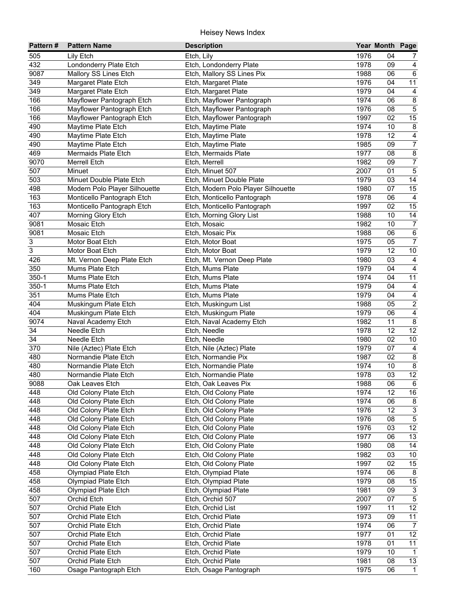| Pattern#         | <b>Pattern Name</b>                            | <b>Description</b>                               |              | Year Month Page |                                   |
|------------------|------------------------------------------------|--------------------------------------------------|--------------|-----------------|-----------------------------------|
| 505              | Lily Etch                                      | Etch, Lily                                       | 1976         | 04              | 7                                 |
| 432              | Londonderry Plate Etch                         | Etch, Londonderry Plate                          | 1978         | 09              | $\overline{\mathbf{4}}$           |
| 9087             | Mallory SS Lines Etch                          | Etch, Mallory SS Lines Pix                       | 1988         | 06              | $\,6\,$                           |
| 349              | Margaret Plate Etch                            | Etch, Margaret Plate                             | 1976         | 04              | $\overline{11}$                   |
| 349              | <b>Margaret Plate Etch</b>                     | Etch, Margaret Plate                             | 1979         | 04              | $\overline{4}$                    |
| 166              | Mayflower Pantograph Etch                      | Etch, Mayflower Pantograph                       | 1974         | 06              | $\overline{8}$                    |
| 166              | Mayflower Pantograph Etch                      | Etch, Mayflower Pantograph                       | 1976         | 08              | $\overline{5}$                    |
| 166              | Mayflower Pantograph Etch                      | Etch, Mayflower Pantograph                       | 1997         | 02              | 15                                |
| 490              | Maytime Plate Etch                             | Etch, Maytime Plate                              | 1974         | 10              | $\overline{\mathbf{8}}$           |
| 490              | Maytime Plate Etch                             | Etch, Maytime Plate                              | 1978         | 12              | $\overline{4}$                    |
| 490              | Maytime Plate Etch                             | Etch, Maytime Plate                              | 1985         | 09              | $\overline{7}$                    |
| 469              | Mermaids Plate Etch                            | Etch, Mermaids Plate                             | 1977         | 08              | $\overline{\mathbf{8}}$           |
| 9070             | <b>Merrell Etch</b>                            | Etch, Merrell                                    | 1982         | 09              | $\overline{7}$                    |
| 507              | Minuet                                         | Etch, Minuet 507                                 | 2007         | 01              | $\overline{5}$                    |
| $50\overline{3}$ | Minuet Double Plate Etch                       | Etch, Minuet Double Plate                        | 1979         | 03              | 14                                |
| 498              | Modern Polo Player Silhouette                  | Etch, Modern Polo Player Silhouette              | 1980         | 07              | 15                                |
| 163              | Monticello Pantograph Etch                     | Etch, Monticello Pantograph                      | 1978         | 06              | $\overline{4}$                    |
| 163              | Monticello Pantograph Etch                     | Etch, Monticello Pantograph                      | 1997         | 02              | 15                                |
| 407              | Morning Glory Etch                             | Etch, Morning Glory List                         | 1988         | 10              | 14                                |
| 9081             | Mosaic Etch                                    | Etch, Mosaic                                     | 1982         | 10              | $\overline{7}$                    |
| 9081             | Mosaic Etch                                    | Etch, Mosaic Pix                                 | 1988         | 06              | $\,6\,$                           |
| 3                | Motor Boat Etch                                | Etch, Motor Boat                                 | 1975         | 05              | $\overline{7}$                    |
| 3                | Motor Boat Etch                                | Etch, Motor Boat                                 | 1979         | 12              | 10                                |
| 426              | Mt. Vernon Deep Plate Etch                     | Etch, Mt. Vernon Deep Plate                      | 1980         | 03              | 4                                 |
| 350              | Mums Plate Etch                                | Etch, Mums Plate                                 | 1979         | 04              | $\overline{\mathbf{4}}$           |
| $350 - 1$        | Mums Plate Etch                                | Etch, Mums Plate                                 | 1974         | 04              | 11                                |
| $350 - 1$        | Mums Plate Etch                                | Etch, Mums Plate                                 | 1979         | 04              | $\overline{\mathbf{4}}$           |
| 351              | Mums Plate Etch                                | Etch, Mums Plate                                 | 1979         | 04              | $\overline{4}$                    |
| 404              | Muskingum Plate Etch                           | Etch, Muskingum List                             | 1988         | 05              | $\overline{2}$                    |
| 404              | Muskingum Plate Etch                           | Etch, Muskingum Plate                            | 1979         | 06              | $\overline{4}$                    |
| 9074             | Naval Academy Etch                             | Etch, Naval Academy Etch                         | 1982         | 11              | $\bf 8$                           |
| 34               | Needle Etch                                    | Etch, Needle                                     | 1978         | 12              | $\overline{12}$                   |
| 34               | Needle Etch                                    | Etch, Needle                                     | 1980         | 02              | $10\,$                            |
| 370              | Nile (Aztec) Plate Etch                        | Etch, Nile (Aztec) Plate                         | 1979         | 07              | $\overline{4}$                    |
| 480              | Normandie Plate Etch                           | Etch, Normandie Pix                              | 1987         | 02              | $\overline{8}$                    |
| 480              | Normandie Plate Etch                           | Etch, Normandie Plate                            | 1974         | 10              | $\infty$                          |
| 480              | Normandie Plate Etch                           | Etch, Normandie Plate                            | 1978         | 03              | 12                                |
| 9088             | Oak Leaves Etch                                | Etch, Oak Leaves Pix                             | 1988         | 06              | 6                                 |
| 448              | Old Colony Plate Etch                          | Etch, Old Colony Plate                           | 1974         | 12              | 16                                |
| 448              | Old Colony Plate Etch                          | Etch, Old Colony Plate                           | 1974         | 06              | 8                                 |
| 448              | Old Colony Plate Etch                          | Etch, Old Colony Plate                           | 1976         | 12              | $\mathsf 3$                       |
| 448              | Old Colony Plate Etch                          | Etch, Old Colony Plate                           | 1976<br>1976 | 08<br>03        | $\overline{5}$<br>$\overline{12}$ |
| 448<br>448       | Old Colony Plate Etch<br>Old Colony Plate Etch | Etch, Old Colony Plate<br>Etch, Old Colony Plate | 1977         | 06              | 13                                |
| 448              | Old Colony Plate Etch                          | Etch, Old Colony Plate                           | 1980         | 08              | 14                                |
| 448              | Old Colony Plate Etch                          | Etch, Old Colony Plate                           | 1982         | 03              | 10                                |
| 448              | Old Colony Plate Etch                          | Etch, Old Colony Plate                           | 1997         | 02              | 15                                |
| 458              | Olympiad Plate Etch                            | Etch, Olympiad Plate                             | 1974         | 06              | 8                                 |
| 458              | Olympiad Plate Etch                            | Etch, Olympiad Plate                             | 1979         | 08              | $15\,$                            |
| 458              | Olympiad Plate Etch                            | Etch, Olympiad Plate                             | 1981         | 09              | $\ensuremath{\mathsf{3}}$         |
| 507              | Orchid Etch                                    | Etch, Orchid 507                                 | 2007         | 07              | $\overline{5}$                    |
| 507              | Orchid Plate Etch                              | Etch, Orchid List                                | 1997         | 11              | 12                                |
| 507              | Orchid Plate Etch                              | Etch, Orchid Plate                               | 1973         | 09              | 11                                |
| 507              | Orchid Plate Etch                              | Etch, Orchid Plate                               | 1974         | 06              | $\overline{7}$                    |
| 507              | Orchid Plate Etch                              | Etch, Orchid Plate                               | 1977         | 01              | 12                                |
| 507              | Orchid Plate Etch                              | Etch, Orchid Plate                               | 1978         | 01              | $\overline{11}$                   |
| 507              | Orchid Plate Etch                              | Etch, Orchid Plate                               | 1979         | 10              | $\overline{1}$                    |
| 507              | Orchid Plate Etch                              | Etch, Orchid Plate                               | 1981         | 08              | 13                                |
| 160              | Osage Pantograph Etch                          | Etch, Osage Pantograph                           | 1975         | 06              | $\mathbf{1}$                      |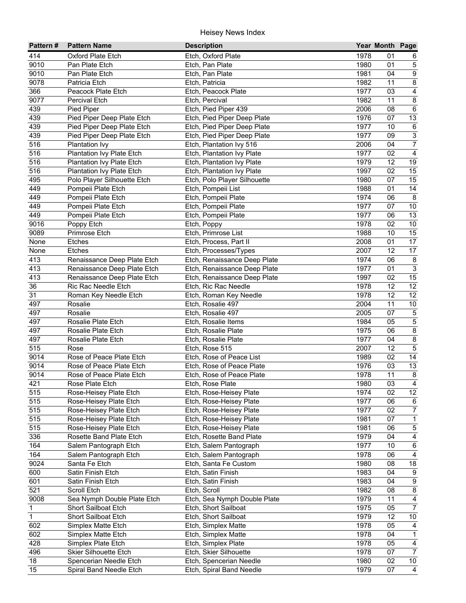| 414<br>1978<br>Oxford Plate Etch<br>Etch, Oxford Plate<br>01<br>6<br>$\mathbf 5$<br>9010<br>Pan Plate Etch<br>Etch, Pan Plate<br>1980<br>01<br>$\overline{9}$<br>9010<br>Pan Plate Etch<br>Etch, Pan Plate<br>1981<br>04<br>$\overline{8}$<br>9078<br>Patricia Etch<br>Etch, Patricia<br>1982<br>11<br>$\overline{4}$<br>Etch, Peacock Plate<br>1977<br>366<br>Peacock Plate Etch<br>03<br>$\overline{8}$<br>$90\overline{7}$<br>1982<br><b>Percival Etch</b><br>Etch, Percival<br>11<br>$\overline{6}$<br>439<br>Etch, Pied Piper 439<br>2006<br>08<br>Pied Piper<br>13<br>439<br>Pied Piper Deep Plate Etch<br>1976<br>07<br>Etch, Pied Piper Deep Plate<br>$\overline{6}$<br>439<br>1977<br>10<br>Pied Piper Deep Plate Etch<br>Etch, Pied Piper Deep Plate<br>$\overline{3}$<br>439<br>1977<br>09<br>Pied Piper Deep Plate Etch<br>Etch, Pied Piper Deep Plate<br>$\overline{7}$<br>516<br>2006<br>04<br>Plantation Ivy<br>Etch, Plantation Ivy 516<br>$\overline{4}$<br>516<br>1977<br>02<br>Plantation Ivy Plate Etch<br>Etch, Plantation Ivy Plate<br>$\overline{19}$<br>516<br>1979<br>12<br>Plantation Ivy Plate Etch<br>Etch, Plantation Ivy Plate<br>516<br>1997<br>02<br>15<br>Plantation Ivy Plate Etch<br>Etch, Plantation Ivy Plate<br>495<br>Polo Player Silhouette Etch<br>1980<br>07<br>15<br>Etch, Polo Player Silhouette<br>449<br>1988<br>01<br>14<br>Pompeii Plate Etch<br>Etch, Pompeii List<br>$\bf 8$<br>449<br>1974<br>Pompeii Plate Etch<br>06<br>Etch, Pompeii Plate<br>449<br>10<br>Pompeii Plate Etch<br>1977<br>07<br>Etch, Pompeii Plate<br>13<br>449<br>Pompeii Plate Etch<br>1977<br>06<br>Etch, Pompeii Plate<br>9016<br>10<br>Poppy Etch<br>Etch, Poppy<br>1978<br>02<br>15<br>9089<br>Primrose Etch<br>Etch, Primrose List<br>1988<br>10<br>17<br>Etches<br>Etch, Process, Part II<br>2008<br>01<br>None<br>17<br>2007<br>12<br>None<br><b>Etches</b><br>Etch, Processes/Types<br>413<br>1974<br>06<br>$\bf 8$<br>Renaissance Deep Plate Etch<br>Etch, Renaissance Deep Plate<br>$\overline{3}$<br>413<br>01<br>Renaissance Deep Plate Etch<br>Etch, Renaissance Deep Plate<br>1977<br>$\overline{15}$<br>413<br>1997<br>02<br>Renaissance Deep Plate Etch<br>Etch, Renaissance Deep Plate<br>$\overline{12}$<br>12<br>36<br>Ric Rac Needle Etch<br>1978<br>Etch, Ric Rac Needle<br>12<br>31<br>$\overline{12}$<br>1978<br>Roman Key Needle Etch<br>Etch, Roman Key Needle<br>497<br>Rosalie<br>2004<br>11<br>10<br>Etch, Rosalie 497<br>$\overline{5}$<br>497<br>2005<br>07<br>Rosalie<br>Etch, Rosalie 497<br>$\overline{5}$<br>497<br>Rosalie Plate Etch<br>1984<br>05<br>Etch, Rosalie Items<br>$\overline{\mathbf{8}}$<br>497<br>1975<br>Rosalie Plate Etch<br>Etch, Rosalie Plate<br>06<br>$\overline{8}$<br>497<br>1977<br>04<br>Rosalie Plate Etch<br>Etch, Rosalie Plate<br>$\overline{5}$<br>515<br>12<br>Etch, Rose 515<br>2007<br>Rose<br>Rose of Peace Plate Etch<br>14<br>9014<br>Etch, Rose of Peace List<br>1989<br>02<br>13<br>Rose of Peace Plate Etch<br>Etch, Rose of Peace Plate<br>9014<br>1976<br>03<br>$\overline{\mathbf{8}}$<br>11<br>9014<br>Rose of Peace Plate Etch<br>Etch, Rose of Peace Plate<br>1978<br>421<br>Rose Plate Etch<br>Etch, Rose Plate<br>1980<br>03<br>4<br>12<br>515<br>1974<br>02<br>Rose-Heisey Plate Etch<br>Etch, Rose-Heisey Plate<br>515<br>1977<br>06<br>Rose-Heisey Plate Etch<br>Etch, Rose-Heisey Plate<br>6<br>$\overline{7}$<br>515<br>02<br>1977<br>Rose-Heisey Plate Etch<br>Etch, Rose-Heisey Plate<br>515<br>07<br>$\mathbf{1}$<br>Rose-Heisey Plate Etch<br>1981<br>Etch, Rose-Heisey Plate<br>$\,$ 5 $\,$<br>515<br>Rose-Heisey Plate Etch<br>1981<br>06<br>Etch, Rose-Heisey Plate<br>336<br>$\overline{4}$<br>1979<br>Rosette Band Plate Etch<br>Etch, Rosette Band Plate<br>04<br>$\,6\,$<br>164<br>10<br>Salem Pantograph Etch<br>1977<br>Etch, Salem Pantograph<br>164<br>06<br>Salem Pantograph Etch<br>1978<br>4<br>Etch, Salem Pantograph<br>9024<br>18<br>1980<br>08<br>Santa Fe Etch<br>Etch, Santa Fe Custom<br>1983<br>04<br>600<br>9<br>Satin Finish Etch<br>Etch, Satin Finish<br>1983<br>$\boldsymbol{9}$<br>601<br>Satin Finish Etch<br>Etch, Satin Finish<br>04<br>$\bf 8$<br>521<br>Scroll Etch<br>Etch, Scroll<br>1982<br>08<br>Sea Nymph Double Plate Etch<br>Etch, Sea Nymph Double Plate<br>$\overline{4}$<br>9008<br>1979<br>11<br>$\mathbf 1$<br>$\overline{7}$<br>Short Sailboat Etch<br>1975<br>05<br>Etch, Short Sailboat<br>$\overline{1}$<br>1979<br>12<br>10<br>Short Sailboat Etch<br>Etch, Short Sailboat<br>602<br>Simplex Matte Etch<br>Etch, Simplex Matte<br>1978<br>05<br>4<br>602<br>Simplex Matte Etch<br>Etch, Simplex Matte<br>1978<br>04<br>$\mathbf{1}$<br>428<br>1978<br>05<br>$\overline{\mathbf{4}}$<br>Simplex Plate Etch<br>Etch, Simplex Plate<br>$\overline{7}$<br><b>Skier Silhouette Etch</b><br>1978<br>07<br>496<br>Etch, Skier Silhouette<br>$\overline{10}$<br>1980<br>02<br>18<br>Spencerian Needle Etch<br>Etch, Spencerian Needle | Pattern# | <b>Pattern Name</b>     | <b>Description</b>       |      | Year Month Page |                |
|----------------------------------------------------------------------------------------------------------------------------------------------------------------------------------------------------------------------------------------------------------------------------------------------------------------------------------------------------------------------------------------------------------------------------------------------------------------------------------------------------------------------------------------------------------------------------------------------------------------------------------------------------------------------------------------------------------------------------------------------------------------------------------------------------------------------------------------------------------------------------------------------------------------------------------------------------------------------------------------------------------------------------------------------------------------------------------------------------------------------------------------------------------------------------------------------------------------------------------------------------------------------------------------------------------------------------------------------------------------------------------------------------------------------------------------------------------------------------------------------------------------------------------------------------------------------------------------------------------------------------------------------------------------------------------------------------------------------------------------------------------------------------------------------------------------------------------------------------------------------------------------------------------------------------------------------------------------------------------------------------------------------------------------------------------------------------------------------------------------------------------------------------------------------------------------------------------------------------------------------------------------------------------------------------------------------------------------------------------------------------------------------------------------------------------------------------------------------------------------------------------------------------------------------------------------------------------------------------------------------------------------------------------------------------------------------------------------------------------------------------------------------------------------------------------------------------------------------------------------------------------------------------------------------------------------------------------------------------------------------------------------------------------------------------------------------------------------------------------------------------------------------------------------------------------------------------------------------------------------------------------------------------------------------------------------------------------------------------------------------------------------------------------------------------------------------------------------------------------------------------------------------------------------------------------------------------------------------------------------------------------------------------------------------------------------------------------------------------------------------------------------------------------------------------------------------------------------------------------------------------------------------------------------------------------------------------------------------------------------------------------------------------------------------------------------------------------------------------------------------------------------------------------------------------------------------------------------------------------------------------------------------------------------------------------------------------------------------------------------------------------------------------------------------------------------------------------------------------------------------------------------------------------------------------------------------------------------------------------------------------------------------------------------------------------------------------------------------------------------------------------------------------------------------------------------------------------------------------------------------------------------------------------------------------------------------------------------------------------------------------|----------|-------------------------|--------------------------|------|-----------------|----------------|
|                                                                                                                                                                                                                                                                                                                                                                                                                                                                                                                                                                                                                                                                                                                                                                                                                                                                                                                                                                                                                                                                                                                                                                                                                                                                                                                                                                                                                                                                                                                                                                                                                                                                                                                                                                                                                                                                                                                                                                                                                                                                                                                                                                                                                                                                                                                                                                                                                                                                                                                                                                                                                                                                                                                                                                                                                                                                                                                                                                                                                                                                                                                                                                                                                                                                                                                                                                                                                                                                                                                                                                                                                                                                                                                                                                                                                                                                                                                                                                                                                                                                                                                                                                                                                                                                                                                                                                                                                                                                                                                                                                                                                                                                                                                                                                                                                                                                                                                                                                                                    |          |                         |                          |      |                 |                |
|                                                                                                                                                                                                                                                                                                                                                                                                                                                                                                                                                                                                                                                                                                                                                                                                                                                                                                                                                                                                                                                                                                                                                                                                                                                                                                                                                                                                                                                                                                                                                                                                                                                                                                                                                                                                                                                                                                                                                                                                                                                                                                                                                                                                                                                                                                                                                                                                                                                                                                                                                                                                                                                                                                                                                                                                                                                                                                                                                                                                                                                                                                                                                                                                                                                                                                                                                                                                                                                                                                                                                                                                                                                                                                                                                                                                                                                                                                                                                                                                                                                                                                                                                                                                                                                                                                                                                                                                                                                                                                                                                                                                                                                                                                                                                                                                                                                                                                                                                                                                    |          |                         |                          |      |                 |                |
|                                                                                                                                                                                                                                                                                                                                                                                                                                                                                                                                                                                                                                                                                                                                                                                                                                                                                                                                                                                                                                                                                                                                                                                                                                                                                                                                                                                                                                                                                                                                                                                                                                                                                                                                                                                                                                                                                                                                                                                                                                                                                                                                                                                                                                                                                                                                                                                                                                                                                                                                                                                                                                                                                                                                                                                                                                                                                                                                                                                                                                                                                                                                                                                                                                                                                                                                                                                                                                                                                                                                                                                                                                                                                                                                                                                                                                                                                                                                                                                                                                                                                                                                                                                                                                                                                                                                                                                                                                                                                                                                                                                                                                                                                                                                                                                                                                                                                                                                                                                                    |          |                         |                          |      |                 |                |
|                                                                                                                                                                                                                                                                                                                                                                                                                                                                                                                                                                                                                                                                                                                                                                                                                                                                                                                                                                                                                                                                                                                                                                                                                                                                                                                                                                                                                                                                                                                                                                                                                                                                                                                                                                                                                                                                                                                                                                                                                                                                                                                                                                                                                                                                                                                                                                                                                                                                                                                                                                                                                                                                                                                                                                                                                                                                                                                                                                                                                                                                                                                                                                                                                                                                                                                                                                                                                                                                                                                                                                                                                                                                                                                                                                                                                                                                                                                                                                                                                                                                                                                                                                                                                                                                                                                                                                                                                                                                                                                                                                                                                                                                                                                                                                                                                                                                                                                                                                                                    |          |                         |                          |      |                 |                |
|                                                                                                                                                                                                                                                                                                                                                                                                                                                                                                                                                                                                                                                                                                                                                                                                                                                                                                                                                                                                                                                                                                                                                                                                                                                                                                                                                                                                                                                                                                                                                                                                                                                                                                                                                                                                                                                                                                                                                                                                                                                                                                                                                                                                                                                                                                                                                                                                                                                                                                                                                                                                                                                                                                                                                                                                                                                                                                                                                                                                                                                                                                                                                                                                                                                                                                                                                                                                                                                                                                                                                                                                                                                                                                                                                                                                                                                                                                                                                                                                                                                                                                                                                                                                                                                                                                                                                                                                                                                                                                                                                                                                                                                                                                                                                                                                                                                                                                                                                                                                    |          |                         |                          |      |                 |                |
|                                                                                                                                                                                                                                                                                                                                                                                                                                                                                                                                                                                                                                                                                                                                                                                                                                                                                                                                                                                                                                                                                                                                                                                                                                                                                                                                                                                                                                                                                                                                                                                                                                                                                                                                                                                                                                                                                                                                                                                                                                                                                                                                                                                                                                                                                                                                                                                                                                                                                                                                                                                                                                                                                                                                                                                                                                                                                                                                                                                                                                                                                                                                                                                                                                                                                                                                                                                                                                                                                                                                                                                                                                                                                                                                                                                                                                                                                                                                                                                                                                                                                                                                                                                                                                                                                                                                                                                                                                                                                                                                                                                                                                                                                                                                                                                                                                                                                                                                                                                                    |          |                         |                          |      |                 |                |
|                                                                                                                                                                                                                                                                                                                                                                                                                                                                                                                                                                                                                                                                                                                                                                                                                                                                                                                                                                                                                                                                                                                                                                                                                                                                                                                                                                                                                                                                                                                                                                                                                                                                                                                                                                                                                                                                                                                                                                                                                                                                                                                                                                                                                                                                                                                                                                                                                                                                                                                                                                                                                                                                                                                                                                                                                                                                                                                                                                                                                                                                                                                                                                                                                                                                                                                                                                                                                                                                                                                                                                                                                                                                                                                                                                                                                                                                                                                                                                                                                                                                                                                                                                                                                                                                                                                                                                                                                                                                                                                                                                                                                                                                                                                                                                                                                                                                                                                                                                                                    |          |                         |                          |      |                 |                |
|                                                                                                                                                                                                                                                                                                                                                                                                                                                                                                                                                                                                                                                                                                                                                                                                                                                                                                                                                                                                                                                                                                                                                                                                                                                                                                                                                                                                                                                                                                                                                                                                                                                                                                                                                                                                                                                                                                                                                                                                                                                                                                                                                                                                                                                                                                                                                                                                                                                                                                                                                                                                                                                                                                                                                                                                                                                                                                                                                                                                                                                                                                                                                                                                                                                                                                                                                                                                                                                                                                                                                                                                                                                                                                                                                                                                                                                                                                                                                                                                                                                                                                                                                                                                                                                                                                                                                                                                                                                                                                                                                                                                                                                                                                                                                                                                                                                                                                                                                                                                    |          |                         |                          |      |                 |                |
|                                                                                                                                                                                                                                                                                                                                                                                                                                                                                                                                                                                                                                                                                                                                                                                                                                                                                                                                                                                                                                                                                                                                                                                                                                                                                                                                                                                                                                                                                                                                                                                                                                                                                                                                                                                                                                                                                                                                                                                                                                                                                                                                                                                                                                                                                                                                                                                                                                                                                                                                                                                                                                                                                                                                                                                                                                                                                                                                                                                                                                                                                                                                                                                                                                                                                                                                                                                                                                                                                                                                                                                                                                                                                                                                                                                                                                                                                                                                                                                                                                                                                                                                                                                                                                                                                                                                                                                                                                                                                                                                                                                                                                                                                                                                                                                                                                                                                                                                                                                                    |          |                         |                          |      |                 |                |
|                                                                                                                                                                                                                                                                                                                                                                                                                                                                                                                                                                                                                                                                                                                                                                                                                                                                                                                                                                                                                                                                                                                                                                                                                                                                                                                                                                                                                                                                                                                                                                                                                                                                                                                                                                                                                                                                                                                                                                                                                                                                                                                                                                                                                                                                                                                                                                                                                                                                                                                                                                                                                                                                                                                                                                                                                                                                                                                                                                                                                                                                                                                                                                                                                                                                                                                                                                                                                                                                                                                                                                                                                                                                                                                                                                                                                                                                                                                                                                                                                                                                                                                                                                                                                                                                                                                                                                                                                                                                                                                                                                                                                                                                                                                                                                                                                                                                                                                                                                                                    |          |                         |                          |      |                 |                |
|                                                                                                                                                                                                                                                                                                                                                                                                                                                                                                                                                                                                                                                                                                                                                                                                                                                                                                                                                                                                                                                                                                                                                                                                                                                                                                                                                                                                                                                                                                                                                                                                                                                                                                                                                                                                                                                                                                                                                                                                                                                                                                                                                                                                                                                                                                                                                                                                                                                                                                                                                                                                                                                                                                                                                                                                                                                                                                                                                                                                                                                                                                                                                                                                                                                                                                                                                                                                                                                                                                                                                                                                                                                                                                                                                                                                                                                                                                                                                                                                                                                                                                                                                                                                                                                                                                                                                                                                                                                                                                                                                                                                                                                                                                                                                                                                                                                                                                                                                                                                    |          |                         |                          |      |                 |                |
|                                                                                                                                                                                                                                                                                                                                                                                                                                                                                                                                                                                                                                                                                                                                                                                                                                                                                                                                                                                                                                                                                                                                                                                                                                                                                                                                                                                                                                                                                                                                                                                                                                                                                                                                                                                                                                                                                                                                                                                                                                                                                                                                                                                                                                                                                                                                                                                                                                                                                                                                                                                                                                                                                                                                                                                                                                                                                                                                                                                                                                                                                                                                                                                                                                                                                                                                                                                                                                                                                                                                                                                                                                                                                                                                                                                                                                                                                                                                                                                                                                                                                                                                                                                                                                                                                                                                                                                                                                                                                                                                                                                                                                                                                                                                                                                                                                                                                                                                                                                                    |          |                         |                          |      |                 |                |
|                                                                                                                                                                                                                                                                                                                                                                                                                                                                                                                                                                                                                                                                                                                                                                                                                                                                                                                                                                                                                                                                                                                                                                                                                                                                                                                                                                                                                                                                                                                                                                                                                                                                                                                                                                                                                                                                                                                                                                                                                                                                                                                                                                                                                                                                                                                                                                                                                                                                                                                                                                                                                                                                                                                                                                                                                                                                                                                                                                                                                                                                                                                                                                                                                                                                                                                                                                                                                                                                                                                                                                                                                                                                                                                                                                                                                                                                                                                                                                                                                                                                                                                                                                                                                                                                                                                                                                                                                                                                                                                                                                                                                                                                                                                                                                                                                                                                                                                                                                                                    |          |                         |                          |      |                 |                |
|                                                                                                                                                                                                                                                                                                                                                                                                                                                                                                                                                                                                                                                                                                                                                                                                                                                                                                                                                                                                                                                                                                                                                                                                                                                                                                                                                                                                                                                                                                                                                                                                                                                                                                                                                                                                                                                                                                                                                                                                                                                                                                                                                                                                                                                                                                                                                                                                                                                                                                                                                                                                                                                                                                                                                                                                                                                                                                                                                                                                                                                                                                                                                                                                                                                                                                                                                                                                                                                                                                                                                                                                                                                                                                                                                                                                                                                                                                                                                                                                                                                                                                                                                                                                                                                                                                                                                                                                                                                                                                                                                                                                                                                                                                                                                                                                                                                                                                                                                                                                    |          |                         |                          |      |                 |                |
|                                                                                                                                                                                                                                                                                                                                                                                                                                                                                                                                                                                                                                                                                                                                                                                                                                                                                                                                                                                                                                                                                                                                                                                                                                                                                                                                                                                                                                                                                                                                                                                                                                                                                                                                                                                                                                                                                                                                                                                                                                                                                                                                                                                                                                                                                                                                                                                                                                                                                                                                                                                                                                                                                                                                                                                                                                                                                                                                                                                                                                                                                                                                                                                                                                                                                                                                                                                                                                                                                                                                                                                                                                                                                                                                                                                                                                                                                                                                                                                                                                                                                                                                                                                                                                                                                                                                                                                                                                                                                                                                                                                                                                                                                                                                                                                                                                                                                                                                                                                                    |          |                         |                          |      |                 |                |
|                                                                                                                                                                                                                                                                                                                                                                                                                                                                                                                                                                                                                                                                                                                                                                                                                                                                                                                                                                                                                                                                                                                                                                                                                                                                                                                                                                                                                                                                                                                                                                                                                                                                                                                                                                                                                                                                                                                                                                                                                                                                                                                                                                                                                                                                                                                                                                                                                                                                                                                                                                                                                                                                                                                                                                                                                                                                                                                                                                                                                                                                                                                                                                                                                                                                                                                                                                                                                                                                                                                                                                                                                                                                                                                                                                                                                                                                                                                                                                                                                                                                                                                                                                                                                                                                                                                                                                                                                                                                                                                                                                                                                                                                                                                                                                                                                                                                                                                                                                                                    |          |                         |                          |      |                 |                |
|                                                                                                                                                                                                                                                                                                                                                                                                                                                                                                                                                                                                                                                                                                                                                                                                                                                                                                                                                                                                                                                                                                                                                                                                                                                                                                                                                                                                                                                                                                                                                                                                                                                                                                                                                                                                                                                                                                                                                                                                                                                                                                                                                                                                                                                                                                                                                                                                                                                                                                                                                                                                                                                                                                                                                                                                                                                                                                                                                                                                                                                                                                                                                                                                                                                                                                                                                                                                                                                                                                                                                                                                                                                                                                                                                                                                                                                                                                                                                                                                                                                                                                                                                                                                                                                                                                                                                                                                                                                                                                                                                                                                                                                                                                                                                                                                                                                                                                                                                                                                    |          |                         |                          |      |                 |                |
|                                                                                                                                                                                                                                                                                                                                                                                                                                                                                                                                                                                                                                                                                                                                                                                                                                                                                                                                                                                                                                                                                                                                                                                                                                                                                                                                                                                                                                                                                                                                                                                                                                                                                                                                                                                                                                                                                                                                                                                                                                                                                                                                                                                                                                                                                                                                                                                                                                                                                                                                                                                                                                                                                                                                                                                                                                                                                                                                                                                                                                                                                                                                                                                                                                                                                                                                                                                                                                                                                                                                                                                                                                                                                                                                                                                                                                                                                                                                                                                                                                                                                                                                                                                                                                                                                                                                                                                                                                                                                                                                                                                                                                                                                                                                                                                                                                                                                                                                                                                                    |          |                         |                          |      |                 |                |
|                                                                                                                                                                                                                                                                                                                                                                                                                                                                                                                                                                                                                                                                                                                                                                                                                                                                                                                                                                                                                                                                                                                                                                                                                                                                                                                                                                                                                                                                                                                                                                                                                                                                                                                                                                                                                                                                                                                                                                                                                                                                                                                                                                                                                                                                                                                                                                                                                                                                                                                                                                                                                                                                                                                                                                                                                                                                                                                                                                                                                                                                                                                                                                                                                                                                                                                                                                                                                                                                                                                                                                                                                                                                                                                                                                                                                                                                                                                                                                                                                                                                                                                                                                                                                                                                                                                                                                                                                                                                                                                                                                                                                                                                                                                                                                                                                                                                                                                                                                                                    |          |                         |                          |      |                 |                |
|                                                                                                                                                                                                                                                                                                                                                                                                                                                                                                                                                                                                                                                                                                                                                                                                                                                                                                                                                                                                                                                                                                                                                                                                                                                                                                                                                                                                                                                                                                                                                                                                                                                                                                                                                                                                                                                                                                                                                                                                                                                                                                                                                                                                                                                                                                                                                                                                                                                                                                                                                                                                                                                                                                                                                                                                                                                                                                                                                                                                                                                                                                                                                                                                                                                                                                                                                                                                                                                                                                                                                                                                                                                                                                                                                                                                                                                                                                                                                                                                                                                                                                                                                                                                                                                                                                                                                                                                                                                                                                                                                                                                                                                                                                                                                                                                                                                                                                                                                                                                    |          |                         |                          |      |                 |                |
|                                                                                                                                                                                                                                                                                                                                                                                                                                                                                                                                                                                                                                                                                                                                                                                                                                                                                                                                                                                                                                                                                                                                                                                                                                                                                                                                                                                                                                                                                                                                                                                                                                                                                                                                                                                                                                                                                                                                                                                                                                                                                                                                                                                                                                                                                                                                                                                                                                                                                                                                                                                                                                                                                                                                                                                                                                                                                                                                                                                                                                                                                                                                                                                                                                                                                                                                                                                                                                                                                                                                                                                                                                                                                                                                                                                                                                                                                                                                                                                                                                                                                                                                                                                                                                                                                                                                                                                                                                                                                                                                                                                                                                                                                                                                                                                                                                                                                                                                                                                                    |          |                         |                          |      |                 |                |
|                                                                                                                                                                                                                                                                                                                                                                                                                                                                                                                                                                                                                                                                                                                                                                                                                                                                                                                                                                                                                                                                                                                                                                                                                                                                                                                                                                                                                                                                                                                                                                                                                                                                                                                                                                                                                                                                                                                                                                                                                                                                                                                                                                                                                                                                                                                                                                                                                                                                                                                                                                                                                                                                                                                                                                                                                                                                                                                                                                                                                                                                                                                                                                                                                                                                                                                                                                                                                                                                                                                                                                                                                                                                                                                                                                                                                                                                                                                                                                                                                                                                                                                                                                                                                                                                                                                                                                                                                                                                                                                                                                                                                                                                                                                                                                                                                                                                                                                                                                                                    |          |                         |                          |      |                 |                |
|                                                                                                                                                                                                                                                                                                                                                                                                                                                                                                                                                                                                                                                                                                                                                                                                                                                                                                                                                                                                                                                                                                                                                                                                                                                                                                                                                                                                                                                                                                                                                                                                                                                                                                                                                                                                                                                                                                                                                                                                                                                                                                                                                                                                                                                                                                                                                                                                                                                                                                                                                                                                                                                                                                                                                                                                                                                                                                                                                                                                                                                                                                                                                                                                                                                                                                                                                                                                                                                                                                                                                                                                                                                                                                                                                                                                                                                                                                                                                                                                                                                                                                                                                                                                                                                                                                                                                                                                                                                                                                                                                                                                                                                                                                                                                                                                                                                                                                                                                                                                    |          |                         |                          |      |                 |                |
|                                                                                                                                                                                                                                                                                                                                                                                                                                                                                                                                                                                                                                                                                                                                                                                                                                                                                                                                                                                                                                                                                                                                                                                                                                                                                                                                                                                                                                                                                                                                                                                                                                                                                                                                                                                                                                                                                                                                                                                                                                                                                                                                                                                                                                                                                                                                                                                                                                                                                                                                                                                                                                                                                                                                                                                                                                                                                                                                                                                                                                                                                                                                                                                                                                                                                                                                                                                                                                                                                                                                                                                                                                                                                                                                                                                                                                                                                                                                                                                                                                                                                                                                                                                                                                                                                                                                                                                                                                                                                                                                                                                                                                                                                                                                                                                                                                                                                                                                                                                                    |          |                         |                          |      |                 |                |
|                                                                                                                                                                                                                                                                                                                                                                                                                                                                                                                                                                                                                                                                                                                                                                                                                                                                                                                                                                                                                                                                                                                                                                                                                                                                                                                                                                                                                                                                                                                                                                                                                                                                                                                                                                                                                                                                                                                                                                                                                                                                                                                                                                                                                                                                                                                                                                                                                                                                                                                                                                                                                                                                                                                                                                                                                                                                                                                                                                                                                                                                                                                                                                                                                                                                                                                                                                                                                                                                                                                                                                                                                                                                                                                                                                                                                                                                                                                                                                                                                                                                                                                                                                                                                                                                                                                                                                                                                                                                                                                                                                                                                                                                                                                                                                                                                                                                                                                                                                                                    |          |                         |                          |      |                 |                |
|                                                                                                                                                                                                                                                                                                                                                                                                                                                                                                                                                                                                                                                                                                                                                                                                                                                                                                                                                                                                                                                                                                                                                                                                                                                                                                                                                                                                                                                                                                                                                                                                                                                                                                                                                                                                                                                                                                                                                                                                                                                                                                                                                                                                                                                                                                                                                                                                                                                                                                                                                                                                                                                                                                                                                                                                                                                                                                                                                                                                                                                                                                                                                                                                                                                                                                                                                                                                                                                                                                                                                                                                                                                                                                                                                                                                                                                                                                                                                                                                                                                                                                                                                                                                                                                                                                                                                                                                                                                                                                                                                                                                                                                                                                                                                                                                                                                                                                                                                                                                    |          |                         |                          |      |                 |                |
|                                                                                                                                                                                                                                                                                                                                                                                                                                                                                                                                                                                                                                                                                                                                                                                                                                                                                                                                                                                                                                                                                                                                                                                                                                                                                                                                                                                                                                                                                                                                                                                                                                                                                                                                                                                                                                                                                                                                                                                                                                                                                                                                                                                                                                                                                                                                                                                                                                                                                                                                                                                                                                                                                                                                                                                                                                                                                                                                                                                                                                                                                                                                                                                                                                                                                                                                                                                                                                                                                                                                                                                                                                                                                                                                                                                                                                                                                                                                                                                                                                                                                                                                                                                                                                                                                                                                                                                                                                                                                                                                                                                                                                                                                                                                                                                                                                                                                                                                                                                                    |          |                         |                          |      |                 |                |
|                                                                                                                                                                                                                                                                                                                                                                                                                                                                                                                                                                                                                                                                                                                                                                                                                                                                                                                                                                                                                                                                                                                                                                                                                                                                                                                                                                                                                                                                                                                                                                                                                                                                                                                                                                                                                                                                                                                                                                                                                                                                                                                                                                                                                                                                                                                                                                                                                                                                                                                                                                                                                                                                                                                                                                                                                                                                                                                                                                                                                                                                                                                                                                                                                                                                                                                                                                                                                                                                                                                                                                                                                                                                                                                                                                                                                                                                                                                                                                                                                                                                                                                                                                                                                                                                                                                                                                                                                                                                                                                                                                                                                                                                                                                                                                                                                                                                                                                                                                                                    |          |                         |                          |      |                 |                |
|                                                                                                                                                                                                                                                                                                                                                                                                                                                                                                                                                                                                                                                                                                                                                                                                                                                                                                                                                                                                                                                                                                                                                                                                                                                                                                                                                                                                                                                                                                                                                                                                                                                                                                                                                                                                                                                                                                                                                                                                                                                                                                                                                                                                                                                                                                                                                                                                                                                                                                                                                                                                                                                                                                                                                                                                                                                                                                                                                                                                                                                                                                                                                                                                                                                                                                                                                                                                                                                                                                                                                                                                                                                                                                                                                                                                                                                                                                                                                                                                                                                                                                                                                                                                                                                                                                                                                                                                                                                                                                                                                                                                                                                                                                                                                                                                                                                                                                                                                                                                    |          |                         |                          |      |                 |                |
|                                                                                                                                                                                                                                                                                                                                                                                                                                                                                                                                                                                                                                                                                                                                                                                                                                                                                                                                                                                                                                                                                                                                                                                                                                                                                                                                                                                                                                                                                                                                                                                                                                                                                                                                                                                                                                                                                                                                                                                                                                                                                                                                                                                                                                                                                                                                                                                                                                                                                                                                                                                                                                                                                                                                                                                                                                                                                                                                                                                                                                                                                                                                                                                                                                                                                                                                                                                                                                                                                                                                                                                                                                                                                                                                                                                                                                                                                                                                                                                                                                                                                                                                                                                                                                                                                                                                                                                                                                                                                                                                                                                                                                                                                                                                                                                                                                                                                                                                                                                                    |          |                         |                          |      |                 |                |
|                                                                                                                                                                                                                                                                                                                                                                                                                                                                                                                                                                                                                                                                                                                                                                                                                                                                                                                                                                                                                                                                                                                                                                                                                                                                                                                                                                                                                                                                                                                                                                                                                                                                                                                                                                                                                                                                                                                                                                                                                                                                                                                                                                                                                                                                                                                                                                                                                                                                                                                                                                                                                                                                                                                                                                                                                                                                                                                                                                                                                                                                                                                                                                                                                                                                                                                                                                                                                                                                                                                                                                                                                                                                                                                                                                                                                                                                                                                                                                                                                                                                                                                                                                                                                                                                                                                                                                                                                                                                                                                                                                                                                                                                                                                                                                                                                                                                                                                                                                                                    |          |                         |                          |      |                 |                |
|                                                                                                                                                                                                                                                                                                                                                                                                                                                                                                                                                                                                                                                                                                                                                                                                                                                                                                                                                                                                                                                                                                                                                                                                                                                                                                                                                                                                                                                                                                                                                                                                                                                                                                                                                                                                                                                                                                                                                                                                                                                                                                                                                                                                                                                                                                                                                                                                                                                                                                                                                                                                                                                                                                                                                                                                                                                                                                                                                                                                                                                                                                                                                                                                                                                                                                                                                                                                                                                                                                                                                                                                                                                                                                                                                                                                                                                                                                                                                                                                                                                                                                                                                                                                                                                                                                                                                                                                                                                                                                                                                                                                                                                                                                                                                                                                                                                                                                                                                                                                    |          |                         |                          |      |                 |                |
|                                                                                                                                                                                                                                                                                                                                                                                                                                                                                                                                                                                                                                                                                                                                                                                                                                                                                                                                                                                                                                                                                                                                                                                                                                                                                                                                                                                                                                                                                                                                                                                                                                                                                                                                                                                                                                                                                                                                                                                                                                                                                                                                                                                                                                                                                                                                                                                                                                                                                                                                                                                                                                                                                                                                                                                                                                                                                                                                                                                                                                                                                                                                                                                                                                                                                                                                                                                                                                                                                                                                                                                                                                                                                                                                                                                                                                                                                                                                                                                                                                                                                                                                                                                                                                                                                                                                                                                                                                                                                                                                                                                                                                                                                                                                                                                                                                                                                                                                                                                                    |          |                         |                          |      |                 |                |
|                                                                                                                                                                                                                                                                                                                                                                                                                                                                                                                                                                                                                                                                                                                                                                                                                                                                                                                                                                                                                                                                                                                                                                                                                                                                                                                                                                                                                                                                                                                                                                                                                                                                                                                                                                                                                                                                                                                                                                                                                                                                                                                                                                                                                                                                                                                                                                                                                                                                                                                                                                                                                                                                                                                                                                                                                                                                                                                                                                                                                                                                                                                                                                                                                                                                                                                                                                                                                                                                                                                                                                                                                                                                                                                                                                                                                                                                                                                                                                                                                                                                                                                                                                                                                                                                                                                                                                                                                                                                                                                                                                                                                                                                                                                                                                                                                                                                                                                                                                                                    |          |                         |                          |      |                 |                |
|                                                                                                                                                                                                                                                                                                                                                                                                                                                                                                                                                                                                                                                                                                                                                                                                                                                                                                                                                                                                                                                                                                                                                                                                                                                                                                                                                                                                                                                                                                                                                                                                                                                                                                                                                                                                                                                                                                                                                                                                                                                                                                                                                                                                                                                                                                                                                                                                                                                                                                                                                                                                                                                                                                                                                                                                                                                                                                                                                                                                                                                                                                                                                                                                                                                                                                                                                                                                                                                                                                                                                                                                                                                                                                                                                                                                                                                                                                                                                                                                                                                                                                                                                                                                                                                                                                                                                                                                                                                                                                                                                                                                                                                                                                                                                                                                                                                                                                                                                                                                    |          |                         |                          |      |                 |                |
|                                                                                                                                                                                                                                                                                                                                                                                                                                                                                                                                                                                                                                                                                                                                                                                                                                                                                                                                                                                                                                                                                                                                                                                                                                                                                                                                                                                                                                                                                                                                                                                                                                                                                                                                                                                                                                                                                                                                                                                                                                                                                                                                                                                                                                                                                                                                                                                                                                                                                                                                                                                                                                                                                                                                                                                                                                                                                                                                                                                                                                                                                                                                                                                                                                                                                                                                                                                                                                                                                                                                                                                                                                                                                                                                                                                                                                                                                                                                                                                                                                                                                                                                                                                                                                                                                                                                                                                                                                                                                                                                                                                                                                                                                                                                                                                                                                                                                                                                                                                                    |          |                         |                          |      |                 |                |
|                                                                                                                                                                                                                                                                                                                                                                                                                                                                                                                                                                                                                                                                                                                                                                                                                                                                                                                                                                                                                                                                                                                                                                                                                                                                                                                                                                                                                                                                                                                                                                                                                                                                                                                                                                                                                                                                                                                                                                                                                                                                                                                                                                                                                                                                                                                                                                                                                                                                                                                                                                                                                                                                                                                                                                                                                                                                                                                                                                                                                                                                                                                                                                                                                                                                                                                                                                                                                                                                                                                                                                                                                                                                                                                                                                                                                                                                                                                                                                                                                                                                                                                                                                                                                                                                                                                                                                                                                                                                                                                                                                                                                                                                                                                                                                                                                                                                                                                                                                                                    |          |                         |                          |      |                 |                |
|                                                                                                                                                                                                                                                                                                                                                                                                                                                                                                                                                                                                                                                                                                                                                                                                                                                                                                                                                                                                                                                                                                                                                                                                                                                                                                                                                                                                                                                                                                                                                                                                                                                                                                                                                                                                                                                                                                                                                                                                                                                                                                                                                                                                                                                                                                                                                                                                                                                                                                                                                                                                                                                                                                                                                                                                                                                                                                                                                                                                                                                                                                                                                                                                                                                                                                                                                                                                                                                                                                                                                                                                                                                                                                                                                                                                                                                                                                                                                                                                                                                                                                                                                                                                                                                                                                                                                                                                                                                                                                                                                                                                                                                                                                                                                                                                                                                                                                                                                                                                    |          |                         |                          |      |                 |                |
|                                                                                                                                                                                                                                                                                                                                                                                                                                                                                                                                                                                                                                                                                                                                                                                                                                                                                                                                                                                                                                                                                                                                                                                                                                                                                                                                                                                                                                                                                                                                                                                                                                                                                                                                                                                                                                                                                                                                                                                                                                                                                                                                                                                                                                                                                                                                                                                                                                                                                                                                                                                                                                                                                                                                                                                                                                                                                                                                                                                                                                                                                                                                                                                                                                                                                                                                                                                                                                                                                                                                                                                                                                                                                                                                                                                                                                                                                                                                                                                                                                                                                                                                                                                                                                                                                                                                                                                                                                                                                                                                                                                                                                                                                                                                                                                                                                                                                                                                                                                                    |          |                         |                          |      |                 |                |
|                                                                                                                                                                                                                                                                                                                                                                                                                                                                                                                                                                                                                                                                                                                                                                                                                                                                                                                                                                                                                                                                                                                                                                                                                                                                                                                                                                                                                                                                                                                                                                                                                                                                                                                                                                                                                                                                                                                                                                                                                                                                                                                                                                                                                                                                                                                                                                                                                                                                                                                                                                                                                                                                                                                                                                                                                                                                                                                                                                                                                                                                                                                                                                                                                                                                                                                                                                                                                                                                                                                                                                                                                                                                                                                                                                                                                                                                                                                                                                                                                                                                                                                                                                                                                                                                                                                                                                                                                                                                                                                                                                                                                                                                                                                                                                                                                                                                                                                                                                                                    |          |                         |                          |      |                 |                |
|                                                                                                                                                                                                                                                                                                                                                                                                                                                                                                                                                                                                                                                                                                                                                                                                                                                                                                                                                                                                                                                                                                                                                                                                                                                                                                                                                                                                                                                                                                                                                                                                                                                                                                                                                                                                                                                                                                                                                                                                                                                                                                                                                                                                                                                                                                                                                                                                                                                                                                                                                                                                                                                                                                                                                                                                                                                                                                                                                                                                                                                                                                                                                                                                                                                                                                                                                                                                                                                                                                                                                                                                                                                                                                                                                                                                                                                                                                                                                                                                                                                                                                                                                                                                                                                                                                                                                                                                                                                                                                                                                                                                                                                                                                                                                                                                                                                                                                                                                                                                    |          |                         |                          |      |                 |                |
|                                                                                                                                                                                                                                                                                                                                                                                                                                                                                                                                                                                                                                                                                                                                                                                                                                                                                                                                                                                                                                                                                                                                                                                                                                                                                                                                                                                                                                                                                                                                                                                                                                                                                                                                                                                                                                                                                                                                                                                                                                                                                                                                                                                                                                                                                                                                                                                                                                                                                                                                                                                                                                                                                                                                                                                                                                                                                                                                                                                                                                                                                                                                                                                                                                                                                                                                                                                                                                                                                                                                                                                                                                                                                                                                                                                                                                                                                                                                                                                                                                                                                                                                                                                                                                                                                                                                                                                                                                                                                                                                                                                                                                                                                                                                                                                                                                                                                                                                                                                                    |          |                         |                          |      |                 |                |
|                                                                                                                                                                                                                                                                                                                                                                                                                                                                                                                                                                                                                                                                                                                                                                                                                                                                                                                                                                                                                                                                                                                                                                                                                                                                                                                                                                                                                                                                                                                                                                                                                                                                                                                                                                                                                                                                                                                                                                                                                                                                                                                                                                                                                                                                                                                                                                                                                                                                                                                                                                                                                                                                                                                                                                                                                                                                                                                                                                                                                                                                                                                                                                                                                                                                                                                                                                                                                                                                                                                                                                                                                                                                                                                                                                                                                                                                                                                                                                                                                                                                                                                                                                                                                                                                                                                                                                                                                                                                                                                                                                                                                                                                                                                                                                                                                                                                                                                                                                                                    |          |                         |                          |      |                 |                |
|                                                                                                                                                                                                                                                                                                                                                                                                                                                                                                                                                                                                                                                                                                                                                                                                                                                                                                                                                                                                                                                                                                                                                                                                                                                                                                                                                                                                                                                                                                                                                                                                                                                                                                                                                                                                                                                                                                                                                                                                                                                                                                                                                                                                                                                                                                                                                                                                                                                                                                                                                                                                                                                                                                                                                                                                                                                                                                                                                                                                                                                                                                                                                                                                                                                                                                                                                                                                                                                                                                                                                                                                                                                                                                                                                                                                                                                                                                                                                                                                                                                                                                                                                                                                                                                                                                                                                                                                                                                                                                                                                                                                                                                                                                                                                                                                                                                                                                                                                                                                    |          |                         |                          |      |                 |                |
|                                                                                                                                                                                                                                                                                                                                                                                                                                                                                                                                                                                                                                                                                                                                                                                                                                                                                                                                                                                                                                                                                                                                                                                                                                                                                                                                                                                                                                                                                                                                                                                                                                                                                                                                                                                                                                                                                                                                                                                                                                                                                                                                                                                                                                                                                                                                                                                                                                                                                                                                                                                                                                                                                                                                                                                                                                                                                                                                                                                                                                                                                                                                                                                                                                                                                                                                                                                                                                                                                                                                                                                                                                                                                                                                                                                                                                                                                                                                                                                                                                                                                                                                                                                                                                                                                                                                                                                                                                                                                                                                                                                                                                                                                                                                                                                                                                                                                                                                                                                                    |          |                         |                          |      |                 |                |
|                                                                                                                                                                                                                                                                                                                                                                                                                                                                                                                                                                                                                                                                                                                                                                                                                                                                                                                                                                                                                                                                                                                                                                                                                                                                                                                                                                                                                                                                                                                                                                                                                                                                                                                                                                                                                                                                                                                                                                                                                                                                                                                                                                                                                                                                                                                                                                                                                                                                                                                                                                                                                                                                                                                                                                                                                                                                                                                                                                                                                                                                                                                                                                                                                                                                                                                                                                                                                                                                                                                                                                                                                                                                                                                                                                                                                                                                                                                                                                                                                                                                                                                                                                                                                                                                                                                                                                                                                                                                                                                                                                                                                                                                                                                                                                                                                                                                                                                                                                                                    |          |                         |                          |      |                 |                |
|                                                                                                                                                                                                                                                                                                                                                                                                                                                                                                                                                                                                                                                                                                                                                                                                                                                                                                                                                                                                                                                                                                                                                                                                                                                                                                                                                                                                                                                                                                                                                                                                                                                                                                                                                                                                                                                                                                                                                                                                                                                                                                                                                                                                                                                                                                                                                                                                                                                                                                                                                                                                                                                                                                                                                                                                                                                                                                                                                                                                                                                                                                                                                                                                                                                                                                                                                                                                                                                                                                                                                                                                                                                                                                                                                                                                                                                                                                                                                                                                                                                                                                                                                                                                                                                                                                                                                                                                                                                                                                                                                                                                                                                                                                                                                                                                                                                                                                                                                                                                    |          |                         |                          |      |                 |                |
|                                                                                                                                                                                                                                                                                                                                                                                                                                                                                                                                                                                                                                                                                                                                                                                                                                                                                                                                                                                                                                                                                                                                                                                                                                                                                                                                                                                                                                                                                                                                                                                                                                                                                                                                                                                                                                                                                                                                                                                                                                                                                                                                                                                                                                                                                                                                                                                                                                                                                                                                                                                                                                                                                                                                                                                                                                                                                                                                                                                                                                                                                                                                                                                                                                                                                                                                                                                                                                                                                                                                                                                                                                                                                                                                                                                                                                                                                                                                                                                                                                                                                                                                                                                                                                                                                                                                                                                                                                                                                                                                                                                                                                                                                                                                                                                                                                                                                                                                                                                                    |          |                         |                          |      |                 |                |
|                                                                                                                                                                                                                                                                                                                                                                                                                                                                                                                                                                                                                                                                                                                                                                                                                                                                                                                                                                                                                                                                                                                                                                                                                                                                                                                                                                                                                                                                                                                                                                                                                                                                                                                                                                                                                                                                                                                                                                                                                                                                                                                                                                                                                                                                                                                                                                                                                                                                                                                                                                                                                                                                                                                                                                                                                                                                                                                                                                                                                                                                                                                                                                                                                                                                                                                                                                                                                                                                                                                                                                                                                                                                                                                                                                                                                                                                                                                                                                                                                                                                                                                                                                                                                                                                                                                                                                                                                                                                                                                                                                                                                                                                                                                                                                                                                                                                                                                                                                                                    |          |                         |                          |      |                 |                |
|                                                                                                                                                                                                                                                                                                                                                                                                                                                                                                                                                                                                                                                                                                                                                                                                                                                                                                                                                                                                                                                                                                                                                                                                                                                                                                                                                                                                                                                                                                                                                                                                                                                                                                                                                                                                                                                                                                                                                                                                                                                                                                                                                                                                                                                                                                                                                                                                                                                                                                                                                                                                                                                                                                                                                                                                                                                                                                                                                                                                                                                                                                                                                                                                                                                                                                                                                                                                                                                                                                                                                                                                                                                                                                                                                                                                                                                                                                                                                                                                                                                                                                                                                                                                                                                                                                                                                                                                                                                                                                                                                                                                                                                                                                                                                                                                                                                                                                                                                                                                    |          |                         |                          |      |                 |                |
|                                                                                                                                                                                                                                                                                                                                                                                                                                                                                                                                                                                                                                                                                                                                                                                                                                                                                                                                                                                                                                                                                                                                                                                                                                                                                                                                                                                                                                                                                                                                                                                                                                                                                                                                                                                                                                                                                                                                                                                                                                                                                                                                                                                                                                                                                                                                                                                                                                                                                                                                                                                                                                                                                                                                                                                                                                                                                                                                                                                                                                                                                                                                                                                                                                                                                                                                                                                                                                                                                                                                                                                                                                                                                                                                                                                                                                                                                                                                                                                                                                                                                                                                                                                                                                                                                                                                                                                                                                                                                                                                                                                                                                                                                                                                                                                                                                                                                                                                                                                                    |          |                         |                          |      |                 |                |
|                                                                                                                                                                                                                                                                                                                                                                                                                                                                                                                                                                                                                                                                                                                                                                                                                                                                                                                                                                                                                                                                                                                                                                                                                                                                                                                                                                                                                                                                                                                                                                                                                                                                                                                                                                                                                                                                                                                                                                                                                                                                                                                                                                                                                                                                                                                                                                                                                                                                                                                                                                                                                                                                                                                                                                                                                                                                                                                                                                                                                                                                                                                                                                                                                                                                                                                                                                                                                                                                                                                                                                                                                                                                                                                                                                                                                                                                                                                                                                                                                                                                                                                                                                                                                                                                                                                                                                                                                                                                                                                                                                                                                                                                                                                                                                                                                                                                                                                                                                                                    |          |                         |                          |      |                 |                |
|                                                                                                                                                                                                                                                                                                                                                                                                                                                                                                                                                                                                                                                                                                                                                                                                                                                                                                                                                                                                                                                                                                                                                                                                                                                                                                                                                                                                                                                                                                                                                                                                                                                                                                                                                                                                                                                                                                                                                                                                                                                                                                                                                                                                                                                                                                                                                                                                                                                                                                                                                                                                                                                                                                                                                                                                                                                                                                                                                                                                                                                                                                                                                                                                                                                                                                                                                                                                                                                                                                                                                                                                                                                                                                                                                                                                                                                                                                                                                                                                                                                                                                                                                                                                                                                                                                                                                                                                                                                                                                                                                                                                                                                                                                                                                                                                                                                                                                                                                                                                    |          |                         |                          |      |                 |                |
|                                                                                                                                                                                                                                                                                                                                                                                                                                                                                                                                                                                                                                                                                                                                                                                                                                                                                                                                                                                                                                                                                                                                                                                                                                                                                                                                                                                                                                                                                                                                                                                                                                                                                                                                                                                                                                                                                                                                                                                                                                                                                                                                                                                                                                                                                                                                                                                                                                                                                                                                                                                                                                                                                                                                                                                                                                                                                                                                                                                                                                                                                                                                                                                                                                                                                                                                                                                                                                                                                                                                                                                                                                                                                                                                                                                                                                                                                                                                                                                                                                                                                                                                                                                                                                                                                                                                                                                                                                                                                                                                                                                                                                                                                                                                                                                                                                                                                                                                                                                                    |          |                         |                          |      |                 |                |
|                                                                                                                                                                                                                                                                                                                                                                                                                                                                                                                                                                                                                                                                                                                                                                                                                                                                                                                                                                                                                                                                                                                                                                                                                                                                                                                                                                                                                                                                                                                                                                                                                                                                                                                                                                                                                                                                                                                                                                                                                                                                                                                                                                                                                                                                                                                                                                                                                                                                                                                                                                                                                                                                                                                                                                                                                                                                                                                                                                                                                                                                                                                                                                                                                                                                                                                                                                                                                                                                                                                                                                                                                                                                                                                                                                                                                                                                                                                                                                                                                                                                                                                                                                                                                                                                                                                                                                                                                                                                                                                                                                                                                                                                                                                                                                                                                                                                                                                                                                                                    |          |                         |                          |      |                 |                |
|                                                                                                                                                                                                                                                                                                                                                                                                                                                                                                                                                                                                                                                                                                                                                                                                                                                                                                                                                                                                                                                                                                                                                                                                                                                                                                                                                                                                                                                                                                                                                                                                                                                                                                                                                                                                                                                                                                                                                                                                                                                                                                                                                                                                                                                                                                                                                                                                                                                                                                                                                                                                                                                                                                                                                                                                                                                                                                                                                                                                                                                                                                                                                                                                                                                                                                                                                                                                                                                                                                                                                                                                                                                                                                                                                                                                                                                                                                                                                                                                                                                                                                                                                                                                                                                                                                                                                                                                                                                                                                                                                                                                                                                                                                                                                                                                                                                                                                                                                                                                    |          |                         |                          |      |                 |                |
|                                                                                                                                                                                                                                                                                                                                                                                                                                                                                                                                                                                                                                                                                                                                                                                                                                                                                                                                                                                                                                                                                                                                                                                                                                                                                                                                                                                                                                                                                                                                                                                                                                                                                                                                                                                                                                                                                                                                                                                                                                                                                                                                                                                                                                                                                                                                                                                                                                                                                                                                                                                                                                                                                                                                                                                                                                                                                                                                                                                                                                                                                                                                                                                                                                                                                                                                                                                                                                                                                                                                                                                                                                                                                                                                                                                                                                                                                                                                                                                                                                                                                                                                                                                                                                                                                                                                                                                                                                                                                                                                                                                                                                                                                                                                                                                                                                                                                                                                                                                                    |          |                         |                          |      |                 |                |
|                                                                                                                                                                                                                                                                                                                                                                                                                                                                                                                                                                                                                                                                                                                                                                                                                                                                                                                                                                                                                                                                                                                                                                                                                                                                                                                                                                                                                                                                                                                                                                                                                                                                                                                                                                                                                                                                                                                                                                                                                                                                                                                                                                                                                                                                                                                                                                                                                                                                                                                                                                                                                                                                                                                                                                                                                                                                                                                                                                                                                                                                                                                                                                                                                                                                                                                                                                                                                                                                                                                                                                                                                                                                                                                                                                                                                                                                                                                                                                                                                                                                                                                                                                                                                                                                                                                                                                                                                                                                                                                                                                                                                                                                                                                                                                                                                                                                                                                                                                                                    |          |                         |                          |      |                 |                |
|                                                                                                                                                                                                                                                                                                                                                                                                                                                                                                                                                                                                                                                                                                                                                                                                                                                                                                                                                                                                                                                                                                                                                                                                                                                                                                                                                                                                                                                                                                                                                                                                                                                                                                                                                                                                                                                                                                                                                                                                                                                                                                                                                                                                                                                                                                                                                                                                                                                                                                                                                                                                                                                                                                                                                                                                                                                                                                                                                                                                                                                                                                                                                                                                                                                                                                                                                                                                                                                                                                                                                                                                                                                                                                                                                                                                                                                                                                                                                                                                                                                                                                                                                                                                                                                                                                                                                                                                                                                                                                                                                                                                                                                                                                                                                                                                                                                                                                                                                                                                    | 15       | Spiral Band Needle Etch | Etch, Spiral Band Needle | 1979 | 07              | $\overline{4}$ |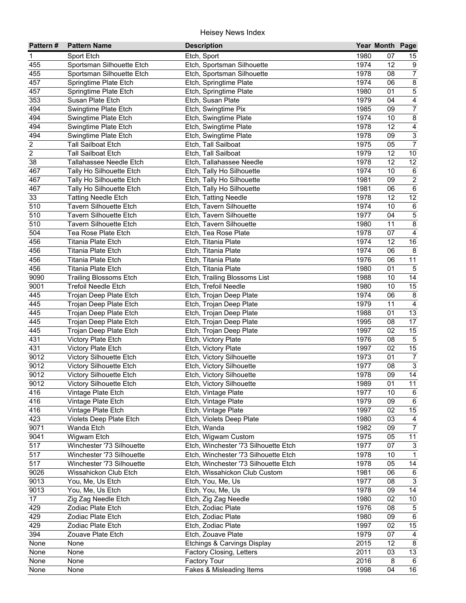| Pattern#                | <b>Pattern Name</b>                   | <b>Description</b>                      |              | Year Month Page |                         |
|-------------------------|---------------------------------------|-----------------------------------------|--------------|-----------------|-------------------------|
| 1                       | Sport Etch                            | Etch, Sport                             | 1980         | 07              | 15                      |
| 455                     | Sportsman Silhouette Etch             | Etch, Sportsman Silhouette              | 1974         | 12              | 9                       |
| 455                     | Sportsman Silhouette Etch             | Etch, Sportsman Silhouette              | 1978         | 08              | $\overline{7}$          |
| 457                     | Springtime Plate Etch                 | Etch, Springtime Plate                  | 1974         | 06              | $\overline{8}$          |
| 457                     | Springtime Plate Etch                 | Etch, Springtime Plate                  | 1980         | 01              | $\overline{5}$          |
| 353                     | Susan Plate Etch                      | Etch, Susan Plate                       | 1979         | 04              | $\overline{4}$          |
| 494                     | Swingtime Plate Etch                  | Etch, Swingtime Pix                     | 1985         | 09              | $\overline{7}$          |
| 494                     | Swingtime Plate Etch                  | Etch, Swingtime Plate                   | 1974         | 10              | $\overline{8}$          |
| 494                     | Swingtime Plate Etch                  | Etch, Swingtime Plate                   | 1978         | 12              | $\overline{4}$          |
| 494                     | Swingtime Plate Etch                  | Etch, Swingtime Plate                   | 1978         | 09              | $\overline{3}$          |
| $\overline{\mathbf{c}}$ | <b>Tall Sailboat Etch</b>             | Etch, Tall Sailboat                     | 1975         | 05              | $\boldsymbol{7}$        |
| $\overline{c}$          | <b>Tall Sailboat Etch</b>             | Etch, Tall Sailboat                     | 1979         | 12              | $10$                    |
| 38                      | Tallahassee Needle Etch               | Etch, Tallahassee Needle                | 1978         | 12              | 12                      |
| 467                     | Tally Ho Silhouette Etch              | Etch, Tally Ho Silhouette               | 1974         | 10              | $\,6\,$                 |
| 467                     | Tally Ho Silhouette Etch              | Etch, Tally Ho Silhouette               | 1981         | 09              | $\overline{2}$          |
| 467                     | Tally Ho Silhouette Etch              | Etch, Tally Ho Silhouette               | 1981         | 06              | $\,6\,$                 |
| 33                      | <b>Tatting Needle Etch</b>            | Etch, Tatting Needle                    | 1978         | 12              | $\overline{12}$         |
| 510                     | <b>Tavern Silhouette Etch</b>         | Etch, Tavern Silhouette                 | 1974         | 10              | $\,6\,$                 |
| 510                     | <b>Tavern Silhouette Etch</b>         | Etch, Tavern Silhouette                 | 1977         | 04              | $\overline{5}$          |
| 510                     | <b>Tavern Silhouette Etch</b>         | Etch, Tavern Silhouette                 | 1980         | 11              | $\overline{8}$          |
| 504                     | Tea Rose Plate Etch                   | Etch, Tea Rose Plate                    | 1978         | 07              | $\overline{\mathbf{4}}$ |
| 456                     | Titania Plate Etch                    | Etch, Titania Plate                     | 1974         | 12              | 16                      |
| 456                     | <b>Titania Plate Etch</b>             | Etch, Titania Plate                     | 1974         | 06              | $\bf 8$                 |
| 456                     | <b>Titania Plate Etch</b>             | Etch, Titania Plate                     | 1976         | 06              | 11                      |
| 456                     | <b>Titania Plate Etch</b>             | Etch, Titania Plate                     | 1980         | 01              | $\overline{5}$          |
| 9090                    | <b>Trailing Blossoms Etch</b>         | Etch, Trailing Blossoms List            | 1988         | 10              | 14                      |
| 9001                    | <b>Trefoil Needle Etch</b>            | Etch, Trefoil Needle                    | 1980         | 10              | 15                      |
| 445                     | Trojan Deep Plate Etch                | Etch, Trojan Deep Plate                 | 1974         | 06              | $\bf 8$                 |
| 445                     | Trojan Deep Plate Etch                | Etch, Trojan Deep Plate                 | 1979         | 11              | $\overline{4}$          |
| 445                     | Trojan Deep Plate Etch                | Etch, Trojan Deep Plate                 | 1988         | 01              | 13                      |
| 445                     | Trojan Deep Plate Etch                | Etch, Trojan Deep Plate                 | 1995         | 08              | 17                      |
| 445                     | Trojan Deep Plate Etch                | Etch, Trojan Deep Plate                 | 1997         | 02              | 15                      |
| 431                     | Victory Plate Etch                    | Etch, Victory Plate                     | 1976         | 08              | $\overline{5}$          |
| 431                     | Victory Plate Etch                    | Etch, Victory Plate                     | 1997         | 02              | 15                      |
| 9012                    | Victory Silhouette Etch               | Etch, Victory Silhouette                | 1973         | 01              | $\overline{7}$          |
| 9012                    | Victory Silhouette Etch               | Etch, Victory Silhouette                | 1977         | 08              | $\sqrt{3}$              |
| 9012                    | Victory Silhouette Etch               | Etch, Victory Silhouette                | 1978         | 09              | 14                      |
| 9012                    | Victory Silhouette Etch               | Etch, Victory Silhouette                | 1989         | $\overline{01}$ | 11                      |
| 416                     | Vintage Plate Etch                    | Etch, Vintage Plate                     | 1977         | 10              | 6                       |
| 416                     | Vintage Plate Etch                    | Etch, Vintage Plate                     | 1979         | 09              | 6                       |
| 416<br>423              | Vintage Plate Etch                    | Etch, Vintage Plate                     | 1997<br>1980 | 02              | 15                      |
| 9071                    | Violets Deep Plate Etch<br>Wanda Etch | Etch, Violets Deep Plate<br>Etch, Wanda | 1982         | 03<br>09        | 4<br>$\boldsymbol{7}$   |
| 9041                    | Wigwam Etch                           | Etch, Wigwam Custom                     | 1975         | 05              | 11                      |
| 517                     | Winchester '73 Silhouette             | Etch, Winchester '73 Silhouette Etch    | 1977         | 07              | $\sqrt{3}$              |
| 517                     | Winchester '73 Silhouette             | Etch, Winchester '73 Silhouette Etch    | 1978         | 10              | $\mathbf{1}$            |
| 517                     | Winchester '73 Silhouette             | Etch, Winchester '73 Silhouette Etch    | 1978         | 05              | 14                      |
| 9026                    | Wissahickon Club Etch                 | Etch, Wissahickon Club Custom           | 1981         | 06              | $\,6\,$                 |
| 9013                    | You, Me, Us Etch                      | Etch, You, Me, Us                       | 1977         | 08              | $\sqrt{3}$              |
| 9013                    | You, Me, Us Etch                      | Etch, You, Me, Us                       | 1978         | 09              | 14                      |
| 17                      | Zig Zag Needle Etch                   | Etch, Zig Zag Needle                    | 1980         | 02              | $10\,$                  |
| 429                     | Zodiac Plate Etch                     | Etch, Zodiac Plate                      | 1976         | 08              | $\sqrt{5}$              |
| 429                     | Zodiac Plate Etch                     | Etch, Zodiac Plate                      | 1980         | 09              | $\overline{6}$          |
| 429                     | Zodiac Plate Etch                     | Etch, Zodiac Plate                      | 1997         | 02              | 15                      |
| 394                     | Zouave Plate Etch                     | Etch, Zouave Plate                      | 1979         | 07              | 4                       |
| None                    | None                                  | Etchings & Carvings Display             | 2015         | 12              | 8                       |
| None                    | None                                  | Factory Closing, Letters                | 2011         | 03              | $\overline{13}$         |
| None                    | None                                  | Factory Tour                            | 2016         | 8               | 6                       |
| None                    | None                                  | Fakes & Misleading Items                | 1998         | 04              | 16                      |
|                         |                                       |                                         |              |                 |                         |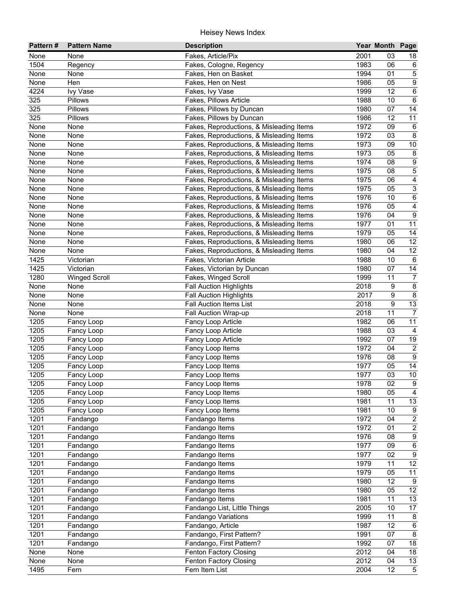| Pattern#         | <b>Pattern Name</b>  | <b>Description</b>                       |      | Year Month Page |                           |
|------------------|----------------------|------------------------------------------|------|-----------------|---------------------------|
| None             | None                 | Fakes, Article/Pix                       | 2001 | 03              | 18                        |
| 1504             | Regency              | Fakes, Cologne, Regency                  | 1983 | 06              | $\,6\,$                   |
| None             | None                 | Fakes, Hen on Basket                     | 1994 | 01              | $\overline{5}$            |
| None             | Hen                  | Fakes, Hen on Nest                       | 1986 | 05              | $\overline{9}$            |
| 4224             | Ivy Vase             | Fakes, Ivy Vase                          | 1999 | $\overline{12}$ | $\overline{6}$            |
| 325              | Pillows              | Fakes, Pillows Article                   | 1988 | 10              | $\overline{6}$            |
| $\overline{325}$ | Pillows              | Fakes, Pillows by Duncan                 | 1980 | 07              | $\overline{14}$           |
| $\overline{325}$ | Pillows              | Fakes, Pillows by Duncan                 | 1986 | $\overline{12}$ | $\overline{11}$           |
| None             | None                 | Fakes, Reproductions, & Misleading Items | 1972 | 09              | $\,6\,$                   |
| None             | None                 | Fakes, Reproductions, & Misleading Items | 1972 | 03              | 8                         |
| None             | None                 | Fakes, Reproductions, & Misleading Items | 1973 | 09              | $10$                      |
| None             | None                 | Fakes, Reproductions, & Misleading Items | 1973 | 05              | $\,8\,$                   |
| None             | None                 | Fakes, Reproductions, & Misleading Items | 1974 | 08              | 9                         |
| None             | None                 | Fakes, Reproductions, & Misleading Items | 1975 | 08              | $\overline{5}$            |
| None             | None                 | Fakes, Reproductions, & Misleading Items | 1975 | 06              | $\overline{\mathbf{4}}$   |
| None             | None                 | Fakes, Reproductions, & Misleading Items | 1975 | 05              | $\ensuremath{\mathsf{3}}$ |
| None             | None                 | Fakes, Reproductions, & Misleading Items | 1976 | 10              | $\,6\,$                   |
| None             | None                 | Fakes, Reproductions, & Misleading Items | 1976 | 05              | 4                         |
| None             | None                 | Fakes, Reproductions, & Misleading Items | 1976 | 04              | $\boldsymbol{9}$          |
| None             | None                 | Fakes, Reproductions, & Misleading Items | 1977 | 01              | 11                        |
| None             | None                 | Fakes, Reproductions, & Misleading Items | 1979 | 05              | 14                        |
| None             | None                 | Fakes, Reproductions, & Misleading Items | 1980 | 06              | 12                        |
| None             | None                 | Fakes, Reproductions, & Misleading Items | 1980 | 04              | 12                        |
| 1425             | Victorian            | Fakes, Victorian Article                 | 1988 | 10              | $6\phantom{1}6$           |
| 1425             | Victorian            | Fakes, Victorian by Duncan               | 1980 | 07              | 14                        |
| 1280             | <b>Winged Scroll</b> | Fakes, Winged Scroll                     | 1999 | 11              | $\boldsymbol{7}$          |
| None             | None                 | <b>Fall Auction Highlights</b>           | 2018 | 9               | $\bf 8$                   |
| None             | None                 | <b>Fall Auction Highlights</b>           | 2017 | 9               | $\overline{8}$            |
| None             | None                 | <b>Fall Auction Items List</b>           | 2018 | 9               | 13                        |
| None             | None                 | Fall Auction Wrap-up                     | 2018 | 11              | $\overline{7}$            |
| 1205             | Fancy Loop           | Fancy Loop Article                       | 1982 | 06              | 11                        |
| 1205             | Fancy Loop           | Fancy Loop Article                       | 1988 | 03              | $\overline{4}$            |
| 1205             | Fancy Loop           | Fancy Loop Article                       | 1992 | 07              | 19                        |
| 1205             | Fancy Loop           | Fancy Loop Items                         | 1972 | 04              | $\overline{2}$            |
| 1205             | Fancy Loop           | Fancy Loop Items                         | 1976 | 08              | $\boldsymbol{9}$          |
| 1205             | Fancy Loop           | Fancy Loop Items                         | 1977 | 05              | 14                        |
| 1205             | Fancy Loop           | Fancy Loop Items                         | 1977 | 03              | $10$                      |
| 1205             | Fancy Loop           | Fancy Loop Items                         | 1978 | 02              | $\overline{9}$            |
| 1205             | Fancy Loop           | Fancy Loop Items                         | 1980 | 05              | $\overline{4}$            |
| 1205             | Fancy Loop           | Fancy Loop Items                         | 1981 | 11              | $13$                      |
| 1205             | Fancy Loop           | Fancy Loop Items                         | 1981 | 10              | $\boldsymbol{9}$          |
| 1201             | Fandango             | Fandango Items                           | 1972 | 04              | $\overline{2}$            |
| 1201             | Fandango             | Fandango Items                           | 1972 | 01              | $\overline{2}$            |
| 1201             | Fandango             | Fandango Items                           | 1976 | 08              | $\boldsymbol{9}$          |
| 1201             | Fandango             | Fandango Items                           | 1977 | 09              | $\,6\,$                   |
| 1201             | Fandango             | Fandango Items                           | 1977 | 02              | $\boldsymbol{9}$          |
| 1201             | Fandango             | Fandango Items                           | 1979 | 11              | 12                        |
| 1201             | Fandango             | Fandango Items                           | 1979 | 05              | 11                        |
| 1201             | Fandango             | Fandango Items                           | 1980 | 12              | $\boldsymbol{9}$          |
| 1201             | Fandango             | Fandango Items                           | 1980 | 05              | $\overline{12}$           |
| 1201             | Fandango             | Fandango Items                           | 1981 | 11              | 13                        |
| 1201             | Fandango             | Fandango List, Little Things             | 2005 | 10              | 17                        |
| 1201             | Fandango             | Fandango Variations                      | 1999 | 11              | $\bf 8$                   |
| 1201             | Fandango             | Fandango, Article                        | 1987 | 12              | $\overline{6}$            |
| 1201             | Fandango             | Fandango, First Pattern?                 | 1991 | 07              | $\overline{8}$            |
| 1201             | Fandango             | Fandango, First Pattern?                 | 1992 | 07              | 18                        |
| None             | None                 | Fenton Factory Closing                   | 2012 | 04              | 18                        |
| None             | None                 | Fenton Factory Closing                   | 2012 | 04              | 13                        |
| 1495             | Fern                 | Fern Item List                           | 2004 | 12              | $\overline{5}$            |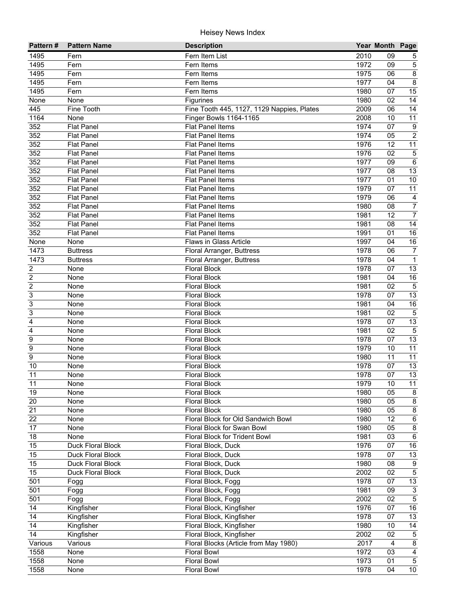| 2010<br>1495<br>Fern Item List<br>09<br>Fern<br>5<br>1972<br>$\sqrt{5}$<br>1495<br>09<br>Fern<br>Fern Items<br>$\overline{8}$<br>1495<br>1975<br>06<br>Fern<br>Fern Items<br>1977<br>$\overline{8}$<br>1495<br>04<br>Fern<br>Fern Items<br>15<br>1495<br>1980<br>07<br>Fern<br>Fern Items<br>$\overline{14}$<br>1980<br>02<br>None<br>None<br>Figurines<br>2009<br>$\overline{06}$<br>$\overline{14}$<br>445<br>Fine Tooth<br>Fine Tooth 445, 1127, 1129 Nappies, Plates<br>1164<br><b>Finger Bowls 1164-1165</b><br>2008<br>10<br>11<br>None<br>$\overline{9}$<br>352<br>Flat Panel Items<br>1974<br>07<br><b>Flat Panel</b><br>$\overline{2}$<br>352<br><b>Flat Panel Items</b><br>1974<br>05<br><b>Flat Panel</b><br>352<br>1976<br>12<br>11<br><b>Flat Panel</b><br><b>Flat Panel Items</b><br>$\mathbf 5$<br>352<br>1976<br><b>Flat Panel</b><br><b>Flat Panel Items</b><br>02<br>352<br>$\,6\,$<br><b>Flat Panel</b><br><b>Flat Panel Items</b><br>1977<br>09<br>13<br>352<br>08<br><b>Flat Panel</b><br><b>Flat Panel Items</b><br>1977<br>10<br>352<br><b>Flat Panel</b><br><b>Flat Panel Items</b><br>1977<br>01<br>11<br>352<br>1979<br><b>Flat Panel</b><br><b>Flat Panel Items</b><br>07<br>352<br><b>Flat Panel Items</b><br>1979<br><b>Flat Panel</b><br>06<br>$\overline{a}$<br>$\overline{7}$<br>352<br>1980<br>08<br><b>Flat Panel</b><br><b>Flat Panel Items</b><br>$\overline{7}$<br>352<br>1981<br>12<br><b>Flat Panel</b><br><b>Flat Panel Items</b><br>14<br>352<br>1981<br>08<br><b>Flat Panel</b><br><b>Flat Panel Items</b><br>$\overline{16}$<br>352<br>1991<br>01<br><b>Flat Panel</b><br><b>Flat Panel Items</b><br>16<br>Flaws in Glass Article<br>1997<br>None<br>04<br>None<br>1473<br>1978<br>06<br>$\overline{7}$<br><b>Buttress</b><br>Floral Arranger, Buttress<br>1978<br>$\mathbf{1}$<br>1473<br>04<br><b>Buttress</b><br>Floral Arranger, Buttress<br>1978<br>$\overline{\mathbf{c}}$<br><b>Floral Block</b><br>13<br>07<br>None<br>$\overline{c}$<br><b>Floral Block</b><br>1981<br>04<br>$16\,$<br>None<br>$\overline{c}$<br>$\overline{5}$<br>1981<br>02<br>None<br><b>Floral Block</b><br>3<br>13<br><b>Floral Block</b><br>1978<br>07<br>None<br>$\overline{3}$<br>16<br><b>Floral Block</b><br>1981<br>04<br>None<br>3<br>$\overline{5}$<br><b>Floral Block</b><br>1981<br>02<br>None<br>13<br>4<br>1978<br>07<br>None<br><b>Floral Block</b><br>$\overline{5}$<br>1981<br>02<br>4<br>None<br><b>Floral Block</b><br>13<br>9<br>1978<br><b>Floral Block</b><br>07<br>None<br>11<br>$\boldsymbol{9}$<br><b>Floral Block</b><br>1979<br>10<br>None<br>$\overline{9}$<br>$\overline{11}$<br><b>Floral Block</b><br>1980<br>11<br>None<br>1978<br>13<br>10<br>None<br><b>Floral Block</b><br>07<br>13<br>11<br>1978<br><b>Floral Block</b><br>07<br>None<br>11<br>$\overline{11}$<br><b>Floral Block</b><br>1979<br>10<br>None<br>19<br><b>Floral Block</b><br>1980<br>05<br>8<br>None<br>1980<br>20<br>None<br><b>Floral Block</b><br>05<br>8<br>21<br>1980<br>05<br>$\bf 8$<br>None<br><b>Floral Block</b><br>22<br>1980<br>12<br>$\,6\,$<br>None<br>Floral Block for Old Sandwich Bowl<br>17<br>1980<br>8<br>None<br>Floral Block for Swan Bowl<br>05<br>1981<br>$\,6\,$<br>18<br>None<br>Floral Block for Trident Bowl<br>03<br>1976<br>$16\,$<br>15<br>Duck Floral Block<br>Floral Block, Duck<br>07<br>13<br>Floral Block, Duck<br>1978<br>15<br>Duck Floral Block<br>07<br>15<br>1980<br>$9\,$<br>Duck Floral Block<br>Floral Block, Duck<br>08<br>$\overline{5}$<br>15<br>Duck Floral Block<br>Floral Block, Duck<br>2002<br>02<br>1978<br>13<br>501<br>Floral Block, Fogg<br>07<br>Fogg<br>1981<br>$\mathbf{3}$<br>501<br>Floral Block, Fogg<br>09<br>Fogg<br>$\overline{5}$<br>501<br>2002<br>02<br>Floral Block, Fogg<br>Fogg<br>$16\,$<br>14<br>Kingfisher<br>Floral Block, Kingfisher<br>1976<br>07<br>1978<br>14<br>Kingfisher<br>07<br>13<br>Floral Block, Kingfisher<br>$\overline{14}$<br>1980<br>$\overline{14}$<br>Kingfisher<br>Floral Block, Kingfisher<br>10<br>$\overline{14}$<br>Kingfisher<br>Floral Block, Kingfisher<br>2002<br>02<br>$\sqrt{5}$<br>$\overline{8}$<br>Various<br>Various<br>Floral Blocks (Article from May 1980)<br>2017<br>$\overline{4}$<br>1972<br>1558<br>None<br><b>Floral Bowl</b><br>03<br>$\overline{4}$<br>1973<br>$\overline{5}$<br>1558<br><b>Floral Bowl</b><br>01<br>None<br>1978<br>1558<br><b>Floral Bowl</b><br>04<br>10 <sup>1</sup><br>None | Pattern# | <b>Pattern Name</b> | <b>Description</b> | Year Month Page |  |
|---------------------------------------------------------------------------------------------------------------------------------------------------------------------------------------------------------------------------------------------------------------------------------------------------------------------------------------------------------------------------------------------------------------------------------------------------------------------------------------------------------------------------------------------------------------------------------------------------------------------------------------------------------------------------------------------------------------------------------------------------------------------------------------------------------------------------------------------------------------------------------------------------------------------------------------------------------------------------------------------------------------------------------------------------------------------------------------------------------------------------------------------------------------------------------------------------------------------------------------------------------------------------------------------------------------------------------------------------------------------------------------------------------------------------------------------------------------------------------------------------------------------------------------------------------------------------------------------------------------------------------------------------------------------------------------------------------------------------------------------------------------------------------------------------------------------------------------------------------------------------------------------------------------------------------------------------------------------------------------------------------------------------------------------------------------------------------------------------------------------------------------------------------------------------------------------------------------------------------------------------------------------------------------------------------------------------------------------------------------------------------------------------------------------------------------------------------------------------------------------------------------------------------------------------------------------------------------------------------------------------------------------------------------------------------------------------------------------------------------------------------------------------------------------------------------------------------------------------------------------------------------------------------------------------------------------------------------------------------------------------------------------------------------------------------------------------------------------------------------------------------------------------------------------------------------------------------------------------------------------------------------------------------------------------------------------------------------------------------------------------------------------------------------------------------------------------------------------------------------------------------------------------------------------------------------------------------------------------------------------------------------------------------------------------------------------------------------------------------------------------------------------------------------------------------------------------------------------------------------------------------------------------------------------------------------------------------------------------------------------------------------------------------------------------------------------------------------------------------------------------------------------------------------------------------------------------------------------------------------------------------------------------------------------------------------------------------------------------------------------------------------------------------------------------------------------------|----------|---------------------|--------------------|-----------------|--|
|                                                                                                                                                                                                                                                                                                                                                                                                                                                                                                                                                                                                                                                                                                                                                                                                                                                                                                                                                                                                                                                                                                                                                                                                                                                                                                                                                                                                                                                                                                                                                                                                                                                                                                                                                                                                                                                                                                                                                                                                                                                                                                                                                                                                                                                                                                                                                                                                                                                                                                                                                                                                                                                                                                                                                                                                                                                                                                                                                                                                                                                                                                                                                                                                                                                                                                                                                                                                                                                                                                                                                                                                                                                                                                                                                                                                                                                                                                                                                                                                                                                                                                                                                                                                                                                                                                                                                                                                                                                   |          |                     |                    |                 |  |
|                                                                                                                                                                                                                                                                                                                                                                                                                                                                                                                                                                                                                                                                                                                                                                                                                                                                                                                                                                                                                                                                                                                                                                                                                                                                                                                                                                                                                                                                                                                                                                                                                                                                                                                                                                                                                                                                                                                                                                                                                                                                                                                                                                                                                                                                                                                                                                                                                                                                                                                                                                                                                                                                                                                                                                                                                                                                                                                                                                                                                                                                                                                                                                                                                                                                                                                                                                                                                                                                                                                                                                                                                                                                                                                                                                                                                                                                                                                                                                                                                                                                                                                                                                                                                                                                                                                                                                                                                                                   |          |                     |                    |                 |  |
|                                                                                                                                                                                                                                                                                                                                                                                                                                                                                                                                                                                                                                                                                                                                                                                                                                                                                                                                                                                                                                                                                                                                                                                                                                                                                                                                                                                                                                                                                                                                                                                                                                                                                                                                                                                                                                                                                                                                                                                                                                                                                                                                                                                                                                                                                                                                                                                                                                                                                                                                                                                                                                                                                                                                                                                                                                                                                                                                                                                                                                                                                                                                                                                                                                                                                                                                                                                                                                                                                                                                                                                                                                                                                                                                                                                                                                                                                                                                                                                                                                                                                                                                                                                                                                                                                                                                                                                                                                                   |          |                     |                    |                 |  |
|                                                                                                                                                                                                                                                                                                                                                                                                                                                                                                                                                                                                                                                                                                                                                                                                                                                                                                                                                                                                                                                                                                                                                                                                                                                                                                                                                                                                                                                                                                                                                                                                                                                                                                                                                                                                                                                                                                                                                                                                                                                                                                                                                                                                                                                                                                                                                                                                                                                                                                                                                                                                                                                                                                                                                                                                                                                                                                                                                                                                                                                                                                                                                                                                                                                                                                                                                                                                                                                                                                                                                                                                                                                                                                                                                                                                                                                                                                                                                                                                                                                                                                                                                                                                                                                                                                                                                                                                                                                   |          |                     |                    |                 |  |
|                                                                                                                                                                                                                                                                                                                                                                                                                                                                                                                                                                                                                                                                                                                                                                                                                                                                                                                                                                                                                                                                                                                                                                                                                                                                                                                                                                                                                                                                                                                                                                                                                                                                                                                                                                                                                                                                                                                                                                                                                                                                                                                                                                                                                                                                                                                                                                                                                                                                                                                                                                                                                                                                                                                                                                                                                                                                                                                                                                                                                                                                                                                                                                                                                                                                                                                                                                                                                                                                                                                                                                                                                                                                                                                                                                                                                                                                                                                                                                                                                                                                                                                                                                                                                                                                                                                                                                                                                                                   |          |                     |                    |                 |  |
|                                                                                                                                                                                                                                                                                                                                                                                                                                                                                                                                                                                                                                                                                                                                                                                                                                                                                                                                                                                                                                                                                                                                                                                                                                                                                                                                                                                                                                                                                                                                                                                                                                                                                                                                                                                                                                                                                                                                                                                                                                                                                                                                                                                                                                                                                                                                                                                                                                                                                                                                                                                                                                                                                                                                                                                                                                                                                                                                                                                                                                                                                                                                                                                                                                                                                                                                                                                                                                                                                                                                                                                                                                                                                                                                                                                                                                                                                                                                                                                                                                                                                                                                                                                                                                                                                                                                                                                                                                                   |          |                     |                    |                 |  |
|                                                                                                                                                                                                                                                                                                                                                                                                                                                                                                                                                                                                                                                                                                                                                                                                                                                                                                                                                                                                                                                                                                                                                                                                                                                                                                                                                                                                                                                                                                                                                                                                                                                                                                                                                                                                                                                                                                                                                                                                                                                                                                                                                                                                                                                                                                                                                                                                                                                                                                                                                                                                                                                                                                                                                                                                                                                                                                                                                                                                                                                                                                                                                                                                                                                                                                                                                                                                                                                                                                                                                                                                                                                                                                                                                                                                                                                                                                                                                                                                                                                                                                                                                                                                                                                                                                                                                                                                                                                   |          |                     |                    |                 |  |
|                                                                                                                                                                                                                                                                                                                                                                                                                                                                                                                                                                                                                                                                                                                                                                                                                                                                                                                                                                                                                                                                                                                                                                                                                                                                                                                                                                                                                                                                                                                                                                                                                                                                                                                                                                                                                                                                                                                                                                                                                                                                                                                                                                                                                                                                                                                                                                                                                                                                                                                                                                                                                                                                                                                                                                                                                                                                                                                                                                                                                                                                                                                                                                                                                                                                                                                                                                                                                                                                                                                                                                                                                                                                                                                                                                                                                                                                                                                                                                                                                                                                                                                                                                                                                                                                                                                                                                                                                                                   |          |                     |                    |                 |  |
|                                                                                                                                                                                                                                                                                                                                                                                                                                                                                                                                                                                                                                                                                                                                                                                                                                                                                                                                                                                                                                                                                                                                                                                                                                                                                                                                                                                                                                                                                                                                                                                                                                                                                                                                                                                                                                                                                                                                                                                                                                                                                                                                                                                                                                                                                                                                                                                                                                                                                                                                                                                                                                                                                                                                                                                                                                                                                                                                                                                                                                                                                                                                                                                                                                                                                                                                                                                                                                                                                                                                                                                                                                                                                                                                                                                                                                                                                                                                                                                                                                                                                                                                                                                                                                                                                                                                                                                                                                                   |          |                     |                    |                 |  |
|                                                                                                                                                                                                                                                                                                                                                                                                                                                                                                                                                                                                                                                                                                                                                                                                                                                                                                                                                                                                                                                                                                                                                                                                                                                                                                                                                                                                                                                                                                                                                                                                                                                                                                                                                                                                                                                                                                                                                                                                                                                                                                                                                                                                                                                                                                                                                                                                                                                                                                                                                                                                                                                                                                                                                                                                                                                                                                                                                                                                                                                                                                                                                                                                                                                                                                                                                                                                                                                                                                                                                                                                                                                                                                                                                                                                                                                                                                                                                                                                                                                                                                                                                                                                                                                                                                                                                                                                                                                   |          |                     |                    |                 |  |
|                                                                                                                                                                                                                                                                                                                                                                                                                                                                                                                                                                                                                                                                                                                                                                                                                                                                                                                                                                                                                                                                                                                                                                                                                                                                                                                                                                                                                                                                                                                                                                                                                                                                                                                                                                                                                                                                                                                                                                                                                                                                                                                                                                                                                                                                                                                                                                                                                                                                                                                                                                                                                                                                                                                                                                                                                                                                                                                                                                                                                                                                                                                                                                                                                                                                                                                                                                                                                                                                                                                                                                                                                                                                                                                                                                                                                                                                                                                                                                                                                                                                                                                                                                                                                                                                                                                                                                                                                                                   |          |                     |                    |                 |  |
|                                                                                                                                                                                                                                                                                                                                                                                                                                                                                                                                                                                                                                                                                                                                                                                                                                                                                                                                                                                                                                                                                                                                                                                                                                                                                                                                                                                                                                                                                                                                                                                                                                                                                                                                                                                                                                                                                                                                                                                                                                                                                                                                                                                                                                                                                                                                                                                                                                                                                                                                                                                                                                                                                                                                                                                                                                                                                                                                                                                                                                                                                                                                                                                                                                                                                                                                                                                                                                                                                                                                                                                                                                                                                                                                                                                                                                                                                                                                                                                                                                                                                                                                                                                                                                                                                                                                                                                                                                                   |          |                     |                    |                 |  |
|                                                                                                                                                                                                                                                                                                                                                                                                                                                                                                                                                                                                                                                                                                                                                                                                                                                                                                                                                                                                                                                                                                                                                                                                                                                                                                                                                                                                                                                                                                                                                                                                                                                                                                                                                                                                                                                                                                                                                                                                                                                                                                                                                                                                                                                                                                                                                                                                                                                                                                                                                                                                                                                                                                                                                                                                                                                                                                                                                                                                                                                                                                                                                                                                                                                                                                                                                                                                                                                                                                                                                                                                                                                                                                                                                                                                                                                                                                                                                                                                                                                                                                                                                                                                                                                                                                                                                                                                                                                   |          |                     |                    |                 |  |
|                                                                                                                                                                                                                                                                                                                                                                                                                                                                                                                                                                                                                                                                                                                                                                                                                                                                                                                                                                                                                                                                                                                                                                                                                                                                                                                                                                                                                                                                                                                                                                                                                                                                                                                                                                                                                                                                                                                                                                                                                                                                                                                                                                                                                                                                                                                                                                                                                                                                                                                                                                                                                                                                                                                                                                                                                                                                                                                                                                                                                                                                                                                                                                                                                                                                                                                                                                                                                                                                                                                                                                                                                                                                                                                                                                                                                                                                                                                                                                                                                                                                                                                                                                                                                                                                                                                                                                                                                                                   |          |                     |                    |                 |  |
|                                                                                                                                                                                                                                                                                                                                                                                                                                                                                                                                                                                                                                                                                                                                                                                                                                                                                                                                                                                                                                                                                                                                                                                                                                                                                                                                                                                                                                                                                                                                                                                                                                                                                                                                                                                                                                                                                                                                                                                                                                                                                                                                                                                                                                                                                                                                                                                                                                                                                                                                                                                                                                                                                                                                                                                                                                                                                                                                                                                                                                                                                                                                                                                                                                                                                                                                                                                                                                                                                                                                                                                                                                                                                                                                                                                                                                                                                                                                                                                                                                                                                                                                                                                                                                                                                                                                                                                                                                                   |          |                     |                    |                 |  |
|                                                                                                                                                                                                                                                                                                                                                                                                                                                                                                                                                                                                                                                                                                                                                                                                                                                                                                                                                                                                                                                                                                                                                                                                                                                                                                                                                                                                                                                                                                                                                                                                                                                                                                                                                                                                                                                                                                                                                                                                                                                                                                                                                                                                                                                                                                                                                                                                                                                                                                                                                                                                                                                                                                                                                                                                                                                                                                                                                                                                                                                                                                                                                                                                                                                                                                                                                                                                                                                                                                                                                                                                                                                                                                                                                                                                                                                                                                                                                                                                                                                                                                                                                                                                                                                                                                                                                                                                                                                   |          |                     |                    |                 |  |
|                                                                                                                                                                                                                                                                                                                                                                                                                                                                                                                                                                                                                                                                                                                                                                                                                                                                                                                                                                                                                                                                                                                                                                                                                                                                                                                                                                                                                                                                                                                                                                                                                                                                                                                                                                                                                                                                                                                                                                                                                                                                                                                                                                                                                                                                                                                                                                                                                                                                                                                                                                                                                                                                                                                                                                                                                                                                                                                                                                                                                                                                                                                                                                                                                                                                                                                                                                                                                                                                                                                                                                                                                                                                                                                                                                                                                                                                                                                                                                                                                                                                                                                                                                                                                                                                                                                                                                                                                                                   |          |                     |                    |                 |  |
|                                                                                                                                                                                                                                                                                                                                                                                                                                                                                                                                                                                                                                                                                                                                                                                                                                                                                                                                                                                                                                                                                                                                                                                                                                                                                                                                                                                                                                                                                                                                                                                                                                                                                                                                                                                                                                                                                                                                                                                                                                                                                                                                                                                                                                                                                                                                                                                                                                                                                                                                                                                                                                                                                                                                                                                                                                                                                                                                                                                                                                                                                                                                                                                                                                                                                                                                                                                                                                                                                                                                                                                                                                                                                                                                                                                                                                                                                                                                                                                                                                                                                                                                                                                                                                                                                                                                                                                                                                                   |          |                     |                    |                 |  |
|                                                                                                                                                                                                                                                                                                                                                                                                                                                                                                                                                                                                                                                                                                                                                                                                                                                                                                                                                                                                                                                                                                                                                                                                                                                                                                                                                                                                                                                                                                                                                                                                                                                                                                                                                                                                                                                                                                                                                                                                                                                                                                                                                                                                                                                                                                                                                                                                                                                                                                                                                                                                                                                                                                                                                                                                                                                                                                                                                                                                                                                                                                                                                                                                                                                                                                                                                                                                                                                                                                                                                                                                                                                                                                                                                                                                                                                                                                                                                                                                                                                                                                                                                                                                                                                                                                                                                                                                                                                   |          |                     |                    |                 |  |
|                                                                                                                                                                                                                                                                                                                                                                                                                                                                                                                                                                                                                                                                                                                                                                                                                                                                                                                                                                                                                                                                                                                                                                                                                                                                                                                                                                                                                                                                                                                                                                                                                                                                                                                                                                                                                                                                                                                                                                                                                                                                                                                                                                                                                                                                                                                                                                                                                                                                                                                                                                                                                                                                                                                                                                                                                                                                                                                                                                                                                                                                                                                                                                                                                                                                                                                                                                                                                                                                                                                                                                                                                                                                                                                                                                                                                                                                                                                                                                                                                                                                                                                                                                                                                                                                                                                                                                                                                                                   |          |                     |                    |                 |  |
|                                                                                                                                                                                                                                                                                                                                                                                                                                                                                                                                                                                                                                                                                                                                                                                                                                                                                                                                                                                                                                                                                                                                                                                                                                                                                                                                                                                                                                                                                                                                                                                                                                                                                                                                                                                                                                                                                                                                                                                                                                                                                                                                                                                                                                                                                                                                                                                                                                                                                                                                                                                                                                                                                                                                                                                                                                                                                                                                                                                                                                                                                                                                                                                                                                                                                                                                                                                                                                                                                                                                                                                                                                                                                                                                                                                                                                                                                                                                                                                                                                                                                                                                                                                                                                                                                                                                                                                                                                                   |          |                     |                    |                 |  |
|                                                                                                                                                                                                                                                                                                                                                                                                                                                                                                                                                                                                                                                                                                                                                                                                                                                                                                                                                                                                                                                                                                                                                                                                                                                                                                                                                                                                                                                                                                                                                                                                                                                                                                                                                                                                                                                                                                                                                                                                                                                                                                                                                                                                                                                                                                                                                                                                                                                                                                                                                                                                                                                                                                                                                                                                                                                                                                                                                                                                                                                                                                                                                                                                                                                                                                                                                                                                                                                                                                                                                                                                                                                                                                                                                                                                                                                                                                                                                                                                                                                                                                                                                                                                                                                                                                                                                                                                                                                   |          |                     |                    |                 |  |
|                                                                                                                                                                                                                                                                                                                                                                                                                                                                                                                                                                                                                                                                                                                                                                                                                                                                                                                                                                                                                                                                                                                                                                                                                                                                                                                                                                                                                                                                                                                                                                                                                                                                                                                                                                                                                                                                                                                                                                                                                                                                                                                                                                                                                                                                                                                                                                                                                                                                                                                                                                                                                                                                                                                                                                                                                                                                                                                                                                                                                                                                                                                                                                                                                                                                                                                                                                                                                                                                                                                                                                                                                                                                                                                                                                                                                                                                                                                                                                                                                                                                                                                                                                                                                                                                                                                                                                                                                                                   |          |                     |                    |                 |  |
|                                                                                                                                                                                                                                                                                                                                                                                                                                                                                                                                                                                                                                                                                                                                                                                                                                                                                                                                                                                                                                                                                                                                                                                                                                                                                                                                                                                                                                                                                                                                                                                                                                                                                                                                                                                                                                                                                                                                                                                                                                                                                                                                                                                                                                                                                                                                                                                                                                                                                                                                                                                                                                                                                                                                                                                                                                                                                                                                                                                                                                                                                                                                                                                                                                                                                                                                                                                                                                                                                                                                                                                                                                                                                                                                                                                                                                                                                                                                                                                                                                                                                                                                                                                                                                                                                                                                                                                                                                                   |          |                     |                    |                 |  |
|                                                                                                                                                                                                                                                                                                                                                                                                                                                                                                                                                                                                                                                                                                                                                                                                                                                                                                                                                                                                                                                                                                                                                                                                                                                                                                                                                                                                                                                                                                                                                                                                                                                                                                                                                                                                                                                                                                                                                                                                                                                                                                                                                                                                                                                                                                                                                                                                                                                                                                                                                                                                                                                                                                                                                                                                                                                                                                                                                                                                                                                                                                                                                                                                                                                                                                                                                                                                                                                                                                                                                                                                                                                                                                                                                                                                                                                                                                                                                                                                                                                                                                                                                                                                                                                                                                                                                                                                                                                   |          |                     |                    |                 |  |
|                                                                                                                                                                                                                                                                                                                                                                                                                                                                                                                                                                                                                                                                                                                                                                                                                                                                                                                                                                                                                                                                                                                                                                                                                                                                                                                                                                                                                                                                                                                                                                                                                                                                                                                                                                                                                                                                                                                                                                                                                                                                                                                                                                                                                                                                                                                                                                                                                                                                                                                                                                                                                                                                                                                                                                                                                                                                                                                                                                                                                                                                                                                                                                                                                                                                                                                                                                                                                                                                                                                                                                                                                                                                                                                                                                                                                                                                                                                                                                                                                                                                                                                                                                                                                                                                                                                                                                                                                                                   |          |                     |                    |                 |  |
|                                                                                                                                                                                                                                                                                                                                                                                                                                                                                                                                                                                                                                                                                                                                                                                                                                                                                                                                                                                                                                                                                                                                                                                                                                                                                                                                                                                                                                                                                                                                                                                                                                                                                                                                                                                                                                                                                                                                                                                                                                                                                                                                                                                                                                                                                                                                                                                                                                                                                                                                                                                                                                                                                                                                                                                                                                                                                                                                                                                                                                                                                                                                                                                                                                                                                                                                                                                                                                                                                                                                                                                                                                                                                                                                                                                                                                                                                                                                                                                                                                                                                                                                                                                                                                                                                                                                                                                                                                                   |          |                     |                    |                 |  |
|                                                                                                                                                                                                                                                                                                                                                                                                                                                                                                                                                                                                                                                                                                                                                                                                                                                                                                                                                                                                                                                                                                                                                                                                                                                                                                                                                                                                                                                                                                                                                                                                                                                                                                                                                                                                                                                                                                                                                                                                                                                                                                                                                                                                                                                                                                                                                                                                                                                                                                                                                                                                                                                                                                                                                                                                                                                                                                                                                                                                                                                                                                                                                                                                                                                                                                                                                                                                                                                                                                                                                                                                                                                                                                                                                                                                                                                                                                                                                                                                                                                                                                                                                                                                                                                                                                                                                                                                                                                   |          |                     |                    |                 |  |
|                                                                                                                                                                                                                                                                                                                                                                                                                                                                                                                                                                                                                                                                                                                                                                                                                                                                                                                                                                                                                                                                                                                                                                                                                                                                                                                                                                                                                                                                                                                                                                                                                                                                                                                                                                                                                                                                                                                                                                                                                                                                                                                                                                                                                                                                                                                                                                                                                                                                                                                                                                                                                                                                                                                                                                                                                                                                                                                                                                                                                                                                                                                                                                                                                                                                                                                                                                                                                                                                                                                                                                                                                                                                                                                                                                                                                                                                                                                                                                                                                                                                                                                                                                                                                                                                                                                                                                                                                                                   |          |                     |                    |                 |  |
|                                                                                                                                                                                                                                                                                                                                                                                                                                                                                                                                                                                                                                                                                                                                                                                                                                                                                                                                                                                                                                                                                                                                                                                                                                                                                                                                                                                                                                                                                                                                                                                                                                                                                                                                                                                                                                                                                                                                                                                                                                                                                                                                                                                                                                                                                                                                                                                                                                                                                                                                                                                                                                                                                                                                                                                                                                                                                                                                                                                                                                                                                                                                                                                                                                                                                                                                                                                                                                                                                                                                                                                                                                                                                                                                                                                                                                                                                                                                                                                                                                                                                                                                                                                                                                                                                                                                                                                                                                                   |          |                     |                    |                 |  |
|                                                                                                                                                                                                                                                                                                                                                                                                                                                                                                                                                                                                                                                                                                                                                                                                                                                                                                                                                                                                                                                                                                                                                                                                                                                                                                                                                                                                                                                                                                                                                                                                                                                                                                                                                                                                                                                                                                                                                                                                                                                                                                                                                                                                                                                                                                                                                                                                                                                                                                                                                                                                                                                                                                                                                                                                                                                                                                                                                                                                                                                                                                                                                                                                                                                                                                                                                                                                                                                                                                                                                                                                                                                                                                                                                                                                                                                                                                                                                                                                                                                                                                                                                                                                                                                                                                                                                                                                                                                   |          |                     |                    |                 |  |
|                                                                                                                                                                                                                                                                                                                                                                                                                                                                                                                                                                                                                                                                                                                                                                                                                                                                                                                                                                                                                                                                                                                                                                                                                                                                                                                                                                                                                                                                                                                                                                                                                                                                                                                                                                                                                                                                                                                                                                                                                                                                                                                                                                                                                                                                                                                                                                                                                                                                                                                                                                                                                                                                                                                                                                                                                                                                                                                                                                                                                                                                                                                                                                                                                                                                                                                                                                                                                                                                                                                                                                                                                                                                                                                                                                                                                                                                                                                                                                                                                                                                                                                                                                                                                                                                                                                                                                                                                                                   |          |                     |                    |                 |  |
|                                                                                                                                                                                                                                                                                                                                                                                                                                                                                                                                                                                                                                                                                                                                                                                                                                                                                                                                                                                                                                                                                                                                                                                                                                                                                                                                                                                                                                                                                                                                                                                                                                                                                                                                                                                                                                                                                                                                                                                                                                                                                                                                                                                                                                                                                                                                                                                                                                                                                                                                                                                                                                                                                                                                                                                                                                                                                                                                                                                                                                                                                                                                                                                                                                                                                                                                                                                                                                                                                                                                                                                                                                                                                                                                                                                                                                                                                                                                                                                                                                                                                                                                                                                                                                                                                                                                                                                                                                                   |          |                     |                    |                 |  |
|                                                                                                                                                                                                                                                                                                                                                                                                                                                                                                                                                                                                                                                                                                                                                                                                                                                                                                                                                                                                                                                                                                                                                                                                                                                                                                                                                                                                                                                                                                                                                                                                                                                                                                                                                                                                                                                                                                                                                                                                                                                                                                                                                                                                                                                                                                                                                                                                                                                                                                                                                                                                                                                                                                                                                                                                                                                                                                                                                                                                                                                                                                                                                                                                                                                                                                                                                                                                                                                                                                                                                                                                                                                                                                                                                                                                                                                                                                                                                                                                                                                                                                                                                                                                                                                                                                                                                                                                                                                   |          |                     |                    |                 |  |
|                                                                                                                                                                                                                                                                                                                                                                                                                                                                                                                                                                                                                                                                                                                                                                                                                                                                                                                                                                                                                                                                                                                                                                                                                                                                                                                                                                                                                                                                                                                                                                                                                                                                                                                                                                                                                                                                                                                                                                                                                                                                                                                                                                                                                                                                                                                                                                                                                                                                                                                                                                                                                                                                                                                                                                                                                                                                                                                                                                                                                                                                                                                                                                                                                                                                                                                                                                                                                                                                                                                                                                                                                                                                                                                                                                                                                                                                                                                                                                                                                                                                                                                                                                                                                                                                                                                                                                                                                                                   |          |                     |                    |                 |  |
|                                                                                                                                                                                                                                                                                                                                                                                                                                                                                                                                                                                                                                                                                                                                                                                                                                                                                                                                                                                                                                                                                                                                                                                                                                                                                                                                                                                                                                                                                                                                                                                                                                                                                                                                                                                                                                                                                                                                                                                                                                                                                                                                                                                                                                                                                                                                                                                                                                                                                                                                                                                                                                                                                                                                                                                                                                                                                                                                                                                                                                                                                                                                                                                                                                                                                                                                                                                                                                                                                                                                                                                                                                                                                                                                                                                                                                                                                                                                                                                                                                                                                                                                                                                                                                                                                                                                                                                                                                                   |          |                     |                    |                 |  |
|                                                                                                                                                                                                                                                                                                                                                                                                                                                                                                                                                                                                                                                                                                                                                                                                                                                                                                                                                                                                                                                                                                                                                                                                                                                                                                                                                                                                                                                                                                                                                                                                                                                                                                                                                                                                                                                                                                                                                                                                                                                                                                                                                                                                                                                                                                                                                                                                                                                                                                                                                                                                                                                                                                                                                                                                                                                                                                                                                                                                                                                                                                                                                                                                                                                                                                                                                                                                                                                                                                                                                                                                                                                                                                                                                                                                                                                                                                                                                                                                                                                                                                                                                                                                                                                                                                                                                                                                                                                   |          |                     |                    |                 |  |
|                                                                                                                                                                                                                                                                                                                                                                                                                                                                                                                                                                                                                                                                                                                                                                                                                                                                                                                                                                                                                                                                                                                                                                                                                                                                                                                                                                                                                                                                                                                                                                                                                                                                                                                                                                                                                                                                                                                                                                                                                                                                                                                                                                                                                                                                                                                                                                                                                                                                                                                                                                                                                                                                                                                                                                                                                                                                                                                                                                                                                                                                                                                                                                                                                                                                                                                                                                                                                                                                                                                                                                                                                                                                                                                                                                                                                                                                                                                                                                                                                                                                                                                                                                                                                                                                                                                                                                                                                                                   |          |                     |                    |                 |  |
|                                                                                                                                                                                                                                                                                                                                                                                                                                                                                                                                                                                                                                                                                                                                                                                                                                                                                                                                                                                                                                                                                                                                                                                                                                                                                                                                                                                                                                                                                                                                                                                                                                                                                                                                                                                                                                                                                                                                                                                                                                                                                                                                                                                                                                                                                                                                                                                                                                                                                                                                                                                                                                                                                                                                                                                                                                                                                                                                                                                                                                                                                                                                                                                                                                                                                                                                                                                                                                                                                                                                                                                                                                                                                                                                                                                                                                                                                                                                                                                                                                                                                                                                                                                                                                                                                                                                                                                                                                                   |          |                     |                    |                 |  |
|                                                                                                                                                                                                                                                                                                                                                                                                                                                                                                                                                                                                                                                                                                                                                                                                                                                                                                                                                                                                                                                                                                                                                                                                                                                                                                                                                                                                                                                                                                                                                                                                                                                                                                                                                                                                                                                                                                                                                                                                                                                                                                                                                                                                                                                                                                                                                                                                                                                                                                                                                                                                                                                                                                                                                                                                                                                                                                                                                                                                                                                                                                                                                                                                                                                                                                                                                                                                                                                                                                                                                                                                                                                                                                                                                                                                                                                                                                                                                                                                                                                                                                                                                                                                                                                                                                                                                                                                                                                   |          |                     |                    |                 |  |
|                                                                                                                                                                                                                                                                                                                                                                                                                                                                                                                                                                                                                                                                                                                                                                                                                                                                                                                                                                                                                                                                                                                                                                                                                                                                                                                                                                                                                                                                                                                                                                                                                                                                                                                                                                                                                                                                                                                                                                                                                                                                                                                                                                                                                                                                                                                                                                                                                                                                                                                                                                                                                                                                                                                                                                                                                                                                                                                                                                                                                                                                                                                                                                                                                                                                                                                                                                                                                                                                                                                                                                                                                                                                                                                                                                                                                                                                                                                                                                                                                                                                                                                                                                                                                                                                                                                                                                                                                                                   |          |                     |                    |                 |  |
|                                                                                                                                                                                                                                                                                                                                                                                                                                                                                                                                                                                                                                                                                                                                                                                                                                                                                                                                                                                                                                                                                                                                                                                                                                                                                                                                                                                                                                                                                                                                                                                                                                                                                                                                                                                                                                                                                                                                                                                                                                                                                                                                                                                                                                                                                                                                                                                                                                                                                                                                                                                                                                                                                                                                                                                                                                                                                                                                                                                                                                                                                                                                                                                                                                                                                                                                                                                                                                                                                                                                                                                                                                                                                                                                                                                                                                                                                                                                                                                                                                                                                                                                                                                                                                                                                                                                                                                                                                                   |          |                     |                    |                 |  |
|                                                                                                                                                                                                                                                                                                                                                                                                                                                                                                                                                                                                                                                                                                                                                                                                                                                                                                                                                                                                                                                                                                                                                                                                                                                                                                                                                                                                                                                                                                                                                                                                                                                                                                                                                                                                                                                                                                                                                                                                                                                                                                                                                                                                                                                                                                                                                                                                                                                                                                                                                                                                                                                                                                                                                                                                                                                                                                                                                                                                                                                                                                                                                                                                                                                                                                                                                                                                                                                                                                                                                                                                                                                                                                                                                                                                                                                                                                                                                                                                                                                                                                                                                                                                                                                                                                                                                                                                                                                   |          |                     |                    |                 |  |
|                                                                                                                                                                                                                                                                                                                                                                                                                                                                                                                                                                                                                                                                                                                                                                                                                                                                                                                                                                                                                                                                                                                                                                                                                                                                                                                                                                                                                                                                                                                                                                                                                                                                                                                                                                                                                                                                                                                                                                                                                                                                                                                                                                                                                                                                                                                                                                                                                                                                                                                                                                                                                                                                                                                                                                                                                                                                                                                                                                                                                                                                                                                                                                                                                                                                                                                                                                                                                                                                                                                                                                                                                                                                                                                                                                                                                                                                                                                                                                                                                                                                                                                                                                                                                                                                                                                                                                                                                                                   |          |                     |                    |                 |  |
|                                                                                                                                                                                                                                                                                                                                                                                                                                                                                                                                                                                                                                                                                                                                                                                                                                                                                                                                                                                                                                                                                                                                                                                                                                                                                                                                                                                                                                                                                                                                                                                                                                                                                                                                                                                                                                                                                                                                                                                                                                                                                                                                                                                                                                                                                                                                                                                                                                                                                                                                                                                                                                                                                                                                                                                                                                                                                                                                                                                                                                                                                                                                                                                                                                                                                                                                                                                                                                                                                                                                                                                                                                                                                                                                                                                                                                                                                                                                                                                                                                                                                                                                                                                                                                                                                                                                                                                                                                                   |          |                     |                    |                 |  |
|                                                                                                                                                                                                                                                                                                                                                                                                                                                                                                                                                                                                                                                                                                                                                                                                                                                                                                                                                                                                                                                                                                                                                                                                                                                                                                                                                                                                                                                                                                                                                                                                                                                                                                                                                                                                                                                                                                                                                                                                                                                                                                                                                                                                                                                                                                                                                                                                                                                                                                                                                                                                                                                                                                                                                                                                                                                                                                                                                                                                                                                                                                                                                                                                                                                                                                                                                                                                                                                                                                                                                                                                                                                                                                                                                                                                                                                                                                                                                                                                                                                                                                                                                                                                                                                                                                                                                                                                                                                   |          |                     |                    |                 |  |
|                                                                                                                                                                                                                                                                                                                                                                                                                                                                                                                                                                                                                                                                                                                                                                                                                                                                                                                                                                                                                                                                                                                                                                                                                                                                                                                                                                                                                                                                                                                                                                                                                                                                                                                                                                                                                                                                                                                                                                                                                                                                                                                                                                                                                                                                                                                                                                                                                                                                                                                                                                                                                                                                                                                                                                                                                                                                                                                                                                                                                                                                                                                                                                                                                                                                                                                                                                                                                                                                                                                                                                                                                                                                                                                                                                                                                                                                                                                                                                                                                                                                                                                                                                                                                                                                                                                                                                                                                                                   |          |                     |                    |                 |  |
|                                                                                                                                                                                                                                                                                                                                                                                                                                                                                                                                                                                                                                                                                                                                                                                                                                                                                                                                                                                                                                                                                                                                                                                                                                                                                                                                                                                                                                                                                                                                                                                                                                                                                                                                                                                                                                                                                                                                                                                                                                                                                                                                                                                                                                                                                                                                                                                                                                                                                                                                                                                                                                                                                                                                                                                                                                                                                                                                                                                                                                                                                                                                                                                                                                                                                                                                                                                                                                                                                                                                                                                                                                                                                                                                                                                                                                                                                                                                                                                                                                                                                                                                                                                                                                                                                                                                                                                                                                                   |          |                     |                    |                 |  |
|                                                                                                                                                                                                                                                                                                                                                                                                                                                                                                                                                                                                                                                                                                                                                                                                                                                                                                                                                                                                                                                                                                                                                                                                                                                                                                                                                                                                                                                                                                                                                                                                                                                                                                                                                                                                                                                                                                                                                                                                                                                                                                                                                                                                                                                                                                                                                                                                                                                                                                                                                                                                                                                                                                                                                                                                                                                                                                                                                                                                                                                                                                                                                                                                                                                                                                                                                                                                                                                                                                                                                                                                                                                                                                                                                                                                                                                                                                                                                                                                                                                                                                                                                                                                                                                                                                                                                                                                                                                   |          |                     |                    |                 |  |
|                                                                                                                                                                                                                                                                                                                                                                                                                                                                                                                                                                                                                                                                                                                                                                                                                                                                                                                                                                                                                                                                                                                                                                                                                                                                                                                                                                                                                                                                                                                                                                                                                                                                                                                                                                                                                                                                                                                                                                                                                                                                                                                                                                                                                                                                                                                                                                                                                                                                                                                                                                                                                                                                                                                                                                                                                                                                                                                                                                                                                                                                                                                                                                                                                                                                                                                                                                                                                                                                                                                                                                                                                                                                                                                                                                                                                                                                                                                                                                                                                                                                                                                                                                                                                                                                                                                                                                                                                                                   |          |                     |                    |                 |  |
|                                                                                                                                                                                                                                                                                                                                                                                                                                                                                                                                                                                                                                                                                                                                                                                                                                                                                                                                                                                                                                                                                                                                                                                                                                                                                                                                                                                                                                                                                                                                                                                                                                                                                                                                                                                                                                                                                                                                                                                                                                                                                                                                                                                                                                                                                                                                                                                                                                                                                                                                                                                                                                                                                                                                                                                                                                                                                                                                                                                                                                                                                                                                                                                                                                                                                                                                                                                                                                                                                                                                                                                                                                                                                                                                                                                                                                                                                                                                                                                                                                                                                                                                                                                                                                                                                                                                                                                                                                                   |          |                     |                    |                 |  |
|                                                                                                                                                                                                                                                                                                                                                                                                                                                                                                                                                                                                                                                                                                                                                                                                                                                                                                                                                                                                                                                                                                                                                                                                                                                                                                                                                                                                                                                                                                                                                                                                                                                                                                                                                                                                                                                                                                                                                                                                                                                                                                                                                                                                                                                                                                                                                                                                                                                                                                                                                                                                                                                                                                                                                                                                                                                                                                                                                                                                                                                                                                                                                                                                                                                                                                                                                                                                                                                                                                                                                                                                                                                                                                                                                                                                                                                                                                                                                                                                                                                                                                                                                                                                                                                                                                                                                                                                                                                   |          |                     |                    |                 |  |
|                                                                                                                                                                                                                                                                                                                                                                                                                                                                                                                                                                                                                                                                                                                                                                                                                                                                                                                                                                                                                                                                                                                                                                                                                                                                                                                                                                                                                                                                                                                                                                                                                                                                                                                                                                                                                                                                                                                                                                                                                                                                                                                                                                                                                                                                                                                                                                                                                                                                                                                                                                                                                                                                                                                                                                                                                                                                                                                                                                                                                                                                                                                                                                                                                                                                                                                                                                                                                                                                                                                                                                                                                                                                                                                                                                                                                                                                                                                                                                                                                                                                                                                                                                                                                                                                                                                                                                                                                                                   |          |                     |                    |                 |  |
|                                                                                                                                                                                                                                                                                                                                                                                                                                                                                                                                                                                                                                                                                                                                                                                                                                                                                                                                                                                                                                                                                                                                                                                                                                                                                                                                                                                                                                                                                                                                                                                                                                                                                                                                                                                                                                                                                                                                                                                                                                                                                                                                                                                                                                                                                                                                                                                                                                                                                                                                                                                                                                                                                                                                                                                                                                                                                                                                                                                                                                                                                                                                                                                                                                                                                                                                                                                                                                                                                                                                                                                                                                                                                                                                                                                                                                                                                                                                                                                                                                                                                                                                                                                                                                                                                                                                                                                                                                                   |          |                     |                    |                 |  |
|                                                                                                                                                                                                                                                                                                                                                                                                                                                                                                                                                                                                                                                                                                                                                                                                                                                                                                                                                                                                                                                                                                                                                                                                                                                                                                                                                                                                                                                                                                                                                                                                                                                                                                                                                                                                                                                                                                                                                                                                                                                                                                                                                                                                                                                                                                                                                                                                                                                                                                                                                                                                                                                                                                                                                                                                                                                                                                                                                                                                                                                                                                                                                                                                                                                                                                                                                                                                                                                                                                                                                                                                                                                                                                                                                                                                                                                                                                                                                                                                                                                                                                                                                                                                                                                                                                                                                                                                                                                   |          |                     |                    |                 |  |
|                                                                                                                                                                                                                                                                                                                                                                                                                                                                                                                                                                                                                                                                                                                                                                                                                                                                                                                                                                                                                                                                                                                                                                                                                                                                                                                                                                                                                                                                                                                                                                                                                                                                                                                                                                                                                                                                                                                                                                                                                                                                                                                                                                                                                                                                                                                                                                                                                                                                                                                                                                                                                                                                                                                                                                                                                                                                                                                                                                                                                                                                                                                                                                                                                                                                                                                                                                                                                                                                                                                                                                                                                                                                                                                                                                                                                                                                                                                                                                                                                                                                                                                                                                                                                                                                                                                                                                                                                                                   |          |                     |                    |                 |  |
|                                                                                                                                                                                                                                                                                                                                                                                                                                                                                                                                                                                                                                                                                                                                                                                                                                                                                                                                                                                                                                                                                                                                                                                                                                                                                                                                                                                                                                                                                                                                                                                                                                                                                                                                                                                                                                                                                                                                                                                                                                                                                                                                                                                                                                                                                                                                                                                                                                                                                                                                                                                                                                                                                                                                                                                                                                                                                                                                                                                                                                                                                                                                                                                                                                                                                                                                                                                                                                                                                                                                                                                                                                                                                                                                                                                                                                                                                                                                                                                                                                                                                                                                                                                                                                                                                                                                                                                                                                                   |          |                     |                    |                 |  |
|                                                                                                                                                                                                                                                                                                                                                                                                                                                                                                                                                                                                                                                                                                                                                                                                                                                                                                                                                                                                                                                                                                                                                                                                                                                                                                                                                                                                                                                                                                                                                                                                                                                                                                                                                                                                                                                                                                                                                                                                                                                                                                                                                                                                                                                                                                                                                                                                                                                                                                                                                                                                                                                                                                                                                                                                                                                                                                                                                                                                                                                                                                                                                                                                                                                                                                                                                                                                                                                                                                                                                                                                                                                                                                                                                                                                                                                                                                                                                                                                                                                                                                                                                                                                                                                                                                                                                                                                                                                   |          |                     |                    |                 |  |
|                                                                                                                                                                                                                                                                                                                                                                                                                                                                                                                                                                                                                                                                                                                                                                                                                                                                                                                                                                                                                                                                                                                                                                                                                                                                                                                                                                                                                                                                                                                                                                                                                                                                                                                                                                                                                                                                                                                                                                                                                                                                                                                                                                                                                                                                                                                                                                                                                                                                                                                                                                                                                                                                                                                                                                                                                                                                                                                                                                                                                                                                                                                                                                                                                                                                                                                                                                                                                                                                                                                                                                                                                                                                                                                                                                                                                                                                                                                                                                                                                                                                                                                                                                                                                                                                                                                                                                                                                                                   |          |                     |                    |                 |  |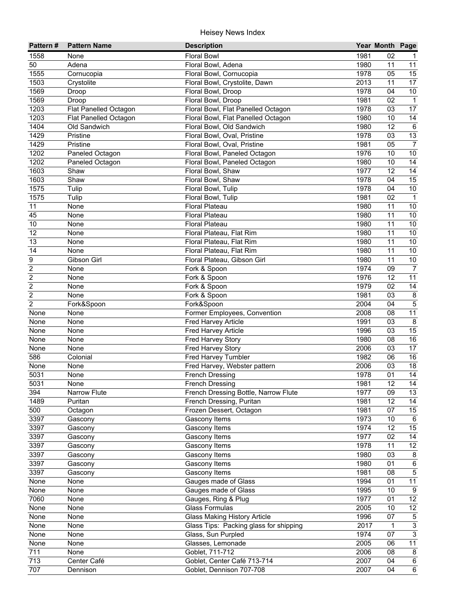| Pattern#                         | <b>Pattern Name</b>   | <b>Description</b>                     |              | Year Month Page |                      |
|----------------------------------|-----------------------|----------------------------------------|--------------|-----------------|----------------------|
| 1558                             | None                  | <b>Floral Bowl</b>                     | 1981         | 02              | 1                    |
| 50                               | Adena                 | Floral Bowl, Adena                     | 1980         | 11              | 11                   |
| 1555                             | Cornucopia            | Floral Bowl, Cornucopia                | 1978         | 05              | 15                   |
| 1503                             | Crystolite            | Floral Bowl, Crystolite, Dawn          | 2013         | 11              | $\overline{17}$      |
| 1569                             | Droop                 | Floral Bowl, Droop                     | 1978         | 04              | $\overline{10}$      |
| 1569                             | Droop                 | Floral Bowl, Droop                     | 1981         | 02              | $\mathbf{1}$         |
| 1203                             | Flat Panelled Octagon | Floral Bowl, Flat Panelled Octagon     | 1978         | 03              | $\overline{17}$      |
| 1203                             | Flat Panelled Octagon | Floral Bowl, Flat Panelled Octagon     | 1980         | 10              | 14                   |
| 1404                             | Old Sandwich          | Floral Bowl, Old Sandwich              | 1980         | $\overline{12}$ | $\,6$                |
| 1429                             | Pristine              | Floral Bowl, Oval, Pristine            | 1978         | 03              | 13                   |
| 1429                             | Pristine              | Floral Bowl, Oval, Pristine            | 1981         | 05              | $\overline{7}$       |
| 1202                             | Paneled Octagon       | Floral Bowl, Paneled Octagon           | 1976         | 10              | 10                   |
| 1202                             | Paneled Octagon       | Floral Bowl, Paneled Octagon           | 1980         | 10              | 14                   |
| 1603                             | Shaw                  | Floral Bowl, Shaw                      | 1977         | 12              | 14                   |
| 1603                             | Shaw                  | Floral Bowl, Shaw                      | 1978         | 04              | 15                   |
| 1575                             | Tulip                 | Floral Bowl, Tulip                     | 1978         | 04              | $10$                 |
| 1575                             | Tulip                 | Floral Bowl, Tulip                     | 1981         | 02              | $\overline{1}$       |
| 11                               | None                  | <b>Floral Plateau</b>                  | 1980         | 11              | 10                   |
| 45                               | None                  | <b>Floral Plateau</b>                  | 1980         | 11              | 10                   |
| 10                               | None                  | <b>Floral Plateau</b>                  | 1980         | 11              | 10                   |
| 12                               | None                  | Floral Plateau, Flat Rim               | 1980         | 11              | 10                   |
| 13                               | None                  | Floral Plateau, Flat Rim               | 1980         | 11              | 10                   |
| 14                               | None                  | Floral Plateau, Flat Rim               | 1980         | 11              | 10                   |
| 9                                | Gibson Girl           | Floral Plateau, Gibson Girl            | 1980         | 11              | 10                   |
| $\overline{c}$                   | None                  | Fork & Spoon                           | 1974         | 09              | $\overline{7}$       |
| $\overline{c}$                   | None                  | Fork & Spoon                           | 1976         | 12              | 11                   |
| $\overline{c}$<br>$\overline{c}$ | None<br>None          | Fork & Spoon                           | 1979         | 02<br>03        | 14<br>$\overline{8}$ |
| $\overline{c}$                   |                       | Fork & Spoon<br>Fork&Spoon             | 1981<br>2004 | 04              | $\overline{5}$       |
| None                             | Fork&Spoon<br>None    | Former Employees, Convention           | 2008         | 08              | 11                   |
| None                             | None                  | Fred Harvey Article                    | 1991         | 03              | $\overline{8}$       |
| None                             | None                  | Fred Harvey Article                    | 1996         | 03              | $\overline{15}$      |
| None                             | None                  | <b>Fred Harvey Story</b>               | 1980         | 08              | $\overline{16}$      |
| None                             | None                  | Fred Harvey Story                      | 2006         | 03              | $\overline{17}$      |
| 586                              | Colonial              | Fred Harvey Tumbler                    | 1982         | 06              | $\overline{16}$      |
| None                             | None                  | Fred Harvey, Webster pattern           | 2006         | 03              | 18                   |
| 5031                             | None                  | French Dressing                        | 1978         | 01              | 14                   |
| 5031                             | None                  | <b>French Dressing</b>                 | 1981         | $\overline{12}$ | $\overline{14}$      |
| 394                              | Narrow Flute          | French Dressing Bottle, Narrow Flute   | 1977         | 09              | 13                   |
| 1489                             | Puritan               | French Dressing, Puritan               | 1981         | 12              | 14                   |
| 500                              | Octagon               | Frozen Dessert, Octagon                | 1981         | 07              | 15                   |
| 3397                             | Gascony               | Gascony Items                          | 1973         | 10              | 6                    |
| 3397                             | Gascony               | Gascony Items                          | 1974         | 12              | 15                   |
| 3397                             | Gascony               | Gascony Items                          | 1977         | 02              | 14                   |
| 3397                             | Gascony               | Gascony Items                          | 1978         | 11              | 12                   |
| 3397                             | Gascony               | Gascony Items                          | 1980         | 03              | $\bf 8$              |
| 3397                             | Gascony               | Gascony Items                          | 1980         | 01              | $\,6\,$              |
| 3397                             | Gascony               | Gascony Items                          | 1981         | 08              | $\,$ 5 $\,$          |
| None                             | None                  | Gauges made of Glass                   | 1994         | 01              | 11                   |
| None                             | None                  | Gauges made of Glass                   | 1995         | 10              | $9\,$                |
| 7060                             | None                  | Gauges, Ring & Plug                    | 1977         | 01              | 12                   |
| None                             | None                  | <b>Glass Formulas</b>                  | 2005         | 10              | 12                   |
| None                             | None                  | <b>Glass Making History Article</b>    | 1996         | 07              | $\sqrt{5}$           |
| None                             | None                  | Glass Tips: Packing glass for shipping | 2017         | 1               | $\overline{3}$       |
| None                             | None                  | Glass, Sun Purpled                     | 1974         | 07              | $\overline{3}$       |
| None                             | None                  | Glasses, Lemonade                      | 2005         | 06              | $\overline{11}$      |
| 711                              | None                  | Goblet, 711-712                        | 2006         | 08              | 8                    |
| $\overline{713}$                 | Center Café           | Goblet, Center Café 713-714            | 2007         | 04              | 6                    |
| 707                              | Dennison              | Goblet, Dennison 707-708               | 2007         | 04              | $6\overline{6}$      |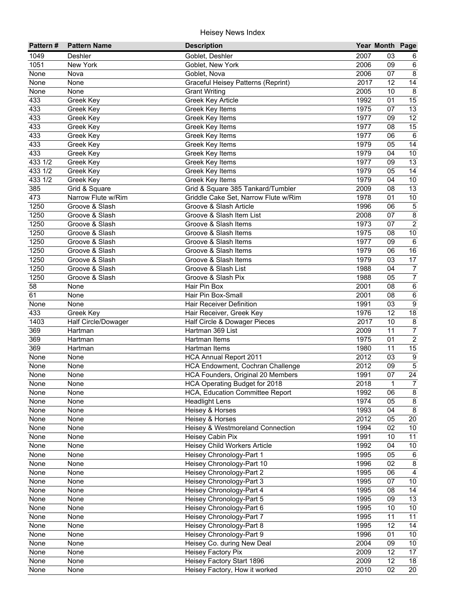| Pattern# | <b>Pattern Name</b> | <b>Description</b>                   |      | Year Month Page |                         |
|----------|---------------------|--------------------------------------|------|-----------------|-------------------------|
| 1049     | Deshler             | Goblet, Deshler                      | 2007 | 03              | 6                       |
| 1051     | New York            | Goblet, New York                     | 2006 | 09              | $\,6$                   |
| None     | Nova                | Goblet, Nova                         | 2006 | 07              | $\overline{8}$          |
| None     | None                | Graceful Heisey Patterns (Reprint)   | 2017 | 12              | 14                      |
| None     | None                | <b>Grant Writing</b>                 | 2005 | 10              | $\overline{8}$          |
| 433      | Greek Key           | <b>Greek Key Article</b>             | 1992 | 01              | 15                      |
| 433      | Greek Key           | Greek Key Items                      | 1975 | 07              | $\overline{13}$         |
| 433      | Greek Key           | Greek Key Items                      | 1977 | 09              | 12                      |
| 433      | Greek Key           | Greek Key Items                      | 1977 | 08              | 15                      |
| 433      | Greek Key           | Greek Key Items                      | 1977 | 06              | $6\phantom{1}6$         |
| 433      | Greek Key           | Greek Key Items                      | 1979 | 05              | 14                      |
| 433      | Greek Key           | Greek Key Items                      | 1979 | 04              | 10                      |
| 433 1/2  | Greek Key           | Greek Key Items                      | 1977 | 09              | 13                      |
| 433 1/2  | Greek Key           | Greek Key Items                      | 1979 | 05              | 14                      |
| 433 1/2  | Greek Key           | Greek Key Items                      | 1979 | 04              | $10\,$                  |
| 385      | Grid & Square       | Grid & Square 385 Tankard/Tumbler    | 2009 | 08              | 13                      |
| 473      | Narrow Flute w/Rim  | Griddle Cake Set, Narrow Flute w/Rim | 1978 | 01              | $10$                    |
| 1250     | Groove & Slash      | Groove & Slash Article               | 1996 | 06              | $\sqrt{5}$              |
| 1250     | Groove & Slash      | Groove & Slash Item List             | 2008 | 07              | $\bf 8$                 |
| 1250     | Groove & Slash      | Groove & Slash Items                 | 1973 | 07              | $\overline{2}$          |
| 1250     | Groove & Slash      | Groove & Slash Items                 | 1975 | 08              | $10$                    |
| 1250     | Groove & Slash      | Groove & Slash Items                 | 1977 | 09              | $\,6$                   |
| 1250     | Groove & Slash      | Groove & Slash Items                 | 1979 | 06              | 16                      |
| 1250     | Groove & Slash      | Groove & Slash Items                 | 1979 | 03              | 17                      |
| 1250     | Groove & Slash      | Groove & Slash List                  | 1988 | 04              | $\boldsymbol{7}$        |
| 1250     | Groove & Slash      | Groove & Slash Pix                   | 1988 | 05              | $\overline{7}$          |
| 58       | None                | Hair Pin Box                         | 2001 | 08              | $\,6\,$                 |
| 61       | None                | Hair Pin Box-Small                   | 2001 | 08              | $\overline{6}$          |
| None     | None                | <b>Hair Receiver Definition</b>      | 1991 | 03              | $\overline{9}$          |
| 433      | Greek Key           | Hair Receiver, Greek Key             | 1976 | 12              | $\overline{18}$         |
| 1403     | Half Circle/Dowager | Half Circle & Dowager Pieces         | 2017 | 10              | $\overline{\mathbf{8}}$ |
| 369      | Hartman             | Hartman 369 List                     | 2009 | 11              | $\overline{7}$          |
| 369      | Hartman             | Hartman Items                        | 1975 | 01              | $\overline{2}$          |
| 369      | Hartman             | Hartman Items                        | 1980 | 11              | 15                      |
| None     | None                | <b>HCA Annual Report 2011</b>        | 2012 | 03              | $\overline{9}$          |
| None     | None                | HCA Endowment, Cochran Challenge     | 2012 | 09              | $\overline{5}$          |
| None     | None                | HCA Founders, Original 20 Members    | 1991 | 07              | $\overline{24}$         |
| None     | None                | HCA Operating Budget for 2018        | 2018 | 1               | $\overline{7}$          |
| None     | None                | HCA, Education Committee Report      | 1992 | 06              | $\bf 8$                 |
| None     | None                | <b>Headlight Lens</b>                | 1974 | 05              | $\bf 8$                 |
| None     | None                | Heisey & Horses                      | 1993 | 04              | $\,8\,$                 |
| None     | None                | Heisey & Horses                      | 2012 | 05              | 20                      |
| None     | None                | Heisey & Westmoreland Connection     | 1994 | 02              | 10                      |
| None     | None                | Heisey Cabin Pix                     | 1991 | 10              | 11                      |
| None     | None                | Heisey Child Workers Article         | 1992 | 04              | 10                      |
| None     | None                | Heisey Chronology-Part 1             | 1995 | 05              | $\,6$                   |
| None     | None                | Heisey Chronology-Part 10            | 1996 | 02              | $\bf 8$                 |
| None     | None                | Heisey Chronology-Part 2             | 1995 | 06              | $\overline{4}$          |
| None     | None                | Heisey Chronology-Part 3             | 1995 | 07              | $10\,$                  |
| None     | None                | Heisey Chronology-Part 4             | 1995 | 08              | 14                      |
| None     | None                | Heisey Chronology-Part 5             | 1995 | 09              | $\overline{13}$         |
| None     | None                | Heisey Chronology-Part 6             | 1995 | 10              | $10$                    |
| None     | None                | <b>Heisey Chronology-Part 7</b>      | 1995 | 11              | 11                      |
| None     | None                | Heisey Chronology-Part 8             | 1995 | 12              | 14                      |
| None     | None                | Heisey Chronology-Part 9             | 1996 | 01              | 10                      |
| None     | None                | Heisey Co. during New Deal           | 2004 | 09              | 10 <sup>°</sup>         |
| None     | None                | Heisey Factory Pix                   | 2009 | 12              | 17                      |
| None     | None                | Heisey Factory Start 1896            | 2009 | 12              | $\overline{18}$         |
| None     | None                | Heisey Factory, How it worked        | 2010 | $\overline{02}$ | $\overline{20}$         |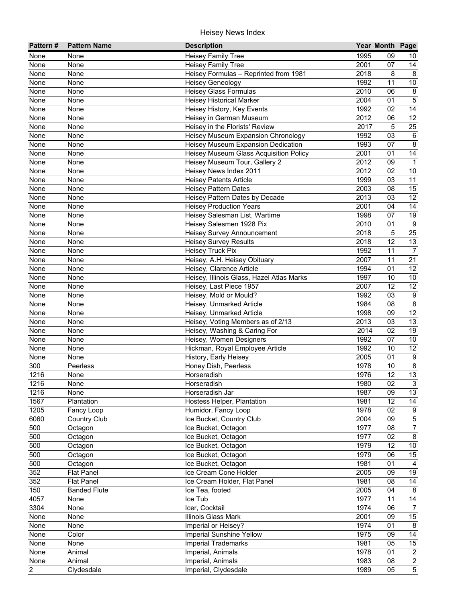| Pattern#       | <b>Pattern Name</b> | <b>Description</b>                        |      | Year Month Page |                  |
|----------------|---------------------|-------------------------------------------|------|-----------------|------------------|
| None           | None                | Heisey Family Tree                        | 1995 | 09              | 10               |
| None           | None                | <b>Heisey Family Tree</b>                 | 2001 | 07              | 14               |
| None           | None                | Heisey Formulas - Reprinted from 1981     | 2018 | 8               | 8                |
| None           | None                | <b>Heisey Geneology</b>                   | 1992 | 11              | 10               |
| None           | None                | <b>Heisey Glass Formulas</b>              | 2010 | 06              | $\bf 8$          |
| None           | None                | <b>Heisey Historical Marker</b>           | 2004 | 01              | $\overline{5}$   |
| None           | None                | Heisey History, Key Events                | 1992 | 02              | $\overline{14}$  |
| None           | None                | Heisey in German Museum                   | 2012 | 06              | 12               |
| None           | None                | Heisey in the Florists' Review            | 2017 | 5               | $\overline{25}$  |
| None           | None                | Heisey Museum Expansion Chronology        | 1992 | 03              | $6\phantom{1}6$  |
| None           | None                | Heisey Museum Expansion Dedication        | 1993 | 07              | $\bf 8$          |
| None           | None                | Heisey Museum Glass Acquisition Policy    | 2001 | 01              | 14               |
| None           | None                | Heisey Museum Tour, Gallery 2             | 2012 | 09              | $\mathbf{1}$     |
| None           | None                | Heisey News Index 2011                    | 2012 | 02              | $10$             |
| None           | None                | <b>Heisey Patents Article</b>             | 1999 | 03              | 11               |
| None           | None                | <b>Heisey Pattern Dates</b>               | 2003 | 08              | 15               |
| None           | None                | Heisey Pattern Dates by Decade            | 2013 | 03              | 12               |
| None           | None                | <b>Heisey Production Years</b>            | 2001 | 04              | 14               |
| None           | None                | Heisey Salesman List, Wartime             | 1998 | 07              | 19               |
| None           | None                | Heisey Salesmen 1928 Pix                  | 2010 | 01              | 9                |
| None           | None                | Heisey Survey Announcement                | 2018 | 5               | 25               |
| None           | None                | <b>Heisey Survey Results</b>              | 2018 | 12              | 13               |
| None           | None                | <b>Heisey Truck Pix</b>                   | 1992 | 11              | $\overline{7}$   |
| None           | None                | Heisey, A.H. Heisey Obituary              | 2007 | 11              | 21               |
| None           | None                | Heisey, Clarence Article                  | 1994 | 01              | 12               |
| None           | None                | Heisey, Illinois Glass, Hazel Atlas Marks | 1997 | 10              | 10               |
| None           | None                | Heisey, Last Piece 1957                   | 2007 | 12              | 12               |
| None           | None                | Heisey, Mold or Mould?                    | 1992 | 03              | $\boldsymbol{9}$ |
| None           | None                | Heisey, Unmarked Article                  | 1984 | 08              | $\bf 8$          |
| None           | None                | Heisey, Unmarked Article                  | 1998 | 09              | $\overline{12}$  |
| None           | None                | Heisey, Voting Members as of 2/13         | 2013 | 03              | 13               |
| None           | None                | Heisey, Washing & Caring For              | 2014 | 02              | 19               |
| None           | None                | Heisey, Women Designers                   | 1992 | 07              | 10               |
| None           | None                | Hickman, Royal Employee Article           | 1992 | 10              | $\overline{12}$  |
| None           | None                | History, Early Heisey                     | 2005 | 01              | $9\,$            |
| 300            | Peerless            | Honey Dish, Peerless                      | 1978 | 10              | $\bf 8$          |
| 1216           | None                | Horseradish                               | 1976 | 12              | 13               |
| 1216           | None                | Horseradish                               | 1980 | 02              | $\overline{3}$   |
| 1216           | None                | Horseradish Jar                           | 1987 | 09              | 13               |
| 1567           | Plantation          | Hostess Helper, Plantation                | 1981 | 12              | 14               |
| 1205           | Fancy Loop          | Humidor, Fancy Loop                       | 1978 | 02              | $\boldsymbol{9}$ |
| 6060           | <b>Country Club</b> | Ice Bucket, Country Club                  | 2004 | 09              | $\overline{5}$   |
| 500            | Octagon             | Ice Bucket, Octagon                       | 1977 | 08              | $\overline{7}$   |
| 500            | Octagon             | Ice Bucket, Octagon                       | 1977 | 02              | $\bf 8$          |
| 500            | Octagon             | Ice Bucket, Octagon                       | 1979 | 12              | $10\,$           |
| 500            | Octagon             | Ice Bucket, Octagon                       | 1979 | 06              | 15               |
| 500            | Octagon             | Ice Bucket, Octagon                       | 1981 | 01              | $\overline{4}$   |
| 352            | <b>Flat Panel</b>   | Ice Cream Cone Holder                     | 2005 | 09              | 19               |
| 352            | <b>Flat Panel</b>   | Ice Cream Holder, Flat Panel              | 1981 | 08              | 14               |
| 150            | <b>Banded Flute</b> | Ice Tea, footed                           | 2005 | 04              | $\bf 8$          |
| 4057           | None                | Ice Tub                                   | 1977 | 11              | $14$             |
| 3304           | None                | Icer, Cocktail                            | 1974 | 06              | $\overline{7}$   |
| None           | None                | Illinois Glass Mark                       | 2001 | 09              | 15               |
| None           | None                | Imperial or Heisey?                       | 1974 | 01              | 8                |
| None           | Color               | <b>Imperial Sunshine Yellow</b>           | 1975 | 09              | 14               |
| None           | None                | <b>Imperial Trademarks</b>                | 1981 | 05              | 15               |
| None           | Animal              | Imperial, Animals                         | 1978 | 01              | $\overline{2}$   |
| None           | Animal              | Imperial, Animals                         | 1983 | 08              | $\overline{2}$   |
| $\overline{2}$ | Clydesdale          | Imperial, Clydesdale                      | 1989 | 05              | $\overline{5}$   |
|                |                     |                                           |      |                 |                  |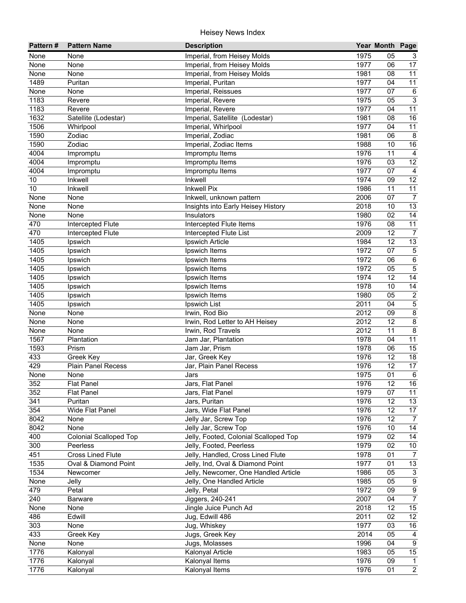| Pattern#    | <b>Pattern Name</b>           | <b>Description</b>                    |              | Year Month Page |                           |
|-------------|-------------------------------|---------------------------------------|--------------|-----------------|---------------------------|
| None        | None                          | Imperial, from Heisey Molds           | 1975         | 05              | 3                         |
| None        | None                          | Imperial, from Heisey Molds           | 1977         | 06              | 17                        |
| None        | None                          | Imperial, from Heisey Molds           | 1981         | 08              | $\overline{11}$           |
| 1489        | Puritan                       | Imperial, Puritan                     | 1977         | 04              | $\overline{11}$           |
| None        | None                          | Imperial, Reissues                    | 1977         | 07              | $\,6\,$                   |
| 1183        | Revere                        | Imperial, Revere                      | 1975         | 05              | $\overline{3}$            |
| 1183        | Revere                        | Imperial, Revere                      | 1977         | 04              | 11                        |
| 1632        | Satellite (Lodestar)          | Imperial, Satellite (Lodestar)        | 1981         | 08              | 16                        |
| 1506        | Whirlpool                     | Imperial, Whirlpool                   | 1977         | 04              | 11                        |
| 1590        | Zodiac                        | Imperial, Zodiac                      | 1981         | 06              | 8                         |
| 1590        | Zodiac                        | Imperial, Zodiac Items                | 1988         | 10              | 16                        |
| 4004        | Impromptu                     | Impromptu Items                       | 1976         | 11              | $\overline{4}$            |
| 4004        | Impromptu                     | Impromptu Items                       | 1976         | 03              | 12                        |
| 4004        | Impromptu                     | Impromptu Items                       | 1977         | 07              | $\overline{a}$            |
| 10          | Inkwell                       | Inkwell                               | 1974         | 09              | 12                        |
| 10          | Inkwell                       | <b>Inkwell Pix</b>                    | 1986         | 11              | 11                        |
| None        | None                          | Inkwell, unknown pattern              | 2006         | 07              | $\overline{7}$            |
| None        | None                          | Insights into Early Heisey History    | 2018         | 10              | 13                        |
| None        | None                          | Insulators                            | 1980         | 02              | $\overline{14}$           |
| 470         | Intercepted Flute             | Intercepted Flute Items               | 1976         | 08              | 11                        |
| 470         | Intercepted Flute             | Intercepted Flute List                | 2009         | 12              | $\overline{7}$            |
| 1405        | Ipswich                       | Ipswich Article                       | 1984         | 12              | 13                        |
| 1405        | Ipswich                       | Ipswich Items                         | 1972         | 07              | $\sqrt{5}$                |
| 1405        | Ipswich                       | Ipswich Items                         | 1972         | 06              | $\overline{6}$            |
| 1405        | Ipswich                       | Ipswich Items                         | 1972         | 05              | $\overline{5}$            |
| 1405        | Ipswich                       | Ipswich Items                         | 1974         | 12              | $\overline{14}$           |
| 1405        | Ipswich                       | Ipswich Items                         | 1978         | 10              | 14                        |
| 1405        | Ipswich                       | Ipswich Items                         | 1980         | 05              | $\overline{2}$            |
| 1405        | Ipswich                       | Ipswich List                          | 2011         | 04              | $\overline{5}$            |
| None        | None                          | Irwin, Rod Bio                        | 2012         | 09              | $\overline{8}$            |
| None        | None                          | Irwin, Rod Letter to AH Heisey        | 2012         | 12              | $\overline{8}$            |
| None        | None                          | Irwin, Rod Travels                    | 2012         | 11              | $\overline{8}$            |
| 1567        | Plantation                    | Jam Jar, Plantation                   | 1978         | 04              | 11                        |
| 1593        | Prism                         | Jam Jar, Prism                        | 1978         | 06              | 15                        |
| 433         | Greek Key                     | Jar, Greek Key                        | 1976         | 12              | 18                        |
| 429         | <b>Plain Panel Recess</b>     | Jar, Plain Panel Recess               | 1976<br>1975 | 12<br>01        | 17<br>$6\phantom{1}6$     |
| None<br>352 | None<br><b>Flat Panel</b>     | Jars<br>Jars, Flat Panel              | 1976         | $\overline{12}$ | 16                        |
| 352         | <b>Flat Panel</b>             | Jars, Flat Panel                      | 1979         | 07              | 11                        |
| 341         | Puritan                       | Jars, Puritan                         | 1976         | 12              | 13                        |
| 354         | Wide Flat Panel               | Jars, Wide Flat Panel                 | 1976         | 12              | 17                        |
| 8042        | None                          | Jelly Jar, Screw Top                  | 1976         | 12              | $\overline{7}$            |
| 8042        | None                          | Jelly Jar, Screw Top                  | 1976         | 10              | 14                        |
| 400         | <b>Colonial Scalloped Top</b> | Jelly, Footed, Colonial Scalloped Top | 1979         | 02              | 14                        |
| 300         | Peerless                      | Jelly, Footed, Peerless               | 1979         | 02              | 10                        |
| 451         | <b>Cross Lined Flute</b>      | Jelly, Handled, Cross Lined Flute     | 1978         | 01              | $\overline{7}$            |
| 1535        | Oval & Diamond Point          | Jelly, Ind, Oval & Diamond Point      | 1977         | 01              | 13                        |
| 1534        | Newcomer                      | Jelly, Newcomer, One Handled Article  | 1986         | 05              | $\ensuremath{\mathsf{3}}$ |
| None        | Jelly                         | Jelly, One Handled Article            | 1985         | 05              | $\overline{9}$            |
| 479         | Petal                         | Jelly, Petal                          | 1972         | 09              | $\overline{9}$            |
| 240         | <b>Barware</b>                | Jiggers, 240-241                      | 2007         | 04              | $\overline{7}$            |
| None        | None                          | Jingle Juice Punch Ad                 | 2018         | 12              | 15                        |
| 486         | Edwill                        | Jug, Edwill 486                       | 2011         | 02              | 12                        |
| 303         | None                          | Jug, Whiskey                          | 1977         | 03              | 16                        |
| 433         | Greek Key                     | Jugs, Greek Key                       | 2014         | 05              | $\overline{4}$            |
| None        | None                          | Jugs, Molasses                        | 1996         | 04              | $\overline{9}$            |
| 1776        | Kalonyal                      | Kalonyal Article                      | 1983         | 05              | 15                        |
| 1776        | Kalonyal                      | Kalonyal Items                        | 1976         | 09              | $\mathbf{1}$              |
| 1776        | Kalonyal                      | <b>Kalonyal Items</b>                 | 1976         | 01              | $\overline{2}$            |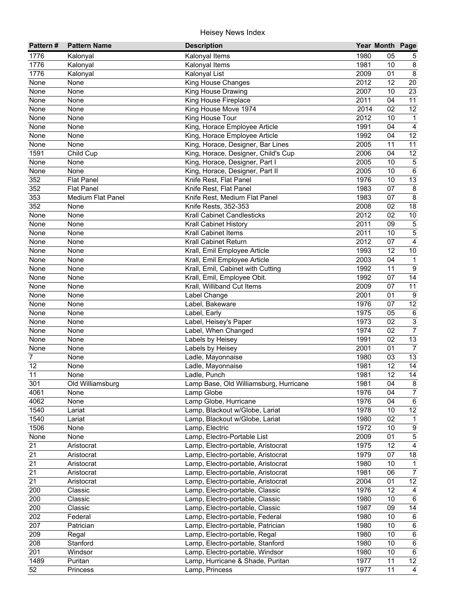| Pattern#       | <b>Pattern Name</b>      | <b>Description</b>                     |      | Year Month Page |                         |
|----------------|--------------------------|----------------------------------------|------|-----------------|-------------------------|
| 1776           | Kalonyal                 | Kalonyal Items                         | 1980 | 05              | 5                       |
| 1776           | Kalonyal                 | Kalonyal Items                         | 1981 | 10              | $\bf 8$                 |
| 1776           | Kalonyal                 | Kalonyal List                          | 2009 | 01              | $\overline{8}$          |
| None           | None                     | <b>King House Changes</b>              | 2012 | 12              | 20                      |
| None           | None                     | King House Drawing                     | 2007 | 10              | $\overline{23}$         |
| None           | None                     | King House Fireplace                   | 2011 | 04              | 11                      |
| None           | None                     | King House Move 1974                   | 2014 | 02              | 12                      |
| None           | None                     | King House Tour                        | 2012 | 10              | $\mathbf{1}$            |
| None           | None                     | King, Horace Employee Article          | 1991 | 04              | $\overline{4}$          |
| None           | None                     | King, Horace Employee Article          | 1992 | 04              | 12                      |
| None           | None                     | King, Horace, Designer, Bar Lines      | 2005 | 11              | 11                      |
| 1591           | Child Cup                | King, Horace, Designer, Child's Cup    | 2006 | 04              | 12                      |
| None           | None                     | King, Horace, Designer, Part I         | 2005 | 10              | $\,$ 5 $\,$             |
| None           | None                     | King, Horace, Designer, Part II        | 2005 | 10              | $\,6\,$                 |
| 352            | <b>Flat Panel</b>        | Knife Rest, Flat Panel                 | 1976 | 10              | 13                      |
| 352            | <b>Flat Panel</b>        | Knife Rest, Flat Panel                 | 1983 | 07              | $\bf 8$                 |
| 353            | <b>Medium Flat Panel</b> | Knife Rest, Medium Flat Panel          | 1983 | 07              | 8                       |
| 352            | None                     | Knife Rests, 352-353                   | 2008 | 02              | 18                      |
| None           | None                     | <b>Krall Cabinet Candlesticks</b>      | 2012 | 02              | $10$                    |
| None           | None                     | <b>Krall Cabinet History</b>           | 2011 | 09              | $\,$ 5 $\,$             |
| None           | None                     | <b>Krall Cabinet Items</b>             | 2011 | 10              | $\mathbf 5$             |
| None           | None                     | Krall Cabinet Return                   | 2012 | 07              | $\overline{4}$          |
| None           | None                     | Krall, Emil Employee Article           | 1993 | 12              | $10$                    |
| None           | None                     | Krall, Emil Employee Article           | 2003 | 04              | $\mathbf{1}$            |
| None           | None                     | Krall, Emil, Cabinet with Cutting      | 1992 | 11              | $9\,$                   |
| None           | None                     | Krall, Emil, Employee Obit.            | 1992 | 07              | 14                      |
| None           | None                     | Krall, Williband Cut Items             | 2009 | 07              | 11                      |
| None           | None                     | Label Change                           | 2001 | 01              | $\overline{9}$          |
| None           | None                     | Label, Bakeware                        | 1976 | 07              | $\overline{12}$         |
| None           | None                     | Label, Early                           | 1975 | 05              | $\,6\,$                 |
| None           | None                     | Label, Heisey's Paper                  | 1973 | 02              | $\overline{\omega}$     |
| None           | None                     | Label, When Changed                    | 1974 | 02              | $\overline{7}$          |
| None           | None                     | Labels by Heisey                       | 1991 | 02              | 13                      |
| None           | None                     | Labels by Heisey                       | 2001 | 01              | $\overline{7}$          |
| $\overline{7}$ | None                     | Ladle, Mayonnaise                      | 1980 | 03              | $\overline{13}$         |
| 12             | None                     | Ladle, Mayonnaise                      | 1981 | 12              | 14                      |
| 11             | None                     | Ladle, Punch                           | 1981 | 12              | 14                      |
| 301            | Old Williamsburg         | Lamp Base, Old Williamsburg, Hurricane | 1981 | $\overline{04}$ | $\overline{8}$          |
| 4061           | None                     | Lamp Globe                             | 1976 | 04              | $\overline{7}$          |
| 4062           | None                     | Lamp Globe, Hurricane                  | 1976 | 04              | 6                       |
| 1540           | Lariat                   | Lamp, Blackout w/Globe, Lariat         | 1978 | 10              | 12                      |
| 1540           | Lariat                   | Lamp, Blackout w/Globe, Lariat         | 1980 | 02              | $\mathbf{1}$            |
| 1506           | None                     | Lamp, Electric                         | 1972 | 10              | $\boldsymbol{9}$        |
| None           | None                     | Lamp, Electro-Portable List            | 2009 | 01              | $\,$ 5 $\,$             |
| 21             | Aristocrat               | Lamp, Electro-portable, Aristocrat     | 1975 | 12              | $\overline{\mathbf{4}}$ |
| 21             | Aristocrat               | Lamp, Electro-portable, Aristocrat     | 1979 | 07              | $18\,$                  |
| 21             | Aristocrat               | Lamp, Electro-portable, Aristocrat     | 1980 | 10              | $\mathbf{1}$            |
| 21             | Aristocrat               | Lamp, Electro-portable, Aristocrat     | 1981 | 06              | $\overline{7}$          |
| 21             | Aristocrat               | Lamp, Electro-portable, Aristocrat     | 2004 | 01              | 12                      |
| 200            | Classic                  | Lamp, Electro-portable, Classic        | 1976 | 12              | 4                       |
| 200            | Classic                  | Lamp, Electro-portable, Classic        | 1980 | 10              | $\,6\,$                 |
| 200            | Classic                  | Lamp, Electro-portable, Classic        | 1987 | 09              | $\overline{14}$         |
| 202            | Federal                  | Lamp, Electro-portable, Federal        | 1980 | 10              | $\,6\,$                 |
| 207            | Patrician                | Lamp, Electro-portable, Patrician      | 1980 | 10              | $\,6\,$                 |
| 209            | Regal                    | Lamp, Electro-portable, Regal          | 1980 | 10              | $\,6\,$                 |
| 208            | Stanford                 | Lamp, Electro-portable, Stanford       | 1980 | 10              | $\,6\,$                 |
| 201            | Windsor                  | Lamp, Electro-portable, Windsor        | 1980 | 10              | $\,6\,$                 |
| 1489           | Puritan                  | Lamp, Hurricane & Shade, Puritan       | 1977 | 11              | 12                      |
| 52             | Princess                 | Lamp, Princess                         | 1977 | 11              | $\overline{4}$          |
|                |                          |                                        |      |                 |                         |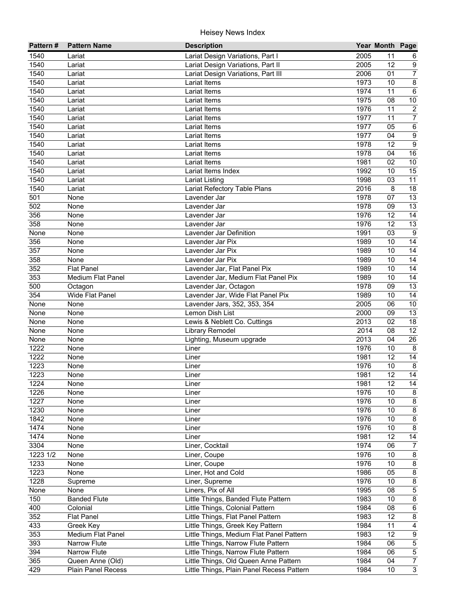| Pattern #         | <b>Pattern Name</b>      | <b>Description</b>                        |      | Year Month Page |                         |
|-------------------|--------------------------|-------------------------------------------|------|-----------------|-------------------------|
| 1540              | Lariat                   | Lariat Design Variations, Part I          | 2005 | 11              | 6                       |
| 1540              | Lariat                   | Lariat Design Variations, Part II         | 2005 | 12              | $\boldsymbol{9}$        |
| 1540              | Lariat                   | Lariat Design Variations, Part III        | 2006 | 01              | $\overline{7}$          |
| 1540              | Lariat                   | <b>Lariat Items</b>                       | 1973 | 10              | $\overline{8}$          |
| 1540              | Lariat                   | Lariat Items                              | 1974 | $\overline{11}$ | $\overline{6}$          |
| 1540              | Lariat                   | Lariat Items                              | 1975 | 08              | 10                      |
| 1540              | Lariat                   | Lariat Items                              | 1976 | 11              | $\overline{2}$          |
| $15\overline{40}$ | Lariat                   | Lariat Items                              | 1977 | 11              | $\overline{7}$          |
| 1540              | Lariat                   | Lariat Items                              | 1977 | $\overline{05}$ | $\,6\,$                 |
| 1540              | Lariat                   | <b>Lariat Items</b>                       | 1977 | 04              | $\boldsymbol{9}$        |
| 1540              | Lariat                   | Lariat Items                              | 1978 | 12              | $\overline{9}$          |
| 1540              | Lariat                   | Lariat Items                              | 1978 | 04              | 16                      |
| 1540              | Lariat                   | Lariat Items                              | 1981 | 02              | $10\,$                  |
| 1540              | Lariat                   | Lariat Items Index                        | 1992 | 10              | 15                      |
| 1540              | Lariat                   | <b>Lariat Listing</b>                     | 1998 | 03              | 11                      |
| 1540              | Lariat                   | Lariat Refectory Table Plans              | 2016 | 8               | 18                      |
| 501               | None                     | Lavender Jar                              | 1978 | 07              | 13                      |
| 502               | None                     | Lavender Jar                              | 1978 | 09              | 13                      |
| 356               | None                     | Lavender Jar                              | 1976 | 12              | $\overline{14}$         |
| 358               | None                     | Lavender Jar                              | 1976 | 12              | 13                      |
| None              | None                     | Lavender Jar Definition                   | 1991 | 03              | $\boldsymbol{9}$        |
| 356               | None                     | Lavender Jar Pix                          | 1989 | 10              | 14                      |
| 357               | None                     | Lavender Jar Pix                          | 1989 | 10              | 14                      |
| 358               | None                     | Lavender Jar Pix                          | 1989 | 10              | 14                      |
| 352               | <b>Flat Panel</b>        | Lavender Jar, Flat Panel Pix              | 1989 | 10              | 14                      |
| 353               | <b>Medium Flat Panel</b> | Lavender Jar, Medium Flat Panel Pix       | 1989 | 10              | 14                      |
| 500               | Octagon                  | Lavender Jar, Octagon                     | 1978 | 09              | 13                      |
| 354               | Wide Flat Panel          | Lavender Jar, Wide Flat Panel Pix         | 1989 | 10              | $\overline{14}$         |
| None              | None                     | Lavender Jars, 352, 353, 354              | 2005 | 06              | 10                      |
| None              | None                     | Lemon Dish List                           | 2000 | 09              | 13                      |
| None              | None                     | Lewis & Neblett Co. Cuttings              | 2013 | 02              | $\overline{18}$         |
| None              | None                     | Library Remodel                           | 2014 | 08              | $\overline{12}$         |
| None              | None                     | Lighting, Museum upgrade                  | 2013 | 04              | $\overline{26}$         |
| 1222              | None                     | Liner                                     | 1976 | 10              | 8                       |
| 1222              | None                     | Liner                                     | 1981 | 12              | 14                      |
| 1223              | None                     | Liner                                     | 1976 | 10              | $\,8\,$                 |
| 1223              | None                     | Liner                                     | 1981 | 12              | $\overline{14}$         |
| 1224              | None                     | Liner                                     | 1981 | $\overline{12}$ | $\overline{14}$         |
| 1226              | None                     | Liner                                     | 1976 | 10              | 8                       |
| 1227              | None                     | Liner                                     | 1976 | 10              | $\bf 8$                 |
| 1230              | None                     | Liner                                     | 1976 | 10              | $\bf 8$                 |
| 1842              | None                     | Liner                                     | 1976 | 10              | $\bf 8$                 |
| 1474              | None                     | Liner                                     | 1976 | 10              | $\bf 8$                 |
| 1474              | None                     | Liner                                     | 1981 | 12              | 14                      |
| 3304              | None                     | Liner, Cocktail                           | 1974 | 06              | $\overline{7}$          |
| 1223 1/2          | None                     | Liner, Coupe                              | 1976 | 10              | $\bf 8$                 |
| 1233              | None                     | Liner, Coupe                              | 1976 | 10              | $\bf 8$                 |
| 1223              | None                     | Liner, Hot and Cold                       | 1986 | 05              | $\bf 8$                 |
| 1228              | Supreme                  | Liner, Supreme                            | 1976 | 10              | $\bf 8$                 |
| None              | None                     | Liners, Pix of All                        | 1995 | 08              | $\overline{5}$          |
| 150               | <b>Banded Flute</b>      | Little Things, Banded Flute Pattern       | 1983 | 10              | $\overline{\mathbf{8}}$ |
| 400               | Colonial                 | Little Things, Colonial Pattern           | 1984 | 08              | $\overline{6}$          |
| 352               | <b>Flat Panel</b>        | Little Things, Flat Panel Pattern         | 1983 | 12              | $\overline{8}$          |
| 433               | Greek Key                | Little Things, Greek Key Pattern          | 1984 | 11              | $\overline{4}$          |
| 353               | Medium Flat Panel        | Little Things, Medium Flat Panel Pattern  | 1983 | $\overline{12}$ | $\overline{9}$          |
| 393               | Narrow Flute             | Little Things, Narrow Flute Pattern       | 1984 | 06              | $\overline{5}$          |
| 394               | Narrow Flute             | Little Things, Narrow Flute Pattern       | 1984 | 06              | $\overline{5}$          |
| 365               | Queen Anne (Old)         | Little Things, Old Queen Anne Pattern     | 1984 | 04              | $\overline{7}$          |
| 429               | Plain Panel Recess       | Little Things, Plain Panel Recess Pattern | 1984 | 10              | $\overline{3}$          |
|                   |                          |                                           |      |                 |                         |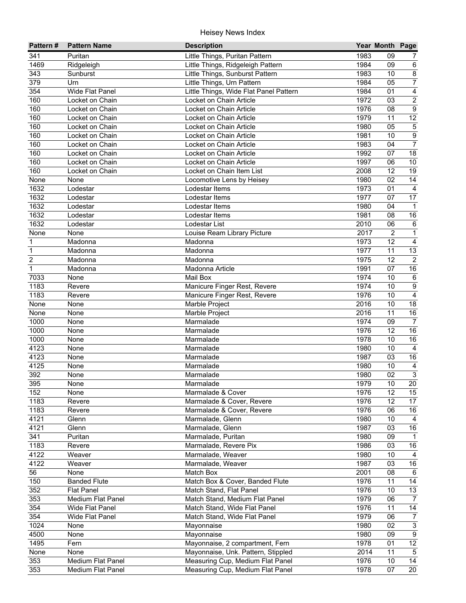| Pattern#         | <b>Pattern Name</b> | <b>Description</b>                     |      | Year Month Page |                  |
|------------------|---------------------|----------------------------------------|------|-----------------|------------------|
| 341              | Puritan             | Little Things, Puritan Pattern         | 1983 | 09              | 7                |
| 1469             | Ridgeleigh          | Little Things, Ridgeleigh Pattern      | 1984 | 09              | $\,6\,$          |
| 343              | Sunburst            | Little Things, Sunburst Pattern        | 1983 | 10              | $\overline{8}$   |
| 379              | Urn                 | Little Things, Urn Pattern             | 1984 | 05              | $\overline{7}$   |
| 354              | Wide Flat Panel     | Little Things, Wide Flat Panel Pattern | 1984 | 01              | $\overline{4}$   |
| 160              | Locket on Chain     | Locket on Chain Article                | 1972 | 03              | $\overline{2}$   |
| 160              | Locket on Chain     | Locket on Chain Article                | 1976 | $\overline{08}$ | $\overline{9}$   |
| 160              | Locket on Chain     | Locket on Chain Article                | 1979 | 11              | 12               |
| 160              | Locket on Chain     | Locket on Chain Article                | 1980 | 05              | $\overline{5}$   |
| 160              | Locket on Chain     | Locket on Chain Article                | 1981 | 10              | $\overline{9}$   |
| $16\overline{0}$ | Locket on Chain     | Locket on Chain Article                | 1983 | 04              | $\overline{7}$   |
| 160              | Locket on Chain     | Locket on Chain Article                | 1992 | 07              | 18               |
| 160              | Locket on Chain     | Locket on Chain Article                | 1997 | 06              | $10$             |
| 160              | Locket on Chain     | Locket on Chain Item List              | 2008 | 12              | 19               |
| None             | None                | Locomotive Lens by Heisey              | 1980 | 02              | 14               |
| 1632             | Lodestar            | Lodestar Items                         | 1973 | 01              | $\overline{4}$   |
| 1632             | Lodestar            | Lodestar Items                         | 1977 | 07              | 17               |
| 1632             | Lodestar            | Lodestar Items                         | 1980 | 04              | $\mathbf{1}$     |
| 1632             | Lodestar            | Lodestar Items                         | 1981 | 08              | 16               |
| 1632             | Lodestar            | Lodestar List                          | 2010 | 06              | $\,6\,$          |
| None             | None                | Louise Ream Library Picture            | 2017 | $\overline{2}$  | $\mathbf{1}$     |
| 1                | Madonna             | Madonna                                | 1973 | 12              | $\overline{4}$   |
| $\mathbf 1$      | Madonna             | Madonna                                | 1977 | 11              | 13               |
| $\overline{c}$   | Madonna             | Madonna                                | 1975 | 12              | $\overline{2}$   |
| $\mathbf{1}$     | Madonna             | Madonna Article                        | 1991 | 07              | 16               |
| 7033             | None                | Mail Box                               | 1974 | 10              | $\,6\,$          |
| 1183             | Revere              | Manicure Finger Rest, Revere           | 1974 | 10              | $\boldsymbol{9}$ |
| 1183             | Revere              | Manicure Finger Rest, Revere           | 1976 | 10              | $\overline{4}$   |
| None             | None                | Marble Project                         | 2016 | 10              | 18               |
| None             | None                | Marble Project                         | 2016 | 11              | 16               |
| 1000             | None                | Marmalade                              | 1974 | 09              | $\overline{7}$   |
| 1000             | None                | Marmalade                              | 1976 | 12              | 16               |
| 1000             | None                | Marmalade                              | 1978 | 10              | 16               |
| 4123             | None                | Marmalade                              | 1980 | 10              | $\overline{4}$   |
| 4123             | None                | Marmalade                              | 1987 | 03              | 16               |
| 4125             | None                | Marmalade                              | 1980 | 10              | $\overline{4}$   |
| 392              | None                | Marmalade                              | 1980 | 02              | $\overline{3}$   |
| 395              | None                | Marmalade                              | 1979 | $10$            | $\overline{20}$  |
| 152              | None                | Marmalade & Cover                      | 1976 | 12              | 15               |
| 1183             | Revere              | Marmalade & Cover, Revere              | 1976 | 12              | 17               |
| 1183             | Revere              | Marmalade & Cover, Revere              | 1976 | 06              | 16               |
| 4121             | Glenn               | Marmalade, Glenn                       | 1980 | 10              | $\overline{4}$   |
| 4121             | Glenn               | Marmalade, Glenn                       | 1987 | 03              | 16               |
| 341              | Puritan             | Marmalade, Puritan                     | 1980 | 09              | $\mathbf{1}$     |
| 1183             | Revere              | Marmalade, Revere Pix                  | 1986 | 03              | 16               |
| 4122             | Weaver              | Marmalade, Weaver                      | 1980 | 10              | $\overline{4}$   |
| 4122             | Weaver              | Marmalade, Weaver                      | 1987 | 03              | $16\,$           |
| 56               | None                | Match Box                              | 2001 | 08              | $\,6\,$          |
| 150              | <b>Banded Flute</b> | Match Box & Cover, Banded Flute        | 1976 | 11              | 14               |
| 352              | <b>Flat Panel</b>   | Match Stand, Flat Panel                | 1976 | 10              | 13               |
| 353              | Medium Flat Panel   | Match Stand, Medium Flat Panel         | 1979 | 06              | $\overline{7}$   |
| 354              | Wide Flat Panel     | Match Stand, Wide Flat Panel           | 1976 | 11              | 14               |
| 354              | Wide Flat Panel     | Match Stand, Wide Flat Panel           | 1979 | 06              | $\overline{7}$   |
| 1024             | None                | Mayonnaise                             | 1980 | 02              | $\overline{3}$   |
| 4500             | None                | Mayonnaise                             | 1980 | 09              | $\overline{9}$   |
| 1495             | Fern                | Mayonnaise, 2 compartment, Fern        | 1978 | 01              | 12               |
| None             | None                | Mayonnaise, Unk. Pattern, Stippled     | 2014 | 11              | $5\phantom{.0}$  |
| 353              | Medium Flat Panel   | Measuring Cup, Medium Flat Panel       | 1976 | 10              | $\overline{14}$  |
| 353              | Medium Flat Panel   | Measuring Cup, Medium Flat Panel       | 1978 | 07              | $\overline{20}$  |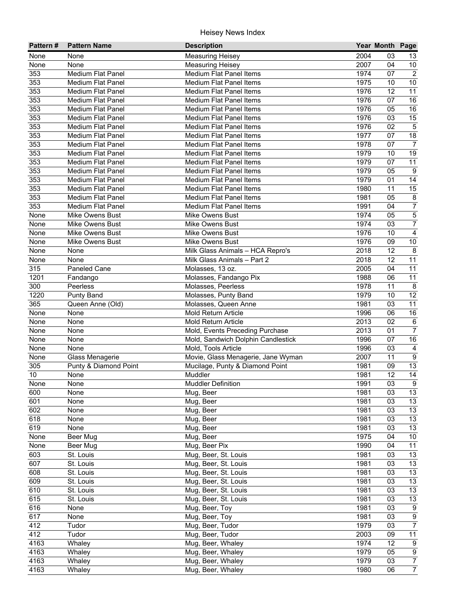| None<br><b>Measuring Heisey</b><br>2004<br>None<br>03<br>13<br>2007<br>$10\,$<br>None<br><b>Measuring Heisey</b><br>04<br>None<br>$\overline{2}$<br>353<br><b>Medium Flat Panel</b><br><b>Medium Flat Panel Items</b><br>1974<br>07<br>10<br>353<br>Medium Flat Panel<br>1975<br>Medium Flat Panel Items<br>10<br>11<br>353<br><b>Medium Flat Panel</b><br>1976<br>12<br><b>Medium Flat Panel Items</b><br>16<br>353<br><b>Medium Flat Panel</b><br>1976<br>07<br><b>Medium Flat Panel Items</b><br>353<br>1976<br>16<br>Medium Flat Panel Items<br>05<br><b>Medium Flat Panel</b><br>15<br>353<br>1976<br>Medium Flat Panel<br>Medium Flat Panel Items<br>03<br>$\overline{5}$<br>353<br>1976<br>Medium Flat Panel<br>02<br><b>Medium Flat Panel Items</b><br>$\overline{18}$<br>353<br><b>Medium Flat Panel</b><br>1977<br>07<br><b>Medium Flat Panel Items</b><br>07<br>$\overline{7}$<br>353<br>1978<br><b>Medium Flat Panel</b><br><b>Medium Flat Panel Items</b><br>19<br>353<br><b>Medium Flat Panel</b><br><b>Medium Flat Panel Items</b><br>1979<br>10<br>353<br><b>Medium Flat Panel Items</b><br>1979<br>07<br>11<br><b>Medium Flat Panel</b><br>353<br>$\boldsymbol{9}$<br>Medium Flat Panel<br>Medium Flat Panel Items<br>1979<br>05<br>14<br>353<br><b>Medium Flat Panel Items</b><br>1979<br>01<br><b>Medium Flat Panel</b><br>353<br>15<br><b>Medium Flat Panel</b><br><b>Medium Flat Panel Items</b><br>1980<br>11<br>$\bf 8$<br>353<br>Medium Flat Panel<br>Medium Flat Panel Items<br>1981<br>05<br>$\overline{7}$<br>353<br>Medium Flat Panel<br>Medium Flat Panel Items<br>1991<br>04<br>5<br>05<br>None<br><b>Mike Owens Bust</b><br>Mike Owens Bust<br>1974<br>$\overline{7}$<br>1974<br>None<br>Mike Owens Bust<br><b>Mike Owens Bust</b><br>03<br>$\overline{4}$<br>1976<br>10<br><b>Mike Owens Bust</b><br>Mike Owens Bust<br>None<br>$10$<br>1976<br>Mike Owens Bust<br>Mike Owens Bust<br>09<br>None<br>12<br>$\bf 8$<br>2018<br>None<br>None<br>Milk Glass Animals - HCA Repro's<br>12<br>11<br>2018<br>None<br>Milk Glass Animals - Part 2<br>None<br>11<br>315<br>Paneled Cane<br>2005<br>04<br>Molasses, 13 oz.<br>11<br>1201<br>1988<br>06<br>Molasses, Fandango Pix<br>Fandango<br>300<br>1978<br>11<br>8<br>Peerless<br>Molasses, Peerless<br>1220<br>1979<br>$\overline{12}$<br>10<br><b>Punty Band</b><br>Molasses, Punty Band<br>365<br>$\overline{11}$<br>Molasses, Queen Anne<br>1981<br>03<br>Queen Anne (Old)<br>16<br>None<br>None<br>Mold Return Article<br>1996<br>06<br>$\overline{6}$<br>2013<br>02<br>None<br>None<br>Mold Return Article<br>$\overline{7}$<br>2013<br>None<br>None<br>Mold, Events Preceding Purchase<br>01<br>16<br>1996<br>None<br>None<br>Mold, Sandwich Dolphin Candlestick<br>07<br>$\overline{4}$<br>None<br>Mold, Tools Article<br>1996<br>03<br>None<br>$\overline{9}$<br>None<br>Glass Menagerie<br>Movie, Glass Menagerie, Jane Wyman<br>2007<br>11<br>13<br>305<br>Punty & Diamond Point<br>Mucilage, Punty & Diamond Point<br>1981<br>09<br>$\overline{14}$<br>12<br>10<br>Muddler<br>1981<br>None<br><b>Muddler Definition</b><br>$\overline{9}$<br>1991<br>None<br>03<br>None<br>13<br>600<br>1981<br>03<br>None<br>Mug, Beer<br>13<br>601<br>Mug, Beer<br>1981<br>03<br>None<br>13<br>602<br>Mug, Beer<br>1981<br>03<br>None<br>13<br>618<br>Mug, Beer<br>1981<br>03<br>None<br>619<br>13<br>Mug, Beer<br>1981<br>None<br>03<br>1975<br>Mug, Beer<br>04<br>10<br>None<br>Beer Mug<br>1990<br>11<br>None<br>Mug, Beer Pix<br>04<br>Beer Mug<br>603<br>Mug, Beer, St. Louis<br>1981<br>13<br>St. Louis<br>03<br>607<br>Mug, Beer, St. Louis<br>1981<br>13<br>St. Louis<br>03<br>Mug, Beer, St. Louis<br>13<br>608<br>St. Louis<br>1981<br>03<br>13<br>609<br>1981<br>St. Louis<br>Mug, Beer, St. Louis<br>03<br>13<br>610<br>1981<br>St. Louis<br>Mug, Beer, St. Louis<br>03<br>13<br>615<br>Mug, Beer, St. Louis<br>St. Louis<br>1981<br>03<br>$\boldsymbol{9}$<br>616<br>Mug, Beer, Toy<br>1981<br>None<br>03<br>$\overline{9}$<br>617<br>1981<br>03<br>None<br>Mug, Beer, Toy<br>$\overline{7}$<br>1979<br>412<br>Mug, Beer, Tudor<br>03<br>Tudor<br>11<br>412<br>Mug, Beer, Tudor<br>2003<br>09<br>Tudor<br>1974<br>4163<br>Mug, Beer, Whaley<br>12<br>$\boldsymbol{9}$<br>Whaley | Pattern # | <b>Pattern Name</b> | <b>Description</b> | Year Month Page |  |
|---------------------------------------------------------------------------------------------------------------------------------------------------------------------------------------------------------------------------------------------------------------------------------------------------------------------------------------------------------------------------------------------------------------------------------------------------------------------------------------------------------------------------------------------------------------------------------------------------------------------------------------------------------------------------------------------------------------------------------------------------------------------------------------------------------------------------------------------------------------------------------------------------------------------------------------------------------------------------------------------------------------------------------------------------------------------------------------------------------------------------------------------------------------------------------------------------------------------------------------------------------------------------------------------------------------------------------------------------------------------------------------------------------------------------------------------------------------------------------------------------------------------------------------------------------------------------------------------------------------------------------------------------------------------------------------------------------------------------------------------------------------------------------------------------------------------------------------------------------------------------------------------------------------------------------------------------------------------------------------------------------------------------------------------------------------------------------------------------------------------------------------------------------------------------------------------------------------------------------------------------------------------------------------------------------------------------------------------------------------------------------------------------------------------------------------------------------------------------------------------------------------------------------------------------------------------------------------------------------------------------------------------------------------------------------------------------------------------------------------------------------------------------------------------------------------------------------------------------------------------------------------------------------------------------------------------------------------------------------------------------------------------------------------------------------------------------------------------------------------------------------------------------------------------------------------------------------------------------------------------------------------------------------------------------------------------------------------------------------------------------------------------------------------------------------------------------------------------------------------------------------------------------------------------------------------------------------------------------------------------------------------------------------------------------------------------------------------------------------------------------------------------------------------------------------------------------------------------------------------------------------------------------------------------------------------------------------------------------------------------------------------------------------------------------------------------------------------------------------------------------------------------------------------------------------------------------------------------------------------------------------------------|-----------|---------------------|--------------------|-----------------|--|
|                                                                                                                                                                                                                                                                                                                                                                                                                                                                                                                                                                                                                                                                                                                                                                                                                                                                                                                                                                                                                                                                                                                                                                                                                                                                                                                                                                                                                                                                                                                                                                                                                                                                                                                                                                                                                                                                                                                                                                                                                                                                                                                                                                                                                                                                                                                                                                                                                                                                                                                                                                                                                                                                                                                                                                                                                                                                                                                                                                                                                                                                                                                                                                                                                                                                                                                                                                                                                                                                                                                                                                                                                                                                                                                                                                                                                                                                                                                                                                                                                                                                                                                                                                                                                                                                     |           |                     |                    |                 |  |
|                                                                                                                                                                                                                                                                                                                                                                                                                                                                                                                                                                                                                                                                                                                                                                                                                                                                                                                                                                                                                                                                                                                                                                                                                                                                                                                                                                                                                                                                                                                                                                                                                                                                                                                                                                                                                                                                                                                                                                                                                                                                                                                                                                                                                                                                                                                                                                                                                                                                                                                                                                                                                                                                                                                                                                                                                                                                                                                                                                                                                                                                                                                                                                                                                                                                                                                                                                                                                                                                                                                                                                                                                                                                                                                                                                                                                                                                                                                                                                                                                                                                                                                                                                                                                                                                     |           |                     |                    |                 |  |
|                                                                                                                                                                                                                                                                                                                                                                                                                                                                                                                                                                                                                                                                                                                                                                                                                                                                                                                                                                                                                                                                                                                                                                                                                                                                                                                                                                                                                                                                                                                                                                                                                                                                                                                                                                                                                                                                                                                                                                                                                                                                                                                                                                                                                                                                                                                                                                                                                                                                                                                                                                                                                                                                                                                                                                                                                                                                                                                                                                                                                                                                                                                                                                                                                                                                                                                                                                                                                                                                                                                                                                                                                                                                                                                                                                                                                                                                                                                                                                                                                                                                                                                                                                                                                                                                     |           |                     |                    |                 |  |
|                                                                                                                                                                                                                                                                                                                                                                                                                                                                                                                                                                                                                                                                                                                                                                                                                                                                                                                                                                                                                                                                                                                                                                                                                                                                                                                                                                                                                                                                                                                                                                                                                                                                                                                                                                                                                                                                                                                                                                                                                                                                                                                                                                                                                                                                                                                                                                                                                                                                                                                                                                                                                                                                                                                                                                                                                                                                                                                                                                                                                                                                                                                                                                                                                                                                                                                                                                                                                                                                                                                                                                                                                                                                                                                                                                                                                                                                                                                                                                                                                                                                                                                                                                                                                                                                     |           |                     |                    |                 |  |
|                                                                                                                                                                                                                                                                                                                                                                                                                                                                                                                                                                                                                                                                                                                                                                                                                                                                                                                                                                                                                                                                                                                                                                                                                                                                                                                                                                                                                                                                                                                                                                                                                                                                                                                                                                                                                                                                                                                                                                                                                                                                                                                                                                                                                                                                                                                                                                                                                                                                                                                                                                                                                                                                                                                                                                                                                                                                                                                                                                                                                                                                                                                                                                                                                                                                                                                                                                                                                                                                                                                                                                                                                                                                                                                                                                                                                                                                                                                                                                                                                                                                                                                                                                                                                                                                     |           |                     |                    |                 |  |
|                                                                                                                                                                                                                                                                                                                                                                                                                                                                                                                                                                                                                                                                                                                                                                                                                                                                                                                                                                                                                                                                                                                                                                                                                                                                                                                                                                                                                                                                                                                                                                                                                                                                                                                                                                                                                                                                                                                                                                                                                                                                                                                                                                                                                                                                                                                                                                                                                                                                                                                                                                                                                                                                                                                                                                                                                                                                                                                                                                                                                                                                                                                                                                                                                                                                                                                                                                                                                                                                                                                                                                                                                                                                                                                                                                                                                                                                                                                                                                                                                                                                                                                                                                                                                                                                     |           |                     |                    |                 |  |
|                                                                                                                                                                                                                                                                                                                                                                                                                                                                                                                                                                                                                                                                                                                                                                                                                                                                                                                                                                                                                                                                                                                                                                                                                                                                                                                                                                                                                                                                                                                                                                                                                                                                                                                                                                                                                                                                                                                                                                                                                                                                                                                                                                                                                                                                                                                                                                                                                                                                                                                                                                                                                                                                                                                                                                                                                                                                                                                                                                                                                                                                                                                                                                                                                                                                                                                                                                                                                                                                                                                                                                                                                                                                                                                                                                                                                                                                                                                                                                                                                                                                                                                                                                                                                                                                     |           |                     |                    |                 |  |
|                                                                                                                                                                                                                                                                                                                                                                                                                                                                                                                                                                                                                                                                                                                                                                                                                                                                                                                                                                                                                                                                                                                                                                                                                                                                                                                                                                                                                                                                                                                                                                                                                                                                                                                                                                                                                                                                                                                                                                                                                                                                                                                                                                                                                                                                                                                                                                                                                                                                                                                                                                                                                                                                                                                                                                                                                                                                                                                                                                                                                                                                                                                                                                                                                                                                                                                                                                                                                                                                                                                                                                                                                                                                                                                                                                                                                                                                                                                                                                                                                                                                                                                                                                                                                                                                     |           |                     |                    |                 |  |
|                                                                                                                                                                                                                                                                                                                                                                                                                                                                                                                                                                                                                                                                                                                                                                                                                                                                                                                                                                                                                                                                                                                                                                                                                                                                                                                                                                                                                                                                                                                                                                                                                                                                                                                                                                                                                                                                                                                                                                                                                                                                                                                                                                                                                                                                                                                                                                                                                                                                                                                                                                                                                                                                                                                                                                                                                                                                                                                                                                                                                                                                                                                                                                                                                                                                                                                                                                                                                                                                                                                                                                                                                                                                                                                                                                                                                                                                                                                                                                                                                                                                                                                                                                                                                                                                     |           |                     |                    |                 |  |
|                                                                                                                                                                                                                                                                                                                                                                                                                                                                                                                                                                                                                                                                                                                                                                                                                                                                                                                                                                                                                                                                                                                                                                                                                                                                                                                                                                                                                                                                                                                                                                                                                                                                                                                                                                                                                                                                                                                                                                                                                                                                                                                                                                                                                                                                                                                                                                                                                                                                                                                                                                                                                                                                                                                                                                                                                                                                                                                                                                                                                                                                                                                                                                                                                                                                                                                                                                                                                                                                                                                                                                                                                                                                                                                                                                                                                                                                                                                                                                                                                                                                                                                                                                                                                                                                     |           |                     |                    |                 |  |
|                                                                                                                                                                                                                                                                                                                                                                                                                                                                                                                                                                                                                                                                                                                                                                                                                                                                                                                                                                                                                                                                                                                                                                                                                                                                                                                                                                                                                                                                                                                                                                                                                                                                                                                                                                                                                                                                                                                                                                                                                                                                                                                                                                                                                                                                                                                                                                                                                                                                                                                                                                                                                                                                                                                                                                                                                                                                                                                                                                                                                                                                                                                                                                                                                                                                                                                                                                                                                                                                                                                                                                                                                                                                                                                                                                                                                                                                                                                                                                                                                                                                                                                                                                                                                                                                     |           |                     |                    |                 |  |
|                                                                                                                                                                                                                                                                                                                                                                                                                                                                                                                                                                                                                                                                                                                                                                                                                                                                                                                                                                                                                                                                                                                                                                                                                                                                                                                                                                                                                                                                                                                                                                                                                                                                                                                                                                                                                                                                                                                                                                                                                                                                                                                                                                                                                                                                                                                                                                                                                                                                                                                                                                                                                                                                                                                                                                                                                                                                                                                                                                                                                                                                                                                                                                                                                                                                                                                                                                                                                                                                                                                                                                                                                                                                                                                                                                                                                                                                                                                                                                                                                                                                                                                                                                                                                                                                     |           |                     |                    |                 |  |
|                                                                                                                                                                                                                                                                                                                                                                                                                                                                                                                                                                                                                                                                                                                                                                                                                                                                                                                                                                                                                                                                                                                                                                                                                                                                                                                                                                                                                                                                                                                                                                                                                                                                                                                                                                                                                                                                                                                                                                                                                                                                                                                                                                                                                                                                                                                                                                                                                                                                                                                                                                                                                                                                                                                                                                                                                                                                                                                                                                                                                                                                                                                                                                                                                                                                                                                                                                                                                                                                                                                                                                                                                                                                                                                                                                                                                                                                                                                                                                                                                                                                                                                                                                                                                                                                     |           |                     |                    |                 |  |
|                                                                                                                                                                                                                                                                                                                                                                                                                                                                                                                                                                                                                                                                                                                                                                                                                                                                                                                                                                                                                                                                                                                                                                                                                                                                                                                                                                                                                                                                                                                                                                                                                                                                                                                                                                                                                                                                                                                                                                                                                                                                                                                                                                                                                                                                                                                                                                                                                                                                                                                                                                                                                                                                                                                                                                                                                                                                                                                                                                                                                                                                                                                                                                                                                                                                                                                                                                                                                                                                                                                                                                                                                                                                                                                                                                                                                                                                                                                                                                                                                                                                                                                                                                                                                                                                     |           |                     |                    |                 |  |
|                                                                                                                                                                                                                                                                                                                                                                                                                                                                                                                                                                                                                                                                                                                                                                                                                                                                                                                                                                                                                                                                                                                                                                                                                                                                                                                                                                                                                                                                                                                                                                                                                                                                                                                                                                                                                                                                                                                                                                                                                                                                                                                                                                                                                                                                                                                                                                                                                                                                                                                                                                                                                                                                                                                                                                                                                                                                                                                                                                                                                                                                                                                                                                                                                                                                                                                                                                                                                                                                                                                                                                                                                                                                                                                                                                                                                                                                                                                                                                                                                                                                                                                                                                                                                                                                     |           |                     |                    |                 |  |
|                                                                                                                                                                                                                                                                                                                                                                                                                                                                                                                                                                                                                                                                                                                                                                                                                                                                                                                                                                                                                                                                                                                                                                                                                                                                                                                                                                                                                                                                                                                                                                                                                                                                                                                                                                                                                                                                                                                                                                                                                                                                                                                                                                                                                                                                                                                                                                                                                                                                                                                                                                                                                                                                                                                                                                                                                                                                                                                                                                                                                                                                                                                                                                                                                                                                                                                                                                                                                                                                                                                                                                                                                                                                                                                                                                                                                                                                                                                                                                                                                                                                                                                                                                                                                                                                     |           |                     |                    |                 |  |
|                                                                                                                                                                                                                                                                                                                                                                                                                                                                                                                                                                                                                                                                                                                                                                                                                                                                                                                                                                                                                                                                                                                                                                                                                                                                                                                                                                                                                                                                                                                                                                                                                                                                                                                                                                                                                                                                                                                                                                                                                                                                                                                                                                                                                                                                                                                                                                                                                                                                                                                                                                                                                                                                                                                                                                                                                                                                                                                                                                                                                                                                                                                                                                                                                                                                                                                                                                                                                                                                                                                                                                                                                                                                                                                                                                                                                                                                                                                                                                                                                                                                                                                                                                                                                                                                     |           |                     |                    |                 |  |
|                                                                                                                                                                                                                                                                                                                                                                                                                                                                                                                                                                                                                                                                                                                                                                                                                                                                                                                                                                                                                                                                                                                                                                                                                                                                                                                                                                                                                                                                                                                                                                                                                                                                                                                                                                                                                                                                                                                                                                                                                                                                                                                                                                                                                                                                                                                                                                                                                                                                                                                                                                                                                                                                                                                                                                                                                                                                                                                                                                                                                                                                                                                                                                                                                                                                                                                                                                                                                                                                                                                                                                                                                                                                                                                                                                                                                                                                                                                                                                                                                                                                                                                                                                                                                                                                     |           |                     |                    |                 |  |
|                                                                                                                                                                                                                                                                                                                                                                                                                                                                                                                                                                                                                                                                                                                                                                                                                                                                                                                                                                                                                                                                                                                                                                                                                                                                                                                                                                                                                                                                                                                                                                                                                                                                                                                                                                                                                                                                                                                                                                                                                                                                                                                                                                                                                                                                                                                                                                                                                                                                                                                                                                                                                                                                                                                                                                                                                                                                                                                                                                                                                                                                                                                                                                                                                                                                                                                                                                                                                                                                                                                                                                                                                                                                                                                                                                                                                                                                                                                                                                                                                                                                                                                                                                                                                                                                     |           |                     |                    |                 |  |
|                                                                                                                                                                                                                                                                                                                                                                                                                                                                                                                                                                                                                                                                                                                                                                                                                                                                                                                                                                                                                                                                                                                                                                                                                                                                                                                                                                                                                                                                                                                                                                                                                                                                                                                                                                                                                                                                                                                                                                                                                                                                                                                                                                                                                                                                                                                                                                                                                                                                                                                                                                                                                                                                                                                                                                                                                                                                                                                                                                                                                                                                                                                                                                                                                                                                                                                                                                                                                                                                                                                                                                                                                                                                                                                                                                                                                                                                                                                                                                                                                                                                                                                                                                                                                                                                     |           |                     |                    |                 |  |
|                                                                                                                                                                                                                                                                                                                                                                                                                                                                                                                                                                                                                                                                                                                                                                                                                                                                                                                                                                                                                                                                                                                                                                                                                                                                                                                                                                                                                                                                                                                                                                                                                                                                                                                                                                                                                                                                                                                                                                                                                                                                                                                                                                                                                                                                                                                                                                                                                                                                                                                                                                                                                                                                                                                                                                                                                                                                                                                                                                                                                                                                                                                                                                                                                                                                                                                                                                                                                                                                                                                                                                                                                                                                                                                                                                                                                                                                                                                                                                                                                                                                                                                                                                                                                                                                     |           |                     |                    |                 |  |
|                                                                                                                                                                                                                                                                                                                                                                                                                                                                                                                                                                                                                                                                                                                                                                                                                                                                                                                                                                                                                                                                                                                                                                                                                                                                                                                                                                                                                                                                                                                                                                                                                                                                                                                                                                                                                                                                                                                                                                                                                                                                                                                                                                                                                                                                                                                                                                                                                                                                                                                                                                                                                                                                                                                                                                                                                                                                                                                                                                                                                                                                                                                                                                                                                                                                                                                                                                                                                                                                                                                                                                                                                                                                                                                                                                                                                                                                                                                                                                                                                                                                                                                                                                                                                                                                     |           |                     |                    |                 |  |
|                                                                                                                                                                                                                                                                                                                                                                                                                                                                                                                                                                                                                                                                                                                                                                                                                                                                                                                                                                                                                                                                                                                                                                                                                                                                                                                                                                                                                                                                                                                                                                                                                                                                                                                                                                                                                                                                                                                                                                                                                                                                                                                                                                                                                                                                                                                                                                                                                                                                                                                                                                                                                                                                                                                                                                                                                                                                                                                                                                                                                                                                                                                                                                                                                                                                                                                                                                                                                                                                                                                                                                                                                                                                                                                                                                                                                                                                                                                                                                                                                                                                                                                                                                                                                                                                     |           |                     |                    |                 |  |
|                                                                                                                                                                                                                                                                                                                                                                                                                                                                                                                                                                                                                                                                                                                                                                                                                                                                                                                                                                                                                                                                                                                                                                                                                                                                                                                                                                                                                                                                                                                                                                                                                                                                                                                                                                                                                                                                                                                                                                                                                                                                                                                                                                                                                                                                                                                                                                                                                                                                                                                                                                                                                                                                                                                                                                                                                                                                                                                                                                                                                                                                                                                                                                                                                                                                                                                                                                                                                                                                                                                                                                                                                                                                                                                                                                                                                                                                                                                                                                                                                                                                                                                                                                                                                                                                     |           |                     |                    |                 |  |
|                                                                                                                                                                                                                                                                                                                                                                                                                                                                                                                                                                                                                                                                                                                                                                                                                                                                                                                                                                                                                                                                                                                                                                                                                                                                                                                                                                                                                                                                                                                                                                                                                                                                                                                                                                                                                                                                                                                                                                                                                                                                                                                                                                                                                                                                                                                                                                                                                                                                                                                                                                                                                                                                                                                                                                                                                                                                                                                                                                                                                                                                                                                                                                                                                                                                                                                                                                                                                                                                                                                                                                                                                                                                                                                                                                                                                                                                                                                                                                                                                                                                                                                                                                                                                                                                     |           |                     |                    |                 |  |
|                                                                                                                                                                                                                                                                                                                                                                                                                                                                                                                                                                                                                                                                                                                                                                                                                                                                                                                                                                                                                                                                                                                                                                                                                                                                                                                                                                                                                                                                                                                                                                                                                                                                                                                                                                                                                                                                                                                                                                                                                                                                                                                                                                                                                                                                                                                                                                                                                                                                                                                                                                                                                                                                                                                                                                                                                                                                                                                                                                                                                                                                                                                                                                                                                                                                                                                                                                                                                                                                                                                                                                                                                                                                                                                                                                                                                                                                                                                                                                                                                                                                                                                                                                                                                                                                     |           |                     |                    |                 |  |
|                                                                                                                                                                                                                                                                                                                                                                                                                                                                                                                                                                                                                                                                                                                                                                                                                                                                                                                                                                                                                                                                                                                                                                                                                                                                                                                                                                                                                                                                                                                                                                                                                                                                                                                                                                                                                                                                                                                                                                                                                                                                                                                                                                                                                                                                                                                                                                                                                                                                                                                                                                                                                                                                                                                                                                                                                                                                                                                                                                                                                                                                                                                                                                                                                                                                                                                                                                                                                                                                                                                                                                                                                                                                                                                                                                                                                                                                                                                                                                                                                                                                                                                                                                                                                                                                     |           |                     |                    |                 |  |
|                                                                                                                                                                                                                                                                                                                                                                                                                                                                                                                                                                                                                                                                                                                                                                                                                                                                                                                                                                                                                                                                                                                                                                                                                                                                                                                                                                                                                                                                                                                                                                                                                                                                                                                                                                                                                                                                                                                                                                                                                                                                                                                                                                                                                                                                                                                                                                                                                                                                                                                                                                                                                                                                                                                                                                                                                                                                                                                                                                                                                                                                                                                                                                                                                                                                                                                                                                                                                                                                                                                                                                                                                                                                                                                                                                                                                                                                                                                                                                                                                                                                                                                                                                                                                                                                     |           |                     |                    |                 |  |
|                                                                                                                                                                                                                                                                                                                                                                                                                                                                                                                                                                                                                                                                                                                                                                                                                                                                                                                                                                                                                                                                                                                                                                                                                                                                                                                                                                                                                                                                                                                                                                                                                                                                                                                                                                                                                                                                                                                                                                                                                                                                                                                                                                                                                                                                                                                                                                                                                                                                                                                                                                                                                                                                                                                                                                                                                                                                                                                                                                                                                                                                                                                                                                                                                                                                                                                                                                                                                                                                                                                                                                                                                                                                                                                                                                                                                                                                                                                                                                                                                                                                                                                                                                                                                                                                     |           |                     |                    |                 |  |
|                                                                                                                                                                                                                                                                                                                                                                                                                                                                                                                                                                                                                                                                                                                                                                                                                                                                                                                                                                                                                                                                                                                                                                                                                                                                                                                                                                                                                                                                                                                                                                                                                                                                                                                                                                                                                                                                                                                                                                                                                                                                                                                                                                                                                                                                                                                                                                                                                                                                                                                                                                                                                                                                                                                                                                                                                                                                                                                                                                                                                                                                                                                                                                                                                                                                                                                                                                                                                                                                                                                                                                                                                                                                                                                                                                                                                                                                                                                                                                                                                                                                                                                                                                                                                                                                     |           |                     |                    |                 |  |
|                                                                                                                                                                                                                                                                                                                                                                                                                                                                                                                                                                                                                                                                                                                                                                                                                                                                                                                                                                                                                                                                                                                                                                                                                                                                                                                                                                                                                                                                                                                                                                                                                                                                                                                                                                                                                                                                                                                                                                                                                                                                                                                                                                                                                                                                                                                                                                                                                                                                                                                                                                                                                                                                                                                                                                                                                                                                                                                                                                                                                                                                                                                                                                                                                                                                                                                                                                                                                                                                                                                                                                                                                                                                                                                                                                                                                                                                                                                                                                                                                                                                                                                                                                                                                                                                     |           |                     |                    |                 |  |
|                                                                                                                                                                                                                                                                                                                                                                                                                                                                                                                                                                                                                                                                                                                                                                                                                                                                                                                                                                                                                                                                                                                                                                                                                                                                                                                                                                                                                                                                                                                                                                                                                                                                                                                                                                                                                                                                                                                                                                                                                                                                                                                                                                                                                                                                                                                                                                                                                                                                                                                                                                                                                                                                                                                                                                                                                                                                                                                                                                                                                                                                                                                                                                                                                                                                                                                                                                                                                                                                                                                                                                                                                                                                                                                                                                                                                                                                                                                                                                                                                                                                                                                                                                                                                                                                     |           |                     |                    |                 |  |
|                                                                                                                                                                                                                                                                                                                                                                                                                                                                                                                                                                                                                                                                                                                                                                                                                                                                                                                                                                                                                                                                                                                                                                                                                                                                                                                                                                                                                                                                                                                                                                                                                                                                                                                                                                                                                                                                                                                                                                                                                                                                                                                                                                                                                                                                                                                                                                                                                                                                                                                                                                                                                                                                                                                                                                                                                                                                                                                                                                                                                                                                                                                                                                                                                                                                                                                                                                                                                                                                                                                                                                                                                                                                                                                                                                                                                                                                                                                                                                                                                                                                                                                                                                                                                                                                     |           |                     |                    |                 |  |
|                                                                                                                                                                                                                                                                                                                                                                                                                                                                                                                                                                                                                                                                                                                                                                                                                                                                                                                                                                                                                                                                                                                                                                                                                                                                                                                                                                                                                                                                                                                                                                                                                                                                                                                                                                                                                                                                                                                                                                                                                                                                                                                                                                                                                                                                                                                                                                                                                                                                                                                                                                                                                                                                                                                                                                                                                                                                                                                                                                                                                                                                                                                                                                                                                                                                                                                                                                                                                                                                                                                                                                                                                                                                                                                                                                                                                                                                                                                                                                                                                                                                                                                                                                                                                                                                     |           |                     |                    |                 |  |
|                                                                                                                                                                                                                                                                                                                                                                                                                                                                                                                                                                                                                                                                                                                                                                                                                                                                                                                                                                                                                                                                                                                                                                                                                                                                                                                                                                                                                                                                                                                                                                                                                                                                                                                                                                                                                                                                                                                                                                                                                                                                                                                                                                                                                                                                                                                                                                                                                                                                                                                                                                                                                                                                                                                                                                                                                                                                                                                                                                                                                                                                                                                                                                                                                                                                                                                                                                                                                                                                                                                                                                                                                                                                                                                                                                                                                                                                                                                                                                                                                                                                                                                                                                                                                                                                     |           |                     |                    |                 |  |
|                                                                                                                                                                                                                                                                                                                                                                                                                                                                                                                                                                                                                                                                                                                                                                                                                                                                                                                                                                                                                                                                                                                                                                                                                                                                                                                                                                                                                                                                                                                                                                                                                                                                                                                                                                                                                                                                                                                                                                                                                                                                                                                                                                                                                                                                                                                                                                                                                                                                                                                                                                                                                                                                                                                                                                                                                                                                                                                                                                                                                                                                                                                                                                                                                                                                                                                                                                                                                                                                                                                                                                                                                                                                                                                                                                                                                                                                                                                                                                                                                                                                                                                                                                                                                                                                     |           |                     |                    |                 |  |
|                                                                                                                                                                                                                                                                                                                                                                                                                                                                                                                                                                                                                                                                                                                                                                                                                                                                                                                                                                                                                                                                                                                                                                                                                                                                                                                                                                                                                                                                                                                                                                                                                                                                                                                                                                                                                                                                                                                                                                                                                                                                                                                                                                                                                                                                                                                                                                                                                                                                                                                                                                                                                                                                                                                                                                                                                                                                                                                                                                                                                                                                                                                                                                                                                                                                                                                                                                                                                                                                                                                                                                                                                                                                                                                                                                                                                                                                                                                                                                                                                                                                                                                                                                                                                                                                     |           |                     |                    |                 |  |
|                                                                                                                                                                                                                                                                                                                                                                                                                                                                                                                                                                                                                                                                                                                                                                                                                                                                                                                                                                                                                                                                                                                                                                                                                                                                                                                                                                                                                                                                                                                                                                                                                                                                                                                                                                                                                                                                                                                                                                                                                                                                                                                                                                                                                                                                                                                                                                                                                                                                                                                                                                                                                                                                                                                                                                                                                                                                                                                                                                                                                                                                                                                                                                                                                                                                                                                                                                                                                                                                                                                                                                                                                                                                                                                                                                                                                                                                                                                                                                                                                                                                                                                                                                                                                                                                     |           |                     |                    |                 |  |
|                                                                                                                                                                                                                                                                                                                                                                                                                                                                                                                                                                                                                                                                                                                                                                                                                                                                                                                                                                                                                                                                                                                                                                                                                                                                                                                                                                                                                                                                                                                                                                                                                                                                                                                                                                                                                                                                                                                                                                                                                                                                                                                                                                                                                                                                                                                                                                                                                                                                                                                                                                                                                                                                                                                                                                                                                                                                                                                                                                                                                                                                                                                                                                                                                                                                                                                                                                                                                                                                                                                                                                                                                                                                                                                                                                                                                                                                                                                                                                                                                                                                                                                                                                                                                                                                     |           |                     |                    |                 |  |
|                                                                                                                                                                                                                                                                                                                                                                                                                                                                                                                                                                                                                                                                                                                                                                                                                                                                                                                                                                                                                                                                                                                                                                                                                                                                                                                                                                                                                                                                                                                                                                                                                                                                                                                                                                                                                                                                                                                                                                                                                                                                                                                                                                                                                                                                                                                                                                                                                                                                                                                                                                                                                                                                                                                                                                                                                                                                                                                                                                                                                                                                                                                                                                                                                                                                                                                                                                                                                                                                                                                                                                                                                                                                                                                                                                                                                                                                                                                                                                                                                                                                                                                                                                                                                                                                     |           |                     |                    |                 |  |
|                                                                                                                                                                                                                                                                                                                                                                                                                                                                                                                                                                                                                                                                                                                                                                                                                                                                                                                                                                                                                                                                                                                                                                                                                                                                                                                                                                                                                                                                                                                                                                                                                                                                                                                                                                                                                                                                                                                                                                                                                                                                                                                                                                                                                                                                                                                                                                                                                                                                                                                                                                                                                                                                                                                                                                                                                                                                                                                                                                                                                                                                                                                                                                                                                                                                                                                                                                                                                                                                                                                                                                                                                                                                                                                                                                                                                                                                                                                                                                                                                                                                                                                                                                                                                                                                     |           |                     |                    |                 |  |
|                                                                                                                                                                                                                                                                                                                                                                                                                                                                                                                                                                                                                                                                                                                                                                                                                                                                                                                                                                                                                                                                                                                                                                                                                                                                                                                                                                                                                                                                                                                                                                                                                                                                                                                                                                                                                                                                                                                                                                                                                                                                                                                                                                                                                                                                                                                                                                                                                                                                                                                                                                                                                                                                                                                                                                                                                                                                                                                                                                                                                                                                                                                                                                                                                                                                                                                                                                                                                                                                                                                                                                                                                                                                                                                                                                                                                                                                                                                                                                                                                                                                                                                                                                                                                                                                     |           |                     |                    |                 |  |
|                                                                                                                                                                                                                                                                                                                                                                                                                                                                                                                                                                                                                                                                                                                                                                                                                                                                                                                                                                                                                                                                                                                                                                                                                                                                                                                                                                                                                                                                                                                                                                                                                                                                                                                                                                                                                                                                                                                                                                                                                                                                                                                                                                                                                                                                                                                                                                                                                                                                                                                                                                                                                                                                                                                                                                                                                                                                                                                                                                                                                                                                                                                                                                                                                                                                                                                                                                                                                                                                                                                                                                                                                                                                                                                                                                                                                                                                                                                                                                                                                                                                                                                                                                                                                                                                     |           |                     |                    |                 |  |
|                                                                                                                                                                                                                                                                                                                                                                                                                                                                                                                                                                                                                                                                                                                                                                                                                                                                                                                                                                                                                                                                                                                                                                                                                                                                                                                                                                                                                                                                                                                                                                                                                                                                                                                                                                                                                                                                                                                                                                                                                                                                                                                                                                                                                                                                                                                                                                                                                                                                                                                                                                                                                                                                                                                                                                                                                                                                                                                                                                                                                                                                                                                                                                                                                                                                                                                                                                                                                                                                                                                                                                                                                                                                                                                                                                                                                                                                                                                                                                                                                                                                                                                                                                                                                                                                     |           |                     |                    |                 |  |
|                                                                                                                                                                                                                                                                                                                                                                                                                                                                                                                                                                                                                                                                                                                                                                                                                                                                                                                                                                                                                                                                                                                                                                                                                                                                                                                                                                                                                                                                                                                                                                                                                                                                                                                                                                                                                                                                                                                                                                                                                                                                                                                                                                                                                                                                                                                                                                                                                                                                                                                                                                                                                                                                                                                                                                                                                                                                                                                                                                                                                                                                                                                                                                                                                                                                                                                                                                                                                                                                                                                                                                                                                                                                                                                                                                                                                                                                                                                                                                                                                                                                                                                                                                                                                                                                     |           |                     |                    |                 |  |
|                                                                                                                                                                                                                                                                                                                                                                                                                                                                                                                                                                                                                                                                                                                                                                                                                                                                                                                                                                                                                                                                                                                                                                                                                                                                                                                                                                                                                                                                                                                                                                                                                                                                                                                                                                                                                                                                                                                                                                                                                                                                                                                                                                                                                                                                                                                                                                                                                                                                                                                                                                                                                                                                                                                                                                                                                                                                                                                                                                                                                                                                                                                                                                                                                                                                                                                                                                                                                                                                                                                                                                                                                                                                                                                                                                                                                                                                                                                                                                                                                                                                                                                                                                                                                                                                     |           |                     |                    |                 |  |
|                                                                                                                                                                                                                                                                                                                                                                                                                                                                                                                                                                                                                                                                                                                                                                                                                                                                                                                                                                                                                                                                                                                                                                                                                                                                                                                                                                                                                                                                                                                                                                                                                                                                                                                                                                                                                                                                                                                                                                                                                                                                                                                                                                                                                                                                                                                                                                                                                                                                                                                                                                                                                                                                                                                                                                                                                                                                                                                                                                                                                                                                                                                                                                                                                                                                                                                                                                                                                                                                                                                                                                                                                                                                                                                                                                                                                                                                                                                                                                                                                                                                                                                                                                                                                                                                     |           |                     |                    |                 |  |
|                                                                                                                                                                                                                                                                                                                                                                                                                                                                                                                                                                                                                                                                                                                                                                                                                                                                                                                                                                                                                                                                                                                                                                                                                                                                                                                                                                                                                                                                                                                                                                                                                                                                                                                                                                                                                                                                                                                                                                                                                                                                                                                                                                                                                                                                                                                                                                                                                                                                                                                                                                                                                                                                                                                                                                                                                                                                                                                                                                                                                                                                                                                                                                                                                                                                                                                                                                                                                                                                                                                                                                                                                                                                                                                                                                                                                                                                                                                                                                                                                                                                                                                                                                                                                                                                     |           |                     |                    |                 |  |
|                                                                                                                                                                                                                                                                                                                                                                                                                                                                                                                                                                                                                                                                                                                                                                                                                                                                                                                                                                                                                                                                                                                                                                                                                                                                                                                                                                                                                                                                                                                                                                                                                                                                                                                                                                                                                                                                                                                                                                                                                                                                                                                                                                                                                                                                                                                                                                                                                                                                                                                                                                                                                                                                                                                                                                                                                                                                                                                                                                                                                                                                                                                                                                                                                                                                                                                                                                                                                                                                                                                                                                                                                                                                                                                                                                                                                                                                                                                                                                                                                                                                                                                                                                                                                                                                     |           |                     |                    |                 |  |
|                                                                                                                                                                                                                                                                                                                                                                                                                                                                                                                                                                                                                                                                                                                                                                                                                                                                                                                                                                                                                                                                                                                                                                                                                                                                                                                                                                                                                                                                                                                                                                                                                                                                                                                                                                                                                                                                                                                                                                                                                                                                                                                                                                                                                                                                                                                                                                                                                                                                                                                                                                                                                                                                                                                                                                                                                                                                                                                                                                                                                                                                                                                                                                                                                                                                                                                                                                                                                                                                                                                                                                                                                                                                                                                                                                                                                                                                                                                                                                                                                                                                                                                                                                                                                                                                     |           |                     |                    |                 |  |
|                                                                                                                                                                                                                                                                                                                                                                                                                                                                                                                                                                                                                                                                                                                                                                                                                                                                                                                                                                                                                                                                                                                                                                                                                                                                                                                                                                                                                                                                                                                                                                                                                                                                                                                                                                                                                                                                                                                                                                                                                                                                                                                                                                                                                                                                                                                                                                                                                                                                                                                                                                                                                                                                                                                                                                                                                                                                                                                                                                                                                                                                                                                                                                                                                                                                                                                                                                                                                                                                                                                                                                                                                                                                                                                                                                                                                                                                                                                                                                                                                                                                                                                                                                                                                                                                     |           |                     |                    |                 |  |
|                                                                                                                                                                                                                                                                                                                                                                                                                                                                                                                                                                                                                                                                                                                                                                                                                                                                                                                                                                                                                                                                                                                                                                                                                                                                                                                                                                                                                                                                                                                                                                                                                                                                                                                                                                                                                                                                                                                                                                                                                                                                                                                                                                                                                                                                                                                                                                                                                                                                                                                                                                                                                                                                                                                                                                                                                                                                                                                                                                                                                                                                                                                                                                                                                                                                                                                                                                                                                                                                                                                                                                                                                                                                                                                                                                                                                                                                                                                                                                                                                                                                                                                                                                                                                                                                     |           |                     |                    |                 |  |
|                                                                                                                                                                                                                                                                                                                                                                                                                                                                                                                                                                                                                                                                                                                                                                                                                                                                                                                                                                                                                                                                                                                                                                                                                                                                                                                                                                                                                                                                                                                                                                                                                                                                                                                                                                                                                                                                                                                                                                                                                                                                                                                                                                                                                                                                                                                                                                                                                                                                                                                                                                                                                                                                                                                                                                                                                                                                                                                                                                                                                                                                                                                                                                                                                                                                                                                                                                                                                                                                                                                                                                                                                                                                                                                                                                                                                                                                                                                                                                                                                                                                                                                                                                                                                                                                     |           |                     |                    |                 |  |
|                                                                                                                                                                                                                                                                                                                                                                                                                                                                                                                                                                                                                                                                                                                                                                                                                                                                                                                                                                                                                                                                                                                                                                                                                                                                                                                                                                                                                                                                                                                                                                                                                                                                                                                                                                                                                                                                                                                                                                                                                                                                                                                                                                                                                                                                                                                                                                                                                                                                                                                                                                                                                                                                                                                                                                                                                                                                                                                                                                                                                                                                                                                                                                                                                                                                                                                                                                                                                                                                                                                                                                                                                                                                                                                                                                                                                                                                                                                                                                                                                                                                                                                                                                                                                                                                     |           |                     |                    |                 |  |
|                                                                                                                                                                                                                                                                                                                                                                                                                                                                                                                                                                                                                                                                                                                                                                                                                                                                                                                                                                                                                                                                                                                                                                                                                                                                                                                                                                                                                                                                                                                                                                                                                                                                                                                                                                                                                                                                                                                                                                                                                                                                                                                                                                                                                                                                                                                                                                                                                                                                                                                                                                                                                                                                                                                                                                                                                                                                                                                                                                                                                                                                                                                                                                                                                                                                                                                                                                                                                                                                                                                                                                                                                                                                                                                                                                                                                                                                                                                                                                                                                                                                                                                                                                                                                                                                     |           |                     |                    |                 |  |
| $\overline{9}$<br>4163<br>1979<br>05<br>Whaley<br>Mug, Beer, Whaley                                                                                                                                                                                                                                                                                                                                                                                                                                                                                                                                                                                                                                                                                                                                                                                                                                                                                                                                                                                                                                                                                                                                                                                                                                                                                                                                                                                                                                                                                                                                                                                                                                                                                                                                                                                                                                                                                                                                                                                                                                                                                                                                                                                                                                                                                                                                                                                                                                                                                                                                                                                                                                                                                                                                                                                                                                                                                                                                                                                                                                                                                                                                                                                                                                                                                                                                                                                                                                                                                                                                                                                                                                                                                                                                                                                                                                                                                                                                                                                                                                                                                                                                                                                                 |           |                     |                    |                 |  |
| $\overline{7}$<br>4163<br>Mug, Beer, Whaley<br>1979<br>03<br>Whaley                                                                                                                                                                                                                                                                                                                                                                                                                                                                                                                                                                                                                                                                                                                                                                                                                                                                                                                                                                                                                                                                                                                                                                                                                                                                                                                                                                                                                                                                                                                                                                                                                                                                                                                                                                                                                                                                                                                                                                                                                                                                                                                                                                                                                                                                                                                                                                                                                                                                                                                                                                                                                                                                                                                                                                                                                                                                                                                                                                                                                                                                                                                                                                                                                                                                                                                                                                                                                                                                                                                                                                                                                                                                                                                                                                                                                                                                                                                                                                                                                                                                                                                                                                                                 |           |                     |                    |                 |  |
| $\overline{7}$<br>4163<br>Mug, Beer, Whaley<br>1980<br>06<br>Whaley                                                                                                                                                                                                                                                                                                                                                                                                                                                                                                                                                                                                                                                                                                                                                                                                                                                                                                                                                                                                                                                                                                                                                                                                                                                                                                                                                                                                                                                                                                                                                                                                                                                                                                                                                                                                                                                                                                                                                                                                                                                                                                                                                                                                                                                                                                                                                                                                                                                                                                                                                                                                                                                                                                                                                                                                                                                                                                                                                                                                                                                                                                                                                                                                                                                                                                                                                                                                                                                                                                                                                                                                                                                                                                                                                                                                                                                                                                                                                                                                                                                                                                                                                                                                 |           |                     |                    |                 |  |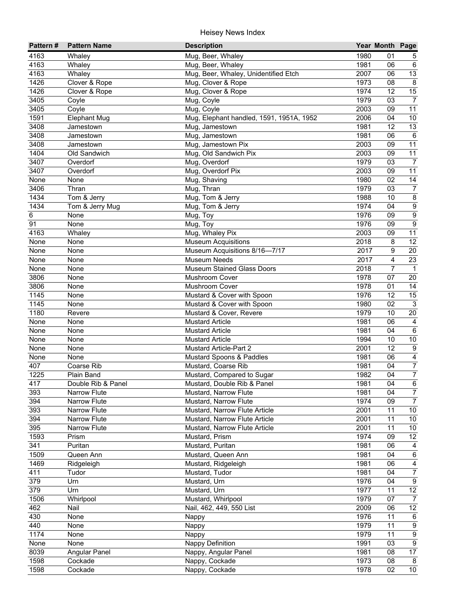| 1980<br>4163<br>Mug, Beer, Whaley<br>01<br>Whaley<br>5<br>4163<br>Mug, Beer, Whaley<br>$\,6\,$<br>Whaley<br>1981<br>06<br>4163<br>$\overline{13}$<br>Mug, Beer, Whaley, Unidentified Etch<br>2007<br>Whaley<br>06<br>$\overline{8}$<br>1426<br>Clover & Rope<br>Mug, Clover & Rope<br>1973<br>08<br>15<br>1426<br>Mug, Clover & Rope<br>1974<br>12<br>Clover & Rope<br>$\overline{7}$<br>1979<br>3405<br>Mug, Coyle<br>Coyle<br>03<br>$\overline{11}$<br>3405<br>2003<br>09<br>Coyle<br>Mug, Coyle<br>10<br>1591<br><b>Elephant Mug</b><br>Mug, Elephant handled, 1591, 1951A, 1952<br>2006<br>04<br>$\overline{13}$<br>3408<br>1981<br>12<br>Jamestown<br>Mug, Jamestown<br>Mug, Jamestown<br>$\,6\,$<br>3408<br>1981<br>06<br>Jamestown<br>11<br>3408<br>Mug, Jamestown Pix<br>2003<br>09<br>Jamestown<br>11<br>1404<br>Mug, Old Sandwich Pix<br>2003<br>09<br>Old Sandwich<br>3407<br>1979<br>Mug, Overdorf<br>03<br>$\overline{7}$<br>Overdorf<br>3407<br>Mug, Overdorf Pix<br>11<br>Overdorf<br>2003<br>09<br>Mug, Shaving<br>14<br>1980<br>02<br>None<br>None<br>1979<br>3406<br>Mug, Thran<br>03<br>$\boldsymbol{7}$<br>Thran<br>$\overline{8}$<br>1434<br>Tom & Jerry<br>Mug, Tom & Jerry<br>1988<br>10<br>$\overline{9}$<br>1434<br>Tom & Jerry Mug<br>Mug, Tom & Jerry<br>1974<br>04<br>$\overline{9}$<br>Mug, Toy<br>1976<br>09<br>6<br>None<br>$\overline{9}$<br>91<br>Mug, Toy<br>1976<br>09<br>None<br>11<br>4163<br>Mug, Whaley Pix<br>2003<br>Whaley<br>09<br>12<br><b>Museum Acquisitions</b><br>2018<br>None<br>None<br>8<br>Museum Acquisitions 8/16-7/17<br>20<br>None<br>None<br>2017<br>9<br>23<br><b>Museum Needs</b><br>4<br>None<br>2017<br>None<br>$\overline{7}$<br><b>Museum Stained Glass Doors</b><br>2018<br>$\mathbf{1}$<br>None<br>None<br>3806<br>1978<br>20<br>None<br>Mushroom Cover<br>07<br>14<br>3806<br>1978<br>None<br>Mushroom Cover<br>01<br>1145<br>1976<br>$\overline{15}$<br>12<br>None<br>Mustard & Cover with Spoon<br>$\overline{3}$<br>1145<br>Mustard & Cover with Spoon<br>1980<br>02<br>None<br>1180<br>1979<br>$\overline{20}$<br>Mustard & Cover, Revere<br>10<br>Revere<br>None<br>1981<br>06<br>$\overline{4}$<br>None<br><b>Mustard Article</b><br>$\overline{6}$<br>1981<br>04<br>None<br>None<br><b>Mustard Article</b><br>1994<br>10<br>None<br>None<br><b>Mustard Article</b><br>10<br>12<br>$\overline{9}$<br>2001<br>None<br>None<br><b>Mustard Article-Part 2</b><br>$\overline{4}$<br>Mustard Spoons & Paddles<br>1981<br>None<br>None<br>06<br>$\boldsymbol{7}$<br>407<br>Mustard, Coarse Rib<br>Coarse Rib<br>1981<br>04<br>$\overline{7}$<br>1225<br>1982<br>04<br>Plain Band<br>Mustard, Compared to Sugar<br>417<br>Double Rib & Panel<br>Mustard, Double Rib & Panel<br>1981<br>04<br>6<br>$\overline{7}$<br>393<br>Narrow Flute<br>Mustard, Narrow Flute<br>1981<br>04<br>1974<br>394<br><b>Narrow Flute</b><br>Mustard, Narrow Flute<br>09<br>$\overline{7}$<br>10<br>393<br>Narrow Flute<br>Mustard, Narrow Flute Article<br>2001<br>11<br>394<br>2001<br>10<br>Narrow Flute<br>Mustard, Narrow Flute Article<br>11<br>395<br>Mustard, Narrow Flute Article<br>10<br><b>Narrow Flute</b><br>2001<br>11<br>12<br>1593<br>1974<br>Prism<br>Mustard, Prism<br>09<br>341<br>1981<br>06<br>Puritan<br>Mustard, Puritan<br>4<br>$\,6\,$<br>1509<br>1981<br>Mustard, Queen Ann<br>04<br>Queen Ann<br>1469<br>06<br>Ridgeleigh<br>Mustard, Ridgeleigh<br>1981<br>4<br>$\overline{7}$<br>411<br>1981<br>04<br>Tudor<br>Mustard, Tudor<br>379<br>$\boldsymbol{9}$<br>Urn<br>1976<br>04<br>Mustard, Urn<br>379<br>12<br>Urn<br>1977<br>Mustard, Urn<br>11<br>1506<br>1979<br>07<br>Whirlpool<br>Mustard, Whirlpool<br>$\overline{7}$<br>462<br>Nail, 462, 449, 550 List<br>2009<br>12<br>Nail<br>06<br>430<br>1976<br>None<br>11<br>$6\phantom{.}6$<br>Nappy<br>440<br>1979<br>$\boldsymbol{9}$<br>None<br>11<br>Nappy<br>$\overline{9}$<br>1174<br>1979<br>None<br>11<br>Nappy<br>$\overline{9}$<br>1991<br>None<br>None<br>Nappy Definition<br>03<br>$\overline{17}$<br>8039<br>1981<br>Angular Panel<br>Nappy, Angular Panel<br>08<br>1598<br>1973<br>08<br>8<br>Cockade<br>Nappy, Cockade<br>10<br>1598<br>Nappy, Cockade<br>1978<br>02<br>Cockade | Pattern# | <b>Pattern Name</b> | <b>Description</b> | Year Month Page |  |
|------------------------------------------------------------------------------------------------------------------------------------------------------------------------------------------------------------------------------------------------------------------------------------------------------------------------------------------------------------------------------------------------------------------------------------------------------------------------------------------------------------------------------------------------------------------------------------------------------------------------------------------------------------------------------------------------------------------------------------------------------------------------------------------------------------------------------------------------------------------------------------------------------------------------------------------------------------------------------------------------------------------------------------------------------------------------------------------------------------------------------------------------------------------------------------------------------------------------------------------------------------------------------------------------------------------------------------------------------------------------------------------------------------------------------------------------------------------------------------------------------------------------------------------------------------------------------------------------------------------------------------------------------------------------------------------------------------------------------------------------------------------------------------------------------------------------------------------------------------------------------------------------------------------------------------------------------------------------------------------------------------------------------------------------------------------------------------------------------------------------------------------------------------------------------------------------------------------------------------------------------------------------------------------------------------------------------------------------------------------------------------------------------------------------------------------------------------------------------------------------------------------------------------------------------------------------------------------------------------------------------------------------------------------------------------------------------------------------------------------------------------------------------------------------------------------------------------------------------------------------------------------------------------------------------------------------------------------------------------------------------------------------------------------------------------------------------------------------------------------------------------------------------------------------------------------------------------------------------------------------------------------------------------------------------------------------------------------------------------------------------------------------------------------------------------------------------------------------------------------------------------------------------------------------------------------------------------------------------------------------------------------------------------------------------------------------------------------------------------------------------------------------------------------------------------------------------------------------------------------------------------------------------------------------------------------------------------------------------------------------------------------------------------------------------------------------------------------------------------------------------------------------------------------------------------------------------------------------|----------|---------------------|--------------------|-----------------|--|
|                                                                                                                                                                                                                                                                                                                                                                                                                                                                                                                                                                                                                                                                                                                                                                                                                                                                                                                                                                                                                                                                                                                                                                                                                                                                                                                                                                                                                                                                                                                                                                                                                                                                                                                                                                                                                                                                                                                                                                                                                                                                                                                                                                                                                                                                                                                                                                                                                                                                                                                                                                                                                                                                                                                                                                                                                                                                                                                                                                                                                                                                                                                                                                                                                                                                                                                                                                                                                                                                                                                                                                                                                                                                                                                                                                                                                                                                                                                                                                                                                                                                                                                                                                                                                        |          |                     |                    |                 |  |
|                                                                                                                                                                                                                                                                                                                                                                                                                                                                                                                                                                                                                                                                                                                                                                                                                                                                                                                                                                                                                                                                                                                                                                                                                                                                                                                                                                                                                                                                                                                                                                                                                                                                                                                                                                                                                                                                                                                                                                                                                                                                                                                                                                                                                                                                                                                                                                                                                                                                                                                                                                                                                                                                                                                                                                                                                                                                                                                                                                                                                                                                                                                                                                                                                                                                                                                                                                                                                                                                                                                                                                                                                                                                                                                                                                                                                                                                                                                                                                                                                                                                                                                                                                                                                        |          |                     |                    |                 |  |
|                                                                                                                                                                                                                                                                                                                                                                                                                                                                                                                                                                                                                                                                                                                                                                                                                                                                                                                                                                                                                                                                                                                                                                                                                                                                                                                                                                                                                                                                                                                                                                                                                                                                                                                                                                                                                                                                                                                                                                                                                                                                                                                                                                                                                                                                                                                                                                                                                                                                                                                                                                                                                                                                                                                                                                                                                                                                                                                                                                                                                                                                                                                                                                                                                                                                                                                                                                                                                                                                                                                                                                                                                                                                                                                                                                                                                                                                                                                                                                                                                                                                                                                                                                                                                        |          |                     |                    |                 |  |
|                                                                                                                                                                                                                                                                                                                                                                                                                                                                                                                                                                                                                                                                                                                                                                                                                                                                                                                                                                                                                                                                                                                                                                                                                                                                                                                                                                                                                                                                                                                                                                                                                                                                                                                                                                                                                                                                                                                                                                                                                                                                                                                                                                                                                                                                                                                                                                                                                                                                                                                                                                                                                                                                                                                                                                                                                                                                                                                                                                                                                                                                                                                                                                                                                                                                                                                                                                                                                                                                                                                                                                                                                                                                                                                                                                                                                                                                                                                                                                                                                                                                                                                                                                                                                        |          |                     |                    |                 |  |
|                                                                                                                                                                                                                                                                                                                                                                                                                                                                                                                                                                                                                                                                                                                                                                                                                                                                                                                                                                                                                                                                                                                                                                                                                                                                                                                                                                                                                                                                                                                                                                                                                                                                                                                                                                                                                                                                                                                                                                                                                                                                                                                                                                                                                                                                                                                                                                                                                                                                                                                                                                                                                                                                                                                                                                                                                                                                                                                                                                                                                                                                                                                                                                                                                                                                                                                                                                                                                                                                                                                                                                                                                                                                                                                                                                                                                                                                                                                                                                                                                                                                                                                                                                                                                        |          |                     |                    |                 |  |
|                                                                                                                                                                                                                                                                                                                                                                                                                                                                                                                                                                                                                                                                                                                                                                                                                                                                                                                                                                                                                                                                                                                                                                                                                                                                                                                                                                                                                                                                                                                                                                                                                                                                                                                                                                                                                                                                                                                                                                                                                                                                                                                                                                                                                                                                                                                                                                                                                                                                                                                                                                                                                                                                                                                                                                                                                                                                                                                                                                                                                                                                                                                                                                                                                                                                                                                                                                                                                                                                                                                                                                                                                                                                                                                                                                                                                                                                                                                                                                                                                                                                                                                                                                                                                        |          |                     |                    |                 |  |
|                                                                                                                                                                                                                                                                                                                                                                                                                                                                                                                                                                                                                                                                                                                                                                                                                                                                                                                                                                                                                                                                                                                                                                                                                                                                                                                                                                                                                                                                                                                                                                                                                                                                                                                                                                                                                                                                                                                                                                                                                                                                                                                                                                                                                                                                                                                                                                                                                                                                                                                                                                                                                                                                                                                                                                                                                                                                                                                                                                                                                                                                                                                                                                                                                                                                                                                                                                                                                                                                                                                                                                                                                                                                                                                                                                                                                                                                                                                                                                                                                                                                                                                                                                                                                        |          |                     |                    |                 |  |
|                                                                                                                                                                                                                                                                                                                                                                                                                                                                                                                                                                                                                                                                                                                                                                                                                                                                                                                                                                                                                                                                                                                                                                                                                                                                                                                                                                                                                                                                                                                                                                                                                                                                                                                                                                                                                                                                                                                                                                                                                                                                                                                                                                                                                                                                                                                                                                                                                                                                                                                                                                                                                                                                                                                                                                                                                                                                                                                                                                                                                                                                                                                                                                                                                                                                                                                                                                                                                                                                                                                                                                                                                                                                                                                                                                                                                                                                                                                                                                                                                                                                                                                                                                                                                        |          |                     |                    |                 |  |
|                                                                                                                                                                                                                                                                                                                                                                                                                                                                                                                                                                                                                                                                                                                                                                                                                                                                                                                                                                                                                                                                                                                                                                                                                                                                                                                                                                                                                                                                                                                                                                                                                                                                                                                                                                                                                                                                                                                                                                                                                                                                                                                                                                                                                                                                                                                                                                                                                                                                                                                                                                                                                                                                                                                                                                                                                                                                                                                                                                                                                                                                                                                                                                                                                                                                                                                                                                                                                                                                                                                                                                                                                                                                                                                                                                                                                                                                                                                                                                                                                                                                                                                                                                                                                        |          |                     |                    |                 |  |
|                                                                                                                                                                                                                                                                                                                                                                                                                                                                                                                                                                                                                                                                                                                                                                                                                                                                                                                                                                                                                                                                                                                                                                                                                                                                                                                                                                                                                                                                                                                                                                                                                                                                                                                                                                                                                                                                                                                                                                                                                                                                                                                                                                                                                                                                                                                                                                                                                                                                                                                                                                                                                                                                                                                                                                                                                                                                                                                                                                                                                                                                                                                                                                                                                                                                                                                                                                                                                                                                                                                                                                                                                                                                                                                                                                                                                                                                                                                                                                                                                                                                                                                                                                                                                        |          |                     |                    |                 |  |
|                                                                                                                                                                                                                                                                                                                                                                                                                                                                                                                                                                                                                                                                                                                                                                                                                                                                                                                                                                                                                                                                                                                                                                                                                                                                                                                                                                                                                                                                                                                                                                                                                                                                                                                                                                                                                                                                                                                                                                                                                                                                                                                                                                                                                                                                                                                                                                                                                                                                                                                                                                                                                                                                                                                                                                                                                                                                                                                                                                                                                                                                                                                                                                                                                                                                                                                                                                                                                                                                                                                                                                                                                                                                                                                                                                                                                                                                                                                                                                                                                                                                                                                                                                                                                        |          |                     |                    |                 |  |
|                                                                                                                                                                                                                                                                                                                                                                                                                                                                                                                                                                                                                                                                                                                                                                                                                                                                                                                                                                                                                                                                                                                                                                                                                                                                                                                                                                                                                                                                                                                                                                                                                                                                                                                                                                                                                                                                                                                                                                                                                                                                                                                                                                                                                                                                                                                                                                                                                                                                                                                                                                                                                                                                                                                                                                                                                                                                                                                                                                                                                                                                                                                                                                                                                                                                                                                                                                                                                                                                                                                                                                                                                                                                                                                                                                                                                                                                                                                                                                                                                                                                                                                                                                                                                        |          |                     |                    |                 |  |
|                                                                                                                                                                                                                                                                                                                                                                                                                                                                                                                                                                                                                                                                                                                                                                                                                                                                                                                                                                                                                                                                                                                                                                                                                                                                                                                                                                                                                                                                                                                                                                                                                                                                                                                                                                                                                                                                                                                                                                                                                                                                                                                                                                                                                                                                                                                                                                                                                                                                                                                                                                                                                                                                                                                                                                                                                                                                                                                                                                                                                                                                                                                                                                                                                                                                                                                                                                                                                                                                                                                                                                                                                                                                                                                                                                                                                                                                                                                                                                                                                                                                                                                                                                                                                        |          |                     |                    |                 |  |
|                                                                                                                                                                                                                                                                                                                                                                                                                                                                                                                                                                                                                                                                                                                                                                                                                                                                                                                                                                                                                                                                                                                                                                                                                                                                                                                                                                                                                                                                                                                                                                                                                                                                                                                                                                                                                                                                                                                                                                                                                                                                                                                                                                                                                                                                                                                                                                                                                                                                                                                                                                                                                                                                                                                                                                                                                                                                                                                                                                                                                                                                                                                                                                                                                                                                                                                                                                                                                                                                                                                                                                                                                                                                                                                                                                                                                                                                                                                                                                                                                                                                                                                                                                                                                        |          |                     |                    |                 |  |
|                                                                                                                                                                                                                                                                                                                                                                                                                                                                                                                                                                                                                                                                                                                                                                                                                                                                                                                                                                                                                                                                                                                                                                                                                                                                                                                                                                                                                                                                                                                                                                                                                                                                                                                                                                                                                                                                                                                                                                                                                                                                                                                                                                                                                                                                                                                                                                                                                                                                                                                                                                                                                                                                                                                                                                                                                                                                                                                                                                                                                                                                                                                                                                                                                                                                                                                                                                                                                                                                                                                                                                                                                                                                                                                                                                                                                                                                                                                                                                                                                                                                                                                                                                                                                        |          |                     |                    |                 |  |
|                                                                                                                                                                                                                                                                                                                                                                                                                                                                                                                                                                                                                                                                                                                                                                                                                                                                                                                                                                                                                                                                                                                                                                                                                                                                                                                                                                                                                                                                                                                                                                                                                                                                                                                                                                                                                                                                                                                                                                                                                                                                                                                                                                                                                                                                                                                                                                                                                                                                                                                                                                                                                                                                                                                                                                                                                                                                                                                                                                                                                                                                                                                                                                                                                                                                                                                                                                                                                                                                                                                                                                                                                                                                                                                                                                                                                                                                                                                                                                                                                                                                                                                                                                                                                        |          |                     |                    |                 |  |
|                                                                                                                                                                                                                                                                                                                                                                                                                                                                                                                                                                                                                                                                                                                                                                                                                                                                                                                                                                                                                                                                                                                                                                                                                                                                                                                                                                                                                                                                                                                                                                                                                                                                                                                                                                                                                                                                                                                                                                                                                                                                                                                                                                                                                                                                                                                                                                                                                                                                                                                                                                                                                                                                                                                                                                                                                                                                                                                                                                                                                                                                                                                                                                                                                                                                                                                                                                                                                                                                                                                                                                                                                                                                                                                                                                                                                                                                                                                                                                                                                                                                                                                                                                                                                        |          |                     |                    |                 |  |
|                                                                                                                                                                                                                                                                                                                                                                                                                                                                                                                                                                                                                                                                                                                                                                                                                                                                                                                                                                                                                                                                                                                                                                                                                                                                                                                                                                                                                                                                                                                                                                                                                                                                                                                                                                                                                                                                                                                                                                                                                                                                                                                                                                                                                                                                                                                                                                                                                                                                                                                                                                                                                                                                                                                                                                                                                                                                                                                                                                                                                                                                                                                                                                                                                                                                                                                                                                                                                                                                                                                                                                                                                                                                                                                                                                                                                                                                                                                                                                                                                                                                                                                                                                                                                        |          |                     |                    |                 |  |
|                                                                                                                                                                                                                                                                                                                                                                                                                                                                                                                                                                                                                                                                                                                                                                                                                                                                                                                                                                                                                                                                                                                                                                                                                                                                                                                                                                                                                                                                                                                                                                                                                                                                                                                                                                                                                                                                                                                                                                                                                                                                                                                                                                                                                                                                                                                                                                                                                                                                                                                                                                                                                                                                                                                                                                                                                                                                                                                                                                                                                                                                                                                                                                                                                                                                                                                                                                                                                                                                                                                                                                                                                                                                                                                                                                                                                                                                                                                                                                                                                                                                                                                                                                                                                        |          |                     |                    |                 |  |
|                                                                                                                                                                                                                                                                                                                                                                                                                                                                                                                                                                                                                                                                                                                                                                                                                                                                                                                                                                                                                                                                                                                                                                                                                                                                                                                                                                                                                                                                                                                                                                                                                                                                                                                                                                                                                                                                                                                                                                                                                                                                                                                                                                                                                                                                                                                                                                                                                                                                                                                                                                                                                                                                                                                                                                                                                                                                                                                                                                                                                                                                                                                                                                                                                                                                                                                                                                                                                                                                                                                                                                                                                                                                                                                                                                                                                                                                                                                                                                                                                                                                                                                                                                                                                        |          |                     |                    |                 |  |
|                                                                                                                                                                                                                                                                                                                                                                                                                                                                                                                                                                                                                                                                                                                                                                                                                                                                                                                                                                                                                                                                                                                                                                                                                                                                                                                                                                                                                                                                                                                                                                                                                                                                                                                                                                                                                                                                                                                                                                                                                                                                                                                                                                                                                                                                                                                                                                                                                                                                                                                                                                                                                                                                                                                                                                                                                                                                                                                                                                                                                                                                                                                                                                                                                                                                                                                                                                                                                                                                                                                                                                                                                                                                                                                                                                                                                                                                                                                                                                                                                                                                                                                                                                                                                        |          |                     |                    |                 |  |
|                                                                                                                                                                                                                                                                                                                                                                                                                                                                                                                                                                                                                                                                                                                                                                                                                                                                                                                                                                                                                                                                                                                                                                                                                                                                                                                                                                                                                                                                                                                                                                                                                                                                                                                                                                                                                                                                                                                                                                                                                                                                                                                                                                                                                                                                                                                                                                                                                                                                                                                                                                                                                                                                                                                                                                                                                                                                                                                                                                                                                                                                                                                                                                                                                                                                                                                                                                                                                                                                                                                                                                                                                                                                                                                                                                                                                                                                                                                                                                                                                                                                                                                                                                                                                        |          |                     |                    |                 |  |
|                                                                                                                                                                                                                                                                                                                                                                                                                                                                                                                                                                                                                                                                                                                                                                                                                                                                                                                                                                                                                                                                                                                                                                                                                                                                                                                                                                                                                                                                                                                                                                                                                                                                                                                                                                                                                                                                                                                                                                                                                                                                                                                                                                                                                                                                                                                                                                                                                                                                                                                                                                                                                                                                                                                                                                                                                                                                                                                                                                                                                                                                                                                                                                                                                                                                                                                                                                                                                                                                                                                                                                                                                                                                                                                                                                                                                                                                                                                                                                                                                                                                                                                                                                                                                        |          |                     |                    |                 |  |
|                                                                                                                                                                                                                                                                                                                                                                                                                                                                                                                                                                                                                                                                                                                                                                                                                                                                                                                                                                                                                                                                                                                                                                                                                                                                                                                                                                                                                                                                                                                                                                                                                                                                                                                                                                                                                                                                                                                                                                                                                                                                                                                                                                                                                                                                                                                                                                                                                                                                                                                                                                                                                                                                                                                                                                                                                                                                                                                                                                                                                                                                                                                                                                                                                                                                                                                                                                                                                                                                                                                                                                                                                                                                                                                                                                                                                                                                                                                                                                                                                                                                                                                                                                                                                        |          |                     |                    |                 |  |
|                                                                                                                                                                                                                                                                                                                                                                                                                                                                                                                                                                                                                                                                                                                                                                                                                                                                                                                                                                                                                                                                                                                                                                                                                                                                                                                                                                                                                                                                                                                                                                                                                                                                                                                                                                                                                                                                                                                                                                                                                                                                                                                                                                                                                                                                                                                                                                                                                                                                                                                                                                                                                                                                                                                                                                                                                                                                                                                                                                                                                                                                                                                                                                                                                                                                                                                                                                                                                                                                                                                                                                                                                                                                                                                                                                                                                                                                                                                                                                                                                                                                                                                                                                                                                        |          |                     |                    |                 |  |
|                                                                                                                                                                                                                                                                                                                                                                                                                                                                                                                                                                                                                                                                                                                                                                                                                                                                                                                                                                                                                                                                                                                                                                                                                                                                                                                                                                                                                                                                                                                                                                                                                                                                                                                                                                                                                                                                                                                                                                                                                                                                                                                                                                                                                                                                                                                                                                                                                                                                                                                                                                                                                                                                                                                                                                                                                                                                                                                                                                                                                                                                                                                                                                                                                                                                                                                                                                                                                                                                                                                                                                                                                                                                                                                                                                                                                                                                                                                                                                                                                                                                                                                                                                                                                        |          |                     |                    |                 |  |
|                                                                                                                                                                                                                                                                                                                                                                                                                                                                                                                                                                                                                                                                                                                                                                                                                                                                                                                                                                                                                                                                                                                                                                                                                                                                                                                                                                                                                                                                                                                                                                                                                                                                                                                                                                                                                                                                                                                                                                                                                                                                                                                                                                                                                                                                                                                                                                                                                                                                                                                                                                                                                                                                                                                                                                                                                                                                                                                                                                                                                                                                                                                                                                                                                                                                                                                                                                                                                                                                                                                                                                                                                                                                                                                                                                                                                                                                                                                                                                                                                                                                                                                                                                                                                        |          |                     |                    |                 |  |
|                                                                                                                                                                                                                                                                                                                                                                                                                                                                                                                                                                                                                                                                                                                                                                                                                                                                                                                                                                                                                                                                                                                                                                                                                                                                                                                                                                                                                                                                                                                                                                                                                                                                                                                                                                                                                                                                                                                                                                                                                                                                                                                                                                                                                                                                                                                                                                                                                                                                                                                                                                                                                                                                                                                                                                                                                                                                                                                                                                                                                                                                                                                                                                                                                                                                                                                                                                                                                                                                                                                                                                                                                                                                                                                                                                                                                                                                                                                                                                                                                                                                                                                                                                                                                        |          |                     |                    |                 |  |
|                                                                                                                                                                                                                                                                                                                                                                                                                                                                                                                                                                                                                                                                                                                                                                                                                                                                                                                                                                                                                                                                                                                                                                                                                                                                                                                                                                                                                                                                                                                                                                                                                                                                                                                                                                                                                                                                                                                                                                                                                                                                                                                                                                                                                                                                                                                                                                                                                                                                                                                                                                                                                                                                                                                                                                                                                                                                                                                                                                                                                                                                                                                                                                                                                                                                                                                                                                                                                                                                                                                                                                                                                                                                                                                                                                                                                                                                                                                                                                                                                                                                                                                                                                                                                        |          |                     |                    |                 |  |
|                                                                                                                                                                                                                                                                                                                                                                                                                                                                                                                                                                                                                                                                                                                                                                                                                                                                                                                                                                                                                                                                                                                                                                                                                                                                                                                                                                                                                                                                                                                                                                                                                                                                                                                                                                                                                                                                                                                                                                                                                                                                                                                                                                                                                                                                                                                                                                                                                                                                                                                                                                                                                                                                                                                                                                                                                                                                                                                                                                                                                                                                                                                                                                                                                                                                                                                                                                                                                                                                                                                                                                                                                                                                                                                                                                                                                                                                                                                                                                                                                                                                                                                                                                                                                        |          |                     |                    |                 |  |
|                                                                                                                                                                                                                                                                                                                                                                                                                                                                                                                                                                                                                                                                                                                                                                                                                                                                                                                                                                                                                                                                                                                                                                                                                                                                                                                                                                                                                                                                                                                                                                                                                                                                                                                                                                                                                                                                                                                                                                                                                                                                                                                                                                                                                                                                                                                                                                                                                                                                                                                                                                                                                                                                                                                                                                                                                                                                                                                                                                                                                                                                                                                                                                                                                                                                                                                                                                                                                                                                                                                                                                                                                                                                                                                                                                                                                                                                                                                                                                                                                                                                                                                                                                                                                        |          |                     |                    |                 |  |
|                                                                                                                                                                                                                                                                                                                                                                                                                                                                                                                                                                                                                                                                                                                                                                                                                                                                                                                                                                                                                                                                                                                                                                                                                                                                                                                                                                                                                                                                                                                                                                                                                                                                                                                                                                                                                                                                                                                                                                                                                                                                                                                                                                                                                                                                                                                                                                                                                                                                                                                                                                                                                                                                                                                                                                                                                                                                                                                                                                                                                                                                                                                                                                                                                                                                                                                                                                                                                                                                                                                                                                                                                                                                                                                                                                                                                                                                                                                                                                                                                                                                                                                                                                                                                        |          |                     |                    |                 |  |
|                                                                                                                                                                                                                                                                                                                                                                                                                                                                                                                                                                                                                                                                                                                                                                                                                                                                                                                                                                                                                                                                                                                                                                                                                                                                                                                                                                                                                                                                                                                                                                                                                                                                                                                                                                                                                                                                                                                                                                                                                                                                                                                                                                                                                                                                                                                                                                                                                                                                                                                                                                                                                                                                                                                                                                                                                                                                                                                                                                                                                                                                                                                                                                                                                                                                                                                                                                                                                                                                                                                                                                                                                                                                                                                                                                                                                                                                                                                                                                                                                                                                                                                                                                                                                        |          |                     |                    |                 |  |
|                                                                                                                                                                                                                                                                                                                                                                                                                                                                                                                                                                                                                                                                                                                                                                                                                                                                                                                                                                                                                                                                                                                                                                                                                                                                                                                                                                                                                                                                                                                                                                                                                                                                                                                                                                                                                                                                                                                                                                                                                                                                                                                                                                                                                                                                                                                                                                                                                                                                                                                                                                                                                                                                                                                                                                                                                                                                                                                                                                                                                                                                                                                                                                                                                                                                                                                                                                                                                                                                                                                                                                                                                                                                                                                                                                                                                                                                                                                                                                                                                                                                                                                                                                                                                        |          |                     |                    |                 |  |
|                                                                                                                                                                                                                                                                                                                                                                                                                                                                                                                                                                                                                                                                                                                                                                                                                                                                                                                                                                                                                                                                                                                                                                                                                                                                                                                                                                                                                                                                                                                                                                                                                                                                                                                                                                                                                                                                                                                                                                                                                                                                                                                                                                                                                                                                                                                                                                                                                                                                                                                                                                                                                                                                                                                                                                                                                                                                                                                                                                                                                                                                                                                                                                                                                                                                                                                                                                                                                                                                                                                                                                                                                                                                                                                                                                                                                                                                                                                                                                                                                                                                                                                                                                                                                        |          |                     |                    |                 |  |
|                                                                                                                                                                                                                                                                                                                                                                                                                                                                                                                                                                                                                                                                                                                                                                                                                                                                                                                                                                                                                                                                                                                                                                                                                                                                                                                                                                                                                                                                                                                                                                                                                                                                                                                                                                                                                                                                                                                                                                                                                                                                                                                                                                                                                                                                                                                                                                                                                                                                                                                                                                                                                                                                                                                                                                                                                                                                                                                                                                                                                                                                                                                                                                                                                                                                                                                                                                                                                                                                                                                                                                                                                                                                                                                                                                                                                                                                                                                                                                                                                                                                                                                                                                                                                        |          |                     |                    |                 |  |
|                                                                                                                                                                                                                                                                                                                                                                                                                                                                                                                                                                                                                                                                                                                                                                                                                                                                                                                                                                                                                                                                                                                                                                                                                                                                                                                                                                                                                                                                                                                                                                                                                                                                                                                                                                                                                                                                                                                                                                                                                                                                                                                                                                                                                                                                                                                                                                                                                                                                                                                                                                                                                                                                                                                                                                                                                                                                                                                                                                                                                                                                                                                                                                                                                                                                                                                                                                                                                                                                                                                                                                                                                                                                                                                                                                                                                                                                                                                                                                                                                                                                                                                                                                                                                        |          |                     |                    |                 |  |
|                                                                                                                                                                                                                                                                                                                                                                                                                                                                                                                                                                                                                                                                                                                                                                                                                                                                                                                                                                                                                                                                                                                                                                                                                                                                                                                                                                                                                                                                                                                                                                                                                                                                                                                                                                                                                                                                                                                                                                                                                                                                                                                                                                                                                                                                                                                                                                                                                                                                                                                                                                                                                                                                                                                                                                                                                                                                                                                                                                                                                                                                                                                                                                                                                                                                                                                                                                                                                                                                                                                                                                                                                                                                                                                                                                                                                                                                                                                                                                                                                                                                                                                                                                                                                        |          |                     |                    |                 |  |
|                                                                                                                                                                                                                                                                                                                                                                                                                                                                                                                                                                                                                                                                                                                                                                                                                                                                                                                                                                                                                                                                                                                                                                                                                                                                                                                                                                                                                                                                                                                                                                                                                                                                                                                                                                                                                                                                                                                                                                                                                                                                                                                                                                                                                                                                                                                                                                                                                                                                                                                                                                                                                                                                                                                                                                                                                                                                                                                                                                                                                                                                                                                                                                                                                                                                                                                                                                                                                                                                                                                                                                                                                                                                                                                                                                                                                                                                                                                                                                                                                                                                                                                                                                                                                        |          |                     |                    |                 |  |
|                                                                                                                                                                                                                                                                                                                                                                                                                                                                                                                                                                                                                                                                                                                                                                                                                                                                                                                                                                                                                                                                                                                                                                                                                                                                                                                                                                                                                                                                                                                                                                                                                                                                                                                                                                                                                                                                                                                                                                                                                                                                                                                                                                                                                                                                                                                                                                                                                                                                                                                                                                                                                                                                                                                                                                                                                                                                                                                                                                                                                                                                                                                                                                                                                                                                                                                                                                                                                                                                                                                                                                                                                                                                                                                                                                                                                                                                                                                                                                                                                                                                                                                                                                                                                        |          |                     |                    |                 |  |
|                                                                                                                                                                                                                                                                                                                                                                                                                                                                                                                                                                                                                                                                                                                                                                                                                                                                                                                                                                                                                                                                                                                                                                                                                                                                                                                                                                                                                                                                                                                                                                                                                                                                                                                                                                                                                                                                                                                                                                                                                                                                                                                                                                                                                                                                                                                                                                                                                                                                                                                                                                                                                                                                                                                                                                                                                                                                                                                                                                                                                                                                                                                                                                                                                                                                                                                                                                                                                                                                                                                                                                                                                                                                                                                                                                                                                                                                                                                                                                                                                                                                                                                                                                                                                        |          |                     |                    |                 |  |
|                                                                                                                                                                                                                                                                                                                                                                                                                                                                                                                                                                                                                                                                                                                                                                                                                                                                                                                                                                                                                                                                                                                                                                                                                                                                                                                                                                                                                                                                                                                                                                                                                                                                                                                                                                                                                                                                                                                                                                                                                                                                                                                                                                                                                                                                                                                                                                                                                                                                                                                                                                                                                                                                                                                                                                                                                                                                                                                                                                                                                                                                                                                                                                                                                                                                                                                                                                                                                                                                                                                                                                                                                                                                                                                                                                                                                                                                                                                                                                                                                                                                                                                                                                                                                        |          |                     |                    |                 |  |
|                                                                                                                                                                                                                                                                                                                                                                                                                                                                                                                                                                                                                                                                                                                                                                                                                                                                                                                                                                                                                                                                                                                                                                                                                                                                                                                                                                                                                                                                                                                                                                                                                                                                                                                                                                                                                                                                                                                                                                                                                                                                                                                                                                                                                                                                                                                                                                                                                                                                                                                                                                                                                                                                                                                                                                                                                                                                                                                                                                                                                                                                                                                                                                                                                                                                                                                                                                                                                                                                                                                                                                                                                                                                                                                                                                                                                                                                                                                                                                                                                                                                                                                                                                                                                        |          |                     |                    |                 |  |
|                                                                                                                                                                                                                                                                                                                                                                                                                                                                                                                                                                                                                                                                                                                                                                                                                                                                                                                                                                                                                                                                                                                                                                                                                                                                                                                                                                                                                                                                                                                                                                                                                                                                                                                                                                                                                                                                                                                                                                                                                                                                                                                                                                                                                                                                                                                                                                                                                                                                                                                                                                                                                                                                                                                                                                                                                                                                                                                                                                                                                                                                                                                                                                                                                                                                                                                                                                                                                                                                                                                                                                                                                                                                                                                                                                                                                                                                                                                                                                                                                                                                                                                                                                                                                        |          |                     |                    |                 |  |
|                                                                                                                                                                                                                                                                                                                                                                                                                                                                                                                                                                                                                                                                                                                                                                                                                                                                                                                                                                                                                                                                                                                                                                                                                                                                                                                                                                                                                                                                                                                                                                                                                                                                                                                                                                                                                                                                                                                                                                                                                                                                                                                                                                                                                                                                                                                                                                                                                                                                                                                                                                                                                                                                                                                                                                                                                                                                                                                                                                                                                                                                                                                                                                                                                                                                                                                                                                                                                                                                                                                                                                                                                                                                                                                                                                                                                                                                                                                                                                                                                                                                                                                                                                                                                        |          |                     |                    |                 |  |
|                                                                                                                                                                                                                                                                                                                                                                                                                                                                                                                                                                                                                                                                                                                                                                                                                                                                                                                                                                                                                                                                                                                                                                                                                                                                                                                                                                                                                                                                                                                                                                                                                                                                                                                                                                                                                                                                                                                                                                                                                                                                                                                                                                                                                                                                                                                                                                                                                                                                                                                                                                                                                                                                                                                                                                                                                                                                                                                                                                                                                                                                                                                                                                                                                                                                                                                                                                                                                                                                                                                                                                                                                                                                                                                                                                                                                                                                                                                                                                                                                                                                                                                                                                                                                        |          |                     |                    |                 |  |
|                                                                                                                                                                                                                                                                                                                                                                                                                                                                                                                                                                                                                                                                                                                                                                                                                                                                                                                                                                                                                                                                                                                                                                                                                                                                                                                                                                                                                                                                                                                                                                                                                                                                                                                                                                                                                                                                                                                                                                                                                                                                                                                                                                                                                                                                                                                                                                                                                                                                                                                                                                                                                                                                                                                                                                                                                                                                                                                                                                                                                                                                                                                                                                                                                                                                                                                                                                                                                                                                                                                                                                                                                                                                                                                                                                                                                                                                                                                                                                                                                                                                                                                                                                                                                        |          |                     |                    |                 |  |
|                                                                                                                                                                                                                                                                                                                                                                                                                                                                                                                                                                                                                                                                                                                                                                                                                                                                                                                                                                                                                                                                                                                                                                                                                                                                                                                                                                                                                                                                                                                                                                                                                                                                                                                                                                                                                                                                                                                                                                                                                                                                                                                                                                                                                                                                                                                                                                                                                                                                                                                                                                                                                                                                                                                                                                                                                                                                                                                                                                                                                                                                                                                                                                                                                                                                                                                                                                                                                                                                                                                                                                                                                                                                                                                                                                                                                                                                                                                                                                                                                                                                                                                                                                                                                        |          |                     |                    |                 |  |
|                                                                                                                                                                                                                                                                                                                                                                                                                                                                                                                                                                                                                                                                                                                                                                                                                                                                                                                                                                                                                                                                                                                                                                                                                                                                                                                                                                                                                                                                                                                                                                                                                                                                                                                                                                                                                                                                                                                                                                                                                                                                                                                                                                                                                                                                                                                                                                                                                                                                                                                                                                                                                                                                                                                                                                                                                                                                                                                                                                                                                                                                                                                                                                                                                                                                                                                                                                                                                                                                                                                                                                                                                                                                                                                                                                                                                                                                                                                                                                                                                                                                                                                                                                                                                        |          |                     |                    |                 |  |
|                                                                                                                                                                                                                                                                                                                                                                                                                                                                                                                                                                                                                                                                                                                                                                                                                                                                                                                                                                                                                                                                                                                                                                                                                                                                                                                                                                                                                                                                                                                                                                                                                                                                                                                                                                                                                                                                                                                                                                                                                                                                                                                                                                                                                                                                                                                                                                                                                                                                                                                                                                                                                                                                                                                                                                                                                                                                                                                                                                                                                                                                                                                                                                                                                                                                                                                                                                                                                                                                                                                                                                                                                                                                                                                                                                                                                                                                                                                                                                                                                                                                                                                                                                                                                        |          |                     |                    |                 |  |
|                                                                                                                                                                                                                                                                                                                                                                                                                                                                                                                                                                                                                                                                                                                                                                                                                                                                                                                                                                                                                                                                                                                                                                                                                                                                                                                                                                                                                                                                                                                                                                                                                                                                                                                                                                                                                                                                                                                                                                                                                                                                                                                                                                                                                                                                                                                                                                                                                                                                                                                                                                                                                                                                                                                                                                                                                                                                                                                                                                                                                                                                                                                                                                                                                                                                                                                                                                                                                                                                                                                                                                                                                                                                                                                                                                                                                                                                                                                                                                                                                                                                                                                                                                                                                        |          |                     |                    |                 |  |
|                                                                                                                                                                                                                                                                                                                                                                                                                                                                                                                                                                                                                                                                                                                                                                                                                                                                                                                                                                                                                                                                                                                                                                                                                                                                                                                                                                                                                                                                                                                                                                                                                                                                                                                                                                                                                                                                                                                                                                                                                                                                                                                                                                                                                                                                                                                                                                                                                                                                                                                                                                                                                                                                                                                                                                                                                                                                                                                                                                                                                                                                                                                                                                                                                                                                                                                                                                                                                                                                                                                                                                                                                                                                                                                                                                                                                                                                                                                                                                                                                                                                                                                                                                                                                        |          |                     |                    |                 |  |
|                                                                                                                                                                                                                                                                                                                                                                                                                                                                                                                                                                                                                                                                                                                                                                                                                                                                                                                                                                                                                                                                                                                                                                                                                                                                                                                                                                                                                                                                                                                                                                                                                                                                                                                                                                                                                                                                                                                                                                                                                                                                                                                                                                                                                                                                                                                                                                                                                                                                                                                                                                                                                                                                                                                                                                                                                                                                                                                                                                                                                                                                                                                                                                                                                                                                                                                                                                                                                                                                                                                                                                                                                                                                                                                                                                                                                                                                                                                                                                                                                                                                                                                                                                                                                        |          |                     |                    |                 |  |
|                                                                                                                                                                                                                                                                                                                                                                                                                                                                                                                                                                                                                                                                                                                                                                                                                                                                                                                                                                                                                                                                                                                                                                                                                                                                                                                                                                                                                                                                                                                                                                                                                                                                                                                                                                                                                                                                                                                                                                                                                                                                                                                                                                                                                                                                                                                                                                                                                                                                                                                                                                                                                                                                                                                                                                                                                                                                                                                                                                                                                                                                                                                                                                                                                                                                                                                                                                                                                                                                                                                                                                                                                                                                                                                                                                                                                                                                                                                                                                                                                                                                                                                                                                                                                        |          |                     |                    |                 |  |
|                                                                                                                                                                                                                                                                                                                                                                                                                                                                                                                                                                                                                                                                                                                                                                                                                                                                                                                                                                                                                                                                                                                                                                                                                                                                                                                                                                                                                                                                                                                                                                                                                                                                                                                                                                                                                                                                                                                                                                                                                                                                                                                                                                                                                                                                                                                                                                                                                                                                                                                                                                                                                                                                                                                                                                                                                                                                                                                                                                                                                                                                                                                                                                                                                                                                                                                                                                                                                                                                                                                                                                                                                                                                                                                                                                                                                                                                                                                                                                                                                                                                                                                                                                                                                        |          |                     |                    |                 |  |
|                                                                                                                                                                                                                                                                                                                                                                                                                                                                                                                                                                                                                                                                                                                                                                                                                                                                                                                                                                                                                                                                                                                                                                                                                                                                                                                                                                                                                                                                                                                                                                                                                                                                                                                                                                                                                                                                                                                                                                                                                                                                                                                                                                                                                                                                                                                                                                                                                                                                                                                                                                                                                                                                                                                                                                                                                                                                                                                                                                                                                                                                                                                                                                                                                                                                                                                                                                                                                                                                                                                                                                                                                                                                                                                                                                                                                                                                                                                                                                                                                                                                                                                                                                                                                        |          |                     |                    |                 |  |
|                                                                                                                                                                                                                                                                                                                                                                                                                                                                                                                                                                                                                                                                                                                                                                                                                                                                                                                                                                                                                                                                                                                                                                                                                                                                                                                                                                                                                                                                                                                                                                                                                                                                                                                                                                                                                                                                                                                                                                                                                                                                                                                                                                                                                                                                                                                                                                                                                                                                                                                                                                                                                                                                                                                                                                                                                                                                                                                                                                                                                                                                                                                                                                                                                                                                                                                                                                                                                                                                                                                                                                                                                                                                                                                                                                                                                                                                                                                                                                                                                                                                                                                                                                                                                        |          |                     |                    |                 |  |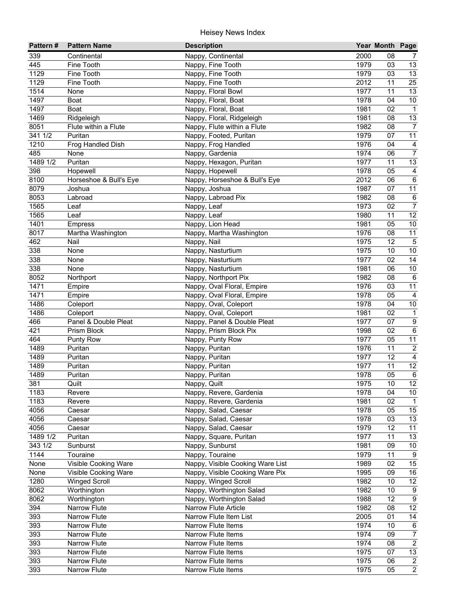| Pattern# | <b>Pattern Name</b>    | <b>Description</b>               |              | Year Month Page |                                    |
|----------|------------------------|----------------------------------|--------------|-----------------|------------------------------------|
| 339      | Continental            | Nappy, Continental               | 2000         | 08              | $\mathcal{I}$                      |
| 445      | Fine Tooth             | Nappy, Fine Tooth                | 1979         | 03              | 13                                 |
| 1129     | Fine Tooth             | Nappy, Fine Tooth                | 1979         | 03              | $\overline{13}$                    |
| 1129     | Fine Tooth             | Nappy, Fine Tooth                | 2012         | 11              | $\overline{25}$                    |
| 1514     | None                   | Nappy, Floral Bowl               | 1977         | 11              | $\overline{13}$                    |
| 1497     | Boat                   | Nappy, Floral, Boat              | 1978         | 04              | 10                                 |
| 1497     | Boat                   | Nappy, Floral, Boat              | 1981         | 02              | $\mathbf{1}$                       |
| 1469     | Ridgeleigh             | Nappy, Floral, Ridgeleigh        | 1981         | 08              | 13                                 |
| 8051     | Flute within a Flute   | Nappy, Flute within a Flute      | 1982         | 08              | $\overline{7}$                     |
| 341 1/2  | Puritan                | Nappy, Footed, Puritan           | 1979         | 07              | 11                                 |
| 1210     | Frog Handled Dish      | Nappy, Frog Handled              | 1976         | 04              | $\overline{4}$                     |
| 485      | None                   | Nappy, Gardenia                  | 1974         | 06              | $\overline{7}$                     |
| 1489 1/2 | Puritan                | Nappy, Hexagon, Puritan          | 1977         | 11              | 13                                 |
| 398      | Hopewell               | Nappy, Hopewell                  | 1978         | 05              | $\overline{4}$                     |
| 8100     | Horseshoe & Bull's Eye | Nappy, Horseshoe & Bull's Eye    | 2012         | 06              | $\,6\,$                            |
| 8079     | Joshua                 | Nappy, Joshua                    | 1987         | 07              | 11                                 |
| 8053     | Labroad                | Nappy, Labroad Pix               | 1982         | 08              | $\,6\,$                            |
| 1565     | Leaf                   | Nappy, Leaf                      | 1973         | 02              | $\overline{7}$                     |
| 1565     | Leaf                   | Nappy, Leaf                      | 1980         | 11              | 12                                 |
| 1401     | <b>Empress</b>         | Nappy, Lion Head                 | 1981         | 05              | $10\,$                             |
| 8017     | Martha Washington      | Nappy, Martha Washington         | 1976         | 08              | 11                                 |
| 462      | Nail                   | Nappy, Nail                      | 1975         | 12              | $\sqrt{5}$                         |
| 338      | None                   | Nappy, Nasturtium                | 1975         | 10              | 10                                 |
| 338      | None                   | Nappy, Nasturtium                | 1977         | 02              | 14                                 |
| 338      | None                   | Nappy, Nasturtium                | 1981         | 06              | $10\,$                             |
| 8052     | Northport              | Nappy, Northport Pix             | 1982         | 08              | 6                                  |
| 1471     | Empire                 | Nappy, Oval Floral, Empire       | 1976         | 03              | 11                                 |
| 1471     | Empire                 | Nappy, Oval Floral, Empire       | 1978         | 05              | $\overline{4}$                     |
| 1486     | Coleport               | Nappy, Oval, Coleport            | 1978         | 04              | 10                                 |
| 1486     | Coleport               | Nappy, Oval, Coleport            | 1981         | 02              | $\mathbf{1}$                       |
| 466      | Panel & Double Pleat   | Nappy, Panel & Double Pleat      | 1977         | 07              | $\boldsymbol{9}$                   |
| 421      | Prism Block            | Nappy, Prism Block Pix           | 1998         | 02              | $\overline{6}$                     |
| 464      | <b>Punty Row</b>       | Nappy, Punty Row                 | 1977         | 05              | $\overline{11}$                    |
| 1489     | Puritan                | Nappy, Puritan                   | 1976         | 11              | $\overline{c}$                     |
| 1489     | Puritan                | Nappy, Puritan                   | 1977         | 12              | $\overline{4}$                     |
| 1489     | Puritan                | Nappy, Puritan                   | 1977         | 11              | 12                                 |
| 1489     | Puritan                | Nappy, Puritan                   | 1978         | 05              | $\,6\,$                            |
| 381      | Quilt                  | Nappy, Quilt                     | 1975         | 10              | $\overline{12}$                    |
| 1183     | Revere                 | Nappy, Revere, Gardenia          | 1978         | 04              | 10 <sub>1</sub>                    |
| 1183     | Revere                 | Nappy, Revere, Gardenia          | 1981         | 02              | $\mathbf{1}$                       |
| 4056     | Caesar                 | Nappy, Salad, Caesar             | 1978         | 05              | 15                                 |
| 4056     | Caesar                 | Nappy, Salad, Caesar             | 1978         | 03              | 13                                 |
| 4056     | Caesar                 | Nappy, Salad, Caesar             | 1979         | 12              | 11                                 |
| 1489 1/2 | Puritan                | Nappy, Square, Puritan           | 1977         | 11              | 13                                 |
| 343 1/2  | Sunburst               | Nappy, Sunburst                  | 1981         | 09              | 10                                 |
| 1144     | Touraine               | Nappy, Touraine                  | 1979         | 11              | 9                                  |
| None     | Visible Cooking Ware   | Nappy, Visible Cooking Ware List | 1989         | 02              | 15                                 |
| None     | Visible Cooking Ware   | Nappy, Visible Cooking Ware Pix  | 1995         | 09              | $16\,$                             |
| 1280     | <b>Winged Scroll</b>   | Nappy, Winged Scroll             | 1982         | 10              | 12                                 |
| 8062     | Worthington            | Nappy, Worthington Salad         | 1982<br>1988 | 10<br>12        | $\boldsymbol{9}$<br>$\overline{9}$ |
| 8062     | Worthington            | Nappy, Worthington Salad         |              |                 |                                    |
| 394      | Narrow Flute           | <b>Narrow Flute Article</b>      | 1982         | 08<br>01        | $\overline{12}$<br>$\overline{14}$ |
| 393      | Narrow Flute           | Narrow Flute Item List           | 2005<br>1974 |                 |                                    |
| 393      | Narrow Flute           | <b>Narrow Flute Items</b>        | 1974         | 10              | 6                                  |
| 393      | Narrow Flute           | Narrow Flute Items               |              | 09              | $\overline{7}$<br>$\overline{2}$   |
| 393      | Narrow Flute           | Narrow Flute Items               | 1974<br>1975 | 08              |                                    |
| 393      | Narrow Flute           | Narrow Flute Items               |              | 07              | $\overline{13}$                    |
| 393      | Narrow Flute           | Narrow Flute Items               | 1975         | 06              | $\overline{2}$                     |
| 393      | Narrow Flute           | Narrow Flute Items               | 1975         | 05              | $\overline{2}$                     |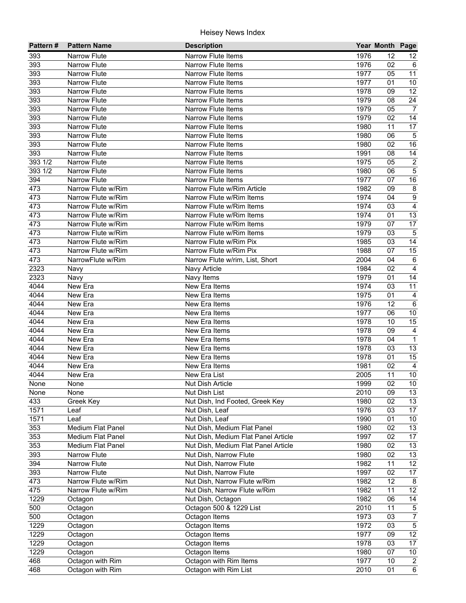| Pattern#          | <b>Pattern Name</b> | <b>Description</b>                  |      | Year Month Page |                 |
|-------------------|---------------------|-------------------------------------|------|-----------------|-----------------|
| 393               | <b>Narrow Flute</b> | Narrow Flute Items                  | 1976 | 12              | 12              |
| 393               | <b>Narrow Flute</b> | <b>Narrow Flute Items</b>           | 1976 | 02              | 6               |
| 393               | <b>Narrow Flute</b> | <b>Narrow Flute Items</b>           | 1977 | 05              | $\overline{11}$ |
| 393               | <b>Narrow Flute</b> | <b>Narrow Flute Items</b>           | 1977 | 01              | $\overline{10}$ |
| 393               | <b>Narrow Flute</b> | <b>Narrow Flute Items</b>           | 1978 | 09              | $\overline{12}$ |
| 393               | Narrow Flute        | <b>Narrow Flute Items</b>           | 1979 | 08              | $\overline{24}$ |
| 393               | Narrow Flute        | Narrow Flute Items                  | 1979 | 05              | $\overline{7}$  |
| 393               | <b>Narrow Flute</b> | <b>Narrow Flute Items</b>           | 1979 | 02              | $\overline{14}$ |
| 393               | <b>Narrow Flute</b> | <b>Narrow Flute Items</b>           | 1980 | 11              | $\overline{17}$ |
| 393               | <b>Narrow Flute</b> | <b>Narrow Flute Items</b>           | 1980 | 06              | $\mathbf 5$     |
| 393               | <b>Narrow Flute</b> | <b>Narrow Flute Items</b>           | 1980 | 02              | 16              |
| 393               | <b>Narrow Flute</b> | <b>Narrow Flute Items</b>           | 1991 | 08              | 14              |
| 393 1/2           | <b>Narrow Flute</b> | <b>Narrow Flute Items</b>           | 1975 | 05              | $\sqrt{2}$      |
| 393 1/2           | <b>Narrow Flute</b> | <b>Narrow Flute Items</b>           | 1980 | 06              | $\mathbf 5$     |
| 394               | <b>Narrow Flute</b> | <b>Narrow Flute Items</b>           | 1977 | 07              | 16              |
| 473               | Narrow Flute w/Rim  | Narrow Flute w/Rim Article          | 1982 | 09              | $\bf 8$         |
| 473               | Narrow Flute w/Rim  | Narrow Flute w/Rim Items            | 1974 | 04              | $\overline{9}$  |
| 473               | Narrow Flute w/Rim  | Narrow Flute w/Rim Items            | 1974 | 03              | $\overline{4}$  |
| 473               | Narrow Flute w/Rim  | Narrow Flute w/Rim Items            | 1974 | 01              | 13              |
| 473               | Narrow Flute w/Rim  | Narrow Flute w/Rim Items            | 1979 | 07              | 17              |
| 473               | Narrow Flute w/Rim  | Narrow Flute w/Rim Items            | 1979 | 03              | $\sqrt{5}$      |
| 473               | Narrow Flute w/Rim  | Narrow Flute w/Rim Pix              | 1985 | 03              | 14              |
| 473               | Narrow Flute w/Rim  | Narrow Flute w/Rim Pix              | 1988 | 07              | 15              |
| 473               | NarrowFlute w/Rim   | Narrow Flute w/rim, List, Short     | 2004 | 04              | $\,6\,$         |
| 2323              | Navy                | Navy Article                        | 1984 | 02              | $\overline{4}$  |
| 2323              | Navy                | Navy Items                          | 1979 | 01              | 14              |
| $404\overline{4}$ | New Era             | New Era Items                       | 1974 | 03              | 11              |
| 4044              | New Era             | New Era Items                       | 1975 | 01              | $\overline{a}$  |
| 4044              | New Era             | New Era Items                       | 1976 | 12              | $\overline{6}$  |
| 4044              | New Era             | New Era Items                       | 1977 | 06              | $\overline{10}$ |
| 4044              | New Era             | New Era Items                       | 1978 | 10              | 15              |
| 4044              | New Era             | New Era Items                       | 1978 | 09              | $\overline{4}$  |
| 4044              | New Era             | New Era Items                       | 1978 | 04              | $\overline{1}$  |
| 4044              | New Era             | New Era Items                       | 1978 | 03              | 13              |
| $40\overline{44}$ | New Era             | New Era Items                       | 1978 | 01              | 15              |
| 4044              | New Era             | New Era Items                       | 1981 | 02              | $\overline{4}$  |
| 4044              | New Era             | New Era List                        | 2005 | 11              | 10              |
| None              | None                | <b>Nut Dish Article</b>             | 1999 | $\overline{02}$ | $\overline{10}$ |
| None              | None                | Nut Dish List                       | 2010 | 09              | 13              |
| 433               | Greek Key           | Nut Dish, Ind Footed, Greek Key     | 1980 | 02              | 13              |
| 1571              | Leaf                | Nut Dish, Leaf                      | 1976 | 03              | 17              |
| 1571              | Leaf                | Nut Dish, Leaf                      | 1990 | 01              | 10              |
| 353               | Medium Flat Panel   | Nut Dish, Medium Flat Panel         | 1980 | 02              | 13              |
| 353               | Medium Flat Panel   | Nut Dish, Medium Flat Panel Article | 1997 | 02              | 17              |
| 353               | Medium Flat Panel   | Nut Dish, Medium Flat Panel Article | 1980 | 02              | 13              |
| 393               | Narrow Flute        | Nut Dish, Narrow Flute              | 1980 | 02              | 13              |
| 394               | Narrow Flute        | Nut Dish, Narrow Flute              | 1982 | 11              | 12              |
| 393               | Narrow Flute        | Nut Dish, Narrow Flute              | 1997 | 02              | 17              |
| 473               | Narrow Flute w/Rim  | Nut Dish, Narrow Flute w/Rim        | 1982 | 12              | 8               |
| 475               | Narrow Flute w/Rim  | Nut Dish, Narrow Flute w/Rim        | 1982 | 11              | $\overline{12}$ |
| 1229              | Octagon             | Nut Dish, Octagon                   | 1982 | 06              | 14              |
| 500               | Octagon             | Octagon 500 & 1229 List             | 2010 | 11              | $\sqrt{5}$      |
| 500               | Octagon             | Octagon Items                       | 1973 | 03              | $\overline{7}$  |
| 1229              | Octagon             | Octagon Items                       | 1972 | 03              | $\overline{5}$  |
| 1229              | Octagon             | Octagon Items                       | 1977 | 09              | $\overline{12}$ |
| 1229              | Octagon             | Octagon Items                       | 1978 | 03              | $\overline{17}$ |
| 1229              | Octagon             | Octagon Items                       | 1980 | 07              | 10              |
| 468               | Octagon with Rim    | Octagon with Rim Items              | 1977 | 10              | $\overline{a}$  |
| 468               | Octagon with Rim    | Octagon with Rim List               | 2010 | 01              | $\overline{6}$  |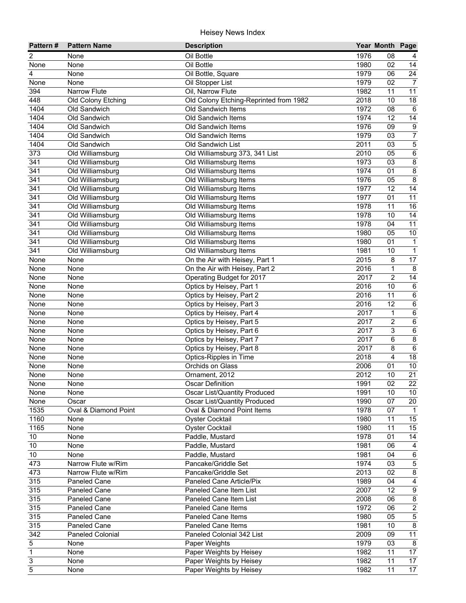| Pattern#         | <b>Pattern Name</b>  | <b>Description</b>                     |      | Year Month Page |                         |
|------------------|----------------------|----------------------------------------|------|-----------------|-------------------------|
| 2                | None                 | Oil Bottle                             | 1976 | 08              |                         |
| None             | None                 | Oil Bottle                             | 1980 | 02              | 14                      |
| 4                | None                 | Oil Bottle, Square                     | 1979 | 06              | $\overline{24}$         |
| None             | None                 | Oil Stopper List                       | 1979 | 02              | $\overline{7}$          |
| 394              | Narrow Flute         | Oil, Narrow Flute                      | 1982 | 11              | $\overline{11}$         |
| 448              | Old Colony Etching   | Old Colony Etching-Reprinted from 1982 | 2018 | 10              | 18                      |
| 1404             | Old Sandwich         | Old Sandwich Items                     | 1972 | 08              | $\,6\,$                 |
| 1404             | Old Sandwich         | Old Sandwich Items                     | 1974 | 12              | $\overline{14}$         |
| 1404             | Old Sandwich         | Old Sandwich Items                     | 1976 | 09              | $\boldsymbol{9}$        |
| 1404             | Old Sandwich         | Old Sandwich Items                     | 1979 | 03              | $\boldsymbol{7}$        |
| 1404             | Old Sandwich         | Old Sandwich List                      | 2011 | 03              | $\overline{5}$          |
| 373              | Old Williamsburg     | Old Williamsburg 373, 341 List         | 2010 | 05              | 6                       |
| 341              | Old Williamsburg     | Old Williamsburg Items                 | 1973 | 03              | $\bf 8$                 |
| 341              | Old Williamsburg     | Old Williamsburg Items                 | 1974 | 01              | $\bf 8$                 |
| $\overline{3}41$ | Old Williamsburg     | Old Williamsburg Items                 | 1976 | 05              | $\bf 8$                 |
| 341              | Old Williamsburg     | Old Williamsburg Items                 | 1977 | 12              | 14                      |
| $\overline{3}41$ | Old Williamsburg     | Old Williamsburg Items                 | 1977 | 01              | $\overline{11}$         |
| 341              | Old Williamsburg     | Old Williamsburg Items                 | 1978 | 11              | 16                      |
| 341              | Old Williamsburg     | Old Williamsburg Items                 | 1978 | 10              | 14                      |
| $\overline{3}41$ | Old Williamsburg     | Old Williamsburg Items                 | 1978 | 04              | $\overline{11}$         |
| 341              | Old Williamsburg     | Old Williamsburg Items                 | 1980 | 05              | $10$                    |
| 341              | Old Williamsburg     | Old Williamsburg Items                 | 1980 | 01              | $\mathbf{1}$            |
| 341              | Old Williamsburg     | Old Williamsburg Items                 | 1981 | 10              | $\mathbf{1}$            |
| None             | None                 | On the Air with Heisey, Part 1         | 2015 | 8               | 17                      |
| None             | None                 | On the Air with Heisey, Part 2         | 2016 | 1               | 8                       |
| None             | None                 | Operating Budget for 2017              | 2017 | $\overline{2}$  | 14                      |
| None             | None                 | Optics by Heisey, Part 1               | 2016 | 10              | $\,6$                   |
| None             | None                 | Optics by Heisey, Part 2               | 2016 | 11              | $\,6\,$                 |
| None             | None                 | Optics by Heisey, Part 3               | 2016 | 12              | $\overline{6}$          |
| None             | None                 | Optics by Heisey, Part 4               | 2017 | $\mathbf 1$     | $\overline{6}$          |
| None             | None                 | Optics by Heisey, Part 5               | 2017 | $\overline{c}$  | $\overline{6}$          |
| None             | None                 | Optics by Heisey, Part 6               | 2017 | 3               | $6\overline{6}$         |
| None             | None                 | Optics by Heisey, Part 7               | 2017 | 6               | $\overline{8}$          |
| None             | None                 | Optics by Heisey, Part 8               | 2017 | 8               | $\,6$                   |
| None             | None                 | Optics-Ripples in Time                 | 2018 | 4               | 18                      |
| None             | None                 | Orchids on Glass                       | 2006 | 01              | $10$                    |
| None             | None                 | Ornament, 2012                         | 2012 | 10              | 21                      |
| None             | None                 | <b>Oscar Definition</b>                | 1991 | $\overline{02}$ | $\overline{22}$         |
| None             | None                 | Oscar List/Quantity Produced           | 1991 | 10              | 10                      |
| None             | Oscar                | Oscar List/Quantity Produced           | 1990 | 07              | 20                      |
| 1535             | Oval & Diamond Point | Oval & Diamond Point Items             | 1978 | 07              | $\overline{1}$          |
| 1160             | None                 | <b>Oyster Cocktail</b>                 | 1980 | 11              | 15                      |
| 1165             | None                 |                                        | 1980 | 11              | 15                      |
| $10$             | None                 | Oyster Cocktail<br>Paddle, Mustard     | 1978 | 01              | 14                      |
| 10               | None                 | Paddle, Mustard                        | 1981 | 06              | $\overline{4}$          |
| $10$             | None                 | Paddle, Mustard                        | 1981 | 04              | $\,6$                   |
|                  |                      | Pancake/Griddle Set                    | 1974 | 03              |                         |
| 473              | Narrow Flute w/Rim   |                                        |      |                 | $\,$ 5 $\,$             |
| 473              | Narrow Flute w/Rim   | Pancake/Griddle Set                    | 2013 | 02              | $\infty$                |
| 315              | Paneled Cane         | Paneled Cane Article/Pix               | 1989 | 04              | $\overline{\mathbf{4}}$ |
| 315              | Paneled Cane         | Paneled Cane Item List                 | 2007 | 12              | $\boldsymbol{9}$        |
| 315              | Paneled Cane         | Paneled Cane Item List                 | 2008 | 06              | $\bf 8$                 |
| 315              | Paneled Cane         | <b>Paneled Cane Items</b>              | 1972 | 06              | $\sqrt{2}$              |
| 315              | Paneled Cane         | <b>Paneled Cane Items</b>              | 1980 | 05              | $\overline{5}$          |
| 315              | Paneled Cane         | <b>Paneled Cane Items</b>              | 1981 | 10              | $\overline{8}$          |
| $\overline{342}$ | Paneled Colonial     | Paneled Colonial 342 List              | 2009 | 09              | $\overline{11}$         |
| 5                | None                 | Paper Weights                          | 1979 | $\overline{03}$ | 8                       |
| $\overline{1}$   | None                 | Paper Weights by Heisey                | 1982 | 11              | 17                      |
| 3                | None                 | Paper Weights by Heisey                | 1982 | 11              | 17                      |
| 5                | None                 | Paper Weights by Heisey                | 1982 | 11              | $\overline{17}$         |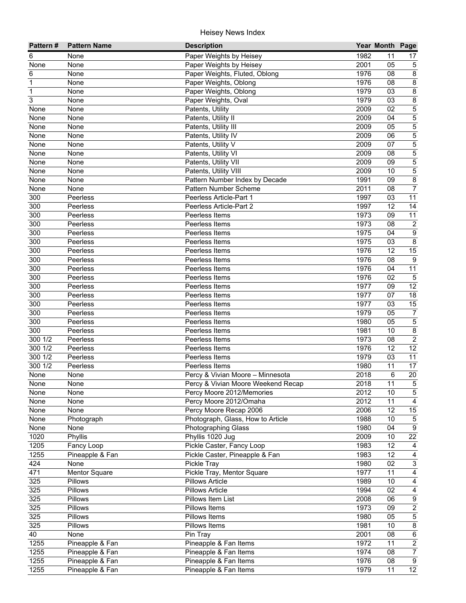| 1982<br>Paper Weights by Heisey<br>11<br>6<br>None<br>17<br>None<br>Paper Weights by Heisey<br>2001<br>05<br>$\sqrt{5}$<br>None<br>$\overline{8}$<br>1976<br>Paper Weights, Fluted, Oblong<br>08<br>6<br>None<br>$\overline{8}$<br>$\mathbf{1}$<br>1976<br>08<br>Paper Weights, Oblong<br>None<br>$\overline{8}$<br>1979<br>$\mathbf 1$<br>03<br>Paper Weights, Oblong<br>None<br>$\overline{3}$<br>$\overline{8}$<br>1979<br>03<br>Paper Weights, Oval<br>None<br>$\overline{5}$<br>2009<br>02<br>Patents, Utility<br>None<br>None<br>$\overline{5}$<br>Patents, Utility II<br>2009<br>04<br>None<br>None<br>$\overline{5}$<br>2009<br>05<br>None<br>Patents, Utility III<br>None<br>5<br>2009<br>06<br>None<br>Patents, Utility IV<br>None<br>5<br>2009<br>07<br>None<br>None<br>Patents, Utility V<br>5<br>2009<br>08<br>None<br>None<br>Patents, Utility VI<br>2009<br>5<br>Patents, Utility VII<br>09<br>None<br>None<br>5<br>Patents, Utility VIII<br>2009<br>10<br>None<br>None<br>$\overline{8}$<br>Pattern Number Index by Decade<br>1991<br>None<br>None<br>09<br>$\overline{7}$<br>2011<br>None<br>None<br>Pattern Number Scheme<br>08<br>300<br>Peerless Article-Part 1<br>1997<br>03<br>11<br>Peerless<br>300<br>1997<br>12<br>14<br>Peerless<br>Peerless Article-Part 2<br>11<br>300<br>Peerless<br>Peerless Items<br>1973<br>09<br>$\sqrt{2}$<br>1973<br>300<br>Peerless<br>Peerless Items<br>08<br>$\overline{9}$<br>1975<br>300<br>Peerless<br>Peerless Items<br>04<br>$\overline{8}$<br>300<br>1975<br>03<br>Peerless Items<br>Peerless<br>15<br>300<br>1976<br>12<br>Peerless<br>Peerless Items<br>300<br>1976<br>08<br>$\boldsymbol{9}$<br>Peerless<br>Peerless Items<br>1976<br>11<br>300<br>04<br>Peerless Items<br>Peerless<br>300<br>1976<br>02<br>$\mathbf 5$<br>Peerless<br>Peerless Items<br>$\overline{12}$<br>300<br>1977<br>09<br>Peerless<br>Peerless Items<br>$\overline{18}$<br>300<br>1977<br>07<br>Peerless Items<br>Peerless<br>1977<br>300<br>03<br>15<br>Peerless Items<br>Peerless<br>300<br>1979<br>05<br>$\overline{7}$<br>Peerless<br>Peerless Items<br>$\overline{5}$<br>300<br>1980<br>Peerless<br>Peerless Items<br>05<br>$\overline{8}$<br>300<br>Peerless<br>Peerless Items<br>1981<br>10<br>$\overline{2}$<br>300 1/2<br>1973<br>Peerless<br>Peerless Items<br>08<br>$\overline{12}$<br>3001/2<br>1976<br>12<br>Peerless<br>Peerless Items<br>300 1/2<br>1979<br>11<br>Peerless<br>Peerless Items<br>03<br>17<br>300 1/2<br>1980<br>Peerless<br>Peerless Items<br>11<br>20<br>2018<br>None<br>6<br>None<br>Percy & Vivian Moore - Minnesota<br>$\,$ 5 $\,$<br>None<br>None<br>Percy & Vivian Moore Weekend Recap<br>2018<br>11<br>$\overline{5}$<br>10<br>2012<br>None<br>Percy Moore 2012/Memories<br>None<br>2012<br>11<br>$\overline{4}$<br>Percy Moore 2012/Omaha<br>None<br>None<br>2006<br>12<br>15<br>None<br>None<br>Percy Moore Recap 2006<br>1988<br>10<br>$\mathbf 5$<br>None<br>Photograph, Glass, How to Article<br>Photograph<br>$9\,$<br>1980<br>04<br>None<br><b>Photographing Glass</b><br>None<br>$\overline{22}$<br>1020<br>Phyllis 1020 Jug<br>2009<br>10<br>Phyllis<br>1205<br>1983<br>12<br>Pickle Caster, Fancy Loop<br>Fancy Loop<br>4<br>1255<br>1983<br>12<br>$\overline{4}$<br>Pineapple & Fan<br>Pickle Caster, Pineapple & Fan<br>424<br>$\mathsf 3$<br>1980<br>02<br>Pickle Tray<br>None<br>471<br>Pickle Tray, Mentor Square<br>1977<br>$\overline{4}$<br>Mentor Square<br>11<br>325<br>10<br>$\overline{4}$<br>Pillows<br><b>Pillows Article</b><br>1989<br>325<br>$\overline{4}$<br>1994<br>02<br>Pillows<br><b>Pillows Article</b><br>325<br>$\boldsymbol{9}$<br>Pillows Item List<br>2008<br>Pillows<br>06<br>$\overline{2}$<br>325<br>Pillows Items<br>1973<br>Pillows<br>09<br>$\overline{5}$<br>325<br>Pillows Items<br>1980<br>05<br>Pillows<br>$\bf 8$<br>325<br>Pillows Items<br>1981<br>10<br>Pillows<br>$\overline{6}$<br>40<br>2001<br>08<br>Pin Tray<br>None<br>$\overline{2}$<br>1972<br>1255<br>Pineapple & Fan Items<br>Pineapple & Fan<br>11<br>$\overline{7}$<br>1255<br>Pineapple & Fan Items<br>1974<br>Pineapple & Fan<br>08<br>1976<br>1255<br>Pineapple & Fan<br>Pineapple & Fan Items<br>08<br>$\boldsymbol{9}$<br>12<br>1255<br>1979<br>11<br>Pineapple & Fan<br>Pineapple & Fan Items | Pattern# | <b>Pattern Name</b> | <b>Description</b> | Year Month Page |  |
|-------------------------------------------------------------------------------------------------------------------------------------------------------------------------------------------------------------------------------------------------------------------------------------------------------------------------------------------------------------------------------------------------------------------------------------------------------------------------------------------------------------------------------------------------------------------------------------------------------------------------------------------------------------------------------------------------------------------------------------------------------------------------------------------------------------------------------------------------------------------------------------------------------------------------------------------------------------------------------------------------------------------------------------------------------------------------------------------------------------------------------------------------------------------------------------------------------------------------------------------------------------------------------------------------------------------------------------------------------------------------------------------------------------------------------------------------------------------------------------------------------------------------------------------------------------------------------------------------------------------------------------------------------------------------------------------------------------------------------------------------------------------------------------------------------------------------------------------------------------------------------------------------------------------------------------------------------------------------------------------------------------------------------------------------------------------------------------------------------------------------------------------------------------------------------------------------------------------------------------------------------------------------------------------------------------------------------------------------------------------------------------------------------------------------------------------------------------------------------------------------------------------------------------------------------------------------------------------------------------------------------------------------------------------------------------------------------------------------------------------------------------------------------------------------------------------------------------------------------------------------------------------------------------------------------------------------------------------------------------------------------------------------------------------------------------------------------------------------------------------------------------------------------------------------------------------------------------------------------------------------------------------------------------------------------------------------------------------------------------------------------------------------------------------------------------------------------------------------------------------------------------------------------------------------------------------------------------------------------------------------------------------------------------------------------------------------------------------------------------------------------------------------------------------------------------------------------------------------------------------------------------------------------------------------------------------------------------------------------------------------------------------------------------------------------------------------------------------------------------------------------------------------------------------------------------------------------------------------------------------------------------------------------------------------|----------|---------------------|--------------------|-----------------|--|
|                                                                                                                                                                                                                                                                                                                                                                                                                                                                                                                                                                                                                                                                                                                                                                                                                                                                                                                                                                                                                                                                                                                                                                                                                                                                                                                                                                                                                                                                                                                                                                                                                                                                                                                                                                                                                                                                                                                                                                                                                                                                                                                                                                                                                                                                                                                                                                                                                                                                                                                                                                                                                                                                                                                                                                                                                                                                                                                                                                                                                                                                                                                                                                                                                                                                                                                                                                                                                                                                                                                                                                                                                                                                                                                                                                                                                                                                                                                                                                                                                                                                                                                                                                                                                                                                                                 |          |                     |                    |                 |  |
|                                                                                                                                                                                                                                                                                                                                                                                                                                                                                                                                                                                                                                                                                                                                                                                                                                                                                                                                                                                                                                                                                                                                                                                                                                                                                                                                                                                                                                                                                                                                                                                                                                                                                                                                                                                                                                                                                                                                                                                                                                                                                                                                                                                                                                                                                                                                                                                                                                                                                                                                                                                                                                                                                                                                                                                                                                                                                                                                                                                                                                                                                                                                                                                                                                                                                                                                                                                                                                                                                                                                                                                                                                                                                                                                                                                                                                                                                                                                                                                                                                                                                                                                                                                                                                                                                                 |          |                     |                    |                 |  |
|                                                                                                                                                                                                                                                                                                                                                                                                                                                                                                                                                                                                                                                                                                                                                                                                                                                                                                                                                                                                                                                                                                                                                                                                                                                                                                                                                                                                                                                                                                                                                                                                                                                                                                                                                                                                                                                                                                                                                                                                                                                                                                                                                                                                                                                                                                                                                                                                                                                                                                                                                                                                                                                                                                                                                                                                                                                                                                                                                                                                                                                                                                                                                                                                                                                                                                                                                                                                                                                                                                                                                                                                                                                                                                                                                                                                                                                                                                                                                                                                                                                                                                                                                                                                                                                                                                 |          |                     |                    |                 |  |
|                                                                                                                                                                                                                                                                                                                                                                                                                                                                                                                                                                                                                                                                                                                                                                                                                                                                                                                                                                                                                                                                                                                                                                                                                                                                                                                                                                                                                                                                                                                                                                                                                                                                                                                                                                                                                                                                                                                                                                                                                                                                                                                                                                                                                                                                                                                                                                                                                                                                                                                                                                                                                                                                                                                                                                                                                                                                                                                                                                                                                                                                                                                                                                                                                                                                                                                                                                                                                                                                                                                                                                                                                                                                                                                                                                                                                                                                                                                                                                                                                                                                                                                                                                                                                                                                                                 |          |                     |                    |                 |  |
|                                                                                                                                                                                                                                                                                                                                                                                                                                                                                                                                                                                                                                                                                                                                                                                                                                                                                                                                                                                                                                                                                                                                                                                                                                                                                                                                                                                                                                                                                                                                                                                                                                                                                                                                                                                                                                                                                                                                                                                                                                                                                                                                                                                                                                                                                                                                                                                                                                                                                                                                                                                                                                                                                                                                                                                                                                                                                                                                                                                                                                                                                                                                                                                                                                                                                                                                                                                                                                                                                                                                                                                                                                                                                                                                                                                                                                                                                                                                                                                                                                                                                                                                                                                                                                                                                                 |          |                     |                    |                 |  |
|                                                                                                                                                                                                                                                                                                                                                                                                                                                                                                                                                                                                                                                                                                                                                                                                                                                                                                                                                                                                                                                                                                                                                                                                                                                                                                                                                                                                                                                                                                                                                                                                                                                                                                                                                                                                                                                                                                                                                                                                                                                                                                                                                                                                                                                                                                                                                                                                                                                                                                                                                                                                                                                                                                                                                                                                                                                                                                                                                                                                                                                                                                                                                                                                                                                                                                                                                                                                                                                                                                                                                                                                                                                                                                                                                                                                                                                                                                                                                                                                                                                                                                                                                                                                                                                                                                 |          |                     |                    |                 |  |
|                                                                                                                                                                                                                                                                                                                                                                                                                                                                                                                                                                                                                                                                                                                                                                                                                                                                                                                                                                                                                                                                                                                                                                                                                                                                                                                                                                                                                                                                                                                                                                                                                                                                                                                                                                                                                                                                                                                                                                                                                                                                                                                                                                                                                                                                                                                                                                                                                                                                                                                                                                                                                                                                                                                                                                                                                                                                                                                                                                                                                                                                                                                                                                                                                                                                                                                                                                                                                                                                                                                                                                                                                                                                                                                                                                                                                                                                                                                                                                                                                                                                                                                                                                                                                                                                                                 |          |                     |                    |                 |  |
|                                                                                                                                                                                                                                                                                                                                                                                                                                                                                                                                                                                                                                                                                                                                                                                                                                                                                                                                                                                                                                                                                                                                                                                                                                                                                                                                                                                                                                                                                                                                                                                                                                                                                                                                                                                                                                                                                                                                                                                                                                                                                                                                                                                                                                                                                                                                                                                                                                                                                                                                                                                                                                                                                                                                                                                                                                                                                                                                                                                                                                                                                                                                                                                                                                                                                                                                                                                                                                                                                                                                                                                                                                                                                                                                                                                                                                                                                                                                                                                                                                                                                                                                                                                                                                                                                                 |          |                     |                    |                 |  |
|                                                                                                                                                                                                                                                                                                                                                                                                                                                                                                                                                                                                                                                                                                                                                                                                                                                                                                                                                                                                                                                                                                                                                                                                                                                                                                                                                                                                                                                                                                                                                                                                                                                                                                                                                                                                                                                                                                                                                                                                                                                                                                                                                                                                                                                                                                                                                                                                                                                                                                                                                                                                                                                                                                                                                                                                                                                                                                                                                                                                                                                                                                                                                                                                                                                                                                                                                                                                                                                                                                                                                                                                                                                                                                                                                                                                                                                                                                                                                                                                                                                                                                                                                                                                                                                                                                 |          |                     |                    |                 |  |
|                                                                                                                                                                                                                                                                                                                                                                                                                                                                                                                                                                                                                                                                                                                                                                                                                                                                                                                                                                                                                                                                                                                                                                                                                                                                                                                                                                                                                                                                                                                                                                                                                                                                                                                                                                                                                                                                                                                                                                                                                                                                                                                                                                                                                                                                                                                                                                                                                                                                                                                                                                                                                                                                                                                                                                                                                                                                                                                                                                                                                                                                                                                                                                                                                                                                                                                                                                                                                                                                                                                                                                                                                                                                                                                                                                                                                                                                                                                                                                                                                                                                                                                                                                                                                                                                                                 |          |                     |                    |                 |  |
|                                                                                                                                                                                                                                                                                                                                                                                                                                                                                                                                                                                                                                                                                                                                                                                                                                                                                                                                                                                                                                                                                                                                                                                                                                                                                                                                                                                                                                                                                                                                                                                                                                                                                                                                                                                                                                                                                                                                                                                                                                                                                                                                                                                                                                                                                                                                                                                                                                                                                                                                                                                                                                                                                                                                                                                                                                                                                                                                                                                                                                                                                                                                                                                                                                                                                                                                                                                                                                                                                                                                                                                                                                                                                                                                                                                                                                                                                                                                                                                                                                                                                                                                                                                                                                                                                                 |          |                     |                    |                 |  |
|                                                                                                                                                                                                                                                                                                                                                                                                                                                                                                                                                                                                                                                                                                                                                                                                                                                                                                                                                                                                                                                                                                                                                                                                                                                                                                                                                                                                                                                                                                                                                                                                                                                                                                                                                                                                                                                                                                                                                                                                                                                                                                                                                                                                                                                                                                                                                                                                                                                                                                                                                                                                                                                                                                                                                                                                                                                                                                                                                                                                                                                                                                                                                                                                                                                                                                                                                                                                                                                                                                                                                                                                                                                                                                                                                                                                                                                                                                                                                                                                                                                                                                                                                                                                                                                                                                 |          |                     |                    |                 |  |
|                                                                                                                                                                                                                                                                                                                                                                                                                                                                                                                                                                                                                                                                                                                                                                                                                                                                                                                                                                                                                                                                                                                                                                                                                                                                                                                                                                                                                                                                                                                                                                                                                                                                                                                                                                                                                                                                                                                                                                                                                                                                                                                                                                                                                                                                                                                                                                                                                                                                                                                                                                                                                                                                                                                                                                                                                                                                                                                                                                                                                                                                                                                                                                                                                                                                                                                                                                                                                                                                                                                                                                                                                                                                                                                                                                                                                                                                                                                                                                                                                                                                                                                                                                                                                                                                                                 |          |                     |                    |                 |  |
|                                                                                                                                                                                                                                                                                                                                                                                                                                                                                                                                                                                                                                                                                                                                                                                                                                                                                                                                                                                                                                                                                                                                                                                                                                                                                                                                                                                                                                                                                                                                                                                                                                                                                                                                                                                                                                                                                                                                                                                                                                                                                                                                                                                                                                                                                                                                                                                                                                                                                                                                                                                                                                                                                                                                                                                                                                                                                                                                                                                                                                                                                                                                                                                                                                                                                                                                                                                                                                                                                                                                                                                                                                                                                                                                                                                                                                                                                                                                                                                                                                                                                                                                                                                                                                                                                                 |          |                     |                    |                 |  |
|                                                                                                                                                                                                                                                                                                                                                                                                                                                                                                                                                                                                                                                                                                                                                                                                                                                                                                                                                                                                                                                                                                                                                                                                                                                                                                                                                                                                                                                                                                                                                                                                                                                                                                                                                                                                                                                                                                                                                                                                                                                                                                                                                                                                                                                                                                                                                                                                                                                                                                                                                                                                                                                                                                                                                                                                                                                                                                                                                                                                                                                                                                                                                                                                                                                                                                                                                                                                                                                                                                                                                                                                                                                                                                                                                                                                                                                                                                                                                                                                                                                                                                                                                                                                                                                                                                 |          |                     |                    |                 |  |
|                                                                                                                                                                                                                                                                                                                                                                                                                                                                                                                                                                                                                                                                                                                                                                                                                                                                                                                                                                                                                                                                                                                                                                                                                                                                                                                                                                                                                                                                                                                                                                                                                                                                                                                                                                                                                                                                                                                                                                                                                                                                                                                                                                                                                                                                                                                                                                                                                                                                                                                                                                                                                                                                                                                                                                                                                                                                                                                                                                                                                                                                                                                                                                                                                                                                                                                                                                                                                                                                                                                                                                                                                                                                                                                                                                                                                                                                                                                                                                                                                                                                                                                                                                                                                                                                                                 |          |                     |                    |                 |  |
|                                                                                                                                                                                                                                                                                                                                                                                                                                                                                                                                                                                                                                                                                                                                                                                                                                                                                                                                                                                                                                                                                                                                                                                                                                                                                                                                                                                                                                                                                                                                                                                                                                                                                                                                                                                                                                                                                                                                                                                                                                                                                                                                                                                                                                                                                                                                                                                                                                                                                                                                                                                                                                                                                                                                                                                                                                                                                                                                                                                                                                                                                                                                                                                                                                                                                                                                                                                                                                                                                                                                                                                                                                                                                                                                                                                                                                                                                                                                                                                                                                                                                                                                                                                                                                                                                                 |          |                     |                    |                 |  |
|                                                                                                                                                                                                                                                                                                                                                                                                                                                                                                                                                                                                                                                                                                                                                                                                                                                                                                                                                                                                                                                                                                                                                                                                                                                                                                                                                                                                                                                                                                                                                                                                                                                                                                                                                                                                                                                                                                                                                                                                                                                                                                                                                                                                                                                                                                                                                                                                                                                                                                                                                                                                                                                                                                                                                                                                                                                                                                                                                                                                                                                                                                                                                                                                                                                                                                                                                                                                                                                                                                                                                                                                                                                                                                                                                                                                                                                                                                                                                                                                                                                                                                                                                                                                                                                                                                 |          |                     |                    |                 |  |
|                                                                                                                                                                                                                                                                                                                                                                                                                                                                                                                                                                                                                                                                                                                                                                                                                                                                                                                                                                                                                                                                                                                                                                                                                                                                                                                                                                                                                                                                                                                                                                                                                                                                                                                                                                                                                                                                                                                                                                                                                                                                                                                                                                                                                                                                                                                                                                                                                                                                                                                                                                                                                                                                                                                                                                                                                                                                                                                                                                                                                                                                                                                                                                                                                                                                                                                                                                                                                                                                                                                                                                                                                                                                                                                                                                                                                                                                                                                                                                                                                                                                                                                                                                                                                                                                                                 |          |                     |                    |                 |  |
|                                                                                                                                                                                                                                                                                                                                                                                                                                                                                                                                                                                                                                                                                                                                                                                                                                                                                                                                                                                                                                                                                                                                                                                                                                                                                                                                                                                                                                                                                                                                                                                                                                                                                                                                                                                                                                                                                                                                                                                                                                                                                                                                                                                                                                                                                                                                                                                                                                                                                                                                                                                                                                                                                                                                                                                                                                                                                                                                                                                                                                                                                                                                                                                                                                                                                                                                                                                                                                                                                                                                                                                                                                                                                                                                                                                                                                                                                                                                                                                                                                                                                                                                                                                                                                                                                                 |          |                     |                    |                 |  |
|                                                                                                                                                                                                                                                                                                                                                                                                                                                                                                                                                                                                                                                                                                                                                                                                                                                                                                                                                                                                                                                                                                                                                                                                                                                                                                                                                                                                                                                                                                                                                                                                                                                                                                                                                                                                                                                                                                                                                                                                                                                                                                                                                                                                                                                                                                                                                                                                                                                                                                                                                                                                                                                                                                                                                                                                                                                                                                                                                                                                                                                                                                                                                                                                                                                                                                                                                                                                                                                                                                                                                                                                                                                                                                                                                                                                                                                                                                                                                                                                                                                                                                                                                                                                                                                                                                 |          |                     |                    |                 |  |
|                                                                                                                                                                                                                                                                                                                                                                                                                                                                                                                                                                                                                                                                                                                                                                                                                                                                                                                                                                                                                                                                                                                                                                                                                                                                                                                                                                                                                                                                                                                                                                                                                                                                                                                                                                                                                                                                                                                                                                                                                                                                                                                                                                                                                                                                                                                                                                                                                                                                                                                                                                                                                                                                                                                                                                                                                                                                                                                                                                                                                                                                                                                                                                                                                                                                                                                                                                                                                                                                                                                                                                                                                                                                                                                                                                                                                                                                                                                                                                                                                                                                                                                                                                                                                                                                                                 |          |                     |                    |                 |  |
|                                                                                                                                                                                                                                                                                                                                                                                                                                                                                                                                                                                                                                                                                                                                                                                                                                                                                                                                                                                                                                                                                                                                                                                                                                                                                                                                                                                                                                                                                                                                                                                                                                                                                                                                                                                                                                                                                                                                                                                                                                                                                                                                                                                                                                                                                                                                                                                                                                                                                                                                                                                                                                                                                                                                                                                                                                                                                                                                                                                                                                                                                                                                                                                                                                                                                                                                                                                                                                                                                                                                                                                                                                                                                                                                                                                                                                                                                                                                                                                                                                                                                                                                                                                                                                                                                                 |          |                     |                    |                 |  |
|                                                                                                                                                                                                                                                                                                                                                                                                                                                                                                                                                                                                                                                                                                                                                                                                                                                                                                                                                                                                                                                                                                                                                                                                                                                                                                                                                                                                                                                                                                                                                                                                                                                                                                                                                                                                                                                                                                                                                                                                                                                                                                                                                                                                                                                                                                                                                                                                                                                                                                                                                                                                                                                                                                                                                                                                                                                                                                                                                                                                                                                                                                                                                                                                                                                                                                                                                                                                                                                                                                                                                                                                                                                                                                                                                                                                                                                                                                                                                                                                                                                                                                                                                                                                                                                                                                 |          |                     |                    |                 |  |
|                                                                                                                                                                                                                                                                                                                                                                                                                                                                                                                                                                                                                                                                                                                                                                                                                                                                                                                                                                                                                                                                                                                                                                                                                                                                                                                                                                                                                                                                                                                                                                                                                                                                                                                                                                                                                                                                                                                                                                                                                                                                                                                                                                                                                                                                                                                                                                                                                                                                                                                                                                                                                                                                                                                                                                                                                                                                                                                                                                                                                                                                                                                                                                                                                                                                                                                                                                                                                                                                                                                                                                                                                                                                                                                                                                                                                                                                                                                                                                                                                                                                                                                                                                                                                                                                                                 |          |                     |                    |                 |  |
|                                                                                                                                                                                                                                                                                                                                                                                                                                                                                                                                                                                                                                                                                                                                                                                                                                                                                                                                                                                                                                                                                                                                                                                                                                                                                                                                                                                                                                                                                                                                                                                                                                                                                                                                                                                                                                                                                                                                                                                                                                                                                                                                                                                                                                                                                                                                                                                                                                                                                                                                                                                                                                                                                                                                                                                                                                                                                                                                                                                                                                                                                                                                                                                                                                                                                                                                                                                                                                                                                                                                                                                                                                                                                                                                                                                                                                                                                                                                                                                                                                                                                                                                                                                                                                                                                                 |          |                     |                    |                 |  |
|                                                                                                                                                                                                                                                                                                                                                                                                                                                                                                                                                                                                                                                                                                                                                                                                                                                                                                                                                                                                                                                                                                                                                                                                                                                                                                                                                                                                                                                                                                                                                                                                                                                                                                                                                                                                                                                                                                                                                                                                                                                                                                                                                                                                                                                                                                                                                                                                                                                                                                                                                                                                                                                                                                                                                                                                                                                                                                                                                                                                                                                                                                                                                                                                                                                                                                                                                                                                                                                                                                                                                                                                                                                                                                                                                                                                                                                                                                                                                                                                                                                                                                                                                                                                                                                                                                 |          |                     |                    |                 |  |
|                                                                                                                                                                                                                                                                                                                                                                                                                                                                                                                                                                                                                                                                                                                                                                                                                                                                                                                                                                                                                                                                                                                                                                                                                                                                                                                                                                                                                                                                                                                                                                                                                                                                                                                                                                                                                                                                                                                                                                                                                                                                                                                                                                                                                                                                                                                                                                                                                                                                                                                                                                                                                                                                                                                                                                                                                                                                                                                                                                                                                                                                                                                                                                                                                                                                                                                                                                                                                                                                                                                                                                                                                                                                                                                                                                                                                                                                                                                                                                                                                                                                                                                                                                                                                                                                                                 |          |                     |                    |                 |  |
|                                                                                                                                                                                                                                                                                                                                                                                                                                                                                                                                                                                                                                                                                                                                                                                                                                                                                                                                                                                                                                                                                                                                                                                                                                                                                                                                                                                                                                                                                                                                                                                                                                                                                                                                                                                                                                                                                                                                                                                                                                                                                                                                                                                                                                                                                                                                                                                                                                                                                                                                                                                                                                                                                                                                                                                                                                                                                                                                                                                                                                                                                                                                                                                                                                                                                                                                                                                                                                                                                                                                                                                                                                                                                                                                                                                                                                                                                                                                                                                                                                                                                                                                                                                                                                                                                                 |          |                     |                    |                 |  |
|                                                                                                                                                                                                                                                                                                                                                                                                                                                                                                                                                                                                                                                                                                                                                                                                                                                                                                                                                                                                                                                                                                                                                                                                                                                                                                                                                                                                                                                                                                                                                                                                                                                                                                                                                                                                                                                                                                                                                                                                                                                                                                                                                                                                                                                                                                                                                                                                                                                                                                                                                                                                                                                                                                                                                                                                                                                                                                                                                                                                                                                                                                                                                                                                                                                                                                                                                                                                                                                                                                                                                                                                                                                                                                                                                                                                                                                                                                                                                                                                                                                                                                                                                                                                                                                                                                 |          |                     |                    |                 |  |
|                                                                                                                                                                                                                                                                                                                                                                                                                                                                                                                                                                                                                                                                                                                                                                                                                                                                                                                                                                                                                                                                                                                                                                                                                                                                                                                                                                                                                                                                                                                                                                                                                                                                                                                                                                                                                                                                                                                                                                                                                                                                                                                                                                                                                                                                                                                                                                                                                                                                                                                                                                                                                                                                                                                                                                                                                                                                                                                                                                                                                                                                                                                                                                                                                                                                                                                                                                                                                                                                                                                                                                                                                                                                                                                                                                                                                                                                                                                                                                                                                                                                                                                                                                                                                                                                                                 |          |                     |                    |                 |  |
|                                                                                                                                                                                                                                                                                                                                                                                                                                                                                                                                                                                                                                                                                                                                                                                                                                                                                                                                                                                                                                                                                                                                                                                                                                                                                                                                                                                                                                                                                                                                                                                                                                                                                                                                                                                                                                                                                                                                                                                                                                                                                                                                                                                                                                                                                                                                                                                                                                                                                                                                                                                                                                                                                                                                                                                                                                                                                                                                                                                                                                                                                                                                                                                                                                                                                                                                                                                                                                                                                                                                                                                                                                                                                                                                                                                                                                                                                                                                                                                                                                                                                                                                                                                                                                                                                                 |          |                     |                    |                 |  |
|                                                                                                                                                                                                                                                                                                                                                                                                                                                                                                                                                                                                                                                                                                                                                                                                                                                                                                                                                                                                                                                                                                                                                                                                                                                                                                                                                                                                                                                                                                                                                                                                                                                                                                                                                                                                                                                                                                                                                                                                                                                                                                                                                                                                                                                                                                                                                                                                                                                                                                                                                                                                                                                                                                                                                                                                                                                                                                                                                                                                                                                                                                                                                                                                                                                                                                                                                                                                                                                                                                                                                                                                                                                                                                                                                                                                                                                                                                                                                                                                                                                                                                                                                                                                                                                                                                 |          |                     |                    |                 |  |
|                                                                                                                                                                                                                                                                                                                                                                                                                                                                                                                                                                                                                                                                                                                                                                                                                                                                                                                                                                                                                                                                                                                                                                                                                                                                                                                                                                                                                                                                                                                                                                                                                                                                                                                                                                                                                                                                                                                                                                                                                                                                                                                                                                                                                                                                                                                                                                                                                                                                                                                                                                                                                                                                                                                                                                                                                                                                                                                                                                                                                                                                                                                                                                                                                                                                                                                                                                                                                                                                                                                                                                                                                                                                                                                                                                                                                                                                                                                                                                                                                                                                                                                                                                                                                                                                                                 |          |                     |                    |                 |  |
|                                                                                                                                                                                                                                                                                                                                                                                                                                                                                                                                                                                                                                                                                                                                                                                                                                                                                                                                                                                                                                                                                                                                                                                                                                                                                                                                                                                                                                                                                                                                                                                                                                                                                                                                                                                                                                                                                                                                                                                                                                                                                                                                                                                                                                                                                                                                                                                                                                                                                                                                                                                                                                                                                                                                                                                                                                                                                                                                                                                                                                                                                                                                                                                                                                                                                                                                                                                                                                                                                                                                                                                                                                                                                                                                                                                                                                                                                                                                                                                                                                                                                                                                                                                                                                                                                                 |          |                     |                    |                 |  |
|                                                                                                                                                                                                                                                                                                                                                                                                                                                                                                                                                                                                                                                                                                                                                                                                                                                                                                                                                                                                                                                                                                                                                                                                                                                                                                                                                                                                                                                                                                                                                                                                                                                                                                                                                                                                                                                                                                                                                                                                                                                                                                                                                                                                                                                                                                                                                                                                                                                                                                                                                                                                                                                                                                                                                                                                                                                                                                                                                                                                                                                                                                                                                                                                                                                                                                                                                                                                                                                                                                                                                                                                                                                                                                                                                                                                                                                                                                                                                                                                                                                                                                                                                                                                                                                                                                 |          |                     |                    |                 |  |
|                                                                                                                                                                                                                                                                                                                                                                                                                                                                                                                                                                                                                                                                                                                                                                                                                                                                                                                                                                                                                                                                                                                                                                                                                                                                                                                                                                                                                                                                                                                                                                                                                                                                                                                                                                                                                                                                                                                                                                                                                                                                                                                                                                                                                                                                                                                                                                                                                                                                                                                                                                                                                                                                                                                                                                                                                                                                                                                                                                                                                                                                                                                                                                                                                                                                                                                                                                                                                                                                                                                                                                                                                                                                                                                                                                                                                                                                                                                                                                                                                                                                                                                                                                                                                                                                                                 |          |                     |                    |                 |  |
|                                                                                                                                                                                                                                                                                                                                                                                                                                                                                                                                                                                                                                                                                                                                                                                                                                                                                                                                                                                                                                                                                                                                                                                                                                                                                                                                                                                                                                                                                                                                                                                                                                                                                                                                                                                                                                                                                                                                                                                                                                                                                                                                                                                                                                                                                                                                                                                                                                                                                                                                                                                                                                                                                                                                                                                                                                                                                                                                                                                                                                                                                                                                                                                                                                                                                                                                                                                                                                                                                                                                                                                                                                                                                                                                                                                                                                                                                                                                                                                                                                                                                                                                                                                                                                                                                                 |          |                     |                    |                 |  |
|                                                                                                                                                                                                                                                                                                                                                                                                                                                                                                                                                                                                                                                                                                                                                                                                                                                                                                                                                                                                                                                                                                                                                                                                                                                                                                                                                                                                                                                                                                                                                                                                                                                                                                                                                                                                                                                                                                                                                                                                                                                                                                                                                                                                                                                                                                                                                                                                                                                                                                                                                                                                                                                                                                                                                                                                                                                                                                                                                                                                                                                                                                                                                                                                                                                                                                                                                                                                                                                                                                                                                                                                                                                                                                                                                                                                                                                                                                                                                                                                                                                                                                                                                                                                                                                                                                 |          |                     |                    |                 |  |
|                                                                                                                                                                                                                                                                                                                                                                                                                                                                                                                                                                                                                                                                                                                                                                                                                                                                                                                                                                                                                                                                                                                                                                                                                                                                                                                                                                                                                                                                                                                                                                                                                                                                                                                                                                                                                                                                                                                                                                                                                                                                                                                                                                                                                                                                                                                                                                                                                                                                                                                                                                                                                                                                                                                                                                                                                                                                                                                                                                                                                                                                                                                                                                                                                                                                                                                                                                                                                                                                                                                                                                                                                                                                                                                                                                                                                                                                                                                                                                                                                                                                                                                                                                                                                                                                                                 |          |                     |                    |                 |  |
|                                                                                                                                                                                                                                                                                                                                                                                                                                                                                                                                                                                                                                                                                                                                                                                                                                                                                                                                                                                                                                                                                                                                                                                                                                                                                                                                                                                                                                                                                                                                                                                                                                                                                                                                                                                                                                                                                                                                                                                                                                                                                                                                                                                                                                                                                                                                                                                                                                                                                                                                                                                                                                                                                                                                                                                                                                                                                                                                                                                                                                                                                                                                                                                                                                                                                                                                                                                                                                                                                                                                                                                                                                                                                                                                                                                                                                                                                                                                                                                                                                                                                                                                                                                                                                                                                                 |          |                     |                    |                 |  |
|                                                                                                                                                                                                                                                                                                                                                                                                                                                                                                                                                                                                                                                                                                                                                                                                                                                                                                                                                                                                                                                                                                                                                                                                                                                                                                                                                                                                                                                                                                                                                                                                                                                                                                                                                                                                                                                                                                                                                                                                                                                                                                                                                                                                                                                                                                                                                                                                                                                                                                                                                                                                                                                                                                                                                                                                                                                                                                                                                                                                                                                                                                                                                                                                                                                                                                                                                                                                                                                                                                                                                                                                                                                                                                                                                                                                                                                                                                                                                                                                                                                                                                                                                                                                                                                                                                 |          |                     |                    |                 |  |
|                                                                                                                                                                                                                                                                                                                                                                                                                                                                                                                                                                                                                                                                                                                                                                                                                                                                                                                                                                                                                                                                                                                                                                                                                                                                                                                                                                                                                                                                                                                                                                                                                                                                                                                                                                                                                                                                                                                                                                                                                                                                                                                                                                                                                                                                                                                                                                                                                                                                                                                                                                                                                                                                                                                                                                                                                                                                                                                                                                                                                                                                                                                                                                                                                                                                                                                                                                                                                                                                                                                                                                                                                                                                                                                                                                                                                                                                                                                                                                                                                                                                                                                                                                                                                                                                                                 |          |                     |                    |                 |  |
|                                                                                                                                                                                                                                                                                                                                                                                                                                                                                                                                                                                                                                                                                                                                                                                                                                                                                                                                                                                                                                                                                                                                                                                                                                                                                                                                                                                                                                                                                                                                                                                                                                                                                                                                                                                                                                                                                                                                                                                                                                                                                                                                                                                                                                                                                                                                                                                                                                                                                                                                                                                                                                                                                                                                                                                                                                                                                                                                                                                                                                                                                                                                                                                                                                                                                                                                                                                                                                                                                                                                                                                                                                                                                                                                                                                                                                                                                                                                                                                                                                                                                                                                                                                                                                                                                                 |          |                     |                    |                 |  |
|                                                                                                                                                                                                                                                                                                                                                                                                                                                                                                                                                                                                                                                                                                                                                                                                                                                                                                                                                                                                                                                                                                                                                                                                                                                                                                                                                                                                                                                                                                                                                                                                                                                                                                                                                                                                                                                                                                                                                                                                                                                                                                                                                                                                                                                                                                                                                                                                                                                                                                                                                                                                                                                                                                                                                                                                                                                                                                                                                                                                                                                                                                                                                                                                                                                                                                                                                                                                                                                                                                                                                                                                                                                                                                                                                                                                                                                                                                                                                                                                                                                                                                                                                                                                                                                                                                 |          |                     |                    |                 |  |
|                                                                                                                                                                                                                                                                                                                                                                                                                                                                                                                                                                                                                                                                                                                                                                                                                                                                                                                                                                                                                                                                                                                                                                                                                                                                                                                                                                                                                                                                                                                                                                                                                                                                                                                                                                                                                                                                                                                                                                                                                                                                                                                                                                                                                                                                                                                                                                                                                                                                                                                                                                                                                                                                                                                                                                                                                                                                                                                                                                                                                                                                                                                                                                                                                                                                                                                                                                                                                                                                                                                                                                                                                                                                                                                                                                                                                                                                                                                                                                                                                                                                                                                                                                                                                                                                                                 |          |                     |                    |                 |  |
|                                                                                                                                                                                                                                                                                                                                                                                                                                                                                                                                                                                                                                                                                                                                                                                                                                                                                                                                                                                                                                                                                                                                                                                                                                                                                                                                                                                                                                                                                                                                                                                                                                                                                                                                                                                                                                                                                                                                                                                                                                                                                                                                                                                                                                                                                                                                                                                                                                                                                                                                                                                                                                                                                                                                                                                                                                                                                                                                                                                                                                                                                                                                                                                                                                                                                                                                                                                                                                                                                                                                                                                                                                                                                                                                                                                                                                                                                                                                                                                                                                                                                                                                                                                                                                                                                                 |          |                     |                    |                 |  |
|                                                                                                                                                                                                                                                                                                                                                                                                                                                                                                                                                                                                                                                                                                                                                                                                                                                                                                                                                                                                                                                                                                                                                                                                                                                                                                                                                                                                                                                                                                                                                                                                                                                                                                                                                                                                                                                                                                                                                                                                                                                                                                                                                                                                                                                                                                                                                                                                                                                                                                                                                                                                                                                                                                                                                                                                                                                                                                                                                                                                                                                                                                                                                                                                                                                                                                                                                                                                                                                                                                                                                                                                                                                                                                                                                                                                                                                                                                                                                                                                                                                                                                                                                                                                                                                                                                 |          |                     |                    |                 |  |
|                                                                                                                                                                                                                                                                                                                                                                                                                                                                                                                                                                                                                                                                                                                                                                                                                                                                                                                                                                                                                                                                                                                                                                                                                                                                                                                                                                                                                                                                                                                                                                                                                                                                                                                                                                                                                                                                                                                                                                                                                                                                                                                                                                                                                                                                                                                                                                                                                                                                                                                                                                                                                                                                                                                                                                                                                                                                                                                                                                                                                                                                                                                                                                                                                                                                                                                                                                                                                                                                                                                                                                                                                                                                                                                                                                                                                                                                                                                                                                                                                                                                                                                                                                                                                                                                                                 |          |                     |                    |                 |  |
|                                                                                                                                                                                                                                                                                                                                                                                                                                                                                                                                                                                                                                                                                                                                                                                                                                                                                                                                                                                                                                                                                                                                                                                                                                                                                                                                                                                                                                                                                                                                                                                                                                                                                                                                                                                                                                                                                                                                                                                                                                                                                                                                                                                                                                                                                                                                                                                                                                                                                                                                                                                                                                                                                                                                                                                                                                                                                                                                                                                                                                                                                                                                                                                                                                                                                                                                                                                                                                                                                                                                                                                                                                                                                                                                                                                                                                                                                                                                                                                                                                                                                                                                                                                                                                                                                                 |          |                     |                    |                 |  |
|                                                                                                                                                                                                                                                                                                                                                                                                                                                                                                                                                                                                                                                                                                                                                                                                                                                                                                                                                                                                                                                                                                                                                                                                                                                                                                                                                                                                                                                                                                                                                                                                                                                                                                                                                                                                                                                                                                                                                                                                                                                                                                                                                                                                                                                                                                                                                                                                                                                                                                                                                                                                                                                                                                                                                                                                                                                                                                                                                                                                                                                                                                                                                                                                                                                                                                                                                                                                                                                                                                                                                                                                                                                                                                                                                                                                                                                                                                                                                                                                                                                                                                                                                                                                                                                                                                 |          |                     |                    |                 |  |
|                                                                                                                                                                                                                                                                                                                                                                                                                                                                                                                                                                                                                                                                                                                                                                                                                                                                                                                                                                                                                                                                                                                                                                                                                                                                                                                                                                                                                                                                                                                                                                                                                                                                                                                                                                                                                                                                                                                                                                                                                                                                                                                                                                                                                                                                                                                                                                                                                                                                                                                                                                                                                                                                                                                                                                                                                                                                                                                                                                                                                                                                                                                                                                                                                                                                                                                                                                                                                                                                                                                                                                                                                                                                                                                                                                                                                                                                                                                                                                                                                                                                                                                                                                                                                                                                                                 |          |                     |                    |                 |  |
|                                                                                                                                                                                                                                                                                                                                                                                                                                                                                                                                                                                                                                                                                                                                                                                                                                                                                                                                                                                                                                                                                                                                                                                                                                                                                                                                                                                                                                                                                                                                                                                                                                                                                                                                                                                                                                                                                                                                                                                                                                                                                                                                                                                                                                                                                                                                                                                                                                                                                                                                                                                                                                                                                                                                                                                                                                                                                                                                                                                                                                                                                                                                                                                                                                                                                                                                                                                                                                                                                                                                                                                                                                                                                                                                                                                                                                                                                                                                                                                                                                                                                                                                                                                                                                                                                                 |          |                     |                    |                 |  |
|                                                                                                                                                                                                                                                                                                                                                                                                                                                                                                                                                                                                                                                                                                                                                                                                                                                                                                                                                                                                                                                                                                                                                                                                                                                                                                                                                                                                                                                                                                                                                                                                                                                                                                                                                                                                                                                                                                                                                                                                                                                                                                                                                                                                                                                                                                                                                                                                                                                                                                                                                                                                                                                                                                                                                                                                                                                                                                                                                                                                                                                                                                                                                                                                                                                                                                                                                                                                                                                                                                                                                                                                                                                                                                                                                                                                                                                                                                                                                                                                                                                                                                                                                                                                                                                                                                 |          |                     |                    |                 |  |
|                                                                                                                                                                                                                                                                                                                                                                                                                                                                                                                                                                                                                                                                                                                                                                                                                                                                                                                                                                                                                                                                                                                                                                                                                                                                                                                                                                                                                                                                                                                                                                                                                                                                                                                                                                                                                                                                                                                                                                                                                                                                                                                                                                                                                                                                                                                                                                                                                                                                                                                                                                                                                                                                                                                                                                                                                                                                                                                                                                                                                                                                                                                                                                                                                                                                                                                                                                                                                                                                                                                                                                                                                                                                                                                                                                                                                                                                                                                                                                                                                                                                                                                                                                                                                                                                                                 |          |                     |                    |                 |  |
|                                                                                                                                                                                                                                                                                                                                                                                                                                                                                                                                                                                                                                                                                                                                                                                                                                                                                                                                                                                                                                                                                                                                                                                                                                                                                                                                                                                                                                                                                                                                                                                                                                                                                                                                                                                                                                                                                                                                                                                                                                                                                                                                                                                                                                                                                                                                                                                                                                                                                                                                                                                                                                                                                                                                                                                                                                                                                                                                                                                                                                                                                                                                                                                                                                                                                                                                                                                                                                                                                                                                                                                                                                                                                                                                                                                                                                                                                                                                                                                                                                                                                                                                                                                                                                                                                                 |          |                     |                    |                 |  |
|                                                                                                                                                                                                                                                                                                                                                                                                                                                                                                                                                                                                                                                                                                                                                                                                                                                                                                                                                                                                                                                                                                                                                                                                                                                                                                                                                                                                                                                                                                                                                                                                                                                                                                                                                                                                                                                                                                                                                                                                                                                                                                                                                                                                                                                                                                                                                                                                                                                                                                                                                                                                                                                                                                                                                                                                                                                                                                                                                                                                                                                                                                                                                                                                                                                                                                                                                                                                                                                                                                                                                                                                                                                                                                                                                                                                                                                                                                                                                                                                                                                                                                                                                                                                                                                                                                 |          |                     |                    |                 |  |
|                                                                                                                                                                                                                                                                                                                                                                                                                                                                                                                                                                                                                                                                                                                                                                                                                                                                                                                                                                                                                                                                                                                                                                                                                                                                                                                                                                                                                                                                                                                                                                                                                                                                                                                                                                                                                                                                                                                                                                                                                                                                                                                                                                                                                                                                                                                                                                                                                                                                                                                                                                                                                                                                                                                                                                                                                                                                                                                                                                                                                                                                                                                                                                                                                                                                                                                                                                                                                                                                                                                                                                                                                                                                                                                                                                                                                                                                                                                                                                                                                                                                                                                                                                                                                                                                                                 |          |                     |                    |                 |  |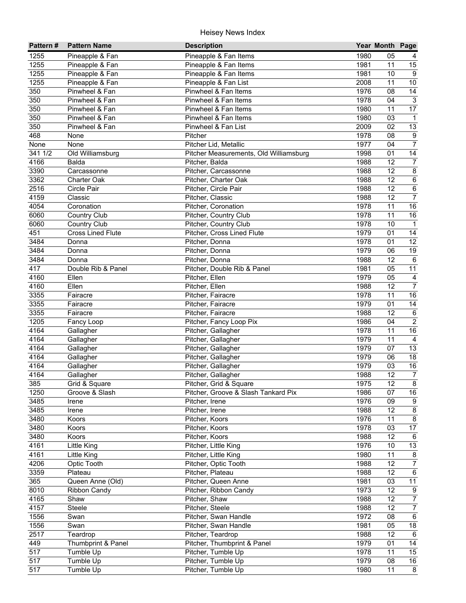| Pattern#          | <b>Pattern Name</b>      | <b>Description</b>                     |      | Year Month Page |                                    |
|-------------------|--------------------------|----------------------------------------|------|-----------------|------------------------------------|
| 1255              | Pineapple & Fan          | Pineapple & Fan Items                  | 1980 | 05              | 4                                  |
| 1255              | Pineapple & Fan          | Pineapple & Fan Items                  | 1981 | 11              | 15                                 |
| 1255              | Pineapple & Fan          | Pineapple & Fan Items                  | 1981 | 10              | 9                                  |
| 1255              | Pineapple & Fan          | Pineapple & Fan List                   | 2008 | 11              | $\overline{10}$                    |
| 350               | Pinwheel & Fan           | Pinwheel & Fan Items                   | 1976 | 08              | $\overline{14}$                    |
| 350               | Pinwheel & Fan           | Pinwheel & Fan Items                   | 1978 | $\overline{04}$ | $\overline{3}$                     |
| 350               | Pinwheel & Fan           | Pinwheel & Fan Items                   | 1980 | 11              | $\overline{17}$                    |
| 350               | Pinwheel & Fan           | Pinwheel & Fan Items                   | 1980 | 03              | $\mathbf{1}$                       |
| 350               | Pinwheel & Fan           | Pinwheel & Fan List                    | 2009 | 02              | 13                                 |
| 468               | None                     | Pitcher                                | 1978 | 08              | $\boldsymbol{9}$                   |
| None              | None                     | Pitcher Lid, Metallic                  | 1977 | 04              | $\overline{7}$                     |
| 341 1/2           | Old Williamsburg         | Pitcher Measurements, Old Williamsburg | 1998 | 01              | 14                                 |
| 4166              | Balda                    | Pitcher, Balda                         | 1988 | 12              | $\overline{7}$                     |
| 3390              | Carcassonne              | Pitcher, Carcassonne                   | 1988 | 12              | $\bf 8$                            |
| 3362              | <b>Charter Oak</b>       | Pitcher, Charter Oak                   | 1988 | 12              | $\,6\,$                            |
| 2516              | Circle Pair              | Pitcher, Circle Pair                   | 1988 | 12              | $\,6\,$                            |
| 4159              | Classic                  | Pitcher, Classic                       | 1988 | 12              | $\overline{7}$                     |
| 4054              | Coronation               | Pitcher, Coronation                    | 1978 | 11              | 16                                 |
| 6060              | <b>Country Club</b>      | Pitcher, Country Club                  | 1978 | 11              | 16                                 |
| 6060              | <b>Country Club</b>      | Pitcher, Country Club                  | 1978 | 10              | $\mathbf{1}$                       |
| 451               | <b>Cross Lined Flute</b> | Pitcher, Cross Lined Flute             | 1979 | 01              | 14                                 |
| 3484              | Donna                    | Pitcher, Donna                         | 1978 | 01              | 12                                 |
| 3484              | Donna                    | Pitcher, Donna                         | 1979 | 06              | 19                                 |
| 3484              | Donna                    | Pitcher, Donna                         | 1988 | 12              | $\,6\,$                            |
| 417               | Double Rib & Panel       | Pitcher, Double Rib & Panel            | 1981 | 05              | 11                                 |
| 4160              | Ellen                    | Pitcher, Ellen                         | 1979 | 05              | 4                                  |
| 4160              | Ellen                    | Pitcher, Ellen                         | 1988 | 12              | $\overline{7}$                     |
| 3355              | Fairacre                 | Pitcher, Fairacre                      | 1978 | 11              | 16                                 |
| $\overline{3355}$ | Fairacre                 | Pitcher, Fairacre                      | 1979 | 01              | 14                                 |
| 3355              | Fairacre                 | Pitcher, Fairacre                      | 1988 | 12              | $\,6\,$                            |
| 1205              | Fancy Loop               | Pitcher, Fancy Loop Pix                | 1986 | 04              | $\overline{2}$                     |
| 4164              | Gallagher                | Pitcher, Gallagher                     | 1978 | 11              | 16                                 |
| 4164              | Gallagher                | Pitcher, Gallagher                     | 1979 | 11              | $\overline{4}$                     |
| 4164              | Gallagher                | Pitcher, Gallagher                     | 1979 | 07              | 13                                 |
| 4164              | Gallagher                | Pitcher, Gallagher                     | 1979 | 06              | $\overline{18}$                    |
| 4164              | Gallagher                | Pitcher, Gallagher                     | 1979 | 03              | 16                                 |
| 4164              | Gallagher                | Pitcher, Gallagher                     | 1988 | 12              | $\overline{7}$                     |
| 385               | Grid & Square            | Pitcher, Grid & Square                 | 1975 | $\overline{12}$ | $\overline{8}$                     |
| 1250              | Groove & Slash           | Pitcher, Groove & Slash Tankard Pix    | 1986 | 07              | 16                                 |
| 3485              |                          | Pitcher, Irene                         | 1976 | 09              | 9                                  |
| 3485              | Irene<br>Irene           | Pitcher, Irene                         | 1988 | 12              | $\bf 8$                            |
| 3480              | Koors                    | Pitcher, Koors                         | 1976 | 11              | 8                                  |
| 3480              | Koors                    | Pitcher, Koors                         | 1978 | 03              | 17                                 |
| 3480              | Koors                    | Pitcher, Koors                         | 1988 | 12              | 6                                  |
| 4161              | Little King              | Pitcher, Little King                   | 1976 | 10              | 13                                 |
| 4161              | Little King              | Pitcher, Little King                   | 1980 | 11              | 8                                  |
| 4206              | Optic Tooth              | Pitcher, Optic Tooth                   | 1988 | 12              | $\overline{7}$                     |
| 3359              | Plateau                  | Pitcher, Plateau                       | 1988 | 12              | $\,6\,$                            |
| 365               |                          |                                        | 1981 |                 |                                    |
|                   | Queen Anne (Old)         | Pitcher, Queen Anne                    | 1973 | 03<br>12        | 11                                 |
| 8010              | <b>Ribbon Candy</b>      | Pitcher, Ribbon Candy                  |      |                 | $\boldsymbol{9}$<br>$\overline{7}$ |
| 4165              | Shaw                     | Pitcher, Shaw                          | 1988 | 12              |                                    |
| 4157              | Steele                   | Pitcher, Steele                        | 1988 | 12              | $\overline{7}$                     |
| 1556              | Swan                     | Pitcher, Swan Handle                   | 1972 | 08              | $\overline{6}$                     |
| 1556              | Swan                     | Pitcher, Swan Handle                   | 1981 | 05              | $\overline{18}$                    |
| 2517              | Teardrop                 | Pitcher, Teardrop                      | 1988 | 12              | 6                                  |
| 449               | Thumbprint & Panel       | Pitcher, Thumbprint & Panel            | 1979 | 01              | 14                                 |
| 517               | Tumble Up                | Pitcher, Tumble Up                     | 1978 | 11              | $\overline{15}$                    |
| 517               | Tumble Up                | Pitcher, Tumble Up                     | 1979 | 08              | 16                                 |
| $\overline{517}$  | Tumble Up                | Pitcher, Tumble Up                     | 1980 | 11              | 8                                  |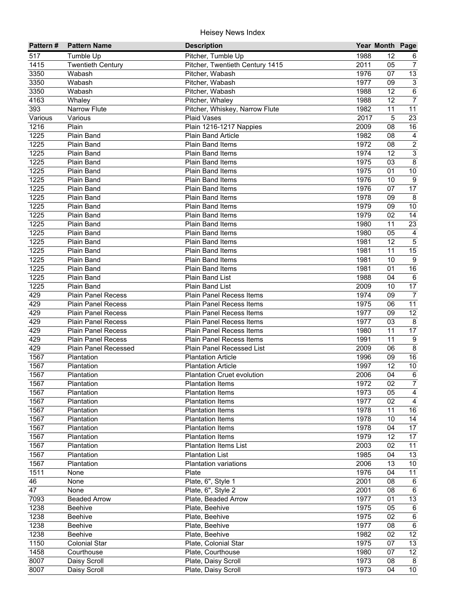| Pattern# | <b>Pattern Name</b>       | <b>Description</b>                                 |              | Year Month Page |                  |
|----------|---------------------------|----------------------------------------------------|--------------|-----------------|------------------|
| 517      | Tumble Up                 | Pitcher, Tumble Up                                 | 1988         | 12              | 6                |
| 1415     | <b>Twentieth Century</b>  | Pitcher, Twentieth Century 1415                    | 2011         | 05              | $\overline{7}$   |
| 3350     | Wabash                    | Pitcher, Wabash                                    | 1976         | 07              | 13               |
| 3350     | Wabash                    | Pitcher, Wabash                                    | 1977         | 09              | $\overline{3}$   |
| 3350     | Wabash                    | Pitcher, Wabash                                    | 1988         | 12              | $6\overline{6}$  |
| 4163     | Whaley                    | Pitcher, Whaley                                    | 1988         | $\overline{12}$ | $\overline{7}$   |
| 393      | <b>Narrow Flute</b>       | Pitcher, Whiskey, Narrow Flute                     | 1982         | 11              | 11               |
| Various  | Various                   | Plaid Vases                                        | 2017         | 5               | $\overline{23}$  |
| 1216     | Plain                     | Plain 1216-1217 Nappies                            | 2009         | 08              | 16               |
| 1225     | Plain Band                | Plain Band Article                                 | 1982         | 08              | $\overline{4}$   |
| 1225     | Plain Band                | <b>Plain Band Items</b>                            | 1972         | 08              | $\overline{2}$   |
| 1225     | Plain Band                | Plain Band Items                                   | 1974         | 12              | $\overline{3}$   |
| 1225     | Plain Band                | Plain Band Items                                   | 1975         | 03              | $\overline{8}$   |
| 1225     | Plain Band                | <b>Plain Band Items</b>                            | 1975         | 01              | $10\,$           |
| 1225     | Plain Band                | <b>Plain Band Items</b>                            | 1976         | 10              | $\boldsymbol{9}$ |
| 1225     | Plain Band                | Plain Band Items                                   | 1976         | 07              | 17               |
| 1225     | Plain Band                | Plain Band Items                                   | 1978         | 09              | 8                |
| 1225     | Plain Band                | <b>Plain Band Items</b>                            | 1979         | 09              | $10$             |
| 1225     | Plain Band                | <b>Plain Band Items</b>                            | 1979         | 02              | $\overline{14}$  |
| 1225     | Plain Band                | Plain Band Items                                   | 1980         | 11              | 23               |
| 1225     | Plain Band                | Plain Band Items                                   | 1980         | 05              | $\overline{4}$   |
| 1225     | Plain Band                | Plain Band Items                                   | 1981         | 12              | $\mathbf 5$      |
| 1225     | Plain Band                | Plain Band Items                                   | 1981         | 11              | 15               |
| 1225     | Plain Band                | Plain Band Items                                   | 1981         | 10              | $\boldsymbol{9}$ |
| 1225     | Plain Band                | Plain Band Items                                   | 1981         | 01              | 16               |
| 1225     | Plain Band                | <b>Plain Band List</b>                             | 1988         | 04              | $\,6\,$          |
| 1225     | <b>Plain Band</b>         | Plain Band List                                    | 2009         | 10              | 17               |
| 429      | <b>Plain Panel Recess</b> | Plain Panel Recess Items                           | 1974         | 09              | $\overline{7}$   |
| 429      | <b>Plain Panel Recess</b> | Plain Panel Recess Items                           | 1975         | 06              | $\overline{11}$  |
| 429      | <b>Plain Panel Recess</b> | <b>Plain Panel Recess Items</b>                    | 1977         | 09              | $\overline{12}$  |
| 429      | <b>Plain Panel Recess</b> | Plain Panel Recess Items                           | 1977         | 03              | 8                |
| 429      | <b>Plain Panel Recess</b> | Plain Panel Recess Items                           | 1980         | 11              | 17               |
| 429      | <b>Plain Panel Recess</b> | Plain Panel Recess Items                           | 1991         | 11              | $\overline{9}$   |
| 429      | Plain Panel Recessed      | Plain Panel Recessed List                          | 2009         | 06              | $\overline{8}$   |
| 1567     | Plantation                | <b>Plantation Article</b>                          | 1996         | 09              | 16               |
| 1567     | Plantation                | <b>Plantation Article</b>                          | 1997         | 12              | $10\,$           |
| 1567     | Plantation                | <b>Plantation Cruet evolution</b>                  | 2006         | 04              | $\,6\,$          |
| 1567     | Plantation                | <b>Plantation Items</b>                            | 1972         | $\overline{02}$ | $\overline{7}$   |
| 1567     |                           |                                                    | 1973         | 05              | $\overline{4}$   |
| 1567     | Plantation<br>Plantation  | <b>Plantation Items</b><br><b>Plantation Items</b> | 1977         | 02              | $\overline{4}$   |
| 1567     |                           |                                                    | 1978         | 11              | 16               |
|          | Plantation                | <b>Plantation Items</b>                            |              | 10              | 14               |
| 1567     | Plantation                | <b>Plantation Items</b>                            | 1978<br>1978 | 04              | 17               |
| 1567     | Plantation                | <b>Plantation Items</b>                            | 1979         | 12              | 17               |
| 1567     | Plantation                | <b>Plantation Items</b>                            | 2003         | 02              |                  |
| 1567     | Plantation                | <b>Plantation Items List</b>                       |              |                 | 11               |
| 1567     | Plantation                | <b>Plantation List</b>                             | 1985         | 04              | 13               |
| 1567     | Plantation                | <b>Plantation variations</b>                       | 2006         | 13              | 10               |
| 1511     | None                      | Plate                                              | 1976         | 04              | 11               |
| 46       | None                      | Plate, 6", Style 1                                 | 2001         | 08              | $\,6$            |
| 47       | None                      | Plate, 6", Style 2                                 | 2001         | 08              | 6                |
| 7093     | <b>Beaded Arrow</b>       | Plate, Beaded Arrow                                | 1977         | 01              | 13               |
| 1238     | <b>Beehive</b>            | Plate, Beehive                                     | 1975         | 05              | $\,6$            |
| 1238     | Beehive                   | Plate, Beehive                                     | 1975         | 02              | $\overline{6}$   |
| 1238     | Beehive                   | Plate, Beehive                                     | 1977         | 08              | $\overline{6}$   |
| 1238     | Beehive                   | Plate, Beehive                                     | 1982         | 02              | $\overline{12}$  |
| 1150     | <b>Colonial Star</b>      | Plate, Colonial Star                               | 1975         | 07              | 13               |
| 1458     | Courthouse                | Plate, Courthouse                                  | 1980         | 07              | $\overline{12}$  |
| 8007     | Daisy Scroll              | Plate, Daisy Scroll                                | 1973         | 08              | 8                |
| 8007     | Daisy Scroll              | Plate, Daisy Scroll                                | 1973         | 04              | $\overline{10}$  |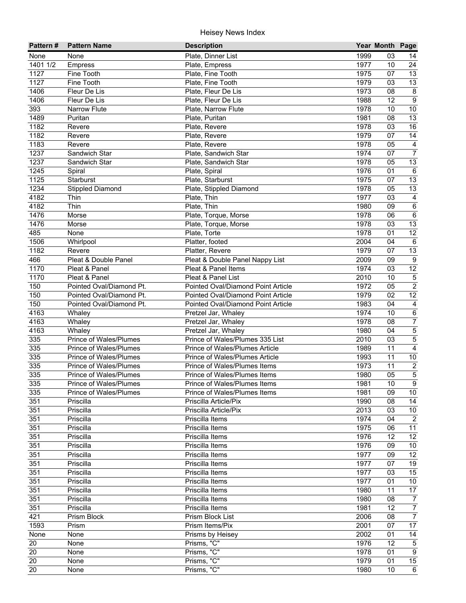| Pattern#   | <b>Pattern Name</b>           | <b>Description</b>                         |              | Year Month Page |                                      |
|------------|-------------------------------|--------------------------------------------|--------------|-----------------|--------------------------------------|
| None       | None                          | Plate, Dinner List                         | 1999         | 03              | 14                                   |
| 1401 1/2   | Empress                       | Plate, Empress                             | 1977         | 10              | 24                                   |
| 1127       | Fine Tooth                    | Plate, Fine Tooth                          | 1975         | 07              | $\overline{13}$                      |
| 1127       | Fine Tooth                    | Plate, Fine Tooth                          | 1979         | 03              | 13                                   |
| 1406       | Fleur De Lis                  | Plate, Fleur De Lis                        | 1973         | 08              | $\overline{8}$                       |
| 1406       | Fleur De Lis                  | Plate, Fleur De Lis                        | 1988         | 12              | $\overline{9}$                       |
| 393        | Narrow Flute                  | Plate, Narrow Flute                        | 1978         | 10              | $\overline{10}$                      |
| 1489       | Puritan                       | Plate, Puritan                             | 1981         | 08              | 13                                   |
| 1182       | Revere                        | Plate, Revere                              | 1978         | 03              | 16                                   |
| 1182       | Revere                        | Plate, Revere                              | 1979         | 07              | 14                                   |
| 1183       | Revere                        | Plate, Revere                              | 1978         | 05              | $\overline{4}$                       |
| 1237       | Sandwich Star                 | Plate, Sandwich Star                       | 1974         | 07              | $\overline{7}$                       |
| 1237       | Sandwich Star                 | Plate, Sandwich Star                       | 1978         | 05              | 13                                   |
| 1245       | Spiral                        | Plate, Spiral                              | 1976         | 01              | $\,6\,$                              |
| 1125       | Starburst                     | Plate, Starburst                           | 1975         | 07              | 13                                   |
| 1234       | <b>Stippled Diamond</b>       | Plate, Stippled Diamond                    | 1978         | 05              | 13                                   |
| 4182       | Thin                          | Plate, Thin                                | 1977         | 03              | $\overline{4}$                       |
| 4182       | Thin                          | Plate, Thin                                | 1980         | 09              | $\,6\,$                              |
| 1476       | Morse                         | Plate, Torque, Morse                       | 1978         | 06              | $\overline{6}$                       |
| 1476       | Morse                         | Plate, Torque, Morse                       | 1978         | 03              | 13                                   |
| 485        | None                          | Plate, Torte                               | 1978         | 01              | $\overline{12}$                      |
| 1506       | Whirlpool                     | Platter, footed                            | 2004         | 04              | $\,6\,$                              |
| 1182       | Revere                        | Platter, Revere                            | 1979         | 07              | 13                                   |
| 466        | Pleat & Double Panel          | Pleat & Double Panel Nappy List            | 2009         | 09              | $\boldsymbol{9}$                     |
| 1170       | Pleat & Panel                 | Pleat & Panel Items                        | 1974         | 03              | 12                                   |
| 1170       | Pleat & Panel                 | Pleat & Panel List                         | 2010         | 10              | $\sqrt{5}$                           |
| 150        | Pointed Oval/Diamond Pt.      | Pointed Oval/Diamond Point Article         | 1972         | 05              | $\overline{2}$                       |
| 150<br>150 | Pointed Oval/Diamond Pt.      | Pointed Oval/Diamond Point Article         | 1979         | 02              | 12                                   |
| 4163       | Pointed Oval/Diamond Pt.      | Pointed Oval/Diamond Point Article         | 1983<br>1974 | 04<br>10        | $\overline{4}$<br>$6\overline{6}$    |
| 4163       | Whaley<br>Whaley              | Pretzel Jar, Whaley<br>Pretzel Jar, Whaley | 1978         | 08              | $\overline{7}$                       |
| 4163       | Whaley                        | Pretzel Jar, Whaley                        | 1980         | 04              | $\overline{5}$                       |
| 335        | Prince of Wales/Plumes        | Prince of Wales/Plumes 335 List            | 2010         | 03              | $\overline{\overline{\overline{5}}}$ |
| 335        | <b>Prince of Wales/Plumes</b> | Prince of Wales/Plumes Article             | 1989         | 11              | $\overline{4}$                       |
| 335        | <b>Prince of Wales/Plumes</b> | Prince of Wales/Plumes Article             | 1993         | 11              | $10\,$                               |
| 335        | Prince of Wales/Plumes        | Prince of Wales/Plumes Items               | 1973         | 11              | $\overline{2}$                       |
| 335        | Prince of Wales/Plumes        | Prince of Wales/Plumes Items               | 1980         | 05              | $\overline{5}$                       |
| 335        | Prince of Wales/Plumes        | Prince of Wales/Plumes Items               | 1981         | 10              | $\overline{9}$                       |
| 335        | Prince of Wales/Plumes        | Prince of Wales/Plumes Items               | 1981         | 09              | 10                                   |
| 351        | Priscilla                     | Priscilla Article/Pix                      | 1990         | 08              | 14                                   |
| 351        | Priscilla                     | Priscilla Article/Pix                      | 2013         | 03              | $10\,$                               |
| 351        | Priscilla                     | Priscilla Items                            | 1974         | 04              | $\sqrt{2}$                           |
| 351        | Priscilla                     | Priscilla Items                            | 1975         | 06              | 11                                   |
| 351        | Priscilla                     | Priscilla Items                            | 1976         | 12              | 12                                   |
| 351        | Priscilla                     | Priscilla Items                            | 1976         | 09              | 10                                   |
| 351        | Priscilla                     | Priscilla Items                            | 1977         | 09              | 12                                   |
| 351        | Priscilla                     | Priscilla Items                            | 1977         | 07              | 19                                   |
| 351        | Priscilla                     | Priscilla Items                            | 1977         | 03              | 15                                   |
| 351        | Priscilla                     | Priscilla Items                            | 1977         | 01              | 10                                   |
| 351        | Priscilla                     | Priscilla Items                            | 1980         | 11              | 17                                   |
| 351        | Priscilla                     | Priscilla Items                            | 1980         | 08              | $\overline{7}$                       |
| 351        | Priscilla                     | Priscilla Items                            | 1981         | 12              | $\overline{7}$                       |
| 421        | Prism Block                   | Prism Block List                           | 2006         | 08              | $\overline{7}$                       |
| 1593       | Prism                         | Prism Items/Pix                            | 2001         | 07              | 17                                   |
| None       | None                          | Prisms by Heisey                           | 2002         | 01              | $\overline{14}$                      |
| 20         | None                          | Prisms, "C"                                | 1976         | 12              | $\mathbf 5$                          |
| 20         | None                          | Prisms, "C"                                | 1978         | 01              | $\boldsymbol{9}$                     |
| 20         | None                          | Prisms, "C"                                | 1979         | 01              | 15                                   |
| 20         | None                          | Prisms, "C"                                | 1980         | 10              | 6                                    |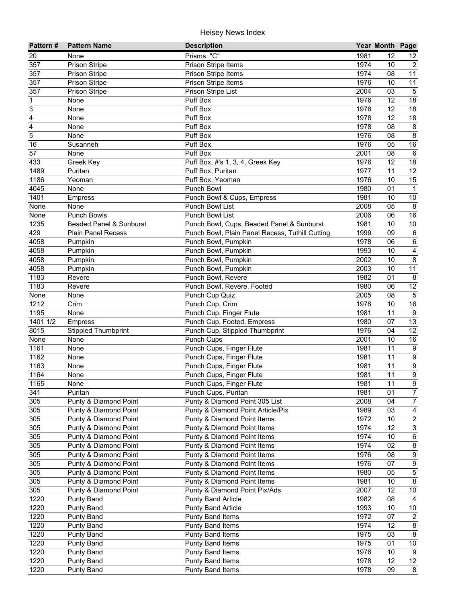| Pattern#       | <b>Pattern Name</b>                | <b>Description</b>                              |      | Year Month Page |                           |
|----------------|------------------------------------|-------------------------------------------------|------|-----------------|---------------------------|
| 20             | None                               | Prisms, "C"                                     | 1981 | 12              | 12                        |
| 357            | <b>Prison Stripe</b>               | Prison Stripe Items                             | 1974 | 10              | $\overline{2}$            |
| 357            | <b>Prison Stripe</b>               | Prison Stripe Items                             | 1974 | 08              | $\overline{11}$           |
| 357            | Prison Stripe                      | Prison Stripe Items                             | 1976 | 10              | $\overline{11}$           |
| 357            | Prison Stripe                      | Prison Stripe List                              | 2004 | $\overline{03}$ | $\overline{5}$            |
| $\overline{1}$ | None                               | Puff Box                                        | 1976 | 12              | $\overline{18}$           |
| 3              | None                               | Puff Box                                        | 1976 | 12              | 18                        |
| 4              | None                               | Puff Box                                        | 1978 | $\overline{12}$ | 18                        |
| 4              | None                               | Puff Box                                        | 1978 | 08              | $\bf 8$                   |
| 5              | None                               | Puff Box                                        | 1976 | 08              | 8                         |
| 16             | Susanneh                           | Puff Box                                        | 1976 | 05              | 16                        |
| 57             | None                               | Puff Box                                        | 2001 | 08              | $6\phantom{1}6$           |
| 433            | Greek Key                          | Puff Box, #'s 1, 3, 4, Greek Key                | 1976 | 12              | 18                        |
| 1489           | Puritan                            | Puff Box, Puritan                               | 1977 | 11              | 12                        |
| 1186           | Yeoman                             | Puff Box, Yeoman                                | 1976 | 10              | 15                        |
| 4045           | None                               | Punch Bowl                                      | 1980 | 01              | $\mathbf{1}$              |
| 1401           | <b>Empress</b>                     | Punch Bowl & Cups, Empress                      | 1981 | 10              | 10                        |
| None           | None                               | Punch Bowl List                                 | 2008 | 05              | 8                         |
| None           | <b>Punch Bowls</b>                 | Punch Bowl List                                 | 2006 | 06              | 16                        |
| 1235           | <b>Beaded Panel &amp; Sunburst</b> | Punch Bowl, Cups, Beaded Panel & Sunburst       | 1981 | 10              | $10$                      |
| 429            | <b>Plain Panel Recess</b>          | Punch Bowl, Plain Panel Recess, Tuthill Cutting | 1999 | 09              | $\,6$                     |
| 4058           | Pumpkin                            | Punch Bowl, Pumpkin                             | 1978 | 06              | $\,6\,$                   |
| 4058           | Pumpkin                            | Punch Bowl, Pumpkin                             | 1993 | 10              | 4                         |
| 4058           | Pumpkin                            | Punch Bowl, Pumpkin                             | 2002 | 10              | $\,8\,$                   |
| 4058           | Pumpkin                            | Punch Bowl, Pumpkin                             | 2003 | 10              | 11                        |
| 1183           | Revere                             | Punch Bowl, Revere                              | 1982 | 01              | 8                         |
| 1183           | Revere                             | Punch Bowl, Revere, Footed                      | 1980 | 06              | 12                        |
| None           | None                               | Punch Cup Quiz                                  | 2005 | 08              | $\overline{5}$            |
| 1212           | Crim                               | Punch Cup, Crim                                 | 1978 | 10              | 16                        |
| 1195           | None                               | Punch Cup, Finger Flute                         | 1981 | 11              | 9                         |
| 1401 1/2       | <b>Empress</b>                     | Punch Cup, Footed, Empress                      | 1980 | 07              | 13                        |
| 8015           | <b>Stippled Thumbprint</b>         | Punch Cup, Stippled Thumbprint                  | 1976 | 04              | 12                        |
| None           | None                               | Punch Cups                                      | 2001 | 10              | 16                        |
| 1161           | None                               | Punch Cups, Finger Flute                        | 1981 | 11              | $\boldsymbol{9}$          |
| 1162           | None                               | Punch Cups, Finger Flute                        | 1981 | 11              | $\overline{9}$            |
| 1163           | None                               | Punch Cups, Finger Flute                        | 1981 | 11              | $\overline{9}$            |
| 1164           | None                               | Punch Cups, Finger Flute                        | 1981 | 11              | $\overline{9}$            |
| 1165           | None                               | Punch Cups, Finger Flute                        | 1981 | $\overline{11}$ | $\overline{9}$            |
| 341            | Puritan                            | Punch Cups, Puritan                             | 1981 | 01              | $\overline{7}$            |
| 305            | Punty & Diamond Point              | Punty & Diamond Point 305 List                  | 2008 | 04              | 7                         |
| 305            | Punty & Diamond Point              | Punty & Diamond Point Article/Pix               | 1989 | 03              | $\overline{\mathbf{4}}$   |
| 305            | Punty & Diamond Point              | Punty & Diamond Point Items                     | 1972 | 10              | $\overline{2}$            |
| 305            | Punty & Diamond Point              | Punty & Diamond Point Items                     | 1974 | 12              | $\ensuremath{\mathsf{3}}$ |
| 305            | Punty & Diamond Point              | Punty & Diamond Point Items                     | 1974 | 10              | $\,6\,$                   |
| 305            | Punty & Diamond Point              | Punty & Diamond Point Items                     | 1974 | 02              | $\bf 8$                   |
| 305            | Punty & Diamond Point              | Punty & Diamond Point Items                     | 1976 | 08              | $\boldsymbol{9}$          |
| 305            | Punty & Diamond Point              | Punty & Diamond Point Items                     | 1976 | 07              | $\boldsymbol{9}$          |
| 305            | Punty & Diamond Point              | Punty & Diamond Point Items                     | 1980 | 05              | $\mathbf 5$               |
| 305            | Punty & Diamond Point              | Punty & Diamond Point Items                     | 1981 | 10              | $\bf 8$                   |
| 305            | Punty & Diamond Point              | Punty & Diamond Point Pix/Ads                   | 2007 | 12              | 10                        |
| 1220           | <b>Punty Band</b>                  | <b>Punty Band Article</b>                       | 1982 | 08              | $\overline{4}$            |
| 1220           | <b>Punty Band</b>                  | <b>Punty Band Article</b>                       | 1993 | 10              | $10\,$                    |
| 1220           | <b>Punty Band</b>                  | <b>Punty Band Items</b>                         | 1972 | 07              | $\overline{c}$            |
| 1220           | <b>Punty Band</b>                  | <b>Punty Band Items</b>                         | 1974 | 12              | $\overline{8}$            |
| 1220           | <b>Punty Band</b>                  | <b>Punty Band Items</b>                         | 1975 | 03              | $\overline{8}$            |
| 1220           | <b>Punty Band</b>                  | <b>Punty Band Items</b>                         | 1975 | 01              | $10\,$                    |
| 1220           | <b>Punty Band</b>                  | <b>Punty Band Items</b>                         | 1976 | 10              | 9                         |
| 1220           | <b>Punty Band</b>                  | <b>Punty Band Items</b>                         | 1978 | 12              | 12                        |
| 1220           | <b>Punty Band</b>                  | <b>Punty Band Items</b>                         | 1978 | 09              | 8                         |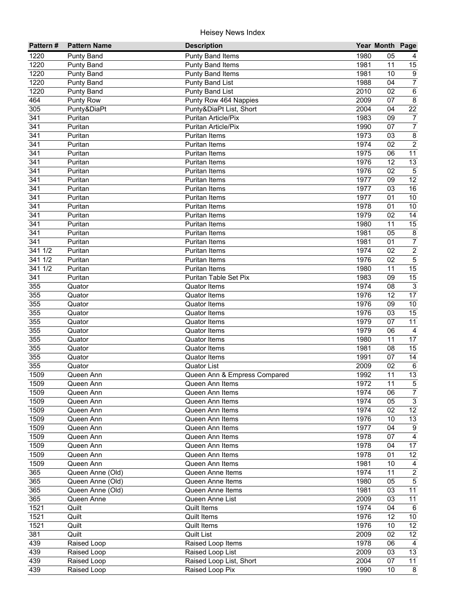| Pattern#         | <b>Pattern Name</b> | <b>Description</b>           |      | Year Month Page |                  |
|------------------|---------------------|------------------------------|------|-----------------|------------------|
| 1220             | <b>Punty Band</b>   | <b>Punty Band Items</b>      | 1980 | 05              | 4                |
| 1220             | <b>Punty Band</b>   | Punty Band Items             | 1981 | 11              | 15               |
| 1220             | <b>Punty Band</b>   | Punty Band Items             | 1981 | 10              | $\overline{9}$   |
| 1220             | Punty Band          | Punty Band List              | 1988 | 04              | $\overline{7}$   |
| 1220             | <b>Punty Band</b>   | Punty Band List              | 2010 | 02              | $\overline{6}$   |
| 464              | Punty Row           | Punty Row 464 Nappies        | 2009 | 07              | $\overline{8}$   |
| 305              | Punty&DiaPt         | Punty&DiaPt List, Short      | 2004 | 04              | $\overline{22}$  |
| 341              | Puritan             | <b>Puritan Article/Pix</b>   | 1983 | 09              | $\overline{7}$   |
| 341              | Puritan             | Puritan Article/Pix          | 1990 | 07              | $\boldsymbol{7}$ |
| 341              | Puritan             | <b>Puritan Items</b>         | 1973 | 03              | $\bf 8$          |
| 341              | Puritan             | <b>Puritan Items</b>         | 1974 | 02              | $\overline{2}$   |
| 341              | Puritan             | <b>Puritan Items</b>         | 1975 | 06              | 11               |
| 341              | Puritan             | <b>Puritan Items</b>         | 1976 | 12              | 13               |
| 341              | Puritan             | Puritan Items                | 1976 | 02              | $\mathbf 5$      |
| 341              | Puritan             | Puritan Items                | 1977 | 09              | 12               |
| 341              | Puritan             | <b>Puritan Items</b>         | 1977 | 03              | 16               |
| 341              | Puritan             | <b>Puritan Items</b>         | 1977 | 01              | 10               |
| 341              | Puritan             | <b>Puritan Items</b>         | 1978 | 01              | $10$             |
| $\overline{341}$ | Puritan             | <b>Puritan Items</b>         | 1979 | 02              | 14               |
| 341              | Puritan             | <b>Puritan Items</b>         | 1980 | 11              | 15               |
| $\overline{341}$ | Puritan             | <b>Puritan Items</b>         | 1981 | 05              | $\bf 8$          |
| 341              | Puritan             | <b>Puritan Items</b>         | 1981 | 01              | $\boldsymbol{7}$ |
| 341 1/2          | Puritan             | <b>Puritan Items</b>         | 1974 | 02              | $\overline{2}$   |
| 341 1/2          | Puritan             | <b>Puritan Items</b>         | 1976 | 02              | $\overline{5}$   |
| 341 1/2          | Puritan             | <b>Puritan Items</b>         | 1980 | 11              | 15               |
| 341              | Puritan             | Puritan Table Set Pix        | 1983 | 09              | 15               |
| 355              | Quator              | <b>Quator Items</b>          | 1974 | 08              | $\mathbf{3}$     |
| 355              | Quator              | <b>Quator Items</b>          | 1976 | 12              | 17               |
| 355              | Quator              | <b>Quator Items</b>          | 1976 | 09              | $10\,$           |
| 355              | Quator              | <b>Quator Items</b>          | 1976 | 03              | 15               |
| 355              | Quator              | <b>Quator Items</b>          | 1979 | 07              | $\overline{11}$  |
| 355              | Quator              | Quator Items                 | 1979 | 06              | 4                |
| 355              | Quator              | <b>Quator Items</b>          | 1980 | 11              | $\overline{17}$  |
| 355              | Quator              | <b>Quator Items</b>          | 1981 | 08              | 15               |
| 355              | Quator              | <b>Quator Items</b>          | 1991 | 07              | $\overline{14}$  |
| 355              | Quator              | <b>Quator List</b>           | 2009 | 02              | 6                |
| 1509             | Queen Ann           | Queen Ann & Empress Compared | 1992 | 11              | 13               |
| 1509             | Queen Ann           | Queen Ann Items              | 1972 | 11              | $\overline{5}$   |
| 1509             | Queen Ann           | Queen Ann Items              | 1974 | 06              | $\overline{7}$   |
| 1509             | Queen Ann           | Queen Ann Items              | 1974 | 05              | $\mathfrak{S}$   |
| 1509             | Queen Ann           | Queen Ann Items              | 1974 | 02              | 12               |
| 1509             | Queen Ann           | Queen Ann Items              | 1976 | 10              | 13               |
| 1509             | Queen Ann           | Queen Ann Items              | 1977 | 04              | 9                |
| 1509             | Queen Ann           | Queen Ann Items              | 1978 | 07              | $\overline{4}$   |
| 1509             | Queen Ann           | Queen Ann Items              | 1978 | 04              | 17               |
| 1509             | Queen Ann           | Queen Ann Items              | 1978 | 01              | 12               |
| 1509             | Queen Ann           | Queen Ann Items              | 1981 | 10              | 4                |
| 365              | Queen Anne (Old)    | Queen Anne Items             | 1974 | 11              | $\overline{2}$   |
| 365              | Queen Anne (Old)    | Queen Anne Items             | 1980 | 05              | $\overline{5}$   |
| 365              | Queen Anne (Old)    | Queen Anne Items             | 1981 | 03              | 11               |
| 365              | Queen Anne          | Queen Anne List              | 2009 | 03              | 11               |
| 1521             | Quilt               | <b>Quilt Items</b>           | 1974 | 04              | 6                |
| 1521             | Quilt               | <b>Quilt Items</b>           | 1976 | 12              | 10               |
| 1521             | Quilt               | <b>Quilt Items</b>           | 1976 | 10              | $\overline{12}$  |
| 381              | Quilt               | Quilt List                   | 2009 | 02              | $\overline{12}$  |
| 439              | Raised Loop         | Raised Loop Items            | 1978 | 06              | $\overline{4}$   |
| 439              | Raised Loop         | Raised Loop List             | 2009 | 03              | 13               |
| 439              | Raised Loop         | Raised Loop List, Short      | 2004 | 07              | 11               |
| 439              | Raised Loop         | Raised Loop Pix              | 1990 | 10              | 8                |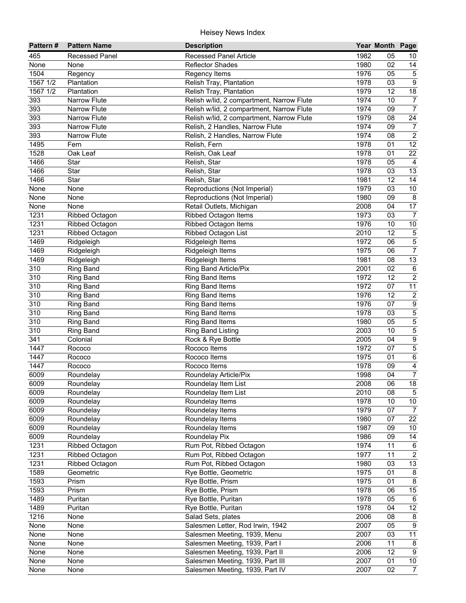| Pattern#         | <b>Pattern Name</b>   | <b>Description</b>                        |      | Year Month Page |                 |
|------------------|-----------------------|-------------------------------------------|------|-----------------|-----------------|
| 465              | <b>Recessed Panel</b> | <b>Recessed Panel Article</b>             | 1982 | 05              | 10              |
| None             | None                  | <b>Reflector Shades</b>                   | 1980 | 02              | 14              |
| 1504             | Regency               | Regency Items                             | 1976 | 05              | $\overline{5}$  |
| 1567 1/2         | Plantation            | Relish Tray, Plantation                   | 1978 | 03              | $\overline{9}$  |
| 1567 1/2         | Plantation            | Relish Tray, Plantation                   | 1979 | $\overline{12}$ | 18              |
| 393              | <b>Narrow Flute</b>   | Relish w/lid, 2 compartment, Narrow Flute | 1974 | 10              | $\overline{7}$  |
| 393              | Narrow Flute          | Relish w/lid, 2 compartment, Narrow Flute | 1974 | 09              | $\overline{7}$  |
| 393              | Narrow Flute          | Relish w/lid, 2 compartment, Narrow Flute | 1979 | 08              | $\overline{24}$ |
| 393              | <b>Narrow Flute</b>   | Relish, 2 Handles, Narrow Flute           | 1974 | 09              | $\overline{7}$  |
| 393              | <b>Narrow Flute</b>   | Relish, 2 Handles, Narrow Flute           | 1974 | 08              | $\overline{2}$  |
| 1495             | Fern                  | Relish, Fern                              | 1978 | 01              | $\overline{12}$ |
| 1528             | Oak Leaf              | Relish, Oak Leaf                          | 1978 | 01              | 22              |
| 1466             | Star                  | Relish, Star                              | 1978 | 05              | $\overline{4}$  |
| 1466             | Star                  | Relish, Star                              | 1978 | 03              | 13              |
| 1466             | Star                  | Relish, Star                              | 1981 | 12              | 14              |
| None             | None                  | Reproductions (Not Imperial)              | 1979 | 03              | $10\,$          |
| None             | None                  | Reproductions (Not Imperial)              | 1980 | 09              | $\bf 8$         |
| None             | None                  | Retail Outlets, Michigan                  | 2008 | 04              | $\overline{17}$ |
| 1231             | Ribbed Octagon        | Ribbed Octagon Items                      | 1973 | 03              | $\overline{7}$  |
| 1231             | <b>Ribbed Octagon</b> | Ribbed Octagon Items                      | 1976 | 10              | $10$            |
| 1231             | <b>Ribbed Octagon</b> | <b>Ribbed Octagon List</b>                | 2010 | 12              | $\overline{5}$  |
| 1469             | Ridgeleigh            | Ridgeleigh Items                          | 1972 | 06              | 5               |
| 1469             | Ridgeleigh            | Ridgeleigh Items                          | 1975 | 06              | $\overline{7}$  |
| 1469             | Ridgeleigh            | Ridgeleigh Items                          | 1981 | 08              | 13              |
| 310              | <b>Ring Band</b>      | Ring Band Article/Pix                     | 2001 | 02              | $\,6\,$         |
| 310              | <b>Ring Band</b>      | <b>Ring Band Items</b>                    | 1972 | 12              | $\overline{2}$  |
| 310              | <b>Ring Band</b>      | Ring Band Items                           | 1972 | 07              | 11              |
| $\overline{310}$ | <b>Ring Band</b>      | Ring Band Items                           | 1976 | $\overline{12}$ | $\overline{2}$  |
| $\overline{310}$ | <b>Ring Band</b>      | Ring Band Items                           | 1976 | 07              | $\overline{9}$  |
| $\overline{310}$ | <b>Ring Band</b>      | <b>Ring Band Items</b>                    | 1978 | 03              | $\overline{5}$  |
| $\overline{310}$ | <b>Ring Band</b>      | <b>Ring Band Items</b>                    | 1980 | 05              | $\overline{5}$  |
| $\overline{310}$ | <b>Ring Band</b>      | Ring Band Listing                         | 2003 | 10              | $\overline{5}$  |
| $\overline{341}$ | Colonial              | Rock & Rye Bottle                         | 2005 | 04              | $\overline{9}$  |
| 1447             | Rococo                | Rococo Items                              | 1972 | 07              | $\overline{5}$  |
| 1447             | Rococo                | Rococo Items                              | 1975 | 01              | $6\overline{6}$ |
| 1447             | Rococo                | Rococo Items                              | 1978 | 09              | $\overline{4}$  |
| 6009             | Roundelay             | Roundelay Article/Pix                     | 1998 | 04              | $\overline{7}$  |
| 6009             | Roundelay             | Roundelay Item List                       | 2008 | 06              | 18              |
| 6009             | Roundelay             | Roundelay Item List                       | 2010 | 08              | $\overline{5}$  |
| 6009             | Roundelay             | Roundelay Items                           | 1978 | 10              | $10\,$          |
| 6009             | Roundelay             | Roundelay Items                           | 1979 | 07              | $\overline{7}$  |
| 6009             | Roundelay             | Roundelay Items                           | 1980 | 07              | $\overline{22}$ |
| 6009             | Roundelay             | Roundelay Items                           | 1987 | 09              | $10\,$          |
| 6009             | Roundelay             | Roundelay Pix                             | 1986 | 09              | 14              |
| 1231             | Ribbed Octagon        | Rum Pot, Ribbed Octagon                   | 1974 | 11              | 6               |
| 1231             | Ribbed Octagon        | Rum Pot, Ribbed Octagon                   | 1977 | 11              | $\sqrt{2}$      |
| 1231             | Ribbed Octagon        | Rum Pot, Ribbed Octagon                   | 1980 | 03              | $13$            |
| 1589             | Geometric             | Rye Bottle, Geometric                     | 1975 | 01              | $\bf 8$         |
| 1593             | Prism                 | Rye Bottle, Prism                         | 1975 | 01              | $\bf 8$         |
| 1593             | Prism                 | Rye Bottle, Prism                         | 1978 | 06              | $15\,$          |
| 1489             | Puritan               | Rye Bottle, Puritan                       | 1978 | 05              | $6\phantom{1}6$ |
| 1489             | Puritan               | Rye Bottle, Puritan                       | 1978 | 04              | 12              |
| 1216             | None                  | Salad Sets, plates                        | 2006 | 08              | 8               |
| None             | None                  | Salesmen Letter, Rod Irwin, 1942          | 2007 | 05              | $\overline{9}$  |
| None             | None                  | Salesmen Meeting, 1939, Menu              | 2007 | 03              | $\overline{11}$ |
| None             | None                  | Salesmen Meeting, 1939, Part I            | 2006 | 11              | 8               |
| None             | None                  | Salesmen Meeting, 1939, Part II           | 2006 | 12              | 9               |
| None             | None                  | Salesmen Meeting, 1939, Part III          | 2007 | 01              | $\overline{10}$ |
| None             | None                  | Salesmen Meeting, 1939, Part IV           | 2007 | $\overline{02}$ | $\overline{7}$  |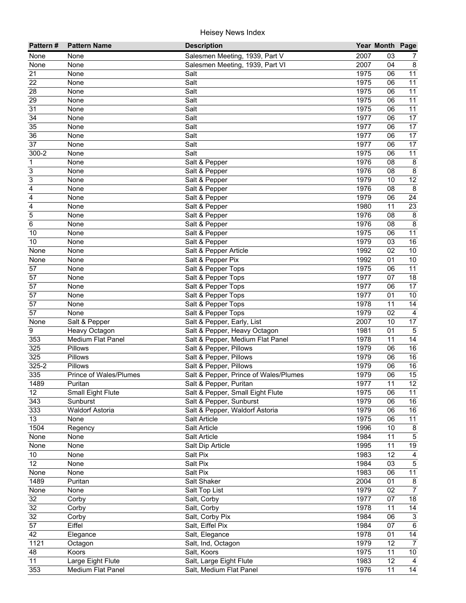| Pattern#        | <b>Pattern Name</b>           | <b>Description</b>                                          |              | Year Month Page |                     |
|-----------------|-------------------------------|-------------------------------------------------------------|--------------|-----------------|---------------------|
| None            | None                          | Salesmen Meeting, 1939, Part V                              | 2007         | 03              | 7                   |
| None            | None                          | Salesmen Meeting, 1939, Part VI                             | 2007         | 04              | 8                   |
| 21              | None                          | Salt                                                        | 1975         | 06              | 11                  |
| 22              | None                          | Salt                                                        | 1975         | 06              | $\overline{11}$     |
| 28              | None                          | Salt                                                        | 1975         | 06              | $\overline{11}$     |
| 29              | None                          | Salt                                                        | 1975         | 06              | 11                  |
| $\overline{31}$ | None                          | Salt                                                        | 1975         | 06              | $\overline{11}$     |
| $\overline{34}$ | None                          | Salt                                                        | 1977         | 06              | $\overline{17}$     |
| $\overline{35}$ | None                          | Salt                                                        | 1977         | 06              | $\overline{17}$     |
| 36              | None                          | Salt                                                        | 1977         | 06              | 17                  |
| 37              | None                          | Salt                                                        | 1977         | 06              | 17                  |
| $300 - 2$       | None                          | Salt                                                        | 1975         | 06              | 11                  |
| $\mathbf 1$     | None                          | Salt & Pepper                                               | 1976         | 08              | $\bf 8$             |
| 3               | None                          | Salt & Pepper                                               | 1976         | 08              | $\bf 8$             |
| 3               | None                          | Salt & Pepper                                               | 1979         | 10              | 12                  |
| 4               | None                          | Salt & Pepper                                               | 1976         | 08              | $\bf 8$             |
| 4               | None                          | Salt & Pepper                                               | 1979         | 06              | 24                  |
| 4               | None                          | Salt & Pepper                                               | 1980         | 11              | 23                  |
| 5               | None                          | Salt & Pepper                                               | 1976         | 08              | $\bf 8$             |
| 6               | None                          | Salt & Pepper                                               | 1976         | 08              | 8                   |
| 10              | None                          | Salt & Pepper                                               | 1975         | 06              | 11                  |
| 10              | None                          | Salt & Pepper                                               | 1979         | 03              | 16                  |
| None            | None                          | Salt & Pepper Article                                       | 1992         | 02              | 10                  |
| None            | None                          | Salt & Pepper Pix                                           | 1992         | 01              | 10                  |
| 57              | None                          | Salt & Pepper Tops                                          | 1975         | 06              | 11                  |
| 57              | None                          | Salt & Pepper Tops                                          | 1977         | 07              | 18                  |
| 57              | None                          | Salt & Pepper Tops                                          | 1977         | 06              | 17                  |
| 57              | None                          | Salt & Pepper Tops                                          | 1977         | 01              | 10                  |
| $\overline{57}$ | None                          | Salt & Pepper Tops                                          | 1978         | 11              | 14                  |
| $\overline{57}$ | None                          | Salt & Pepper Tops                                          | 1979         | 02              | $\overline{4}$      |
| None            | Salt & Pepper                 | Salt & Pepper, Early, List                                  | 2007         | 10              | 17                  |
| 9               | Heavy Octagon                 | Salt & Pepper, Heavy Octagon                                | 1981         | 01              | $\overline{5}$      |
| 353             | Medium Flat Panel             | Salt & Pepper, Medium Flat Panel                            | 1978         | 11              | 14                  |
| 325             | Pillows                       | Salt & Pepper, Pillows                                      | 1979         | 06              | 16                  |
| 325             | Pillows                       | Salt & Pepper, Pillows                                      | 1979         | 06              | 16                  |
| 325-2           | <b>Pillows</b>                | Salt & Pepper, Pillows                                      | 1979         | 06              | 16                  |
| 335             | Prince of Wales/Plumes        | Salt & Pepper, Prince of Wales/Plumes                       | 1979         | 06              | 15<br>12            |
| 1489<br>12      | Puritan                       | Salt & Pepper, Puritan                                      | 1977         | 11              | 11                  |
| 343             | Small Eight Flute<br>Sunburst | Salt & Pepper, Small Eight Flute<br>Salt & Pepper, Sunburst | 1975<br>1979 | 06<br>06        | 16                  |
| 333             | <b>Waldorf Astoria</b>        | Salt & Pepper, Waldorf Astoria                              | 1979         | 06              | 16                  |
| 13              | None                          | Salt Article                                                | 1975         | 06              | 11                  |
| 1504            | Regency                       | Salt Article                                                | 1996         | 10              | 8                   |
| None            | None                          | Salt Article                                                | 1984         | 11              | $\mathbf 5$         |
| None            | None                          | Salt Dip Article                                            | 1995         | 11              | 19                  |
| 10              | None                          | Salt Pix                                                    | 1983         | 12              | 4                   |
| 12              | None                          | Salt Pix                                                    | 1984         | 03              | $\mathbf 5$         |
| None            | None                          | Salt Pix                                                    | 1983         | 06              | 11                  |
| 1489            | Puritan                       | Salt Shaker                                                 | 2004         | 01              | $\bf 8$             |
| None            | None                          | Salt Top List                                               | 1979         | 02              | $\overline{7}$      |
| 32              | Corby                         | Salt, Corby                                                 | 1977         | 07              | 18                  |
| 32              | Corby                         | Salt, Corby                                                 | 1978         | 11              | 14                  |
| 32              | Corby                         | Salt, Corby Pix                                             | 1984         | 06              | $\overline{\omega}$ |
| $\overline{57}$ | Eiffel                        | Salt, Eiffel Pix                                            | 1984         | 07              | $\overline{6}$      |
| 42              | Elegance                      | Salt, Elegance                                              | 1978         | 01              | 14                  |
| 1121            | Octagon                       | Salt, Ind, Octagon                                          | 1979         | 12              | $\overline{7}$      |
| 48              | Koors                         | Salt, Koors                                                 | 1975         | 11              | 10                  |
| 11              | Large Eight Flute             | Salt, Large Eight Flute                                     | 1983         | 12              | $\overline{4}$      |
| 353             | Medium Flat Panel             | Salt, Medium Flat Panel                                     | 1976         | 11              | $\overline{14}$     |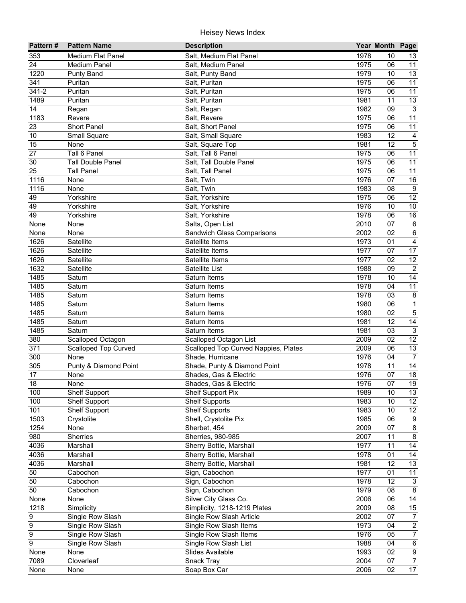| Pattern#         | <b>Pattern Name</b>         | <b>Description</b>                             |              | Year Month Page |                                             |
|------------------|-----------------------------|------------------------------------------------|--------------|-----------------|---------------------------------------------|
| 353              | <b>Medium Flat Panel</b>    | Salt, Medium Flat Panel                        | 1978         | 10              | 13                                          |
| 24               | <b>Medium Panel</b>         | Salt, Medium Panel                             | 1975         | 06              | 11                                          |
| 1220             | <b>Punty Band</b>           | Salt, Punty Band                               | 1979         | 10              | $\overline{13}$                             |
| 341              | Puritan                     | Salt, Puritan                                  | 1975         | 06              | 11                                          |
| $341 - 2$        | Puritan                     | Salt, Puritan                                  | 1975         | 06              | 11                                          |
| 1489             | Puritan                     | Salt, Puritan                                  | 1981         | 11              | 13                                          |
| 14               | Regan                       | Salt, Regan                                    | 1982         | 09              | $\overline{3}$                              |
| 1183             | Revere                      | Salt, Revere                                   | 1975         | 06              | 11                                          |
| 23               | Short Panel                 | Salt, Short Panel                              | 1975         | 06              | $\overline{11}$                             |
| $10$             | <b>Small Square</b>         | Salt, Small Square                             | 1983         | 12              | $\overline{\mathbf{4}}$                     |
| 15               | None                        | Salt, Square Top                               | 1981         | 12              | $\overline{5}$                              |
| 27               | Tall 6 Panel                | Salt, Tall 6 Panel                             | 1975         | 06              | $\overline{11}$                             |
| 30               | <b>Tall Double Panel</b>    | Salt, Tall Double Panel                        | 1975         | 06              | 11                                          |
| 25               | <b>Tall Panel</b>           | Salt, Tall Panel                               | 1975         | 06              | 11                                          |
| 1116             | None                        | Salt, Twin                                     | 1976         | 07              | 16                                          |
| 1116             | None                        | Salt, Twin                                     | 1983         | 08              | $\boldsymbol{9}$                            |
| 49               | Yorkshire                   | Salt, Yorkshire                                | 1975         | 06              | 12                                          |
| 49               | Yorkshire                   | Salt, Yorkshire                                | 1976         | 10              | 10                                          |
| 49               | Yorkshire                   | Salt, Yorkshire                                | 1978         | 06              | 16                                          |
| None             | None                        | Salts, Open List                               | 2010         | 07              | $\,6\,$                                     |
| None             | None                        | Sandwich Glass Comparisons                     | 2002         | 02              | $\overline{6}$                              |
| 1626             | Satellite                   | Satellite Items                                | 1973         | 01              | $\overline{4}$                              |
| 1626             | Satellite                   | Satellite Items                                | 1977         | 07              | 17                                          |
| 1626             | Satellite                   | Satellite Items                                | 1977         | 02              | $\overline{12}$                             |
| 1632             | Satellite                   | Satellite List                                 | 1988         | 09              | $\overline{2}$                              |
| 1485             | Saturn                      | Saturn Items                                   | 1978         | 10              | 14                                          |
| 1485             | Saturn                      | Saturn Items                                   | 1978         | 04              | $\overline{11}$                             |
| 1485             | Saturn                      | Saturn Items                                   | 1978         | 03              | $\overline{\mathbf{8}}$                     |
| 1485             | Saturn                      | Saturn Items                                   | 1980         | 06              | $\overline{1}$                              |
| 1485             | Saturn                      | Saturn Items                                   | 1980         | 02              | $\overline{5}$                              |
| 1485             | Saturn                      | Saturn Items                                   | 1981         | $\overline{12}$ | $\overline{14}$                             |
| 1485             | Saturn                      | Saturn Items                                   | 1981         | 03              | $\overline{3}$                              |
| 380              | Scalloped Octagon           | Scalloped Octagon List                         | 2009         | 02              | $\overline{12}$                             |
| $\overline{371}$ | <b>Scalloped Top Curved</b> | Scalloped Top Curved Nappies, Plates           | 2009         | 06              | 13                                          |
| 300              | None                        | Shade, Hurricane                               | 1976         | 04              | $\overline{7}$                              |
| 305              | Punty & Diamond Point       | Shade, Punty & Diamond Point                   | 1978         | 11              | 14                                          |
| 17               | None                        | Shades, Gas & Electric                         | 1976         | 07              | 18                                          |
| 18               | None                        | Shades, Gas & Electric                         | 1976         | 07              | 19                                          |
| 100              | <b>Shelf Support</b>        | Shelf Support Pix                              | 1989         | 10              | 13                                          |
| 100              | <b>Shelf Support</b>        | <b>Shelf Supports</b>                          | 1983         | 10              | 12 <sup>°</sup>                             |
| 101              | <b>Shelf Support</b>        | <b>Shelf Supports</b><br>Shell, Crystolite Pix | 1983         | 10              | $12 \overline{ }$                           |
| 1503             | Crystolite                  |                                                | 1985         | 06<br>07        | $\boldsymbol{9}$<br>$\overline{\mathbf{8}}$ |
| 1254<br>980      | None<br>Sherries            | Sherbet, 454<br>Sherries, 980-985              | 2009<br>2007 | 11              | $\overline{8}$                              |
| 4036             | Marshall                    | Sherry Bottle, Marshall                        | 1977         | 11              | 14                                          |
| 4036             | Marshall                    | Sherry Bottle, Marshall                        | 1978         | 01              | 14                                          |
| 4036             | Marshall                    | Sherry Bottle, Marshall                        | 1981         | 12              | 13                                          |
| 50               | Cabochon                    | Sign, Cabochon                                 | 1977         | 01              | 11                                          |
| 50               | Cabochon                    | Sign, Cabochon                                 | 1978         | 12              | $\mathsf 3$                                 |
| 50               | Cabochon                    | Sign, Cabochon                                 | 1979         | 08              | 8                                           |
| None             | None                        | Silver City Glass Co.                          | 2006         | 06              | 14                                          |
| 1218             | Simplicity                  | Simplicity, 1218-1219 Plates                   | 2009         | 08              | 15                                          |
| 9                | Single Row Slash            | Single Row Slash Article                       | 2002         | 07              | $\overline{7}$                              |
| 9                | Single Row Slash            | Single Row Slash Items                         | 1973         | 04              | $\overline{2}$                              |
| 9                | Single Row Slash            | Single Row Slash Items                         | 1976         | 05              | $\overline{7}$                              |
| $\overline{9}$   | Single Row Slash            | Single Row Slash List                          | 1988         | 04              | $\overline{6}$                              |
| None             | None                        | Slides Available                               | 1993         | 02              | $\overline{9}$                              |
| 7089             | Cloverleaf                  | Snack Tray                                     | 2004         | 07              | $\overline{7}$                              |
| None             | None                        | Soap Box Car                                   | 2006         | 02              | $\overline{17}$                             |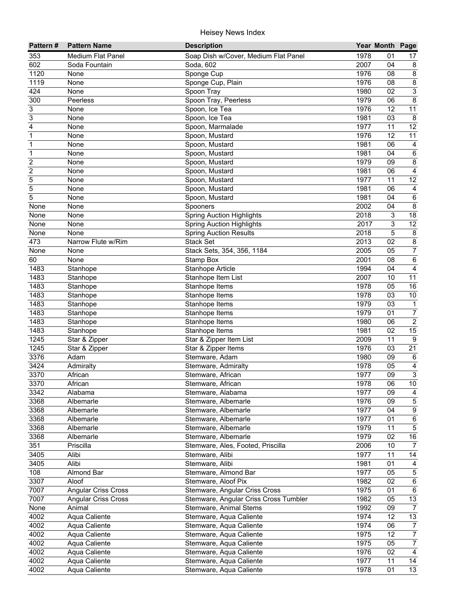| 353<br><b>Medium Flat Panel</b><br>Soap Dish w/Cover, Medium Flat Panel<br>1978<br>01<br>17<br>2007<br>602<br>Soda, 602<br>04<br>8<br>Soda Fountain<br>$\overline{\mathbf{8}}$<br>1120<br>Sponge Cup<br>1976<br>08<br>None<br>$\overline{8}$<br>1976<br>1119<br>Sponge Cup, Plain<br>08<br>None<br>$\overline{3}$<br>424<br>Spoon Tray<br>1980<br>02<br>None<br>$\overline{8}$<br>Spoon Tray, Peerless<br>300<br>1979<br>06<br>Peerless<br>11<br>3<br>1976<br>$\overline{12}$<br>Spoon, Ice Tea<br>None<br>3<br>$\overline{03}$<br>$\overline{8}$<br>1981<br>None<br>Spoon, Ice Tea<br>$\overline{12}$<br>4<br>1977<br>11<br>None<br>Spoon, Marmalade<br>12<br>11<br>$\mathbf 1$<br>1976<br>None<br>Spoon, Mustard<br>$\mathbf 1$<br>1981<br>06<br>None<br>Spoon, Mustard<br>4<br>1981<br>04<br>$\,6\,$<br>1<br>None<br>Spoon, Mustard<br>$\overline{c}$<br>1979<br>09<br>8<br>Spoon, Mustard<br>None<br>$\overline{\mathbf{4}}$<br>$\overline{c}$<br>Spoon, Mustard<br>06<br>None<br>1981<br>Spoon, Mustard<br>11<br>12<br>5<br>None<br>1977<br>5<br>Spoon, Mustard<br>1981<br>None<br>06<br>$\overline{4}$<br>5<br>1981<br>04<br>$\,6\,$<br>Spoon, Mustard<br>None<br>$\bf 8$<br>None<br>None<br>Spooners<br>2002<br>04<br>18<br>None<br><b>Spring Auction Highlights</b><br>2018<br>3<br>None<br>$\overline{12}$<br>3<br><b>Spring Auction Highlights</b><br>2017<br>None<br>None<br>5<br>$\bf 8$<br>None<br><b>Spring Auction Results</b><br>2018<br>None<br>$\overline{8}$<br>02<br>473<br>Stack Set<br>Narrow Flute w/Rim<br>2013<br>$\overline{7}$<br>2005<br>05<br>None<br>None<br>Stack Sets, 354, 356, 1184<br>$\overline{6}$<br>60<br>Stamp Box<br>2001<br>08<br>None<br>$\overline{\mathbf{4}}$<br>1483<br>Stanhope Article<br>1994<br>04<br>Stanhope<br>11<br>1483<br>2007<br>10<br>Stanhope Item List<br>Stanhope<br>16<br>1483<br>1978<br>05<br>Stanhope<br>Stanhope Items<br>1483<br>1978<br>03<br>$10$<br>Stanhope<br>Stanhope Items<br>1483<br>1979<br>03<br>$\mathbf{1}$<br>Stanhope<br>Stanhope Items<br>$\overline{7}$<br>1483<br>1979<br>Stanhope<br>Stanhope Items<br>01<br>$\overline{2}$<br>1483<br>Stanhope Items<br>Stanhope<br>1980<br>06<br>15<br>1483<br>Stanhope Items<br>1981<br>02<br>Stanhope<br>$\overline{9}$<br>1245<br>Star & Zipper Item List<br>2009<br>11<br>Star & Zipper<br>$\overline{21}$<br>1245<br>1976<br>Star & Zipper<br>Star & Zipper Items<br>03<br>3376<br>Stemware, Adam<br>Adam<br>1980<br>09<br>$\,6$<br>$\overline{\mathbf{4}}$<br>3424<br>1978<br>05<br>Admiralty<br>Stemware, Admiralty<br>$\overline{3}$<br>3370<br>1977<br>09<br>African<br>Stemware, African<br>10<br>African<br>1978<br>06<br>3370<br>Stemware, African<br>3342<br>1977<br>09<br>Alabama<br>Stemware, Alabama<br>4<br>3368<br>1976<br>09<br>$\sqrt{5}$<br>Albemarle<br>Stemware, Albemarle<br>3368<br>1977<br>9<br>04<br>Albemarle<br>Stemware, Albemarle<br>3368<br>1977<br>01<br>6<br>Albemarle<br>Stemware, Albemarle<br>5<br>3368<br>1979<br>Albemarle<br>Stemware, Albemarle<br>11<br>1979<br>3368<br>02<br>$16\,$<br>Albemarle<br>Stemware, Albemarle<br>351<br>2006<br>10<br>Priscilla<br>Stemware, Ales, Footed, Priscilla<br>$\overline{7}$<br>14<br>3405<br>1977<br>11<br>Alibi<br>Stemware, Alibi<br>3405<br>Alibi<br>Stemware, Alibi<br>1981<br>01<br>4<br>108<br>Almond Bar<br>1977<br>$\mathbf 5$<br>Stemware, Almond Bar<br>05<br>3307<br>$\,6\,$<br>1982<br>Aloof<br>Stemware, Aloof Pix<br>02<br>7007<br><b>Angular Criss Cross</b><br>1975<br>$\,6\,$<br>Stemware, Angular Criss Cross<br>01<br>7007<br>1982<br>13<br><b>Angular Criss Cross</b><br>Stemware, Angular Criss Cross Tumbler<br>05<br>1992<br>$\overline{7}$<br>None<br>Animal<br>Stemware, Animal Stems<br>09<br>4002<br>1974<br>12<br>13<br>Aqua Caliente<br>Stemware, Aqua Caliente<br>1974<br>4002<br>06<br>Aqua Caliente<br>Stemware, Aqua Caliente<br>$\overline{7}$<br>1975<br>$\overline{7}$<br>4002<br>12<br>Aqua Caliente<br>Stemware, Aqua Caliente<br>1975<br>4002<br>Aqua Caliente<br>05<br>$\overline{7}$<br>Stemware, Aqua Caliente<br>1976<br>$\overline{02}$<br>4002<br>Aqua Caliente<br>$\overline{4}$<br>Stemware, Aqua Caliente<br>1977<br>4002<br>Aqua Caliente<br>11<br>14<br>Stemware, Aqua Caliente<br>4002<br>1978<br>$\overline{13}$<br>Aqua Caliente<br>01<br>Stemware, Aqua Caliente | Pattern# | <b>Pattern Name</b> | <b>Description</b> | Year Month Page |  |
|--------------------------------------------------------------------------------------------------------------------------------------------------------------------------------------------------------------------------------------------------------------------------------------------------------------------------------------------------------------------------------------------------------------------------------------------------------------------------------------------------------------------------------------------------------------------------------------------------------------------------------------------------------------------------------------------------------------------------------------------------------------------------------------------------------------------------------------------------------------------------------------------------------------------------------------------------------------------------------------------------------------------------------------------------------------------------------------------------------------------------------------------------------------------------------------------------------------------------------------------------------------------------------------------------------------------------------------------------------------------------------------------------------------------------------------------------------------------------------------------------------------------------------------------------------------------------------------------------------------------------------------------------------------------------------------------------------------------------------------------------------------------------------------------------------------------------------------------------------------------------------------------------------------------------------------------------------------------------------------------------------------------------------------------------------------------------------------------------------------------------------------------------------------------------------------------------------------------------------------------------------------------------------------------------------------------------------------------------------------------------------------------------------------------------------------------------------------------------------------------------------------------------------------------------------------------------------------------------------------------------------------------------------------------------------------------------------------------------------------------------------------------------------------------------------------------------------------------------------------------------------------------------------------------------------------------------------------------------------------------------------------------------------------------------------------------------------------------------------------------------------------------------------------------------------------------------------------------------------------------------------------------------------------------------------------------------------------------------------------------------------------------------------------------------------------------------------------------------------------------------------------------------------------------------------------------------------------------------------------------------------------------------------------------------------------------------------------------------------------------------------------------------------------------------------------------------------------------------------------------------------------------------------------------------------------------------------------------------------------------------------------------------------------------------------------------------------------------------------------------------------------------------------------------------------------------------------------------------------------------------------------------------------------------------------------------------------|----------|---------------------|--------------------|-----------------|--|
|                                                                                                                                                                                                                                                                                                                                                                                                                                                                                                                                                                                                                                                                                                                                                                                                                                                                                                                                                                                                                                                                                                                                                                                                                                                                                                                                                                                                                                                                                                                                                                                                                                                                                                                                                                                                                                                                                                                                                                                                                                                                                                                                                                                                                                                                                                                                                                                                                                                                                                                                                                                                                                                                                                                                                                                                                                                                                                                                                                                                                                                                                                                                                                                                                                                                                                                                                                                                                                                                                                                                                                                                                                                                                                                                                                                                                                                                                                                                                                                                                                                                                                                                                                                                                                                                                                                                |          |                     |                    |                 |  |
|                                                                                                                                                                                                                                                                                                                                                                                                                                                                                                                                                                                                                                                                                                                                                                                                                                                                                                                                                                                                                                                                                                                                                                                                                                                                                                                                                                                                                                                                                                                                                                                                                                                                                                                                                                                                                                                                                                                                                                                                                                                                                                                                                                                                                                                                                                                                                                                                                                                                                                                                                                                                                                                                                                                                                                                                                                                                                                                                                                                                                                                                                                                                                                                                                                                                                                                                                                                                                                                                                                                                                                                                                                                                                                                                                                                                                                                                                                                                                                                                                                                                                                                                                                                                                                                                                                                                |          |                     |                    |                 |  |
|                                                                                                                                                                                                                                                                                                                                                                                                                                                                                                                                                                                                                                                                                                                                                                                                                                                                                                                                                                                                                                                                                                                                                                                                                                                                                                                                                                                                                                                                                                                                                                                                                                                                                                                                                                                                                                                                                                                                                                                                                                                                                                                                                                                                                                                                                                                                                                                                                                                                                                                                                                                                                                                                                                                                                                                                                                                                                                                                                                                                                                                                                                                                                                                                                                                                                                                                                                                                                                                                                                                                                                                                                                                                                                                                                                                                                                                                                                                                                                                                                                                                                                                                                                                                                                                                                                                                |          |                     |                    |                 |  |
|                                                                                                                                                                                                                                                                                                                                                                                                                                                                                                                                                                                                                                                                                                                                                                                                                                                                                                                                                                                                                                                                                                                                                                                                                                                                                                                                                                                                                                                                                                                                                                                                                                                                                                                                                                                                                                                                                                                                                                                                                                                                                                                                                                                                                                                                                                                                                                                                                                                                                                                                                                                                                                                                                                                                                                                                                                                                                                                                                                                                                                                                                                                                                                                                                                                                                                                                                                                                                                                                                                                                                                                                                                                                                                                                                                                                                                                                                                                                                                                                                                                                                                                                                                                                                                                                                                                                |          |                     |                    |                 |  |
|                                                                                                                                                                                                                                                                                                                                                                                                                                                                                                                                                                                                                                                                                                                                                                                                                                                                                                                                                                                                                                                                                                                                                                                                                                                                                                                                                                                                                                                                                                                                                                                                                                                                                                                                                                                                                                                                                                                                                                                                                                                                                                                                                                                                                                                                                                                                                                                                                                                                                                                                                                                                                                                                                                                                                                                                                                                                                                                                                                                                                                                                                                                                                                                                                                                                                                                                                                                                                                                                                                                                                                                                                                                                                                                                                                                                                                                                                                                                                                                                                                                                                                                                                                                                                                                                                                                                |          |                     |                    |                 |  |
|                                                                                                                                                                                                                                                                                                                                                                                                                                                                                                                                                                                                                                                                                                                                                                                                                                                                                                                                                                                                                                                                                                                                                                                                                                                                                                                                                                                                                                                                                                                                                                                                                                                                                                                                                                                                                                                                                                                                                                                                                                                                                                                                                                                                                                                                                                                                                                                                                                                                                                                                                                                                                                                                                                                                                                                                                                                                                                                                                                                                                                                                                                                                                                                                                                                                                                                                                                                                                                                                                                                                                                                                                                                                                                                                                                                                                                                                                                                                                                                                                                                                                                                                                                                                                                                                                                                                |          |                     |                    |                 |  |
|                                                                                                                                                                                                                                                                                                                                                                                                                                                                                                                                                                                                                                                                                                                                                                                                                                                                                                                                                                                                                                                                                                                                                                                                                                                                                                                                                                                                                                                                                                                                                                                                                                                                                                                                                                                                                                                                                                                                                                                                                                                                                                                                                                                                                                                                                                                                                                                                                                                                                                                                                                                                                                                                                                                                                                                                                                                                                                                                                                                                                                                                                                                                                                                                                                                                                                                                                                                                                                                                                                                                                                                                                                                                                                                                                                                                                                                                                                                                                                                                                                                                                                                                                                                                                                                                                                                                |          |                     |                    |                 |  |
|                                                                                                                                                                                                                                                                                                                                                                                                                                                                                                                                                                                                                                                                                                                                                                                                                                                                                                                                                                                                                                                                                                                                                                                                                                                                                                                                                                                                                                                                                                                                                                                                                                                                                                                                                                                                                                                                                                                                                                                                                                                                                                                                                                                                                                                                                                                                                                                                                                                                                                                                                                                                                                                                                                                                                                                                                                                                                                                                                                                                                                                                                                                                                                                                                                                                                                                                                                                                                                                                                                                                                                                                                                                                                                                                                                                                                                                                                                                                                                                                                                                                                                                                                                                                                                                                                                                                |          |                     |                    |                 |  |
|                                                                                                                                                                                                                                                                                                                                                                                                                                                                                                                                                                                                                                                                                                                                                                                                                                                                                                                                                                                                                                                                                                                                                                                                                                                                                                                                                                                                                                                                                                                                                                                                                                                                                                                                                                                                                                                                                                                                                                                                                                                                                                                                                                                                                                                                                                                                                                                                                                                                                                                                                                                                                                                                                                                                                                                                                                                                                                                                                                                                                                                                                                                                                                                                                                                                                                                                                                                                                                                                                                                                                                                                                                                                                                                                                                                                                                                                                                                                                                                                                                                                                                                                                                                                                                                                                                                                |          |                     |                    |                 |  |
|                                                                                                                                                                                                                                                                                                                                                                                                                                                                                                                                                                                                                                                                                                                                                                                                                                                                                                                                                                                                                                                                                                                                                                                                                                                                                                                                                                                                                                                                                                                                                                                                                                                                                                                                                                                                                                                                                                                                                                                                                                                                                                                                                                                                                                                                                                                                                                                                                                                                                                                                                                                                                                                                                                                                                                                                                                                                                                                                                                                                                                                                                                                                                                                                                                                                                                                                                                                                                                                                                                                                                                                                                                                                                                                                                                                                                                                                                                                                                                                                                                                                                                                                                                                                                                                                                                                                |          |                     |                    |                 |  |
|                                                                                                                                                                                                                                                                                                                                                                                                                                                                                                                                                                                                                                                                                                                                                                                                                                                                                                                                                                                                                                                                                                                                                                                                                                                                                                                                                                                                                                                                                                                                                                                                                                                                                                                                                                                                                                                                                                                                                                                                                                                                                                                                                                                                                                                                                                                                                                                                                                                                                                                                                                                                                                                                                                                                                                                                                                                                                                                                                                                                                                                                                                                                                                                                                                                                                                                                                                                                                                                                                                                                                                                                                                                                                                                                                                                                                                                                                                                                                                                                                                                                                                                                                                                                                                                                                                                                |          |                     |                    |                 |  |
|                                                                                                                                                                                                                                                                                                                                                                                                                                                                                                                                                                                                                                                                                                                                                                                                                                                                                                                                                                                                                                                                                                                                                                                                                                                                                                                                                                                                                                                                                                                                                                                                                                                                                                                                                                                                                                                                                                                                                                                                                                                                                                                                                                                                                                                                                                                                                                                                                                                                                                                                                                                                                                                                                                                                                                                                                                                                                                                                                                                                                                                                                                                                                                                                                                                                                                                                                                                                                                                                                                                                                                                                                                                                                                                                                                                                                                                                                                                                                                                                                                                                                                                                                                                                                                                                                                                                |          |                     |                    |                 |  |
|                                                                                                                                                                                                                                                                                                                                                                                                                                                                                                                                                                                                                                                                                                                                                                                                                                                                                                                                                                                                                                                                                                                                                                                                                                                                                                                                                                                                                                                                                                                                                                                                                                                                                                                                                                                                                                                                                                                                                                                                                                                                                                                                                                                                                                                                                                                                                                                                                                                                                                                                                                                                                                                                                                                                                                                                                                                                                                                                                                                                                                                                                                                                                                                                                                                                                                                                                                                                                                                                                                                                                                                                                                                                                                                                                                                                                                                                                                                                                                                                                                                                                                                                                                                                                                                                                                                                |          |                     |                    |                 |  |
|                                                                                                                                                                                                                                                                                                                                                                                                                                                                                                                                                                                                                                                                                                                                                                                                                                                                                                                                                                                                                                                                                                                                                                                                                                                                                                                                                                                                                                                                                                                                                                                                                                                                                                                                                                                                                                                                                                                                                                                                                                                                                                                                                                                                                                                                                                                                                                                                                                                                                                                                                                                                                                                                                                                                                                                                                                                                                                                                                                                                                                                                                                                                                                                                                                                                                                                                                                                                                                                                                                                                                                                                                                                                                                                                                                                                                                                                                                                                                                                                                                                                                                                                                                                                                                                                                                                                |          |                     |                    |                 |  |
|                                                                                                                                                                                                                                                                                                                                                                                                                                                                                                                                                                                                                                                                                                                                                                                                                                                                                                                                                                                                                                                                                                                                                                                                                                                                                                                                                                                                                                                                                                                                                                                                                                                                                                                                                                                                                                                                                                                                                                                                                                                                                                                                                                                                                                                                                                                                                                                                                                                                                                                                                                                                                                                                                                                                                                                                                                                                                                                                                                                                                                                                                                                                                                                                                                                                                                                                                                                                                                                                                                                                                                                                                                                                                                                                                                                                                                                                                                                                                                                                                                                                                                                                                                                                                                                                                                                                |          |                     |                    |                 |  |
|                                                                                                                                                                                                                                                                                                                                                                                                                                                                                                                                                                                                                                                                                                                                                                                                                                                                                                                                                                                                                                                                                                                                                                                                                                                                                                                                                                                                                                                                                                                                                                                                                                                                                                                                                                                                                                                                                                                                                                                                                                                                                                                                                                                                                                                                                                                                                                                                                                                                                                                                                                                                                                                                                                                                                                                                                                                                                                                                                                                                                                                                                                                                                                                                                                                                                                                                                                                                                                                                                                                                                                                                                                                                                                                                                                                                                                                                                                                                                                                                                                                                                                                                                                                                                                                                                                                                |          |                     |                    |                 |  |
|                                                                                                                                                                                                                                                                                                                                                                                                                                                                                                                                                                                                                                                                                                                                                                                                                                                                                                                                                                                                                                                                                                                                                                                                                                                                                                                                                                                                                                                                                                                                                                                                                                                                                                                                                                                                                                                                                                                                                                                                                                                                                                                                                                                                                                                                                                                                                                                                                                                                                                                                                                                                                                                                                                                                                                                                                                                                                                                                                                                                                                                                                                                                                                                                                                                                                                                                                                                                                                                                                                                                                                                                                                                                                                                                                                                                                                                                                                                                                                                                                                                                                                                                                                                                                                                                                                                                |          |                     |                    |                 |  |
|                                                                                                                                                                                                                                                                                                                                                                                                                                                                                                                                                                                                                                                                                                                                                                                                                                                                                                                                                                                                                                                                                                                                                                                                                                                                                                                                                                                                                                                                                                                                                                                                                                                                                                                                                                                                                                                                                                                                                                                                                                                                                                                                                                                                                                                                                                                                                                                                                                                                                                                                                                                                                                                                                                                                                                                                                                                                                                                                                                                                                                                                                                                                                                                                                                                                                                                                                                                                                                                                                                                                                                                                                                                                                                                                                                                                                                                                                                                                                                                                                                                                                                                                                                                                                                                                                                                                |          |                     |                    |                 |  |
|                                                                                                                                                                                                                                                                                                                                                                                                                                                                                                                                                                                                                                                                                                                                                                                                                                                                                                                                                                                                                                                                                                                                                                                                                                                                                                                                                                                                                                                                                                                                                                                                                                                                                                                                                                                                                                                                                                                                                                                                                                                                                                                                                                                                                                                                                                                                                                                                                                                                                                                                                                                                                                                                                                                                                                                                                                                                                                                                                                                                                                                                                                                                                                                                                                                                                                                                                                                                                                                                                                                                                                                                                                                                                                                                                                                                                                                                                                                                                                                                                                                                                                                                                                                                                                                                                                                                |          |                     |                    |                 |  |
|                                                                                                                                                                                                                                                                                                                                                                                                                                                                                                                                                                                                                                                                                                                                                                                                                                                                                                                                                                                                                                                                                                                                                                                                                                                                                                                                                                                                                                                                                                                                                                                                                                                                                                                                                                                                                                                                                                                                                                                                                                                                                                                                                                                                                                                                                                                                                                                                                                                                                                                                                                                                                                                                                                                                                                                                                                                                                                                                                                                                                                                                                                                                                                                                                                                                                                                                                                                                                                                                                                                                                                                                                                                                                                                                                                                                                                                                                                                                                                                                                                                                                                                                                                                                                                                                                                                                |          |                     |                    |                 |  |
|                                                                                                                                                                                                                                                                                                                                                                                                                                                                                                                                                                                                                                                                                                                                                                                                                                                                                                                                                                                                                                                                                                                                                                                                                                                                                                                                                                                                                                                                                                                                                                                                                                                                                                                                                                                                                                                                                                                                                                                                                                                                                                                                                                                                                                                                                                                                                                                                                                                                                                                                                                                                                                                                                                                                                                                                                                                                                                                                                                                                                                                                                                                                                                                                                                                                                                                                                                                                                                                                                                                                                                                                                                                                                                                                                                                                                                                                                                                                                                                                                                                                                                                                                                                                                                                                                                                                |          |                     |                    |                 |  |
|                                                                                                                                                                                                                                                                                                                                                                                                                                                                                                                                                                                                                                                                                                                                                                                                                                                                                                                                                                                                                                                                                                                                                                                                                                                                                                                                                                                                                                                                                                                                                                                                                                                                                                                                                                                                                                                                                                                                                                                                                                                                                                                                                                                                                                                                                                                                                                                                                                                                                                                                                                                                                                                                                                                                                                                                                                                                                                                                                                                                                                                                                                                                                                                                                                                                                                                                                                                                                                                                                                                                                                                                                                                                                                                                                                                                                                                                                                                                                                                                                                                                                                                                                                                                                                                                                                                                |          |                     |                    |                 |  |
|                                                                                                                                                                                                                                                                                                                                                                                                                                                                                                                                                                                                                                                                                                                                                                                                                                                                                                                                                                                                                                                                                                                                                                                                                                                                                                                                                                                                                                                                                                                                                                                                                                                                                                                                                                                                                                                                                                                                                                                                                                                                                                                                                                                                                                                                                                                                                                                                                                                                                                                                                                                                                                                                                                                                                                                                                                                                                                                                                                                                                                                                                                                                                                                                                                                                                                                                                                                                                                                                                                                                                                                                                                                                                                                                                                                                                                                                                                                                                                                                                                                                                                                                                                                                                                                                                                                                |          |                     |                    |                 |  |
|                                                                                                                                                                                                                                                                                                                                                                                                                                                                                                                                                                                                                                                                                                                                                                                                                                                                                                                                                                                                                                                                                                                                                                                                                                                                                                                                                                                                                                                                                                                                                                                                                                                                                                                                                                                                                                                                                                                                                                                                                                                                                                                                                                                                                                                                                                                                                                                                                                                                                                                                                                                                                                                                                                                                                                                                                                                                                                                                                                                                                                                                                                                                                                                                                                                                                                                                                                                                                                                                                                                                                                                                                                                                                                                                                                                                                                                                                                                                                                                                                                                                                                                                                                                                                                                                                                                                |          |                     |                    |                 |  |
|                                                                                                                                                                                                                                                                                                                                                                                                                                                                                                                                                                                                                                                                                                                                                                                                                                                                                                                                                                                                                                                                                                                                                                                                                                                                                                                                                                                                                                                                                                                                                                                                                                                                                                                                                                                                                                                                                                                                                                                                                                                                                                                                                                                                                                                                                                                                                                                                                                                                                                                                                                                                                                                                                                                                                                                                                                                                                                                                                                                                                                                                                                                                                                                                                                                                                                                                                                                                                                                                                                                                                                                                                                                                                                                                                                                                                                                                                                                                                                                                                                                                                                                                                                                                                                                                                                                                |          |                     |                    |                 |  |
|                                                                                                                                                                                                                                                                                                                                                                                                                                                                                                                                                                                                                                                                                                                                                                                                                                                                                                                                                                                                                                                                                                                                                                                                                                                                                                                                                                                                                                                                                                                                                                                                                                                                                                                                                                                                                                                                                                                                                                                                                                                                                                                                                                                                                                                                                                                                                                                                                                                                                                                                                                                                                                                                                                                                                                                                                                                                                                                                                                                                                                                                                                                                                                                                                                                                                                                                                                                                                                                                                                                                                                                                                                                                                                                                                                                                                                                                                                                                                                                                                                                                                                                                                                                                                                                                                                                                |          |                     |                    |                 |  |
|                                                                                                                                                                                                                                                                                                                                                                                                                                                                                                                                                                                                                                                                                                                                                                                                                                                                                                                                                                                                                                                                                                                                                                                                                                                                                                                                                                                                                                                                                                                                                                                                                                                                                                                                                                                                                                                                                                                                                                                                                                                                                                                                                                                                                                                                                                                                                                                                                                                                                                                                                                                                                                                                                                                                                                                                                                                                                                                                                                                                                                                                                                                                                                                                                                                                                                                                                                                                                                                                                                                                                                                                                                                                                                                                                                                                                                                                                                                                                                                                                                                                                                                                                                                                                                                                                                                                |          |                     |                    |                 |  |
|                                                                                                                                                                                                                                                                                                                                                                                                                                                                                                                                                                                                                                                                                                                                                                                                                                                                                                                                                                                                                                                                                                                                                                                                                                                                                                                                                                                                                                                                                                                                                                                                                                                                                                                                                                                                                                                                                                                                                                                                                                                                                                                                                                                                                                                                                                                                                                                                                                                                                                                                                                                                                                                                                                                                                                                                                                                                                                                                                                                                                                                                                                                                                                                                                                                                                                                                                                                                                                                                                                                                                                                                                                                                                                                                                                                                                                                                                                                                                                                                                                                                                                                                                                                                                                                                                                                                |          |                     |                    |                 |  |
|                                                                                                                                                                                                                                                                                                                                                                                                                                                                                                                                                                                                                                                                                                                                                                                                                                                                                                                                                                                                                                                                                                                                                                                                                                                                                                                                                                                                                                                                                                                                                                                                                                                                                                                                                                                                                                                                                                                                                                                                                                                                                                                                                                                                                                                                                                                                                                                                                                                                                                                                                                                                                                                                                                                                                                                                                                                                                                                                                                                                                                                                                                                                                                                                                                                                                                                                                                                                                                                                                                                                                                                                                                                                                                                                                                                                                                                                                                                                                                                                                                                                                                                                                                                                                                                                                                                                |          |                     |                    |                 |  |
|                                                                                                                                                                                                                                                                                                                                                                                                                                                                                                                                                                                                                                                                                                                                                                                                                                                                                                                                                                                                                                                                                                                                                                                                                                                                                                                                                                                                                                                                                                                                                                                                                                                                                                                                                                                                                                                                                                                                                                                                                                                                                                                                                                                                                                                                                                                                                                                                                                                                                                                                                                                                                                                                                                                                                                                                                                                                                                                                                                                                                                                                                                                                                                                                                                                                                                                                                                                                                                                                                                                                                                                                                                                                                                                                                                                                                                                                                                                                                                                                                                                                                                                                                                                                                                                                                                                                |          |                     |                    |                 |  |
|                                                                                                                                                                                                                                                                                                                                                                                                                                                                                                                                                                                                                                                                                                                                                                                                                                                                                                                                                                                                                                                                                                                                                                                                                                                                                                                                                                                                                                                                                                                                                                                                                                                                                                                                                                                                                                                                                                                                                                                                                                                                                                                                                                                                                                                                                                                                                                                                                                                                                                                                                                                                                                                                                                                                                                                                                                                                                                                                                                                                                                                                                                                                                                                                                                                                                                                                                                                                                                                                                                                                                                                                                                                                                                                                                                                                                                                                                                                                                                                                                                                                                                                                                                                                                                                                                                                                |          |                     |                    |                 |  |
|                                                                                                                                                                                                                                                                                                                                                                                                                                                                                                                                                                                                                                                                                                                                                                                                                                                                                                                                                                                                                                                                                                                                                                                                                                                                                                                                                                                                                                                                                                                                                                                                                                                                                                                                                                                                                                                                                                                                                                                                                                                                                                                                                                                                                                                                                                                                                                                                                                                                                                                                                                                                                                                                                                                                                                                                                                                                                                                                                                                                                                                                                                                                                                                                                                                                                                                                                                                                                                                                                                                                                                                                                                                                                                                                                                                                                                                                                                                                                                                                                                                                                                                                                                                                                                                                                                                                |          |                     |                    |                 |  |
|                                                                                                                                                                                                                                                                                                                                                                                                                                                                                                                                                                                                                                                                                                                                                                                                                                                                                                                                                                                                                                                                                                                                                                                                                                                                                                                                                                                                                                                                                                                                                                                                                                                                                                                                                                                                                                                                                                                                                                                                                                                                                                                                                                                                                                                                                                                                                                                                                                                                                                                                                                                                                                                                                                                                                                                                                                                                                                                                                                                                                                                                                                                                                                                                                                                                                                                                                                                                                                                                                                                                                                                                                                                                                                                                                                                                                                                                                                                                                                                                                                                                                                                                                                                                                                                                                                                                |          |                     |                    |                 |  |
|                                                                                                                                                                                                                                                                                                                                                                                                                                                                                                                                                                                                                                                                                                                                                                                                                                                                                                                                                                                                                                                                                                                                                                                                                                                                                                                                                                                                                                                                                                                                                                                                                                                                                                                                                                                                                                                                                                                                                                                                                                                                                                                                                                                                                                                                                                                                                                                                                                                                                                                                                                                                                                                                                                                                                                                                                                                                                                                                                                                                                                                                                                                                                                                                                                                                                                                                                                                                                                                                                                                                                                                                                                                                                                                                                                                                                                                                                                                                                                                                                                                                                                                                                                                                                                                                                                                                |          |                     |                    |                 |  |
|                                                                                                                                                                                                                                                                                                                                                                                                                                                                                                                                                                                                                                                                                                                                                                                                                                                                                                                                                                                                                                                                                                                                                                                                                                                                                                                                                                                                                                                                                                                                                                                                                                                                                                                                                                                                                                                                                                                                                                                                                                                                                                                                                                                                                                                                                                                                                                                                                                                                                                                                                                                                                                                                                                                                                                                                                                                                                                                                                                                                                                                                                                                                                                                                                                                                                                                                                                                                                                                                                                                                                                                                                                                                                                                                                                                                                                                                                                                                                                                                                                                                                                                                                                                                                                                                                                                                |          |                     |                    |                 |  |
|                                                                                                                                                                                                                                                                                                                                                                                                                                                                                                                                                                                                                                                                                                                                                                                                                                                                                                                                                                                                                                                                                                                                                                                                                                                                                                                                                                                                                                                                                                                                                                                                                                                                                                                                                                                                                                                                                                                                                                                                                                                                                                                                                                                                                                                                                                                                                                                                                                                                                                                                                                                                                                                                                                                                                                                                                                                                                                                                                                                                                                                                                                                                                                                                                                                                                                                                                                                                                                                                                                                                                                                                                                                                                                                                                                                                                                                                                                                                                                                                                                                                                                                                                                                                                                                                                                                                |          |                     |                    |                 |  |
|                                                                                                                                                                                                                                                                                                                                                                                                                                                                                                                                                                                                                                                                                                                                                                                                                                                                                                                                                                                                                                                                                                                                                                                                                                                                                                                                                                                                                                                                                                                                                                                                                                                                                                                                                                                                                                                                                                                                                                                                                                                                                                                                                                                                                                                                                                                                                                                                                                                                                                                                                                                                                                                                                                                                                                                                                                                                                                                                                                                                                                                                                                                                                                                                                                                                                                                                                                                                                                                                                                                                                                                                                                                                                                                                                                                                                                                                                                                                                                                                                                                                                                                                                                                                                                                                                                                                |          |                     |                    |                 |  |
|                                                                                                                                                                                                                                                                                                                                                                                                                                                                                                                                                                                                                                                                                                                                                                                                                                                                                                                                                                                                                                                                                                                                                                                                                                                                                                                                                                                                                                                                                                                                                                                                                                                                                                                                                                                                                                                                                                                                                                                                                                                                                                                                                                                                                                                                                                                                                                                                                                                                                                                                                                                                                                                                                                                                                                                                                                                                                                                                                                                                                                                                                                                                                                                                                                                                                                                                                                                                                                                                                                                                                                                                                                                                                                                                                                                                                                                                                                                                                                                                                                                                                                                                                                                                                                                                                                                                |          |                     |                    |                 |  |
|                                                                                                                                                                                                                                                                                                                                                                                                                                                                                                                                                                                                                                                                                                                                                                                                                                                                                                                                                                                                                                                                                                                                                                                                                                                                                                                                                                                                                                                                                                                                                                                                                                                                                                                                                                                                                                                                                                                                                                                                                                                                                                                                                                                                                                                                                                                                                                                                                                                                                                                                                                                                                                                                                                                                                                                                                                                                                                                                                                                                                                                                                                                                                                                                                                                                                                                                                                                                                                                                                                                                                                                                                                                                                                                                                                                                                                                                                                                                                                                                                                                                                                                                                                                                                                                                                                                                |          |                     |                    |                 |  |
|                                                                                                                                                                                                                                                                                                                                                                                                                                                                                                                                                                                                                                                                                                                                                                                                                                                                                                                                                                                                                                                                                                                                                                                                                                                                                                                                                                                                                                                                                                                                                                                                                                                                                                                                                                                                                                                                                                                                                                                                                                                                                                                                                                                                                                                                                                                                                                                                                                                                                                                                                                                                                                                                                                                                                                                                                                                                                                                                                                                                                                                                                                                                                                                                                                                                                                                                                                                                                                                                                                                                                                                                                                                                                                                                                                                                                                                                                                                                                                                                                                                                                                                                                                                                                                                                                                                                |          |                     |                    |                 |  |
|                                                                                                                                                                                                                                                                                                                                                                                                                                                                                                                                                                                                                                                                                                                                                                                                                                                                                                                                                                                                                                                                                                                                                                                                                                                                                                                                                                                                                                                                                                                                                                                                                                                                                                                                                                                                                                                                                                                                                                                                                                                                                                                                                                                                                                                                                                                                                                                                                                                                                                                                                                                                                                                                                                                                                                                                                                                                                                                                                                                                                                                                                                                                                                                                                                                                                                                                                                                                                                                                                                                                                                                                                                                                                                                                                                                                                                                                                                                                                                                                                                                                                                                                                                                                                                                                                                                                |          |                     |                    |                 |  |
|                                                                                                                                                                                                                                                                                                                                                                                                                                                                                                                                                                                                                                                                                                                                                                                                                                                                                                                                                                                                                                                                                                                                                                                                                                                                                                                                                                                                                                                                                                                                                                                                                                                                                                                                                                                                                                                                                                                                                                                                                                                                                                                                                                                                                                                                                                                                                                                                                                                                                                                                                                                                                                                                                                                                                                                                                                                                                                                                                                                                                                                                                                                                                                                                                                                                                                                                                                                                                                                                                                                                                                                                                                                                                                                                                                                                                                                                                                                                                                                                                                                                                                                                                                                                                                                                                                                                |          |                     |                    |                 |  |
|                                                                                                                                                                                                                                                                                                                                                                                                                                                                                                                                                                                                                                                                                                                                                                                                                                                                                                                                                                                                                                                                                                                                                                                                                                                                                                                                                                                                                                                                                                                                                                                                                                                                                                                                                                                                                                                                                                                                                                                                                                                                                                                                                                                                                                                                                                                                                                                                                                                                                                                                                                                                                                                                                                                                                                                                                                                                                                                                                                                                                                                                                                                                                                                                                                                                                                                                                                                                                                                                                                                                                                                                                                                                                                                                                                                                                                                                                                                                                                                                                                                                                                                                                                                                                                                                                                                                |          |                     |                    |                 |  |
|                                                                                                                                                                                                                                                                                                                                                                                                                                                                                                                                                                                                                                                                                                                                                                                                                                                                                                                                                                                                                                                                                                                                                                                                                                                                                                                                                                                                                                                                                                                                                                                                                                                                                                                                                                                                                                                                                                                                                                                                                                                                                                                                                                                                                                                                                                                                                                                                                                                                                                                                                                                                                                                                                                                                                                                                                                                                                                                                                                                                                                                                                                                                                                                                                                                                                                                                                                                                                                                                                                                                                                                                                                                                                                                                                                                                                                                                                                                                                                                                                                                                                                                                                                                                                                                                                                                                |          |                     |                    |                 |  |
|                                                                                                                                                                                                                                                                                                                                                                                                                                                                                                                                                                                                                                                                                                                                                                                                                                                                                                                                                                                                                                                                                                                                                                                                                                                                                                                                                                                                                                                                                                                                                                                                                                                                                                                                                                                                                                                                                                                                                                                                                                                                                                                                                                                                                                                                                                                                                                                                                                                                                                                                                                                                                                                                                                                                                                                                                                                                                                                                                                                                                                                                                                                                                                                                                                                                                                                                                                                                                                                                                                                                                                                                                                                                                                                                                                                                                                                                                                                                                                                                                                                                                                                                                                                                                                                                                                                                |          |                     |                    |                 |  |
|                                                                                                                                                                                                                                                                                                                                                                                                                                                                                                                                                                                                                                                                                                                                                                                                                                                                                                                                                                                                                                                                                                                                                                                                                                                                                                                                                                                                                                                                                                                                                                                                                                                                                                                                                                                                                                                                                                                                                                                                                                                                                                                                                                                                                                                                                                                                                                                                                                                                                                                                                                                                                                                                                                                                                                                                                                                                                                                                                                                                                                                                                                                                                                                                                                                                                                                                                                                                                                                                                                                                                                                                                                                                                                                                                                                                                                                                                                                                                                                                                                                                                                                                                                                                                                                                                                                                |          |                     |                    |                 |  |
|                                                                                                                                                                                                                                                                                                                                                                                                                                                                                                                                                                                                                                                                                                                                                                                                                                                                                                                                                                                                                                                                                                                                                                                                                                                                                                                                                                                                                                                                                                                                                                                                                                                                                                                                                                                                                                                                                                                                                                                                                                                                                                                                                                                                                                                                                                                                                                                                                                                                                                                                                                                                                                                                                                                                                                                                                                                                                                                                                                                                                                                                                                                                                                                                                                                                                                                                                                                                                                                                                                                                                                                                                                                                                                                                                                                                                                                                                                                                                                                                                                                                                                                                                                                                                                                                                                                                |          |                     |                    |                 |  |
|                                                                                                                                                                                                                                                                                                                                                                                                                                                                                                                                                                                                                                                                                                                                                                                                                                                                                                                                                                                                                                                                                                                                                                                                                                                                                                                                                                                                                                                                                                                                                                                                                                                                                                                                                                                                                                                                                                                                                                                                                                                                                                                                                                                                                                                                                                                                                                                                                                                                                                                                                                                                                                                                                                                                                                                                                                                                                                                                                                                                                                                                                                                                                                                                                                                                                                                                                                                                                                                                                                                                                                                                                                                                                                                                                                                                                                                                                                                                                                                                                                                                                                                                                                                                                                                                                                                                |          |                     |                    |                 |  |
|                                                                                                                                                                                                                                                                                                                                                                                                                                                                                                                                                                                                                                                                                                                                                                                                                                                                                                                                                                                                                                                                                                                                                                                                                                                                                                                                                                                                                                                                                                                                                                                                                                                                                                                                                                                                                                                                                                                                                                                                                                                                                                                                                                                                                                                                                                                                                                                                                                                                                                                                                                                                                                                                                                                                                                                                                                                                                                                                                                                                                                                                                                                                                                                                                                                                                                                                                                                                                                                                                                                                                                                                                                                                                                                                                                                                                                                                                                                                                                                                                                                                                                                                                                                                                                                                                                                                |          |                     |                    |                 |  |
|                                                                                                                                                                                                                                                                                                                                                                                                                                                                                                                                                                                                                                                                                                                                                                                                                                                                                                                                                                                                                                                                                                                                                                                                                                                                                                                                                                                                                                                                                                                                                                                                                                                                                                                                                                                                                                                                                                                                                                                                                                                                                                                                                                                                                                                                                                                                                                                                                                                                                                                                                                                                                                                                                                                                                                                                                                                                                                                                                                                                                                                                                                                                                                                                                                                                                                                                                                                                                                                                                                                                                                                                                                                                                                                                                                                                                                                                                                                                                                                                                                                                                                                                                                                                                                                                                                                                |          |                     |                    |                 |  |
|                                                                                                                                                                                                                                                                                                                                                                                                                                                                                                                                                                                                                                                                                                                                                                                                                                                                                                                                                                                                                                                                                                                                                                                                                                                                                                                                                                                                                                                                                                                                                                                                                                                                                                                                                                                                                                                                                                                                                                                                                                                                                                                                                                                                                                                                                                                                                                                                                                                                                                                                                                                                                                                                                                                                                                                                                                                                                                                                                                                                                                                                                                                                                                                                                                                                                                                                                                                                                                                                                                                                                                                                                                                                                                                                                                                                                                                                                                                                                                                                                                                                                                                                                                                                                                                                                                                                |          |                     |                    |                 |  |
|                                                                                                                                                                                                                                                                                                                                                                                                                                                                                                                                                                                                                                                                                                                                                                                                                                                                                                                                                                                                                                                                                                                                                                                                                                                                                                                                                                                                                                                                                                                                                                                                                                                                                                                                                                                                                                                                                                                                                                                                                                                                                                                                                                                                                                                                                                                                                                                                                                                                                                                                                                                                                                                                                                                                                                                                                                                                                                                                                                                                                                                                                                                                                                                                                                                                                                                                                                                                                                                                                                                                                                                                                                                                                                                                                                                                                                                                                                                                                                                                                                                                                                                                                                                                                                                                                                                                |          |                     |                    |                 |  |
|                                                                                                                                                                                                                                                                                                                                                                                                                                                                                                                                                                                                                                                                                                                                                                                                                                                                                                                                                                                                                                                                                                                                                                                                                                                                                                                                                                                                                                                                                                                                                                                                                                                                                                                                                                                                                                                                                                                                                                                                                                                                                                                                                                                                                                                                                                                                                                                                                                                                                                                                                                                                                                                                                                                                                                                                                                                                                                                                                                                                                                                                                                                                                                                                                                                                                                                                                                                                                                                                                                                                                                                                                                                                                                                                                                                                                                                                                                                                                                                                                                                                                                                                                                                                                                                                                                                                |          |                     |                    |                 |  |
|                                                                                                                                                                                                                                                                                                                                                                                                                                                                                                                                                                                                                                                                                                                                                                                                                                                                                                                                                                                                                                                                                                                                                                                                                                                                                                                                                                                                                                                                                                                                                                                                                                                                                                                                                                                                                                                                                                                                                                                                                                                                                                                                                                                                                                                                                                                                                                                                                                                                                                                                                                                                                                                                                                                                                                                                                                                                                                                                                                                                                                                                                                                                                                                                                                                                                                                                                                                                                                                                                                                                                                                                                                                                                                                                                                                                                                                                                                                                                                                                                                                                                                                                                                                                                                                                                                                                |          |                     |                    |                 |  |
|                                                                                                                                                                                                                                                                                                                                                                                                                                                                                                                                                                                                                                                                                                                                                                                                                                                                                                                                                                                                                                                                                                                                                                                                                                                                                                                                                                                                                                                                                                                                                                                                                                                                                                                                                                                                                                                                                                                                                                                                                                                                                                                                                                                                                                                                                                                                                                                                                                                                                                                                                                                                                                                                                                                                                                                                                                                                                                                                                                                                                                                                                                                                                                                                                                                                                                                                                                                                                                                                                                                                                                                                                                                                                                                                                                                                                                                                                                                                                                                                                                                                                                                                                                                                                                                                                                                                |          |                     |                    |                 |  |
|                                                                                                                                                                                                                                                                                                                                                                                                                                                                                                                                                                                                                                                                                                                                                                                                                                                                                                                                                                                                                                                                                                                                                                                                                                                                                                                                                                                                                                                                                                                                                                                                                                                                                                                                                                                                                                                                                                                                                                                                                                                                                                                                                                                                                                                                                                                                                                                                                                                                                                                                                                                                                                                                                                                                                                                                                                                                                                                                                                                                                                                                                                                                                                                                                                                                                                                                                                                                                                                                                                                                                                                                                                                                                                                                                                                                                                                                                                                                                                                                                                                                                                                                                                                                                                                                                                                                |          |                     |                    |                 |  |
|                                                                                                                                                                                                                                                                                                                                                                                                                                                                                                                                                                                                                                                                                                                                                                                                                                                                                                                                                                                                                                                                                                                                                                                                                                                                                                                                                                                                                                                                                                                                                                                                                                                                                                                                                                                                                                                                                                                                                                                                                                                                                                                                                                                                                                                                                                                                                                                                                                                                                                                                                                                                                                                                                                                                                                                                                                                                                                                                                                                                                                                                                                                                                                                                                                                                                                                                                                                                                                                                                                                                                                                                                                                                                                                                                                                                                                                                                                                                                                                                                                                                                                                                                                                                                                                                                                                                |          |                     |                    |                 |  |
|                                                                                                                                                                                                                                                                                                                                                                                                                                                                                                                                                                                                                                                                                                                                                                                                                                                                                                                                                                                                                                                                                                                                                                                                                                                                                                                                                                                                                                                                                                                                                                                                                                                                                                                                                                                                                                                                                                                                                                                                                                                                                                                                                                                                                                                                                                                                                                                                                                                                                                                                                                                                                                                                                                                                                                                                                                                                                                                                                                                                                                                                                                                                                                                                                                                                                                                                                                                                                                                                                                                                                                                                                                                                                                                                                                                                                                                                                                                                                                                                                                                                                                                                                                                                                                                                                                                                |          |                     |                    |                 |  |
|                                                                                                                                                                                                                                                                                                                                                                                                                                                                                                                                                                                                                                                                                                                                                                                                                                                                                                                                                                                                                                                                                                                                                                                                                                                                                                                                                                                                                                                                                                                                                                                                                                                                                                                                                                                                                                                                                                                                                                                                                                                                                                                                                                                                                                                                                                                                                                                                                                                                                                                                                                                                                                                                                                                                                                                                                                                                                                                                                                                                                                                                                                                                                                                                                                                                                                                                                                                                                                                                                                                                                                                                                                                                                                                                                                                                                                                                                                                                                                                                                                                                                                                                                                                                                                                                                                                                |          |                     |                    |                 |  |
|                                                                                                                                                                                                                                                                                                                                                                                                                                                                                                                                                                                                                                                                                                                                                                                                                                                                                                                                                                                                                                                                                                                                                                                                                                                                                                                                                                                                                                                                                                                                                                                                                                                                                                                                                                                                                                                                                                                                                                                                                                                                                                                                                                                                                                                                                                                                                                                                                                                                                                                                                                                                                                                                                                                                                                                                                                                                                                                                                                                                                                                                                                                                                                                                                                                                                                                                                                                                                                                                                                                                                                                                                                                                                                                                                                                                                                                                                                                                                                                                                                                                                                                                                                                                                                                                                                                                |          |                     |                    |                 |  |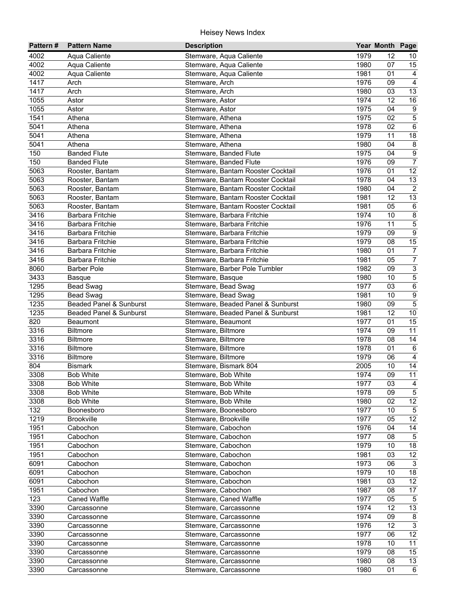| Pattern# | <b>Pattern Name</b>     | <b>Description</b>                |      | Year Month Page |                  |
|----------|-------------------------|-----------------------------------|------|-----------------|------------------|
| 4002     | Aqua Caliente           | Stemware, Aqua Caliente           | 1979 | 12              | 10               |
| 4002     | Aqua Caliente           | Stemware, Aqua Caliente           | 1980 | 07              | 15               |
| 4002     | Aqua Caliente           | Stemware, Aqua Caliente           | 1981 | 01              | $\overline{4}$   |
| 1417     | Arch                    | Stemware, Arch                    | 1976 | 09              | $\overline{4}$   |
| 1417     | Arch                    | Stemware, Arch                    | 1980 | 03              | 13               |
| 1055     | Astor                   | Stemware, Astor                   | 1974 | $\overline{12}$ | 16               |
| 1055     | Astor                   | Stemware, Astor                   | 1975 | 04              | $\overline{9}$   |
| 1541     | Athena                  | Stemware, Athena                  | 1975 | 02              | $\overline{5}$   |
| 5041     | Athena                  | Stemware, Athena                  | 1978 | 02              | $\overline{6}$   |
| 5041     | Athena                  | Stemware, Athena                  | 1979 | 11              | 18               |
| 5041     | Athena                  | Stemware, Athena                  | 1980 | 04              | $\bf 8$          |
| 150      | <b>Banded Flute</b>     | Stemware, Banded Flute            | 1975 | 04              | $\boldsymbol{9}$ |
| 150      | <b>Banded Flute</b>     | Stemware, Banded Flute            | 1976 | 09              | $\overline{7}$   |
| 5063     | Rooster, Bantam         | Stemware, Bantam Rooster Cocktail | 1976 | 01              | 12               |
| 5063     | Rooster, Bantam         | Stemware, Bantam Rooster Cocktail | 1978 | 04              | 13               |
| 5063     | Rooster, Bantam         | Stemware, Bantam Rooster Cocktail | 1980 | 04              | $\overline{2}$   |
| 5063     | Rooster, Bantam         | Stemware, Bantam Rooster Cocktail | 1981 | 12              | 13               |
| 5063     | Rooster, Bantam         | Stemware, Bantam Rooster Cocktail | 1981 | 05              | $\,6\,$          |
| 3416     | Barbara Fritchie        | Stemware, Barbara Fritchie        | 1974 | 10              | $\bf 8$          |
| 3416     | <b>Barbara Fritchie</b> | Stemware, Barbara Fritchie        | 1976 | 11              | $\overline{5}$   |
| 3416     | Barbara Fritchie        | Stemware, Barbara Fritchie        | 1979 | 09              | $\overline{9}$   |
| 3416     | Barbara Fritchie        | Stemware, Barbara Fritchie        | 1979 | 08              | 15               |
| 3416     | Barbara Fritchie        | Stemware, Barbara Fritchie        | 1980 | 01              | $\boldsymbol{7}$ |
| 3416     | Barbara Fritchie        | Stemware, Barbara Fritchie        | 1981 | 05              | $\overline{7}$   |
| 8060     | <b>Barber Pole</b>      | Stemware, Barber Pole Tumbler     | 1982 | 09              | $\overline{3}$   |
| 3433     | <b>Basque</b>           | Stemware, Basque                  | 1980 | 10              | $\overline{5}$   |
| 1295     | <b>Bead Swag</b>        | Stemware, Bead Swag               | 1977 | 03              | $\,6\,$          |
| 1295     | <b>Bead Swag</b>        | Stemware, Bead Swag               | 1981 | 10              | $\overline{9}$   |
| 1235     | Beaded Panel & Sunburst | Stemware, Beaded Panel & Sunburst | 1980 | 09              | $\overline{5}$   |
| 1235     | Beaded Panel & Sunburst | Stemware, Beaded Panel & Sunburst | 1981 | 12              | $\overline{10}$  |
| 820      | Beaumont                | Stemware, Beaumont                | 1977 | 01              | 15               |
| 3316     | Biltmore                | Stemware, Biltmore                | 1974 | 09              | $\overline{11}$  |
| 3316     | <b>Biltmore</b>         | Stemware, Biltmore                | 1978 | 08              | $\overline{14}$  |
| 3316     | <b>Biltmore</b>         | Stemware, Biltmore                | 1978 | 01              | $\,6$            |
| 3316     | <b>Biltmore</b>         | Stemware, Biltmore                | 1979 | 06              | $\overline{4}$   |
| 804      | <b>Bismark</b>          | Stemware, Bismark 804             | 2005 | 10              | 14               |
| 3308     | <b>Bob White</b>        | Stemware, Bob White               | 1974 | 09              | $\overline{11}$  |
| 3308     | <b>Bob White</b>        | Stemware, Bob White               | 1977 | 03              | $\overline{4}$   |
| 3308     | <b>Bob White</b>        | Stemware, Bob White               | 1978 | 09              | 5                |
| 3308     | <b>Bob White</b>        | Stemware, Bob White               | 1980 | 02              | 12               |
| 132      | Boonesboro              | Stemware, Boonesboro              | 1977 | 10              | $\sqrt{5}$       |
| 1219     | <b>Brookville</b>       | Stemware, Brookville              | 1977 | 05              | $\overline{12}$  |
| 1951     | Cabochon                | Stemware, Cabochon                | 1976 | 04              | 14               |
| 1951     | Cabochon                | Stemware, Cabochon                | 1977 | 08              | $5\phantom{.0}$  |
| 1951     | Cabochon                | Stemware, Cabochon                | 1979 | 10              | $18$             |
| 1951     | Cabochon                | Stemware, Cabochon                | 1981 | 03              | 12               |
| 6091     | Cabochon                | Stemware, Cabochon                | 1973 | 06              | $\mathbf{3}$     |
| 6091     | Cabochon                | Stemware, Cabochon                | 1979 | 10              | 18               |
| 6091     | Cabochon                | Stemware, Cabochon                | 1981 | 03              | 12               |
| 1951     | Cabochon                | Stemware, Cabochon                | 1987 | 08              | 17               |
| 123      | Caned Waffle            | Stemware, Caned Waffle            | 1977 | 05              | $\sqrt{5}$       |
| 3390     | Carcassonne             | Stemware, Carcassonne             | 1974 | 12              | 13               |
| 3390     | Carcassonne             | Stemware, Carcassonne             | 1974 | 09              | 8                |
| 3390     | Carcassonne             | Stemware, Carcassonne             | 1976 | 12              | $\overline{3}$   |
| 3390     | Carcassonne             | Stemware, Carcassonne             | 1977 | 06              | $\overline{12}$  |
| 3390     | Carcassonne             | Stemware, Carcassonne             | 1978 | 10              | 11               |
| 3390     | Carcassonne             | Stemware, Carcassonne             | 1979 | 08              | 15               |
| 3390     | Carcassonne             | Stemware, Carcassonne             | 1980 | 08              | 13               |
| 3390     | Carcassonne             | Stemware, Carcassonne             | 1980 | 01              | 6                |
|          |                         |                                   |      |                 |                  |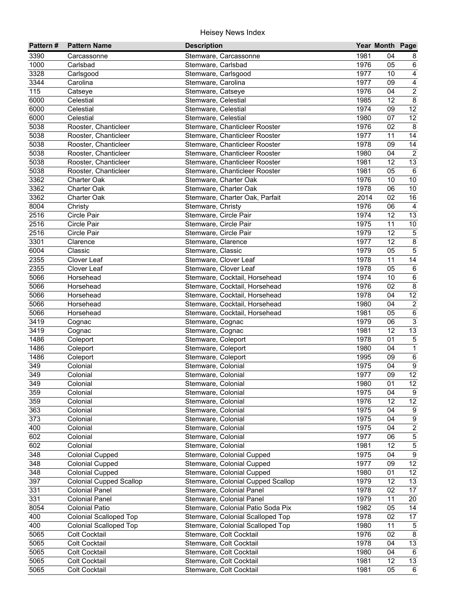| Pattern#          | <b>Pattern Name</b>            | <b>Description</b>                |      | Year Month Page |                  |
|-------------------|--------------------------------|-----------------------------------|------|-----------------|------------------|
| 3390              | Carcassonne                    | Stemware, Carcassonne             | 1981 | 04              | 8                |
| 1000              | Carlsbad                       | Stemware, Carlsbad                | 1976 | 05              | 6                |
| 3328              | Carlsgood                      | Stemware, Carlsgood               | 1977 | 10              | $\overline{4}$   |
| 3344              | Carolina                       | Stemware, Carolina                | 1977 | 09              | $\overline{4}$   |
| $\frac{115}{115}$ | Catseye                        | Stemware, Catseye                 | 1976 | 04              | $\overline{2}$   |
| 6000              | Celestial                      | Stemware, Celestial               | 1985 | $\overline{12}$ | $\overline{8}$   |
| 6000              | Celestial                      | Stemware, Celestial               | 1974 | 09              | 12               |
| 6000              | Celestial                      | Stemware, Celestial               | 1980 | 07              | $\overline{12}$  |
| 5038              | Rooster, Chanticleer           | Stemware, Chanticleer Rooster     | 1976 | 02              | 8                |
| 5038              | Rooster, Chanticleer           | Stemware, Chanticleer Rooster     | 1977 | 11              | 14               |
| 5038              | Rooster, Chanticleer           | Stemware, Chanticleer Rooster     | 1978 | 09              | 14               |
| 5038              | Rooster, Chanticleer           | Stemware, Chanticleer Rooster     | 1980 | 04              | $\overline{2}$   |
| 5038              | Rooster, Chanticleer           | Stemware, Chanticleer Rooster     | 1981 | 12              | 13               |
| 5038              | Rooster, Chanticleer           | Stemware, Chanticleer Rooster     | 1981 | 05              | $\,6\,$          |
| 3362              | <b>Charter Oak</b>             | Stemware, Charter Oak             | 1976 | 10              | $10$             |
| 3362              | <b>Charter Oak</b>             | Stemware, Charter Oak             | 1978 | 06              | $10$             |
| 3362              | <b>Charter Oak</b>             | Stemware, Charter Oak, Parfait    | 2014 | 02              | 16               |
| 8004              | Christy                        | Stemware, Christy                 | 1976 | 06              | $\overline{a}$   |
| 2516              | Circle Pair                    | Stemware, Circle Pair             | 1974 | 12              | 13               |
| 2516              | Circle Pair                    | Stemware, Circle Pair             | 1975 | 11              | $10$             |
| 2516              | Circle Pair                    | Stemware, Circle Pair             | 1979 | 12              | $\sqrt{5}$       |
| 3301              | Clarence                       | Stemware, Clarence                | 1977 | 12              | $\overline{8}$   |
| 6004              | Classic                        | Stemware, Classic                 | 1979 | 05              | $\overline{5}$   |
| 2355              | Clover Leaf                    | Stemware, Clover Leaf             | 1978 | 11              | $\overline{14}$  |
| 2355              | Clover Leaf                    | Stemware, Clover Leaf             | 1978 | 05              | $\,6\,$          |
| 5066              | Horsehead                      | Stemware, Cocktail, Horsehead     | 1974 | 10              | $\,6\,$          |
| 5066              | Horsehead                      | Stemware, Cocktail, Horsehead     | 1976 | 02              | $\,8\,$          |
| 5066              | Horsehead                      | Stemware, Cocktail, Horsehead     | 1978 | 04              | $\overline{12}$  |
| 5066              | Horsehead                      | Stemware, Cocktail, Horsehead     | 1980 | 04              | $\overline{2}$   |
| 5066              | Horsehead                      | Stemware, Cocktail, Horsehead     | 1981 | 05              | $6\,$            |
| 3419              | Cognac                         | Stemware, Cognac                  | 1979 | 06              | $\overline{3}$   |
| 3419              | Cognac                         | Stemware, Cognac                  | 1981 | 12              | 13               |
| 1486              | Coleport                       | Stemware, Coleport                | 1978 | 01              | $\overline{5}$   |
| 1486              | Coleport                       | Stemware, Coleport                | 1980 | 04              | $\overline{1}$   |
| 1486              | Coleport                       | Stemware, Coleport                | 1995 | 09              | $\,6\,$          |
| 349               | Colonial                       | Stemware, Colonial                | 1975 | 04              | $\boldsymbol{9}$ |
| 349               | Colonial                       | Stemware, Colonial                | 1977 | 09              | $\overline{12}$  |
| 349               | Colonial                       | Stemware, Colonial                | 1980 | $\overline{01}$ | $\overline{12}$  |
| 359               | Colonial                       | Stemware, Colonial                | 1975 | 04              | 9                |
| 359               | Colonial                       | Stemware, Colonial                | 1976 | 12              | $\overline{12}$  |
| 363               | Colonial                       | Stemware, Colonial                | 1975 | 04              | 9                |
| 373               | Colonial                       | Stemware, Colonial                | 1975 | 04              | $\boldsymbol{9}$ |
| 400               | Colonial                       | Stemware, Colonial                | 1975 | 04              | $\overline{2}$   |
| 602               | Colonial                       | Stemware, Colonial                | 1977 | 06              | $\mathbf 5$      |
| 602               | Colonial                       | Stemware, Colonial                | 1981 | 12              | $\overline{5}$   |
| 348               | <b>Colonial Cupped</b>         | Stemware, Colonial Cupped         | 1975 | 04              | $\overline{9}$   |
| 348               | <b>Colonial Cupped</b>         | Stemware, Colonial Cupped         | 1977 | 09              | 12               |
| 348               | <b>Colonial Cupped</b>         | Stemware, Colonial Cupped         | 1980 | 01              | 12               |
| 397               | <b>Colonial Cupped Scallop</b> | Stemware, Colonial Cupped Scallop | 1979 | 12              | 13               |
| 331               | <b>Colonial Panel</b>          | Stemware, Colonial Panel          | 1978 | 02              | $\overline{17}$  |
| 331               | <b>Colonial Panel</b>          | Stemware, Colonial Panel          | 1979 | 11              | 20               |
| 8054              | Colonial Patio                 | Stemware, Colonial Patio Soda Pix | 1982 | 05              | 14               |
| 400               | <b>Colonial Scalloped Top</b>  | Stemware, Colonial Scalloped Top  | 1978 | 02              | $\overline{17}$  |
| 400               | <b>Colonial Scalloped Top</b>  | Stemware, Colonial Scalloped Top  | 1980 | 11              | $5\phantom{.0}$  |
| 5065              | <b>Colt Cocktail</b>           | Stemware, Colt Cocktail           | 1976 | 02              | 8                |
| 5065              | <b>Colt Cocktail</b>           | Stemware, Colt Cocktail           | 1978 | 04              | $\overline{13}$  |
| 5065              | Colt Cocktail                  | Stemware, Colt Cocktail           | 1980 | 04              | 6                |
| 5065              | <b>Colt Cocktail</b>           | Stemware, Colt Cocktail           | 1981 | 12              | 13               |
| 5065              | <b>Colt Cocktail</b>           | Stemware, Colt Cocktail           | 1981 | 05              | 6                |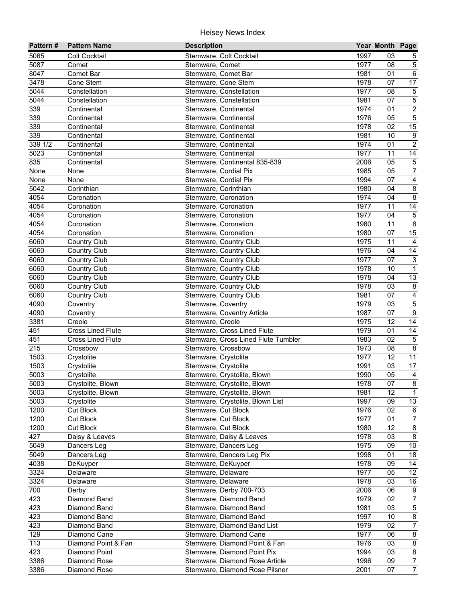| Pattern#          | <b>Pattern Name</b>      | <b>Description</b>                  |      | Year Month Page       |                           |
|-------------------|--------------------------|-------------------------------------|------|-----------------------|---------------------------|
| 5065              | <b>Colt Cocktail</b>     | Stemware, Colt Cocktail             | 1997 | 03                    | 5                         |
| 5087              | Comet                    | Stemware, Comet                     | 1977 | 08                    | $\sqrt{5}$                |
| 8047              | Comet Bar                | Stemware, Comet Bar                 | 1981 | 01                    | $6\overline{6}$           |
| $\overline{3478}$ | Cone Stem                | Stemware, Cone Stem                 | 1978 | 07                    | $\overline{17}$           |
| 5044              | Constellation            | Stemware, Constellation             | 1977 | 08                    | $\mathbf 5$               |
| 5044              | Constellation            | Stemware, Constellation             | 1981 | $\overline{07}$       | $\overline{5}$            |
| 339               | Continental              | Stemware, Continental               | 1974 | 01                    | $\overline{2}$            |
| 339               | Continental              | Stemware, Continental               | 1976 | $\overline{05}$       | $\overline{5}$            |
| 339               | Continental              | Stemware, Continental               | 1978 | 02                    | $\overline{15}$           |
| 339               | Continental              | Stemware, Continental               | 1981 | 10                    | $\boldsymbol{9}$          |
| 339 1/2           | Continental              | Stemware, Continental               | 1974 | 01                    | $\sqrt{2}$                |
| 5023              | Continental              | Stemware, Continental               | 1977 | 11                    | 14                        |
| 835               | Continental              | Stemware, Continental 835-839       | 2006 | 05                    | $\,$ 5 $\,$               |
| None              | None                     | Stemware, Cordial Pix               | 1985 | 05                    | $\boldsymbol{7}$          |
| None              | None                     | Stemware, Cordial Pix               | 1994 | 07                    | $\overline{4}$            |
| 5042              | Corinthian               | Stemware, Corinthian                | 1980 | 04                    | $\bf 8$                   |
| 4054              | Coronation               | Stemware, Coronation                | 1974 | 04                    | $\overline{8}$            |
| 4054              | Coronation               | Stemware, Coronation                | 1977 | 11                    | $\overline{14}$           |
| 4054              | Coronation               | Stemware, Coronation                | 1977 | 04                    | $\,$ 5 $\,$               |
| 4054              | Coronation               | Stemware, Coronation                | 1980 | 11                    | $\overline{8}$            |
| 4054              | Coronation               | Stemware, Coronation                | 1980 | 07                    | 15                        |
| 6060              | <b>Country Club</b>      | Stemware, Country Club              | 1975 | 11                    | $\overline{4}$            |
| 6060              | <b>Country Club</b>      | Stemware, Country Club              | 1976 | 04                    | 14                        |
| 6060              | Country Club             | Stemware, Country Club              | 1977 | 07                    | $\ensuremath{\mathsf{3}}$ |
| 6060              | <b>Country Club</b>      | Stemware, Country Club              | 1978 | 10                    | $\overline{1}$            |
| 6060              | <b>Country Club</b>      | Stemware, Country Club              | 1978 | 04                    | 13                        |
| 6060              | <b>Country Club</b>      | Stemware, Country Club              | 1978 | 03                    | $\,8\,$                   |
| 6060              | <b>Country Club</b>      | Stemware, Country Club              | 1981 | 07                    | $\overline{4}$            |
| 4090              | Coventry                 | Stemware, Coventry                  | 1979 | 03                    | $\overline{5}$            |
| 4090              | Coventry                 | Stemware, Coventry Article          | 1987 | 07                    | $\overline{9}$            |
| 3381              | Creole                   | Stemware, Creole                    | 1975 | 12                    | 14                        |
| 451               | <b>Cross Lined Flute</b> | Stemware, Cross Lined Flute         | 1979 | 01                    | $\overline{14}$           |
| 451               | <b>Cross Lined Flute</b> | Stemware, Cross Lined Flute Tumbler | 1983 | 02                    | $\overline{5}$            |
| 215               | Crossbow                 | Stemware, Crossbow                  | 1973 | 08                    | $\overline{8}$            |
| 1503              | Crystolite               | Stemware, Crystolite                | 1977 | 12                    | $\overline{11}$           |
| 1503              | Crystolite               | Stemware, Crystolite                | 1991 | 03                    | 17                        |
| 5003              | Crystolite               | Stemware, Crystolite, Blown         | 1990 | 05                    | $\overline{4}$            |
| 5003              | Crystolite, Blown        | Stemware, Crystolite, Blown         | 1978 | 07                    | $\infty$                  |
| 5003              | Crystolite, Blown        | Stemware, Crystolite, Blown         | 1981 | 12                    | $\overline{1}$            |
| 5003              | Crystolite               | Stemware, Crystolite, Blown List    | 1997 | 09                    | 13                        |
| 1200              | <b>Cut Block</b>         | Stemware, Cut Block                 | 1976 | 02                    | 6                         |
| 1200              | <b>Cut Block</b>         | Stemware, Cut Block                 | 1977 | 01                    | $\overline{7}$            |
| 1200              | <b>Cut Block</b>         | Stemware, Cut Block                 | 1980 | 12                    | $\bf 8$                   |
| 427               | Daisy & Leaves           | Stemware, Daisy & Leaves            | 1978 | 03                    | $\bf 8$                   |
| 5049              | Dancers Leg              | Stemware, Dancers Leg               | 1975 | 09                    | 10                        |
| 5049              | Dancers Leg              | Stemware, Dancers Leg Pix           | 1998 | 01                    | 18                        |
| 4038              | DeKuyper                 | Stemware, DeKuyper                  | 1978 | 09                    | 14                        |
| 3324              | Delaware                 | Stemware, Delaware                  | 1977 | 05                    | 12                        |
| 3324              | Delaware                 | Stemware, Delaware                  | 1978 | 03                    | 16                        |
| 700               | Derby                    | Stemware, Derby 700-703             | 2006 | 06                    | $\boldsymbol{9}$          |
| 423               | Diamond Band             | Stemware, Diamond Band              | 1979 | 02                    | $\overline{7}$            |
| 423               | Diamond Band             | Stemware, Diamond Band              | 1981 | 03                    | $\overline{5}$            |
| 423               | Diamond Band             | Stemware, Diamond Band              | 1997 | 10                    | $\overline{8}$            |
| 423               | Diamond Band             | Stemware, Diamond Band List         | 1979 | 02                    | $\overline{7}$            |
| 129               | Diamond Cane             |                                     | 1977 |                       | $\overline{8}$            |
| 113               |                          | Stemware, Diamond Cane              | 1976 | 06<br>$\overline{03}$ |                           |
|                   | Diamond Point & Fan      | Stemware, Diamond Point & Fan       |      |                       | $\infty$                  |
| 423               | Diamond Point            | Stemware, Diamond Point Pix         | 1994 | 03                    | $\overline{8}$            |
| 3386              | Diamond Rose             | Stemware, Diamond Rose Article      | 1996 | 09                    | $\overline{7}$            |
| 3386              | Diamond Rose             | Stemware, Diamond Rose Pilsner      | 2001 | 07                    | $\overline{7}$            |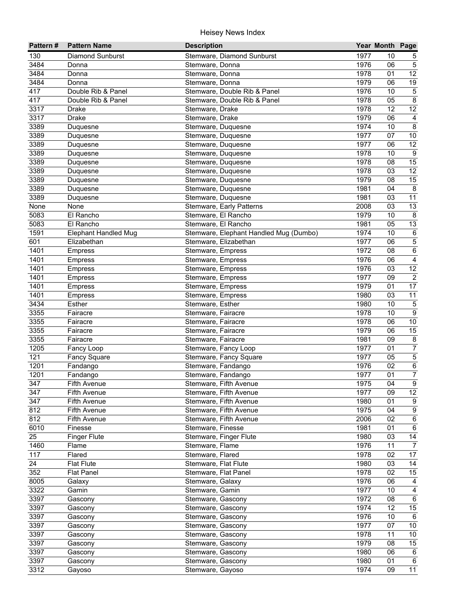| 130<br><b>Diamond Sunburst</b><br>Stemware, Diamond Sunburst<br>1977<br>10<br>5<br>3484<br>1976<br>$\sqrt{5}$<br>06<br>Stemware, Donna<br>Donna<br>12<br>3484<br>1978<br>01<br>Donna<br>Stemware, Donna<br>19<br>3484<br>1979<br>06<br>Donna<br>Stemware, Donna<br>$\overline{5}$<br>417<br>1976<br>10<br>Double Rib & Panel<br>Stemware, Double Rib & Panel<br>417<br>1978<br>$\overline{05}$<br>$\overline{8}$<br>Double Rib & Panel<br>Stemware, Double Rib & Panel<br>12<br>1978<br>$\overline{12}$<br>3317<br>Drake<br>Stemware, Drake<br>$\overline{06}$<br>3317<br>1979<br>Drake<br>Stemware, Drake<br>$\overline{4}$<br>$\overline{8}$<br>3389<br>1974<br>10<br>Duquesne<br>Stemware, Duquesne<br>3389<br>1977<br>07<br>$10\,$<br>Stemware, Duquesne<br>Duquesne<br>3389<br>1977<br>06<br>12<br>Stemware, Duquesne<br>Duquesne<br>3389<br>1978<br>10<br>9<br>Stemware, Duquesne<br>Duquesne<br>3389<br>1978<br>15<br>Stemware, Duquesne<br>08<br>Duquesne<br>12<br>3389<br>1978<br>03<br>Stemware, Duquesne<br>Duquesne<br>3389<br>1979<br>08<br>15<br>Duquesne<br>Stemware, Duquesne<br>3389<br>1981<br>8<br>04<br>Duquesne<br>Stemware, Duquesne<br>3389<br>11<br>1981<br>03<br>Stemware, Duquesne<br>Duquesne<br>13<br>03<br>None<br>Stemware, Early Patterns<br>2008<br>None<br>5083<br>1979<br>10<br>8<br>El Rancho<br>Stemware, El Rancho<br>13<br>5083<br>1981<br>05<br>El Rancho<br>Stemware, El Rancho<br>1591<br>1974<br>10<br>$\,6\,$<br><b>Elephant Handled Mug</b><br>Stemware, Elephant Handled Mug (Dumbo)<br>$\mathbf 5$<br>601<br>Elizabethan<br>1977<br>06<br>Stemware, Elizabethan<br>$\overline{6}$<br>1401<br>1972<br>08<br>Stemware, Empress<br>Empress<br>1401<br>1976<br>06<br>$\overline{4}$<br><b>Empress</b><br>Stemware, Empress<br>$\overline{12}$<br>1976<br>1401<br>03<br>Empress<br>Stemware, Empress<br>$\sqrt{2}$<br>1401<br>1977<br>09<br>Stemware, Empress<br><b>Empress</b><br>1401<br>1979<br>17<br>Stemware, Empress<br>01<br><b>Empress</b><br>1401<br>1980<br>03<br>11<br>Stemware, Empress<br>Empress<br>3434<br>$\overline{5}$<br>1980<br>Esther<br>Stemware, Esther<br>10<br>$\overline{9}$<br>3355<br>Fairacre<br>Stemware, Fairacre<br>1978<br>10<br>3355<br>1978<br>$10\,$<br>Stemware, Fairacre<br>06<br>Fairacre<br>15<br>3355<br>1979<br>Fairacre<br>Stemware, Fairacre<br>06<br>3355<br>$\overline{\mathbf{8}}$<br>1981<br>09<br>Fairacre<br>Stemware, Fairacre<br>$\overline{7}$<br>1205<br>Stemware, Fancy Loop<br>1977<br>01<br>Fancy Loop<br>$\overline{5}$<br>121<br>1977<br>05<br>Stemware, Fancy Square<br><b>Fancy Square</b><br>$\,6\,$<br>1201<br>Stemware, Fandango<br>1976<br>02<br>Fandango<br>$\overline{7}$<br>1201<br>1977<br>01<br>Stemware, Fandango<br>Fandango<br>$\overline{9}$<br>1975<br>04<br>347<br>Fifth Avenue<br>Stemware, Fifth Avenue<br>12<br>347<br>1977<br>Stemware, Fifth Avenue<br>09<br>Fifth Avenue |
|-----------------------------------------------------------------------------------------------------------------------------------------------------------------------------------------------------------------------------------------------------------------------------------------------------------------------------------------------------------------------------------------------------------------------------------------------------------------------------------------------------------------------------------------------------------------------------------------------------------------------------------------------------------------------------------------------------------------------------------------------------------------------------------------------------------------------------------------------------------------------------------------------------------------------------------------------------------------------------------------------------------------------------------------------------------------------------------------------------------------------------------------------------------------------------------------------------------------------------------------------------------------------------------------------------------------------------------------------------------------------------------------------------------------------------------------------------------------------------------------------------------------------------------------------------------------------------------------------------------------------------------------------------------------------------------------------------------------------------------------------------------------------------------------------------------------------------------------------------------------------------------------------------------------------------------------------------------------------------------------------------------------------------------------------------------------------------------------------------------------------------------------------------------------------------------------------------------------------------------------------------------------------------------------------------------------------------------------------------------------------------------------------------------------------------------------------------------------------------------------------------------------------------------------------------------------------------------------------------------------------------------------------------------------------------------------------------------------------------------------------------------------------------------------------------------------------------------------------------------------------------------------------------|
|                                                                                                                                                                                                                                                                                                                                                                                                                                                                                                                                                                                                                                                                                                                                                                                                                                                                                                                                                                                                                                                                                                                                                                                                                                                                                                                                                                                                                                                                                                                                                                                                                                                                                                                                                                                                                                                                                                                                                                                                                                                                                                                                                                                                                                                                                                                                                                                                                                                                                                                                                                                                                                                                                                                                                                                                                                                                                                     |
|                                                                                                                                                                                                                                                                                                                                                                                                                                                                                                                                                                                                                                                                                                                                                                                                                                                                                                                                                                                                                                                                                                                                                                                                                                                                                                                                                                                                                                                                                                                                                                                                                                                                                                                                                                                                                                                                                                                                                                                                                                                                                                                                                                                                                                                                                                                                                                                                                                                                                                                                                                                                                                                                                                                                                                                                                                                                                                     |
|                                                                                                                                                                                                                                                                                                                                                                                                                                                                                                                                                                                                                                                                                                                                                                                                                                                                                                                                                                                                                                                                                                                                                                                                                                                                                                                                                                                                                                                                                                                                                                                                                                                                                                                                                                                                                                                                                                                                                                                                                                                                                                                                                                                                                                                                                                                                                                                                                                                                                                                                                                                                                                                                                                                                                                                                                                                                                                     |
|                                                                                                                                                                                                                                                                                                                                                                                                                                                                                                                                                                                                                                                                                                                                                                                                                                                                                                                                                                                                                                                                                                                                                                                                                                                                                                                                                                                                                                                                                                                                                                                                                                                                                                                                                                                                                                                                                                                                                                                                                                                                                                                                                                                                                                                                                                                                                                                                                                                                                                                                                                                                                                                                                                                                                                                                                                                                                                     |
|                                                                                                                                                                                                                                                                                                                                                                                                                                                                                                                                                                                                                                                                                                                                                                                                                                                                                                                                                                                                                                                                                                                                                                                                                                                                                                                                                                                                                                                                                                                                                                                                                                                                                                                                                                                                                                                                                                                                                                                                                                                                                                                                                                                                                                                                                                                                                                                                                                                                                                                                                                                                                                                                                                                                                                                                                                                                                                     |
|                                                                                                                                                                                                                                                                                                                                                                                                                                                                                                                                                                                                                                                                                                                                                                                                                                                                                                                                                                                                                                                                                                                                                                                                                                                                                                                                                                                                                                                                                                                                                                                                                                                                                                                                                                                                                                                                                                                                                                                                                                                                                                                                                                                                                                                                                                                                                                                                                                                                                                                                                                                                                                                                                                                                                                                                                                                                                                     |
|                                                                                                                                                                                                                                                                                                                                                                                                                                                                                                                                                                                                                                                                                                                                                                                                                                                                                                                                                                                                                                                                                                                                                                                                                                                                                                                                                                                                                                                                                                                                                                                                                                                                                                                                                                                                                                                                                                                                                                                                                                                                                                                                                                                                                                                                                                                                                                                                                                                                                                                                                                                                                                                                                                                                                                                                                                                                                                     |
|                                                                                                                                                                                                                                                                                                                                                                                                                                                                                                                                                                                                                                                                                                                                                                                                                                                                                                                                                                                                                                                                                                                                                                                                                                                                                                                                                                                                                                                                                                                                                                                                                                                                                                                                                                                                                                                                                                                                                                                                                                                                                                                                                                                                                                                                                                                                                                                                                                                                                                                                                                                                                                                                                                                                                                                                                                                                                                     |
|                                                                                                                                                                                                                                                                                                                                                                                                                                                                                                                                                                                                                                                                                                                                                                                                                                                                                                                                                                                                                                                                                                                                                                                                                                                                                                                                                                                                                                                                                                                                                                                                                                                                                                                                                                                                                                                                                                                                                                                                                                                                                                                                                                                                                                                                                                                                                                                                                                                                                                                                                                                                                                                                                                                                                                                                                                                                                                     |
|                                                                                                                                                                                                                                                                                                                                                                                                                                                                                                                                                                                                                                                                                                                                                                                                                                                                                                                                                                                                                                                                                                                                                                                                                                                                                                                                                                                                                                                                                                                                                                                                                                                                                                                                                                                                                                                                                                                                                                                                                                                                                                                                                                                                                                                                                                                                                                                                                                                                                                                                                                                                                                                                                                                                                                                                                                                                                                     |
|                                                                                                                                                                                                                                                                                                                                                                                                                                                                                                                                                                                                                                                                                                                                                                                                                                                                                                                                                                                                                                                                                                                                                                                                                                                                                                                                                                                                                                                                                                                                                                                                                                                                                                                                                                                                                                                                                                                                                                                                                                                                                                                                                                                                                                                                                                                                                                                                                                                                                                                                                                                                                                                                                                                                                                                                                                                                                                     |
|                                                                                                                                                                                                                                                                                                                                                                                                                                                                                                                                                                                                                                                                                                                                                                                                                                                                                                                                                                                                                                                                                                                                                                                                                                                                                                                                                                                                                                                                                                                                                                                                                                                                                                                                                                                                                                                                                                                                                                                                                                                                                                                                                                                                                                                                                                                                                                                                                                                                                                                                                                                                                                                                                                                                                                                                                                                                                                     |
|                                                                                                                                                                                                                                                                                                                                                                                                                                                                                                                                                                                                                                                                                                                                                                                                                                                                                                                                                                                                                                                                                                                                                                                                                                                                                                                                                                                                                                                                                                                                                                                                                                                                                                                                                                                                                                                                                                                                                                                                                                                                                                                                                                                                                                                                                                                                                                                                                                                                                                                                                                                                                                                                                                                                                                                                                                                                                                     |
|                                                                                                                                                                                                                                                                                                                                                                                                                                                                                                                                                                                                                                                                                                                                                                                                                                                                                                                                                                                                                                                                                                                                                                                                                                                                                                                                                                                                                                                                                                                                                                                                                                                                                                                                                                                                                                                                                                                                                                                                                                                                                                                                                                                                                                                                                                                                                                                                                                                                                                                                                                                                                                                                                                                                                                                                                                                                                                     |
|                                                                                                                                                                                                                                                                                                                                                                                                                                                                                                                                                                                                                                                                                                                                                                                                                                                                                                                                                                                                                                                                                                                                                                                                                                                                                                                                                                                                                                                                                                                                                                                                                                                                                                                                                                                                                                                                                                                                                                                                                                                                                                                                                                                                                                                                                                                                                                                                                                                                                                                                                                                                                                                                                                                                                                                                                                                                                                     |
|                                                                                                                                                                                                                                                                                                                                                                                                                                                                                                                                                                                                                                                                                                                                                                                                                                                                                                                                                                                                                                                                                                                                                                                                                                                                                                                                                                                                                                                                                                                                                                                                                                                                                                                                                                                                                                                                                                                                                                                                                                                                                                                                                                                                                                                                                                                                                                                                                                                                                                                                                                                                                                                                                                                                                                                                                                                                                                     |
|                                                                                                                                                                                                                                                                                                                                                                                                                                                                                                                                                                                                                                                                                                                                                                                                                                                                                                                                                                                                                                                                                                                                                                                                                                                                                                                                                                                                                                                                                                                                                                                                                                                                                                                                                                                                                                                                                                                                                                                                                                                                                                                                                                                                                                                                                                                                                                                                                                                                                                                                                                                                                                                                                                                                                                                                                                                                                                     |
|                                                                                                                                                                                                                                                                                                                                                                                                                                                                                                                                                                                                                                                                                                                                                                                                                                                                                                                                                                                                                                                                                                                                                                                                                                                                                                                                                                                                                                                                                                                                                                                                                                                                                                                                                                                                                                                                                                                                                                                                                                                                                                                                                                                                                                                                                                                                                                                                                                                                                                                                                                                                                                                                                                                                                                                                                                                                                                     |
|                                                                                                                                                                                                                                                                                                                                                                                                                                                                                                                                                                                                                                                                                                                                                                                                                                                                                                                                                                                                                                                                                                                                                                                                                                                                                                                                                                                                                                                                                                                                                                                                                                                                                                                                                                                                                                                                                                                                                                                                                                                                                                                                                                                                                                                                                                                                                                                                                                                                                                                                                                                                                                                                                                                                                                                                                                                                                                     |
|                                                                                                                                                                                                                                                                                                                                                                                                                                                                                                                                                                                                                                                                                                                                                                                                                                                                                                                                                                                                                                                                                                                                                                                                                                                                                                                                                                                                                                                                                                                                                                                                                                                                                                                                                                                                                                                                                                                                                                                                                                                                                                                                                                                                                                                                                                                                                                                                                                                                                                                                                                                                                                                                                                                                                                                                                                                                                                     |
|                                                                                                                                                                                                                                                                                                                                                                                                                                                                                                                                                                                                                                                                                                                                                                                                                                                                                                                                                                                                                                                                                                                                                                                                                                                                                                                                                                                                                                                                                                                                                                                                                                                                                                                                                                                                                                                                                                                                                                                                                                                                                                                                                                                                                                                                                                                                                                                                                                                                                                                                                                                                                                                                                                                                                                                                                                                                                                     |
|                                                                                                                                                                                                                                                                                                                                                                                                                                                                                                                                                                                                                                                                                                                                                                                                                                                                                                                                                                                                                                                                                                                                                                                                                                                                                                                                                                                                                                                                                                                                                                                                                                                                                                                                                                                                                                                                                                                                                                                                                                                                                                                                                                                                                                                                                                                                                                                                                                                                                                                                                                                                                                                                                                                                                                                                                                                                                                     |
|                                                                                                                                                                                                                                                                                                                                                                                                                                                                                                                                                                                                                                                                                                                                                                                                                                                                                                                                                                                                                                                                                                                                                                                                                                                                                                                                                                                                                                                                                                                                                                                                                                                                                                                                                                                                                                                                                                                                                                                                                                                                                                                                                                                                                                                                                                                                                                                                                                                                                                                                                                                                                                                                                                                                                                                                                                                                                                     |
|                                                                                                                                                                                                                                                                                                                                                                                                                                                                                                                                                                                                                                                                                                                                                                                                                                                                                                                                                                                                                                                                                                                                                                                                                                                                                                                                                                                                                                                                                                                                                                                                                                                                                                                                                                                                                                                                                                                                                                                                                                                                                                                                                                                                                                                                                                                                                                                                                                                                                                                                                                                                                                                                                                                                                                                                                                                                                                     |
|                                                                                                                                                                                                                                                                                                                                                                                                                                                                                                                                                                                                                                                                                                                                                                                                                                                                                                                                                                                                                                                                                                                                                                                                                                                                                                                                                                                                                                                                                                                                                                                                                                                                                                                                                                                                                                                                                                                                                                                                                                                                                                                                                                                                                                                                                                                                                                                                                                                                                                                                                                                                                                                                                                                                                                                                                                                                                                     |
|                                                                                                                                                                                                                                                                                                                                                                                                                                                                                                                                                                                                                                                                                                                                                                                                                                                                                                                                                                                                                                                                                                                                                                                                                                                                                                                                                                                                                                                                                                                                                                                                                                                                                                                                                                                                                                                                                                                                                                                                                                                                                                                                                                                                                                                                                                                                                                                                                                                                                                                                                                                                                                                                                                                                                                                                                                                                                                     |
|                                                                                                                                                                                                                                                                                                                                                                                                                                                                                                                                                                                                                                                                                                                                                                                                                                                                                                                                                                                                                                                                                                                                                                                                                                                                                                                                                                                                                                                                                                                                                                                                                                                                                                                                                                                                                                                                                                                                                                                                                                                                                                                                                                                                                                                                                                                                                                                                                                                                                                                                                                                                                                                                                                                                                                                                                                                                                                     |
|                                                                                                                                                                                                                                                                                                                                                                                                                                                                                                                                                                                                                                                                                                                                                                                                                                                                                                                                                                                                                                                                                                                                                                                                                                                                                                                                                                                                                                                                                                                                                                                                                                                                                                                                                                                                                                                                                                                                                                                                                                                                                                                                                                                                                                                                                                                                                                                                                                                                                                                                                                                                                                                                                                                                                                                                                                                                                                     |
|                                                                                                                                                                                                                                                                                                                                                                                                                                                                                                                                                                                                                                                                                                                                                                                                                                                                                                                                                                                                                                                                                                                                                                                                                                                                                                                                                                                                                                                                                                                                                                                                                                                                                                                                                                                                                                                                                                                                                                                                                                                                                                                                                                                                                                                                                                                                                                                                                                                                                                                                                                                                                                                                                                                                                                                                                                                                                                     |
|                                                                                                                                                                                                                                                                                                                                                                                                                                                                                                                                                                                                                                                                                                                                                                                                                                                                                                                                                                                                                                                                                                                                                                                                                                                                                                                                                                                                                                                                                                                                                                                                                                                                                                                                                                                                                                                                                                                                                                                                                                                                                                                                                                                                                                                                                                                                                                                                                                                                                                                                                                                                                                                                                                                                                                                                                                                                                                     |
|                                                                                                                                                                                                                                                                                                                                                                                                                                                                                                                                                                                                                                                                                                                                                                                                                                                                                                                                                                                                                                                                                                                                                                                                                                                                                                                                                                                                                                                                                                                                                                                                                                                                                                                                                                                                                                                                                                                                                                                                                                                                                                                                                                                                                                                                                                                                                                                                                                                                                                                                                                                                                                                                                                                                                                                                                                                                                                     |
|                                                                                                                                                                                                                                                                                                                                                                                                                                                                                                                                                                                                                                                                                                                                                                                                                                                                                                                                                                                                                                                                                                                                                                                                                                                                                                                                                                                                                                                                                                                                                                                                                                                                                                                                                                                                                                                                                                                                                                                                                                                                                                                                                                                                                                                                                                                                                                                                                                                                                                                                                                                                                                                                                                                                                                                                                                                                                                     |
|                                                                                                                                                                                                                                                                                                                                                                                                                                                                                                                                                                                                                                                                                                                                                                                                                                                                                                                                                                                                                                                                                                                                                                                                                                                                                                                                                                                                                                                                                                                                                                                                                                                                                                                                                                                                                                                                                                                                                                                                                                                                                                                                                                                                                                                                                                                                                                                                                                                                                                                                                                                                                                                                                                                                                                                                                                                                                                     |
|                                                                                                                                                                                                                                                                                                                                                                                                                                                                                                                                                                                                                                                                                                                                                                                                                                                                                                                                                                                                                                                                                                                                                                                                                                                                                                                                                                                                                                                                                                                                                                                                                                                                                                                                                                                                                                                                                                                                                                                                                                                                                                                                                                                                                                                                                                                                                                                                                                                                                                                                                                                                                                                                                                                                                                                                                                                                                                     |
|                                                                                                                                                                                                                                                                                                                                                                                                                                                                                                                                                                                                                                                                                                                                                                                                                                                                                                                                                                                                                                                                                                                                                                                                                                                                                                                                                                                                                                                                                                                                                                                                                                                                                                                                                                                                                                                                                                                                                                                                                                                                                                                                                                                                                                                                                                                                                                                                                                                                                                                                                                                                                                                                                                                                                                                                                                                                                                     |
|                                                                                                                                                                                                                                                                                                                                                                                                                                                                                                                                                                                                                                                                                                                                                                                                                                                                                                                                                                                                                                                                                                                                                                                                                                                                                                                                                                                                                                                                                                                                                                                                                                                                                                                                                                                                                                                                                                                                                                                                                                                                                                                                                                                                                                                                                                                                                                                                                                                                                                                                                                                                                                                                                                                                                                                                                                                                                                     |
|                                                                                                                                                                                                                                                                                                                                                                                                                                                                                                                                                                                                                                                                                                                                                                                                                                                                                                                                                                                                                                                                                                                                                                                                                                                                                                                                                                                                                                                                                                                                                                                                                                                                                                                                                                                                                                                                                                                                                                                                                                                                                                                                                                                                                                                                                                                                                                                                                                                                                                                                                                                                                                                                                                                                                                                                                                                                                                     |
|                                                                                                                                                                                                                                                                                                                                                                                                                                                                                                                                                                                                                                                                                                                                                                                                                                                                                                                                                                                                                                                                                                                                                                                                                                                                                                                                                                                                                                                                                                                                                                                                                                                                                                                                                                                                                                                                                                                                                                                                                                                                                                                                                                                                                                                                                                                                                                                                                                                                                                                                                                                                                                                                                                                                                                                                                                                                                                     |
| 347<br>1980<br>01<br>Fifth Avenue<br>Stemware, Fifth Avenue                                                                                                                                                                                                                                                                                                                                                                                                                                                                                                                                                                                                                                                                                                                                                                                                                                                                                                                                                                                                                                                                                                                                                                                                                                                                                                                                                                                                                                                                                                                                                                                                                                                                                                                                                                                                                                                                                                                                                                                                                                                                                                                                                                                                                                                                                                                                                                                                                                                                                                                                                                                                                                                                                                                                                                                                                                         |
| 9<br>812<br>1975<br>04<br>$\boldsymbol{9}$<br>Fifth Avenue<br>Stemware, Fifth Avenue                                                                                                                                                                                                                                                                                                                                                                                                                                                                                                                                                                                                                                                                                                                                                                                                                                                                                                                                                                                                                                                                                                                                                                                                                                                                                                                                                                                                                                                                                                                                                                                                                                                                                                                                                                                                                                                                                                                                                                                                                                                                                                                                                                                                                                                                                                                                                                                                                                                                                                                                                                                                                                                                                                                                                                                                                |
| 812<br>02<br>$\,6\,$<br>Fifth Avenue<br>Stemware, Fifth Avenue<br>2006                                                                                                                                                                                                                                                                                                                                                                                                                                                                                                                                                                                                                                                                                                                                                                                                                                                                                                                                                                                                                                                                                                                                                                                                                                                                                                                                                                                                                                                                                                                                                                                                                                                                                                                                                                                                                                                                                                                                                                                                                                                                                                                                                                                                                                                                                                                                                                                                                                                                                                                                                                                                                                                                                                                                                                                                                              |
| 6010<br>1981<br>01<br>$\,6\,$<br>Finesse<br>Stemware, Finesse                                                                                                                                                                                                                                                                                                                                                                                                                                                                                                                                                                                                                                                                                                                                                                                                                                                                                                                                                                                                                                                                                                                                                                                                                                                                                                                                                                                                                                                                                                                                                                                                                                                                                                                                                                                                                                                                                                                                                                                                                                                                                                                                                                                                                                                                                                                                                                                                                                                                                                                                                                                                                                                                                                                                                                                                                                       |
| 25<br>1980<br>14<br><b>Finger Flute</b><br>Stemware, Finger Flute<br>03                                                                                                                                                                                                                                                                                                                                                                                                                                                                                                                                                                                                                                                                                                                                                                                                                                                                                                                                                                                                                                                                                                                                                                                                                                                                                                                                                                                                                                                                                                                                                                                                                                                                                                                                                                                                                                                                                                                                                                                                                                                                                                                                                                                                                                                                                                                                                                                                                                                                                                                                                                                                                                                                                                                                                                                                                             |
| 1460<br>1976<br>$\overline{7}$<br>Flame<br>Stemware, Flame<br>11                                                                                                                                                                                                                                                                                                                                                                                                                                                                                                                                                                                                                                                                                                                                                                                                                                                                                                                                                                                                                                                                                                                                                                                                                                                                                                                                                                                                                                                                                                                                                                                                                                                                                                                                                                                                                                                                                                                                                                                                                                                                                                                                                                                                                                                                                                                                                                                                                                                                                                                                                                                                                                                                                                                                                                                                                                    |
| 117<br>1978<br>02<br>17<br>Flared<br>Stemware, Flared                                                                                                                                                                                                                                                                                                                                                                                                                                                                                                                                                                                                                                                                                                                                                                                                                                                                                                                                                                                                                                                                                                                                                                                                                                                                                                                                                                                                                                                                                                                                                                                                                                                                                                                                                                                                                                                                                                                                                                                                                                                                                                                                                                                                                                                                                                                                                                                                                                                                                                                                                                                                                                                                                                                                                                                                                                               |
| 24<br>03<br>14<br><b>Flat Flute</b><br>Stemware, Flat Flute<br>1980                                                                                                                                                                                                                                                                                                                                                                                                                                                                                                                                                                                                                                                                                                                                                                                                                                                                                                                                                                                                                                                                                                                                                                                                                                                                                                                                                                                                                                                                                                                                                                                                                                                                                                                                                                                                                                                                                                                                                                                                                                                                                                                                                                                                                                                                                                                                                                                                                                                                                                                                                                                                                                                                                                                                                                                                                                 |
| 352<br>15<br>1978<br><b>Flat Panel</b><br>Stemware, Flat Panel<br>02                                                                                                                                                                                                                                                                                                                                                                                                                                                                                                                                                                                                                                                                                                                                                                                                                                                                                                                                                                                                                                                                                                                                                                                                                                                                                                                                                                                                                                                                                                                                                                                                                                                                                                                                                                                                                                                                                                                                                                                                                                                                                                                                                                                                                                                                                                                                                                                                                                                                                                                                                                                                                                                                                                                                                                                                                                |
| 8005<br>1976<br>Stemware, Galaxy<br>06<br>$\overline{4}$<br>Galaxy                                                                                                                                                                                                                                                                                                                                                                                                                                                                                                                                                                                                                                                                                                                                                                                                                                                                                                                                                                                                                                                                                                                                                                                                                                                                                                                                                                                                                                                                                                                                                                                                                                                                                                                                                                                                                                                                                                                                                                                                                                                                                                                                                                                                                                                                                                                                                                                                                                                                                                                                                                                                                                                                                                                                                                                                                                  |
| 1977<br>$\overline{4}$<br>3322<br>Stemware, Gamin<br>10<br>Gamin                                                                                                                                                                                                                                                                                                                                                                                                                                                                                                                                                                                                                                                                                                                                                                                                                                                                                                                                                                                                                                                                                                                                                                                                                                                                                                                                                                                                                                                                                                                                                                                                                                                                                                                                                                                                                                                                                                                                                                                                                                                                                                                                                                                                                                                                                                                                                                                                                                                                                                                                                                                                                                                                                                                                                                                                                                    |
| 1972<br>08<br>$\,6\,$<br>3397<br>Stemware, Gascony<br>Gascony                                                                                                                                                                                                                                                                                                                                                                                                                                                                                                                                                                                                                                                                                                                                                                                                                                                                                                                                                                                                                                                                                                                                                                                                                                                                                                                                                                                                                                                                                                                                                                                                                                                                                                                                                                                                                                                                                                                                                                                                                                                                                                                                                                                                                                                                                                                                                                                                                                                                                                                                                                                                                                                                                                                                                                                                                                       |
| 15<br>1974<br>12<br>3397<br>Stemware, Gascony<br>Gascony                                                                                                                                                                                                                                                                                                                                                                                                                                                                                                                                                                                                                                                                                                                                                                                                                                                                                                                                                                                                                                                                                                                                                                                                                                                                                                                                                                                                                                                                                                                                                                                                                                                                                                                                                                                                                                                                                                                                                                                                                                                                                                                                                                                                                                                                                                                                                                                                                                                                                                                                                                                                                                                                                                                                                                                                                                            |
| 1976<br>3397<br>10<br>$\,6$<br>Stemware, Gascony<br>Gascony                                                                                                                                                                                                                                                                                                                                                                                                                                                                                                                                                                                                                                                                                                                                                                                                                                                                                                                                                                                                                                                                                                                                                                                                                                                                                                                                                                                                                                                                                                                                                                                                                                                                                                                                                                                                                                                                                                                                                                                                                                                                                                                                                                                                                                                                                                                                                                                                                                                                                                                                                                                                                                                                                                                                                                                                                                         |
| $\overline{10}$<br>1977<br>07<br>3397<br>Stemware, Gascony<br>Gascony                                                                                                                                                                                                                                                                                                                                                                                                                                                                                                                                                                                                                                                                                                                                                                                                                                                                                                                                                                                                                                                                                                                                                                                                                                                                                                                                                                                                                                                                                                                                                                                                                                                                                                                                                                                                                                                                                                                                                                                                                                                                                                                                                                                                                                                                                                                                                                                                                                                                                                                                                                                                                                                                                                                                                                                                                               |
| 1978<br>3397<br>11<br>10<br>Stemware, Gascony<br>Gascony                                                                                                                                                                                                                                                                                                                                                                                                                                                                                                                                                                                                                                                                                                                                                                                                                                                                                                                                                                                                                                                                                                                                                                                                                                                                                                                                                                                                                                                                                                                                                                                                                                                                                                                                                                                                                                                                                                                                                                                                                                                                                                                                                                                                                                                                                                                                                                                                                                                                                                                                                                                                                                                                                                                                                                                                                                            |
| 1979<br>3397<br>08<br>15<br>Stemware, Gascony<br>Gascony                                                                                                                                                                                                                                                                                                                                                                                                                                                                                                                                                                                                                                                                                                                                                                                                                                                                                                                                                                                                                                                                                                                                                                                                                                                                                                                                                                                                                                                                                                                                                                                                                                                                                                                                                                                                                                                                                                                                                                                                                                                                                                                                                                                                                                                                                                                                                                                                                                                                                                                                                                                                                                                                                                                                                                                                                                            |
| 1980<br>3397<br>06<br>Stemware, Gascony<br>6<br>Gascony                                                                                                                                                                                                                                                                                                                                                                                                                                                                                                                                                                                                                                                                                                                                                                                                                                                                                                                                                                                                                                                                                                                                                                                                                                                                                                                                                                                                                                                                                                                                                                                                                                                                                                                                                                                                                                                                                                                                                                                                                                                                                                                                                                                                                                                                                                                                                                                                                                                                                                                                                                                                                                                                                                                                                                                                                                             |
| 3397<br>1980<br>01<br>Gascony<br>Stemware, Gascony<br>6                                                                                                                                                                                                                                                                                                                                                                                                                                                                                                                                                                                                                                                                                                                                                                                                                                                                                                                                                                                                                                                                                                                                                                                                                                                                                                                                                                                                                                                                                                                                                                                                                                                                                                                                                                                                                                                                                                                                                                                                                                                                                                                                                                                                                                                                                                                                                                                                                                                                                                                                                                                                                                                                                                                                                                                                                                             |
| 1974<br>$\overline{11}$<br>3312<br>09<br>Stemware, Gayoso<br>Gayoso                                                                                                                                                                                                                                                                                                                                                                                                                                                                                                                                                                                                                                                                                                                                                                                                                                                                                                                                                                                                                                                                                                                                                                                                                                                                                                                                                                                                                                                                                                                                                                                                                                                                                                                                                                                                                                                                                                                                                                                                                                                                                                                                                                                                                                                                                                                                                                                                                                                                                                                                                                                                                                                                                                                                                                                                                                 |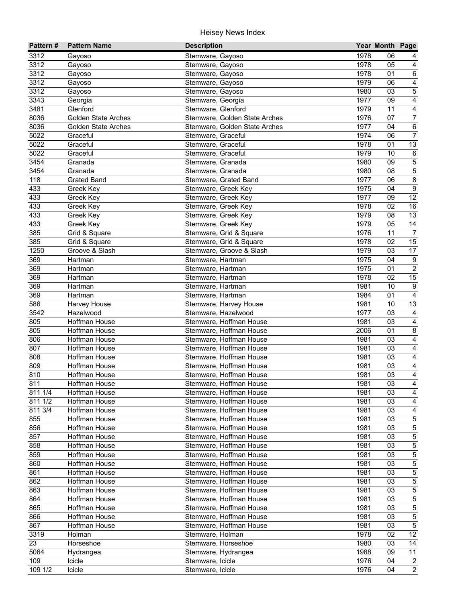| Pattern# | <b>Pattern Name</b>        | <b>Description</b>                            |      | Year Month Page |                         |
|----------|----------------------------|-----------------------------------------------|------|-----------------|-------------------------|
| 3312     | Gayoso                     | Stemware, Gayoso                              | 1978 | 06              | 4                       |
| 3312     | Gayoso                     | Stemware, Gayoso                              | 1978 | 05              | 4                       |
| 3312     | Gayoso                     | Stemware, Gayoso                              | 1978 | 01              | $\,6\,$                 |
| 3312     | Gayoso                     | Stemware, Gayoso                              | 1979 | 06              | $\overline{4}$          |
| 3312     | Gayoso                     | Stemware, Gayoso                              | 1980 | 03              | $\overline{5}$          |
| 3343     | Georgia                    | Stemware, Georgia                             | 1977 | 09              | 4                       |
| 3481     | Glenford                   | Stemware, Glenford                            | 1979 | 11              | $\overline{4}$          |
| 8036     | <b>Golden State Arches</b> | Stemware, Golden State Arches                 | 1976 | 07              | $\overline{7}$          |
| 8036     | <b>Golden State Arches</b> | Stemware, Golden State Arches                 | 1977 | 04              | $\overline{6}$          |
| 5022     | Graceful                   | Stemware, Graceful                            | 1974 | 06              | $\overline{7}$          |
| 5022     | Graceful                   | Stemware, Graceful                            | 1978 | 01              | 13                      |
| 5022     | Graceful                   | Stemware, Graceful                            | 1979 | 10              | $\,6\,$                 |
| 3454     | Granada                    | Stemware, Granada                             | 1980 | 09              | $\overline{5}$          |
| 3454     | Granada                    | Stemware, Granada                             | 1980 | 08              | $\overline{5}$          |
| 118      | <b>Grated Band</b>         | Stemware, Grated Band                         | 1977 | 06              | $\bf 8$                 |
| 433      | Greek Key                  | Stemware, Greek Key                           | 1975 | 04              | $\boldsymbol{9}$        |
| 433      | Greek Key                  | Stemware, Greek Key                           | 1977 | 09              | $\overline{12}$         |
| 433      | Greek Key                  | Stemware, Greek Key                           | 1978 | 02              | $\overline{16}$         |
| 433      | Greek Key                  | Stemware, Greek Key                           | 1979 | 08              | 13                      |
| 433      | Greek Key                  | Stemware, Greek Key                           | 1979 | 05              | 14                      |
| 385      | Grid & Square              | Stemware, Grid & Square                       | 1976 | 11              | $\overline{7}$          |
| 385      | Grid & Square              | Stemware, Grid & Square                       | 1978 | 02              | 15                      |
| 1250     | Groove & Slash             |                                               | 1979 | 03              | 17                      |
| 369      |                            | Stemware, Groove & Slash<br>Stemware, Hartman | 1975 | 04              | $9\,$                   |
| 369      | Hartman<br>Hartman         |                                               | 1975 | 01              | $\sqrt{2}$              |
| 369      | Hartman                    | Stemware, Hartman                             | 1978 | 02              |                         |
| 369      |                            | Stemware, Hartman                             |      | 10              | 15<br>$9\,$             |
|          | Hartman                    | Stemware, Hartman                             | 1981 |                 |                         |
| 369      | Hartman                    | Stemware, Hartman                             | 1984 | 01              | $\overline{4}$          |
| 586      | Harvey House               | Stemware, Harvey House                        | 1981 | 10              | 13                      |
| 3542     | Hazelwood                  | Stemware, Hazelwood                           | 1977 | 03              | $\overline{4}$          |
| 805      | Hoffman House              | Stemware, Hoffman House                       | 1981 | 03              | $\overline{4}$          |
| 805      | Hoffman House              | Stemware, Hoffman House                       | 2006 | 01              | $\bf 8$                 |
| 806      | Hoffman House              | Stemware, Hoffman House                       | 1981 | 03              | $\overline{4}$          |
| 807      | Hoffman House              | Stemware, Hoffman House                       | 1981 | 03              | $\overline{4}$          |
| 808      | Hoffman House              | Stemware, Hoffman House                       | 1981 | 03              | $\overline{4}$          |
| 809      | <b>Hoffman House</b>       | Stemware, Hoffman House                       | 1981 | 03              | $\overline{\mathbf{4}}$ |
| 810      | Hoffman House              | Stemware, Hoffman House                       | 1981 | 03              | $\overline{\mathbf{4}}$ |
| 811      | Hoffman House              | Stemware, Hoffman House                       | 1981 | 03              | $\overline{\mathbf{4}}$ |
| 811 1/4  | Hoffman House              | Stemware, Hoffman House                       | 1981 | 03              | 4                       |
| 811 1/2  | Hoffman House              | Stemware, Hoffman House                       | 1981 | 03              | 4                       |
| 811 3/4  | Hoffman House              | Stemware, Hoffman House                       | 1981 | 03              | 4                       |
| 855      | <b>Hoffman House</b>       | Stemware, Hoffman House                       | 1981 | 03              | $\sqrt{5}$              |
| 856      | Hoffman House              | Stemware, Hoffman House                       | 1981 | 03              | $\mathbf 5$             |
| 857      | Hoffman House              | Stemware, Hoffman House                       | 1981 | 03              | 5                       |
| 858      | Hoffman House              | Stemware, Hoffman House                       | 1981 | 03              | $\,$ 5 $\,$             |
| 859      | Hoffman House              | Stemware, Hoffman House                       | 1981 | 03              | 5                       |
| 860      | Hoffman House              | Stemware, Hoffman House                       | 1981 | 03              | $\,$ 5 $\,$             |
| 861      | Hoffman House              | Stemware, Hoffman House                       | 1981 | 03              | 5                       |
| 862      | Hoffman House              | Stemware, Hoffman House                       | 1981 | 03              | $\,$ 5 $\,$             |
| 863      | Hoffman House              | Stemware, Hoffman House                       | 1981 | 03              | $\overline{5}$          |
| 864      | Hoffman House              | Stemware, Hoffman House                       | 1981 | 03              | $\overline{5}$          |
| 865      | Hoffman House              | Stemware, Hoffman House                       | 1981 | 03              | 5                       |
| 866      | Hoffman House              | Stemware, Hoffman House                       | 1981 | 03              | $\overline{5}$          |
| 867      | Hoffman House              | Stemware, Hoffman House                       | 1981 | 03              | $\overline{5}$          |
| 3319     | Holman                     | Stemware, Holman                              | 1978 | 02              | 12                      |
| 23       | Horseshoe                  | Stemware, Horseshoe                           | 1980 | 03              | 14                      |
| 5064     | Hydrangea                  | Stemware, Hydrangea                           | 1988 | 09              | 11                      |
| 109      | Icicle                     | Stemware, Icicle                              | 1976 | 04              | $\overline{2}$          |
| 109 1/2  | Icicle                     | Stemware, Icicle                              | 1976 | 04              | $\overline{2}$          |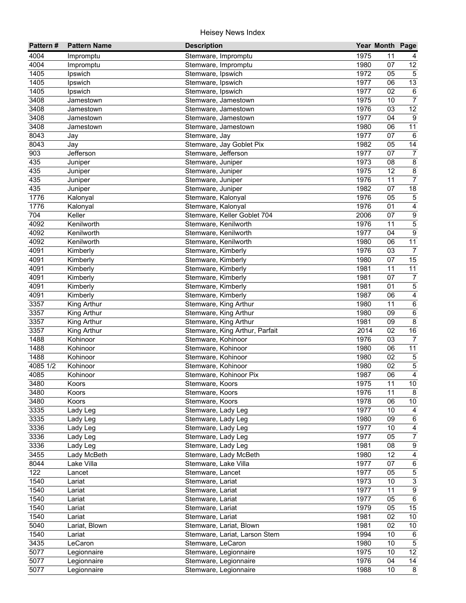| Pattern#          | <b>Pattern Name</b> | <b>Description</b>             |      | Year Month Page |                 |
|-------------------|---------------------|--------------------------------|------|-----------------|-----------------|
| 4004              | Impromptu           | Stemware, Impromptu            | 1975 | 11              | 4               |
| 4004              | Impromptu           | Stemware, Impromptu            | 1980 | 07              | 12              |
| 1405              | Ipswich             | Stemware, Ipswich              | 1972 | 05              | $\overline{5}$  |
| 1405              | Ipswich             | Stemware, Ipswich              | 1977 | 06              | 13              |
| 1405              | Ipswich             | Stemware, Ipswich              | 1977 | $\overline{02}$ | $\,6\,$         |
| 3408              | Jamestown           | Stemware, Jamestown            | 1975 | 10              | $\overline{7}$  |
| 3408              | Jamestown           | Stemware, Jamestown            | 1976 | 03              | 12              |
| 3408              | Jamestown           | Stemware, Jamestown            | 1977 | 04              | 9               |
| 3408              | Jamestown           | Stemware, Jamestown            | 1980 | 06              | 11              |
| 8043              | Jay                 | Stemware, Jay                  | 1977 | 07              | 6               |
| 8043              | Jay                 | Stemware, Jay Goblet Pix       | 1982 | 05              | 14              |
| 903               | Jefferson           | Stemware, Jefferson            | 1977 | 07              | $\overline{7}$  |
| 435               | Juniper             | Stemware, Juniper              | 1973 | 08              | $\overline{8}$  |
| 435               | Juniper             | Stemware, Juniper              | 1975 | 12              | $\bf 8$         |
| 435               | Juniper             | Stemware, Juniper              | 1976 | 11              | $\overline{7}$  |
| 435               | Juniper             | Stemware, Juniper              | 1982 | 07              | 18              |
| 1776              | Kalonyal            | Stemware, Kalonyal             | 1976 | 05              | $\mathbf 5$     |
| 1776              | Kalonyal            | Stemware, Kalonyal             | 1976 | 01              | $\overline{4}$  |
| 704               | Keller              | Stemware, Keller Goblet 704    | 2006 | 07              | $\overline{9}$  |
| 4092              | Kenilworth          | Stemware, Kenilworth           | 1976 | 11              | $\overline{5}$  |
| 4092              | Kenilworth          | Stemware, Kenilworth           | 1977 | 04              | $\overline{9}$  |
| $409\overline{2}$ | Kenilworth          | Stemware, Kenilworth           | 1980 | 06              | 11              |
| 4091              | Kimberly            | Stemware, Kimberly             | 1976 | 03              | $\overline{7}$  |
| 4091              | Kimberly            | Stemware, Kimberly             | 1980 | 07              | 15              |
| 4091              | Kimberly            | Stemware, Kimberly             | 1981 | 11              | 11              |
| 4091              | Kimberly            | Stemware, Kimberly             | 1981 | 07              | $\overline{7}$  |
| 4091              | Kimberly            | Stemware, Kimberly             | 1981 | 01              | $\overline{5}$  |
| $\overline{409}1$ | Kimberly            | Stemware, Kimberly             | 1987 | 06              | $\overline{4}$  |
| 3357              | King Arthur         | Stemware, King Arthur          | 1980 | 11              | $\,6\,$         |
| 3357              | King Arthur         | Stemware, King Arthur          | 1980 | 09              | $\overline{6}$  |
| 3357              | King Arthur         | Stemware, King Arthur          | 1981 | 09              | $\overline{8}$  |
| 3357              | King Arthur         | Stemware, King Arthur, Parfait | 2014 | 02              | 16              |
| 1488              | Kohinoor            | Stemware, Kohinoor             | 1976 | 03              | $\overline{7}$  |
| 1488              | Kohinoor            | Stemware, Kohinoor             | 1980 | 06              | $\overline{11}$ |
| 1488              | Kohinoor            | Stemware, Kohinoor             | 1980 | 02              | $\overline{5}$  |
| 4085 1/2          | Kohinoor            | Stemware, Kohinoor             | 1980 | 02              | $\overline{5}$  |
| 4085              | Kohinoor            | Stemware, Kohinoor Pix         | 1987 | 06              | $\overline{4}$  |
| 3480              | Koors               | Stemware, Koors                | 1975 | $\overline{11}$ | $\overline{10}$ |
| 3480              | Koors               | Stemware, Koors                | 1976 | 11              | 8               |
| 3480              | Koors               | Stemware, Koors                | 1978 | 06              | 10              |
| 3335              | Lady Leg            | Stemware, Lady Leg             | 1977 | 10              | 4               |
| 3335              | Lady Leg            | Stemware, Lady Leg             | 1980 | 09              | $\,6\,$         |
| 3336              | Lady Leg            | Stemware, Lady Leg             | 1977 | 10              | $\overline{4}$  |
| 3336              | Lady Leg            | Stemware, Lady Leg             | 1977 | 05              | $\overline{7}$  |
| 3336              | Lady Leg            | Stemware, Lady Leg             | 1981 | 08              | $\overline{9}$  |
| 3455              | Lady McBeth         | Stemware, Lady McBeth          | 1980 | 12              | $\overline{4}$  |
| 8044              | Lake Villa          | Stemware, Lake Villa           | 1977 | 07              | $\,6\,$         |
| 122               | Lancet              | Stemware, Lancet               | 1977 | 05              | $\mathbf 5$     |
| 1540              | Lariat              | Stemware, Lariat               | 1973 | 10              | $\overline{3}$  |
| 1540              | Lariat              | Stemware, Lariat               | 1977 | 11              | $\overline{9}$  |
| 1540              | Lariat              | Stemware, Lariat               | 1977 | 05              | $\overline{6}$  |
| 1540              | Lariat              | Stemware, Lariat               | 1979 | 05              | 15              |
| 1540              | Lariat              | Stemware, Lariat               | 1981 | 02              | 10              |
| 5040              | Lariat, Blown       | Stemware, Lariat, Blown        | 1981 | 02              | 10              |
| 1540              |                     | Stemware, Lariat, Larson Stem  | 1994 | 10              | 6               |
| 3435              | Lariat<br>LeCaron   | Stemware, LeCaron              | 1980 | 10              | $\sqrt{5}$      |
| 5077              |                     | Stemware, Legionnaire          | 1975 | 10              | 12              |
| 5077              | Legionnaire         | Stemware, Legionnaire          | 1976 | 04              | 14              |
| 5077              | Legionnaire         |                                | 1988 | 10              | $\overline{8}$  |
|                   | Legionnaire         | Stemware, Legionnaire          |      |                 |                 |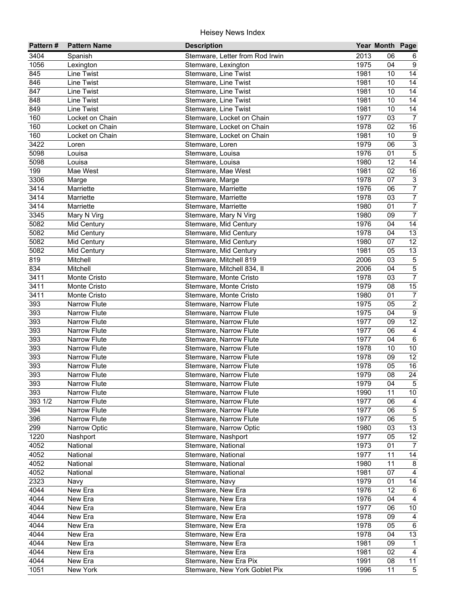| 2013<br>3404<br>Stemware, Letter from Rod Irwin<br>Spanish<br>06<br>6<br>1056<br>1975<br>9<br>04<br>Lexington<br>Stemware, Lexington<br>14<br>845<br>1981<br>10<br>Line Twist<br>Stemware, Line Twist<br>14<br>846<br>1981<br>10<br>Line Twist<br>Stemware, Line Twist<br>14<br>847<br>1981<br>10<br><b>Line Twist</b><br>Stemware, Line Twist<br>$\overline{14}$<br>848<br><b>Line Twist</b><br>1981<br>10<br>Stemware, Line Twist<br>849<br>1981<br>$\overline{14}$<br>10<br>Line Twist<br>Stemware, Line Twist<br>1977<br>$\overline{7}$<br>160<br>03<br>Locket on Chain<br>Stemware, Locket on Chain<br>1978<br>16<br>160<br>02<br>Locket on Chain<br>Stemware, Locket on Chain<br>$\boldsymbol{9}$<br>160<br>1981<br>10<br>Locket on Chain<br>Stemware, Locket on Chain<br>$\overline{3}$<br>3422<br>1979<br>06<br>Loren<br>Stemware, Loren<br>$\overline{5}$<br>1976<br>5098<br>01<br>Louisa<br>Stemware, Louisa<br>5098<br>1980<br>12<br>14<br>Louisa<br>Stemware, Louisa<br>199<br>1981<br>02<br>$16\,$<br>Mae West<br>Stemware, Mae West<br>$\sqrt{3}$<br>3306<br>1978<br>07<br>Stemware, Marge<br>Marge<br>$\overline{7}$<br>3414<br>1976<br>Marriette<br>Stemware, Marriette<br>06<br>3414<br>$\boldsymbol{7}$<br>1978<br>03<br>Marriette<br>Stemware, Marriette<br>$\boldsymbol{7}$<br>3414<br>Marriette<br>Stemware, Marriette<br>1980<br>01<br>$\overline{7}$<br>3345<br>09<br>1980<br>Mary N Virg<br>Stemware, Mary N Virg<br>14<br>5082<br>1976<br>04<br>Mid Century<br>Stemware, Mid Century<br>13<br>5082<br>1978<br>Stemware, Mid Century<br>04<br>Mid Century<br>12<br>5082<br>1980<br>07<br>Mid Century<br>Stemware, Mid Century<br>13<br>5082<br>1981<br>05<br>Mid Century<br>Stemware, Mid Century<br>819<br>$\,$ 5 $\,$<br>2006<br>03<br>Mitchell<br>Stemware, Mitchell 819<br>$\overline{5}$<br>834<br>2006<br>04<br>Mitchell<br>Stemware, Mitchell 834, II<br>$\overline{7}$<br>3411<br>1978<br>03<br>Monte Cristo<br>Stemware, Monte Cristo<br>15<br>3411<br>1979<br>08<br>Monte Cristo<br>Stemware, Monte Cristo<br>3411<br>$\overline{7}$<br>1980<br>01<br>Monte Cristo<br>Stemware, Monte Cristo<br>$\overline{2}$<br>393<br>1975<br>05<br><b>Narrow Flute</b><br>Stemware, Narrow Flute<br>$\overline{9}$<br>393<br>1975<br><b>Narrow Flute</b><br>Stemware, Narrow Flute<br>04<br>393<br>$\overline{12}$<br>1977<br>Narrow Flute<br>Stemware, Narrow Flute<br>09<br>393<br>1977<br>$\overline{4}$<br><b>Narrow Flute</b><br>Stemware, Narrow Flute<br>06<br>393<br>$\overline{6}$<br><b>Narrow Flute</b><br>Stemware, Narrow Flute<br>1977<br>04<br>393<br>1978<br>$10\,$<br><b>Narrow Flute</b><br>Stemware, Narrow Flute<br>10<br>12<br>393<br>1978<br><b>Narrow Flute</b><br>Stemware, Narrow Flute<br>09<br>16<br>393<br>1978<br><b>Narrow Flute</b><br>Stemware, Narrow Flute<br>05<br>24<br>393<br><b>Narrow Flute</b><br>1979<br>08<br>Stemware, Narrow Flute<br>$\overline{5}$<br>393<br>1979<br>04<br>Narrow Flute<br>Stemware, Narrow Hlute<br>$10\,$<br>393<br>1990<br>11<br>Narrow Flute<br>Stemware, Narrow Flute<br>393 1/2<br>1977<br>Narrow Flute<br>Stemware, Narrow Flute<br>06<br>4<br>$\overline{5}$<br>1977<br>06<br>394<br>Narrow Flute<br>Stemware, Narrow Flute<br>$\overline{5}$<br>396<br>1977<br>06<br>Narrow Flute<br>Stemware, Narrow Flute<br>$\overline{13}$<br>299<br>1980<br>Narrow Optic<br>Stemware, Narrow Optic<br>03<br>12<br>1220<br>1977<br>05<br>Nashport<br>Stemware, Nashport<br>4052<br>1973<br>01<br>National<br>Stemware, National<br>$\overline{7}$<br>14<br>4052<br>1977<br>11<br>National<br>Stemware, National<br>4052<br>11<br>8<br>Stemware, National<br>1980<br>National<br>4052<br>$\overline{4}$<br>Stemware, National<br>1981<br>07<br>National<br>2323<br>14<br>Stemware, Navy<br>1979<br>01<br>Navy<br>12<br>4044<br>New Era<br>1976<br>$6\phantom{.}6$<br>Stemware, New Era<br>4044<br>1976<br>$\overline{4}$<br>New Era<br>Stemware, New Era<br>04<br>1977<br>4044<br>Stemware, New Era<br>06<br>10<br>New Era<br>$\overline{4}$<br>4044<br>1978<br>09<br>New Era<br>Stemware, New Era<br>$6\overline{6}$<br>4044<br>1978<br>05<br>New Era<br>Stemware, New Era<br>13<br>4044<br>1978<br>04<br>New Era<br>Stemware, New Era<br>4044<br>1981<br>$\mathbf{1}$<br>New Era<br>Stemware, New Era<br>09<br>4044<br>1981<br>02<br>$\overline{4}$<br>New Era<br>Stemware, New Era<br>$\overline{11}$<br>$404\overline{4}$<br>1991<br>08<br>New Era<br>Stemware, New Era Pix | Pattern# | <b>Pattern Name</b> | <b>Description</b>            |      | Year Month Page |                |
|-----------------------------------------------------------------------------------------------------------------------------------------------------------------------------------------------------------------------------------------------------------------------------------------------------------------------------------------------------------------------------------------------------------------------------------------------------------------------------------------------------------------------------------------------------------------------------------------------------------------------------------------------------------------------------------------------------------------------------------------------------------------------------------------------------------------------------------------------------------------------------------------------------------------------------------------------------------------------------------------------------------------------------------------------------------------------------------------------------------------------------------------------------------------------------------------------------------------------------------------------------------------------------------------------------------------------------------------------------------------------------------------------------------------------------------------------------------------------------------------------------------------------------------------------------------------------------------------------------------------------------------------------------------------------------------------------------------------------------------------------------------------------------------------------------------------------------------------------------------------------------------------------------------------------------------------------------------------------------------------------------------------------------------------------------------------------------------------------------------------------------------------------------------------------------------------------------------------------------------------------------------------------------------------------------------------------------------------------------------------------------------------------------------------------------------------------------------------------------------------------------------------------------------------------------------------------------------------------------------------------------------------------------------------------------------------------------------------------------------------------------------------------------------------------------------------------------------------------------------------------------------------------------------------------------------------------------------------------------------------------------------------------------------------------------------------------------------------------------------------------------------------------------------------------------------------------------------------------------------------------------------------------------------------------------------------------------------------------------------------------------------------------------------------------------------------------------------------------------------------------------------------------------------------------------------------------------------------------------------------------------------------------------------------------------------------------------------------------------------------------------------------------------------------------------------------------------------------------------------------------------------------------------------------------------------------------------------------------------------------------------------------------------------------------------------------------------------------------------------------------------------------------------------------------------------------------------------------------------------------------------------------------------------------------------------------------------------------------------------------------------------------------------------------------------------------------------------------|----------|---------------------|-------------------------------|------|-----------------|----------------|
|                                                                                                                                                                                                                                                                                                                                                                                                                                                                                                                                                                                                                                                                                                                                                                                                                                                                                                                                                                                                                                                                                                                                                                                                                                                                                                                                                                                                                                                                                                                                                                                                                                                                                                                                                                                                                                                                                                                                                                                                                                                                                                                                                                                                                                                                                                                                                                                                                                                                                                                                                                                                                                                                                                                                                                                                                                                                                                                                                                                                                                                                                                                                                                                                                                                                                                                                                                                                                                                                                                                                                                                                                                                                                                                                                                                                                                                                                                                                                                                                                                                                                                                                                                                                                                                                                                                                                                                                                                                                 |          |                     |                               |      |                 |                |
|                                                                                                                                                                                                                                                                                                                                                                                                                                                                                                                                                                                                                                                                                                                                                                                                                                                                                                                                                                                                                                                                                                                                                                                                                                                                                                                                                                                                                                                                                                                                                                                                                                                                                                                                                                                                                                                                                                                                                                                                                                                                                                                                                                                                                                                                                                                                                                                                                                                                                                                                                                                                                                                                                                                                                                                                                                                                                                                                                                                                                                                                                                                                                                                                                                                                                                                                                                                                                                                                                                                                                                                                                                                                                                                                                                                                                                                                                                                                                                                                                                                                                                                                                                                                                                                                                                                                                                                                                                                                 |          |                     |                               |      |                 |                |
|                                                                                                                                                                                                                                                                                                                                                                                                                                                                                                                                                                                                                                                                                                                                                                                                                                                                                                                                                                                                                                                                                                                                                                                                                                                                                                                                                                                                                                                                                                                                                                                                                                                                                                                                                                                                                                                                                                                                                                                                                                                                                                                                                                                                                                                                                                                                                                                                                                                                                                                                                                                                                                                                                                                                                                                                                                                                                                                                                                                                                                                                                                                                                                                                                                                                                                                                                                                                                                                                                                                                                                                                                                                                                                                                                                                                                                                                                                                                                                                                                                                                                                                                                                                                                                                                                                                                                                                                                                                                 |          |                     |                               |      |                 |                |
|                                                                                                                                                                                                                                                                                                                                                                                                                                                                                                                                                                                                                                                                                                                                                                                                                                                                                                                                                                                                                                                                                                                                                                                                                                                                                                                                                                                                                                                                                                                                                                                                                                                                                                                                                                                                                                                                                                                                                                                                                                                                                                                                                                                                                                                                                                                                                                                                                                                                                                                                                                                                                                                                                                                                                                                                                                                                                                                                                                                                                                                                                                                                                                                                                                                                                                                                                                                                                                                                                                                                                                                                                                                                                                                                                                                                                                                                                                                                                                                                                                                                                                                                                                                                                                                                                                                                                                                                                                                                 |          |                     |                               |      |                 |                |
|                                                                                                                                                                                                                                                                                                                                                                                                                                                                                                                                                                                                                                                                                                                                                                                                                                                                                                                                                                                                                                                                                                                                                                                                                                                                                                                                                                                                                                                                                                                                                                                                                                                                                                                                                                                                                                                                                                                                                                                                                                                                                                                                                                                                                                                                                                                                                                                                                                                                                                                                                                                                                                                                                                                                                                                                                                                                                                                                                                                                                                                                                                                                                                                                                                                                                                                                                                                                                                                                                                                                                                                                                                                                                                                                                                                                                                                                                                                                                                                                                                                                                                                                                                                                                                                                                                                                                                                                                                                                 |          |                     |                               |      |                 |                |
|                                                                                                                                                                                                                                                                                                                                                                                                                                                                                                                                                                                                                                                                                                                                                                                                                                                                                                                                                                                                                                                                                                                                                                                                                                                                                                                                                                                                                                                                                                                                                                                                                                                                                                                                                                                                                                                                                                                                                                                                                                                                                                                                                                                                                                                                                                                                                                                                                                                                                                                                                                                                                                                                                                                                                                                                                                                                                                                                                                                                                                                                                                                                                                                                                                                                                                                                                                                                                                                                                                                                                                                                                                                                                                                                                                                                                                                                                                                                                                                                                                                                                                                                                                                                                                                                                                                                                                                                                                                                 |          |                     |                               |      |                 |                |
|                                                                                                                                                                                                                                                                                                                                                                                                                                                                                                                                                                                                                                                                                                                                                                                                                                                                                                                                                                                                                                                                                                                                                                                                                                                                                                                                                                                                                                                                                                                                                                                                                                                                                                                                                                                                                                                                                                                                                                                                                                                                                                                                                                                                                                                                                                                                                                                                                                                                                                                                                                                                                                                                                                                                                                                                                                                                                                                                                                                                                                                                                                                                                                                                                                                                                                                                                                                                                                                                                                                                                                                                                                                                                                                                                                                                                                                                                                                                                                                                                                                                                                                                                                                                                                                                                                                                                                                                                                                                 |          |                     |                               |      |                 |                |
|                                                                                                                                                                                                                                                                                                                                                                                                                                                                                                                                                                                                                                                                                                                                                                                                                                                                                                                                                                                                                                                                                                                                                                                                                                                                                                                                                                                                                                                                                                                                                                                                                                                                                                                                                                                                                                                                                                                                                                                                                                                                                                                                                                                                                                                                                                                                                                                                                                                                                                                                                                                                                                                                                                                                                                                                                                                                                                                                                                                                                                                                                                                                                                                                                                                                                                                                                                                                                                                                                                                                                                                                                                                                                                                                                                                                                                                                                                                                                                                                                                                                                                                                                                                                                                                                                                                                                                                                                                                                 |          |                     |                               |      |                 |                |
|                                                                                                                                                                                                                                                                                                                                                                                                                                                                                                                                                                                                                                                                                                                                                                                                                                                                                                                                                                                                                                                                                                                                                                                                                                                                                                                                                                                                                                                                                                                                                                                                                                                                                                                                                                                                                                                                                                                                                                                                                                                                                                                                                                                                                                                                                                                                                                                                                                                                                                                                                                                                                                                                                                                                                                                                                                                                                                                                                                                                                                                                                                                                                                                                                                                                                                                                                                                                                                                                                                                                                                                                                                                                                                                                                                                                                                                                                                                                                                                                                                                                                                                                                                                                                                                                                                                                                                                                                                                                 |          |                     |                               |      |                 |                |
|                                                                                                                                                                                                                                                                                                                                                                                                                                                                                                                                                                                                                                                                                                                                                                                                                                                                                                                                                                                                                                                                                                                                                                                                                                                                                                                                                                                                                                                                                                                                                                                                                                                                                                                                                                                                                                                                                                                                                                                                                                                                                                                                                                                                                                                                                                                                                                                                                                                                                                                                                                                                                                                                                                                                                                                                                                                                                                                                                                                                                                                                                                                                                                                                                                                                                                                                                                                                                                                                                                                                                                                                                                                                                                                                                                                                                                                                                                                                                                                                                                                                                                                                                                                                                                                                                                                                                                                                                                                                 |          |                     |                               |      |                 |                |
|                                                                                                                                                                                                                                                                                                                                                                                                                                                                                                                                                                                                                                                                                                                                                                                                                                                                                                                                                                                                                                                                                                                                                                                                                                                                                                                                                                                                                                                                                                                                                                                                                                                                                                                                                                                                                                                                                                                                                                                                                                                                                                                                                                                                                                                                                                                                                                                                                                                                                                                                                                                                                                                                                                                                                                                                                                                                                                                                                                                                                                                                                                                                                                                                                                                                                                                                                                                                                                                                                                                                                                                                                                                                                                                                                                                                                                                                                                                                                                                                                                                                                                                                                                                                                                                                                                                                                                                                                                                                 |          |                     |                               |      |                 |                |
|                                                                                                                                                                                                                                                                                                                                                                                                                                                                                                                                                                                                                                                                                                                                                                                                                                                                                                                                                                                                                                                                                                                                                                                                                                                                                                                                                                                                                                                                                                                                                                                                                                                                                                                                                                                                                                                                                                                                                                                                                                                                                                                                                                                                                                                                                                                                                                                                                                                                                                                                                                                                                                                                                                                                                                                                                                                                                                                                                                                                                                                                                                                                                                                                                                                                                                                                                                                                                                                                                                                                                                                                                                                                                                                                                                                                                                                                                                                                                                                                                                                                                                                                                                                                                                                                                                                                                                                                                                                                 |          |                     |                               |      |                 |                |
|                                                                                                                                                                                                                                                                                                                                                                                                                                                                                                                                                                                                                                                                                                                                                                                                                                                                                                                                                                                                                                                                                                                                                                                                                                                                                                                                                                                                                                                                                                                                                                                                                                                                                                                                                                                                                                                                                                                                                                                                                                                                                                                                                                                                                                                                                                                                                                                                                                                                                                                                                                                                                                                                                                                                                                                                                                                                                                                                                                                                                                                                                                                                                                                                                                                                                                                                                                                                                                                                                                                                                                                                                                                                                                                                                                                                                                                                                                                                                                                                                                                                                                                                                                                                                                                                                                                                                                                                                                                                 |          |                     |                               |      |                 |                |
|                                                                                                                                                                                                                                                                                                                                                                                                                                                                                                                                                                                                                                                                                                                                                                                                                                                                                                                                                                                                                                                                                                                                                                                                                                                                                                                                                                                                                                                                                                                                                                                                                                                                                                                                                                                                                                                                                                                                                                                                                                                                                                                                                                                                                                                                                                                                                                                                                                                                                                                                                                                                                                                                                                                                                                                                                                                                                                                                                                                                                                                                                                                                                                                                                                                                                                                                                                                                                                                                                                                                                                                                                                                                                                                                                                                                                                                                                                                                                                                                                                                                                                                                                                                                                                                                                                                                                                                                                                                                 |          |                     |                               |      |                 |                |
|                                                                                                                                                                                                                                                                                                                                                                                                                                                                                                                                                                                                                                                                                                                                                                                                                                                                                                                                                                                                                                                                                                                                                                                                                                                                                                                                                                                                                                                                                                                                                                                                                                                                                                                                                                                                                                                                                                                                                                                                                                                                                                                                                                                                                                                                                                                                                                                                                                                                                                                                                                                                                                                                                                                                                                                                                                                                                                                                                                                                                                                                                                                                                                                                                                                                                                                                                                                                                                                                                                                                                                                                                                                                                                                                                                                                                                                                                                                                                                                                                                                                                                                                                                                                                                                                                                                                                                                                                                                                 |          |                     |                               |      |                 |                |
|                                                                                                                                                                                                                                                                                                                                                                                                                                                                                                                                                                                                                                                                                                                                                                                                                                                                                                                                                                                                                                                                                                                                                                                                                                                                                                                                                                                                                                                                                                                                                                                                                                                                                                                                                                                                                                                                                                                                                                                                                                                                                                                                                                                                                                                                                                                                                                                                                                                                                                                                                                                                                                                                                                                                                                                                                                                                                                                                                                                                                                                                                                                                                                                                                                                                                                                                                                                                                                                                                                                                                                                                                                                                                                                                                                                                                                                                                                                                                                                                                                                                                                                                                                                                                                                                                                                                                                                                                                                                 |          |                     |                               |      |                 |                |
|                                                                                                                                                                                                                                                                                                                                                                                                                                                                                                                                                                                                                                                                                                                                                                                                                                                                                                                                                                                                                                                                                                                                                                                                                                                                                                                                                                                                                                                                                                                                                                                                                                                                                                                                                                                                                                                                                                                                                                                                                                                                                                                                                                                                                                                                                                                                                                                                                                                                                                                                                                                                                                                                                                                                                                                                                                                                                                                                                                                                                                                                                                                                                                                                                                                                                                                                                                                                                                                                                                                                                                                                                                                                                                                                                                                                                                                                                                                                                                                                                                                                                                                                                                                                                                                                                                                                                                                                                                                                 |          |                     |                               |      |                 |                |
|                                                                                                                                                                                                                                                                                                                                                                                                                                                                                                                                                                                                                                                                                                                                                                                                                                                                                                                                                                                                                                                                                                                                                                                                                                                                                                                                                                                                                                                                                                                                                                                                                                                                                                                                                                                                                                                                                                                                                                                                                                                                                                                                                                                                                                                                                                                                                                                                                                                                                                                                                                                                                                                                                                                                                                                                                                                                                                                                                                                                                                                                                                                                                                                                                                                                                                                                                                                                                                                                                                                                                                                                                                                                                                                                                                                                                                                                                                                                                                                                                                                                                                                                                                                                                                                                                                                                                                                                                                                                 |          |                     |                               |      |                 |                |
|                                                                                                                                                                                                                                                                                                                                                                                                                                                                                                                                                                                                                                                                                                                                                                                                                                                                                                                                                                                                                                                                                                                                                                                                                                                                                                                                                                                                                                                                                                                                                                                                                                                                                                                                                                                                                                                                                                                                                                                                                                                                                                                                                                                                                                                                                                                                                                                                                                                                                                                                                                                                                                                                                                                                                                                                                                                                                                                                                                                                                                                                                                                                                                                                                                                                                                                                                                                                                                                                                                                                                                                                                                                                                                                                                                                                                                                                                                                                                                                                                                                                                                                                                                                                                                                                                                                                                                                                                                                                 |          |                     |                               |      |                 |                |
|                                                                                                                                                                                                                                                                                                                                                                                                                                                                                                                                                                                                                                                                                                                                                                                                                                                                                                                                                                                                                                                                                                                                                                                                                                                                                                                                                                                                                                                                                                                                                                                                                                                                                                                                                                                                                                                                                                                                                                                                                                                                                                                                                                                                                                                                                                                                                                                                                                                                                                                                                                                                                                                                                                                                                                                                                                                                                                                                                                                                                                                                                                                                                                                                                                                                                                                                                                                                                                                                                                                                                                                                                                                                                                                                                                                                                                                                                                                                                                                                                                                                                                                                                                                                                                                                                                                                                                                                                                                                 |          |                     |                               |      |                 |                |
|                                                                                                                                                                                                                                                                                                                                                                                                                                                                                                                                                                                                                                                                                                                                                                                                                                                                                                                                                                                                                                                                                                                                                                                                                                                                                                                                                                                                                                                                                                                                                                                                                                                                                                                                                                                                                                                                                                                                                                                                                                                                                                                                                                                                                                                                                                                                                                                                                                                                                                                                                                                                                                                                                                                                                                                                                                                                                                                                                                                                                                                                                                                                                                                                                                                                                                                                                                                                                                                                                                                                                                                                                                                                                                                                                                                                                                                                                                                                                                                                                                                                                                                                                                                                                                                                                                                                                                                                                                                                 |          |                     |                               |      |                 |                |
|                                                                                                                                                                                                                                                                                                                                                                                                                                                                                                                                                                                                                                                                                                                                                                                                                                                                                                                                                                                                                                                                                                                                                                                                                                                                                                                                                                                                                                                                                                                                                                                                                                                                                                                                                                                                                                                                                                                                                                                                                                                                                                                                                                                                                                                                                                                                                                                                                                                                                                                                                                                                                                                                                                                                                                                                                                                                                                                                                                                                                                                                                                                                                                                                                                                                                                                                                                                                                                                                                                                                                                                                                                                                                                                                                                                                                                                                                                                                                                                                                                                                                                                                                                                                                                                                                                                                                                                                                                                                 |          |                     |                               |      |                 |                |
|                                                                                                                                                                                                                                                                                                                                                                                                                                                                                                                                                                                                                                                                                                                                                                                                                                                                                                                                                                                                                                                                                                                                                                                                                                                                                                                                                                                                                                                                                                                                                                                                                                                                                                                                                                                                                                                                                                                                                                                                                                                                                                                                                                                                                                                                                                                                                                                                                                                                                                                                                                                                                                                                                                                                                                                                                                                                                                                                                                                                                                                                                                                                                                                                                                                                                                                                                                                                                                                                                                                                                                                                                                                                                                                                                                                                                                                                                                                                                                                                                                                                                                                                                                                                                                                                                                                                                                                                                                                                 |          |                     |                               |      |                 |                |
|                                                                                                                                                                                                                                                                                                                                                                                                                                                                                                                                                                                                                                                                                                                                                                                                                                                                                                                                                                                                                                                                                                                                                                                                                                                                                                                                                                                                                                                                                                                                                                                                                                                                                                                                                                                                                                                                                                                                                                                                                                                                                                                                                                                                                                                                                                                                                                                                                                                                                                                                                                                                                                                                                                                                                                                                                                                                                                                                                                                                                                                                                                                                                                                                                                                                                                                                                                                                                                                                                                                                                                                                                                                                                                                                                                                                                                                                                                                                                                                                                                                                                                                                                                                                                                                                                                                                                                                                                                                                 |          |                     |                               |      |                 |                |
|                                                                                                                                                                                                                                                                                                                                                                                                                                                                                                                                                                                                                                                                                                                                                                                                                                                                                                                                                                                                                                                                                                                                                                                                                                                                                                                                                                                                                                                                                                                                                                                                                                                                                                                                                                                                                                                                                                                                                                                                                                                                                                                                                                                                                                                                                                                                                                                                                                                                                                                                                                                                                                                                                                                                                                                                                                                                                                                                                                                                                                                                                                                                                                                                                                                                                                                                                                                                                                                                                                                                                                                                                                                                                                                                                                                                                                                                                                                                                                                                                                                                                                                                                                                                                                                                                                                                                                                                                                                                 |          |                     |                               |      |                 |                |
|                                                                                                                                                                                                                                                                                                                                                                                                                                                                                                                                                                                                                                                                                                                                                                                                                                                                                                                                                                                                                                                                                                                                                                                                                                                                                                                                                                                                                                                                                                                                                                                                                                                                                                                                                                                                                                                                                                                                                                                                                                                                                                                                                                                                                                                                                                                                                                                                                                                                                                                                                                                                                                                                                                                                                                                                                                                                                                                                                                                                                                                                                                                                                                                                                                                                                                                                                                                                                                                                                                                                                                                                                                                                                                                                                                                                                                                                                                                                                                                                                                                                                                                                                                                                                                                                                                                                                                                                                                                                 |          |                     |                               |      |                 |                |
|                                                                                                                                                                                                                                                                                                                                                                                                                                                                                                                                                                                                                                                                                                                                                                                                                                                                                                                                                                                                                                                                                                                                                                                                                                                                                                                                                                                                                                                                                                                                                                                                                                                                                                                                                                                                                                                                                                                                                                                                                                                                                                                                                                                                                                                                                                                                                                                                                                                                                                                                                                                                                                                                                                                                                                                                                                                                                                                                                                                                                                                                                                                                                                                                                                                                                                                                                                                                                                                                                                                                                                                                                                                                                                                                                                                                                                                                                                                                                                                                                                                                                                                                                                                                                                                                                                                                                                                                                                                                 |          |                     |                               |      |                 |                |
|                                                                                                                                                                                                                                                                                                                                                                                                                                                                                                                                                                                                                                                                                                                                                                                                                                                                                                                                                                                                                                                                                                                                                                                                                                                                                                                                                                                                                                                                                                                                                                                                                                                                                                                                                                                                                                                                                                                                                                                                                                                                                                                                                                                                                                                                                                                                                                                                                                                                                                                                                                                                                                                                                                                                                                                                                                                                                                                                                                                                                                                                                                                                                                                                                                                                                                                                                                                                                                                                                                                                                                                                                                                                                                                                                                                                                                                                                                                                                                                                                                                                                                                                                                                                                                                                                                                                                                                                                                                                 |          |                     |                               |      |                 |                |
|                                                                                                                                                                                                                                                                                                                                                                                                                                                                                                                                                                                                                                                                                                                                                                                                                                                                                                                                                                                                                                                                                                                                                                                                                                                                                                                                                                                                                                                                                                                                                                                                                                                                                                                                                                                                                                                                                                                                                                                                                                                                                                                                                                                                                                                                                                                                                                                                                                                                                                                                                                                                                                                                                                                                                                                                                                                                                                                                                                                                                                                                                                                                                                                                                                                                                                                                                                                                                                                                                                                                                                                                                                                                                                                                                                                                                                                                                                                                                                                                                                                                                                                                                                                                                                                                                                                                                                                                                                                                 |          |                     |                               |      |                 |                |
|                                                                                                                                                                                                                                                                                                                                                                                                                                                                                                                                                                                                                                                                                                                                                                                                                                                                                                                                                                                                                                                                                                                                                                                                                                                                                                                                                                                                                                                                                                                                                                                                                                                                                                                                                                                                                                                                                                                                                                                                                                                                                                                                                                                                                                                                                                                                                                                                                                                                                                                                                                                                                                                                                                                                                                                                                                                                                                                                                                                                                                                                                                                                                                                                                                                                                                                                                                                                                                                                                                                                                                                                                                                                                                                                                                                                                                                                                                                                                                                                                                                                                                                                                                                                                                                                                                                                                                                                                                                                 |          |                     |                               |      |                 |                |
|                                                                                                                                                                                                                                                                                                                                                                                                                                                                                                                                                                                                                                                                                                                                                                                                                                                                                                                                                                                                                                                                                                                                                                                                                                                                                                                                                                                                                                                                                                                                                                                                                                                                                                                                                                                                                                                                                                                                                                                                                                                                                                                                                                                                                                                                                                                                                                                                                                                                                                                                                                                                                                                                                                                                                                                                                                                                                                                                                                                                                                                                                                                                                                                                                                                                                                                                                                                                                                                                                                                                                                                                                                                                                                                                                                                                                                                                                                                                                                                                                                                                                                                                                                                                                                                                                                                                                                                                                                                                 |          |                     |                               |      |                 |                |
|                                                                                                                                                                                                                                                                                                                                                                                                                                                                                                                                                                                                                                                                                                                                                                                                                                                                                                                                                                                                                                                                                                                                                                                                                                                                                                                                                                                                                                                                                                                                                                                                                                                                                                                                                                                                                                                                                                                                                                                                                                                                                                                                                                                                                                                                                                                                                                                                                                                                                                                                                                                                                                                                                                                                                                                                                                                                                                                                                                                                                                                                                                                                                                                                                                                                                                                                                                                                                                                                                                                                                                                                                                                                                                                                                                                                                                                                                                                                                                                                                                                                                                                                                                                                                                                                                                                                                                                                                                                                 |          |                     |                               |      |                 |                |
|                                                                                                                                                                                                                                                                                                                                                                                                                                                                                                                                                                                                                                                                                                                                                                                                                                                                                                                                                                                                                                                                                                                                                                                                                                                                                                                                                                                                                                                                                                                                                                                                                                                                                                                                                                                                                                                                                                                                                                                                                                                                                                                                                                                                                                                                                                                                                                                                                                                                                                                                                                                                                                                                                                                                                                                                                                                                                                                                                                                                                                                                                                                                                                                                                                                                                                                                                                                                                                                                                                                                                                                                                                                                                                                                                                                                                                                                                                                                                                                                                                                                                                                                                                                                                                                                                                                                                                                                                                                                 |          |                     |                               |      |                 |                |
|                                                                                                                                                                                                                                                                                                                                                                                                                                                                                                                                                                                                                                                                                                                                                                                                                                                                                                                                                                                                                                                                                                                                                                                                                                                                                                                                                                                                                                                                                                                                                                                                                                                                                                                                                                                                                                                                                                                                                                                                                                                                                                                                                                                                                                                                                                                                                                                                                                                                                                                                                                                                                                                                                                                                                                                                                                                                                                                                                                                                                                                                                                                                                                                                                                                                                                                                                                                                                                                                                                                                                                                                                                                                                                                                                                                                                                                                                                                                                                                                                                                                                                                                                                                                                                                                                                                                                                                                                                                                 |          |                     |                               |      |                 |                |
|                                                                                                                                                                                                                                                                                                                                                                                                                                                                                                                                                                                                                                                                                                                                                                                                                                                                                                                                                                                                                                                                                                                                                                                                                                                                                                                                                                                                                                                                                                                                                                                                                                                                                                                                                                                                                                                                                                                                                                                                                                                                                                                                                                                                                                                                                                                                                                                                                                                                                                                                                                                                                                                                                                                                                                                                                                                                                                                                                                                                                                                                                                                                                                                                                                                                                                                                                                                                                                                                                                                                                                                                                                                                                                                                                                                                                                                                                                                                                                                                                                                                                                                                                                                                                                                                                                                                                                                                                                                                 |          |                     |                               |      |                 |                |
|                                                                                                                                                                                                                                                                                                                                                                                                                                                                                                                                                                                                                                                                                                                                                                                                                                                                                                                                                                                                                                                                                                                                                                                                                                                                                                                                                                                                                                                                                                                                                                                                                                                                                                                                                                                                                                                                                                                                                                                                                                                                                                                                                                                                                                                                                                                                                                                                                                                                                                                                                                                                                                                                                                                                                                                                                                                                                                                                                                                                                                                                                                                                                                                                                                                                                                                                                                                                                                                                                                                                                                                                                                                                                                                                                                                                                                                                                                                                                                                                                                                                                                                                                                                                                                                                                                                                                                                                                                                                 |          |                     |                               |      |                 |                |
|                                                                                                                                                                                                                                                                                                                                                                                                                                                                                                                                                                                                                                                                                                                                                                                                                                                                                                                                                                                                                                                                                                                                                                                                                                                                                                                                                                                                                                                                                                                                                                                                                                                                                                                                                                                                                                                                                                                                                                                                                                                                                                                                                                                                                                                                                                                                                                                                                                                                                                                                                                                                                                                                                                                                                                                                                                                                                                                                                                                                                                                                                                                                                                                                                                                                                                                                                                                                                                                                                                                                                                                                                                                                                                                                                                                                                                                                                                                                                                                                                                                                                                                                                                                                                                                                                                                                                                                                                                                                 |          |                     |                               |      |                 |                |
|                                                                                                                                                                                                                                                                                                                                                                                                                                                                                                                                                                                                                                                                                                                                                                                                                                                                                                                                                                                                                                                                                                                                                                                                                                                                                                                                                                                                                                                                                                                                                                                                                                                                                                                                                                                                                                                                                                                                                                                                                                                                                                                                                                                                                                                                                                                                                                                                                                                                                                                                                                                                                                                                                                                                                                                                                                                                                                                                                                                                                                                                                                                                                                                                                                                                                                                                                                                                                                                                                                                                                                                                                                                                                                                                                                                                                                                                                                                                                                                                                                                                                                                                                                                                                                                                                                                                                                                                                                                                 |          |                     |                               |      |                 |                |
|                                                                                                                                                                                                                                                                                                                                                                                                                                                                                                                                                                                                                                                                                                                                                                                                                                                                                                                                                                                                                                                                                                                                                                                                                                                                                                                                                                                                                                                                                                                                                                                                                                                                                                                                                                                                                                                                                                                                                                                                                                                                                                                                                                                                                                                                                                                                                                                                                                                                                                                                                                                                                                                                                                                                                                                                                                                                                                                                                                                                                                                                                                                                                                                                                                                                                                                                                                                                                                                                                                                                                                                                                                                                                                                                                                                                                                                                                                                                                                                                                                                                                                                                                                                                                                                                                                                                                                                                                                                                 |          |                     |                               |      |                 |                |
|                                                                                                                                                                                                                                                                                                                                                                                                                                                                                                                                                                                                                                                                                                                                                                                                                                                                                                                                                                                                                                                                                                                                                                                                                                                                                                                                                                                                                                                                                                                                                                                                                                                                                                                                                                                                                                                                                                                                                                                                                                                                                                                                                                                                                                                                                                                                                                                                                                                                                                                                                                                                                                                                                                                                                                                                                                                                                                                                                                                                                                                                                                                                                                                                                                                                                                                                                                                                                                                                                                                                                                                                                                                                                                                                                                                                                                                                                                                                                                                                                                                                                                                                                                                                                                                                                                                                                                                                                                                                 |          |                     |                               |      |                 |                |
|                                                                                                                                                                                                                                                                                                                                                                                                                                                                                                                                                                                                                                                                                                                                                                                                                                                                                                                                                                                                                                                                                                                                                                                                                                                                                                                                                                                                                                                                                                                                                                                                                                                                                                                                                                                                                                                                                                                                                                                                                                                                                                                                                                                                                                                                                                                                                                                                                                                                                                                                                                                                                                                                                                                                                                                                                                                                                                                                                                                                                                                                                                                                                                                                                                                                                                                                                                                                                                                                                                                                                                                                                                                                                                                                                                                                                                                                                                                                                                                                                                                                                                                                                                                                                                                                                                                                                                                                                                                                 |          |                     |                               |      |                 |                |
|                                                                                                                                                                                                                                                                                                                                                                                                                                                                                                                                                                                                                                                                                                                                                                                                                                                                                                                                                                                                                                                                                                                                                                                                                                                                                                                                                                                                                                                                                                                                                                                                                                                                                                                                                                                                                                                                                                                                                                                                                                                                                                                                                                                                                                                                                                                                                                                                                                                                                                                                                                                                                                                                                                                                                                                                                                                                                                                                                                                                                                                                                                                                                                                                                                                                                                                                                                                                                                                                                                                                                                                                                                                                                                                                                                                                                                                                                                                                                                                                                                                                                                                                                                                                                                                                                                                                                                                                                                                                 |          |                     |                               |      |                 |                |
|                                                                                                                                                                                                                                                                                                                                                                                                                                                                                                                                                                                                                                                                                                                                                                                                                                                                                                                                                                                                                                                                                                                                                                                                                                                                                                                                                                                                                                                                                                                                                                                                                                                                                                                                                                                                                                                                                                                                                                                                                                                                                                                                                                                                                                                                                                                                                                                                                                                                                                                                                                                                                                                                                                                                                                                                                                                                                                                                                                                                                                                                                                                                                                                                                                                                                                                                                                                                                                                                                                                                                                                                                                                                                                                                                                                                                                                                                                                                                                                                                                                                                                                                                                                                                                                                                                                                                                                                                                                                 |          |                     |                               |      |                 |                |
|                                                                                                                                                                                                                                                                                                                                                                                                                                                                                                                                                                                                                                                                                                                                                                                                                                                                                                                                                                                                                                                                                                                                                                                                                                                                                                                                                                                                                                                                                                                                                                                                                                                                                                                                                                                                                                                                                                                                                                                                                                                                                                                                                                                                                                                                                                                                                                                                                                                                                                                                                                                                                                                                                                                                                                                                                                                                                                                                                                                                                                                                                                                                                                                                                                                                                                                                                                                                                                                                                                                                                                                                                                                                                                                                                                                                                                                                                                                                                                                                                                                                                                                                                                                                                                                                                                                                                                                                                                                                 |          |                     |                               |      |                 |                |
|                                                                                                                                                                                                                                                                                                                                                                                                                                                                                                                                                                                                                                                                                                                                                                                                                                                                                                                                                                                                                                                                                                                                                                                                                                                                                                                                                                                                                                                                                                                                                                                                                                                                                                                                                                                                                                                                                                                                                                                                                                                                                                                                                                                                                                                                                                                                                                                                                                                                                                                                                                                                                                                                                                                                                                                                                                                                                                                                                                                                                                                                                                                                                                                                                                                                                                                                                                                                                                                                                                                                                                                                                                                                                                                                                                                                                                                                                                                                                                                                                                                                                                                                                                                                                                                                                                                                                                                                                                                                 |          |                     |                               |      |                 |                |
|                                                                                                                                                                                                                                                                                                                                                                                                                                                                                                                                                                                                                                                                                                                                                                                                                                                                                                                                                                                                                                                                                                                                                                                                                                                                                                                                                                                                                                                                                                                                                                                                                                                                                                                                                                                                                                                                                                                                                                                                                                                                                                                                                                                                                                                                                                                                                                                                                                                                                                                                                                                                                                                                                                                                                                                                                                                                                                                                                                                                                                                                                                                                                                                                                                                                                                                                                                                                                                                                                                                                                                                                                                                                                                                                                                                                                                                                                                                                                                                                                                                                                                                                                                                                                                                                                                                                                                                                                                                                 |          |                     |                               |      |                 |                |
|                                                                                                                                                                                                                                                                                                                                                                                                                                                                                                                                                                                                                                                                                                                                                                                                                                                                                                                                                                                                                                                                                                                                                                                                                                                                                                                                                                                                                                                                                                                                                                                                                                                                                                                                                                                                                                                                                                                                                                                                                                                                                                                                                                                                                                                                                                                                                                                                                                                                                                                                                                                                                                                                                                                                                                                                                                                                                                                                                                                                                                                                                                                                                                                                                                                                                                                                                                                                                                                                                                                                                                                                                                                                                                                                                                                                                                                                                                                                                                                                                                                                                                                                                                                                                                                                                                                                                                                                                                                                 |          |                     |                               |      |                 |                |
|                                                                                                                                                                                                                                                                                                                                                                                                                                                                                                                                                                                                                                                                                                                                                                                                                                                                                                                                                                                                                                                                                                                                                                                                                                                                                                                                                                                                                                                                                                                                                                                                                                                                                                                                                                                                                                                                                                                                                                                                                                                                                                                                                                                                                                                                                                                                                                                                                                                                                                                                                                                                                                                                                                                                                                                                                                                                                                                                                                                                                                                                                                                                                                                                                                                                                                                                                                                                                                                                                                                                                                                                                                                                                                                                                                                                                                                                                                                                                                                                                                                                                                                                                                                                                                                                                                                                                                                                                                                                 |          |                     |                               |      |                 |                |
|                                                                                                                                                                                                                                                                                                                                                                                                                                                                                                                                                                                                                                                                                                                                                                                                                                                                                                                                                                                                                                                                                                                                                                                                                                                                                                                                                                                                                                                                                                                                                                                                                                                                                                                                                                                                                                                                                                                                                                                                                                                                                                                                                                                                                                                                                                                                                                                                                                                                                                                                                                                                                                                                                                                                                                                                                                                                                                                                                                                                                                                                                                                                                                                                                                                                                                                                                                                                                                                                                                                                                                                                                                                                                                                                                                                                                                                                                                                                                                                                                                                                                                                                                                                                                                                                                                                                                                                                                                                                 |          |                     |                               |      |                 |                |
|                                                                                                                                                                                                                                                                                                                                                                                                                                                                                                                                                                                                                                                                                                                                                                                                                                                                                                                                                                                                                                                                                                                                                                                                                                                                                                                                                                                                                                                                                                                                                                                                                                                                                                                                                                                                                                                                                                                                                                                                                                                                                                                                                                                                                                                                                                                                                                                                                                                                                                                                                                                                                                                                                                                                                                                                                                                                                                                                                                                                                                                                                                                                                                                                                                                                                                                                                                                                                                                                                                                                                                                                                                                                                                                                                                                                                                                                                                                                                                                                                                                                                                                                                                                                                                                                                                                                                                                                                                                                 |          |                     |                               |      |                 |                |
|                                                                                                                                                                                                                                                                                                                                                                                                                                                                                                                                                                                                                                                                                                                                                                                                                                                                                                                                                                                                                                                                                                                                                                                                                                                                                                                                                                                                                                                                                                                                                                                                                                                                                                                                                                                                                                                                                                                                                                                                                                                                                                                                                                                                                                                                                                                                                                                                                                                                                                                                                                                                                                                                                                                                                                                                                                                                                                                                                                                                                                                                                                                                                                                                                                                                                                                                                                                                                                                                                                                                                                                                                                                                                                                                                                                                                                                                                                                                                                                                                                                                                                                                                                                                                                                                                                                                                                                                                                                                 |          |                     |                               |      |                 |                |
|                                                                                                                                                                                                                                                                                                                                                                                                                                                                                                                                                                                                                                                                                                                                                                                                                                                                                                                                                                                                                                                                                                                                                                                                                                                                                                                                                                                                                                                                                                                                                                                                                                                                                                                                                                                                                                                                                                                                                                                                                                                                                                                                                                                                                                                                                                                                                                                                                                                                                                                                                                                                                                                                                                                                                                                                                                                                                                                                                                                                                                                                                                                                                                                                                                                                                                                                                                                                                                                                                                                                                                                                                                                                                                                                                                                                                                                                                                                                                                                                                                                                                                                                                                                                                                                                                                                                                                                                                                                                 |          |                     |                               |      |                 |                |
|                                                                                                                                                                                                                                                                                                                                                                                                                                                                                                                                                                                                                                                                                                                                                                                                                                                                                                                                                                                                                                                                                                                                                                                                                                                                                                                                                                                                                                                                                                                                                                                                                                                                                                                                                                                                                                                                                                                                                                                                                                                                                                                                                                                                                                                                                                                                                                                                                                                                                                                                                                                                                                                                                                                                                                                                                                                                                                                                                                                                                                                                                                                                                                                                                                                                                                                                                                                                                                                                                                                                                                                                                                                                                                                                                                                                                                                                                                                                                                                                                                                                                                                                                                                                                                                                                                                                                                                                                                                                 |          |                     |                               |      |                 |                |
|                                                                                                                                                                                                                                                                                                                                                                                                                                                                                                                                                                                                                                                                                                                                                                                                                                                                                                                                                                                                                                                                                                                                                                                                                                                                                                                                                                                                                                                                                                                                                                                                                                                                                                                                                                                                                                                                                                                                                                                                                                                                                                                                                                                                                                                                                                                                                                                                                                                                                                                                                                                                                                                                                                                                                                                                                                                                                                                                                                                                                                                                                                                                                                                                                                                                                                                                                                                                                                                                                                                                                                                                                                                                                                                                                                                                                                                                                                                                                                                                                                                                                                                                                                                                                                                                                                                                                                                                                                                                 |          |                     |                               |      |                 |                |
|                                                                                                                                                                                                                                                                                                                                                                                                                                                                                                                                                                                                                                                                                                                                                                                                                                                                                                                                                                                                                                                                                                                                                                                                                                                                                                                                                                                                                                                                                                                                                                                                                                                                                                                                                                                                                                                                                                                                                                                                                                                                                                                                                                                                                                                                                                                                                                                                                                                                                                                                                                                                                                                                                                                                                                                                                                                                                                                                                                                                                                                                                                                                                                                                                                                                                                                                                                                                                                                                                                                                                                                                                                                                                                                                                                                                                                                                                                                                                                                                                                                                                                                                                                                                                                                                                                                                                                                                                                                                 |          |                     |                               |      |                 |                |
|                                                                                                                                                                                                                                                                                                                                                                                                                                                                                                                                                                                                                                                                                                                                                                                                                                                                                                                                                                                                                                                                                                                                                                                                                                                                                                                                                                                                                                                                                                                                                                                                                                                                                                                                                                                                                                                                                                                                                                                                                                                                                                                                                                                                                                                                                                                                                                                                                                                                                                                                                                                                                                                                                                                                                                                                                                                                                                                                                                                                                                                                                                                                                                                                                                                                                                                                                                                                                                                                                                                                                                                                                                                                                                                                                                                                                                                                                                                                                                                                                                                                                                                                                                                                                                                                                                                                                                                                                                                                 |          |                     |                               |      |                 |                |
|                                                                                                                                                                                                                                                                                                                                                                                                                                                                                                                                                                                                                                                                                                                                                                                                                                                                                                                                                                                                                                                                                                                                                                                                                                                                                                                                                                                                                                                                                                                                                                                                                                                                                                                                                                                                                                                                                                                                                                                                                                                                                                                                                                                                                                                                                                                                                                                                                                                                                                                                                                                                                                                                                                                                                                                                                                                                                                                                                                                                                                                                                                                                                                                                                                                                                                                                                                                                                                                                                                                                                                                                                                                                                                                                                                                                                                                                                                                                                                                                                                                                                                                                                                                                                                                                                                                                                                                                                                                                 |          |                     |                               |      |                 |                |
|                                                                                                                                                                                                                                                                                                                                                                                                                                                                                                                                                                                                                                                                                                                                                                                                                                                                                                                                                                                                                                                                                                                                                                                                                                                                                                                                                                                                                                                                                                                                                                                                                                                                                                                                                                                                                                                                                                                                                                                                                                                                                                                                                                                                                                                                                                                                                                                                                                                                                                                                                                                                                                                                                                                                                                                                                                                                                                                                                                                                                                                                                                                                                                                                                                                                                                                                                                                                                                                                                                                                                                                                                                                                                                                                                                                                                                                                                                                                                                                                                                                                                                                                                                                                                                                                                                                                                                                                                                                                 |          |                     |                               |      |                 |                |
|                                                                                                                                                                                                                                                                                                                                                                                                                                                                                                                                                                                                                                                                                                                                                                                                                                                                                                                                                                                                                                                                                                                                                                                                                                                                                                                                                                                                                                                                                                                                                                                                                                                                                                                                                                                                                                                                                                                                                                                                                                                                                                                                                                                                                                                                                                                                                                                                                                                                                                                                                                                                                                                                                                                                                                                                                                                                                                                                                                                                                                                                                                                                                                                                                                                                                                                                                                                                                                                                                                                                                                                                                                                                                                                                                                                                                                                                                                                                                                                                                                                                                                                                                                                                                                                                                                                                                                                                                                                                 | 1051     | New York            | Stemware, New York Goblet Pix | 1996 | 11              | $\overline{5}$ |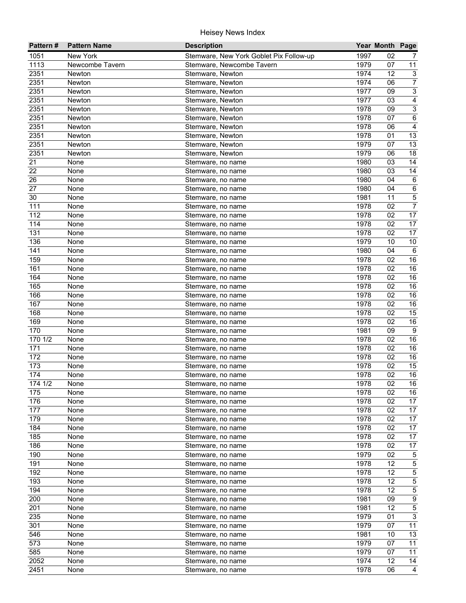| Pattern#   | <b>Pattern Name</b> | <b>Description</b>                      |              | Year Month Page |                           |
|------------|---------------------|-----------------------------------------|--------------|-----------------|---------------------------|
| 1051       | New York            | Stemware, New York Goblet Pix Follow-up | 1997         | 02              | 7                         |
| 1113       | Newcombe Tavern     | Stemware, Newcombe Tavern               | 1979         | 07              | 11                        |
| 2351       | Newton              | Stemware, Newton                        | 1974         | 12              | $\sqrt{3}$                |
| 2351       | Newton              | Stemware, Newton                        | 1974         | 06              | $\overline{7}$            |
| 2351       | Newton              | Stemware, Newton                        | 1977         | 09              | $\overline{3}$            |
| 2351       | Newton              | Stemware, Newton                        | 1977         | 03              | $\overline{4}$            |
| 2351       | Newton              | Stemware, Newton                        | 1978         | 09              | $\overline{3}$            |
| 2351       | Newton              | Stemware, Newton                        | 1978         | $\overline{07}$ | $6\overline{6}$           |
| 2351       | Newton              | Stemware, Newton                        | 1978         | 06              | $\overline{4}$            |
| 2351       | Newton              | Stemware, Newton                        | 1978         | 01              | 13                        |
| 2351       | Newton              | Stemware, Newton                        | 1979         | 07              | 13                        |
| 2351       | Newton              | Stemware, Newton                        | 1979         | 06              | 18                        |
| 21         | None                | Stemware, no name                       | 1980         | 03              | 14                        |
| 22         | None                | Stemware, no name                       | 1980         | 03              | 14                        |
| 26         | None                | Stemware, no name                       | 1980         | 04              | $\,6\,$                   |
| 27         | None                | Stemware, no name                       | 1980         | 04              | $\,6\,$                   |
| 30         | None                | Stemware, no name                       | 1981         | 11              | $\mathbf 5$               |
| 111        | None                | Stemware, no name                       | 1978         | 02              | $\overline{7}$            |
| 112        | None                | Stemware, no name                       | 1978         | 02              | 17                        |
| 114        | None                | Stemware, no name                       | 1978         | 02              | $\overline{17}$           |
| 131        | None                | Stemware, no name                       | 1978         | 02              | 17                        |
| 136        | None                | Stemware, no name                       | 1979         | 10              | $10$                      |
| 141        | None                | Stemware, no name                       | 1980         | 04              | $6\phantom{1}6$           |
| 159        | None                | Stemware, no name                       | 1978         | 02              | 16                        |
| 161        | None                | Stemware, no name                       | 1978         | 02              | 16                        |
| 164        | None                | Stemware, no name                       | 1978         | 02              | 16                        |
| 165        | None                | Stemware, no name                       | 1978         | 02              | 16                        |
| 166        | None                | Stemware, no name                       | 1978         | 02              | 16                        |
| 167        | None                | Stemware, no name                       | 1978         | 02              | 16                        |
| 168        | None                | Stemware, no name                       | 1978         | 02              | 15                        |
| 169        | None                | Stemware, no name                       | 1978         | 02              | 16                        |
| 170        | None                | Stemware, no name                       | 1981         | 09              | $\overline{9}$            |
| 1701/2     | None                | Stemware, no name                       | 1978         | 02              | 16                        |
| 171        | None                | Stemware, no name                       | 1978         | 02              | 16                        |
| 172        | None                | Stemware, no name                       | 1978         | 02              | 16                        |
| 173        | None                | Stemware, no name                       | 1978         | 02              | 15                        |
| 174        | None                | Stemware, no name                       | 1978         | 02              | 16                        |
| 174 1/2    | None                | Stemware, no name                       | 1978         | 02              | 16                        |
| 175        | None                | Stemware, no name                       | 1978         | 02              | 16                        |
| 176        | None                | Stemware, no name                       | 1978         | 02              | 17                        |
| 177        | None                | Stemware, no name                       | 1978         | 02              | 17                        |
| 179        | None                | Stemware, no name                       | 1978         | 02              | 17                        |
| 184        | None                | Stemware, no name                       | 1978         | 02              | 17                        |
| 185        | None                | Stemware, no name                       | 1978         | 02              | 17                        |
| 186        | None                | Stemware, no name                       | 1978         | 02              | 17                        |
| 190        | None                | Stemware, no name                       | 1979         | 02              | $\mathbf 5$               |
| 191        | None                | Stemware, no name                       | 1978         | 12              | 5                         |
| 192        | None                | Stemware, no name                       | 1978         | 12              | 5<br>5                    |
| 193        | None                | Stemware, no name                       | 1978         | 12              |                           |
| 194<br>200 | None<br>None        | Stemware, no name                       | 1978<br>1981 | 12<br>09        | 5<br>$\boldsymbol{9}$     |
|            |                     | Stemware, no name                       |              | 12              |                           |
| 201        | None                | Stemware, no name                       | 1981         |                 | $\mathbf 5$<br>$\sqrt{3}$ |
| 235        | None                | Stemware, no name                       | 1979<br>1979 | 01              | 11                        |
| 301<br>546 | None                | Stemware, no name                       | 1981         | 07<br>10        | 13                        |
| 573        | None                | Stemware, no name                       | 1979         | 07              | $\overline{11}$           |
| 585        | None                | Stemware, no name                       | 1979         | 07              | 11                        |
| 2052       | None                | Stemware, no name                       | 1974         | 12              | 14                        |
| 2451       | None                | Stemware, no name                       | 1978         | 06              | $\overline{4}$            |
|            | None                | Stemware, no name                       |              |                 |                           |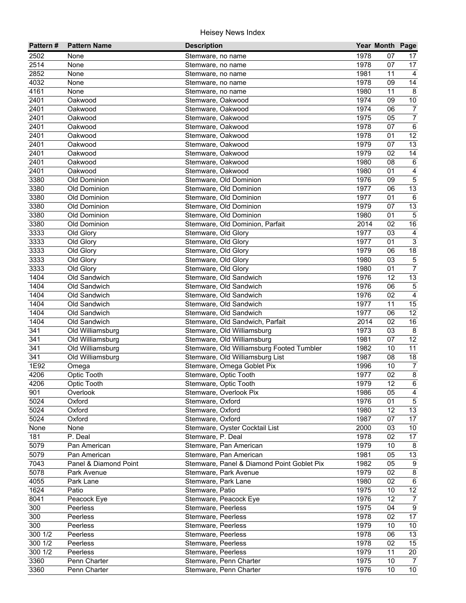| Pattern# | <b>Pattern Name</b>   | <b>Description</b>                         |      | Year Month Page |                         |
|----------|-----------------------|--------------------------------------------|------|-----------------|-------------------------|
| 2502     | None                  | Stemware, no name                          | 1978 | 07              | 17                      |
| 2514     | None                  | Stemware, no name                          | 1978 | 07              | 17                      |
| 2852     | None                  | Stemware, no name                          | 1981 | 11              | $\overline{4}$          |
| 4032     | None                  | Stemware, no name                          | 1978 | 09              | $\overline{14}$         |
| 4161     | None                  | Stemware, no name                          | 1980 | 11              | 8                       |
| 2401     | Oakwood               | Stemware, Oakwood                          | 1974 | 09              | 10                      |
| 2401     | Oakwood               | Stemware, Oakwood                          | 1974 | 06              | $\overline{7}$          |
| 2401     | Oakwood               | Stemware, Oakwood                          | 1975 | 05              | $\overline{7}$          |
| 2401     | Oakwood               | Stemware, Oakwood                          | 1978 | 07              | $\overline{6}$          |
| 2401     | Oakwood               | Stemware, Oakwood                          | 1978 | 01              | 12                      |
| 2401     | Oakwood               | Stemware, Oakwood                          | 1979 | 07              | 13                      |
| 2401     | Oakwood               | Stemware, Oakwood                          | 1979 | 02              | 14                      |
| 2401     | Oakwood               | Stemware, Oakwood                          | 1980 | 08              | $\,6\,$                 |
| 2401     | Oakwood               | Stemware, Oakwood                          | 1980 | 01              | $\overline{\mathbf{4}}$ |
| 3380     | Old Dominion          | Stemware, Old Dominion                     | 1976 | 09              | $\mathbf 5$             |
| 3380     | Old Dominion          | Stemware, Old Dominion                     | 1977 | 06              | $\overline{13}$         |
| 3380     | Old Dominion          | Stemware, Old Dominion                     | 1977 | 01              | $\,6\,$                 |
| 3380     | Old Dominion          | Stemware, Old Dominion                     | 1979 | 07              | 13                      |
| 3380     | Old Dominion          | Stemware, Old Dominion                     | 1980 | 01              | $\sqrt{5}$              |
| 3380     | Old Dominion          | Stemware, Old Dominion, Parfait            | 2014 | 02              | 16                      |
| 3333     | Old Glory             | Stemware, Old Glory                        | 1977 | 03              | $\overline{4}$          |
| 3333     | Old Glory             | Stemware, Old Glory                        | 1977 | 01              | $\overline{3}$          |
| 3333     | Old Glory             | Stemware, Old Glory                        | 1979 | 06              | 18                      |
| 3333     | Old Glory             | Stemware, Old Glory                        | 1980 | 03              | $\mathbf 5$             |
| 3333     | Old Glory             | Stemware, Old Glory                        | 1980 | 01              | $\overline{7}$          |
| 1404     | Old Sandwich          | Stemware, Old Sandwich                     | 1976 | 12              | 13                      |
| 1404     | Old Sandwich          | Stemware, Old Sandwich                     | 1976 | 06              | $\mathbf 5$             |
| 1404     | Old Sandwich          | Stemware, Old Sandwich                     | 1976 | 02              | $\overline{4}$          |
| 1404     | Old Sandwich          | Stemware, Old Sandwich                     | 1977 | 11              | 15                      |
| 1404     | Old Sandwich          | Stemware, Old Sandwich                     | 1977 | 06              | $\overline{12}$         |
| 1404     | Old Sandwich          | Stemware, Old Sandwich, Parfait            | 2014 | 02              | 16                      |
| 341      | Old Williamsburg      | Stemware, Old Williamsburg                 | 1973 | 03              | 8                       |
| 341      | Old Williamsburg      | Stemware, Old Williamsburg                 | 1981 | 07              | 12                      |
| 341      | Old Williamsburg      | Stemware, Old Williamsburg Footed Tumbler  | 1982 | 10              | $\overline{11}$         |
| 341      | Old Williamsburg      | Stemware, Old Williamsburg List            | 1987 | 08              | $\overline{18}$         |
| 1E92     | Omega                 | Stemware, Omega Goblet Pix                 | 1996 | 10              | $\overline{7}$          |
| 4206     | Optic Tooth           | Stemware, Optic Tooth                      | 1977 | 02              | $\overline{\mathbf{8}}$ |
| 4206     | <b>Optic Tooth</b>    | Stemware, Optic Tooth                      | 1979 | $\overline{12}$ | $\overline{6}$          |
| 901      | Overlook              | Stemware, Overlook Pix                     | 1986 | 05              | $\overline{4}$          |
| 5024     | Oxford                | Stemware, Oxford                           | 1976 | 01              | $5\phantom{.0}$         |
| 5024     | Oxford                | Stemware, Oxford                           | 1980 | 12              | 13                      |
| 5024     | Oxford                | Stemware, Oxford                           | 1987 | 07              | 17                      |
| None     | None                  | Stemware, Oyster Cocktail List             | 2000 | 03              | 10 <sup>1</sup>         |
| 181      | P. Deal               | Stemware, P. Deal                          | 1978 | 02              | 17                      |
| 5079     | Pan American          | Stemware, Pan American                     | 1979 | 10              | 8                       |
| 5079     | Pan American          | Stemware, Pan American                     | 1981 | 05              | 13                      |
| 7043     | Panel & Diamond Point | Stemware, Panel & Diamond Point Goblet Pix | 1982 | 05              | $\boldsymbol{9}$        |
| 5078     | Park Avenue           | Stemware, Park Avenue                      | 1979 | 02              | $\bf 8$                 |
| 4055     | Park Lane             | Stemware, Park Lane                        | 1980 | 02              | 6                       |
| 1624     | Patio                 | Stemware, Patio                            | 1975 | 10              | 12                      |
| 8041     | Peacock Eye           | Stemware, Peacock Eye                      | 1976 | 12              | $\overline{7}$          |
| 300      | Peerless              | Stemware, Peerless                         | 1975 | 04              | $\overline{9}$          |
| 300      | Peerless              | Stemware, Peerless                         | 1978 | 02              | 17                      |
| 300      | Peerless              | Stemware, Peerless                         | 1979 | 10              | 10 <sub>1</sub>         |
| 300 1/2  | Peerless              | Stemware, Peerless                         | 1978 | 06              | $\overline{13}$         |
| 300 1/2  | Peerless              | Stemware, Peerless                         | 1978 | 02              | $\overline{15}$         |
| 300 1/2  | Peerless              | Stemware, Peerless                         | 1979 | 11              | 20                      |
| 3360     | Penn Charter          | Stemware, Penn Charter                     | 1975 | 10              | $\overline{7}$          |
| 3360     | Penn Charter          | Stemware, Penn Charter                     | 1976 | 10              | $\overline{10}$         |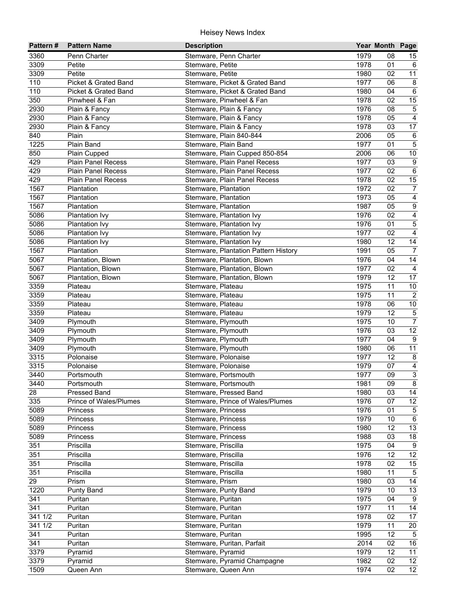| Pattern# | <b>Pattern Name</b>       | <b>Description</b>                   |      | Year Month Page |                  |
|----------|---------------------------|--------------------------------------|------|-----------------|------------------|
| 3360     | Penn Charter              | Stemware, Penn Charter               | 1979 | 08              | 15               |
| 3309     | Petite                    | Stemware, Petite                     | 1978 | 01              | 6                |
| 3309     | Petite                    | Stemware, Petite                     | 1980 | 02              | $\overline{11}$  |
| 110      | Picket & Grated Band      | Stemware, Picket & Grated Band       | 1977 | 06              | $\bf 8$          |
| 110      | Picket & Grated Band      | Stemware, Picket & Grated Band       | 1980 | 04              | $\overline{6}$   |
| 350      | Pinwheel & Fan            | Stemware, Pinwheel & Fan             | 1978 | 02              | 15               |
| 2930     | Plain & Fancy             | Stemware, Plain & Fancy              | 1976 | 08              | $\overline{5}$   |
| 2930     | Plain & Fancy             | Stemware, Plain & Fancy              | 1978 | 05              | $\overline{4}$   |
| 2930     | Plain & Fancy             | Stemware, Plain & Fancy              | 1978 | 03              | $\overline{17}$  |
| 840      | Plain                     | Stemware, Plain 840-844              | 2006 | 05              | $\,6\,$          |
| 1225     | Plain Band                | Stemware, Plain Band                 | 1977 | 01              | $\overline{5}$   |
| 850      | Plain Cupped              | Stemware, Plain Cupped 850-854       | 2006 | 06              | $10\,$           |
| 429      | Plain Panel Recess        | Stemware, Plain Panel Recess         | 1977 | 03              | $\boldsymbol{9}$ |
| 429      | <b>Plain Panel Recess</b> | Stemware, Plain Panel Recess         | 1977 | 02              | $\,6\,$          |
| 429      | <b>Plain Panel Recess</b> | Stemware, Plain Panel Recess         | 1978 | 02              | 15               |
| 1567     | Plantation                | Stemware, Plantation                 | 1972 | 02              | $\overline{7}$   |
| 1567     | Plantation                | Stemware, Plantation                 | 1973 | 05              | $\overline{4}$   |
| 1567     | Plantation                | Stemware, Plantation                 | 1987 | 05              | $\boldsymbol{9}$ |
| 5086     | <b>Plantation Ivy</b>     | Stemware, Plantation Ivy             | 1976 | 02              | $\overline{4}$   |
| 5086     | Plantation Ivy            | Stemware, Plantation Ivy             | 1976 | 01              | $\overline{5}$   |
| 5086     | <b>Plantation Ivy</b>     | Stemware, Plantation Ivy             | 1977 | 02              | $\overline{4}$   |
| 5086     | Plantation Ivy            | Stemware, Plantation Ivy             | 1980 | 12              | 14               |
| 1567     | Plantation                | Stemware, Plantation Pattern History | 1991 | 05              | $\overline{7}$   |
| 5067     | Plantation, Blown         | Stemware, Plantation, Blown          | 1976 | 04              | 14               |
| 5067     | Plantation, Blown         | Stemware, Plantation, Blown          | 1977 | 02              | $\overline{4}$   |
| 5067     | Plantation, Blown         | Stemware, Plantation, Blown          | 1979 | 12              | 17               |
| 3359     | Plateau                   | Stemware, Plateau                    | 1975 | 11              | $10\,$           |
| 3359     | Plateau                   | Stemware, Plateau                    | 1975 | 11              | $\overline{2}$   |
| 3359     | Plateau                   | Stemware, Plateau                    | 1978 | 06              | $10\,$           |
| 3359     | Plateau                   | Stemware, Plateau                    | 1979 | 12              | $\overline{5}$   |
| 3409     | Plymouth                  | Stemware, Plymouth                   | 1975 | 10              | $\overline{7}$   |
| 3409     | Plymouth                  | Stemware, Plymouth                   | 1976 | 03              | 12               |
| 3409     | Plymouth                  | Stemware, Plymouth                   | 1977 | 04              | $9\,$            |
| 3409     | Plymouth                  | Stemware, Plymouth                   | 1980 | 06              | $\overline{11}$  |
| 3315     | Polonaise                 | Stemware, Polonaise                  | 1977 | 12              | $\bf 8$          |
| 3315     | Polonaise                 | Stemware, Polonaise                  | 1979 | 07              | $\overline{4}$   |
| 3440     | Portsmouth                | Stemware, Portsmouth                 | 1977 | 09              | $\overline{3}$   |
| 3440     | Portsmouth                | Stemware, Portsmouth                 | 1981 | 09              | $\overline{8}$   |
| 28       | Pressed Band              | Stemware, Pressed Band               | 1980 | 03              | 14               |
| 335      | Prince of Wales/Plumes    | Stemware, Prince of Wales/Plumes     | 1976 | 07              | 12               |
| 5089     | Princess                  | Stemware, Princess                   | 1976 | 01              | $\overline{5}$   |
| 5089     | Princess                  | Stemware, Princess                   | 1979 | 10              | $\,6\,$          |
| 5089     | Princess                  | Stemware, Princess                   | 1980 | 12              | 13               |
| 5089     | Princess                  | Stemware, Princess                   | 1988 | 03              | 18               |
| 351      | Priscilla                 | Stemware, Priscilla                  | 1975 | 04              | 9                |
| 351      | Priscilla                 | Stemware, Priscilla                  | 1976 | 12              | 12               |
| 351      | Priscilla                 | Stemware, Priscilla                  | 1978 | 02              | 15               |
| 351      | Priscilla                 | Stemware, Priscilla                  | 1980 | 11              | $\,$ 5 $\,$      |
| 29       | Prism                     | Stemware, Prism                      | 1980 | 03              | 14               |
| 1220     | Punty Band                | Stemware, Punty Band                 | 1979 | 10              | 13               |
| 341      | Puritan                   | Stemware, Puritan                    | 1975 | 04              | 9                |
| 341      | Puritan                   | Stemware, Puritan                    | 1977 | 11              | $\overline{14}$  |
| 341 1/2  | Puritan                   | Stemware, Puritan                    | 1978 | 02              | $\overline{17}$  |
| 341 1/2  | Puritan                   | Stemware, Puritan                    | 1979 | 11              | 20               |
| 341      | Puritan                   | Stemware, Puritan                    | 1995 | $\overline{12}$ | 5                |
| 341      | Puritan                   | Stemware, Puritan, Parfait           | 2014 | 02              | 16               |
| 3379     | Pyramid                   | Stemware, Pyramid                    | 1979 | 12              | 11               |
| 3379     | Pyramid                   | Stemware, Pyramid Champagne          | 1982 | 02              | 12               |
| 1509     | Queen Ann                 | Stemware, Queen Ann                  | 1974 | $\overline{02}$ | $\overline{12}$  |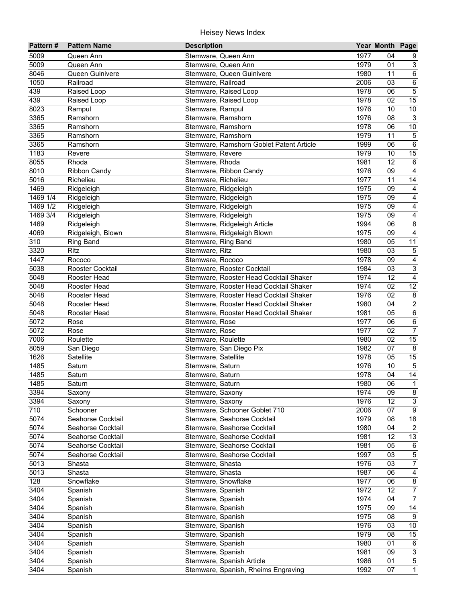| Pattern#             | <b>Pattern Name</b> | <b>Description</b>                       |      | Year Month Page |                         |
|----------------------|---------------------|------------------------------------------|------|-----------------|-------------------------|
| 5009                 | Queen Ann           | Stemware, Queen Ann                      | 1977 | 04              | 9                       |
| 5009                 | Queen Ann           | Stemware, Queen Ann                      | 1979 | 01              | $\mathbf{3}$            |
| 8046                 | Queen Guinivere     | Stemware, Queen Guinivere                | 1980 | 11              | $\overline{6}$          |
| 1050                 | Railroad            | Stemware, Railroad                       | 2006 | 03              | $6\overline{6}$         |
| 439                  | Raised Loop         | Stemware, Raised Loop                    | 1978 | 06              | $\overline{5}$          |
| 439                  | Raised Loop         | Stemware, Raised Loop                    | 1978 | 02              | 15                      |
| 8023                 | Rampul              | Stemware, Rampul                         | 1976 | 10              | 10                      |
| 3365                 | Ramshorn            | Stemware, Ramshorn                       | 1976 | $\overline{08}$ | $\overline{3}$          |
| 3365                 | Ramshorn            | Stemware, Ramshorn                       | 1978 | 06              | 10                      |
| 3365                 | Ramshorn            | Stemware, Ramshorn                       | 1979 | 11              | $\overline{5}$          |
| 3365                 | Ramshorn            | Stemware, Ramshorn Goblet Patent Article | 1999 | 06              | $\,6\,$                 |
| 1183                 | Revere              | Stemware, Revere                         | 1979 | 10              | 15                      |
| 8055                 | Rhoda               | Stemware, Rhoda                          | 1981 | 12              | $\,6\,$                 |
| 8010                 | <b>Ribbon Candy</b> | Stemware, Ribbon Candy                   | 1976 | 09              | $\overline{\mathbf{4}}$ |
| 5016                 | Richelieu           | Stemware, Richelieu                      | 1977 | 11              | 14                      |
| 1469                 | Ridgeleigh          | Stemware, Ridgeleigh                     | 1975 | 09              | $\overline{4}$          |
| $\frac{1}{1469}$ 1/4 | Ridgeleigh          | Stemware, Ridgeleigh                     | 1975 | 09              | $\overline{\mathbf{4}}$ |
| 1469 1/2             | Ridgeleigh          | Stemware, Ridgeleigh                     | 1975 | 09              | $\overline{\mathbf{4}}$ |
| 1469 3/4             | Ridgeleigh          | Stemware, Ridgeleigh                     | 1975 | 09              | $\overline{4}$          |
| 1469                 | Ridgeleigh          | Stemware, Ridgeleigh Article             | 1994 | 06              | $\bf 8$                 |
| 4069                 | Ridgeleigh, Blown   | Stemware, Ridgeleigh Blown               | 1975 | 09              | $\overline{4}$          |
| 310                  | Ring Band           | Stemware, Ring Band                      | 1980 | 05              | 11                      |
| 3320                 | Ritz                | Stemware, Ritz                           | 1980 | 03              | $\,$ 5 $\,$             |
| 1447                 | Rococo              | Stemware, Rococo                         | 1978 | 09              | $\overline{4}$          |
| 5038                 | Rooster Cocktail    | Stemware, Rooster Cocktail               | 1984 | 03              | $\overline{3}$          |
| 5048                 | Rooster Head        | Stemware, Rooster Head Cocktail Shaker   | 1974 | 12              | $\overline{4}$          |
| 5048                 | Rooster Head        | Stemware, Rooster Head Cocktail Shaker   | 1974 | 02              | 12                      |
| 5048                 | Rooster Head        | Stemware, Rooster Head Cocktail Shaker   | 1976 | 02              | $\overline{\mathbf{8}}$ |
| 5048                 | Rooster Head        | Stemware, Rooster Head Cocktail Shaker   | 1980 | 04              | $\overline{2}$          |
| 5048                 | Rooster Head        | Stemware, Rooster Head Cocktail Shaker   | 1981 | 05              | $6\overline{6}$         |
| 5072                 | Rose                | Stemware, Rose                           | 1977 | 06              | $6\overline{6}$         |
| 5072                 | Rose                | Stemware, Rose                           | 1977 | 02              | $\overline{7}$          |
| 7006                 | Roulette            | Stemware, Roulette                       | 1980 | 02              | 15                      |
| 8059                 | San Diego           | Stemware, San Diego Pix                  | 1982 | 07              | $\overline{8}$          |
| 1626                 | Satellite           | Stemware, Satellite                      | 1978 | 05              | 15                      |
| 1485                 | Saturn              | Stemware, Saturn                         | 1976 | 10              | $\overline{5}$          |
| 1485                 | Saturn              | Stemware, Saturn                         | 1978 | 04              | 14                      |
| 1485                 | Saturn              | Stemware, Saturn                         | 1980 | 06              | $\overline{1}$          |
| 3394                 | Saxony              | Stemware, Saxony                         | 1974 | 09              | 8                       |
| 3394                 | Saxony              | Stemware, Saxony                         | 1976 | 12              | $\mathsf 3$             |
| 710                  | Schooner            | Stemware, Schooner Goblet 710            | 2006 | 07              | $\overline{9}$          |
| 5074                 | Seahorse Cocktail   | Stemware, Seahorse Cocktail              | 1979 | 08              | $\overline{18}$         |
| 5074                 | Seahorse Cocktail   | Stemware, Seahorse Cocktail              | 1980 | 04              | $\overline{2}$          |
| 5074                 | Seahorse Cocktail   | Stemware, Seahorse Cocktail              | 1981 | 12              | 13                      |
| 5074                 | Seahorse Cocktail   | Stemware, Seahorse Cocktail              | 1981 | 05              | 6                       |
| 5074                 | Seahorse Cocktail   | Stemware, Seahorse Cocktail              | 1997 | 03              | $\mathbf 5$             |
| 5013                 | Shasta              | Stemware, Shasta                         | 1976 | 03              | $\overline{7}$          |
| 5013                 | Shasta              | Stemware, Shasta                         | 1987 | 06              | $\overline{4}$          |
| 128                  | Snowflake           | Stemware, Snowflake                      | 1977 | 06              | $\bf 8$                 |
| 3404                 | Spanish             | Stemware, Spanish                        | 1972 | 12              | $\overline{7}$          |
| 3404                 | Spanish             | Stemware, Spanish                        | 1974 | 04              | $\overline{7}$          |
| 3404                 | Spanish             | Stemware, Spanish                        | 1975 | 09              | 14                      |
| 3404                 | Spanish             | Stemware, Spanish                        | 1975 | 08              | 9                       |
| 3404                 | Spanish             | Stemware, Spanish                        | 1976 | 03              | $\overline{10}$         |
| 3404                 | Spanish             | Stemware, Spanish                        | 1979 | 08              | 15                      |
| 3404                 | Spanish             | Stemware, Spanish                        | 1980 | 01              | $\,6\,$                 |
| 3404                 | Spanish             | Stemware, Spanish                        | 1981 | 09              | 3                       |
| 3404                 | Spanish             | Stemware, Spanish Article                | 1986 | 01              | $\overline{5}$          |
| 3404                 | Spanish             | Stemware, Spanish, Rheims Engraving      | 1992 | 07              | $\overline{1}$          |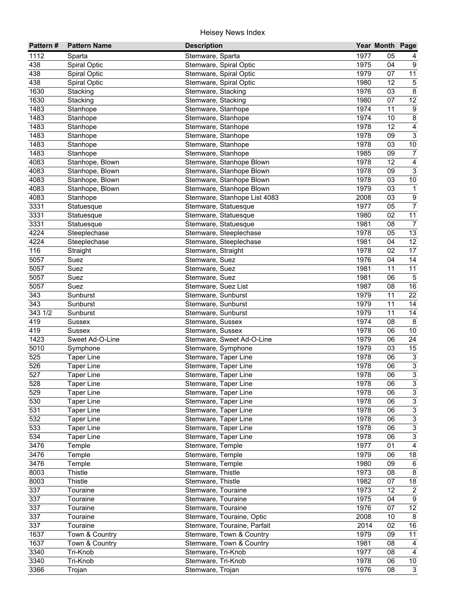| Pattern#         | <b>Pattern Name</b>  | <b>Description</b>                        |              | Year Month Page |                           |
|------------------|----------------------|-------------------------------------------|--------------|-----------------|---------------------------|
| 1112             | Sparta               | Stemware, Sparta                          | 1977         | 05              | 4                         |
| 438              | Spiral Optic         | Stemware, Spiral Optic                    | 1975         | 04              | 9                         |
| 438              | Spiral Optic         | Stemware, Spiral Optic                    | 1979         | 07              | $\overline{11}$           |
| 438              | Spiral Optic         | Stemware, Spiral Optic                    | 1980         | 12              | $\overline{5}$            |
| 1630             | Stacking             | Stemware, Stacking                        | 1976         | 03              | $\overline{8}$            |
| 1630             | Stacking             | Stemware, Stacking                        | 1980         | 07              | 12                        |
| 1483             | Stanhope             | Stemware, Stanhope                        | 1974         | 11              | $\boldsymbol{9}$          |
| 1483             | Stanhope             | Stemware, Stanhope                        | 1974         | 10              | $\overline{8}$            |
| 1483             | Stanhope             | Stemware, Stanhope                        | 1978         | 12              | $\overline{4}$            |
| 1483             | Stanhope             | Stemware, Stanhope                        | 1978         | 09              | $\overline{3}$            |
| 1483             | Stanhope             | Stemware, Stanhope                        | 1978         | 03              | $10\,$                    |
| 1483             | Stanhope             | Stemware, Stanhope                        | 1985         | 09              | $\overline{7}$            |
| 4083             | Stanhope, Blown      | Stemware, Stanhope Blown                  | 1978         | 12              | $\overline{4}$            |
| 4083             | Stanhope, Blown      | Stemware, Stanhope Blown                  | 1978         | 09              | $\overline{3}$            |
| 4083             | Stanhope, Blown      | Stemware, Stanhope Blown                  | 1978         | 03              | $10\,$                    |
| 4083             | Stanhope, Blown      | Stemware, Stanhope Blown                  | 1979         | 03              | $\mathbf{1}$              |
| 4083             | Stanhope             | Stemware, Stanhope List 4083              | 2008         | 03              | $\boldsymbol{9}$          |
| 3331             | Statuesque           | Stemware, Statuesque                      | 1977         | 05              | $\overline{7}$            |
| 3331             | Statuesque           | Stemware, Statuesque                      | 1980         | 02              | 11                        |
| 3331             | Statuesque           | Stemware, Statuesque                      | 1981         | 08              | $\overline{7}$            |
| 4224             | Steeplechase         | Stemware, Steeplechase                    | 1978         | 05              | 13                        |
| 4224             | Steeplechase         | Stemware, Steeplechase                    | 1981         | 04              | 12                        |
| 116              | Straight             | Stemware, Straight                        | 1978         | 02              | 17                        |
| 5057             | Suez                 | Stemware, Suez                            | 1976         | 04              | 14                        |
| 5057             | Suez                 | Stemware, Suez                            | 1981         | 11              | 11                        |
| 5057<br>5057     | Suez                 | Stemware, Suez                            | 1981<br>1987 | 06<br>08        | $\mathbf 5$<br>16         |
| 343              | Suez                 | Stemware, Suez List<br>Stemware, Sunburst | 1979         | 11              | $\overline{22}$           |
| $\overline{343}$ | Sunburst<br>Sunburst | Stemware, Sunburst                        | 1979         | 11              | 14                        |
| 3431/2           | Sunburst             | Stemware, Sunburst                        | 1979         | 11              | 14                        |
| 419              | <b>Sussex</b>        | Stemware, Sussex                          | 1974         | 08              | $\overline{8}$            |
| 419              | Sussex               | Stemware, Sussex                          | 1978         | 06              | 10                        |
| 1423             | Sweet Ad-O-Line      | Stemware, Sweet Ad-O-Line                 | 1979         | 06              | $\overline{24}$           |
| 5010             | Symphone             | Stemware, Symphone                        | 1979         | 03              | 15                        |
| 525              | <b>Taper Line</b>    | Stemware, Taper Line                      | 1978         | 06              | $\overline{\omega}$       |
| 526              | <b>Taper Line</b>    | Stemware, Taper Line                      | 1978         | 06              | $\overline{3}$            |
| 527              | <b>Taper Line</b>    | Stemware, Taper Line                      | 1978         | 06              | $\overline{3}$            |
| 528              | <b>Taper Line</b>    | Stemware, Taper Line                      | 1978         | $\overline{06}$ | $\overline{3}$            |
| 529              | <b>Taper Line</b>    | Stemware, Taper Line                      | 1978         | 06              | $\overline{3}$            |
| 530              | <b>Taper Line</b>    | Stemware, Taper Line                      | 1978         | 06              | $\overline{3}$            |
| 531              | <b>Taper Line</b>    | Stemware, Taper Line                      | 1978         | 06              | $\overline{3}$            |
| 532              | <b>Taper Line</b>    | Stemware, Taper Line                      | 1978         | 06              | $\overline{3}$            |
| 533              | <b>Taper Line</b>    | Stemware, Taper Line                      | 1978         | 06              | $\overline{3}$            |
| 534              | <b>Taper Line</b>    | Stemware, Taper Line                      | 1978         | 06              | $\ensuremath{\mathsf{3}}$ |
| 3476             | Temple               | Stemware, Temple                          | 1977         | 01              | $\overline{4}$            |
| 3476             | Temple               | Stemware, Temple                          | 1979         | 06              | $18\,$                    |
| 3476             | Temple               | Stemware, Temple                          | 1980         | 09              | $\,6\,$                   |
| 8003             | Thistle              | Stemware, Thistle                         | 1973         | 08              | $\bf 8$                   |
| 8003             | Thistle              | Stemware, Thistle                         | 1982         | 07              | 18                        |
| 337              | Touraine             | Stemware, Touraine                        | 1973         | 12              | $\overline{2}$            |
| 337              | Touraine             | Stemware, Touraine                        | 1975         | 04              | $\boldsymbol{9}$          |
| 337              | Touraine             | Stemware, Touraine                        | 1976         | 07              | 12                        |
| 337              | Touraine             | Stemware, Touraine, Optic                 | 2008         | 10              | 8                         |
| 337              | Touraine             | Stemware, Touraine, Parfait               | 2014         | 02              | 16                        |
| 1637             | Town & Country       | Stemware, Town & Country                  | 1979         | 09              | $\overline{11}$           |
| 1637             | Town & Country       | Stemware, Town & Country                  | 1981         | 08              | 4                         |
| 3340             | Tri-Knob             | Stemware, Tri-Knob                        | 1977         | 08              | $\overline{4}$            |
| 3340             | Tri-Knob             | Stemware, Tri-Knob                        | 1978         | 06              | 10                        |
| 3366             | Trojan               | Stemware, Trojan                          | 1976         | 08              | $\overline{3}$            |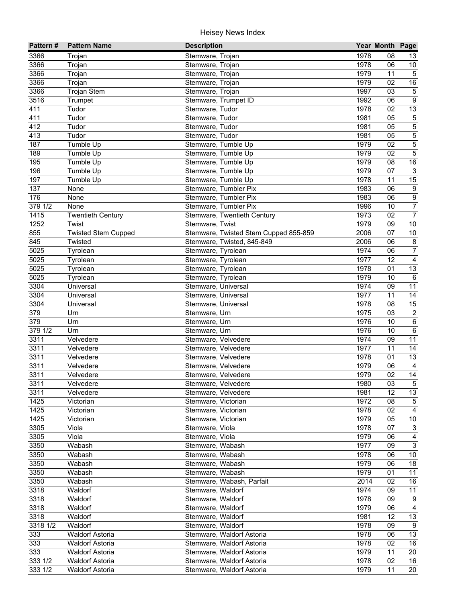| Pattern#         | <b>Pattern Name</b>        | <b>Description</b>                    |              | Year Month Page |                     |
|------------------|----------------------------|---------------------------------------|--------------|-----------------|---------------------|
| 3366             | Trojan                     | Stemware, Trojan                      | 1978         | 08              | 13                  |
| 3366             | Trojan                     | Stemware, Trojan                      | 1978         | 06              | 10                  |
| 3366             | Trojan                     | Stemware, Trojan                      | 1979         | 11              | $\overline{5}$      |
| 3366             | Trojan                     | Stemware, Trojan                      | 1979         | 02              | 16                  |
| 3366             | <b>Trojan Stem</b>         | Stemware, Trojan                      | 1997         | $\overline{03}$ | $\sqrt{5}$          |
| 3516             | Trumpet                    | Stemware, Trumpet ID                  | 1992         | 06              | $\overline{9}$      |
| 411              | Tudor                      | Stemware, Tudor                       | 1978         | 02              | 13                  |
| 411              | Tudor                      | Stemware, Tudor                       | 1981         | 05              | $\,$ 5 $\,$         |
| 412              | Tudor                      | Stemware, Tudor                       | 1981         | 05              | $\overline{5}$      |
| 413              | Tudor                      | Stemware, Tudor                       | 1981         | 05              | $\mathbf 5$         |
| 187              | Tumble Up                  | Stemware, Tumble Up                   | 1979         | 02              | $\mathbf 5$         |
| 189              | Tumble Up                  | Stemware, Tumble Up                   | 1979         | 02              | $\mathbf 5$         |
| 195              | Tumble Up                  | Stemware, Tumble Up                   | 1979         | 08              | $16\,$              |
| 196              | Tumble Up                  | Stemware, Tumble Up                   | 1979         | 07              | $\mathsf 3$         |
| 197              | Tumble Up                  | Stemware, Tumble Up                   | 1978         | 11              | 15                  |
| 137              | None                       | Stemware, Tumbler Pix                 | 1983         | 06              | $\boldsymbol{9}$    |
| 176              | None                       | Stemware, Tumbler Pix                 | 1983         | 06              | $\overline{9}$      |
| 3791/2           | None                       | Stemware, Tumbler Pix                 | 1996         | 10              | $\overline{7}$      |
| 1415             | <b>Twentieth Century</b>   | Stemware, Twentieth Century           | 1973         | 02              | $\overline{7}$      |
| 1252             | Twist                      | Stemware, Twist                       | 1979         | 09              | $10$                |
| 855              | <b>Twisted Stem Cupped</b> | Stemware, Twisted Stem Cupped 855-859 | 2006         | 07              | $10\,$              |
| 845              | Twisted                    | Stemware, Twisted, 845-849            | 2006         | 06              | $\bf 8$             |
| 5025             | Tyrolean                   | Stemware, Tyrolean                    | 1974         | 06              | $\overline{7}$      |
| 5025             | Tyrolean                   | Stemware, Tyrolean                    | 1977         | 12              | $\overline{4}$      |
| 5025             | Tyrolean                   | Stemware, Tyrolean                    | 1978         | 01              | 13                  |
| 5025             | Tyrolean                   | Stemware, Tyrolean                    | 1979         | 10              | 6                   |
| 3304             | Universal                  | Stemware, Universal                   | 1974         | 09              | 11                  |
| 3304             | Universal                  | Stemware, Universal                   | 1977         | 11              | $\overline{14}$     |
| 3304             | Universal                  | Stemware, Universal                   | 1978         | 08              | 15                  |
| 379              | Urn                        | Stemware, Urn                         | 1975         | 03              | $\overline{2}$      |
| 379              | Urn                        | Stemware, Urn                         | 1976         | 10              | $\overline{6}$      |
| 379 1/2          | Urn                        | Stemware, Urn                         | 1976         | 10              | $\,6\,$             |
| 3311             | Velvedere                  | Stemware, Velvedere                   | 1974         | 09              | $\overline{11}$     |
| 3311             | Velvedere                  | Stemware, Velvedere                   | 1977         | 11              | 14                  |
| 3311             | Velvedere                  | Stemware, Velvedere                   | 1978         | 01              | 13                  |
| 3311             | Velvedere                  | Stemware, Velvedere                   | 1979         | 06              | $\overline{4}$      |
| 3311             | Velvedere                  | Stemware, Velvedere                   | 1979         | 02              | 14                  |
| $\frac{1}{3311}$ | Velvedere                  | Stemware, Velvedere                   | 1980         | $\overline{03}$ | $5\phantom{.0}$     |
| 3311             | Velvedere                  | Stemware, Velvedere                   | 1981         | 12              | 13                  |
| 1425             | Victorian                  | Stemware, Victorian                   | 1972         | 08              | 5                   |
| 1425             | Victorian                  | Stemware, Victorian                   | 1978         | 02              | $\overline{4}$      |
| 1425             | Victorian                  | Stemware, Victorian                   | 1979<br>1978 | 05<br>07        | 10                  |
| 3305<br>3305     | Viola<br>Viola             | Stemware, Viola<br>Stemware, Viola    | 1979         | 06              | 3<br>$\overline{4}$ |
| 3350             | Wabash                     | Stemware, Wabash                      | 1977         | 09              | $\mathbf{3}$        |
| 3350             | Wabash                     | Stemware, Wabash                      | 1978         | 06              | 10                  |
| 3350             | Wabash                     | Stemware, Wabash                      | 1979         | 06              | 18                  |
| 3350             | Wabash                     | Stemware, Wabash                      | 1979         | 01              | 11                  |
| 3350             | Wabash                     | Stemware, Wabash, Parfait             | 2014         | 02              | 16                  |
| 3318             | Waldorf                    | Stemware, Waldorf                     | 1974         | 09              | 11                  |
| 3318             | Waldorf                    | Stemware, Waldorf                     | 1978         | 09              | 9                   |
| 3318             | Waldorf                    | Stemware, Waldorf                     | 1979         | 06              | $\overline{4}$      |
| 3318             | Waldorf                    | Stemware, Waldorf                     | 1981         | 12              | $\overline{13}$     |
| 3318 1/2         | Waldorf                    | Stemware, Waldorf                     | 1978         | 09              | 9                   |
| 333              | <b>Waldorf Astoria</b>     | Stemware, Waldorf Astoria             | 1978         | 06              | $\overline{13}$     |
| 333              | <b>Waldorf Astoria</b>     | Stemware, Waldorf Astoria             | 1978         | 02              | $\overline{16}$     |
| 333              | <b>Waldorf Astoria</b>     | Stemware, Waldorf Astoria             | 1979         | 11              | 20                  |
| 333 1/2          | <b>Waldorf Astoria</b>     | Stemware, Waldorf Astoria             | 1978         | 02              | 16                  |
| 333 1/2          | <b>Waldorf Astoria</b>     | Stemware, Waldorf Astoria             | 1979         | 11              | 20                  |
|                  |                            |                                       |              |                 |                     |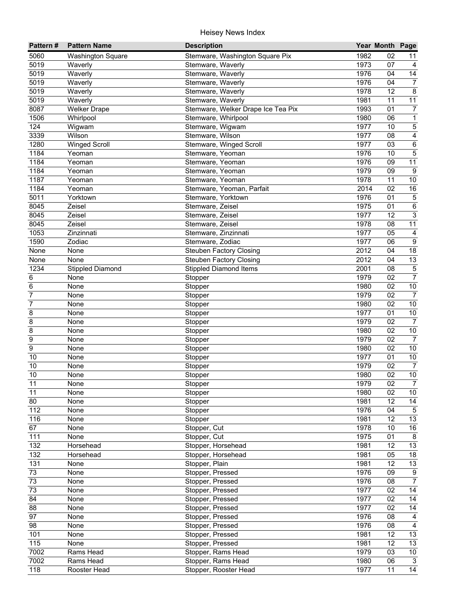| Pattern#        | <b>Pattern Name</b>      | <b>Description</b>                 |      | Year Month Page |                         |
|-----------------|--------------------------|------------------------------------|------|-----------------|-------------------------|
| 5060            | <b>Washington Square</b> | Stemware, Washington Square Pix    | 1982 | 02              | 11                      |
| 5019            | Waverly                  | Stemware, Waverly                  | 1973 | 07              | 4                       |
| 5019            | Waverly                  | Stemware, Waverly                  | 1976 | 04              | $\overline{14}$         |
| 5019            | Waverly                  | Stemware, Waverly                  | 1976 | 04              | $\overline{7}$          |
| 5019            | Waverly                  | Stemware, Waverly                  | 1978 | $\overline{12}$ | $\overline{8}$          |
| 5019            | Waverly                  | Stemware, Waverly                  | 1981 | 11              | $\overline{11}$         |
| 8087            | <b>Welker Drape</b>      | Stemware, Welker Drape Ice Tea Pix | 1993 | $\overline{01}$ | $\boldsymbol{7}$        |
| 1506            | Whirlpool                | Stemware, Whirlpool                | 1980 | 06              | $\mathbf 1$             |
| 124             | Wigwam                   | Stemware, Wigwam                   | 1977 | 10              | $\overline{5}$          |
| 3339            | Wilson                   | Stemware, Wilson                   | 1977 | 08              | 4                       |
| 1280            | <b>Winged Scroll</b>     | Stemware, Winged Scroll            | 1977 | 03              | 6                       |
| 1184            | Yeoman                   | Stemware, Yeoman                   | 1976 | 10              | $\mathbf 5$             |
| 1184            | Yeoman                   | Stemware, Yeoman                   | 1976 | 09              | 11                      |
| 1184            | Yeoman                   | Stemware, Yeoman                   | 1979 | 09              | 9                       |
| 1187            | Yeoman                   | Stemware, Yeoman                   | 1978 | 11              | $10\,$                  |
| 1184            | Yeoman                   | Stemware, Yeoman, Parfait          | 2014 | 02              | 16                      |
| 5011            | Yorktown                 | Stemware, Yorktown                 | 1976 | 01              | $\mathbf 5$             |
| 8045            | Zeisel                   | Stemware, Zeisel                   | 1975 | 01              | $\,6\,$                 |
| 8045            | Zeisel                   | Stemware, Zeisel                   | 1977 | 12              | 3                       |
| 8045            | Zeisel                   | Stemware, Zeisel                   | 1978 | 08              | 11                      |
| 1053            | Zinzinnati               | Stemware, Zinzinnati               | 1977 | 05              | $\overline{4}$          |
| 1590            | Zodiac                   | Stemware, Zodiac                   | 1977 | 06              | $\boldsymbol{9}$        |
| None            | None                     | Steuben Factory Closing            | 2012 | 04              | 18                      |
| None            | None                     | <b>Steuben Factory Closing</b>     | 2012 | 04              | 13                      |
| 1234            | <b>Stippled Diamond</b>  | <b>Stippled Diamond Items</b>      | 2001 | 08              | $\,$ 5 $\,$             |
| 6               | None                     | Stopper                            | 1979 | 02              | $\overline{7}$          |
| 6               | None                     | Stopper                            | 1980 | 02              | $10$                    |
| $\overline{7}$  | None                     | Stopper                            | 1979 | 02              | $\overline{7}$          |
| 7               | None                     | Stopper                            | 1980 | 02              | 10                      |
| 8               | None                     | Stopper                            | 1977 | 01              | $10\,$                  |
| 8               | None                     | Stopper                            | 1979 | 02              | $\overline{7}$          |
| 8               | None                     | Stopper                            | 1980 | 02              | $10$                    |
| 9               | None                     | Stopper                            | 1979 | 02              | $\overline{7}$          |
| $\overline{9}$  | None                     | Stopper                            | 1980 | 02              | $\overline{10}$         |
| 10              | None                     | Stopper                            | 1977 | 01              | 10                      |
| 10              | None                     | Stopper                            | 1979 | 02              | $\overline{7}$          |
| 10              | None                     | Stopper                            | 1980 | 02              | $10$                    |
| 11              | None                     | Stopper                            | 1979 | 02              | $\overline{7}$          |
| 11              | None                     | Stopper                            | 1980 | 02              | 10 <sup>1</sup>         |
| 80              | None                     | Stopper                            | 1981 | 12              | 14                      |
| $\frac{1}{112}$ | None                     | Stopper                            | 1976 | 04              | $\sqrt{5}$              |
| 116             | None                     | Stopper                            | 1981 | 12              | $\overline{13}$         |
| 67              | None                     | Stopper, Cut                       | 1978 | 10              | 16                      |
| 111             | None                     | Stopper, Cut                       | 1975 | 01              | $\bf 8$                 |
| 132             | Horsehead                | Stopper, Horsehead                 | 1981 | 12              | 13                      |
| 132             | Horsehead                | Stopper, Horsehead                 | 1981 | 05              | $18$                    |
| 131             | None                     | Stopper, Plain                     | 1981 | 12              | 13                      |
| 73              | None                     | Stopper, Pressed                   | 1976 | 09              | $\boldsymbol{9}$        |
| 73              | None                     | Stopper, Pressed                   | 1976 | 08              | $\overline{7}$          |
| 73              | None                     | Stopper, Pressed                   | 1977 | 02              | 14                      |
| 84              | None                     | Stopper, Pressed                   | 1977 | 02              | $\overline{14}$         |
| 88              | None                     | Stopper, Pressed                   | 1977 | 02              | $\overline{14}$         |
| $\overline{97}$ | None                     | Stopper, Pressed                   | 1976 | 08              | $\overline{\mathbf{4}}$ |
| 98              | None                     | Stopper, Pressed                   | 1976 | 08              | $\overline{4}$          |
| 101             | None                     | Stopper, Pressed                   | 1981 | 12              | 13                      |
| 115             | None                     | Stopper, Pressed                   | 1981 | 12              | $\overline{13}$         |
| 7002            | Rams Head                | Stopper, Rams Head                 | 1979 | 03              | $\overline{10}$         |
| 7002            | Rams Head                | Stopper, Rams Head                 | 1980 | 06              | $\mathbf{3}$            |
| 118             | Rooster Head             | Stopper, Rooster Head              | 1977 | 11              | 14                      |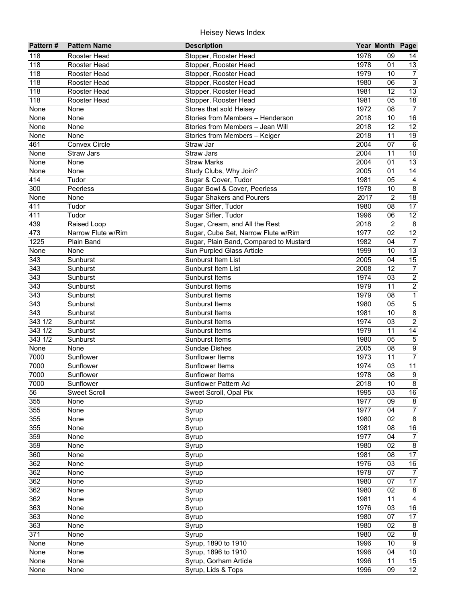| 118<br>Stopper, Rooster Head<br>1978<br>Rooster Head<br>09<br>14<br>118<br>1978<br>13<br>Stopper, Rooster Head<br>01<br>Rooster Head<br>1979<br>$\overline{7}$<br>118<br>10<br>Rooster Head<br>Stopper, Rooster Head<br>$\overline{3}$<br>118<br>1980<br>06<br>Rooster Head<br>Stopper, Rooster Head<br>13<br>118<br>1981<br>12<br>Rooster Head<br>Stopper, Rooster Head<br>$\overline{18}$<br>118<br>1981<br>05<br>Rooster Head<br>Stopper, Rooster Head<br>1972<br>$\overline{08}$<br>$\overline{7}$<br>None<br>None<br>Stores that sold Heisey<br>16<br>2018<br>10<br>None<br>None<br>Stories from Members - Henderson<br>$\overline{12}$<br>$\overline{12}$<br>2018<br>None<br>None<br>Stories from Members - Jean Will<br>2018<br>19<br>None<br>11<br>None<br>Stories from Members - Keiger<br>2004<br>461<br><b>Convex Circle</b><br>Straw Jar<br>07<br>$6\phantom{1}6$<br>2004<br>Straw Jars<br>11<br>10<br>None<br><b>Straw Jars</b><br>2004<br>01<br>13<br>None<br><b>Straw Marks</b><br>None<br>2005<br>14<br>None<br>Study Clubs, Why Join?<br>01<br>None<br>414<br>1981<br>$\overline{4}$<br>Tudor<br>Sugar & Cover, Tudor<br>05<br>$\bf 8$<br>300<br>1978<br>Peerless<br>Sugar Bowl & Cover, Peerless<br>10<br><b>Sugar Shakers and Pourers</b><br>2017<br>$\overline{2}$<br>18<br>None<br>None<br>17<br>411<br>Tudor<br>Sugar Sifter, Tudor<br>1980<br>08<br>$\overline{12}$<br>411<br>Sugar Sifter, Tudor<br>Tudor<br>1996<br>06<br>439<br>$\overline{2}$<br>8<br>Sugar, Cream, and All the Rest<br>2018<br>Raised Loop<br>$\overline{12}$<br>473<br>1977<br>02<br>Narrow Flute w/Rim<br>Sugar, Cube Set, Narrow Flute w/Rim<br>1225<br>1982<br>04<br>Plain Band<br>Sugar, Plain Band, Compared to Mustard<br>$\overline{7}$<br>13<br>1999<br>10<br>None<br>None<br>Sun Purpled Glass Article<br>343<br>15<br>2005<br>04<br>Sunburst<br>Sunburst Item List<br>343<br>$\boldsymbol{7}$<br>2008<br>12<br>Sunburst<br>Sunburst Item List<br>$\overline{2}$<br>343<br>1974<br>Sunburst<br>Sunburst Items<br>03<br>$\overline{2}$<br>343<br>1979<br>11<br>Sunburst<br>Sunburst Items<br>$\overline{1}$<br>$\overline{343}$<br>1979<br>08<br>Sunburst<br>Sunburst Items<br>$\overline{5}$<br>$\overline{343}$<br>1980<br>Sunburst<br>Sunburst Items<br>05<br>$\overline{8}$<br>$\overline{343}$<br>1981<br>Sunburst<br>Sunburst Items<br>10<br>$\overline{2}$<br>343 1/2<br>1974<br>Sunburst<br>Sunburst Items<br>03<br>343 1/2<br>1979<br>11<br>14<br>Sunburst<br>Sunburst Items<br>$\overline{5}$<br>343 1/2<br>1980<br>Sunburst<br>Sunburst Items<br>05<br>$\overline{9}$<br>2005<br>None<br>None<br>Sundae Dishes<br>08<br>$\overline{7}$<br>1973<br>7000<br>Sunflower<br>Sunflower Items<br>11<br>11<br>7000<br>1974<br>Sunflower<br>Sunflower Items<br>03<br>1978<br>08<br>$\boldsymbol{9}$<br>7000<br>Sunflower<br>Sunflower Items<br>$\overline{\mathbf{8}}$<br>2018<br>Sunflower Pattern Ad<br>7000<br>10<br>Sunflower<br>$16\,$<br>56<br>Sweet Scroll<br>Sweet Scroll, Opal Pix<br>1995<br>03<br>1977<br>355<br>09<br>$\bf 8$<br>None<br>Syrup<br>$\boldsymbol{7}$<br>355<br>1977<br>04<br>None<br>Syrup<br>355<br>$\bf 8$<br>1980<br>02<br>None<br>Syrup<br>16<br>355<br>1981<br>Syrup<br>08<br>None<br>1977<br>359<br>04<br>$\overline{7}$<br>None<br>Syrup<br>359<br>1980<br>8<br>None<br>Syrup<br>02<br>360<br>1981<br>17<br>Syrup<br>08<br>None<br>362<br>1976<br>$16\,$<br>None<br>03<br>Syrup<br>362<br>1978<br>$\overline{7}$<br>None<br>07<br>Syrup<br>362<br>1980<br>17<br>07<br>None<br>Syrup<br>362<br>1980<br>02<br>$\bf 8$<br>None<br>Syrup<br>362<br>1981<br>11<br>4<br>None<br>Syrup<br>1976<br>363<br>03<br>16<br>None<br>Syrup<br>$\overline{17}$<br>363<br>1980<br>07<br>None<br>Syrup<br>363<br>1980<br>02<br>Syrup<br>8<br>None<br>$\overline{8}$<br>371<br>1980<br>02<br>None<br>Syrup<br>$\overline{9}$<br>Syrup, 1890 to 1910<br>1996<br>10<br>None<br>None<br>Syrup, 1896 to 1910<br>1996<br>04<br>$10\,$<br>None<br>None<br>1996<br>15<br>Syrup, Gorham Article<br>11<br>None<br>None | Pattern# | <b>Pattern Name</b> | <b>Description</b> |      | Year Month Page |    |
|------------------------------------------------------------------------------------------------------------------------------------------------------------------------------------------------------------------------------------------------------------------------------------------------------------------------------------------------------------------------------------------------------------------------------------------------------------------------------------------------------------------------------------------------------------------------------------------------------------------------------------------------------------------------------------------------------------------------------------------------------------------------------------------------------------------------------------------------------------------------------------------------------------------------------------------------------------------------------------------------------------------------------------------------------------------------------------------------------------------------------------------------------------------------------------------------------------------------------------------------------------------------------------------------------------------------------------------------------------------------------------------------------------------------------------------------------------------------------------------------------------------------------------------------------------------------------------------------------------------------------------------------------------------------------------------------------------------------------------------------------------------------------------------------------------------------------------------------------------------------------------------------------------------------------------------------------------------------------------------------------------------------------------------------------------------------------------------------------------------------------------------------------------------------------------------------------------------------------------------------------------------------------------------------------------------------------------------------------------------------------------------------------------------------------------------------------------------------------------------------------------------------------------------------------------------------------------------------------------------------------------------------------------------------------------------------------------------------------------------------------------------------------------------------------------------------------------------------------------------------------------------------------------------------------------------------------------------------------------------------------------------------------------------------------------------------------------------------------------------------------------------------------------------------------------------------------------------------------------------------------------------------------------------------------------------------------------------------------------------------------------------------------------------------------------------------------------------------------------------------------------------------------------------------------------------------------------------------------------------------------------------------------------------------------------------------------------------------------------------------------------------------------------------------------------------------------------------------------------------------------------------------------------------------------------------------------------------------------------------------------------------------------------|----------|---------------------|--------------------|------|-----------------|----|
|                                                                                                                                                                                                                                                                                                                                                                                                                                                                                                                                                                                                                                                                                                                                                                                                                                                                                                                                                                                                                                                                                                                                                                                                                                                                                                                                                                                                                                                                                                                                                                                                                                                                                                                                                                                                                                                                                                                                                                                                                                                                                                                                                                                                                                                                                                                                                                                                                                                                                                                                                                                                                                                                                                                                                                                                                                                                                                                                                                                                                                                                                                                                                                                                                                                                                                                                                                                                                                                                                                                                                                                                                                                                                                                                                                                                                                                                                                                                                                                                                                    |          |                     |                    |      |                 |    |
|                                                                                                                                                                                                                                                                                                                                                                                                                                                                                                                                                                                                                                                                                                                                                                                                                                                                                                                                                                                                                                                                                                                                                                                                                                                                                                                                                                                                                                                                                                                                                                                                                                                                                                                                                                                                                                                                                                                                                                                                                                                                                                                                                                                                                                                                                                                                                                                                                                                                                                                                                                                                                                                                                                                                                                                                                                                                                                                                                                                                                                                                                                                                                                                                                                                                                                                                                                                                                                                                                                                                                                                                                                                                                                                                                                                                                                                                                                                                                                                                                                    |          |                     |                    |      |                 |    |
|                                                                                                                                                                                                                                                                                                                                                                                                                                                                                                                                                                                                                                                                                                                                                                                                                                                                                                                                                                                                                                                                                                                                                                                                                                                                                                                                                                                                                                                                                                                                                                                                                                                                                                                                                                                                                                                                                                                                                                                                                                                                                                                                                                                                                                                                                                                                                                                                                                                                                                                                                                                                                                                                                                                                                                                                                                                                                                                                                                                                                                                                                                                                                                                                                                                                                                                                                                                                                                                                                                                                                                                                                                                                                                                                                                                                                                                                                                                                                                                                                                    |          |                     |                    |      |                 |    |
|                                                                                                                                                                                                                                                                                                                                                                                                                                                                                                                                                                                                                                                                                                                                                                                                                                                                                                                                                                                                                                                                                                                                                                                                                                                                                                                                                                                                                                                                                                                                                                                                                                                                                                                                                                                                                                                                                                                                                                                                                                                                                                                                                                                                                                                                                                                                                                                                                                                                                                                                                                                                                                                                                                                                                                                                                                                                                                                                                                                                                                                                                                                                                                                                                                                                                                                                                                                                                                                                                                                                                                                                                                                                                                                                                                                                                                                                                                                                                                                                                                    |          |                     |                    |      |                 |    |
|                                                                                                                                                                                                                                                                                                                                                                                                                                                                                                                                                                                                                                                                                                                                                                                                                                                                                                                                                                                                                                                                                                                                                                                                                                                                                                                                                                                                                                                                                                                                                                                                                                                                                                                                                                                                                                                                                                                                                                                                                                                                                                                                                                                                                                                                                                                                                                                                                                                                                                                                                                                                                                                                                                                                                                                                                                                                                                                                                                                                                                                                                                                                                                                                                                                                                                                                                                                                                                                                                                                                                                                                                                                                                                                                                                                                                                                                                                                                                                                                                                    |          |                     |                    |      |                 |    |
|                                                                                                                                                                                                                                                                                                                                                                                                                                                                                                                                                                                                                                                                                                                                                                                                                                                                                                                                                                                                                                                                                                                                                                                                                                                                                                                                                                                                                                                                                                                                                                                                                                                                                                                                                                                                                                                                                                                                                                                                                                                                                                                                                                                                                                                                                                                                                                                                                                                                                                                                                                                                                                                                                                                                                                                                                                                                                                                                                                                                                                                                                                                                                                                                                                                                                                                                                                                                                                                                                                                                                                                                                                                                                                                                                                                                                                                                                                                                                                                                                                    |          |                     |                    |      |                 |    |
|                                                                                                                                                                                                                                                                                                                                                                                                                                                                                                                                                                                                                                                                                                                                                                                                                                                                                                                                                                                                                                                                                                                                                                                                                                                                                                                                                                                                                                                                                                                                                                                                                                                                                                                                                                                                                                                                                                                                                                                                                                                                                                                                                                                                                                                                                                                                                                                                                                                                                                                                                                                                                                                                                                                                                                                                                                                                                                                                                                                                                                                                                                                                                                                                                                                                                                                                                                                                                                                                                                                                                                                                                                                                                                                                                                                                                                                                                                                                                                                                                                    |          |                     |                    |      |                 |    |
|                                                                                                                                                                                                                                                                                                                                                                                                                                                                                                                                                                                                                                                                                                                                                                                                                                                                                                                                                                                                                                                                                                                                                                                                                                                                                                                                                                                                                                                                                                                                                                                                                                                                                                                                                                                                                                                                                                                                                                                                                                                                                                                                                                                                                                                                                                                                                                                                                                                                                                                                                                                                                                                                                                                                                                                                                                                                                                                                                                                                                                                                                                                                                                                                                                                                                                                                                                                                                                                                                                                                                                                                                                                                                                                                                                                                                                                                                                                                                                                                                                    |          |                     |                    |      |                 |    |
|                                                                                                                                                                                                                                                                                                                                                                                                                                                                                                                                                                                                                                                                                                                                                                                                                                                                                                                                                                                                                                                                                                                                                                                                                                                                                                                                                                                                                                                                                                                                                                                                                                                                                                                                                                                                                                                                                                                                                                                                                                                                                                                                                                                                                                                                                                                                                                                                                                                                                                                                                                                                                                                                                                                                                                                                                                                                                                                                                                                                                                                                                                                                                                                                                                                                                                                                                                                                                                                                                                                                                                                                                                                                                                                                                                                                                                                                                                                                                                                                                                    |          |                     |                    |      |                 |    |
|                                                                                                                                                                                                                                                                                                                                                                                                                                                                                                                                                                                                                                                                                                                                                                                                                                                                                                                                                                                                                                                                                                                                                                                                                                                                                                                                                                                                                                                                                                                                                                                                                                                                                                                                                                                                                                                                                                                                                                                                                                                                                                                                                                                                                                                                                                                                                                                                                                                                                                                                                                                                                                                                                                                                                                                                                                                                                                                                                                                                                                                                                                                                                                                                                                                                                                                                                                                                                                                                                                                                                                                                                                                                                                                                                                                                                                                                                                                                                                                                                                    |          |                     |                    |      |                 |    |
|                                                                                                                                                                                                                                                                                                                                                                                                                                                                                                                                                                                                                                                                                                                                                                                                                                                                                                                                                                                                                                                                                                                                                                                                                                                                                                                                                                                                                                                                                                                                                                                                                                                                                                                                                                                                                                                                                                                                                                                                                                                                                                                                                                                                                                                                                                                                                                                                                                                                                                                                                                                                                                                                                                                                                                                                                                                                                                                                                                                                                                                                                                                                                                                                                                                                                                                                                                                                                                                                                                                                                                                                                                                                                                                                                                                                                                                                                                                                                                                                                                    |          |                     |                    |      |                 |    |
|                                                                                                                                                                                                                                                                                                                                                                                                                                                                                                                                                                                                                                                                                                                                                                                                                                                                                                                                                                                                                                                                                                                                                                                                                                                                                                                                                                                                                                                                                                                                                                                                                                                                                                                                                                                                                                                                                                                                                                                                                                                                                                                                                                                                                                                                                                                                                                                                                                                                                                                                                                                                                                                                                                                                                                                                                                                                                                                                                                                                                                                                                                                                                                                                                                                                                                                                                                                                                                                                                                                                                                                                                                                                                                                                                                                                                                                                                                                                                                                                                                    |          |                     |                    |      |                 |    |
|                                                                                                                                                                                                                                                                                                                                                                                                                                                                                                                                                                                                                                                                                                                                                                                                                                                                                                                                                                                                                                                                                                                                                                                                                                                                                                                                                                                                                                                                                                                                                                                                                                                                                                                                                                                                                                                                                                                                                                                                                                                                                                                                                                                                                                                                                                                                                                                                                                                                                                                                                                                                                                                                                                                                                                                                                                                                                                                                                                                                                                                                                                                                                                                                                                                                                                                                                                                                                                                                                                                                                                                                                                                                                                                                                                                                                                                                                                                                                                                                                                    |          |                     |                    |      |                 |    |
|                                                                                                                                                                                                                                                                                                                                                                                                                                                                                                                                                                                                                                                                                                                                                                                                                                                                                                                                                                                                                                                                                                                                                                                                                                                                                                                                                                                                                                                                                                                                                                                                                                                                                                                                                                                                                                                                                                                                                                                                                                                                                                                                                                                                                                                                                                                                                                                                                                                                                                                                                                                                                                                                                                                                                                                                                                                                                                                                                                                                                                                                                                                                                                                                                                                                                                                                                                                                                                                                                                                                                                                                                                                                                                                                                                                                                                                                                                                                                                                                                                    |          |                     |                    |      |                 |    |
|                                                                                                                                                                                                                                                                                                                                                                                                                                                                                                                                                                                                                                                                                                                                                                                                                                                                                                                                                                                                                                                                                                                                                                                                                                                                                                                                                                                                                                                                                                                                                                                                                                                                                                                                                                                                                                                                                                                                                                                                                                                                                                                                                                                                                                                                                                                                                                                                                                                                                                                                                                                                                                                                                                                                                                                                                                                                                                                                                                                                                                                                                                                                                                                                                                                                                                                                                                                                                                                                                                                                                                                                                                                                                                                                                                                                                                                                                                                                                                                                                                    |          |                     |                    |      |                 |    |
|                                                                                                                                                                                                                                                                                                                                                                                                                                                                                                                                                                                                                                                                                                                                                                                                                                                                                                                                                                                                                                                                                                                                                                                                                                                                                                                                                                                                                                                                                                                                                                                                                                                                                                                                                                                                                                                                                                                                                                                                                                                                                                                                                                                                                                                                                                                                                                                                                                                                                                                                                                                                                                                                                                                                                                                                                                                                                                                                                                                                                                                                                                                                                                                                                                                                                                                                                                                                                                                                                                                                                                                                                                                                                                                                                                                                                                                                                                                                                                                                                                    |          |                     |                    |      |                 |    |
|                                                                                                                                                                                                                                                                                                                                                                                                                                                                                                                                                                                                                                                                                                                                                                                                                                                                                                                                                                                                                                                                                                                                                                                                                                                                                                                                                                                                                                                                                                                                                                                                                                                                                                                                                                                                                                                                                                                                                                                                                                                                                                                                                                                                                                                                                                                                                                                                                                                                                                                                                                                                                                                                                                                                                                                                                                                                                                                                                                                                                                                                                                                                                                                                                                                                                                                                                                                                                                                                                                                                                                                                                                                                                                                                                                                                                                                                                                                                                                                                                                    |          |                     |                    |      |                 |    |
|                                                                                                                                                                                                                                                                                                                                                                                                                                                                                                                                                                                                                                                                                                                                                                                                                                                                                                                                                                                                                                                                                                                                                                                                                                                                                                                                                                                                                                                                                                                                                                                                                                                                                                                                                                                                                                                                                                                                                                                                                                                                                                                                                                                                                                                                                                                                                                                                                                                                                                                                                                                                                                                                                                                                                                                                                                                                                                                                                                                                                                                                                                                                                                                                                                                                                                                                                                                                                                                                                                                                                                                                                                                                                                                                                                                                                                                                                                                                                                                                                                    |          |                     |                    |      |                 |    |
|                                                                                                                                                                                                                                                                                                                                                                                                                                                                                                                                                                                                                                                                                                                                                                                                                                                                                                                                                                                                                                                                                                                                                                                                                                                                                                                                                                                                                                                                                                                                                                                                                                                                                                                                                                                                                                                                                                                                                                                                                                                                                                                                                                                                                                                                                                                                                                                                                                                                                                                                                                                                                                                                                                                                                                                                                                                                                                                                                                                                                                                                                                                                                                                                                                                                                                                                                                                                                                                                                                                                                                                                                                                                                                                                                                                                                                                                                                                                                                                                                                    |          |                     |                    |      |                 |    |
|                                                                                                                                                                                                                                                                                                                                                                                                                                                                                                                                                                                                                                                                                                                                                                                                                                                                                                                                                                                                                                                                                                                                                                                                                                                                                                                                                                                                                                                                                                                                                                                                                                                                                                                                                                                                                                                                                                                                                                                                                                                                                                                                                                                                                                                                                                                                                                                                                                                                                                                                                                                                                                                                                                                                                                                                                                                                                                                                                                                                                                                                                                                                                                                                                                                                                                                                                                                                                                                                                                                                                                                                                                                                                                                                                                                                                                                                                                                                                                                                                                    |          |                     |                    |      |                 |    |
|                                                                                                                                                                                                                                                                                                                                                                                                                                                                                                                                                                                                                                                                                                                                                                                                                                                                                                                                                                                                                                                                                                                                                                                                                                                                                                                                                                                                                                                                                                                                                                                                                                                                                                                                                                                                                                                                                                                                                                                                                                                                                                                                                                                                                                                                                                                                                                                                                                                                                                                                                                                                                                                                                                                                                                                                                                                                                                                                                                                                                                                                                                                                                                                                                                                                                                                                                                                                                                                                                                                                                                                                                                                                                                                                                                                                                                                                                                                                                                                                                                    |          |                     |                    |      |                 |    |
|                                                                                                                                                                                                                                                                                                                                                                                                                                                                                                                                                                                                                                                                                                                                                                                                                                                                                                                                                                                                                                                                                                                                                                                                                                                                                                                                                                                                                                                                                                                                                                                                                                                                                                                                                                                                                                                                                                                                                                                                                                                                                                                                                                                                                                                                                                                                                                                                                                                                                                                                                                                                                                                                                                                                                                                                                                                                                                                                                                                                                                                                                                                                                                                                                                                                                                                                                                                                                                                                                                                                                                                                                                                                                                                                                                                                                                                                                                                                                                                                                                    |          |                     |                    |      |                 |    |
|                                                                                                                                                                                                                                                                                                                                                                                                                                                                                                                                                                                                                                                                                                                                                                                                                                                                                                                                                                                                                                                                                                                                                                                                                                                                                                                                                                                                                                                                                                                                                                                                                                                                                                                                                                                                                                                                                                                                                                                                                                                                                                                                                                                                                                                                                                                                                                                                                                                                                                                                                                                                                                                                                                                                                                                                                                                                                                                                                                                                                                                                                                                                                                                                                                                                                                                                                                                                                                                                                                                                                                                                                                                                                                                                                                                                                                                                                                                                                                                                                                    |          |                     |                    |      |                 |    |
|                                                                                                                                                                                                                                                                                                                                                                                                                                                                                                                                                                                                                                                                                                                                                                                                                                                                                                                                                                                                                                                                                                                                                                                                                                                                                                                                                                                                                                                                                                                                                                                                                                                                                                                                                                                                                                                                                                                                                                                                                                                                                                                                                                                                                                                                                                                                                                                                                                                                                                                                                                                                                                                                                                                                                                                                                                                                                                                                                                                                                                                                                                                                                                                                                                                                                                                                                                                                                                                                                                                                                                                                                                                                                                                                                                                                                                                                                                                                                                                                                                    |          |                     |                    |      |                 |    |
|                                                                                                                                                                                                                                                                                                                                                                                                                                                                                                                                                                                                                                                                                                                                                                                                                                                                                                                                                                                                                                                                                                                                                                                                                                                                                                                                                                                                                                                                                                                                                                                                                                                                                                                                                                                                                                                                                                                                                                                                                                                                                                                                                                                                                                                                                                                                                                                                                                                                                                                                                                                                                                                                                                                                                                                                                                                                                                                                                                                                                                                                                                                                                                                                                                                                                                                                                                                                                                                                                                                                                                                                                                                                                                                                                                                                                                                                                                                                                                                                                                    |          |                     |                    |      |                 |    |
|                                                                                                                                                                                                                                                                                                                                                                                                                                                                                                                                                                                                                                                                                                                                                                                                                                                                                                                                                                                                                                                                                                                                                                                                                                                                                                                                                                                                                                                                                                                                                                                                                                                                                                                                                                                                                                                                                                                                                                                                                                                                                                                                                                                                                                                                                                                                                                                                                                                                                                                                                                                                                                                                                                                                                                                                                                                                                                                                                                                                                                                                                                                                                                                                                                                                                                                                                                                                                                                                                                                                                                                                                                                                                                                                                                                                                                                                                                                                                                                                                                    |          |                     |                    |      |                 |    |
|                                                                                                                                                                                                                                                                                                                                                                                                                                                                                                                                                                                                                                                                                                                                                                                                                                                                                                                                                                                                                                                                                                                                                                                                                                                                                                                                                                                                                                                                                                                                                                                                                                                                                                                                                                                                                                                                                                                                                                                                                                                                                                                                                                                                                                                                                                                                                                                                                                                                                                                                                                                                                                                                                                                                                                                                                                                                                                                                                                                                                                                                                                                                                                                                                                                                                                                                                                                                                                                                                                                                                                                                                                                                                                                                                                                                                                                                                                                                                                                                                                    |          |                     |                    |      |                 |    |
|                                                                                                                                                                                                                                                                                                                                                                                                                                                                                                                                                                                                                                                                                                                                                                                                                                                                                                                                                                                                                                                                                                                                                                                                                                                                                                                                                                                                                                                                                                                                                                                                                                                                                                                                                                                                                                                                                                                                                                                                                                                                                                                                                                                                                                                                                                                                                                                                                                                                                                                                                                                                                                                                                                                                                                                                                                                                                                                                                                                                                                                                                                                                                                                                                                                                                                                                                                                                                                                                                                                                                                                                                                                                                                                                                                                                                                                                                                                                                                                                                                    |          |                     |                    |      |                 |    |
|                                                                                                                                                                                                                                                                                                                                                                                                                                                                                                                                                                                                                                                                                                                                                                                                                                                                                                                                                                                                                                                                                                                                                                                                                                                                                                                                                                                                                                                                                                                                                                                                                                                                                                                                                                                                                                                                                                                                                                                                                                                                                                                                                                                                                                                                                                                                                                                                                                                                                                                                                                                                                                                                                                                                                                                                                                                                                                                                                                                                                                                                                                                                                                                                                                                                                                                                                                                                                                                                                                                                                                                                                                                                                                                                                                                                                                                                                                                                                                                                                                    |          |                     |                    |      |                 |    |
|                                                                                                                                                                                                                                                                                                                                                                                                                                                                                                                                                                                                                                                                                                                                                                                                                                                                                                                                                                                                                                                                                                                                                                                                                                                                                                                                                                                                                                                                                                                                                                                                                                                                                                                                                                                                                                                                                                                                                                                                                                                                                                                                                                                                                                                                                                                                                                                                                                                                                                                                                                                                                                                                                                                                                                                                                                                                                                                                                                                                                                                                                                                                                                                                                                                                                                                                                                                                                                                                                                                                                                                                                                                                                                                                                                                                                                                                                                                                                                                                                                    |          |                     |                    |      |                 |    |
|                                                                                                                                                                                                                                                                                                                                                                                                                                                                                                                                                                                                                                                                                                                                                                                                                                                                                                                                                                                                                                                                                                                                                                                                                                                                                                                                                                                                                                                                                                                                                                                                                                                                                                                                                                                                                                                                                                                                                                                                                                                                                                                                                                                                                                                                                                                                                                                                                                                                                                                                                                                                                                                                                                                                                                                                                                                                                                                                                                                                                                                                                                                                                                                                                                                                                                                                                                                                                                                                                                                                                                                                                                                                                                                                                                                                                                                                                                                                                                                                                                    |          |                     |                    |      |                 |    |
|                                                                                                                                                                                                                                                                                                                                                                                                                                                                                                                                                                                                                                                                                                                                                                                                                                                                                                                                                                                                                                                                                                                                                                                                                                                                                                                                                                                                                                                                                                                                                                                                                                                                                                                                                                                                                                                                                                                                                                                                                                                                                                                                                                                                                                                                                                                                                                                                                                                                                                                                                                                                                                                                                                                                                                                                                                                                                                                                                                                                                                                                                                                                                                                                                                                                                                                                                                                                                                                                                                                                                                                                                                                                                                                                                                                                                                                                                                                                                                                                                                    |          |                     |                    |      |                 |    |
|                                                                                                                                                                                                                                                                                                                                                                                                                                                                                                                                                                                                                                                                                                                                                                                                                                                                                                                                                                                                                                                                                                                                                                                                                                                                                                                                                                                                                                                                                                                                                                                                                                                                                                                                                                                                                                                                                                                                                                                                                                                                                                                                                                                                                                                                                                                                                                                                                                                                                                                                                                                                                                                                                                                                                                                                                                                                                                                                                                                                                                                                                                                                                                                                                                                                                                                                                                                                                                                                                                                                                                                                                                                                                                                                                                                                                                                                                                                                                                                                                                    |          |                     |                    |      |                 |    |
|                                                                                                                                                                                                                                                                                                                                                                                                                                                                                                                                                                                                                                                                                                                                                                                                                                                                                                                                                                                                                                                                                                                                                                                                                                                                                                                                                                                                                                                                                                                                                                                                                                                                                                                                                                                                                                                                                                                                                                                                                                                                                                                                                                                                                                                                                                                                                                                                                                                                                                                                                                                                                                                                                                                                                                                                                                                                                                                                                                                                                                                                                                                                                                                                                                                                                                                                                                                                                                                                                                                                                                                                                                                                                                                                                                                                                                                                                                                                                                                                                                    |          |                     |                    |      |                 |    |
|                                                                                                                                                                                                                                                                                                                                                                                                                                                                                                                                                                                                                                                                                                                                                                                                                                                                                                                                                                                                                                                                                                                                                                                                                                                                                                                                                                                                                                                                                                                                                                                                                                                                                                                                                                                                                                                                                                                                                                                                                                                                                                                                                                                                                                                                                                                                                                                                                                                                                                                                                                                                                                                                                                                                                                                                                                                                                                                                                                                                                                                                                                                                                                                                                                                                                                                                                                                                                                                                                                                                                                                                                                                                                                                                                                                                                                                                                                                                                                                                                                    |          |                     |                    |      |                 |    |
|                                                                                                                                                                                                                                                                                                                                                                                                                                                                                                                                                                                                                                                                                                                                                                                                                                                                                                                                                                                                                                                                                                                                                                                                                                                                                                                                                                                                                                                                                                                                                                                                                                                                                                                                                                                                                                                                                                                                                                                                                                                                                                                                                                                                                                                                                                                                                                                                                                                                                                                                                                                                                                                                                                                                                                                                                                                                                                                                                                                                                                                                                                                                                                                                                                                                                                                                                                                                                                                                                                                                                                                                                                                                                                                                                                                                                                                                                                                                                                                                                                    |          |                     |                    |      |                 |    |
|                                                                                                                                                                                                                                                                                                                                                                                                                                                                                                                                                                                                                                                                                                                                                                                                                                                                                                                                                                                                                                                                                                                                                                                                                                                                                                                                                                                                                                                                                                                                                                                                                                                                                                                                                                                                                                                                                                                                                                                                                                                                                                                                                                                                                                                                                                                                                                                                                                                                                                                                                                                                                                                                                                                                                                                                                                                                                                                                                                                                                                                                                                                                                                                                                                                                                                                                                                                                                                                                                                                                                                                                                                                                                                                                                                                                                                                                                                                                                                                                                                    |          |                     |                    |      |                 |    |
|                                                                                                                                                                                                                                                                                                                                                                                                                                                                                                                                                                                                                                                                                                                                                                                                                                                                                                                                                                                                                                                                                                                                                                                                                                                                                                                                                                                                                                                                                                                                                                                                                                                                                                                                                                                                                                                                                                                                                                                                                                                                                                                                                                                                                                                                                                                                                                                                                                                                                                                                                                                                                                                                                                                                                                                                                                                                                                                                                                                                                                                                                                                                                                                                                                                                                                                                                                                                                                                                                                                                                                                                                                                                                                                                                                                                                                                                                                                                                                                                                                    |          |                     |                    |      |                 |    |
|                                                                                                                                                                                                                                                                                                                                                                                                                                                                                                                                                                                                                                                                                                                                                                                                                                                                                                                                                                                                                                                                                                                                                                                                                                                                                                                                                                                                                                                                                                                                                                                                                                                                                                                                                                                                                                                                                                                                                                                                                                                                                                                                                                                                                                                                                                                                                                                                                                                                                                                                                                                                                                                                                                                                                                                                                                                                                                                                                                                                                                                                                                                                                                                                                                                                                                                                                                                                                                                                                                                                                                                                                                                                                                                                                                                                                                                                                                                                                                                                                                    |          |                     |                    |      |                 |    |
|                                                                                                                                                                                                                                                                                                                                                                                                                                                                                                                                                                                                                                                                                                                                                                                                                                                                                                                                                                                                                                                                                                                                                                                                                                                                                                                                                                                                                                                                                                                                                                                                                                                                                                                                                                                                                                                                                                                                                                                                                                                                                                                                                                                                                                                                                                                                                                                                                                                                                                                                                                                                                                                                                                                                                                                                                                                                                                                                                                                                                                                                                                                                                                                                                                                                                                                                                                                                                                                                                                                                                                                                                                                                                                                                                                                                                                                                                                                                                                                                                                    |          |                     |                    |      |                 |    |
|                                                                                                                                                                                                                                                                                                                                                                                                                                                                                                                                                                                                                                                                                                                                                                                                                                                                                                                                                                                                                                                                                                                                                                                                                                                                                                                                                                                                                                                                                                                                                                                                                                                                                                                                                                                                                                                                                                                                                                                                                                                                                                                                                                                                                                                                                                                                                                                                                                                                                                                                                                                                                                                                                                                                                                                                                                                                                                                                                                                                                                                                                                                                                                                                                                                                                                                                                                                                                                                                                                                                                                                                                                                                                                                                                                                                                                                                                                                                                                                                                                    |          |                     |                    |      |                 |    |
|                                                                                                                                                                                                                                                                                                                                                                                                                                                                                                                                                                                                                                                                                                                                                                                                                                                                                                                                                                                                                                                                                                                                                                                                                                                                                                                                                                                                                                                                                                                                                                                                                                                                                                                                                                                                                                                                                                                                                                                                                                                                                                                                                                                                                                                                                                                                                                                                                                                                                                                                                                                                                                                                                                                                                                                                                                                                                                                                                                                                                                                                                                                                                                                                                                                                                                                                                                                                                                                                                                                                                                                                                                                                                                                                                                                                                                                                                                                                                                                                                                    |          |                     |                    |      |                 |    |
|                                                                                                                                                                                                                                                                                                                                                                                                                                                                                                                                                                                                                                                                                                                                                                                                                                                                                                                                                                                                                                                                                                                                                                                                                                                                                                                                                                                                                                                                                                                                                                                                                                                                                                                                                                                                                                                                                                                                                                                                                                                                                                                                                                                                                                                                                                                                                                                                                                                                                                                                                                                                                                                                                                                                                                                                                                                                                                                                                                                                                                                                                                                                                                                                                                                                                                                                                                                                                                                                                                                                                                                                                                                                                                                                                                                                                                                                                                                                                                                                                                    |          |                     |                    |      |                 |    |
|                                                                                                                                                                                                                                                                                                                                                                                                                                                                                                                                                                                                                                                                                                                                                                                                                                                                                                                                                                                                                                                                                                                                                                                                                                                                                                                                                                                                                                                                                                                                                                                                                                                                                                                                                                                                                                                                                                                                                                                                                                                                                                                                                                                                                                                                                                                                                                                                                                                                                                                                                                                                                                                                                                                                                                                                                                                                                                                                                                                                                                                                                                                                                                                                                                                                                                                                                                                                                                                                                                                                                                                                                                                                                                                                                                                                                                                                                                                                                                                                                                    |          |                     |                    |      |                 |    |
|                                                                                                                                                                                                                                                                                                                                                                                                                                                                                                                                                                                                                                                                                                                                                                                                                                                                                                                                                                                                                                                                                                                                                                                                                                                                                                                                                                                                                                                                                                                                                                                                                                                                                                                                                                                                                                                                                                                                                                                                                                                                                                                                                                                                                                                                                                                                                                                                                                                                                                                                                                                                                                                                                                                                                                                                                                                                                                                                                                                                                                                                                                                                                                                                                                                                                                                                                                                                                                                                                                                                                                                                                                                                                                                                                                                                                                                                                                                                                                                                                                    |          |                     |                    |      |                 |    |
|                                                                                                                                                                                                                                                                                                                                                                                                                                                                                                                                                                                                                                                                                                                                                                                                                                                                                                                                                                                                                                                                                                                                                                                                                                                                                                                                                                                                                                                                                                                                                                                                                                                                                                                                                                                                                                                                                                                                                                                                                                                                                                                                                                                                                                                                                                                                                                                                                                                                                                                                                                                                                                                                                                                                                                                                                                                                                                                                                                                                                                                                                                                                                                                                                                                                                                                                                                                                                                                                                                                                                                                                                                                                                                                                                                                                                                                                                                                                                                                                                                    |          |                     |                    |      |                 |    |
|                                                                                                                                                                                                                                                                                                                                                                                                                                                                                                                                                                                                                                                                                                                                                                                                                                                                                                                                                                                                                                                                                                                                                                                                                                                                                                                                                                                                                                                                                                                                                                                                                                                                                                                                                                                                                                                                                                                                                                                                                                                                                                                                                                                                                                                                                                                                                                                                                                                                                                                                                                                                                                                                                                                                                                                                                                                                                                                                                                                                                                                                                                                                                                                                                                                                                                                                                                                                                                                                                                                                                                                                                                                                                                                                                                                                                                                                                                                                                                                                                                    |          |                     |                    |      |                 |    |
|                                                                                                                                                                                                                                                                                                                                                                                                                                                                                                                                                                                                                                                                                                                                                                                                                                                                                                                                                                                                                                                                                                                                                                                                                                                                                                                                                                                                                                                                                                                                                                                                                                                                                                                                                                                                                                                                                                                                                                                                                                                                                                                                                                                                                                                                                                                                                                                                                                                                                                                                                                                                                                                                                                                                                                                                                                                                                                                                                                                                                                                                                                                                                                                                                                                                                                                                                                                                                                                                                                                                                                                                                                                                                                                                                                                                                                                                                                                                                                                                                                    |          |                     |                    |      |                 |    |
|                                                                                                                                                                                                                                                                                                                                                                                                                                                                                                                                                                                                                                                                                                                                                                                                                                                                                                                                                                                                                                                                                                                                                                                                                                                                                                                                                                                                                                                                                                                                                                                                                                                                                                                                                                                                                                                                                                                                                                                                                                                                                                                                                                                                                                                                                                                                                                                                                                                                                                                                                                                                                                                                                                                                                                                                                                                                                                                                                                                                                                                                                                                                                                                                                                                                                                                                                                                                                                                                                                                                                                                                                                                                                                                                                                                                                                                                                                                                                                                                                                    |          |                     |                    |      |                 |    |
|                                                                                                                                                                                                                                                                                                                                                                                                                                                                                                                                                                                                                                                                                                                                                                                                                                                                                                                                                                                                                                                                                                                                                                                                                                                                                                                                                                                                                                                                                                                                                                                                                                                                                                                                                                                                                                                                                                                                                                                                                                                                                                                                                                                                                                                                                                                                                                                                                                                                                                                                                                                                                                                                                                                                                                                                                                                                                                                                                                                                                                                                                                                                                                                                                                                                                                                                                                                                                                                                                                                                                                                                                                                                                                                                                                                                                                                                                                                                                                                                                                    |          |                     |                    |      |                 |    |
|                                                                                                                                                                                                                                                                                                                                                                                                                                                                                                                                                                                                                                                                                                                                                                                                                                                                                                                                                                                                                                                                                                                                                                                                                                                                                                                                                                                                                                                                                                                                                                                                                                                                                                                                                                                                                                                                                                                                                                                                                                                                                                                                                                                                                                                                                                                                                                                                                                                                                                                                                                                                                                                                                                                                                                                                                                                                                                                                                                                                                                                                                                                                                                                                                                                                                                                                                                                                                                                                                                                                                                                                                                                                                                                                                                                                                                                                                                                                                                                                                                    |          |                     |                    |      |                 |    |
|                                                                                                                                                                                                                                                                                                                                                                                                                                                                                                                                                                                                                                                                                                                                                                                                                                                                                                                                                                                                                                                                                                                                                                                                                                                                                                                                                                                                                                                                                                                                                                                                                                                                                                                                                                                                                                                                                                                                                                                                                                                                                                                                                                                                                                                                                                                                                                                                                                                                                                                                                                                                                                                                                                                                                                                                                                                                                                                                                                                                                                                                                                                                                                                                                                                                                                                                                                                                                                                                                                                                                                                                                                                                                                                                                                                                                                                                                                                                                                                                                                    |          |                     |                    |      |                 |    |
|                                                                                                                                                                                                                                                                                                                                                                                                                                                                                                                                                                                                                                                                                                                                                                                                                                                                                                                                                                                                                                                                                                                                                                                                                                                                                                                                                                                                                                                                                                                                                                                                                                                                                                                                                                                                                                                                                                                                                                                                                                                                                                                                                                                                                                                                                                                                                                                                                                                                                                                                                                                                                                                                                                                                                                                                                                                                                                                                                                                                                                                                                                                                                                                                                                                                                                                                                                                                                                                                                                                                                                                                                                                                                                                                                                                                                                                                                                                                                                                                                                    |          |                     |                    |      |                 |    |
|                                                                                                                                                                                                                                                                                                                                                                                                                                                                                                                                                                                                                                                                                                                                                                                                                                                                                                                                                                                                                                                                                                                                                                                                                                                                                                                                                                                                                                                                                                                                                                                                                                                                                                                                                                                                                                                                                                                                                                                                                                                                                                                                                                                                                                                                                                                                                                                                                                                                                                                                                                                                                                                                                                                                                                                                                                                                                                                                                                                                                                                                                                                                                                                                                                                                                                                                                                                                                                                                                                                                                                                                                                                                                                                                                                                                                                                                                                                                                                                                                                    |          |                     |                    |      |                 |    |
|                                                                                                                                                                                                                                                                                                                                                                                                                                                                                                                                                                                                                                                                                                                                                                                                                                                                                                                                                                                                                                                                                                                                                                                                                                                                                                                                                                                                                                                                                                                                                                                                                                                                                                                                                                                                                                                                                                                                                                                                                                                                                                                                                                                                                                                                                                                                                                                                                                                                                                                                                                                                                                                                                                                                                                                                                                                                                                                                                                                                                                                                                                                                                                                                                                                                                                                                                                                                                                                                                                                                                                                                                                                                                                                                                                                                                                                                                                                                                                                                                                    |          |                     |                    |      |                 |    |
|                                                                                                                                                                                                                                                                                                                                                                                                                                                                                                                                                                                                                                                                                                                                                                                                                                                                                                                                                                                                                                                                                                                                                                                                                                                                                                                                                                                                                                                                                                                                                                                                                                                                                                                                                                                                                                                                                                                                                                                                                                                                                                                                                                                                                                                                                                                                                                                                                                                                                                                                                                                                                                                                                                                                                                                                                                                                                                                                                                                                                                                                                                                                                                                                                                                                                                                                                                                                                                                                                                                                                                                                                                                                                                                                                                                                                                                                                                                                                                                                                                    |          |                     |                    |      |                 |    |
|                                                                                                                                                                                                                                                                                                                                                                                                                                                                                                                                                                                                                                                                                                                                                                                                                                                                                                                                                                                                                                                                                                                                                                                                                                                                                                                                                                                                                                                                                                                                                                                                                                                                                                                                                                                                                                                                                                                                                                                                                                                                                                                                                                                                                                                                                                                                                                                                                                                                                                                                                                                                                                                                                                                                                                                                                                                                                                                                                                                                                                                                                                                                                                                                                                                                                                                                                                                                                                                                                                                                                                                                                                                                                                                                                                                                                                                                                                                                                                                                                                    |          |                     |                    |      |                 |    |
|                                                                                                                                                                                                                                                                                                                                                                                                                                                                                                                                                                                                                                                                                                                                                                                                                                                                                                                                                                                                                                                                                                                                                                                                                                                                                                                                                                                                                                                                                                                                                                                                                                                                                                                                                                                                                                                                                                                                                                                                                                                                                                                                                                                                                                                                                                                                                                                                                                                                                                                                                                                                                                                                                                                                                                                                                                                                                                                                                                                                                                                                                                                                                                                                                                                                                                                                                                                                                                                                                                                                                                                                                                                                                                                                                                                                                                                                                                                                                                                                                                    |          |                     |                    |      |                 |    |
|                                                                                                                                                                                                                                                                                                                                                                                                                                                                                                                                                                                                                                                                                                                                                                                                                                                                                                                                                                                                                                                                                                                                                                                                                                                                                                                                                                                                                                                                                                                                                                                                                                                                                                                                                                                                                                                                                                                                                                                                                                                                                                                                                                                                                                                                                                                                                                                                                                                                                                                                                                                                                                                                                                                                                                                                                                                                                                                                                                                                                                                                                                                                                                                                                                                                                                                                                                                                                                                                                                                                                                                                                                                                                                                                                                                                                                                                                                                                                                                                                                    | None     | None                | Syrup, Lids & Tops | 1996 | 09              | 12 |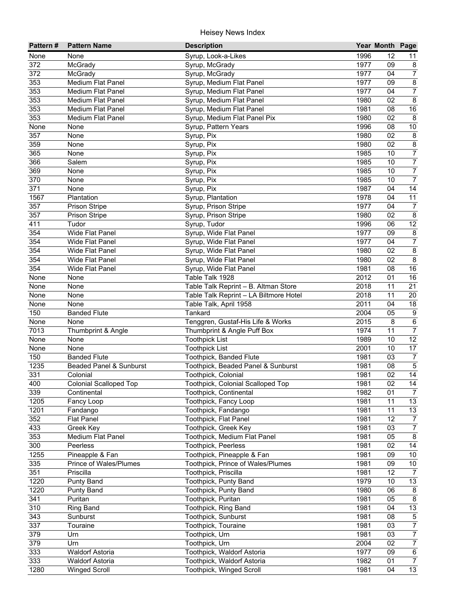| <b>Pattern#</b> | <b>Pattern Name</b>           | <b>Description</b>                     |      | Year Month Page |                         |
|-----------------|-------------------------------|----------------------------------------|------|-----------------|-------------------------|
| None            | None                          | Syrup, Look-a-Likes                    | 1996 | 12              | 11                      |
| 372             | McGrady                       | Syrup, McGrady                         | 1977 | 09              | $\bf 8$                 |
| 372             | McGrady                       | Syrup, McGrady                         | 1977 | 04              | $\overline{7}$          |
| 353             | <b>Medium Flat Panel</b>      | Syrup, Medium Flat Panel               | 1977 | 09              | $\bf 8$                 |
| 353             | <b>Medium Flat Panel</b>      | Syrup, Medium Flat Panel               | 1977 | 04              | $\overline{7}$          |
| 353             | <b>Medium Flat Panel</b>      | Syrup, Medium Flat Panel               | 1980 | 02              | $\overline{8}$          |
| 353             | <b>Medium Flat Panel</b>      | Syrup, Medium Flat Panel               | 1981 | 08              | 16                      |
| 353             | <b>Medium Flat Panel</b>      | Syrup, Medium Flat Panel Pix           | 1980 | $\overline{02}$ | $\overline{\mathbf{8}}$ |
| None            | None                          | Syrup, Pattern Years                   | 1996 | 08              | $\overline{10}$         |
| 357             | None                          | Syrup, Pix                             | 1980 | 02              | $\overline{\mathbf{8}}$ |
| 359             | None                          | Syrup, Pix                             | 1980 | 02              | $\overline{\bf 8}$      |
| 365             | None                          | Syrup, Pix                             | 1985 | 10              | $\overline{7}$          |
| 366             | Salem                         | Syrup, Pix                             | 1985 | 10              | $\overline{7}$          |
| 369             | None                          | Syrup, Pix                             | 1985 | 10              | $\overline{7}$          |
| 370             | None                          | Syrup, Pix                             | 1985 | 10              | $\overline{7}$          |
| 371             | None                          | Syrup, Pix                             | 1987 | 04              | 14                      |
| 1567            | Plantation                    | Syrup, Plantation                      | 1978 | 04              | 11                      |
| 357             | <b>Prison Stripe</b>          | Syrup, Prison Stripe                   | 1977 | 04              | $\overline{7}$          |
| 357             | Prison Stripe                 | Syrup, Prison Stripe                   | 1980 | 02              | $\bf 8$                 |
| 411             | Tudor                         | Syrup, Tudor                           | 1996 | 06              | $\overline{12}$         |
| 354             | <b>Wide Flat Panel</b>        | Syrup, Wide Flat Panel                 | 1977 | 09              | $\bf 8$                 |
| 354             | <b>Wide Flat Panel</b>        | Syrup, Wide Flat Panel                 | 1977 | 04              | $\overline{7}$          |
| 354             | <b>Wide Flat Panel</b>        | Syrup, Wide Flat Panel                 | 1980 | 02              | $\overline{8}$          |
| 354             | <b>Wide Flat Panel</b>        | Syrup, Wide Flat Panel                 | 1980 | 02              | $\overline{8}$          |
| 354             | <b>Wide Flat Panel</b>        | Syrup, Wide Flat Panel                 | 1981 | 08              | $\overline{16}$         |
| None            | None                          | Table Talk 1928                        | 2012 | 01              | 16                      |
| None            | None                          | Table Talk Reprint - B. Altman Store   | 2018 | 11              | 21                      |
| None            | None                          | Table Talk Reprint - LA Biltmore Hotel | 2018 | 11              | 20                      |
| None            | None                          | Table Talk, April 1958                 | 2011 | 04              | 18                      |
| 150             | <b>Banded Flute</b>           | Tankard                                | 2004 | 05              | $\overline{9}$          |
| None            | None                          | Tenggren, Gustaf-His Life & Works      | 2015 | 8               | $\overline{6}$          |
| 7013            | Thumbprint & Angle            | Thumbprint & Angle Puff Box            | 1974 | 11              | $\overline{7}$          |
| None            | None                          | <b>Toothpick List</b>                  | 1989 | 10              | $\overline{12}$         |
| None            | None                          | <b>Toothpick List</b>                  | 2001 | 10              | 17                      |
| 150             | <b>Banded Flute</b>           | Toothpick, Banded Flute                | 1981 | 03              | $\overline{7}$          |
| 1235            | Beaded Panel & Sunburst       | Toothpick, Beaded Panel & Sunburst     | 1981 | 08              | $\overline{5}$          |
| 331             | Colonial                      | Toothpick, Colonial                    | 1981 | 02              | 14                      |
| 400             | Colonial Scalloped Top        | Toothpick, Colonial Scalloped Top      | 1981 | 02              | 14                      |
| 339             | Continental                   | Toothpick, Continental                 | 1982 | 01              | $\overline{7}$          |
| 1205            | Fancy Loop                    | Toothpick, Fancy Loop                  | 1981 | 11              | 13                      |
| 1201            | Fandango                      | Toothpick, Fandango                    | 1981 | 11              | 13                      |
| 352             | <b>Flat Panel</b>             | Toothpick, Flat Panel                  | 1981 | 12              | $\overline{7}$          |
| 433             | Greek Key                     | Toothpick, Greek Key                   | 1981 | 03              | $\overline{7}$          |
| 353             | Medium Flat Panel             | Toothpick, Medium Flat Panel           | 1981 | 05              | $\overline{8}$          |
| 300             | Peerless                      | Toothpick, Peerless                    | 1981 | 02              | 14                      |
| 1255            | Pineapple & Fan               | Toothpick, Pineapple & Fan             | 1981 | 09              | 10 <sup>°</sup>         |
| 335             | <b>Prince of Wales/Plumes</b> | Toothpick, Prince of Wales/Plumes      | 1981 | 09              | 10 <sup>°</sup>         |
| 351             | Priscilla                     | Toothpick, Priscilla                   | 1981 | 12              | $\overline{7}$          |
| 1220            | <b>Punty Band</b>             | Toothpick, Punty Band                  | 1979 | 10              | 13                      |
| 1220            | <b>Punty Band</b>             | Toothpick, Punty Band                  | 1980 | 06              | $\bf 8$                 |
| 341             | Puritan                       | Toothpick, Puritan                     | 1981 | 05              | $\overline{8}$          |
| 310             | <b>Ring Band</b>              | Toothpick, Ring Band                   | 1981 | 04              | 13                      |
| 343             | Sunburst                      | Toothpick, Sunburst                    | 1981 | 08              | $\overline{5}$          |
| 337             | Touraine                      | Toothpick, Touraine                    | 1981 | 03              | $\overline{7}$          |
| 379             | Urn                           | Toothpick, Urn                         | 1981 | 03              | $\overline{7}$          |
| 379             | Urn                           | Toothpick, Urn                         | 2004 | 02              | $\overline{7}$          |
| 333             | <b>Waldorf Astoria</b>        | Toothpick, Waldorf Astoria             | 1977 | 09              | $6\overline{}$          |
| 333             | <b>Waldorf Astoria</b>        | Toothpick, Waldorf Astoria             | 1982 | 01              | $\overline{7}$          |
| 1280            | <b>Winged Scroll</b>          | Toothpick, Winged Scroll               | 1981 | 04              | $\overline{13}$         |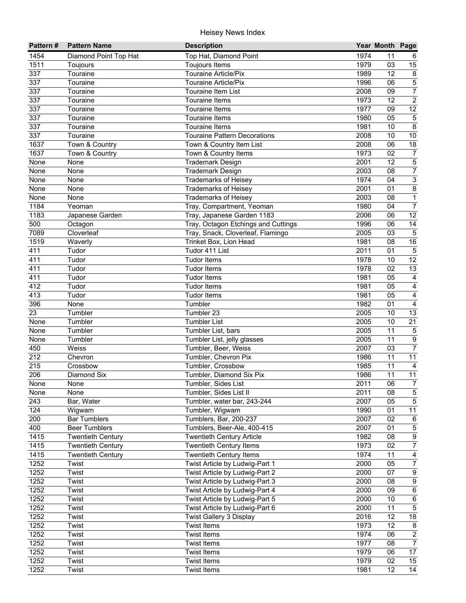| Pattern#        | <b>Pattern Name</b>      | <b>Description</b>                                                 |              | Year Month Page |                                    |
|-----------------|--------------------------|--------------------------------------------------------------------|--------------|-----------------|------------------------------------|
| 1454            | Diamond Point Top Hat    | Top Hat, Diamond Point                                             | 1974         | 11              | 6                                  |
| 1511            | Toujours                 | Toujours Items                                                     | 1979         | 03              | 15                                 |
| 337             | Touraine                 | Touraine Article/Pix                                               | 1989         | 12              | 8                                  |
| 337             | Touraine                 | <b>Touraine Article/Pix</b>                                        | 1996         | 06              | $\overline{5}$                     |
| 337             | Touraine                 | <b>Touraine Item List</b>                                          | 2008         | 09              | $\overline{7}$                     |
| 337             | Touraine                 | Touraine Items                                                     | 1973         | $\overline{12}$ | $\overline{2}$                     |
| 337             | Touraine                 | Touraine Items                                                     | 1977         | 09              | 12                                 |
| 337             | Touraine                 | Touraine Items                                                     | 1980         | $\overline{05}$ | $\overline{5}$                     |
| 337             | Touraine                 | <b>Touraine Items</b>                                              | 1981         | 10              | 8                                  |
| 337             | Touraine                 | <b>Touraine Pattern Decorations</b>                                | 2008         | 10              | 10                                 |
| 1637            | Town & Country           | Town & Country Item List                                           | 2008         | 06              | 18                                 |
| 1637            | Town & Country           | Town & Country Items                                               | 1973         | 02              | $\overline{7}$                     |
| None            | None                     | <b>Trademark Design</b>                                            | 2001         | 12              | $\overline{5}$                     |
| None            | None                     | <b>Trademark Design</b>                                            | 2003         | 08              | $\overline{7}$                     |
| None            | None                     | <b>Trademarks of Heisey</b>                                        | 1974         | 04              | $\overline{3}$                     |
| None            | None                     | <b>Trademarks of Heisey</b>                                        | 2001         | 01              | $\bf 8$                            |
| None            | None                     | <b>Trademarks of Heisey</b>                                        | 2003         | 08              | $\mathbf{1}$                       |
| 1184            | Yeoman                   | Tray, Compartment, Yeoman                                          | 1980         | 04              | $\overline{7}$                     |
| 1183            | Japanese Garden          | Tray, Japanese Garden 1183                                         | 2006         | 06              | 12                                 |
| 500             | Octagon                  | Tray, Octagon Etchings and Cuttings                                | 1996         | 06              | $\overline{14}$                    |
| 7089            | Cloverleaf               | Tray, Snack, Cloverleaf, Flamingo                                  | 2005         | 03              | $\sqrt{5}$                         |
| 1519            | Waverly                  | Trinket Box, Lion Head                                             | 1981         | 08              | $16\,$                             |
| 411             | Tudor                    | Tudor 411 List                                                     | 2011         | 01              | $\overline{5}$                     |
| 411             | Tudor                    | <b>Tudor Items</b>                                                 | 1978         | 10              | $\overline{12}$                    |
| 411             | Tudor                    | <b>Tudor Items</b>                                                 | 1978         | 02              | 13                                 |
| 411             | Tudor                    | <b>Tudor Items</b>                                                 | 1981         | 05              | $\overline{4}$                     |
| 412             | Tudor                    | <b>Tudor Items</b>                                                 | 1981         | 05              | $\overline{4}$                     |
| 413             | Tudor                    | <b>Tudor Items</b>                                                 | 1981         | 05              | $\overline{4}$                     |
| 396             | None                     | Tumbler                                                            | 1982         | 01              | $\overline{4}$                     |
| $\overline{23}$ | Tumbler                  | Tumbler 23                                                         | 2005         | 10              | 13                                 |
| None            | Tumbler                  | <b>Tumbler List</b>                                                | 2005         | 10              | $\overline{21}$                    |
| None            | Tumbler                  | Tumbler List, bars                                                 | 2005         | 11              | $\overline{5}$                     |
| None            | Tumbler                  | Tumbler List, jelly glasses                                        | 2005         | 11              | $\overline{9}$                     |
| 450             | Weiss                    | Tumbler, Beer, Weiss                                               | 2007         | 03              | $\overline{7}$                     |
| 212             | Chevron                  | Tumbler, Chevron Pix                                               | 1986         | 11              | $\overline{11}$                    |
| 215             | Crossbow                 | Tumbler, Crossbow                                                  | 1985         | 11              | $\overline{4}$                     |
| 206             | Diamond Six              | Tumbler, Diamond Six Pix                                           | 1986         | 11              | 11                                 |
| None            | None                     | Tumbler, Sides List                                                | 2011         | $\overline{06}$ | $\overline{7}$                     |
| None            | None                     | Tumbler, Sides List II                                             | 2011         | 08              | $\overline{5}$                     |
| 243             | Bar, Water               | Tumbler, water bar, 243-244                                        | 2007         | 05              | $5\phantom{.0}$                    |
| 124             | Wigwam                   | Tumbler, Wigwam                                                    | 1990         | 01              | $\overline{11}$                    |
| 200             | <b>Bar Tumblers</b>      | Tumblers, Bar, 200-237                                             | 2007         | 02              | 6                                  |
| 400<br>1415     | <b>Beer Tumblers</b>     | Tumblers, Beer-Ale, 400-415                                        | 2007         | 01              | $\,$ 5 $\,$                        |
| 1415            | <b>Twentieth Century</b> | <b>Twentieth Century Article</b><br><b>Twentieth Century Items</b> | 1982<br>1973 | 08<br>02        | $\boldsymbol{9}$<br>$\overline{7}$ |
|                 | <b>Twentieth Century</b> |                                                                    | 1974         |                 | $\overline{4}$                     |
| 1415<br>1252    | <b>Twentieth Century</b> | <b>Twentieth Century Items</b>                                     | 2000         | 11<br>05        |                                    |
| 1252            | Twist                    | Twist Article by Ludwig-Part 1<br>Twist Article by Ludwig-Part 2   | 2000         |                 | $\boldsymbol{7}$                   |
| 1252            | Twist                    |                                                                    | 2000         | 07<br>08        | $\overline{9}$                     |
| 1252            | Twist                    | Twist Article by Ludwig-Part 3                                     |              |                 | $\overline{9}$                     |
|                 | Twist                    | Twist Article by Ludwig-Part 4                                     | 2000         | 09              | $\,6\,$                            |
| 1252            | Twist                    | Twist Article by Ludwig-Part 5                                     | 2000         | 10<br>11        | $\,6\,$<br>$\overline{5}$          |
| 1252            | Twist                    | Twist Article by Ludwig-Part 6                                     | 2000         |                 |                                    |
| 1252            | Twist                    | Twist Gallery 3 Display                                            | 2016         | 12<br>12        | 18                                 |
| 1252            | Twist                    | <b>Twist Items</b>                                                 | 1973<br>1974 | 06              | $\bf 8$<br>$\overline{2}$          |
| 1252<br>1252    | Twist                    | <b>Twist Items</b><br><b>Twist Items</b>                           | 1977         | 08              | $\overline{7}$                     |
| 1252            | Twist                    | <b>Twist Items</b>                                                 | 1979         | 06              | $\overline{17}$                    |
| 1252            | Twist<br>Twist           | <b>Twist Items</b>                                                 | 1979         | 02              | 15                                 |
| 1252            | Twist                    | <b>Twist Items</b>                                                 | 1981         | 12              | $\overline{14}$                    |
|                 |                          |                                                                    |              |                 |                                    |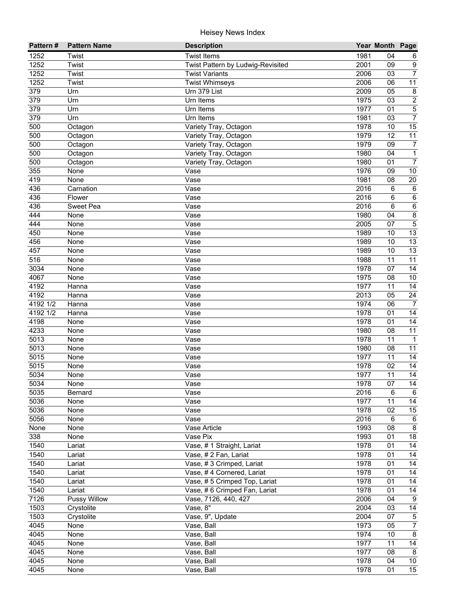| Pattern#         | <b>Pattern Name</b> | <b>Description</b>                |              | Year Month Page |                  |
|------------------|---------------------|-----------------------------------|--------------|-----------------|------------------|
| 1252             | Twist               | <b>Twist Items</b>                | 1981         | 04              | 6                |
| 1252             | Twist               | Twist Pattern by Ludwig-Revisited | 2001         | 09              | $\boldsymbol{9}$ |
| 1252             | Twist               | <b>Twist Variants</b>             | 2006         | 03              | $\overline{7}$   |
| 1252             | Twist               | <b>Twist Whimseys</b>             | 2006         | 06              | $\overline{11}$  |
| 379              | Urn                 | Urn 379 List                      | 2009         | $\overline{05}$ | $\bf 8$          |
| 379              | Urn                 | Urn Items                         | 1975         | $\overline{03}$ | $\overline{2}$   |
| 379              | Urn                 | Urn Items                         | 1977         | 01              | $\overline{5}$   |
| $\overline{379}$ | Urn                 | Urn Items                         | 1981         | 03              | $\overline{7}$   |
| 500              | Octagon             | Variety Tray, Octagon             | 1978         | 10              | $\overline{15}$  |
| 500              | Octagon             | Variety Tray, Octagon             | 1979         | 12              | 11               |
| 500              | Octagon             | Variety Tray, Octagon             | 1979         | 09              | $\boldsymbol{7}$ |
| 500              | Octagon             | Variety Tray, Octagon             | 1980         | 04              | $\mathbf{1}$     |
| 500              | Octagon             | Variety Tray, Octagon             | 1980         | 01              | $\overline{7}$   |
| 355              | None                | Vase                              | 1976         | 09              | $10$             |
| 419              | None                | Vase                              | 1981         | 08              | 20               |
| 436              | Carnation           | Vase                              | 2016         | 6               | $\,6\,$          |
| 436              | Flower              | Vase                              | 2016         | 6               | $\,6\,$          |
| 436              | Sweet Pea           | Vase                              | 2016         | 6               | $\overline{6}$   |
| 444              | None                | Vase                              | 1980         | 04              | $\overline{8}$   |
| 444              | None                | Vase                              | 2005         | 07              | $\overline{5}$   |
| 450              | None                | Vase                              | 1989         | 10              | 13               |
| 456              | None                | Vase                              | 1989         | 10              | 13               |
| 457              | None                | Vase                              | 1989         | 10              | $\overline{13}$  |
| 516              | None                | Vase                              | 1988         | 11              | 11               |
| 3034             | None                | Vase                              | 1978         | 07              | 14               |
| 4067             | None                | Vase                              | 1975         | 08              | 10               |
| 4192             | Hanna               | Vase                              | 1977         | 11              | 14               |
| 4192             | Hanna               | Vase                              | 2013         | 05              | $\overline{24}$  |
| 4192 1/2         | Hanna               | Vase                              | 1974         | 06              | $\overline{7}$   |
| 4192 1/2         | Hanna               | Vase                              | 1978         | 01              | $\overline{14}$  |
| 4198             | None                | Vase                              | 1978         | 01              | 14               |
| 4233             | None                | Vase                              | 1980         | 08              | $\overline{11}$  |
| 5013             | None                | Vase                              | 1978         | 11              | $\mathbf{1}$     |
| 5013             | None                | Vase                              | 1980         | 08              | 11               |
| 5015             | None                | Vase                              | 1977         | 11              | $\overline{14}$  |
| 5015             | None                | Vase                              | 1978         | 02              | 14               |
| 5034             | None                | Vase                              | 1977         | 11              | $\overline{14}$  |
| 5034             | $\bar{N}$ one       | Vase                              | 1978         | $\overline{07}$ | $\overline{14}$  |
| 5035             | Bernard             | Vase                              | 2016         | 6               | $\,6\,$          |
| 5036             | None                | Vase                              | 1977         | 11              | 14               |
| 5036<br>5056     | None                | Vase<br>Vase                      | 1978<br>2016 | 02              | 15               |
| None             | None<br>None        | Vase Article                      | 1993         | 6<br>08         | 6<br>$\,8\,$     |
| 338              |                     | Vase Pix                          | 1993         | 01              | 18               |
| 1540             | None<br>Lariat      | Vase, #1 Straight, Lariat         | 1978         | 01              | 14               |
| 1540             | Lariat              | Vase, #2 Fan, Lariat              | 1978         | 01              | 14               |
| 1540             | Lariat              | Vase, #3 Crimped, Lariat          | 1978         | 01              | 14               |
| 1540             | Lariat              | Vase, #4 Cornered, Lariat         | 1978         | 01              | 14               |
| 1540             | Lariat              | Vase, #5 Crimped Top, Lariat      | 1978         | 01              | 14               |
| 1540             | Lariat              | Vase, #6 Crimped Fan, Lariat      | 1978         | 01              | 14               |
| 7126             | Pussy Willow        | Vase, 7126, 440, 427              | 2006         | 04              | $\boldsymbol{9}$ |
| 1503             | Crystolite          | Vase, $8"$                        | 2004         | 03              | 14               |
| 1503             | Crystolite          | Vase, 9", Update                  | 2004         | 07              | $\overline{5}$   |
| 4045             | None                | Vase, Ball                        | 1973         | 05              | $\overline{7}$   |
| 4045             | None                | Vase, Ball                        | 1974         | 10              | $\overline{8}$   |
| 4045             | None                | Vase, Ball                        | 1977         | 11              | $\overline{14}$  |
| 4045             | None                | Vase, Ball                        | 1977         | 08              | $\overline{8}$   |
| 4045             | None                | Vase, Ball                        | 1978         | 04              | 10               |
| 4045             | None                | Vase, Ball                        | 1978         | 01              | $\overline{15}$  |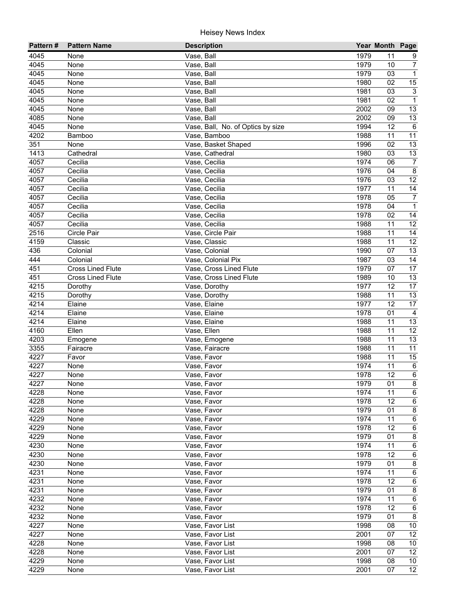| Pattern#     | <b>Pattern Name</b>      | <b>Description</b>                |              | Year Month Page |                         |
|--------------|--------------------------|-----------------------------------|--------------|-----------------|-------------------------|
| 4045         | None                     | Vase, Ball                        | 1979         | 11              | 9                       |
| 4045         | None                     | Vase, Ball                        | 1979         | 10              | $\overline{7}$          |
| 4045         | None                     | Vase, Ball                        | 1979         | $\overline{03}$ | $\mathbf{1}$            |
| 4045         | None                     | Vase, Ball                        | 1980         | 02              | 15                      |
| 4045         | None                     | Vase, Ball                        | 1981         | 03              | $\overline{3}$          |
| 4045         | None                     | Vase, Ball                        | 1981         | 02              | $\mathbf{1}$            |
| 4045         | None                     | Vase, Ball                        | 2002         | 09              | 13                      |
| 4085         | None                     | Vase, Ball                        | 2002         | 09              | 13                      |
| 4045         | None                     | Vase, Ball, No. of Optics by size | 1994         | 12              | $\,6$                   |
| 4202         | Bamboo                   | Vase, Bamboo                      | 1988         | 11              | 11                      |
| 351          | None                     | Vase, Basket Shaped               | 1996         | 02              | 13                      |
| 1413         | Cathedral                | Vase, Cathedral                   | 1980         | 03              | 13                      |
| 4057         | Cecilia                  | Vase, Cecilia                     | 1974         | 06              | $\overline{7}$          |
| 4057         | Cecilia                  | Vase, Cecilia                     | 1976         | 04              | 8                       |
| 4057         | Cecilia                  | Vase, Cecilia                     | 1976         | 03              | $\overline{12}$         |
| 4057         | Cecilia                  | Vase, Cecilia                     | 1977         | 11              | $\overline{14}$         |
| 4057         | Cecilia                  | Vase, Cecilia                     | 1978         | 05              | $\overline{7}$          |
| 4057         | Cecilia                  | Vase, Cecilia                     | 1978         | 04              | $\mathbf{1}$            |
| 4057         | Cecilia                  | Vase, Cecilia                     | 1978         | 02              | 14                      |
| 4057         | Cecilia                  | Vase, Cecilia                     | 1988         | 11              | 12                      |
| 2516         | Circle Pair              | Vase, Circle Pair                 | 1988         | 11              | 14                      |
| 4159         | Classic                  | Vase, Classic                     | 1988         | 11              | $\overline{12}$         |
| 436          | Colonial                 | Vase, Colonial                    | 1990         | 07              | 13                      |
| 444          | Colonial                 | Vase, Colonial Pix                | 1987         | 03              | 14                      |
| 451          | <b>Cross Lined Flute</b> | Vase, Cross Lined Flute           | 1979         | 07              | 17                      |
| 451          | <b>Cross Lined Flute</b> | Vase, Cross Lined Flute           | 1989         | 10              | 13                      |
| 4215         | Dorothy                  | Vase, Dorothy                     | 1977         | 12              | 17                      |
| 4215         | Dorothy                  | Vase, Dorothy                     | 1988         | 11              | $\overline{13}$         |
| 4214         | Elaine                   | Vase, Elaine                      | 1977         | 12              | 17                      |
| 4214         | Elaine                   | Vase, Elaine                      | 1978         | 01              | $\overline{4}$          |
| 4214         | Elaine                   | Vase, Elaine                      | 1988         | 11              | 13                      |
| 4160         | Ellen                    | Vase, Ellen                       | 1988         | 11              | 12                      |
| 4203         | Emogene                  | Vase, Emogene                     | 1988         | 11              | 13                      |
| 3355         | Fairacre                 | Vase, Fairacre                    | 1988         | 11              | $\overline{11}$         |
| 4227         | Favor                    | Vase, Favor                       | 1988         | 11              | 15                      |
| 4227         | None                     | Vase, Favor                       | 1974         | 11              | $6\phantom{1}6$         |
| 4227<br>4227 | None                     | Vase, Favor                       | 1978<br>1979 | 12<br>01        | 6                       |
|              | None                     | Vase, Favor                       | 1974         | 11              | 8<br>6                  |
| 4228<br>4228 | None<br>None             | Vase, Favor<br>Vase, Favor        | 1978         | 12              | 6                       |
| 4228         | None                     | Vase, Favor                       | 1979         | 01              | $\bf 8$                 |
| 4229         | None                     | Vase, Favor                       | 1974         | 11              | 6                       |
| 4229         | None                     | Vase, Favor                       | 1978         | 12              | $\,6$                   |
| 4229         | None                     | Vase, Favor                       | 1979         | 01              | $\bf 8$                 |
| 4230         | None                     | Vase, Favor                       | 1974         | 11              | $\,6$                   |
| 4230         | None                     | Vase, Favor                       | 1978         | 12              | $\,6$                   |
| 4230         | None                     | Vase, Favor                       | 1979         | 01              | $\bf 8$                 |
| 4231         | None                     | Vase, Favor                       | 1974         | 11              | $\,6\,$                 |
| 4231         | None                     | Vase, Favor                       | 1978         | 12              | $\,6$                   |
| 4231         | None                     | Vase, Favor                       | 1979         | 01              | $\overline{\mathbf{8}}$ |
| 4232         | None                     | Vase, Favor                       | 1974         | 11              | $\,6\,$                 |
| 4232         | None                     | Vase, Favor                       | 1978         | 12              | $\,6\,$                 |
| 4232         | None                     | Vase, Favor                       | 1979         | 01              | $\overline{8}$          |
| 4227         | None                     | Vase, Favor List                  | 1998         | 08              | 10                      |
| 4227         | None                     | Vase, Favor List                  | 2001         | 07              | $\overline{12}$         |
| 4228         | None                     | Vase, Favor List                  | 1998         | 08              | 10                      |
| 4228         | None                     | Vase, Favor List                  | 2001         | 07              | 12                      |
| 4229         | None                     | Vase, Favor List                  | 1998         | 08              | 10                      |
| 4229         | None                     | Vase, Favor List                  | 2001         | 07              | $\overline{12}$         |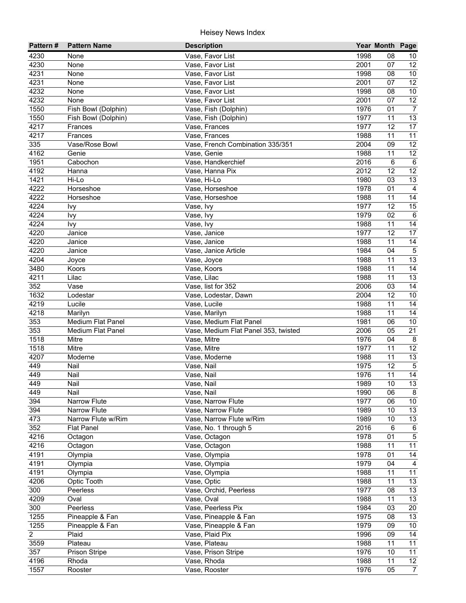| Pattern#          | <b>Pattern Name</b>     | <b>Description</b>                    |              | Year Month Page |                 |
|-------------------|-------------------------|---------------------------------------|--------------|-----------------|-----------------|
| 4230              | None                    | Vase, Favor List                      | 1998         | 08              | 10              |
| 4230              | None                    | Vase, Favor List                      | 2001         | 07              | 12              |
| 4231              | None                    | Vase, Favor List                      | 1998         | 08              | 10              |
| 4231              | None                    | Vase, Favor List                      | 2001         | 07              | $\overline{12}$ |
| 4232              | None                    | Vase, Favor List                      | 1998         | 08              | 10              |
| 4232              | None                    | Vase, Favor List                      | 2001         | 07              | $\overline{12}$ |
| 1550              | Fish Bowl (Dolphin)     | Vase, Fish (Dolphin)                  | 1976         | 01              | $\overline{7}$  |
| 1550              | Fish Bowl (Dolphin)     | Vase, Fish (Dolphin)                  | 1977         | 11              | 13              |
| $42\overline{17}$ | Frances                 | Vase, Frances                         | 1977         | 12              | 17              |
| 4217              | Frances                 | Vase, Frances                         | 1988         | 11              | 11              |
| 335               | Vase/Rose Bowl          | Vase, French Combination 335/351      | 2004         | 09              | 12              |
| 4162              | Genie                   | Vase, Genie                           | 1988         | 11              | 12              |
| 1951              | Cabochon                | Vase, Handkerchief                    | 2016         | 6               | 6               |
| 4192              | Hanna                   | Vase, Hanna Pix                       | 2012         | 12              | 12              |
| 1421              | Hi-Lo                   | Vase, Hi-Lo                           | 1980         | 03              | 13              |
| 4222              | Horseshoe               | Vase, Horseshoe                       | 1978         | 01              | $\overline{4}$  |
| 4222              | Horseshoe               | Vase, Horseshoe                       | 1988         | 11              | 14              |
| 4224              | Ivy                     | Vase, Ivy                             | 1977         | 12              | 15              |
| 4224              | Ivy                     | Vase, Ivy                             | 1979         | 02              | $\,6\,$         |
| 4224              | Ivy                     | Vase, Ivy                             | 1988         | 11              | $\overline{14}$ |
| 4220              | Janice                  | Vase, Janice                          | 1977         | 12              | 17              |
| 4220              | Janice                  | Vase, Janice                          | 1988         | 11              | 14              |
| 4220              | Janice                  | Vase, Janice Article                  | 1984         | 04              | $\sqrt{5}$      |
| 4204              | Joyce                   | Vase, Joyce                           | 1988         | 11              | 13              |
| 3480              | Koors                   | Vase, Koors                           | 1988         | 11              | 14              |
| 4211              | Lilac                   | Vase, Lilac                           | 1988         | 11              | 13              |
| 352               | Vase                    | Vase, list for 352                    | 2006         | 03              | 14              |
| 1632              | Lodestar                | Vase, Lodestar, Dawn                  | 2004         | 12              | 10              |
| 4219              | Lucile                  | Vase, Lucile                          | 1988         | 11              | 14              |
| 4218              | Marilyn                 | Vase, Marilyn                         | 1988         | 11              | 14              |
| 353               | Medium Flat Panel       | Vase, Medium Flat Panel               | 1981         | 06              | 10              |
| 353               | Medium Flat Panel       | Vase, Medium Flat Panel 353, twisted  | 2006         | 05              | $\overline{21}$ |
| 1518              | Mitre                   | Vase, Mitre                           | 1976         | 04              | 8               |
| 1518              | Mitre                   | Vase, Mitre                           | 1977         | 11              | $\overline{12}$ |
| 4207              | Moderne                 | Vase, Moderne                         | 1988         | 11              | 13              |
| 449               | Nail                    | Vase, Nail                            | 1975         | 12              | $\sqrt{5}$      |
| 449               | Nail                    | Vase, Nail                            | 1976         | 11              | $\overline{14}$ |
| 449               | Nail                    | Vase, Nail                            | 1989         | 10              | 13              |
| 449               | Nail                    | Vase, Nail                            | 1990         | 06              | $\bf 8$         |
| 394               | Narrow Flute            | Vase, Narrow Flute                    | 1977         | 06              | 10 <sub>1</sub> |
| 394               | Narrow Flute            | Vase, Narrow Flute                    | 1989         | 10              | 13              |
| 473               | Narrow Flute w/Rim      | Vase, Narrow Flute w/Rim              | 1989         | 10              | 13              |
| 352               | <b>Flat Panel</b>       | Vase, No. 1 through 5                 | 2016         | 6               | $\,6\,$         |
| 4216              | Octagon                 | Vase, Octagon<br>Vase, Octagon        | 1978<br>1988 | 01              | $\sqrt{5}$      |
| 4216              | Octagon                 |                                       |              | 11              | 11              |
| 4191              | Olympia                 | Vase, Olympia<br>Vase, Olympia        | 1978         | 01              | $14$            |
| 4191              | Olympia<br>Olympia      |                                       | 1979<br>1988 | 04              | $\overline{4}$  |
| 4191<br>4206      |                         | Vase, Olympia                         | 1988         | 11              | 11<br>13        |
| 300               | Optic Tooth<br>Peerless | Vase, Optic<br>Vase, Orchid, Peerless | 1977         | 11<br>08        | 13              |
| 4209              | Oval                    | Vase, Oval                            | 1988         | 11              | 13              |
| 300               | Peerless                | Vase, Peerless Pix                    | 1984         | 03              | 20              |
| 1255              | Pineapple & Fan         | Vase, Pineapple & Fan                 | 1975         | 08              | $\overline{13}$ |
| 1255              | Pineapple & Fan         | Vase, Pineapple & Fan                 | 1979         | 09              | 10              |
| $\overline{2}$    | Plaid                   | Vase, Plaid Pix                       | 1996         | 09              | $\overline{14}$ |
| 3559              | Plateau                 | Vase, Plateau                         | 1988         | 11              | $\overline{11}$ |
| 357               | Prison Stripe           | Vase, Prison Stripe                   | 1976         | 10              | 11              |
| 4196              | Rhoda                   | Vase, Rhoda                           | 1988         | 11              | 12              |
| 1557              | Rooster                 | Vase, Rooster                         | 1976         | 05              | $\overline{7}$  |
|                   |                         |                                       |              |                 |                 |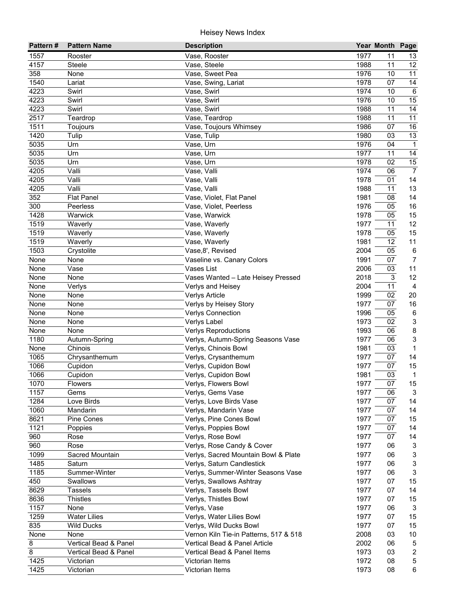| Pattern# | <b>Pattern Name</b>   | <b>Description</b>                     |              | Year Month Page |                           |
|----------|-----------------------|----------------------------------------|--------------|-----------------|---------------------------|
| 1557     | Rooster               | Vase, Rooster                          | 1977         | 11              | 13                        |
| 4157     | <b>Steele</b>         | Vase, Steele                           | 1988         | 11              | 12                        |
| 358      | None                  | Vase, Sweet Pea                        | 1976         | 10              | 11                        |
| 1540     | Lariat                | Vase, Swing, Lariat                    | 1978         | 07              | $\overline{14}$           |
| 4223     | Swirl                 | Vase, Swirl                            | 1974         | 10              | 6                         |
| 4223     | Swirl                 | Vase, Swirl                            | 1976         | 10              | $\overline{15}$           |
| 4223     | Swirl                 | Vase, Swirl                            | 1988         | 11              | 14                        |
| 2517     | Teardrop              | Vase, Teardrop                         | 1988         | 11              | 11                        |
| 1511     | Toujours              | Vase, Toujours Whimsey                 | 1986         | 07              | 16                        |
| 1420     | Tulip                 | Vase, Tulip                            | 1980         | 03              | 13                        |
| 5035     | Urn                   | Vase, Urn                              | 1976         | 04              | $\overline{1}$            |
| 5035     | Urn                   | Vase, Urn                              | 1977         | 11              | 14                        |
| 5035     | Urn                   | Vase, Urn                              | 1978         | 02              | 15                        |
| 4205     | Valli                 | Vase, Valli                            | 1974         | 06              | $\overline{7}$            |
| 4205     | Valli                 | Vase, Valli                            | 1978         | 01              | 14                        |
| 4205     | Valli                 | Vase, Valli                            | 1988         | 11              | 13                        |
| 352      | <b>Flat Panel</b>     | Vase, Violet, Flat Panel               | 1981         | 08              | 14                        |
| 300      | Peerless              | Vase, Violet, Peerless                 | 1976         | 05              | 16                        |
| 1428     | Warwick               | Vase, Warwick                          | 1978         | 05              | 15                        |
| 1519     | Waverly               | Vase, Waverly                          | 1977         | 11              | 12                        |
| 1519     | Waverly               | Vase, Waverly                          | 1978         | 05              | 15                        |
| 1519     | Waverly               | Vase, Waverly                          | 1981         | 12              | 11                        |
| 1503     | Crystolite            | Vase, 8', Revised                      | 2004         | 05              | 6                         |
| None     | None                  | Vaseline vs. Canary Colors             | 1991         | 07              | $\overline{7}$            |
| None     | Vase                  | Vases List                             | 2006         | 03              | 11                        |
| None     | None                  | Vases Wanted - Late Heisey Pressed     | 2018         | 3               | 12                        |
| None     | Verlys                | Verlys and Heisey                      | 2004         | 11              | 4                         |
| None     | None                  | Verlys Article                         | 1999         | 02              | 20                        |
| None     | None                  | Verlys by Heisey Story                 | 1977         | 07              | 16                        |
| None     | None                  | <b>Verlys Connection</b>               | 1996         | 05              | 6                         |
| None     | None                  | Verlys Label                           | 1973         | 02              | 3                         |
| None     | None                  | <b>Verlys Reproductions</b>            | 1993         | 06              | 8                         |
| 1180     | Autumn-Spring         | Verlys, Autumn-Spring Seasons Vase     | 1977         | 06              | $\ensuremath{\mathsf{3}}$ |
| None     | Chinois               | Verlys, Chinois Bowl                   | 1981         | 03              | $\mathbf{1}$              |
| 1065     | Chrysanthemum         | Verlys, Crysanthemum                   | 1977         | 07              | 14                        |
| 1066     | Cupidon               | Verlys, Cupidon Bowl                   | 1977         | 07              | 15                        |
| 1066     | Cupidon               | Verlys, Cupidon Bowl                   | 1981         | 03              | $\mathbf{1}$              |
| 1070     | Flowers               | Verlys, Flowers Bowl                   | 1977         | 07              | 15                        |
| 1157     | Gems                  | Verlys, Gems Vase                      | 1977         | 06              | 3                         |
| 1284     | Love Birds            | Verlys, Love Birds Vase                | 1977         | 07              | 14                        |
| 1060     | Mandarin              | Verlys, Mandarin Vase                  | 1977         | 07              | 14                        |
| 8621     | Pine Cones            | Verlys, Pine Cones Bowl                | 1977         | 07              | 15                        |
| 1121     | Poppies               | Verlys, Poppies Bowl                   | 1977         | 07              | 14                        |
| 960      | Rose                  | Verlys, Rose Bowl                      | 1977         | 07              | 14                        |
| 960      | Rose                  | Verlys, Rose Candy & Cover             | 1977         | 06              | 3                         |
| 1099     | Sacred Mountain       | Verlys, Sacred Mountain Bowl & Plate   | 1977         | 06              | 3                         |
| 1485     | Saturn                | Verlys, Saturn Candlestick             | 1977         | 06              | 3                         |
| 1185     | Summer-Winter         | Verlys, Summer-Winter Seasons Vase     | 1977         | 06              | 3                         |
| 450      | Swallows              | Verlys, Swallows Ashtray               | 1977         | 07              | 15                        |
| 8629     | <b>Tassels</b>        | Verlys, Tassels Bowl                   | 1977         | 07              | 14                        |
| 8636     | <b>Thistles</b>       | Verlys, Thistles Bowl                  | 1977         | 07              | 15                        |
| 1157     | None                  | Verlys, Vase                           | 1977<br>1977 | 06              | $\mathbf{3}$<br>15        |
| 1259     | Water Lilies          | Verlys, Water Lilies Bowl              |              | 07              |                           |
| 835      | <b>Wild Ducks</b>     | Verlys, Wild Ducks Bowl                | 1977         | 07              | 15                        |
| None     | None                  | Vernon Kiln Tie-in Patterns, 517 & 518 | 2008         | 03              | 10                        |
| 8        | Vertical Bead & Panel | Vertical Bead & Panel Article          | 2002         | 06              | 5                         |
| 8        | Vertical Bead & Panel | Vertical Bead & Panel Items            | 1973         | 03              | $\overline{2}$            |
| 1425     | Victorian             | Victorian Items                        | 1972         | 08              | 5                         |
| 1425     | Victorian             | Victorian Items                        | 1973         | 08              | 6                         |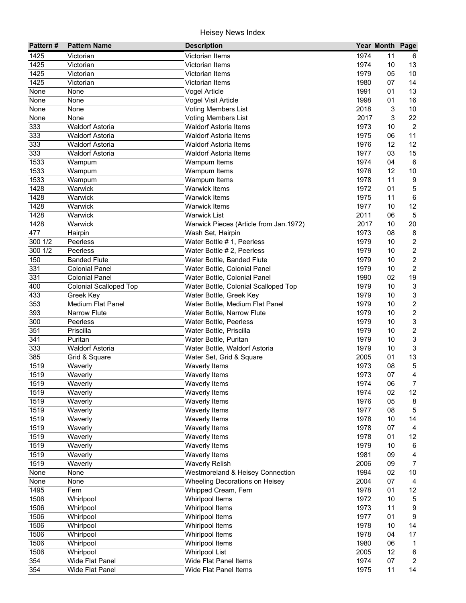| Pattern#         | <b>Pattern Name</b>           | <b>Description</b>                     |      | Year Month Page |                           |
|------------------|-------------------------------|----------------------------------------|------|-----------------|---------------------------|
| 1425             | Victorian                     | Victorian Items                        | 1974 | 11              | 6                         |
| 1425             | Victorian                     | Victorian Items                        | 1974 | 10              | 13                        |
| 1425             | Victorian                     | <b>Victorian Items</b>                 | 1979 | 05              | 10                        |
| 1425             | Victorian                     | <b>Victorian Items</b>                 | 1980 | 07              | 14                        |
| None             | None                          | Vogel Article                          | 1991 | 01              | 13                        |
| None             | None                          | Vogel Visit Article                    | 1998 | 01              | 16                        |
| None             | None                          | <b>Voting Members List</b>             | 2018 | $\sqrt{3}$      | 10                        |
| None             | None                          | Voting Members List                    | 2017 | 3               | 22                        |
| 333              | <b>Waldorf Astoria</b>        | <b>Waldorf Astoria Items</b>           | 1973 | 10              | $\overline{2}$            |
| 333              | <b>Waldorf Astoria</b>        | <b>Waldorf Astoria Items</b>           | 1975 | 06              | 11                        |
| 333              | <b>Waldorf Astoria</b>        | <b>Waldorf Astoria Items</b>           | 1976 | 12              | 12                        |
| 333              | <b>Waldorf Astoria</b>        | <b>Waldorf Astoria Items</b>           | 1977 | 03              | 15                        |
| 1533             | Wampum                        | Wampum Items                           | 1974 | 04              | 6                         |
| 1533             | Wampum                        | Wampum Items                           | 1976 | 12              | 10                        |
| 1533             | Wampum                        | Wampum Items                           | 1978 | 11              | $\boldsymbol{9}$          |
| 1428             | Warwick                       | <b>Warwick Items</b>                   | 1972 | 01              | $\mathbf 5$               |
| 1428             | Warwick                       | <b>Warwick Items</b>                   | 1975 | 11              | $\,6\,$                   |
| 1428             | Warwick                       | <b>Warwick Items</b>                   | 1977 | 10              | 12                        |
| 1428             | Warwick                       | <b>Warwick List</b>                    | 2011 | 06              | 5                         |
| 1428             | Warwick                       | Warwick Pieces (Article from Jan.1972) | 2017 | 10              | 20                        |
| 477              | Hairpin                       | Wash Set, Hairpin                      | 1973 | 08              | 8                         |
| 300 1/2          | Peerless                      | Water Bottle # 1, Peerless             | 1979 | 10              | $\sqrt{2}$                |
| 300 1/2          | Peerless                      | Water Bottle # 2, Peerless             | 1979 | 10              | $\boldsymbol{2}$          |
| 150              | <b>Banded Flute</b>           | Water Bottle, Banded Flute             | 1979 | 10              | $\overline{c}$            |
| 331              | <b>Colonial Panel</b>         | Water Bottle, Colonial Panel           | 1979 | 10              | $\overline{2}$            |
| 331              | <b>Colonial Panel</b>         | Water Bottle, Colonial Panel           | 1990 | 02              | 19                        |
| 400              | <b>Colonial Scalloped Top</b> | Water Bottle, Colonial Scalloped Top   | 1979 | 10              | $\sqrt{3}$                |
| 433              | Greek Key                     | Water Bottle, Greek Key                | 1979 | 10              | 3                         |
| 353              | <b>Medium Flat Panel</b>      | Water Bottle, Medium Flat Panel        | 1979 | 10              | $\sqrt{2}$                |
| 393              | <b>Narrow Flute</b>           | Water Bottle, Narrow Flute             | 1979 | 10              | $\sqrt{2}$                |
| 300              | Peerless                      | Water Bottle, Peerless                 | 1979 | 10              | 3                         |
| 351              | Priscilla                     | Water Bottle, Priscilla                | 1979 | 10              | $\boldsymbol{2}$          |
| $\overline{341}$ | Puritan                       | Water Bottle, Puritan                  | 1979 | 10              | $\ensuremath{\mathsf{3}}$ |
| 333              | <b>Waldorf Astoria</b>        | Water Bottle, Waldorf Astoria          | 1979 | 10              | $\sqrt{3}$                |
| 385              | Grid & Square                 | Water Set, Grid & Square               | 2005 | 01              | 13                        |
| 1519             | Waverly                       | Waverly Items                          | 1973 | 08              | $\sqrt{5}$                |
| 1519             | Waverly                       | Waverly Items                          | 1973 | 07              | 4                         |
| 1519             | Waverly                       | Waverly Items                          | 1974 | 06              | 7                         |
| 1519             | Waverly                       | Waverly Items                          | 1974 | 02              | 12                        |
| 1519             | Waverly                       | Waverly Items                          | 1976 | 05              | 8                         |
| 1519             | Waverly                       | Waverly Items                          | 1977 | 08              | 5                         |
| 1519             | Waverly                       | Waverly Items                          | 1978 | 10              | 14                        |
| 1519             | Waverly                       | Waverly Items                          | 1978 | 07              | 4                         |
| 1519             | Waverly                       | Waverly Items                          | 1978 | 01              | 12                        |
| 1519             | Waverly                       | <b>Waverly Items</b>                   | 1979 | 10              | 6                         |
| 1519             | Waverly                       | Waverly Items                          | 1981 | 09              | 4                         |
| 1519             | Waverly                       | <b>Waverly Relish</b>                  | 2006 | 09              | 7                         |
| None             | None                          | Westmoreland & Heisey Connection       | 1994 | 02              | 10                        |
| None             | None                          | Wheeling Decorations on Heisey         | 2004 | 07              | 4                         |
| 1495             | Fern                          | Whipped Cream, Fern                    | 1978 | 01              | 12                        |
| 1506             | Whirlpool                     | Whirlpool Items                        | 1972 | 10              | 5                         |
| 1506             | Whirlpool                     | Whirlpool Items                        | 1973 | 11              | 9                         |
| 1506             | Whirlpool                     | Whirlpool Items                        | 1977 | 01              | 9                         |
| 1506             | Whirlpool                     | Whirlpool Items                        | 1978 | 10              | 14                        |
| 1506             | Whirlpool                     | Whirlpool Items                        | 1978 | 04              | 17                        |
| 1506             | Whirlpool                     | Whirlpool Items                        | 1980 | 06              | $\mathbf{1}$              |
| 1506             | Whirlpool                     | <b>Whirlpool List</b>                  | 2005 | 12              | $\,6\,$                   |
| 354              | Wide Flat Panel               | Wide Flat Panel Items                  | 1974 | 07              | $\overline{2}$            |
| 354              | Wide Flat Panel               | Wide Flat Panel Items                  | 1975 | 11              | 14                        |